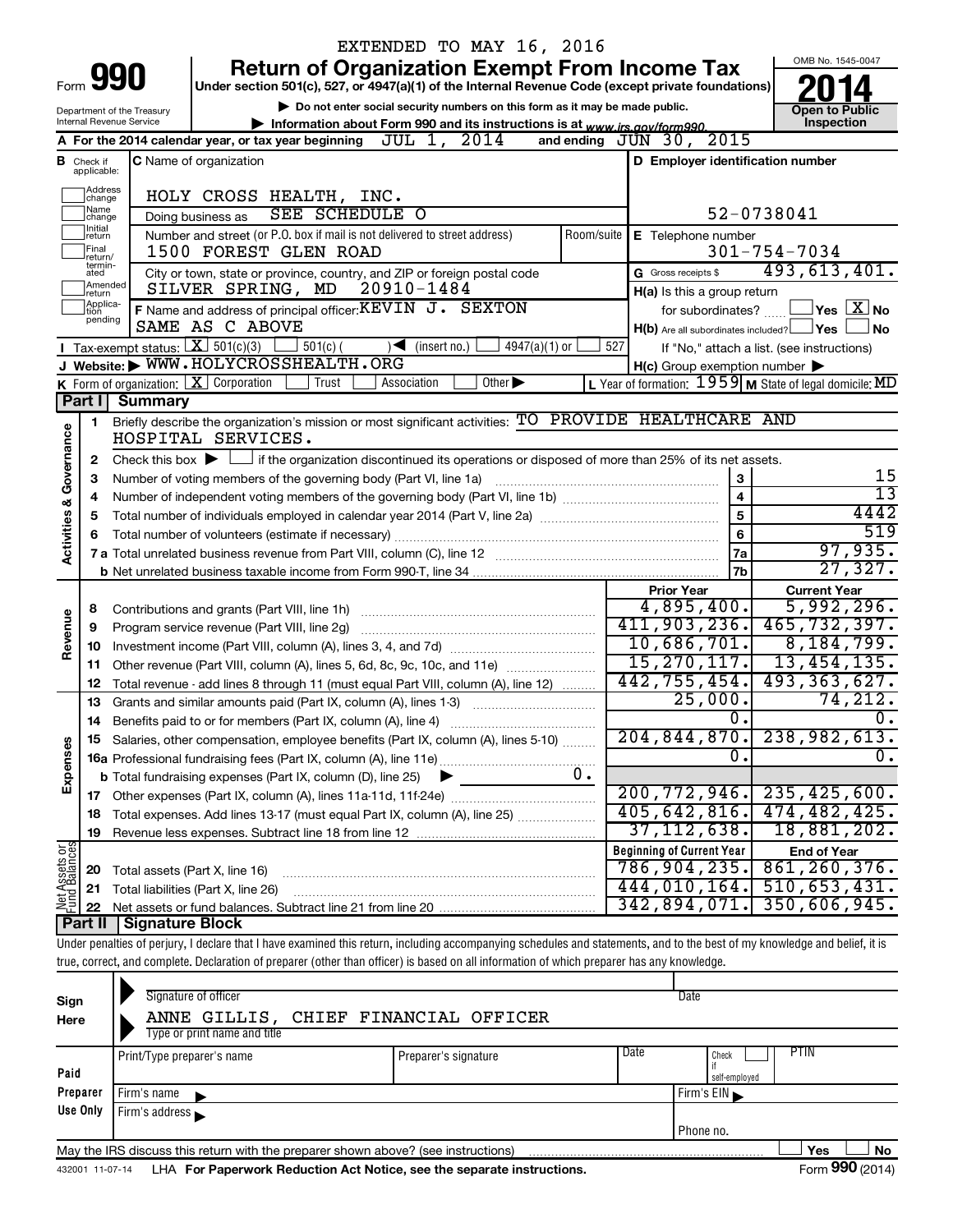|                                       |                               |                                             | EXTENDED TO MAY 16, 2016                                                                                                                                                   |                                                     |                                                             |
|---------------------------------------|-------------------------------|---------------------------------------------|----------------------------------------------------------------------------------------------------------------------------------------------------------------------------|-----------------------------------------------------|-------------------------------------------------------------|
|                                       |                               |                                             | <b>Return of Organization Exempt From Income Tax</b>                                                                                                                       |                                                     | OMB No. 1545-0047                                           |
| Form <b>990</b>                       |                               |                                             | Under section 501(c), 527, or 4947(a)(1) of the Internal Revenue Code (except private foundations)                                                                         |                                                     |                                                             |
|                                       |                               | Department of the Treasury                  | Do not enter social security numbers on this form as it may be made public.                                                                                                |                                                     | <b>Open to Public</b>                                       |
|                                       |                               | Internal Revenue Service                    | Information about Form 990 and its instructions is at www.irs.gov/form990.                                                                                                 |                                                     | Inspection                                                  |
|                                       |                               |                                             | A For the 2014 calendar year, or tax year beginning $\overline{JUL}$ 1, 2014                                                                                               | 2015<br>and ending $J\bar{U}N$ 30,                  |                                                             |
|                                       | <b>B</b> Check if applicable: |                                             | <b>C</b> Name of organization                                                                                                                                              | D Employer identification number                    |                                                             |
|                                       | Address<br> change            |                                             | HOLY CROSS HEALTH, INC.                                                                                                                                                    |                                                     |                                                             |
|                                       | Name                          |                                             | <b>SEE SCHEDULE O</b><br>Doing business as                                                                                                                                 |                                                     | 52-0738041                                                  |
|                                       | change<br>Initial<br>return   |                                             | Number and street (or P.O. box if mail is not delivered to street address)<br>Room/suite                                                                                   | E Telephone number                                  |                                                             |
|                                       | Final<br>return/              |                                             | 1500 FOREST GLEN ROAD                                                                                                                                                      |                                                     | $301 - 754 - 7034$                                          |
|                                       | termin-<br>ated               |                                             | City or town, state or province, country, and ZIP or foreign postal code                                                                                                   | G Gross receipts \$                                 | 493, 613, 401.                                              |
|                                       | Amended<br>Ireturn            |                                             | 20910-1484<br>SILVER SPRING, MD                                                                                                                                            | H(a) Is this a group return                         |                                                             |
|                                       | Applica-<br>Ition             |                                             | F Name and address of principal officer: KEVIN J. SEXTON                                                                                                                   | for subordinates?                                   | $\Box$ Yes $\Box$ No                                        |
|                                       | pending                       |                                             | SAME AS C ABOVE                                                                                                                                                            | $H(b)$ Are all subordinates included? $\Box$ Yes    | <b>No</b>                                                   |
|                                       |                               |                                             | Tax-exempt status: $X \over 301(c)(3)$<br>$501(c)$ (<br>$4947(a)(1)$ or<br>$\sqrt{\bullet}$ (insert no.)                                                                   | 527                                                 | If "No," attach a list. (see instructions)                  |
|                                       |                               |                                             | J Website: WWW.HOLYCROSSHEALTH.ORG                                                                                                                                         | $H(c)$ Group exemption number $\blacktriangleright$ |                                                             |
|                                       |                               |                                             | K Form of organization: $X$ Corporation<br>Other $\blacktriangleright$<br>Trust<br>Association                                                                             |                                                     | L Year of formation: $1959$ M State of legal domicile: $MD$ |
|                                       | Part I                        | <b>Summary</b>                              |                                                                                                                                                                            |                                                     |                                                             |
|                                       | 1                             |                                             | Briefly describe the organization's mission or most significant activities: TO PROVIDE HEALTHCARE AND                                                                      |                                                     |                                                             |
|                                       |                               |                                             | HOSPITAL SERVICES.                                                                                                                                                         |                                                     |                                                             |
|                                       | 2                             | Check this box $\blacktriangleright$ $\Box$ | if the organization discontinued its operations or disposed of more than 25% of its net assets.                                                                            |                                                     | 15                                                          |
|                                       | 3                             |                                             |                                                                                                                                                                            | 3                                                   | 13                                                          |
|                                       | 4                             |                                             |                                                                                                                                                                            | $\overline{\mathbf{4}}$<br>5                        | 4442                                                        |
|                                       | 5<br>6                        |                                             |                                                                                                                                                                            | 6                                                   | 519                                                         |
| Activities & Governance               |                               |                                             |                                                                                                                                                                            | 7a                                                  | 97,935.                                                     |
|                                       |                               |                                             |                                                                                                                                                                            | 7b                                                  | 27,327.                                                     |
|                                       |                               |                                             |                                                                                                                                                                            | <b>Prior Year</b>                                   | <b>Current Year</b>                                         |
|                                       | 8                             |                                             |                                                                                                                                                                            | 4,895,400.                                          | 5,992,296.                                                  |
| Revenue                               | 9                             |                                             | Program service revenue (Part VIII, line 2g)                                                                                                                               | 411,903,236.                                        | 465, 732, 397.                                              |
|                                       | 10                            |                                             |                                                                                                                                                                            | 10,686,701.                                         | 8, 184, 799.                                                |
|                                       | 11                            |                                             | Other revenue (Part VIII, column (A), lines 5, 6d, 8c, 9c, 10c, and 11e)                                                                                                   | 15, 270, 117.                                       | 13,454,135.                                                 |
|                                       | 12                            |                                             | Total revenue - add lines 8 through 11 (must equal Part VIII, column (A), line 12)                                                                                         | 442,755,454.                                        | 493, 363, 627.                                              |
|                                       | 13                            |                                             | Grants and similar amounts paid (Part IX, column (A), lines 1-3)                                                                                                           | 25,000.                                             | 74, 212.                                                    |
|                                       | 14                            |                                             |                                                                                                                                                                            | 0.                                                  | 0.                                                          |
|                                       |                               |                                             | Salaries, other compensation, employee benefits (Part IX, column (A), lines 5-10)                                                                                          |                                                     | 204, 844, 870. 238, 982, 613.                               |
| Expenses                              |                               |                                             |                                                                                                                                                                            | σ.                                                  | $\overline{0}$ .                                            |
|                                       |                               |                                             | 0.<br><b>b</b> Total fundraising expenses (Part IX, column (D), line 25)                                                                                                   | 200, 772, 946.                                      |                                                             |
|                                       | 17                            |                                             |                                                                                                                                                                            | 405,642,816.                                        | 235, 425, 600.<br>474,482,425.                              |
|                                       | 18                            |                                             | Total expenses. Add lines 13-17 (must equal Part IX, column (A), line 25)                                                                                                  | 37, 112, 638.                                       | 18,881,202.                                                 |
|                                       | 19                            |                                             |                                                                                                                                                                            | <b>Beginning of Current Year</b>                    | <b>End of Year</b>                                          |
| <b>Net Assets or</b><br>Fund Balances | 20                            | Total assets (Part X, line 16)              |                                                                                                                                                                            | 786, 904, 235.                                      | 861, 260, 376.                                              |
|                                       | 21                            |                                             | Total liabilities (Part X, line 26)                                                                                                                                        | 444,010,164.                                        | 510,653,431.                                                |
|                                       | 22                            |                                             |                                                                                                                                                                            | 342,894,071.                                        | 350,606,945.                                                |
|                                       | Part II                       | <b>Signature Block</b>                      |                                                                                                                                                                            |                                                     |                                                             |
|                                       |                               |                                             | Under penalties of perjury, I declare that I have examined this return, including accompanying schedules and statements, and to the best of my knowledge and belief, it is |                                                     |                                                             |
|                                       |                               |                                             | true, correct, and complete. Declaration of preparer (other than officer) is based on all information of which preparer has any knowledge.                                 |                                                     |                                                             |

| Sign<br>Here | Signature of officer<br>ANNE GILLIS, CHIEF FINANCIAL OFFICER<br>Type or print name and title | Date                 |      |                        |      |  |    |
|--------------|----------------------------------------------------------------------------------------------|----------------------|------|------------------------|------|--|----|
| Paid         | Print/Type preparer's name                                                                   | Preparer's signature | Date | Check<br>self-employed | PTIN |  |    |
| Preparer     | Firm's name                                                                                  |                      |      | Firm's EIN             |      |  |    |
| Use Only     | Firm's address                                                                               |                      |      |                        |      |  |    |
|              | Phone no.                                                                                    |                      |      |                        |      |  |    |
|              | May the IRS discuss this return with the preparer shown above? (see instructions)            |                      |      |                        | Yes  |  | No |

432001 11-07-14 **For Paperwork Reduction Act Notice, see the separate instructions.** LHA Form (2014)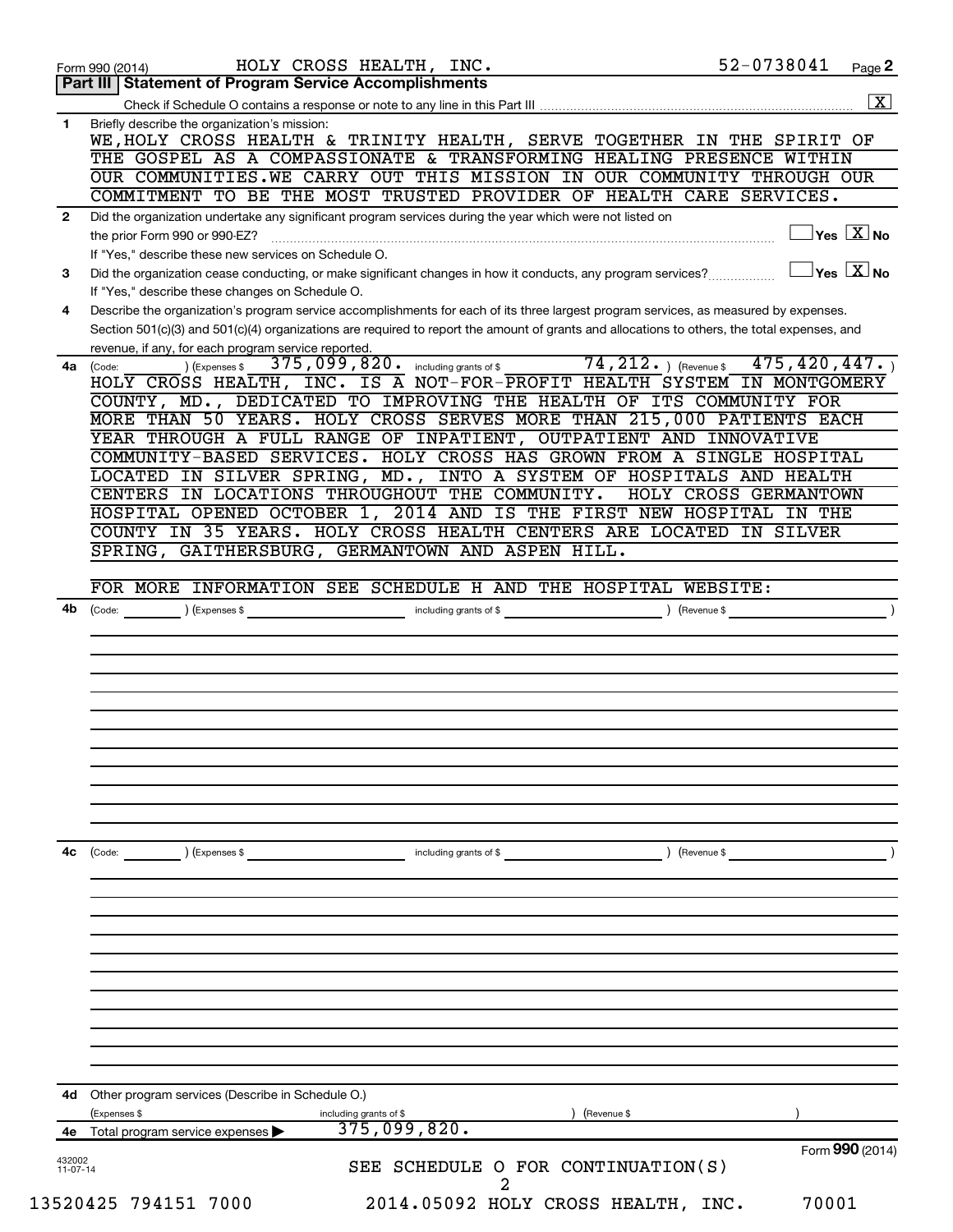|                | Form 990 (2014)                                         | HOLY CROSS HEALTH, INC.                                                                                                              | 52-0738041<br>Page 2                                                                                                                         |
|----------------|---------------------------------------------------------|--------------------------------------------------------------------------------------------------------------------------------------|----------------------------------------------------------------------------------------------------------------------------------------------|
|                | Part III   Statement of Program Service Accomplishments |                                                                                                                                      |                                                                                                                                              |
|                |                                                         |                                                                                                                                      | $\boxed{\text{X}}$                                                                                                                           |
| 1              | Briefly describe the organization's mission:            |                                                                                                                                      | WE, HOLY CROSS HEALTH & TRINITY HEALTH, SERVE TOGETHER IN THE SPIRIT OF                                                                      |
|                |                                                         | THE GOSPEL AS A COMPASSIONATE & TRANSFORMING HEALING PRESENCE WITHIN                                                                 |                                                                                                                                              |
|                |                                                         |                                                                                                                                      | OUR COMMUNITIES.WE CARRY OUT THIS MISSION IN OUR COMMUNITY THROUGH OUR                                                                       |
|                |                                                         | COMMITMENT TO BE THE MOST TRUSTED PROVIDER OF HEALTH CARE SERVICES.                                                                  |                                                                                                                                              |
| $\mathbf{2}$   |                                                         | Did the organization undertake any significant program services during the year which were not listed on                             |                                                                                                                                              |
|                | the prior Form 990 or 990-EZ?                           |                                                                                                                                      | $\exists$ Yes $\boxed{\text{X}}$ No                                                                                                          |
|                | If "Yes," describe these new services on Schedule O.    |                                                                                                                                      |                                                                                                                                              |
| 3              |                                                         | Did the organization cease conducting, or make significant changes in how it conducts, any program services?                         | $\overline{\ }$ Yes $\overline{\ \ X}$ No                                                                                                    |
|                | If "Yes," describe these changes on Schedule O.         |                                                                                                                                      |                                                                                                                                              |
| 4              |                                                         | Describe the organization's program service accomplishments for each of its three largest program services, as measured by expenses. |                                                                                                                                              |
|                |                                                         |                                                                                                                                      | Section 501(c)(3) and 501(c)(4) organizations are required to report the amount of grants and allocations to others, the total expenses, and |
|                | revenue, if any, for each program service reported.     | 375,099,820. including grants of \$                                                                                                  | 74, 212. $($ Revenue \$475, 420, 447.                                                                                                        |
|                | ) (Expenses \$<br>4a (Code:                             |                                                                                                                                      | HOLY CROSS HEALTH, INC. IS A NOT-FOR-PROFIT HEALTH SYSTEM IN MONTGOMERY                                                                      |
|                |                                                         | COUNTY, MD., DEDICATED TO IMPROVING THE HEALTH OF ITS COMMUNITY FOR                                                                  |                                                                                                                                              |
|                |                                                         |                                                                                                                                      | MORE THAN 50 YEARS. HOLY CROSS SERVES MORE THAN 215,000 PATIENTS EACH                                                                        |
|                |                                                         | YEAR THROUGH A FULL RANGE OF INPATIENT, OUTPATIENT AND INNOVATIVE                                                                    |                                                                                                                                              |
|                |                                                         |                                                                                                                                      | COMMUNITY-BASED SERVICES. HOLY CROSS HAS GROWN FROM A SINGLE HOSPITAL                                                                        |
|                |                                                         | LOCATED IN SILVER SPRING, MD., INTO A SYSTEM OF HOSPITALS AND HEALTH                                                                 |                                                                                                                                              |
|                |                                                         | CENTERS IN LOCATIONS THROUGHOUT THE COMMUNITY.                                                                                       | HOLY CROSS GERMANTOWN                                                                                                                        |
|                |                                                         | HOSPITAL OPENED OCTOBER 1, 2014 AND IS THE FIRST NEW HOSPITAL IN THE                                                                 |                                                                                                                                              |
|                |                                                         | COUNTY IN 35 YEARS. HOLY CROSS HEALTH CENTERS ARE LOCATED IN SILVER                                                                  |                                                                                                                                              |
|                |                                                         | SPRING, GAITHERSBURG, GERMANTOWN AND ASPEN HILL.                                                                                     |                                                                                                                                              |
|                |                                                         | FOR MORE INFORMATION SEE SCHEDULE H AND THE HOSPITAL WEBSITE:                                                                        |                                                                                                                                              |
| 4b             | (Code:<br>(Expenses \$                                  | including grants of \$                                                                                                               | (Revenue \$                                                                                                                                  |
|                |                                                         |                                                                                                                                      |                                                                                                                                              |
|                |                                                         |                                                                                                                                      |                                                                                                                                              |
|                |                                                         |                                                                                                                                      |                                                                                                                                              |
|                |                                                         |                                                                                                                                      |                                                                                                                                              |
|                |                                                         |                                                                                                                                      |                                                                                                                                              |
|                |                                                         |                                                                                                                                      |                                                                                                                                              |
|                |                                                         |                                                                                                                                      |                                                                                                                                              |
|                |                                                         |                                                                                                                                      |                                                                                                                                              |
|                |                                                         |                                                                                                                                      |                                                                                                                                              |
|                |                                                         |                                                                                                                                      |                                                                                                                                              |
|                |                                                         |                                                                                                                                      |                                                                                                                                              |
| 4c             | (Code:<br>(Expenses \$                                  | including grants of \$                                                                                                               | Revenue \$                                                                                                                                   |
|                |                                                         |                                                                                                                                      |                                                                                                                                              |
|                |                                                         |                                                                                                                                      |                                                                                                                                              |
|                |                                                         |                                                                                                                                      |                                                                                                                                              |
|                |                                                         |                                                                                                                                      |                                                                                                                                              |
|                |                                                         |                                                                                                                                      |                                                                                                                                              |
|                |                                                         |                                                                                                                                      |                                                                                                                                              |
|                |                                                         |                                                                                                                                      |                                                                                                                                              |
|                |                                                         |                                                                                                                                      |                                                                                                                                              |
|                |                                                         |                                                                                                                                      |                                                                                                                                              |
|                |                                                         |                                                                                                                                      |                                                                                                                                              |
|                |                                                         |                                                                                                                                      |                                                                                                                                              |
| 4d             | Other program services (Describe in Schedule O.)        |                                                                                                                                      |                                                                                                                                              |
|                | (Expenses \$                                            | including grants of \$                                                                                                               | (Revenue \$                                                                                                                                  |
| 4е             | Total program service expenses                          | 375,099,820.                                                                                                                         |                                                                                                                                              |
| 432002         |                                                         |                                                                                                                                      | Form 990 (2014)                                                                                                                              |
| $11 - 07 - 14$ |                                                         | SEE SCHEDULE O FOR CONTINUATION(S)                                                                                                   |                                                                                                                                              |
|                | 13520425 794151 7000                                    | 2014.05092 HOLY CROSS HEALTH, INC.                                                                                                   | 70001                                                                                                                                        |
|                |                                                         |                                                                                                                                      |                                                                                                                                              |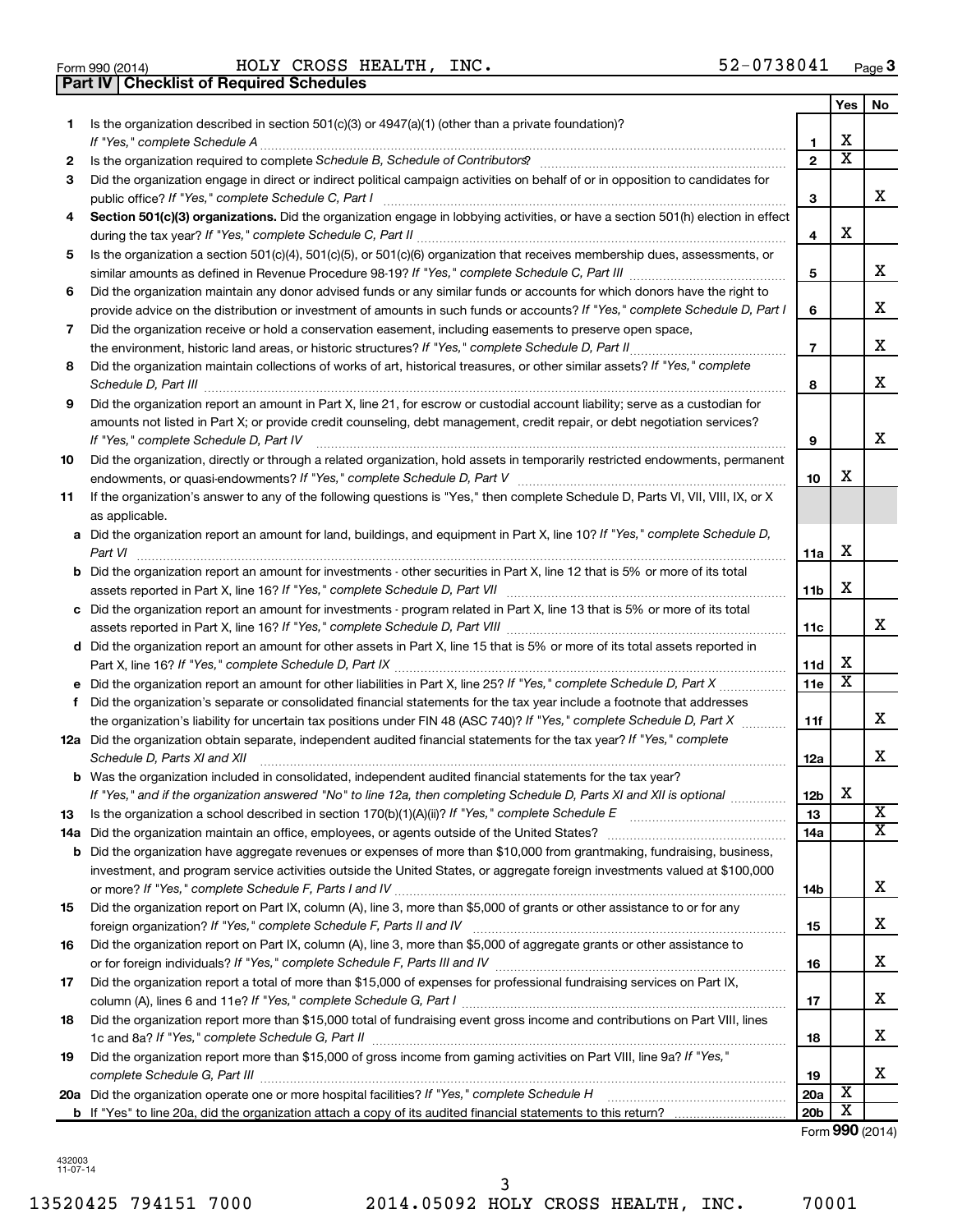Form 990 (2014) Page HOLY CROSS HEALTH, INC. 52-0738041 **Part IV Checklist of Required Schedules**

|    |                                                                                                                                                                         |                 | <b>Yes</b>              | No                      |
|----|-------------------------------------------------------------------------------------------------------------------------------------------------------------------------|-----------------|-------------------------|-------------------------|
| 1. | Is the organization described in section 501(c)(3) or $4947(a)(1)$ (other than a private foundation)?                                                                   |                 |                         |                         |
|    |                                                                                                                                                                         | 1               | х                       |                         |
| 2  | Is the organization required to complete Schedule B, Schedule of Contributors? [11] The organization required to complete Schedule B, Schedule of Contributors?         | $\overline{2}$  | $\overline{\text{x}}$   |                         |
| 3  | Did the organization engage in direct or indirect political campaign activities on behalf of or in opposition to candidates for                                         | 3               |                         | x                       |
| 4  | Section 501(c)(3) organizations. Did the organization engage in lobbying activities, or have a section 501(h) election in effect                                        |                 |                         |                         |
|    |                                                                                                                                                                         | 4               | х                       |                         |
| 5  | Is the organization a section 501(c)(4), 501(c)(5), or 501(c)(6) organization that receives membership dues, assessments, or                                            |                 |                         |                         |
|    |                                                                                                                                                                         | 5               |                         | x                       |
| 6  | Did the organization maintain any donor advised funds or any similar funds or accounts for which donors have the right to                                               |                 |                         |                         |
|    | provide advice on the distribution or investment of amounts in such funds or accounts? If "Yes," complete Schedule D, Part I                                            | 6               |                         | x                       |
| 7  | Did the organization receive or hold a conservation easement, including easements to preserve open space,                                                               |                 |                         |                         |
|    |                                                                                                                                                                         | $\overline{7}$  |                         | х                       |
| 8  | Did the organization maintain collections of works of art, historical treasures, or other similar assets? If "Yes," complete                                            |                 |                         |                         |
|    |                                                                                                                                                                         | 8               |                         | x                       |
| 9  | Did the organization report an amount in Part X, line 21, for escrow or custodial account liability; serve as a custodian for                                           |                 |                         |                         |
|    | amounts not listed in Part X; or provide credit counseling, debt management, credit repair, or debt negotiation services?                                               |                 |                         | x                       |
| 10 | If "Yes," complete Schedule D, Part IV<br>Did the organization, directly or through a related organization, hold assets in temporarily restricted endowments, permanent | 9               |                         |                         |
|    |                                                                                                                                                                         | 10              | x                       |                         |
| 11 | If the organization's answer to any of the following questions is "Yes," then complete Schedule D, Parts VI, VII, VIII, IX, or X                                        |                 |                         |                         |
|    | as applicable.                                                                                                                                                          |                 |                         |                         |
|    | a Did the organization report an amount for land, buildings, and equipment in Part X, line 10? If "Yes," complete Schedule D,                                           |                 |                         |                         |
|    | Part VI                                                                                                                                                                 | 11a             | х                       |                         |
|    | <b>b</b> Did the organization report an amount for investments - other securities in Part X, line 12 that is 5% or more of its total                                    |                 |                         |                         |
|    |                                                                                                                                                                         | 11b             | х                       |                         |
|    | c Did the organization report an amount for investments - program related in Part X, line 13 that is 5% or more of its total                                            |                 |                         |                         |
|    |                                                                                                                                                                         | 11c             |                         | x                       |
|    | d Did the organization report an amount for other assets in Part X, line 15 that is 5% or more of its total assets reported in                                          |                 |                         |                         |
|    |                                                                                                                                                                         | 11d             | х                       |                         |
|    | e Did the organization report an amount for other liabilities in Part X, line 25? If "Yes," complete Schedule D, Part X                                                 | 11e             | $\overline{\textbf{x}}$ |                         |
| f. | Did the organization's separate or consolidated financial statements for the tax year include a footnote that addresses                                                 |                 |                         | x                       |
|    | the organization's liability for uncertain tax positions under FIN 48 (ASC 740)? If "Yes," complete Schedule D, Part X                                                  | 11f             |                         |                         |
|    | 12a Did the organization obtain separate, independent audited financial statements for the tax year? If "Yes," complete<br>Schedule D, Parts XI and XII                 | 12a             |                         | x                       |
|    | <b>b</b> Was the organization included in consolidated, independent audited financial statements for the tax year?                                                      |                 |                         |                         |
|    | If "Yes," and if the organization answered "No" to line 12a, then completing Schedule D, Parts XI and XII is optional                                                   | 12b             | х                       |                         |
| 13 | Is the organization a school described in section $170(b)(1)(A)(ii)?$ If "Yes," complete Schedule E                                                                     | 13              |                         | X                       |
|    | 14a Did the organization maintain an office, employees, or agents outside of the United States?                                                                         | 14a             |                         | $\overline{\mathbf{X}}$ |
|    | <b>b</b> Did the organization have aggregate revenues or expenses of more than \$10,000 from grantmaking, fundraising, business,                                        |                 |                         |                         |
|    | investment, and program service activities outside the United States, or aggregate foreign investments valued at \$100,000                                              |                 |                         |                         |
|    |                                                                                                                                                                         | 14b             |                         | x                       |
| 15 | Did the organization report on Part IX, column (A), line 3, more than \$5,000 of grants or other assistance to or for any                                               |                 |                         |                         |
|    |                                                                                                                                                                         | 15              |                         | х                       |
| 16 | Did the organization report on Part IX, column (A), line 3, more than \$5,000 of aggregate grants or other assistance to                                                |                 |                         |                         |
|    |                                                                                                                                                                         | 16              |                         | x                       |
| 17 | Did the organization report a total of more than \$15,000 of expenses for professional fundraising services on Part IX,                                                 |                 |                         | x                       |
|    |                                                                                                                                                                         | 17              |                         |                         |
| 18 | Did the organization report more than \$15,000 total of fundraising event gross income and contributions on Part VIII, lines                                            | 18              |                         | х                       |
| 19 | Did the organization report more than \$15,000 of gross income from gaming activities on Part VIII, line 9a? If "Yes,"                                                  |                 |                         |                         |
|    |                                                                                                                                                                         | 19              |                         | х                       |
|    |                                                                                                                                                                         | 20a             | х                       |                         |
|    |                                                                                                                                                                         | 20 <sub>b</sub> | х                       |                         |

Form (2014) **990**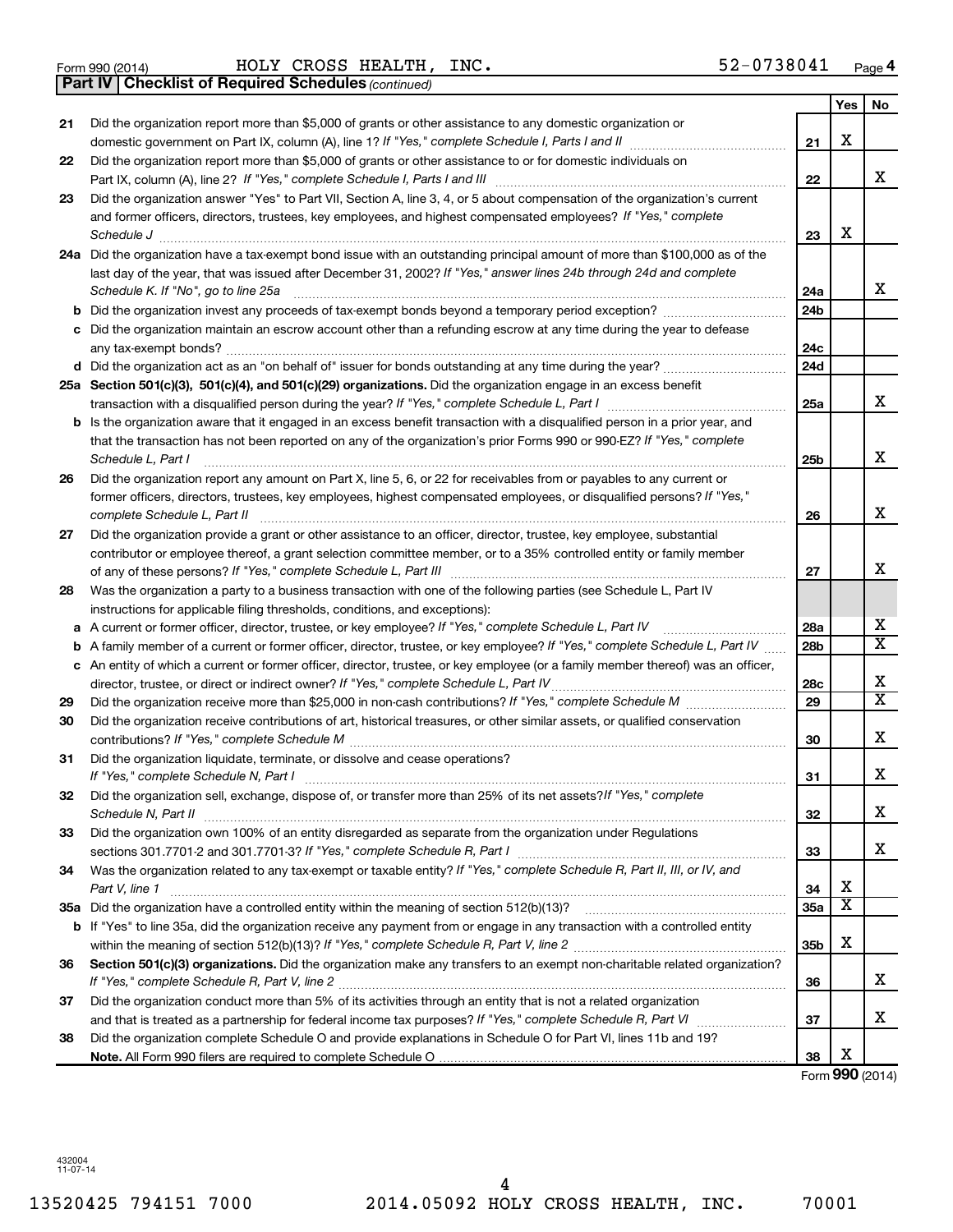| Form 990 (2014) |  |  |
|-----------------|--|--|
|                 |  |  |

Form 990 (2014) Page HOLY CROSS HEALTH, INC. 52-0738041

|    | <b>Part IV   Checklist of Required Schedules (continued)</b>                                                                        |                 |     |                         |
|----|-------------------------------------------------------------------------------------------------------------------------------------|-----------------|-----|-------------------------|
|    |                                                                                                                                     |                 | Yes | No                      |
| 21 | Did the organization report more than \$5,000 of grants or other assistance to any domestic organization or                         |                 |     |                         |
|    |                                                                                                                                     | 21              | X   |                         |
| 22 | Did the organization report more than \$5,000 of grants or other assistance to or for domestic individuals on                       |                 |     |                         |
|    |                                                                                                                                     | 22              |     | x                       |
| 23 | Did the organization answer "Yes" to Part VII, Section A, line 3, 4, or 5 about compensation of the organization's current          |                 |     |                         |
|    | and former officers, directors, trustees, key employees, and highest compensated employees? If "Yes," complete                      |                 |     |                         |
|    | Schedule J <b>Execute Schedule J Execute Schedule J</b>                                                                             | 23              | X   |                         |
|    | 24a Did the organization have a tax-exempt bond issue with an outstanding principal amount of more than \$100,000 as of the         |                 |     |                         |
|    | last day of the year, that was issued after December 31, 2002? If "Yes," answer lines 24b through 24d and complete                  |                 |     |                         |
|    | Schedule K. If "No", go to line 25a                                                                                                 | 24a             |     | x                       |
| b  |                                                                                                                                     | 24 <sub>b</sub> |     |                         |
|    | Did the organization maintain an escrow account other than a refunding escrow at any time during the year to defease                |                 |     |                         |
|    |                                                                                                                                     | 24c             |     |                         |
|    |                                                                                                                                     | 24d             |     |                         |
|    | 25a Section 501(c)(3), 501(c)(4), and 501(c)(29) organizations. Did the organization engage in an excess benefit                    |                 |     |                         |
|    |                                                                                                                                     | 25a             |     | x                       |
|    | <b>b</b> Is the organization aware that it engaged in an excess benefit transaction with a disqualified person in a prior year, and |                 |     |                         |
|    | that the transaction has not been reported on any of the organization's prior Forms 990 or 990-EZ? If "Yes," complete               |                 |     |                         |
|    | Schedule L, Part I                                                                                                                  | 25b             |     | x                       |
| 26 | Did the organization report any amount on Part X, line 5, 6, or 22 for receivables from or payables to any current or               |                 |     |                         |
|    | former officers, directors, trustees, key employees, highest compensated employees, or disqualified persons? If "Yes,"              |                 |     |                         |
|    |                                                                                                                                     | 26              |     | х                       |
| 27 | Did the organization provide a grant or other assistance to an officer, director, trustee, key employee, substantial                |                 |     |                         |
|    | contributor or employee thereof, a grant selection committee member, or to a 35% controlled entity or family member                 |                 |     |                         |
|    |                                                                                                                                     | 27              |     | х                       |
| 28 | Was the organization a party to a business transaction with one of the following parties (see Schedule L, Part IV                   |                 |     |                         |
|    | instructions for applicable filing thresholds, conditions, and exceptions):                                                         |                 |     |                         |
| а  | A current or former officer, director, trustee, or key employee? If "Yes," complete Schedule L, Part IV                             | 28a             |     | x                       |
| b  | A family member of a current or former officer, director, trustee, or key employee? If "Yes," complete Schedule L, Part IV          | 28b             |     | $\overline{\texttt{x}}$ |
|    | c An entity of which a current or former officer, director, trustee, or key employee (or a family member thereof) was an officer,   |                 |     |                         |
|    | director, trustee, or direct or indirect owner? If "Yes," complete Schedule L, Part IV                                              | 28c             |     | X                       |
| 29 |                                                                                                                                     | 29              |     | $\overline{\textbf{X}}$ |
| 30 | Did the organization receive contributions of art, historical treasures, or other similar assets, or qualified conservation         |                 |     |                         |
|    |                                                                                                                                     | 30              |     | х                       |
| 31 | Did the organization liquidate, terminate, or dissolve and cease operations?                                                        |                 |     |                         |
|    |                                                                                                                                     | 31              |     | Χ                       |
| 32 | Did the organization sell, exchange, dispose of, or transfer more than 25% of its net assets? If "Yes," complete                    |                 |     |                         |
|    |                                                                                                                                     | 32              |     | x                       |
| 33 | Did the organization own 100% of an entity disregarded as separate from the organization under Regulations                          |                 |     |                         |
|    |                                                                                                                                     | 33              |     | x                       |
| 34 | Was the organization related to any tax-exempt or taxable entity? If "Yes," complete Schedule R, Part II, III, or IV, and           |                 |     |                         |
|    | Part V, line 1                                                                                                                      | 34              | X   |                         |
|    |                                                                                                                                     | 35a             | X   |                         |
|    | b If "Yes" to line 35a, did the organization receive any payment from or engage in any transaction with a controlled entity         |                 |     |                         |
|    |                                                                                                                                     | 35 <sub>b</sub> | X   |                         |
| 36 | Section 501(c)(3) organizations. Did the organization make any transfers to an exempt non-charitable related organization?          |                 |     |                         |
|    |                                                                                                                                     | 36              |     | х                       |
| 37 | Did the organization conduct more than 5% of its activities through an entity that is not a related organization                    |                 |     |                         |
|    |                                                                                                                                     | 37              |     | х                       |
| 38 | Did the organization complete Schedule O and provide explanations in Schedule O for Part VI, lines 11b and 19?                      |                 |     |                         |
|    |                                                                                                                                     | 38              | х   |                         |

Form (2014) **990**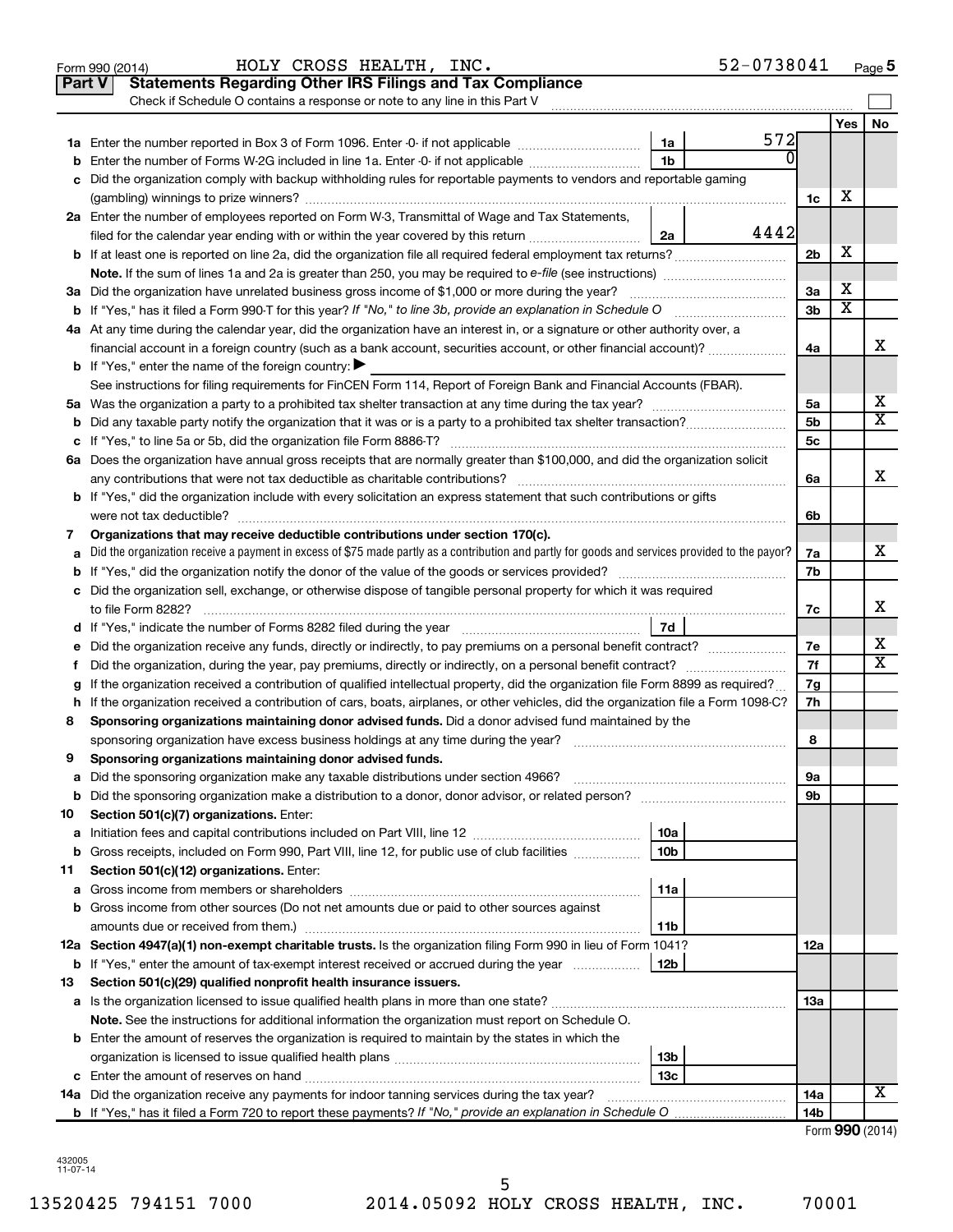|               | HOLY CROSS HEALTH, INC.<br>Form 990 (2014)                                                                                                      |                 | 52-0738041 |                 |                         | Page 5                    |
|---------------|-------------------------------------------------------------------------------------------------------------------------------------------------|-----------------|------------|-----------------|-------------------------|---------------------------|
| <b>Part V</b> | <b>Statements Regarding Other IRS Filings and Tax Compliance</b>                                                                                |                 |            |                 |                         |                           |
|               | Check if Schedule O contains a response or note to any line in this Part V                                                                      |                 |            |                 |                         |                           |
|               |                                                                                                                                                 |                 |            |                 | Yes                     | No                        |
|               |                                                                                                                                                 | 1a              | 572        |                 |                         |                           |
| b             | Enter the number of Forms W-2G included in line 1a. Enter -0- if not applicable                                                                 | 1 <sub>b</sub>  |            |                 |                         |                           |
|               | c Did the organization comply with backup withholding rules for reportable payments to vendors and reportable gaming                            |                 |            |                 |                         |                           |
|               |                                                                                                                                                 |                 |            | 1c              | х                       |                           |
|               | 2a Enter the number of employees reported on Form W-3, Transmittal of Wage and Tax Statements,                                                  |                 |            |                 |                         |                           |
|               | filed for the calendar year ending with or within the year covered by this return                                                               | 2a              | 4442       |                 |                         |                           |
|               |                                                                                                                                                 |                 |            | 2 <sub>b</sub>  | х                       |                           |
|               |                                                                                                                                                 |                 |            |                 |                         |                           |
|               | 3a Did the organization have unrelated business gross income of \$1,000 or more during the year?                                                |                 |            | 3a              | х                       |                           |
|               |                                                                                                                                                 |                 |            | 3 <sub>b</sub>  | $\overline{\texttt{x}}$ |                           |
|               | 4a At any time during the calendar year, did the organization have an interest in, or a signature or other authority over, a                    |                 |            |                 |                         |                           |
|               | financial account in a foreign country (such as a bank account, securities account, or other financial account)?                                |                 |            | 4a              |                         | x                         |
|               | <b>b</b> If "Yes," enter the name of the foreign country: $\blacktriangleright$                                                                 |                 |            |                 |                         |                           |
|               | See instructions for filing requirements for FinCEN Form 114, Report of Foreign Bank and Financial Accounts (FBAR).                             |                 |            |                 |                         |                           |
|               |                                                                                                                                                 |                 |            | 5a              |                         | х                         |
| b             |                                                                                                                                                 |                 |            | 5 <sub>b</sub>  |                         | $\overline{\mathtt{x}}$   |
|               |                                                                                                                                                 |                 |            | 5c              |                         |                           |
|               | 6a Does the organization have annual gross receipts that are normally greater than \$100,000, and did the organization solicit                  |                 |            |                 |                         |                           |
|               |                                                                                                                                                 |                 |            | 6a              |                         | x                         |
|               | <b>b</b> If "Yes," did the organization include with every solicitation an express statement that such contributions or gifts                   |                 |            |                 |                         |                           |
|               |                                                                                                                                                 |                 |            | 6b              |                         |                           |
| 7             | Organizations that may receive deductible contributions under section 170(c).                                                                   |                 |            |                 |                         |                           |
| a             | Did the organization receive a payment in excess of \$75 made partly as a contribution and partly for goods and services provided to the payor? |                 |            | 7a              |                         | x                         |
|               |                                                                                                                                                 |                 |            |                 |                         |                           |
|               | c Did the organization sell, exchange, or otherwise dispose of tangible personal property for which it was required                             |                 |            |                 |                         |                           |
|               |                                                                                                                                                 |                 |            | 7c              |                         | х                         |
|               |                                                                                                                                                 | 7d              |            |                 |                         |                           |
|               | e Did the organization receive any funds, directly or indirectly, to pay premiums on a personal benefit contract?                               |                 |            | 7e              |                         | х                         |
| f.            | Did the organization, during the year, pay premiums, directly or indirectly, on a personal benefit contract?                                    |                 |            | 7f              |                         | $\overline{\mathbf{X}}$   |
|               | If the organization received a contribution of qualified intellectual property, did the organization file Form 8899 as required?                |                 |            | 7g              |                         |                           |
|               | h If the organization received a contribution of cars, boats, airplanes, or other vehicles, did the organization file a Form 1098-C?            |                 |            | 7h              |                         |                           |
| 8             | Sponsoring organizations maintaining donor advised funds. Did a donor advised fund maintained by the                                            |                 |            |                 |                         |                           |
|               |                                                                                                                                                 |                 |            | 8               |                         |                           |
|               | Sponsoring organizations maintaining donor advised funds.                                                                                       |                 |            |                 |                         |                           |
| а             | Did the sponsoring organization make any taxable distributions under section 4966?                                                              |                 |            | 9а              |                         |                           |
| b             | Did the sponsoring organization make a distribution to a donor, donor advisor, or related person?                                               |                 |            | 9b              |                         |                           |
| 10            | Section 501(c)(7) organizations. Enter:                                                                                                         |                 |            |                 |                         |                           |
| a             |                                                                                                                                                 | 10a             |            |                 |                         |                           |
| b             | Gross receipts, included on Form 990, Part VIII, line 12, for public use of club facilities                                                     | 10 <sub>b</sub> |            |                 |                         |                           |
| 11            | Section 501(c)(12) organizations. Enter:                                                                                                        |                 |            |                 |                         |                           |
| а             |                                                                                                                                                 | 11a             |            |                 |                         |                           |
|               | b Gross income from other sources (Do not net amounts due or paid to other sources against                                                      |                 |            |                 |                         |                           |
|               |                                                                                                                                                 | 11b             |            |                 |                         |                           |
|               | 12a Section 4947(a)(1) non-exempt charitable trusts. Is the organization filing Form 990 in lieu of Form 1041?                                  |                 |            | 12a             |                         |                           |
|               | <b>b</b> If "Yes," enter the amount of tax-exempt interest received or accrued during the year                                                  | 12b             |            |                 |                         |                           |
| 13            | Section 501(c)(29) qualified nonprofit health insurance issuers.                                                                                |                 |            |                 |                         |                           |
|               | a Is the organization licensed to issue qualified health plans in more than one state?                                                          |                 |            | 13a             |                         |                           |
|               | Note. See the instructions for additional information the organization must report on Schedule O.                                               |                 |            |                 |                         |                           |
|               | <b>b</b> Enter the amount of reserves the organization is required to maintain by the states in which the                                       |                 |            |                 |                         |                           |
|               |                                                                                                                                                 | 13b             |            |                 |                         |                           |
|               | <b>c</b> Enter the amount of reserves on hand                                                                                                   | 13 <sub>c</sub> |            |                 |                         |                           |
|               | 14a Did the organization receive any payments for indoor tanning services during the tax year?                                                  |                 |            | 14a             |                         | X                         |
|               |                                                                                                                                                 |                 |            | 14 <sub>b</sub> |                         | $Form$ QQ $\Omega$ (2014) |
|               |                                                                                                                                                 |                 |            |                 |                         |                           |

| Form 990 (2014) |  |
|-----------------|--|
|-----------------|--|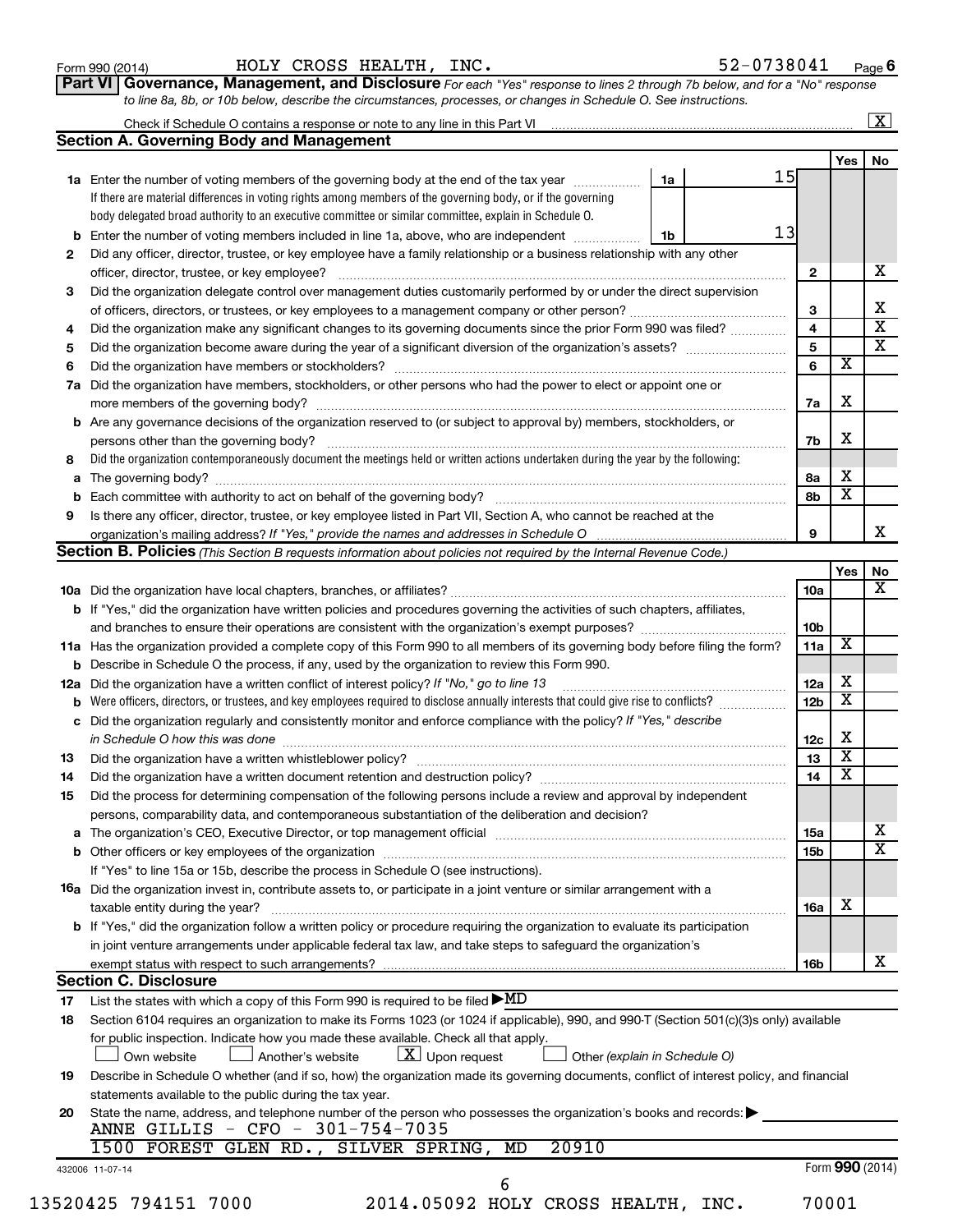| Form 990 (2014) |  |
|-----------------|--|
|-----------------|--|

#### Form 990 (2014) Page HOLY CROSS HEALTH, INC. 52-0738041

| 52-0738041<br>Page 6 |  |
|----------------------|--|
|----------------------|--|

**Part VI** Governance, Management, and Disclosure For each "Yes" response to lines 2 through 7b below, and for a "No" response *to line 8a, 8b, or 10b below, describe the circumstances, processes, or changes in Schedule O. See instructions.*

|     | Check if Schedule O contains a response or note to any line in this Part VI                                                                                                         |    |    |                         |                         | $\overline{\mathbf{X}}$ |
|-----|-------------------------------------------------------------------------------------------------------------------------------------------------------------------------------------|----|----|-------------------------|-------------------------|-------------------------|
|     | <b>Section A. Governing Body and Management</b>                                                                                                                                     |    |    |                         |                         |                         |
|     |                                                                                                                                                                                     |    |    |                         | Yes                     | No                      |
|     | 1a Enter the number of voting members of the governing body at the end of the tax year <i>manamer</i>                                                                               | 1a | 15 |                         |                         |                         |
|     | If there are material differences in voting rights among members of the governing body, or if the governing                                                                         |    |    |                         |                         |                         |
|     | body delegated broad authority to an executive committee or similar committee, explain in Schedule O.                                                                               |    |    |                         |                         |                         |
| b   | Enter the number of voting members included in line 1a, above, who are independent                                                                                                  | 1b | 13 |                         |                         |                         |
| 2   | Did any officer, director, trustee, or key employee have a family relationship or a business relationship with any other                                                            |    |    |                         |                         |                         |
|     |                                                                                                                                                                                     |    |    | $\overline{2}$          |                         | х                       |
| 3   | Did the organization delegate control over management duties customarily performed by or under the direct supervision                                                               |    |    |                         |                         |                         |
|     |                                                                                                                                                                                     |    |    | 3                       |                         | х                       |
| 4   | Did the organization make any significant changes to its governing documents since the prior Form 990 was filed?                                                                    |    |    | $\overline{\mathbf{4}}$ |                         | $\overline{\textbf{x}}$ |
| 5   |                                                                                                                                                                                     |    |    | 5                       |                         | $\overline{\mathbf{x}}$ |
| 6   |                                                                                                                                                                                     |    |    | 6                       | $\overline{\textbf{x}}$ |                         |
| 7a  | Did the organization have members, stockholders, or other persons who had the power to elect or appoint one or                                                                      |    |    |                         |                         |                         |
|     |                                                                                                                                                                                     |    |    | 7a                      | X                       |                         |
| b   | Are any governance decisions of the organization reserved to (or subject to approval by) members, stockholders, or                                                                  |    |    |                         |                         |                         |
|     | persons other than the governing body?                                                                                                                                              |    |    | 7b                      | X                       |                         |
| 8   | Did the organization contemporaneously document the meetings held or written actions undertaken during the year by the following:                                                   |    |    |                         |                         |                         |
| а   |                                                                                                                                                                                     |    |    | 8а                      | X                       |                         |
|     |                                                                                                                                                                                     |    |    | 8b                      | $\overline{\textbf{x}}$ |                         |
| 9   | Is there any officer, director, trustee, or key employee listed in Part VII, Section A, who cannot be reached at the                                                                |    |    |                         |                         |                         |
|     | organization's mailing address? If "Yes," provide the names and addresses in Schedule O                                                                                             |    |    | 9                       |                         | x                       |
|     | Section B. Policies (This Section B requests information about policies not required by the Internal Revenue Code.)                                                                 |    |    |                         |                         |                         |
|     |                                                                                                                                                                                     |    |    |                         | Yes                     | No                      |
|     |                                                                                                                                                                                     |    |    | 10a                     |                         | х                       |
|     | <b>b</b> If "Yes," did the organization have written policies and procedures governing the activities of such chapters, affiliates,                                                 |    |    |                         |                         |                         |
|     | and branches to ensure their operations are consistent with the organization's exempt purposes? www.www.www.www.                                                                    |    |    | 10 <sub>b</sub>         |                         |                         |
|     | 11a Has the organization provided a complete copy of this Form 990 to all members of its governing body before filing the form?                                                     |    |    | 11a                     | X                       |                         |
|     | Describe in Schedule O the process, if any, used by the organization to review this Form 990.                                                                                       |    |    |                         |                         |                         |
| 12a | Did the organization have a written conflict of interest policy? If "No," go to line 13                                                                                             |    |    | 12a                     | х                       |                         |
|     | Were officers, directors, or trustees, and key employees required to disclose annually interests that could give rise to conflicts?                                                 |    |    | 12 <sub>b</sub>         | $\overline{\text{x}}$   |                         |
| с   | Did the organization regularly and consistently monitor and enforce compliance with the policy? If "Yes," describe                                                                  |    |    |                         |                         |                         |
|     | in Schedule O how this was done manufactured and continuum and contract the state of the state of the state of                                                                      |    |    | 12c                     | Х                       |                         |
| 13  |                                                                                                                                                                                     |    |    | 13                      | $\overline{\textbf{x}}$ |                         |
| 14  | Did the organization have a written document retention and destruction policy? [11] manufaction model of the organization have a written document retention and destruction policy? |    |    | 14                      | $\overline{\mathbf{X}}$ |                         |
| 15  | Did the process for determining compensation of the following persons include a review and approval by independent                                                                  |    |    |                         |                         |                         |
|     | persons, comparability data, and contemporaneous substantiation of the deliberation and decision?                                                                                   |    |    |                         |                         |                         |
|     |                                                                                                                                                                                     |    |    | 15a                     |                         | х                       |
| а   |                                                                                                                                                                                     |    |    | 15b                     |                         | $\overline{\texttt{x}}$ |
|     | If "Yes" to line 15a or 15b, describe the process in Schedule O (see instructions).                                                                                                 |    |    |                         |                         |                         |
|     | 16a Did the organization invest in, contribute assets to, or participate in a joint venture or similar arrangement with a                                                           |    |    |                         |                         |                         |
|     |                                                                                                                                                                                     |    |    |                         | х                       |                         |
|     | taxable entity during the year?<br>b If "Yes," did the organization follow a written policy or procedure requiring the organization to evaluate its participation                   |    |    | 16a                     |                         |                         |
|     |                                                                                                                                                                                     |    |    |                         |                         |                         |
|     | in joint venture arrangements under applicable federal tax law, and take steps to safeguard the organization's                                                                      |    |    |                         |                         |                         |
|     | exempt status with respect to such arrangements?<br><b>Section C. Disclosure</b>                                                                                                    |    |    | 16b                     |                         | x                       |
|     |                                                                                                                                                                                     |    |    |                         |                         |                         |
| 17  | List the states with which a copy of this Form 990 is required to be filed $\blacktriangleright$ MD                                                                                 |    |    |                         |                         |                         |
| 18  | Section 6104 requires an organization to make its Forms 1023 (or 1024 if applicable), 990, and 990-T (Section 501(c)(3)s only) available                                            |    |    |                         |                         |                         |
|     | for public inspection. Indicate how you made these available. Check all that apply.                                                                                                 |    |    |                         |                         |                         |
|     | $\lfloor x \rfloor$ Upon request<br>Own website<br>Another's website<br>Other (explain in Schedule O)                                                                               |    |    |                         |                         |                         |
| 19  | Describe in Schedule O whether (and if so, how) the organization made its governing documents, conflict of interest policy, and financial                                           |    |    |                         |                         |                         |
|     | statements available to the public during the tax year.                                                                                                                             |    |    |                         |                         |                         |
| 20  | State the name, address, and telephone number of the person who possesses the organization's books and records:                                                                     |    |    |                         |                         |                         |
|     | ANNE GILLIS - CFO - 301-754-7035                                                                                                                                                    |    |    |                         |                         |                         |
|     | 1500 FOREST GLEN RD., SILVER SPRING,<br>20910<br>MD                                                                                                                                 |    |    |                         |                         |                         |
|     | 432006 11-07-14                                                                                                                                                                     |    |    |                         | Form 990 (2014)         |                         |
|     | 6                                                                                                                                                                                   |    |    |                         |                         |                         |
|     | 2014.05092 HOLY CROSS HEALTH, INC.<br>13520425 794151 7000                                                                                                                          |    |    |                         | 70001                   |                         |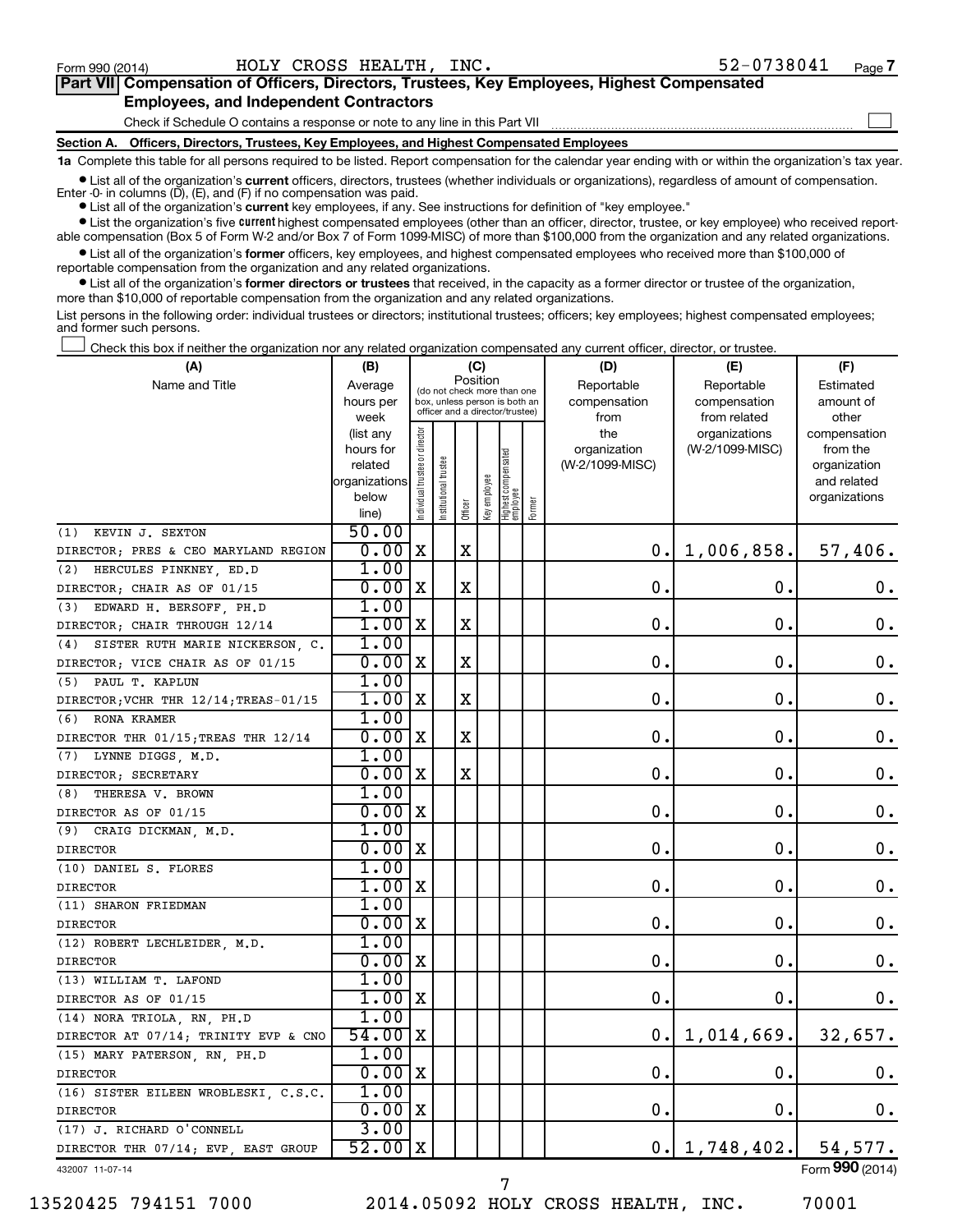$\Box$ 

| Part VII Compensation of Officers, Directors, Trustees, Key Employees, Highest Compensated |  |
|--------------------------------------------------------------------------------------------|--|
| <b>Employees, and Independent Contractors</b>                                              |  |

Check if Schedule O contains a response or note to any line in this Part VII

**Section A. Officers, Directors, Trustees, Key Employees, and Highest Compensated Employees**

**1a**  Complete this table for all persons required to be listed. Report compensation for the calendar year ending with or within the organization's tax year.

**•** List all of the organization's current officers, directors, trustees (whether individuals or organizations), regardless of amount of compensation. Enter -0- in columns  $(D)$ ,  $(E)$ , and  $(F)$  if no compensation was paid.

**•** List all of the organization's **current** key employees, if any. See instructions for definition of "key employee."

**•** List the organization's five current highest compensated employees (other than an officer, director, trustee, or key employee) who received reportable compensation (Box 5 of Form W-2 and/or Box 7 of Form 1099-MISC) of more than \$100,000 from the organization and any related organizations.

**•** List all of the organization's former officers, key employees, and highest compensated employees who received more than \$100,000 of reportable compensation from the organization and any related organizations.

**•** List all of the organization's former directors or trustees that received, in the capacity as a former director or trustee of the organization, more than \$10,000 of reportable compensation from the organization and any related organizations.

List persons in the following order: individual trustees or directors; institutional trustees; officers; key employees; highest compensated employees; and former such persons.

Check this box if neither the organization nor any related organization compensated any current officer, director, or trustee.  $\Box$ 

| (A)                                    | (B)                  |                                |                                                                  | (C)         |              |                                   |        | (D)                             | (E)                                                                                                                                                                                                                                                                                                                                                                                                                                                                                                                                        | (F)             |
|----------------------------------------|----------------------|--------------------------------|------------------------------------------------------------------|-------------|--------------|-----------------------------------|--------|---------------------------------|--------------------------------------------------------------------------------------------------------------------------------------------------------------------------------------------------------------------------------------------------------------------------------------------------------------------------------------------------------------------------------------------------------------------------------------------------------------------------------------------------------------------------------------------|-----------------|
| Name and Title                         | Average              |                                | (do not check more than one                                      | Position    |              |                                   |        | Reportable                      | Reportable                                                                                                                                                                                                                                                                                                                                                                                                                                                                                                                                 | Estimated       |
|                                        | hours per            |                                | box, unless person is both an<br>officer and a director/trustee) |             |              |                                   |        | compensation                    | compensation                                                                                                                                                                                                                                                                                                                                                                                                                                                                                                                               | amount of       |
|                                        | week                 |                                |                                                                  |             |              |                                   |        | from                            | from related<br>other<br>organizations<br>compensation<br>(W-2/1099-MISC)<br>from the<br>organization<br>and related<br>organizations<br>1,006,858.<br>57,406.<br>О.<br>0.<br>$\mathbf 0$ .<br>0.<br>$\mathbf 0$ .<br>$\mathbf 0$ .<br>$\mathbf 0$ .<br>0.<br>$\mathbf 0$ .<br>0.<br>$\mathbf 0$ .<br>0.<br>$\mathbf 0$ .<br>0.<br>$\mathbf 0$ .<br>$\mathbf 0$ .<br>$\mathbf 0$ .<br>0.<br>$\mathbf 0$ .<br>$\mathbf 0$ .<br>$\mathbf 0$ .<br>0.<br>$\mathbf 0$ .<br>$0$ .<br>1,014,669.<br>32,657.<br>О.<br>$\mathbf 0$ .<br>0.<br>$0$ . |                 |
|                                        | (list any            |                                |                                                                  |             |              |                                   |        | the                             |                                                                                                                                                                                                                                                                                                                                                                                                                                                                                                                                            |                 |
|                                        | hours for<br>related |                                |                                                                  |             |              |                                   |        | organization<br>(W-2/1099-MISC) |                                                                                                                                                                                                                                                                                                                                                                                                                                                                                                                                            |                 |
|                                        | organizations        |                                |                                                                  |             |              |                                   |        |                                 |                                                                                                                                                                                                                                                                                                                                                                                                                                                                                                                                            |                 |
|                                        | below                | Individual trustee or director | Institutional trustee                                            |             | Key employee |                                   |        |                                 |                                                                                                                                                                                                                                                                                                                                                                                                                                                                                                                                            |                 |
|                                        | line)                |                                |                                                                  | Officer     |              | Highest compensated<br>  employee | Former |                                 |                                                                                                                                                                                                                                                                                                                                                                                                                                                                                                                                            |                 |
| KEVIN J. SEXTON<br>(1)                 | 50.00                |                                |                                                                  |             |              |                                   |        |                                 |                                                                                                                                                                                                                                                                                                                                                                                                                                                                                                                                            |                 |
| DIRECTOR; PRES & CEO MARYLAND REGION   | 0.00                 | X                              |                                                                  | X           |              |                                   |        | 0.1                             |                                                                                                                                                                                                                                                                                                                                                                                                                                                                                                                                            |                 |
| HERCULES PINKNEY, ED.D<br>(2)          | 1.00                 |                                |                                                                  |             |              |                                   |        |                                 |                                                                                                                                                                                                                                                                                                                                                                                                                                                                                                                                            |                 |
| DIRECTOR; CHAIR AS OF 01/15            | 0.00                 | X                              |                                                                  | $\mathbf X$ |              |                                   |        | 0.                              |                                                                                                                                                                                                                                                                                                                                                                                                                                                                                                                                            |                 |
| EDWARD H. BERSOFF, PH.D<br>(3)         | 1.00                 |                                |                                                                  |             |              |                                   |        |                                 |                                                                                                                                                                                                                                                                                                                                                                                                                                                                                                                                            |                 |
| DIRECTOR; CHAIR THROUGH 12/14          | 1.00                 | X                              |                                                                  | $\mathbf X$ |              |                                   |        | $\mathbf 0$ .                   |                                                                                                                                                                                                                                                                                                                                                                                                                                                                                                                                            |                 |
| SISTER RUTH MARIE NICKERSON, C.<br>(4) | 1.00                 |                                |                                                                  |             |              |                                   |        |                                 |                                                                                                                                                                                                                                                                                                                                                                                                                                                                                                                                            |                 |
| DIRECTOR; VICE CHAIR AS OF 01/15       | 0.00                 | X                              |                                                                  | $\mathbf X$ |              |                                   |        | $\mathbf 0$ .                   |                                                                                                                                                                                                                                                                                                                                                                                                                                                                                                                                            |                 |
| (5) PAUL T. KAPLUN                     | 1.00                 |                                |                                                                  |             |              |                                   |        |                                 |                                                                                                                                                                                                                                                                                                                                                                                                                                                                                                                                            |                 |
| DIRECTOR; VCHR THR 12/14; TREAS-01/15  | 1.00                 | X                              |                                                                  | $\mathbf X$ |              |                                   |        | $\mathbf 0$                     |                                                                                                                                                                                                                                                                                                                                                                                                                                                                                                                                            |                 |
| RONA KRAMER<br>(6)                     | 1.00                 |                                |                                                                  |             |              |                                   |        |                                 |                                                                                                                                                                                                                                                                                                                                                                                                                                                                                                                                            |                 |
| DIRECTOR THR 01/15; TREAS THR 12/14    | $0.00 \, \mathrm{X}$ |                                |                                                                  | $\mathbf X$ |              |                                   |        | $\mathbf 0$                     |                                                                                                                                                                                                                                                                                                                                                                                                                                                                                                                                            |                 |
| (7) LYNNE DIGGS, M.D.                  | 1.00                 |                                |                                                                  |             |              |                                   |        |                                 |                                                                                                                                                                                                                                                                                                                                                                                                                                                                                                                                            |                 |
| DIRECTOR; SECRETARY                    | 0.00                 | х                              |                                                                  | $\mathbf X$ |              |                                   |        | $\mathbf 0$ .                   |                                                                                                                                                                                                                                                                                                                                                                                                                                                                                                                                            |                 |
| THERESA V. BROWN<br>(8)                | 1.00                 |                                |                                                                  |             |              |                                   |        |                                 |                                                                                                                                                                                                                                                                                                                                                                                                                                                                                                                                            |                 |
| DIRECTOR AS OF 01/15                   | 0.00                 | X                              |                                                                  |             |              |                                   |        | $\mathbf 0$ .                   |                                                                                                                                                                                                                                                                                                                                                                                                                                                                                                                                            |                 |
| (9)<br>CRAIG DICKMAN, M.D.             | 1.00                 |                                |                                                                  |             |              |                                   |        |                                 |                                                                                                                                                                                                                                                                                                                                                                                                                                                                                                                                            |                 |
| <b>DIRECTOR</b>                        | 0.00                 | X                              |                                                                  |             |              |                                   |        | 0.                              |                                                                                                                                                                                                                                                                                                                                                                                                                                                                                                                                            |                 |
| (10) DANIEL S. FLORES                  | 1.00                 |                                |                                                                  |             |              |                                   |        |                                 |                                                                                                                                                                                                                                                                                                                                                                                                                                                                                                                                            |                 |
| <b>DIRECTOR</b>                        | 1.00                 | X                              |                                                                  |             |              |                                   |        | 0.                              |                                                                                                                                                                                                                                                                                                                                                                                                                                                                                                                                            |                 |
| (11) SHARON FRIEDMAN                   | 1.00                 |                                |                                                                  |             |              |                                   |        |                                 |                                                                                                                                                                                                                                                                                                                                                                                                                                                                                                                                            |                 |
| <b>DIRECTOR</b>                        | 0.00                 | X                              |                                                                  |             |              |                                   |        | $\mathbf 0$ .                   |                                                                                                                                                                                                                                                                                                                                                                                                                                                                                                                                            |                 |
| (12) ROBERT LECHLEIDER, M.D.           | 1.00                 |                                |                                                                  |             |              |                                   |        |                                 |                                                                                                                                                                                                                                                                                                                                                                                                                                                                                                                                            |                 |
| <b>DIRECTOR</b>                        | 0.00                 | X                              |                                                                  |             |              |                                   |        | $\mathbf 0$ .                   |                                                                                                                                                                                                                                                                                                                                                                                                                                                                                                                                            |                 |
| (13) WILLIAM T. LAFOND                 | 1.00                 |                                |                                                                  |             |              |                                   |        |                                 |                                                                                                                                                                                                                                                                                                                                                                                                                                                                                                                                            |                 |
| DIRECTOR AS OF 01/15                   | 1.00                 | X                              |                                                                  |             |              |                                   |        | $\mathbf 0$ .                   |                                                                                                                                                                                                                                                                                                                                                                                                                                                                                                                                            |                 |
| (14) NORA TRIOLA, RN, PH.D             | 1.00                 |                                |                                                                  |             |              |                                   |        |                                 |                                                                                                                                                                                                                                                                                                                                                                                                                                                                                                                                            |                 |
| DIRECTOR AT 07/14; TRINITY EVP & CNO   | $54.00$ X            |                                |                                                                  |             |              |                                   |        | 0.                              |                                                                                                                                                                                                                                                                                                                                                                                                                                                                                                                                            |                 |
| (15) MARY PATERSON, RN, PH.D           | 1.00                 |                                |                                                                  |             |              |                                   |        |                                 |                                                                                                                                                                                                                                                                                                                                                                                                                                                                                                                                            |                 |
| <b>DIRECTOR</b>                        | 0.00                 | X                              |                                                                  |             |              |                                   |        | $\mathbf 0$ .                   |                                                                                                                                                                                                                                                                                                                                                                                                                                                                                                                                            |                 |
| (16) SISTER EILEEN WROBLESKI, C.S.C.   | 1.00                 |                                |                                                                  |             |              |                                   |        |                                 |                                                                                                                                                                                                                                                                                                                                                                                                                                                                                                                                            |                 |
| <b>DIRECTOR</b>                        | 0.00x                |                                |                                                                  |             |              |                                   |        | 0.                              |                                                                                                                                                                                                                                                                                                                                                                                                                                                                                                                                            |                 |
| (17) J. RICHARD O'CONNELL              | 3.00                 |                                |                                                                  |             |              |                                   |        |                                 |                                                                                                                                                                                                                                                                                                                                                                                                                                                                                                                                            |                 |
| DIRECTOR THR 07/14; EVP, EAST GROUP    | 52.00                | X                              |                                                                  |             |              |                                   |        | 0.1                             | 1,748,402.                                                                                                                                                                                                                                                                                                                                                                                                                                                                                                                                 | 54,577.         |
| 432007 11-07-14                        |                      |                                |                                                                  |             |              |                                   |        |                                 |                                                                                                                                                                                                                                                                                                                                                                                                                                                                                                                                            | Form 990 (2014) |

13520425 794151 7000 2014.05092 HOLY CROSS HEALTH, INC. 70001

7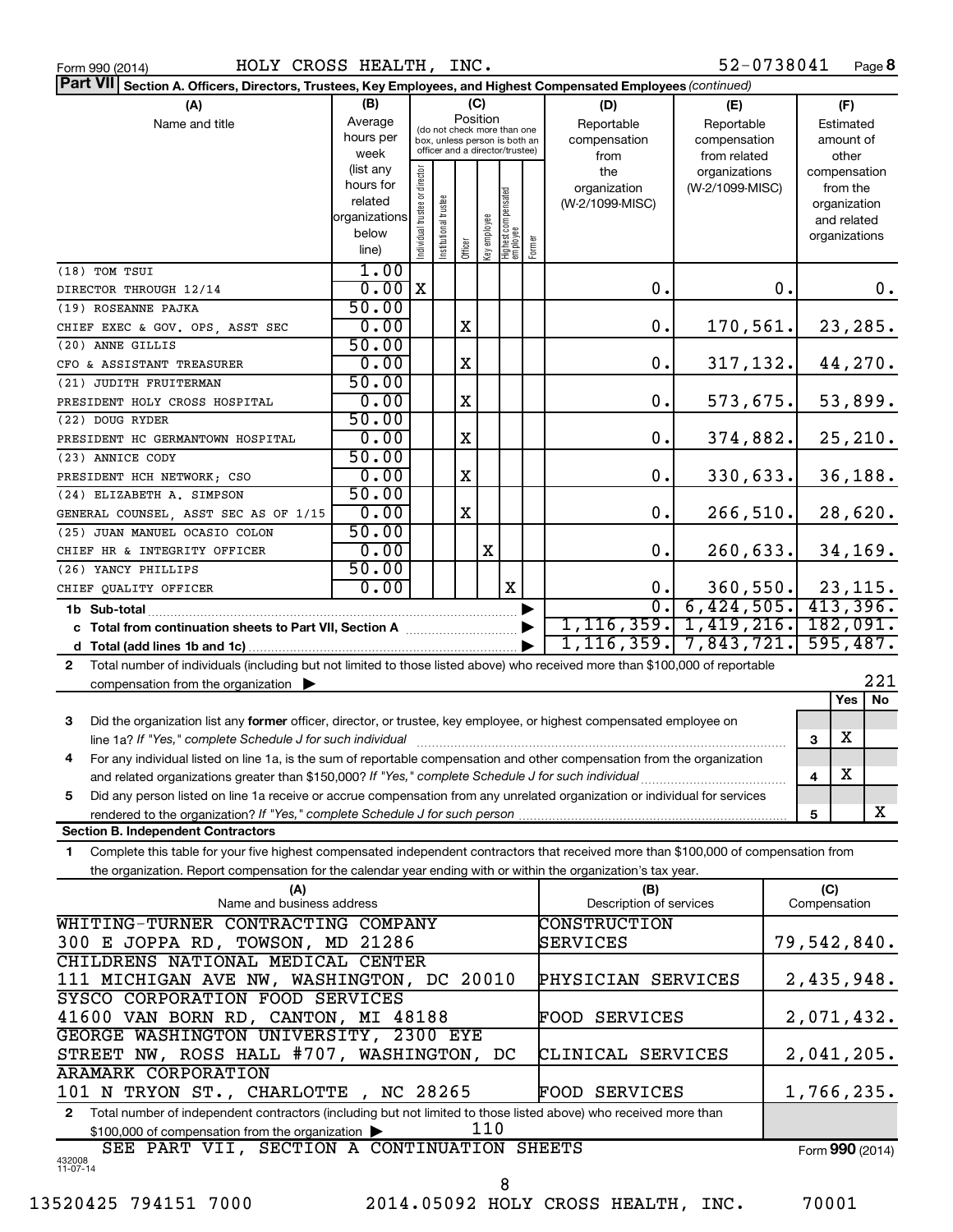| Form 990 (2014) |  |
|-----------------|--|
| $Dout$ VII      |  |

| <b>Part VII</b> Section A. Officers, Directors, Trustees, Key Employees, and Highest Compensated Employees (continued)                        |                   |                                |                       |                         |     |                                                                  |                                     |                                                 |    |                          |                 |
|-----------------------------------------------------------------------------------------------------------------------------------------------|-------------------|--------------------------------|-----------------------|-------------------------|-----|------------------------------------------------------------------|-------------------------------------|-------------------------------------------------|----|--------------------------|-----------------|
| (A)                                                                                                                                           | (B)               |                                |                       |                         | (C) |                                                                  | (D)                                 | (E)                                             |    | (F)                      |                 |
| Name and title                                                                                                                                | Average           |                                |                       | Position                |     | (do not check more than one                                      | Reportable                          | Reportable                                      |    | Estimated                |                 |
|                                                                                                                                               | hours per         |                                |                       |                         |     | box, unless person is both an<br>officer and a director/trustee) | compensation                        | compensation                                    |    | amount of                |                 |
|                                                                                                                                               | week<br>(list any |                                |                       |                         |     |                                                                  | from                                | from related                                    |    | other                    |                 |
|                                                                                                                                               | hours for         |                                |                       |                         |     |                                                                  | the<br>organization                 | organizations<br>(W-2/1099-MISC)                |    | compensation<br>from the |                 |
|                                                                                                                                               | related           |                                |                       |                         |     |                                                                  | (W-2/1099-MISC)                     |                                                 |    | organization             |                 |
|                                                                                                                                               | organizations     |                                |                       |                         |     |                                                                  |                                     |                                                 |    | and related              |                 |
|                                                                                                                                               | below             | Individual trustee or director | Institutional trustee |                         |     |                                                                  |                                     |                                                 |    | organizations            |                 |
|                                                                                                                                               | line)             |                                |                       | Officer<br>Key employee |     | Highest compensated<br>  employee<br>  Former                    |                                     |                                                 |    |                          |                 |
| (18) TOM TSUI                                                                                                                                 | 1.00              |                                |                       |                         |     |                                                                  |                                     |                                                 |    |                          |                 |
| DIRECTOR THROUGH 12/14                                                                                                                        | 0.00x             |                                |                       |                         |     |                                                                  | $\mathbf 0$ .                       |                                                 | 0. |                          | $0$ .           |
| (19) ROSEANNE PAJKA                                                                                                                           | 50.00             |                                |                       |                         |     |                                                                  |                                     |                                                 |    |                          |                 |
| CHIEF EXEC & GOV. OPS, ASST SEC                                                                                                               | 0.00              |                                |                       | X                       |     |                                                                  | $\mathbf 0$ .                       | 170, 561.                                       |    |                          | 23,285.         |
| (20) ANNE GILLIS                                                                                                                              | 50.00             |                                |                       |                         |     |                                                                  |                                     |                                                 |    |                          |                 |
| CFO & ASSISTANT TREASURER                                                                                                                     | 0.00              |                                |                       | X                       |     |                                                                  | О.                                  | 317, 132.                                       |    |                          | 44,270.         |
| (21) JUDITH FRUITERMAN                                                                                                                        | 50.00             |                                |                       |                         |     |                                                                  |                                     |                                                 |    |                          |                 |
| PRESIDENT HOLY CROSS HOSPITAL                                                                                                                 | 0.00              |                                |                       | X                       |     |                                                                  | $\mathbf 0$ .                       | 573,675.                                        |    |                          | 53,899.         |
| (22) DOUG RYDER                                                                                                                               | 50.00             |                                |                       |                         |     |                                                                  |                                     |                                                 |    |                          |                 |
| PRESIDENT HC GERMANTOWN HOSPITAL                                                                                                              | 0.00              |                                |                       | X                       |     |                                                                  | О.                                  | 374,882.                                        |    |                          | 25, 210.        |
| (23) ANNICE CODY                                                                                                                              | 50.00             |                                |                       |                         |     |                                                                  |                                     |                                                 |    |                          |                 |
| PRESIDENT HCH NETWORK; CSO                                                                                                                    | 0.00              |                                |                       | X                       |     |                                                                  | $\mathbf 0$ .                       | 330,633.                                        |    |                          | 36,188.         |
| (24) ELIZABETH A. SIMPSON                                                                                                                     | 50.00             |                                |                       |                         |     |                                                                  |                                     |                                                 |    |                          |                 |
| GENERAL COUNSEL, ASST SEC AS OF 1/15                                                                                                          | 0.00              |                                |                       | X                       |     |                                                                  | О.                                  | 266, 510.                                       |    |                          | 28,620.         |
| (25) JUAN MANUEL OCASIO COLON                                                                                                                 | 50.00             |                                |                       |                         |     |                                                                  |                                     |                                                 |    |                          |                 |
| CHIEF HR & INTEGRITY OFFICER                                                                                                                  | 0.00              |                                |                       |                         | X   |                                                                  | $\mathbf 0$ .                       | 260, 633.                                       |    |                          | 34, 169.        |
| (26) YANCY PHILLIPS                                                                                                                           | 50.00             |                                |                       |                         |     |                                                                  |                                     |                                                 |    |                          |                 |
| CHIEF QUALITY OFFICER                                                                                                                         | 0.00              |                                |                       |                         |     | X                                                                | 0.<br>$\overline{0}$ .              | $360, 550.$ 23, 115.<br>$6,424,505.$ $413,396.$ |    |                          |                 |
|                                                                                                                                               |                   |                                |                       |                         |     |                                                                  | 1, 116, 359, 1, 419, 216, 182, 091. |                                                 |    |                          |                 |
|                                                                                                                                               |                   |                                |                       |                         |     |                                                                  | 1, 116, 359, 7, 843, 721, 595, 487. |                                                 |    |                          |                 |
| $2^{\circ}$                                                                                                                                   |                   |                                |                       |                         |     |                                                                  |                                     |                                                 |    |                          |                 |
| Total number of individuals (including but not limited to those listed above) who received more than \$100,000 of reportable                  |                   |                                |                       |                         |     |                                                                  |                                     |                                                 |    |                          | 221             |
| compensation from the organization $\blacktriangleright$                                                                                      |                   |                                |                       |                         |     |                                                                  |                                     |                                                 |    | Yes                      | No              |
| З<br>Did the organization list any former officer, director, or trustee, key employee, or highest compensated employee on                     |                   |                                |                       |                         |     |                                                                  |                                     |                                                 |    |                          |                 |
| line 1a? If "Yes," complete Schedule J for such individual [11] manufacture manufacture 1a? If "Yes," complete Schedule J for such individual |                   |                                |                       |                         |     |                                                                  |                                     |                                                 |    | х<br>3                   |                 |
| For any individual listed on line 1a, is the sum of reportable compensation and other compensation from the organization<br>4                 |                   |                                |                       |                         |     |                                                                  |                                     |                                                 |    |                          |                 |
| and related organizations greater than \$150,000? If "Yes," complete Schedule J for such individual                                           |                   |                                |                       |                         |     |                                                                  |                                     |                                                 |    | X<br>4                   |                 |
| Did any person listed on line 1a receive or accrue compensation from any unrelated organization or individual for services<br>5.              |                   |                                |                       |                         |     |                                                                  |                                     |                                                 |    |                          |                 |
|                                                                                                                                               |                   |                                |                       |                         |     |                                                                  |                                     |                                                 |    | 5                        | X               |
| <b>Section B. Independent Contractors</b>                                                                                                     |                   |                                |                       |                         |     |                                                                  |                                     |                                                 |    |                          |                 |
| Complete this table for your five highest compensated independent contractors that received more than \$100,000 of compensation from<br>1.    |                   |                                |                       |                         |     |                                                                  |                                     |                                                 |    |                          |                 |
| the organization. Report compensation for the calendar year ending with or within the organization's tax year.                                |                   |                                |                       |                         |     |                                                                  |                                     |                                                 |    |                          |                 |
| (A)                                                                                                                                           |                   |                                |                       |                         |     |                                                                  | (B)                                 |                                                 |    | (C)                      |                 |
| Name and business address                                                                                                                     |                   |                                |                       |                         |     |                                                                  | Description of services             |                                                 |    | Compensation             |                 |
| WHITING-TURNER CONTRACTING COMPANY                                                                                                            |                   |                                |                       |                         |     |                                                                  | <b>CONSTRUCTION</b>                 |                                                 |    |                          |                 |
| 300 E JOPPA RD, TOWSON, MD 21286                                                                                                              |                   |                                |                       |                         |     |                                                                  | SERVICES                            |                                                 |    | 79,542,840.              |                 |
| CHILDRENS NATIONAL MEDICAL CENTER                                                                                                             |                   |                                |                       |                         |     |                                                                  |                                     |                                                 |    |                          |                 |
| 111 MICHIGAN AVE NW, WASHINGTON, DC 20010                                                                                                     |                   |                                |                       |                         |     |                                                                  | PHYSICIAN SERVICES                  |                                                 |    | 2,435,948.               |                 |
| SYSCO CORPORATION FOOD SERVICES                                                                                                               |                   |                                |                       |                         |     |                                                                  |                                     |                                                 |    |                          |                 |
| 41600 VAN BORN RD, CANTON, MI 48188                                                                                                           |                   |                                |                       |                         |     |                                                                  | FOOD SERVICES                       |                                                 |    | 2,071,432.               |                 |
| GEORGE WASHINGTON UNIVERSITY, 2300 EYE                                                                                                        |                   |                                |                       |                         |     |                                                                  |                                     |                                                 |    |                          |                 |
| STREET NW, ROSS HALL #707, WASHINGTON, DC                                                                                                     |                   |                                |                       |                         |     |                                                                  | CLINICAL SERVICES                   |                                                 |    | 2,041,205.               |                 |
| ARAMARK CORPORATION                                                                                                                           |                   |                                |                       |                         |     |                                                                  |                                     |                                                 |    |                          |                 |
| 101 N TRYON ST., CHARLOTTE, NC 28265                                                                                                          |                   |                                |                       |                         |     |                                                                  | <b>FOOD SERVICES</b>                |                                                 |    | 1,766,235.               |                 |
| Total number of independent contractors (including but not limited to those listed above) who received more than<br>$\mathbf{2}$              |                   |                                |                       |                         |     |                                                                  |                                     |                                                 |    |                          |                 |
| \$100,000 of compensation from the organization                                                                                               |                   |                                |                       |                         | 110 |                                                                  |                                     |                                                 |    |                          | Form 990 (2014) |
| SEE PART VII, SECTION A CONTINUATION SHEETS                                                                                                   |                   |                                |                       |                         |     |                                                                  |                                     |                                                 |    |                          |                 |

<sup>13520425 794151 7000 2014.05092</sup> HOLY CROSS HEALTH, INC. 70001 8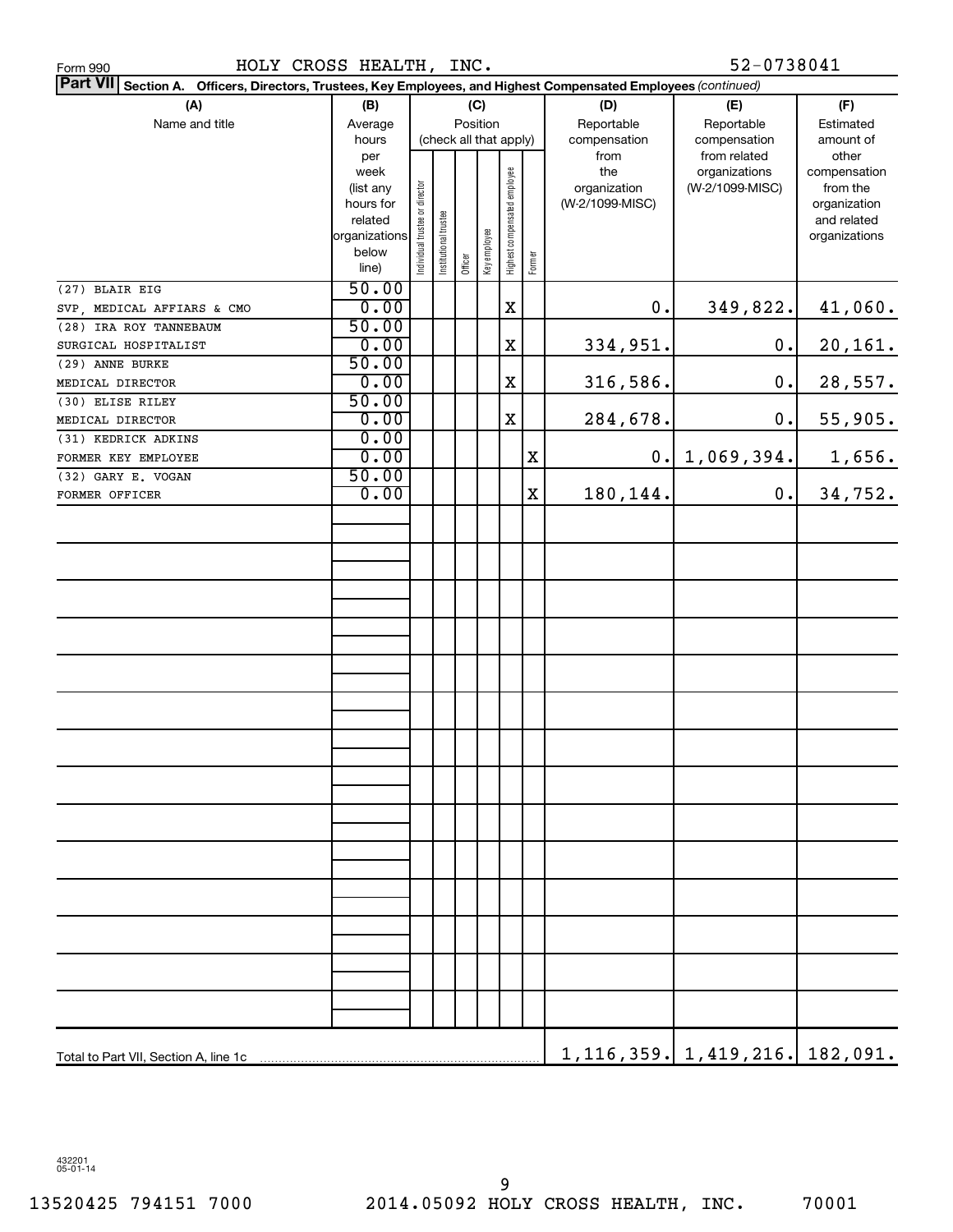| HOLY CROSS HEALTH, INC.<br>Form 990                                                                                       |                        |                                |                       |                        |              |                              |        |                                 | 52-0738041                            |                          |
|---------------------------------------------------------------------------------------------------------------------------|------------------------|--------------------------------|-----------------------|------------------------|--------------|------------------------------|--------|---------------------------------|---------------------------------------|--------------------------|
| <b>Part VII</b><br>Section A. Officers, Directors, Trustees, Key Employees, and Highest Compensated Employees (continued) |                        |                                |                       |                        |              |                              |        |                                 |                                       |                          |
| (A)                                                                                                                       | (B)                    |                                |                       |                        | (C)          |                              |        | (D)                             | (E)                                   | (F)                      |
| Name and title                                                                                                            | Average                |                                |                       | Position               |              |                              |        | Reportable                      | Reportable                            | Estimated                |
|                                                                                                                           | hours                  |                                |                       | (check all that apply) |              |                              |        | compensation                    | compensation                          | amount of                |
|                                                                                                                           | per                    |                                |                       |                        |              |                              |        | from                            | from related                          | other                    |
|                                                                                                                           | week                   |                                |                       |                        |              |                              |        | the                             | organizations                         | compensation             |
|                                                                                                                           | (list any<br>hours for |                                |                       |                        |              |                              |        | organization<br>(W-2/1099-MISC) | (W-2/1099-MISC)                       | from the<br>organization |
|                                                                                                                           | related                |                                |                       |                        |              |                              |        |                                 |                                       | and related              |
|                                                                                                                           | organizations          |                                |                       |                        |              |                              |        |                                 |                                       | organizations            |
|                                                                                                                           | below                  | Individual trustee or director | Institutional trustee |                        | Key employee | Highest compensated employee |        |                                 |                                       |                          |
|                                                                                                                           | line)                  |                                |                       | Officer                |              |                              | Former |                                 |                                       |                          |
| (27) BLAIR EIG                                                                                                            | 50.00                  |                                |                       |                        |              |                              |        |                                 |                                       |                          |
| SVP, MEDICAL AFFIARS & CMO                                                                                                | 0.00                   |                                |                       |                        |              | X                            |        | 0.                              | 349,822.                              | 41,060.                  |
| (28) IRA ROY TANNEBAUM                                                                                                    | 50.00                  |                                |                       |                        |              |                              |        |                                 |                                       |                          |
| SURGICAL HOSPITALIST                                                                                                      | 0.00                   |                                |                       |                        |              | X                            |        | 334,951.                        | 0.                                    | 20, 161.                 |
| (29) ANNE BURKE                                                                                                           | 50.00                  |                                |                       |                        |              |                              |        |                                 |                                       |                          |
| MEDICAL DIRECTOR                                                                                                          | 0.00                   |                                |                       |                        |              | Χ                            |        | 316,586.                        | 0.                                    | 28,557.                  |
| (30) ELISE RILEY                                                                                                          | 50.00                  |                                |                       |                        |              |                              |        |                                 |                                       |                          |
| MEDICAL DIRECTOR                                                                                                          | 0.00                   |                                |                       |                        |              | X                            |        | 284,678.                        | 0.                                    | 55,905.                  |
| (31) KEDRICK ADKINS                                                                                                       | 0.00<br>0.00           |                                |                       |                        |              |                              |        |                                 |                                       |                          |
| FORMER KEY EMPLOYEE                                                                                                       | 50.00                  |                                |                       |                        |              |                              | X      |                                 | 0.1, 069, 394.                        | 1,656.                   |
| (32) GARY E. VOGAN<br>FORMER OFFICER                                                                                      | 0.00                   |                                |                       |                        |              |                              | X      | 180,144.                        | 0.                                    | 34,752.                  |
|                                                                                                                           |                        |                                |                       |                        |              |                              |        |                                 |                                       |                          |
|                                                                                                                           |                        |                                |                       |                        |              |                              |        |                                 |                                       |                          |
|                                                                                                                           |                        |                                |                       |                        |              |                              |        |                                 |                                       |                          |
|                                                                                                                           |                        |                                |                       |                        |              |                              |        |                                 |                                       |                          |
|                                                                                                                           |                        |                                |                       |                        |              |                              |        |                                 |                                       |                          |
|                                                                                                                           |                        |                                |                       |                        |              |                              |        |                                 |                                       |                          |
|                                                                                                                           |                        |                                |                       |                        |              |                              |        |                                 |                                       |                          |
|                                                                                                                           |                        |                                |                       |                        |              |                              |        |                                 |                                       |                          |
|                                                                                                                           |                        |                                |                       |                        |              |                              |        |                                 |                                       |                          |
|                                                                                                                           |                        |                                |                       |                        |              |                              |        |                                 |                                       |                          |
|                                                                                                                           |                        |                                |                       |                        |              |                              |        |                                 |                                       |                          |
|                                                                                                                           |                        |                                |                       |                        |              |                              |        |                                 |                                       |                          |
|                                                                                                                           |                        |                                |                       |                        |              |                              |        |                                 |                                       |                          |
|                                                                                                                           |                        |                                |                       |                        |              |                              |        |                                 |                                       |                          |
|                                                                                                                           |                        |                                |                       |                        |              |                              |        |                                 |                                       |                          |
|                                                                                                                           |                        |                                |                       |                        |              |                              |        |                                 |                                       |                          |
|                                                                                                                           |                        |                                |                       |                        |              |                              |        |                                 |                                       |                          |
|                                                                                                                           |                        |                                |                       |                        |              |                              |        |                                 |                                       |                          |
|                                                                                                                           |                        |                                |                       |                        |              |                              |        |                                 |                                       |                          |
|                                                                                                                           |                        |                                |                       |                        |              |                              |        |                                 |                                       |                          |
|                                                                                                                           |                        |                                |                       |                        |              |                              |        |                                 |                                       |                          |
|                                                                                                                           |                        |                                |                       |                        |              |                              |        |                                 |                                       |                          |
|                                                                                                                           |                        |                                |                       |                        |              |                              |        |                                 |                                       |                          |
|                                                                                                                           |                        |                                |                       |                        |              |                              |        |                                 |                                       |                          |
|                                                                                                                           |                        |                                |                       |                        |              |                              |        |                                 |                                       |                          |
|                                                                                                                           |                        |                                |                       |                        |              |                              |        |                                 |                                       |                          |
|                                                                                                                           |                        |                                |                       |                        |              |                              |        |                                 |                                       |                          |
|                                                                                                                           |                        |                                |                       |                        |              |                              |        |                                 |                                       |                          |
| Total to Part VII, Section A, line 1c                                                                                     |                        |                                |                       |                        |              |                              |        |                                 | $1, 116, 359.$ 1, 419, 216. 182, 091. |                          |

432201 05-01-14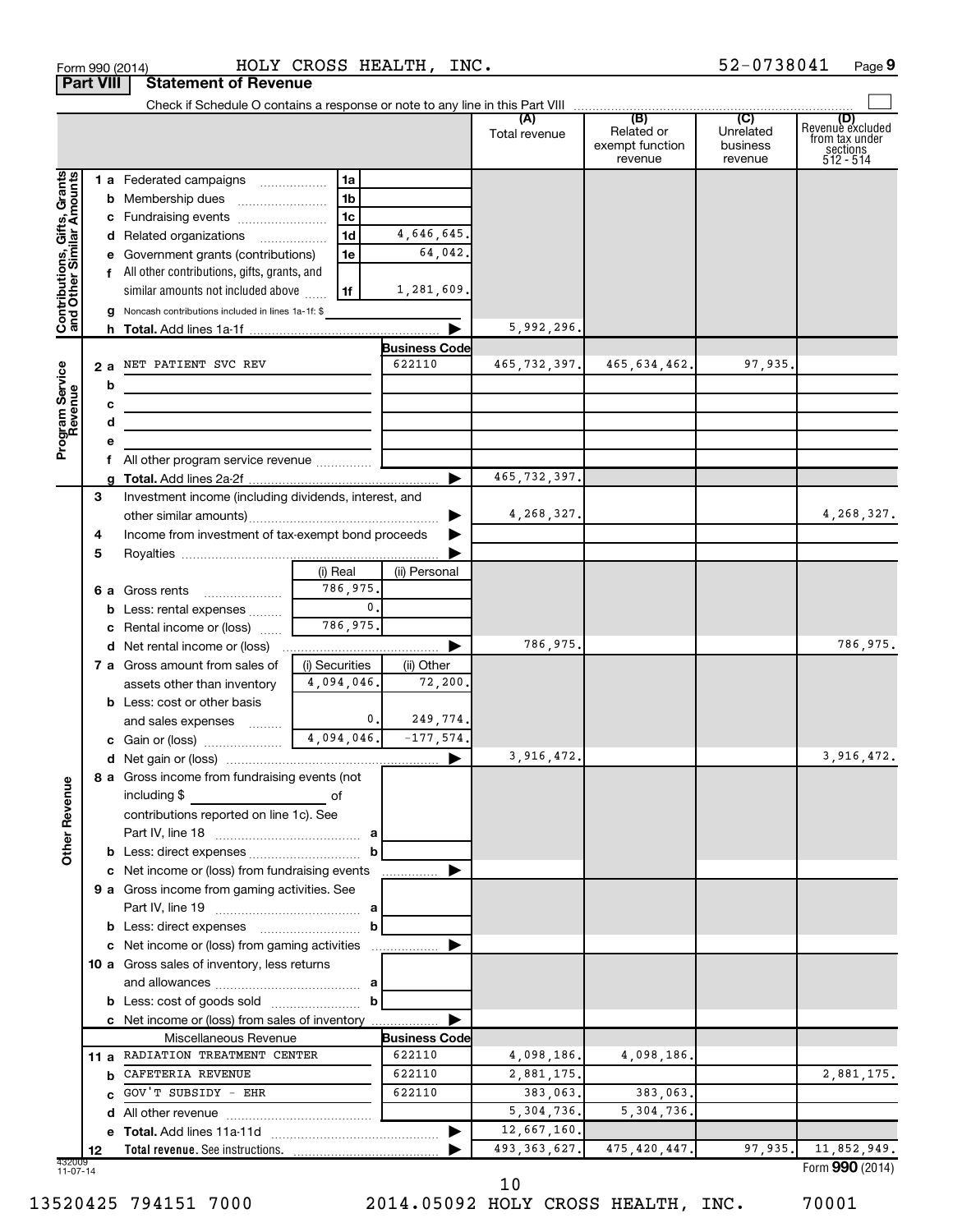|                                                           |    |    | Form 990 (2014)                                                         | HOLY CROSS HEALTH, INC.    |                      |                      |                                      | 52-0738041                   | Page 9                                                             |
|-----------------------------------------------------------|----|----|-------------------------------------------------------------------------|----------------------------|----------------------|----------------------|--------------------------------------|------------------------------|--------------------------------------------------------------------|
| <b>Part VIII</b>                                          |    |    | <b>Statement of Revenue</b>                                             |                            |                      |                      |                                      |                              |                                                                    |
|                                                           |    |    |                                                                         |                            |                      | (A)<br>Total revenue | (B)<br>Related or<br>exempt function | (C)<br>Unrelated<br>business | (D)<br>Revenue excluded<br>from tax under<br>sections<br>512 - 514 |
|                                                           |    |    |                                                                         |                            |                      |                      | revenue                              | revenue                      |                                                                    |
| Contributions, Gifts, Grants<br>and Other Similar Amounts |    |    | 1 a Federated campaigns                                                 | 1a<br>1b                   |                      |                      |                                      |                              |                                                                    |
|                                                           |    |    |                                                                         | 1 <sub>c</sub>             |                      |                      |                                      |                              |                                                                    |
|                                                           |    |    | d Related organizations                                                 | 1d                         | 4,646,645.           |                      |                                      |                              |                                                                    |
|                                                           |    |    | e Government grants (contributions)                                     | 1e                         | 64,042.              |                      |                                      |                              |                                                                    |
|                                                           |    |    | f All other contributions, gifts, grants, and                           |                            |                      |                      |                                      |                              |                                                                    |
|                                                           |    |    | similar amounts not included above                                      | 1f                         | 1,281,609.           |                      |                                      |                              |                                                                    |
|                                                           |    |    | g Noncash contributions included in lines 1a-1f: \$                     |                            |                      |                      |                                      |                              |                                                                    |
|                                                           |    |    |                                                                         |                            |                      | 5,992,296.           |                                      |                              |                                                                    |
|                                                           |    |    |                                                                         |                            | <b>Business Code</b> |                      |                                      |                              |                                                                    |
|                                                           |    | 2а | NET PATIENT SVC REV                                                     |                            | 622110               | 465, 732, 397.       | 465, 634, 462.                       | 97,935.                      |                                                                    |
| Program Service<br>Revenue                                |    | b  |                                                                         |                            |                      |                      |                                      |                              |                                                                    |
|                                                           |    | c  |                                                                         |                            |                      |                      |                                      |                              |                                                                    |
|                                                           |    | d  |                                                                         |                            |                      |                      |                                      |                              |                                                                    |
|                                                           |    | е  |                                                                         |                            |                      |                      |                                      |                              |                                                                    |
|                                                           |    |    | f All other program service revenue                                     |                            |                      |                      |                                      |                              |                                                                    |
|                                                           |    | g  |                                                                         |                            |                      | 465, 732, 397.       |                                      |                              |                                                                    |
|                                                           | 3  |    | Investment income (including dividends, interest, and                   |                            |                      |                      |                                      |                              |                                                                    |
|                                                           |    |    |                                                                         |                            | ▶                    | 4,268,327.           |                                      |                              | 4,268,327.                                                         |
|                                                           | 4  |    | Income from investment of tax-exempt bond proceeds                      |                            |                      |                      |                                      |                              |                                                                    |
|                                                           | 5  |    |                                                                         |                            |                      |                      |                                      |                              |                                                                    |
|                                                           |    |    |                                                                         | (i) Real                   | (ii) Personal        |                      |                                      |                              |                                                                    |
|                                                           |    |    | 6 a Gross rents                                                         | 786,975.<br>$\mathbf{0}$ . |                      |                      |                                      |                              |                                                                    |
|                                                           |    |    | <b>b</b> Less: rental expenses                                          | 786,975.                   |                      |                      |                                      |                              |                                                                    |
|                                                           |    |    | c Rental income or (loss)<br><b>d</b> Net rental income or (loss)       |                            | ▶                    | 786,975.             |                                      |                              | 786,975.                                                           |
|                                                           |    |    | 7 a Gross amount from sales of                                          | (i) Securities             | (ii) Other           |                      |                                      |                              |                                                                    |
|                                                           |    |    | assets other than inventory                                             | 4,094,046.                 | 72,200.              |                      |                                      |                              |                                                                    |
|                                                           |    |    | <b>b</b> Less: cost or other basis                                      |                            |                      |                      |                                      |                              |                                                                    |
|                                                           |    |    | and sales expenses                                                      | 0.                         | 249,774.             |                      |                                      |                              |                                                                    |
|                                                           |    |    |                                                                         | 4,094,046.                 | $-177,574.$          |                      |                                      |                              |                                                                    |
|                                                           |    |    |                                                                         |                            |                      | 3,916,472.           |                                      |                              | 3,916,472.                                                         |
|                                                           |    |    | 8 a Gross income from fundraising events (not                           |                            |                      |                      |                                      |                              |                                                                    |
| <b>Other Revenue</b>                                      |    |    | including \$                                                            | оf                         |                      |                      |                                      |                              |                                                                    |
|                                                           |    |    | contributions reported on line 1c). See                                 |                            |                      |                      |                                      |                              |                                                                    |
|                                                           |    |    |                                                                         |                            |                      |                      |                                      |                              |                                                                    |
|                                                           |    |    |                                                                         |                            |                      |                      |                                      |                              |                                                                    |
|                                                           |    |    | c Net income or (loss) from fundraising events                          |                            |                      |                      |                                      |                              |                                                                    |
|                                                           |    |    | 9 a Gross income from gaming activities. See                            |                            |                      |                      |                                      |                              |                                                                    |
|                                                           |    |    |                                                                         |                            |                      |                      |                                      |                              |                                                                    |
|                                                           |    |    | <b>b</b> Less: direct expenses <b>manually contained</b>                | b                          |                      |                      |                                      |                              |                                                                    |
|                                                           |    |    | c Net income or (loss) from gaming activities                           |                            | ▶                    |                      |                                      |                              |                                                                    |
|                                                           |    |    | 10 a Gross sales of inventory, less returns                             |                            |                      |                      |                                      |                              |                                                                    |
|                                                           |    |    |                                                                         |                            |                      |                      |                                      |                              |                                                                    |
|                                                           |    |    |                                                                         |                            |                      |                      |                                      |                              |                                                                    |
|                                                           |    |    | c Net income or (loss) from sales of inventory<br>Miscellaneous Revenue |                            | <b>Business Code</b> |                      |                                      |                              |                                                                    |
|                                                           |    |    | 11 a RADIATION TREATMENT CENTER                                         |                            | 622110               | 4,098,186.           | 4,098,186.                           |                              |                                                                    |
|                                                           |    |    | <b>b</b> CAFETERIA REVENUE                                              |                            | 622110               | 2,881,175.           |                                      |                              | 2,881,175.                                                         |
|                                                           |    |    | GOV'T SUBSIDY - EHR                                                     |                            | 622110               | 383,063.             | 383,063.                             |                              |                                                                    |
|                                                           |    |    |                                                                         |                            |                      | 5,304,736.           | 5,304,736.                           |                              |                                                                    |
|                                                           |    |    |                                                                         |                            |                      | 12,667,160.          |                                      |                              |                                                                    |
|                                                           | 12 |    |                                                                         |                            |                      | 493, 363, 627.       | 475, 420, 447.                       | 97,935.                      | 11,852,949.                                                        |
| 432009<br>11-07-14                                        |    |    |                                                                         |                            |                      |                      |                                      |                              | Form 990 (2014)                                                    |

432009 11-07-14

10

13520425 794151 7000 2014.05092 HOLY CROSS HEALTH, INC. 70001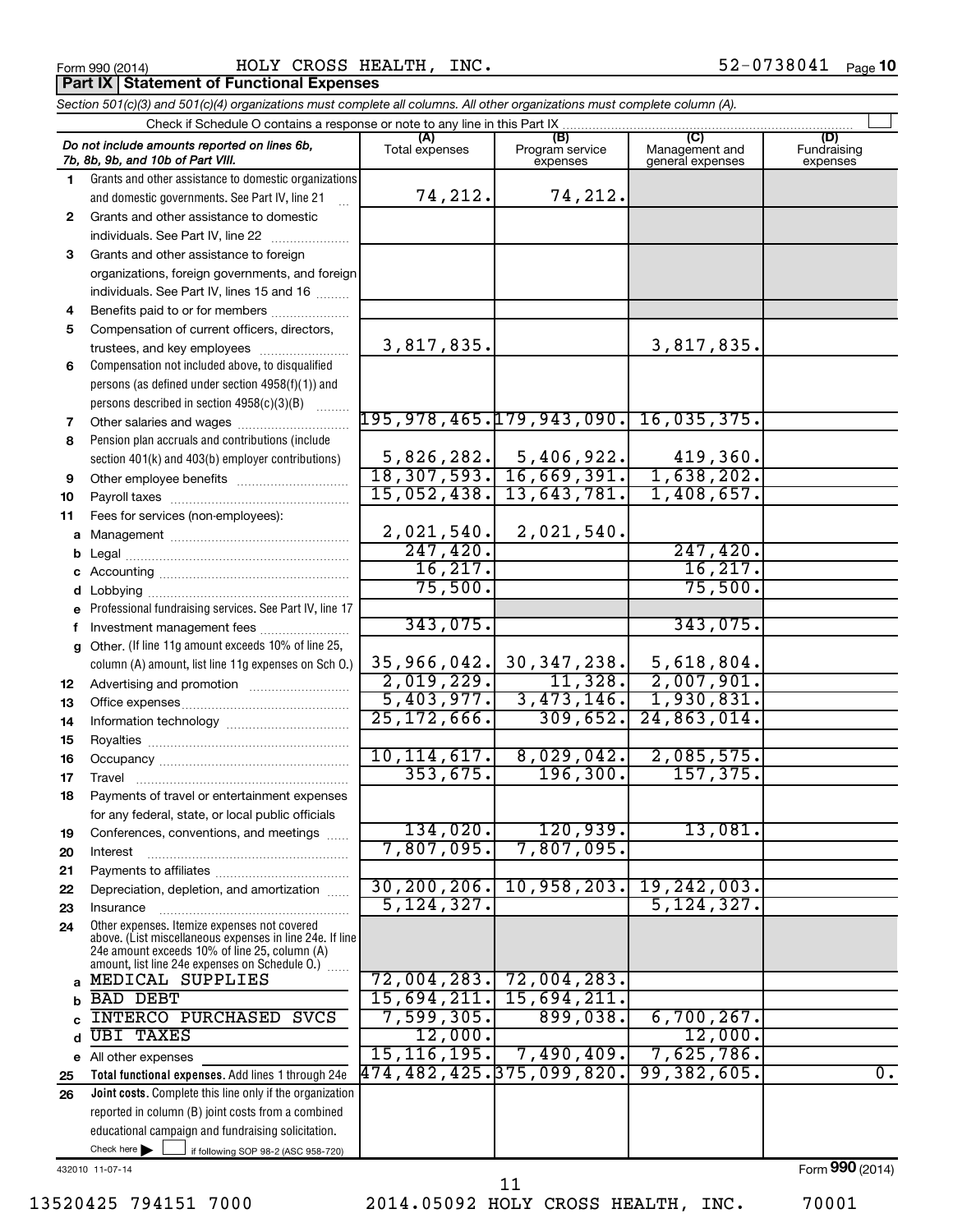**Part IX | Statement of Functional Expenses** 

Form 990 (2014) Page HOLY CROSS HEALTH, INC. 52-0738041

*Section 501(c)(3) and 501(c)(4) organizations must complete all columns. All other organizations must complete column (A).*

|          | Check if Schedule O contains a response or note to any line in this Part IX                     |                       |           |                                                                                                                     |                                           |                                |
|----------|-------------------------------------------------------------------------------------------------|-----------------------|-----------|---------------------------------------------------------------------------------------------------------------------|-------------------------------------------|--------------------------------|
|          | Do not include amounts reported on lines 6b,<br>7b, 8b, 9b, and 10b of Part VIII.               | (A)<br>Total expenses |           | (B)<br>Program service<br>expenses                                                                                  | (C)<br>Management and<br>general expenses | (D)<br>Fundraising<br>expenses |
| 1.       | Grants and other assistance to domestic organizations                                           |                       |           |                                                                                                                     |                                           |                                |
|          | and domestic governments. See Part IV, line 21                                                  |                       | 74,212.   | 74,212.                                                                                                             |                                           |                                |
| 2        | Grants and other assistance to domestic                                                         |                       |           |                                                                                                                     |                                           |                                |
|          | individuals. See Part IV, line 22                                                               |                       |           |                                                                                                                     |                                           |                                |
| 3        | Grants and other assistance to foreign                                                          |                       |           |                                                                                                                     |                                           |                                |
|          | organizations, foreign governments, and foreign                                                 |                       |           |                                                                                                                     |                                           |                                |
|          | individuals. See Part IV, lines 15 and 16                                                       |                       |           |                                                                                                                     |                                           |                                |
| 4        | Benefits paid to or for members                                                                 |                       |           |                                                                                                                     |                                           |                                |
| 5        | Compensation of current officers, directors,                                                    |                       |           |                                                                                                                     |                                           |                                |
|          | trustees, and key employees                                                                     | 3,817,835.            |           |                                                                                                                     | 3,817,835.                                |                                |
| 6        | Compensation not included above, to disqualified                                                |                       |           |                                                                                                                     |                                           |                                |
|          | persons (as defined under section 4958(f)(1)) and                                               |                       |           |                                                                                                                     |                                           |                                |
|          | persons described in section 4958(c)(3)(B)                                                      |                       |           |                                                                                                                     |                                           |                                |
| 7        | Other salaries and wages                                                                        |                       |           | 195,978,465.179,943,090. 16,035,375.                                                                                |                                           |                                |
| 8        | Pension plan accruals and contributions (include                                                |                       |           |                                                                                                                     |                                           |                                |
|          | section 401(k) and 403(b) employer contributions)                                               |                       |           | $\begin{array}{ c c c c c } \hline 5,826,282. & 5,406,922. \ \hline 18,307,593. & 16,669,391. \ \hline \end{array}$ | 419,360.                                  |                                |
| 9        | Other employee benefits                                                                         |                       |           |                                                                                                                     | 1,638,202.                                |                                |
| 10       |                                                                                                 |                       |           | 15,052,438. 13,643,781.                                                                                             | 1,408,657.                                |                                |
| 11       | Fees for services (non-employees):                                                              |                       |           |                                                                                                                     |                                           |                                |
|          |                                                                                                 | 2,021,540.            |           | 2,021,540.                                                                                                          |                                           |                                |
| b        |                                                                                                 |                       | 247, 420. |                                                                                                                     | 247, 420.                                 |                                |
|          |                                                                                                 |                       | 16, 217.  |                                                                                                                     | 16, 217.                                  |                                |
|          |                                                                                                 |                       | 75,500.   |                                                                                                                     | 75,500.                                   |                                |
|          | e Professional fundraising services. See Part IV, line 17                                       |                       |           |                                                                                                                     |                                           |                                |
| f        | Investment management fees                                                                      |                       | 343,075.  |                                                                                                                     | 343,075.                                  |                                |
|          | g Other. (If line 11g amount exceeds 10% of line 25,                                            |                       |           |                                                                                                                     |                                           |                                |
|          | column (A) amount, list line 11g expenses on Sch 0.)                                            | 35,966,042.           |           | 30, 347, 238.                                                                                                       | 5,618,804.                                |                                |
| 12       |                                                                                                 | 2,019,229.            |           | 11,328.                                                                                                             | 2,007,901.                                |                                |
| 13       |                                                                                                 | 5,403,977.            |           | 3,473,146.                                                                                                          | 1,930,831.                                |                                |
| 14       |                                                                                                 | 25, 172, 666.         |           | 309,652.                                                                                                            | 24,863,014.                               |                                |
| 15       |                                                                                                 | 10, 114, 617.         |           | 8,029,042.                                                                                                          | 2,085,575.                                |                                |
| 16       |                                                                                                 |                       | 353,675.  | 196, 300.                                                                                                           | 157, 375.                                 |                                |
| 17       |                                                                                                 |                       |           |                                                                                                                     |                                           |                                |
| 18       | Payments of travel or entertainment expenses                                                    |                       |           |                                                                                                                     |                                           |                                |
|          | for any federal, state, or local public officials                                               |                       | 134,020.  | 120,939.                                                                                                            | 13,081.                                   |                                |
| 19       | Conferences, conventions, and meetings                                                          | 7,807,095.            |           | 7,807,095.                                                                                                          |                                           |                                |
| 20       | Interest                                                                                        |                       |           |                                                                                                                     |                                           |                                |
| 21<br>22 | Depreciation, depletion, and amortization                                                       | 30, 200, 206.         |           | 10,958,203.                                                                                                         | 19,242,003.                               |                                |
| 23       | Insurance                                                                                       | 5, 124, 327.          |           |                                                                                                                     | 5, 124, 327.                              |                                |
| 24       | Other expenses. Itemize expenses not covered                                                    |                       |           |                                                                                                                     |                                           |                                |
|          | above. (List miscellaneous expenses in line 24e. If line                                        |                       |           |                                                                                                                     |                                           |                                |
|          | 24e amount exceeds 10% of line 25, column (A)<br>amount, list line 24e expenses on Schedule O.) |                       |           |                                                                                                                     |                                           |                                |
| a        | MEDICAL SUPPLIES                                                                                | 72,004,283.           |           | 72,004,283.                                                                                                         |                                           |                                |
| b        | <b>BAD DEBT</b>                                                                                 | 15,694,211.           |           | 15,694,211.                                                                                                         |                                           |                                |
| c        | <b>INTERCO PURCHASED</b><br><b>SVCS</b>                                                         | 7,599,305.            |           | 899,038.                                                                                                            | 6,700,267.                                |                                |
| d        | <b>UBI TAXES</b>                                                                                |                       | 12,000.   |                                                                                                                     | 12,000.                                   |                                |
|          | e All other expenses                                                                            | 15, 116, 195.         |           | 7,490,409.                                                                                                          | 7,625,786.                                |                                |
| 25       | Total functional expenses. Add lines 1 through 24e                                              |                       |           | 474,482,425.375,099,820.                                                                                            | 99,382,605.                               | $\overline{0}$ .               |
| 26       | <b>Joint costs.</b> Complete this line only if the organization                                 |                       |           |                                                                                                                     |                                           |                                |
|          | reported in column (B) joint costs from a combined                                              |                       |           |                                                                                                                     |                                           |                                |
|          | educational campaign and fundraising solicitation.                                              |                       |           |                                                                                                                     |                                           |                                |
|          | Check here $\blacktriangleright$<br>if following SOP 98-2 (ASC 958-720)                         |                       |           |                                                                                                                     |                                           |                                |

432010 11-07-14

13520425 794151 7000 2014.05092 HOLY CROSS HEALTH, INC. 70001

11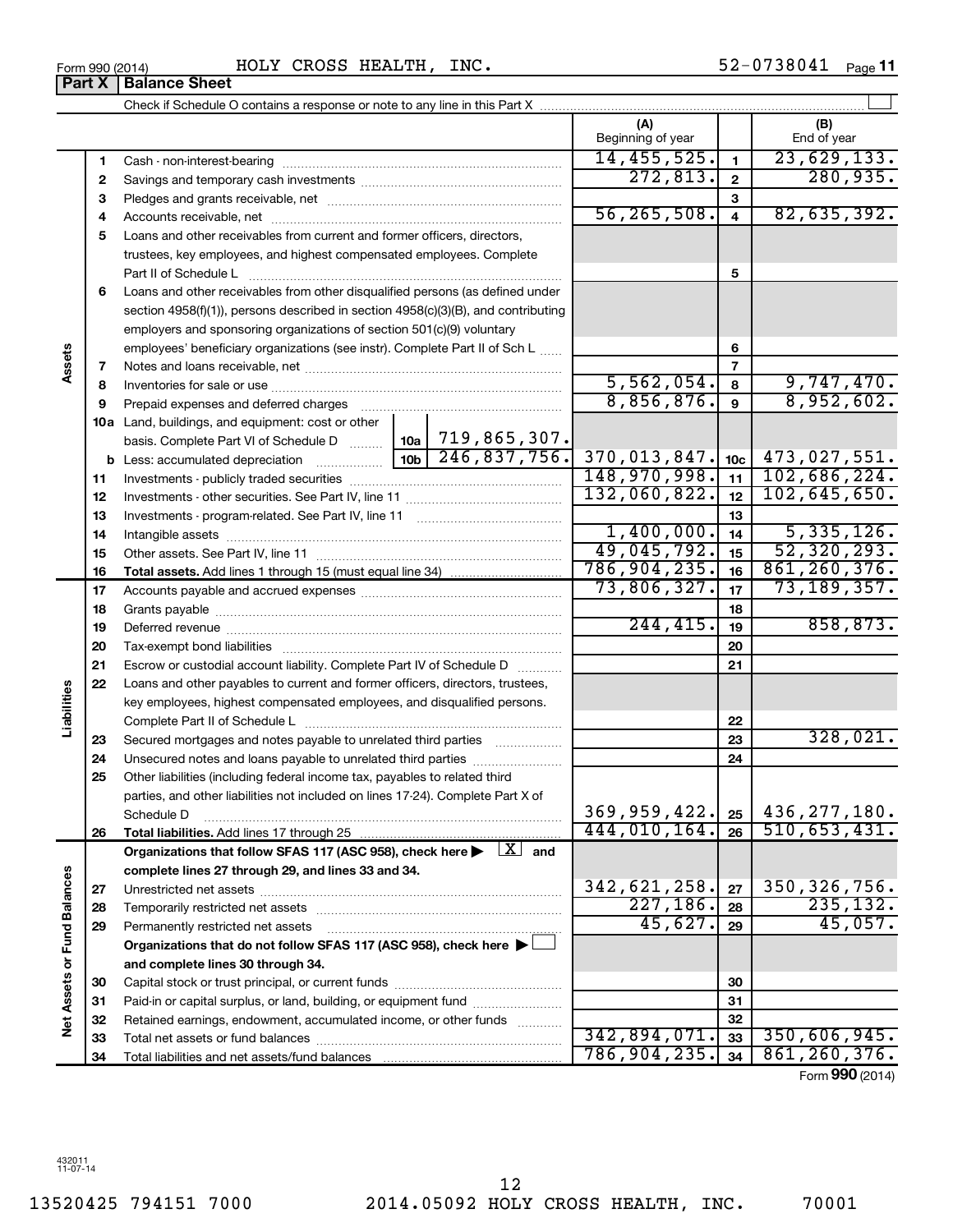13520425 794151 7000 2014.05092 HOLY CROSS HEALTH, INC. 70001 12

| Form 990 (2014) |                               | HOLY | CROSS HEALTH, | INC. | 52-0738041 | Page |
|-----------------|-------------------------------|------|---------------|------|------------|------|
|                 | <b>Part X   Balance Sheet</b> |      |               |      |            |      |

|                             |          |                                                                                                                                            | (A)<br>Beginning of year |                         | (B)<br>End of year |
|-----------------------------|----------|--------------------------------------------------------------------------------------------------------------------------------------------|--------------------------|-------------------------|--------------------|
|                             | 1        |                                                                                                                                            | 14,455,525.              | $\mathbf{1}$            | 23,629,133.        |
|                             | 2        |                                                                                                                                            | 272,813.                 | $\overline{\mathbf{2}}$ | 280,935.           |
|                             | З        |                                                                                                                                            |                          | 3                       |                    |
|                             | 4        |                                                                                                                                            | 56, 265, 508.            | $\overline{4}$          | 82,635,392.        |
|                             | 5        | Loans and other receivables from current and former officers, directors,                                                                   |                          |                         |                    |
|                             |          | trustees, key employees, and highest compensated employees. Complete                                                                       |                          |                         |                    |
|                             |          | Part II of Schedule L                                                                                                                      |                          | 5                       |                    |
|                             | 6        | Loans and other receivables from other disqualified persons (as defined under                                                              |                          |                         |                    |
|                             |          | section 4958(f)(1)), persons described in section 4958(c)(3)(B), and contributing                                                          |                          |                         |                    |
|                             |          | employers and sponsoring organizations of section 501(c)(9) voluntary                                                                      |                          |                         |                    |
|                             |          | employees' beneficiary organizations (see instr). Complete Part II of Sch L                                                                |                          | 6                       |                    |
| Assets                      | 7        |                                                                                                                                            |                          | $\overline{7}$          |                    |
|                             | 8        |                                                                                                                                            | 5,562,054.               | 8                       | 9,747,470.         |
|                             | 9        | Prepaid expenses and deferred charges                                                                                                      | 8,856,876.               | $\mathbf{9}$            | 8,952,602.         |
|                             |          | 10a Land, buildings, and equipment: cost or other                                                                                          |                          |                         |                    |
|                             |          | basis. Complete Part VI of Schedule D    10a   719, 865, 307.                                                                              |                          |                         |                    |
|                             |          | $\overline{10b}$ 246,837,756.                                                                                                              | 370,013,847.             | 10 <sub>c</sub>         | 473,027,551.       |
|                             | 11       |                                                                                                                                            | 148,970,998.             | 11                      | 102,686,224.       |
|                             | 12       |                                                                                                                                            | 132,060,822.             | 12                      | 102, 645, 650.     |
|                             | 13       |                                                                                                                                            |                          | 13                      |                    |
|                             | 14       |                                                                                                                                            | 1,400,000.               | 14                      | 5,335,126.         |
|                             | 15       |                                                                                                                                            | 49,045,792.              | 15                      | 52, 320, 293.      |
|                             | 16       |                                                                                                                                            | 786, 904, 235.           | 16                      | 861, 260, 376.     |
|                             | 17       |                                                                                                                                            | 73,806,327.              | 17                      | 73, 189, 357.      |
|                             | 18       |                                                                                                                                            |                          | 18                      |                    |
|                             | 19       |                                                                                                                                            | 244, 415.                | 19                      | 858, 873.          |
|                             | 20       |                                                                                                                                            |                          | 20                      |                    |
|                             | 21       | Escrow or custodial account liability. Complete Part IV of Schedule D                                                                      |                          | 21                      |                    |
| Liabilities                 | 22       | Loans and other payables to current and former officers, directors, trustees,                                                              |                          |                         |                    |
|                             |          | key employees, highest compensated employees, and disqualified persons.                                                                    |                          |                         |                    |
|                             |          |                                                                                                                                            |                          | 22                      | 328,021.           |
|                             | 23<br>24 | Secured mortgages and notes payable to unrelated third parties                                                                             |                          | 23<br>24                |                    |
|                             | 25       | Unsecured notes and loans payable to unrelated third parties<br>Other liabilities (including federal income tax, payables to related third |                          |                         |                    |
|                             |          | parties, and other liabilities not included on lines 17-24). Complete Part X of                                                            |                          |                         |                    |
|                             |          | Schedule D                                                                                                                                 | 369,959,422.             | 25                      | 436, 277, 180.     |
|                             | 26       |                                                                                                                                            | 444,010,164.             | 26                      | 510, 653, 431.     |
|                             |          | Organizations that follow SFAS 117 (ASC 958), check here $\blacktriangleright \begin{array}{c} \boxed{X} \end{array}$ and                  |                          |                         |                    |
|                             |          | complete lines 27 through 29, and lines 33 and 34.                                                                                         |                          |                         |                    |
|                             | 27       |                                                                                                                                            | 342,621,258.             | 27                      | 350, 326, 756.     |
|                             | 28       |                                                                                                                                            | 227,186.                 | 28                      | 235, 132.          |
|                             | 29       | Permanently restricted net assets                                                                                                          | 45,627.                  | 29                      | 45,057.            |
| Net Assets or Fund Balances |          | Organizations that do not follow SFAS 117 (ASC 958), check here ▶ □                                                                        |                          |                         |                    |
|                             |          | and complete lines 30 through 34.                                                                                                          |                          |                         |                    |
|                             | 30       |                                                                                                                                            |                          | 30                      |                    |
|                             | 31       | Paid-in or capital surplus, or land, building, or equipment fund                                                                           |                          | 31                      |                    |
|                             | 32       | Retained earnings, endowment, accumulated income, or other funds                                                                           |                          | 32                      |                    |
|                             | 33       |                                                                                                                                            | 342,894,071.             | 33                      | 350,606,945.       |
|                             | 34       |                                                                                                                                            | 786, 904, 235.           | 34                      | 861, 260, 376.     |

Form (2014) **990**

†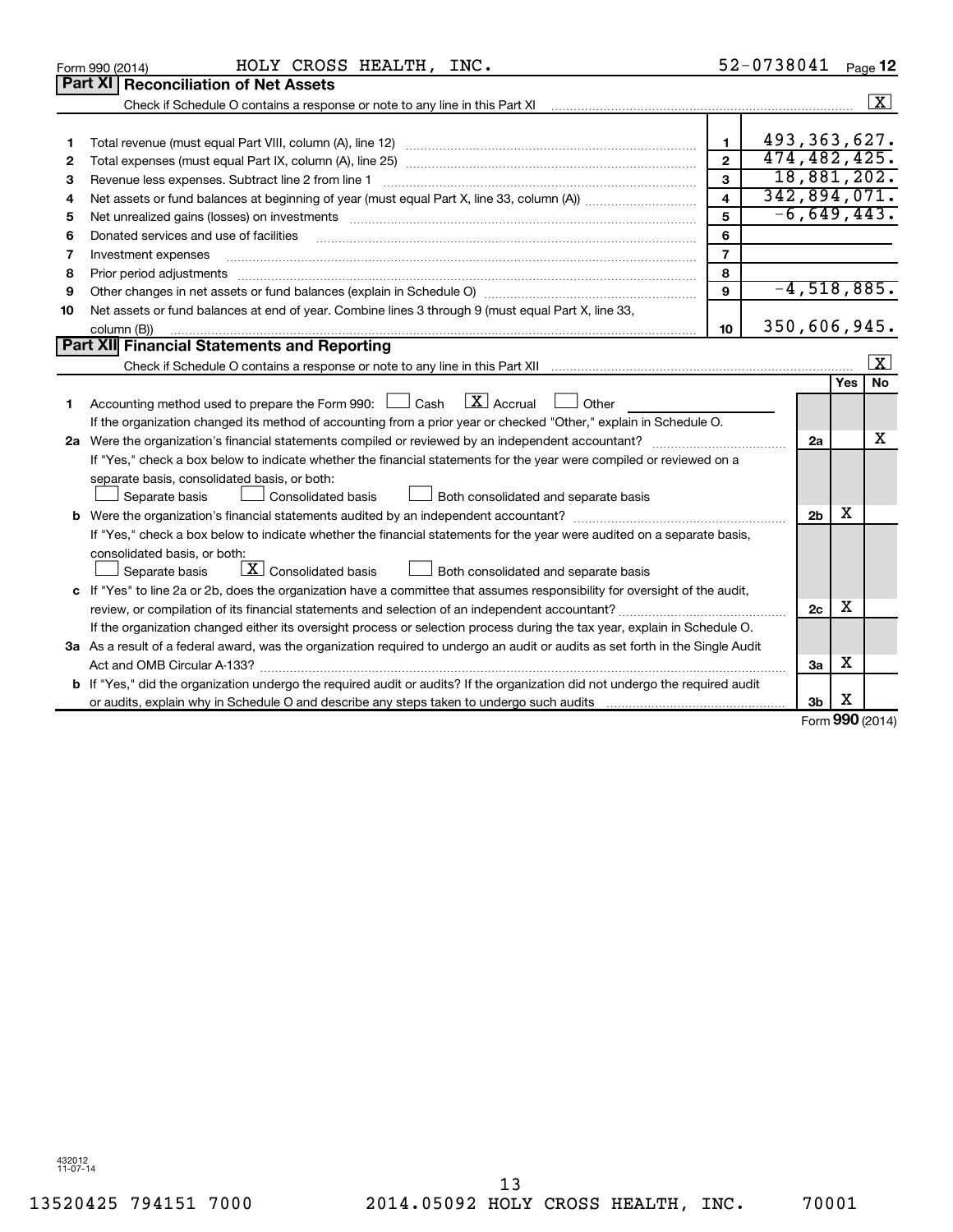|    | HOLY CROSS HEALTH, INC.<br>Form 990 (2014)                                                                                                                                                                                     |                         | 52-0738041 |                |          | Page 12                 |
|----|--------------------------------------------------------------------------------------------------------------------------------------------------------------------------------------------------------------------------------|-------------------------|------------|----------------|----------|-------------------------|
|    | Part XI<br><b>Reconciliation of Net Assets</b>                                                                                                                                                                                 |                         |            |                |          |                         |
|    | Check if Schedule O contains a response or note to any line in this Part XI                                                                                                                                                    |                         |            |                |          | $\overline{\mathbf{x}}$ |
|    |                                                                                                                                                                                                                                |                         |            |                |          |                         |
| 1  |                                                                                                                                                                                                                                | 1.                      |            | 493, 363, 627. |          |                         |
| 2  |                                                                                                                                                                                                                                | $\overline{2}$          |            | 474,482,425.   |          |                         |
| з  | Revenue less expenses. Subtract line 2 from line 1                                                                                                                                                                             | 3                       |            | 18,881,202.    |          |                         |
| 4  |                                                                                                                                                                                                                                | $\overline{\mathbf{4}}$ |            | 342,894,071.   |          |                         |
| 5  | Net unrealized gains (losses) on investments [11] matter contracts and the state of the state of the state of the state of the state of the state of the state of the state of the state of the state of the state of the stat | 5                       |            | $-6,649,443.$  |          |                         |
| 6  | Donated services and use of facilities                                                                                                                                                                                         | 6                       |            |                |          |                         |
| 7  | Investment expenses                                                                                                                                                                                                            | $\overline{7}$          |            |                |          |                         |
| 8  | Prior period adjustments                                                                                                                                                                                                       | 8                       |            |                |          |                         |
| 9  |                                                                                                                                                                                                                                | $\mathbf{Q}$            |            | $-4,518,885.$  |          |                         |
| 10 | Net assets or fund balances at end of year. Combine lines 3 through 9 (must equal Part X, line 33,                                                                                                                             |                         |            |                |          |                         |
|    | column (B))                                                                                                                                                                                                                    | 10                      |            | 350,606,945.   |          |                         |
|    | Part XII Financial Statements and Reporting                                                                                                                                                                                    |                         |            |                |          |                         |
|    |                                                                                                                                                                                                                                |                         |            |                |          | $\vert x \vert$         |
|    |                                                                                                                                                                                                                                |                         |            |                | Yes      | <b>No</b>               |
| 1  | $\mathbf{X}$ Accrual<br>Accounting method used to prepare the Form 990: [130] Cash<br>$\Box$ Other                                                                                                                             |                         |            |                |          |                         |
|    | If the organization changed its method of accounting from a prior year or checked "Other," explain in Schedule O.                                                                                                              |                         |            |                |          |                         |
|    |                                                                                                                                                                                                                                |                         |            | 2a             |          | х                       |
|    | If "Yes," check a box below to indicate whether the financial statements for the year were compiled or reviewed on a                                                                                                           |                         |            |                |          |                         |
|    | separate basis, consolidated basis, or both:                                                                                                                                                                                   |                         |            |                |          |                         |
|    | <b>Consolidated basis</b><br>Both consolidated and separate basis<br>Separate basis                                                                                                                                            |                         |            |                |          |                         |
|    |                                                                                                                                                                                                                                |                         |            | 2 <sub>b</sub> | х        |                         |
|    | If "Yes," check a box below to indicate whether the financial statements for the year were audited on a separate basis,                                                                                                        |                         |            |                |          |                         |
|    | consolidated basis, or both:                                                                                                                                                                                                   |                         |            |                |          |                         |
|    | $\boxed{\textbf{X}}$ Consolidated basis<br>Both consolidated and separate basis<br>Separate basis                                                                                                                              |                         |            |                |          |                         |
|    | c If "Yes" to line 2a or 2b, does the organization have a committee that assumes responsibility for oversight of the audit,                                                                                                    |                         |            |                |          |                         |
|    | review, or compilation of its financial statements and selection of an independent accountant?                                                                                                                                 |                         |            | 2c             | х        |                         |
|    | If the organization changed either its oversight process or selection process during the tax year, explain in Schedule O.                                                                                                      |                         |            |                |          |                         |
|    | 3a As a result of a federal award, was the organization required to undergo an audit or audits as set forth in the Single Audit                                                                                                |                         |            |                |          |                         |
|    | Act and OMB Circular A-133?                                                                                                                                                                                                    |                         |            | За             | х        |                         |
|    | b If "Yes," did the organization undergo the required audit or audits? If the organization did not undergo the required audit                                                                                                  |                         |            |                |          |                         |
|    |                                                                                                                                                                                                                                |                         |            | 3 <sub>b</sub> | X<br>ההה |                         |

Form (2014) **990**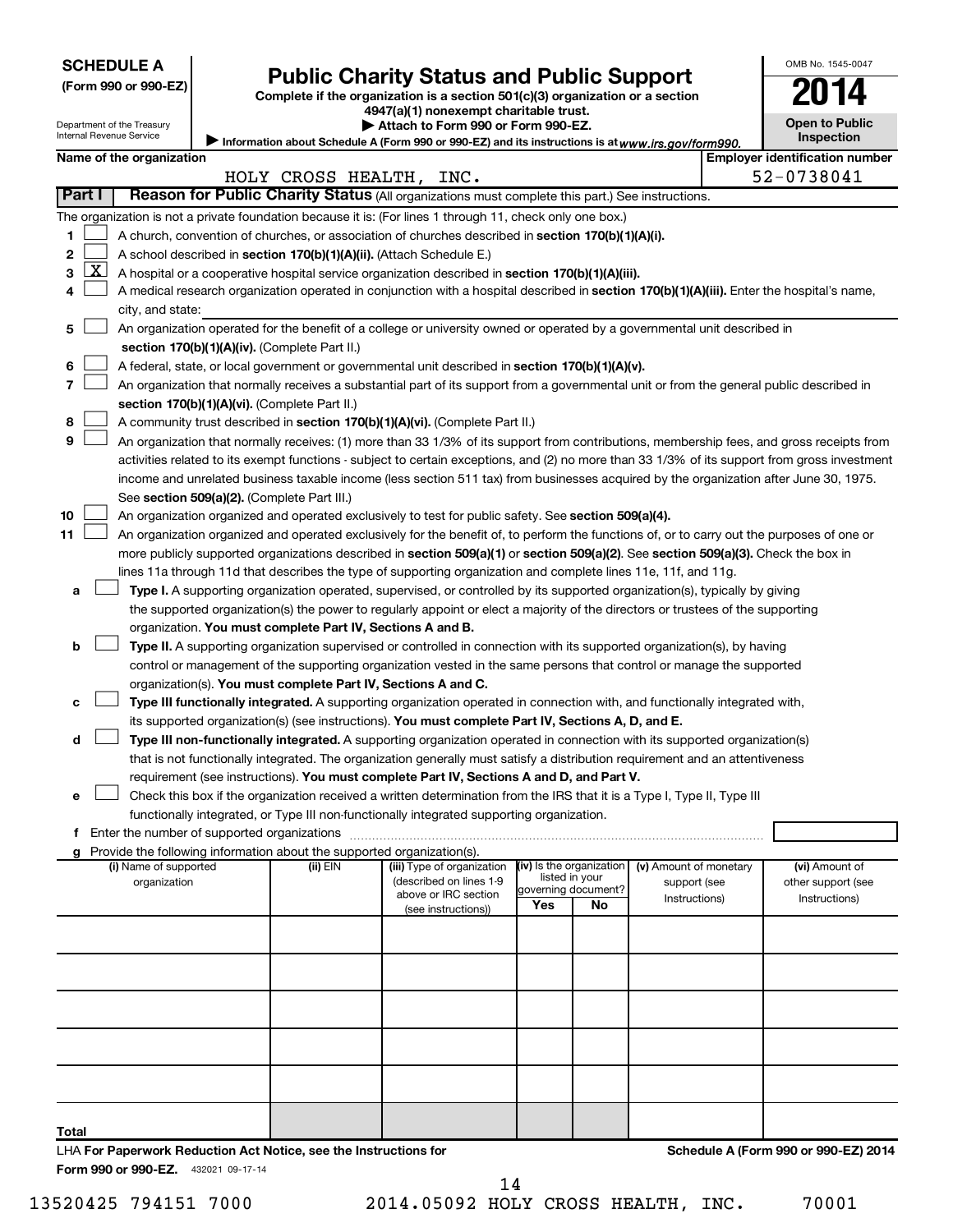| <b>SCHEDULE A</b> |  |
|-------------------|--|
|-------------------|--|

Department of the Treasury Internal Revenue Service

| (Form 990 or 990-EZ |  |  |  |  |
|---------------------|--|--|--|--|
|---------------------|--|--|--|--|

# **Public Charity Status and Public Support 2014**

Complete if the organization is a section 501(c)(3) organization or a section

**4947(a)(1) nonexempt charitable trust. | Attach to Form 990 or Form 990-EZ.** 

|  |  | ach to Form 990 or Form 990-EZ. |
|--|--|---------------------------------|
|--|--|---------------------------------|

| <b>Open to Public</b><br>Inspection |  |
|-------------------------------------|--|

OMB No. 1545-0047

| Name of the organization |  |
|--------------------------|--|
|--------------------------|--|

|        |                                                                                                                                             | memai Revenue Service    |                                             |                                                                          | Information about Schedule A (Form 990 or 990-EZ) and its instructions is at www.irs.gov/form990.                                             |                     |                                            |                        | <b>Inspection</b>                     |
|--------|---------------------------------------------------------------------------------------------------------------------------------------------|--------------------------|---------------------------------------------|--------------------------------------------------------------------------|-----------------------------------------------------------------------------------------------------------------------------------------------|---------------------|--------------------------------------------|------------------------|---------------------------------------|
|        |                                                                                                                                             | Name of the organization |                                             |                                                                          |                                                                                                                                               |                     |                                            |                        | <b>Employer identification number</b> |
|        | 52-0738041<br>HOLY CROSS HEALTH,<br>INC.<br>Reason for Public Charity Status (All organizations must complete this part.) See instructions. |                          |                                             |                                                                          |                                                                                                                                               |                     |                                            |                        |                                       |
| Part I |                                                                                                                                             |                          |                                             |                                                                          |                                                                                                                                               |                     |                                            |                        |                                       |
|        |                                                                                                                                             |                          |                                             |                                                                          | The organization is not a private foundation because it is: (For lines 1 through 11, check only one box.)                                     |                     |                                            |                        |                                       |
| 1      |                                                                                                                                             |                          |                                             |                                                                          | A church, convention of churches, or association of churches described in section 170(b)(1)(A)(i).                                            |                     |                                            |                        |                                       |
| 2      |                                                                                                                                             |                          |                                             | A school described in section 170(b)(1)(A)(ii). (Attach Schedule E.)     |                                                                                                                                               |                     |                                            |                        |                                       |
| З      | $\lfloor x \rfloor$                                                                                                                         |                          |                                             |                                                                          | A hospital or a cooperative hospital service organization described in section 170(b)(1)(A)(iii).                                             |                     |                                            |                        |                                       |
| 4      |                                                                                                                                             |                          |                                             |                                                                          | A medical research organization operated in conjunction with a hospital described in section 170(b)(1)(A)(iii). Enter the hospital's name,    |                     |                                            |                        |                                       |
|        |                                                                                                                                             | city, and state:         |                                             |                                                                          |                                                                                                                                               |                     |                                            |                        |                                       |
| 5      |                                                                                                                                             |                          |                                             |                                                                          | An organization operated for the benefit of a college or university owned or operated by a governmental unit described in                     |                     |                                            |                        |                                       |
|        |                                                                                                                                             |                          |                                             | section 170(b)(1)(A)(iv). (Complete Part II.)                            |                                                                                                                                               |                     |                                            |                        |                                       |
| 6      |                                                                                                                                             |                          |                                             |                                                                          | A federal, state, or local government or governmental unit described in section 170(b)(1)(A)(v).                                              |                     |                                            |                        |                                       |
|        |                                                                                                                                             |                          |                                             |                                                                          | An organization that normally receives a substantial part of its support from a governmental unit or from the general public described in     |                     |                                            |                        |                                       |
|        |                                                                                                                                             |                          |                                             | section 170(b)(1)(A)(vi). (Complete Part II.)                            |                                                                                                                                               |                     |                                            |                        |                                       |
| 8      |                                                                                                                                             |                          |                                             |                                                                          | A community trust described in section 170(b)(1)(A)(vi). (Complete Part II.)                                                                  |                     |                                            |                        |                                       |
| 9      |                                                                                                                                             |                          |                                             |                                                                          | An organization that normally receives: (1) more than 33 1/3% of its support from contributions, membership fees, and gross receipts from     |                     |                                            |                        |                                       |
|        |                                                                                                                                             |                          |                                             |                                                                          | activities related to its exempt functions - subject to certain exceptions, and (2) no more than 33 1/3% of its support from gross investment |                     |                                            |                        |                                       |
|        |                                                                                                                                             |                          |                                             |                                                                          | income and unrelated business taxable income (less section 511 tax) from businesses acquired by the organization after June 30, 1975.         |                     |                                            |                        |                                       |
|        |                                                                                                                                             |                          |                                             | See section 509(a)(2). (Complete Part III.)                              |                                                                                                                                               |                     |                                            |                        |                                       |
| 10     |                                                                                                                                             |                          |                                             |                                                                          | An organization organized and operated exclusively to test for public safety. See section 509(a)(4).                                          |                     |                                            |                        |                                       |
| 11     |                                                                                                                                             |                          |                                             |                                                                          | An organization organized and operated exclusively for the benefit of, to perform the functions of, or to carry out the purposes of one or    |                     |                                            |                        |                                       |
|        |                                                                                                                                             |                          |                                             |                                                                          | more publicly supported organizations described in section 509(a)(1) or section 509(a)(2). See section 509(a)(3). Check the box in            |                     |                                            |                        |                                       |
|        |                                                                                                                                             |                          |                                             |                                                                          | lines 11a through 11d that describes the type of supporting organization and complete lines 11e, 11f, and 11g.                                |                     |                                            |                        |                                       |
| а      |                                                                                                                                             |                          |                                             |                                                                          | Type I. A supporting organization operated, supervised, or controlled by its supported organization(s), typically by giving                   |                     |                                            |                        |                                       |
|        |                                                                                                                                             |                          |                                             |                                                                          | the supported organization(s) the power to regularly appoint or elect a majority of the directors or trustees of the supporting               |                     |                                            |                        |                                       |
|        |                                                                                                                                             |                          |                                             | organization. You must complete Part IV, Sections A and B.               |                                                                                                                                               |                     |                                            |                        |                                       |
| b      |                                                                                                                                             |                          |                                             |                                                                          | Type II. A supporting organization supervised or controlled in connection with its supported organization(s), by having                       |                     |                                            |                        |                                       |
|        |                                                                                                                                             |                          |                                             |                                                                          | control or management of the supporting organization vested in the same persons that control or manage the supported                          |                     |                                            |                        |                                       |
|        |                                                                                                                                             |                          |                                             | organization(s). You must complete Part IV, Sections A and C.            |                                                                                                                                               |                     |                                            |                        |                                       |
| c      |                                                                                                                                             |                          |                                             |                                                                          | Type III functionally integrated. A supporting organization operated in connection with, and functionally integrated with,                    |                     |                                            |                        |                                       |
|        |                                                                                                                                             |                          |                                             |                                                                          | its supported organization(s) (see instructions). You must complete Part IV, Sections A, D, and E.                                            |                     |                                            |                        |                                       |
| d      |                                                                                                                                             |                          |                                             |                                                                          | Type III non-functionally integrated. A supporting organization operated in connection with its supported organization(s)                     |                     |                                            |                        |                                       |
|        |                                                                                                                                             |                          |                                             |                                                                          | that is not functionally integrated. The organization generally must satisfy a distribution requirement and an attentiveness                  |                     |                                            |                        |                                       |
|        |                                                                                                                                             |                          |                                             |                                                                          | requirement (see instructions). You must complete Part IV, Sections A and D, and Part V.                                                      |                     |                                            |                        |                                       |
| e      |                                                                                                                                             |                          |                                             |                                                                          | Check this box if the organization received a written determination from the IRS that it is a Type I, Type II, Type III                       |                     |                                            |                        |                                       |
|        |                                                                                                                                             |                          |                                             |                                                                          | functionally integrated, or Type III non-functionally integrated supporting organization.                                                     |                     |                                            |                        |                                       |
|        |                                                                                                                                             |                          | Enter the number of supported organizations |                                                                          |                                                                                                                                               |                     |                                            |                        |                                       |
|        |                                                                                                                                             |                          |                                             | g Provide the following information about the supported organization(s). |                                                                                                                                               |                     |                                            |                        |                                       |
|        |                                                                                                                                             | (i) Name of supported    |                                             | (ii) EIN                                                                 | (iii) Type of organization                                                                                                                    |                     | (iv) Is the organization<br>listed in your | (v) Amount of monetary | (vi) Amount of                        |
|        |                                                                                                                                             | organization             |                                             |                                                                          | (described on lines 1-9<br>above or IRC section                                                                                               | governing document? |                                            | support (see           | other support (see                    |
|        |                                                                                                                                             |                          |                                             |                                                                          | (see instructions))                                                                                                                           | Yes                 | No                                         | Instructions)          | Instructions)                         |
|        |                                                                                                                                             |                          |                                             |                                                                          |                                                                                                                                               |                     |                                            |                        |                                       |
|        |                                                                                                                                             |                          |                                             |                                                                          |                                                                                                                                               |                     |                                            |                        |                                       |
|        |                                                                                                                                             |                          |                                             |                                                                          |                                                                                                                                               |                     |                                            |                        |                                       |
|        |                                                                                                                                             |                          |                                             |                                                                          |                                                                                                                                               |                     |                                            |                        |                                       |
|        |                                                                                                                                             |                          |                                             |                                                                          |                                                                                                                                               |                     |                                            |                        |                                       |
|        |                                                                                                                                             |                          |                                             |                                                                          |                                                                                                                                               |                     |                                            |                        |                                       |

Form 990 or 990-EZ. 432021 09-17-14 LHA **For Paperwork Reduction Act Notice, see the Instructions for** 

**Total**

13520425 794151 7000 2014.05092 HOLY CROSS HEALTH, INC. 70001 14

 $\exists$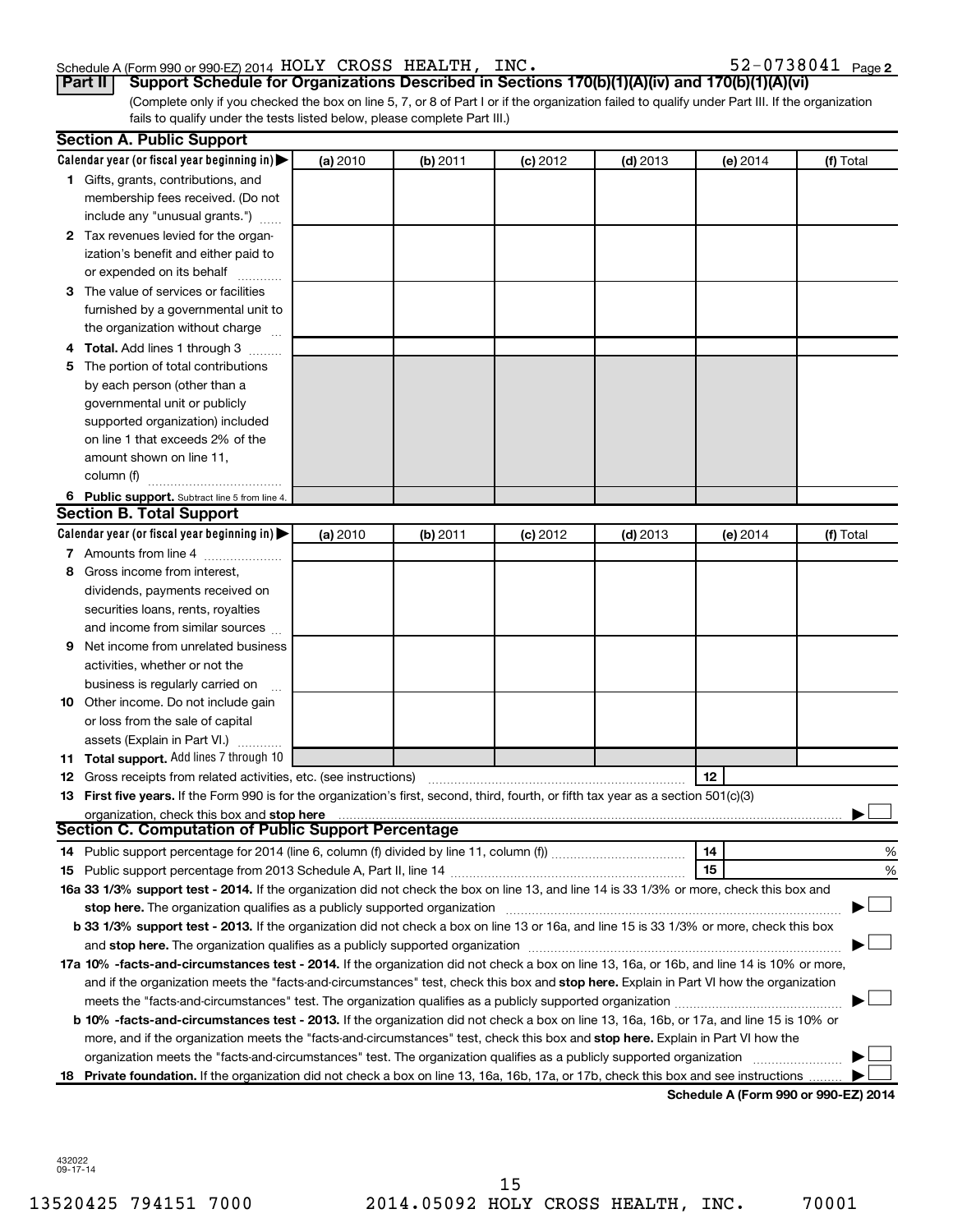## Schedule A (Form 990 or 990-EZ) 2014 Page HOLY CROSS HEALTH, INC. 52-0738041

52-0738041 Page 2

(Complete only if you checked the box on line 5, 7, or 8 of Part I or if the organization failed to qualify under Part III. If the organization fails to qualify under the tests listed below, please complete Part III.) **Part II Support Schedule for Organizations Described in Sections 170(b)(1)(A)(iv) and 170(b)(1)(A)(vi)**

|   | <b>Section A. Public Support</b>                                                                                                           |          |          |            |            |                                      |           |
|---|--------------------------------------------------------------------------------------------------------------------------------------------|----------|----------|------------|------------|--------------------------------------|-----------|
|   | Calendar year (or fiscal year beginning in) $\blacktriangleright$                                                                          | (a) 2010 | (b) 2011 | $(c)$ 2012 | $(d)$ 2013 | (e) 2014                             | (f) Total |
|   | 1 Gifts, grants, contributions, and                                                                                                        |          |          |            |            |                                      |           |
|   | membership fees received. (Do not                                                                                                          |          |          |            |            |                                      |           |
|   | include any "unusual grants.")                                                                                                             |          |          |            |            |                                      |           |
|   | 2 Tax revenues levied for the organ-                                                                                                       |          |          |            |            |                                      |           |
|   | ization's benefit and either paid to                                                                                                       |          |          |            |            |                                      |           |
|   | or expended on its behalf                                                                                                                  |          |          |            |            |                                      |           |
|   | 3 The value of services or facilities                                                                                                      |          |          |            |            |                                      |           |
|   | furnished by a governmental unit to                                                                                                        |          |          |            |            |                                      |           |
|   | the organization without charge                                                                                                            |          |          |            |            |                                      |           |
|   | 4 Total. Add lines 1 through 3                                                                                                             |          |          |            |            |                                      |           |
|   | 5 The portion of total contributions                                                                                                       |          |          |            |            |                                      |           |
|   | by each person (other than a                                                                                                               |          |          |            |            |                                      |           |
|   | governmental unit or publicly                                                                                                              |          |          |            |            |                                      |           |
|   | supported organization) included                                                                                                           |          |          |            |            |                                      |           |
|   | on line 1 that exceeds 2% of the                                                                                                           |          |          |            |            |                                      |           |
|   | amount shown on line 11,                                                                                                                   |          |          |            |            |                                      |           |
|   | column (f)                                                                                                                                 |          |          |            |            |                                      |           |
|   | 6 Public support. Subtract line 5 from line 4.                                                                                             |          |          |            |            |                                      |           |
|   | <b>Section B. Total Support</b>                                                                                                            |          |          |            |            |                                      |           |
|   | Calendar year (or fiscal year beginning in) $\blacktriangleright$                                                                          | (a) 2010 | (b) 2011 | $(c)$ 2012 | $(d)$ 2013 | (e) 2014                             | (f) Total |
|   | 7 Amounts from line 4                                                                                                                      |          |          |            |            |                                      |           |
| 8 | Gross income from interest,                                                                                                                |          |          |            |            |                                      |           |
|   | dividends, payments received on                                                                                                            |          |          |            |            |                                      |           |
|   | securities loans, rents, royalties<br>and income from similar sources                                                                      |          |          |            |            |                                      |           |
|   | <b>9</b> Net income from unrelated business                                                                                                |          |          |            |            |                                      |           |
|   | activities, whether or not the                                                                                                             |          |          |            |            |                                      |           |
|   | business is regularly carried on                                                                                                           |          |          |            |            |                                      |           |
|   | 10 Other income. Do not include gain                                                                                                       |          |          |            |            |                                      |           |
|   | or loss from the sale of capital                                                                                                           |          |          |            |            |                                      |           |
|   | assets (Explain in Part VI.)                                                                                                               |          |          |            |            |                                      |           |
|   | 11 Total support. Add lines 7 through 10                                                                                                   |          |          |            |            |                                      |           |
|   | <b>12</b> Gross receipts from related activities, etc. (see instructions)                                                                  |          |          |            |            | 12                                   |           |
|   | 13 First five years. If the Form 990 is for the organization's first, second, third, fourth, or fifth tax year as a section 501(c)(3)      |          |          |            |            |                                      |           |
|   | organization, check this box and stop here                                                                                                 |          |          |            |            |                                      |           |
|   | <b>Section C. Computation of Public Support Percentage</b>                                                                                 |          |          |            |            |                                      |           |
|   |                                                                                                                                            |          |          |            |            | 14                                   | %         |
|   |                                                                                                                                            |          |          |            |            | 15                                   | %         |
|   | 16a 33 1/3% support test - 2014. If the organization did not check the box on line 13, and line 14 is 33 1/3% or more, check this box and  |          |          |            |            |                                      |           |
|   | stop here. The organization qualifies as a publicly supported organization                                                                 |          |          |            |            |                                      |           |
|   | b 33 1/3% support test - 2013. If the organization did not check a box on line 13 or 16a, and line 15 is 33 1/3% or more, check this box   |          |          |            |            |                                      |           |
|   |                                                                                                                                            |          |          |            |            |                                      |           |
|   | 17a 10% -facts-and-circumstances test - 2014. If the organization did not check a box on line 13, 16a, or 16b, and line 14 is 10% or more, |          |          |            |            |                                      |           |
|   | and if the organization meets the "facts-and-circumstances" test, check this box and stop here. Explain in Part VI how the organization    |          |          |            |            |                                      |           |
|   |                                                                                                                                            |          |          |            |            |                                      |           |
|   | b 10% -facts-and-circumstances test - 2013. If the organization did not check a box on line 13, 16a, 16b, or 17a, and line 15 is 10% or    |          |          |            |            |                                      |           |
|   | more, and if the organization meets the "facts-and-circumstances" test, check this box and stop here. Explain in Part VI how the           |          |          |            |            |                                      |           |
|   | organization meets the "facts-and-circumstances" test. The organization qualifies as a publicly supported organization                     |          |          |            |            |                                      |           |
|   | 18 Private foundation. If the organization did not check a box on line 13, 16a, 16b, 17a, or 17b, check this box and see instructions.     |          |          |            |            |                                      |           |
|   |                                                                                                                                            |          |          |            |            | Schedule A (Form 990 or 990-EZ) 2014 |           |

432022 09-17-14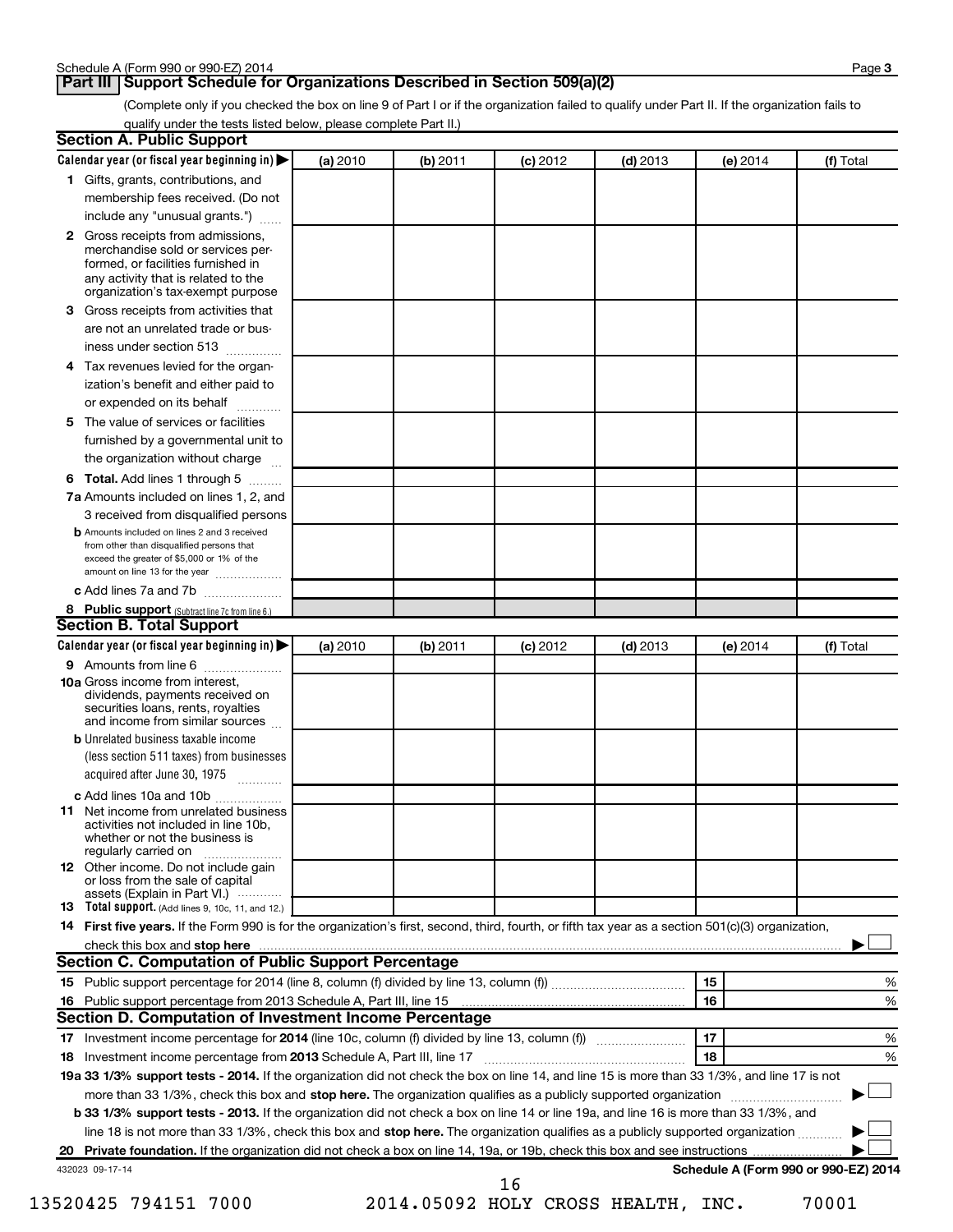## **Part III Support Schedule for Organizations Described in Section 509(a)(2)**

(Complete only if you checked the box on line 9 of Part I or if the organization failed to qualify under Part II. If the organization fails to qualify under the tests listed below, please complete Part II.)

| Calendar year (or fiscal year beginning in)                                                                                                         | (a) 2010                                                                                                                                                                                                                       | (b) 2011                           | (c) 2012   | $(d)$ 2013 | (e) 2014                             | (f) Total |
|-----------------------------------------------------------------------------------------------------------------------------------------------------|--------------------------------------------------------------------------------------------------------------------------------------------------------------------------------------------------------------------------------|------------------------------------|------------|------------|--------------------------------------|-----------|
| 1 Gifts, grants, contributions, and                                                                                                                 |                                                                                                                                                                                                                                |                                    |            |            |                                      |           |
| membership fees received. (Do not                                                                                                                   |                                                                                                                                                                                                                                |                                    |            |            |                                      |           |
| include any "unusual grants.")                                                                                                                      |                                                                                                                                                                                                                                |                                    |            |            |                                      |           |
| 2 Gross receipts from admissions,<br>merchandise sold or services per-<br>formed, or facilities furnished in<br>any activity that is related to the |                                                                                                                                                                                                                                |                                    |            |            |                                      |           |
| organization's tax-exempt purpose                                                                                                                   |                                                                                                                                                                                                                                |                                    |            |            |                                      |           |
| Gross receipts from activities that<br>3                                                                                                            |                                                                                                                                                                                                                                |                                    |            |            |                                      |           |
| are not an unrelated trade or bus-<br>iness under section 513                                                                                       |                                                                                                                                                                                                                                |                                    |            |            |                                      |           |
| Tax revenues levied for the organ-<br>4                                                                                                             |                                                                                                                                                                                                                                |                                    |            |            |                                      |           |
| ization's benefit and either paid to<br>or expended on its behalf                                                                                   |                                                                                                                                                                                                                                |                                    |            |            |                                      |           |
| The value of services or facilities<br>5.                                                                                                           |                                                                                                                                                                                                                                |                                    |            |            |                                      |           |
| furnished by a governmental unit to<br>the organization without charge                                                                              |                                                                                                                                                                                                                                |                                    |            |            |                                      |           |
| Total. Add lines 1 through 5<br>6                                                                                                                   |                                                                                                                                                                                                                                |                                    |            |            |                                      |           |
| 7a Amounts included on lines 1, 2, and                                                                                                              |                                                                                                                                                                                                                                |                                    |            |            |                                      |           |
| 3 received from disqualified persons                                                                                                                |                                                                                                                                                                                                                                |                                    |            |            |                                      |           |
| <b>b</b> Amounts included on lines 2 and 3 received                                                                                                 |                                                                                                                                                                                                                                |                                    |            |            |                                      |           |
| from other than disqualified persons that<br>exceed the greater of \$5,000 or 1% of the<br>amount on line 13 for the year                           |                                                                                                                                                                                                                                |                                    |            |            |                                      |           |
| c Add lines 7a and 7b                                                                                                                               |                                                                                                                                                                                                                                |                                    |            |            |                                      |           |
| 8 Public support (Subtract line 7c from line 6.)                                                                                                    |                                                                                                                                                                                                                                |                                    |            |            |                                      |           |
| <b>Section B. Total Support</b>                                                                                                                     |                                                                                                                                                                                                                                |                                    |            |            |                                      |           |
| Calendar year (or fiscal year beginning in)                                                                                                         | (a) 2010                                                                                                                                                                                                                       | (b) 2011                           | $(c)$ 2012 | $(d)$ 2013 | (e) 2014                             | (f) Total |
| <b>9</b> Amounts from line 6                                                                                                                        |                                                                                                                                                                                                                                |                                    |            |            |                                      |           |
| <b>10a</b> Gross income from interest,<br>dividends, payments received on<br>securities loans, rents, royalties<br>and income from similar sources  |                                                                                                                                                                                                                                |                                    |            |            |                                      |           |
| <b>b</b> Unrelated business taxable income                                                                                                          |                                                                                                                                                                                                                                |                                    |            |            |                                      |           |
| (less section 511 taxes) from businesses<br>acquired after June 30, 1975                                                                            |                                                                                                                                                                                                                                |                                    |            |            |                                      |           |
| c Add lines 10a and 10b                                                                                                                             |                                                                                                                                                                                                                                |                                    |            |            |                                      |           |
| Net income from unrelated business<br>11<br>activities not included in line 10b.<br>whether or not the business is<br>regularly carried on          | .                                                                                                                                                                                                                              |                                    |            |            |                                      |           |
| <b>12</b> Other income. Do not include gain<br>or loss from the sale of capital<br>assets (Explain in Part VI.)                                     |                                                                                                                                                                                                                                |                                    |            |            |                                      |           |
| 13 Total support. (Add lines 9, 10c, 11, and 12.)                                                                                                   |                                                                                                                                                                                                                                |                                    |            |            |                                      |           |
| 14 First five years. If the Form 990 is for the organization's first, second, third, fourth, or fifth tax year as a section 501(c)(3) organization, |                                                                                                                                                                                                                                |                                    |            |            |                                      |           |
|                                                                                                                                                     | check this box and stop here measurements and the contract of the state of the state of the state of the state of the contract of the state of the state of the state of the state of the state of the state of the state of t |                                    |            |            |                                      |           |
| <b>Section C. Computation of Public Support Percentage</b>                                                                                          |                                                                                                                                                                                                                                |                                    |            |            |                                      |           |
|                                                                                                                                                     |                                                                                                                                                                                                                                |                                    |            |            | 15                                   | %         |
|                                                                                                                                                     |                                                                                                                                                                                                                                |                                    |            |            | 16                                   | %         |
| Section D. Computation of Investment Income Percentage                                                                                              |                                                                                                                                                                                                                                |                                    |            |            |                                      |           |
|                                                                                                                                                     |                                                                                                                                                                                                                                |                                    |            |            | 17                                   | %         |
|                                                                                                                                                     |                                                                                                                                                                                                                                |                                    |            |            | 18                                   | %         |
| 19a 33 1/3% support tests - 2014. If the organization did not check the box on line 14, and line 15 is more than 33 1/3%, and line 17 is not        |                                                                                                                                                                                                                                |                                    |            |            |                                      |           |
|                                                                                                                                                     | more than 33 1/3%, check this box and stop here. The organization qualifies as a publicly supported organization                                                                                                               |                                    |            |            |                                      |           |
| <b>b 33 1/3% support tests - 2013.</b> If the organization did not check a box on line 14 or line 19a, and line 16 is more than 33 1/3%, and        | line 18 is not more than 33 1/3%, check this box and stop here. The organization qualifies as a publicly supported organization                                                                                                |                                    |            |            |                                      |           |
|                                                                                                                                                     |                                                                                                                                                                                                                                |                                    |            |            |                                      |           |
|                                                                                                                                                     |                                                                                                                                                                                                                                |                                    |            |            | Schedule A (Form 990 or 990-EZ) 2014 |           |
| 432023 09-17-14                                                                                                                                     |                                                                                                                                                                                                                                |                                    | 16         |            |                                      |           |
| 13520425 794151 7000                                                                                                                                |                                                                                                                                                                                                                                | 2014.05092 HOLY CROSS HEALTH, INC. |            |            |                                      | 70001     |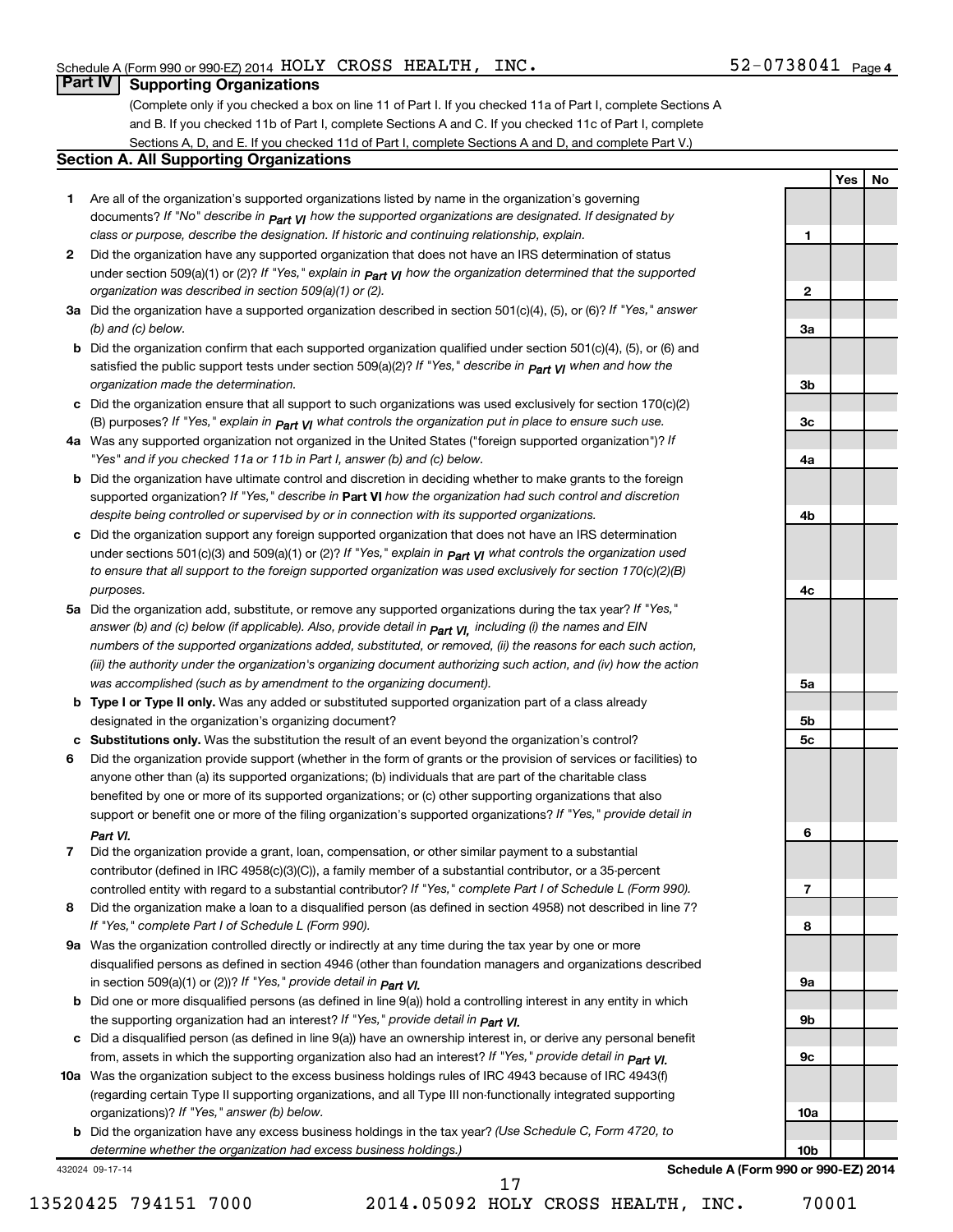**1**

**Yes No**

## **Part IV Supporting Organizations**

(Complete only if you checked a box on line 11 of Part I. If you checked 11a of Part I, complete Sections A and B. If you checked 11b of Part I, complete Sections A and C. If you checked 11c of Part I, complete Sections A, D, and E. If you checked 11d of Part I, complete Sections A and D, and complete Part V.)

#### **Section A. All Supporting Organizations**

- **1** Are all of the organization's supported organizations listed by name in the organization's governing documents? If "No" describe in  $_{\mathsf{Part}}$   $_{\mathsf{V}}$  how the supported organizations are designated. If designated by *class or purpose, describe the designation. If historic and continuing relationship, explain.*
- **2** Did the organization have any supported organization that does not have an IRS determination of status under section 509(a)(1) or (2)? If "Yes," explain in  $_{\sf Part}$   $_{\sf VI}$  how the organization determined that the supported *organization was described in section 509(a)(1) or (2).*
- **3a** Did the organization have a supported organization described in section 501(c)(4), (5), or (6)? If "Yes," answer *(b) and (c) below.*
- **b** Did the organization confirm that each supported organization qualified under section 501(c)(4), (5), or (6) and satisfied the public support tests under section 509(a)(2)? If "Yes," describe in  $_{\rm Part}$   $_{\rm VI}$  when and how the *organization made the determination.*
- **c** Did the organization ensure that all support to such organizations was used exclusively for section 170(c)(2) (B) purposes? If "Yes," explain in  $_{\mathsf{Part}}$   $_{\mathsf{V}}$  what controls the organization put in place to ensure such use.
- **4 a** *If* Was any supported organization not organized in the United States ("foreign supported organization")? *"Yes" and if you checked 11a or 11b in Part I, answer (b) and (c) below.*
- **b** Did the organization have ultimate control and discretion in deciding whether to make grants to the foreign supported organization? If "Yes," describe in Part VI how the organization had such control and discretion *despite being controlled or supervised by or in connection with its supported organizations.*
- **c** Did the organization support any foreign supported organization that does not have an IRS determination under sections 501(c)(3) and 509(a)(1) or (2)? If "Yes," ex*plain in*  $_{\sf Part}$  *v*J what controls the organization used *to ensure that all support to the foreign supported organization was used exclusively for section 170(c)(2)(B) purposes.*
- **5a** Did the organization add, substitute, or remove any supported organizations during the tax year? If "Yes," answer (b) and (c) below (if applicable). Also, provide detail in  $_{\mathsf{Part}}$   $_{\mathsf{V{\mathsf{I}}}}$ , including (i) the names and EIN *numbers of the supported organizations added, substituted, or removed, (ii) the reasons for each such action, (iii) the authority under the organization's organizing document authorizing such action, and (iv) how the action was accomplished (such as by amendment to the organizing document).*
- **b** Type I or Type II only. Was any added or substituted supported organization part of a class already designated in the organization's organizing document?
- **c Substitutions only.**  Was the substitution the result of an event beyond the organization's control?
- **6** Did the organization provide support (whether in the form of grants or the provision of services or facilities) to support or benefit one or more of the filing organization's supported organizations? If "Yes," provide detail in anyone other than (a) its supported organizations; (b) individuals that are part of the charitable class benefited by one or more of its supported organizations; or (c) other supporting organizations that also *Part VI.*
- **7** Did the organization provide a grant, loan, compensation, or other similar payment to a substantial controlled entity with regard to a substantial contributor? If "Yes," complete Part I of Schedule L (Form 990). contributor (defined in IRC 4958(c)(3)(C)), a family member of a substantial contributor, or a 35-percent
- **8** Did the organization make a loan to a disqualified person (as defined in section 4958) not described in line 7? *If "Yes," complete Part I of Schedule L (Form 990).*
- **9 a** Was the organization controlled directly or indirectly at any time during the tax year by one or more *If "Yes," provide detail in*  in section 509(a)(1) or (2))? *Part VI.* disqualified persons as defined in section 4946 (other than foundation managers and organizations described
- **b** Did one or more disqualified persons (as defined in line 9(a)) hold a controlling interest in any entity in which  *If "Yes," provide detail in*  the supporting organization had an interest? *Part VI.*
- **c** Did a disqualified person (as defined in line 9(a)) have an ownership interest in, or derive any personal benefit from, assets in which the supporting organization also had an interest? If "Yes," *provide detail in Part VI.*
- **10 a** Was the organization subject to the excess business holdings rules of IRC 4943 because of IRC 4943(f)  *If "Yes," answer (b) below.* organizations)? (regarding certain Type II supporting organizations, and all Type III non-functionally integrated supporting
	- **b** Did the organization have any excess business holdings in the tax year? (Use Schedule C, Form 4720, to *determine whether the organization had excess business holdings.)*

432024 09-17-14

17

**2 3a 3b 3c 4a 4b 4c 5a 5b 5c 6 7 8 9a 9b 9c 10a 10b Schedule A (Form 990 or 990-EZ) 2014**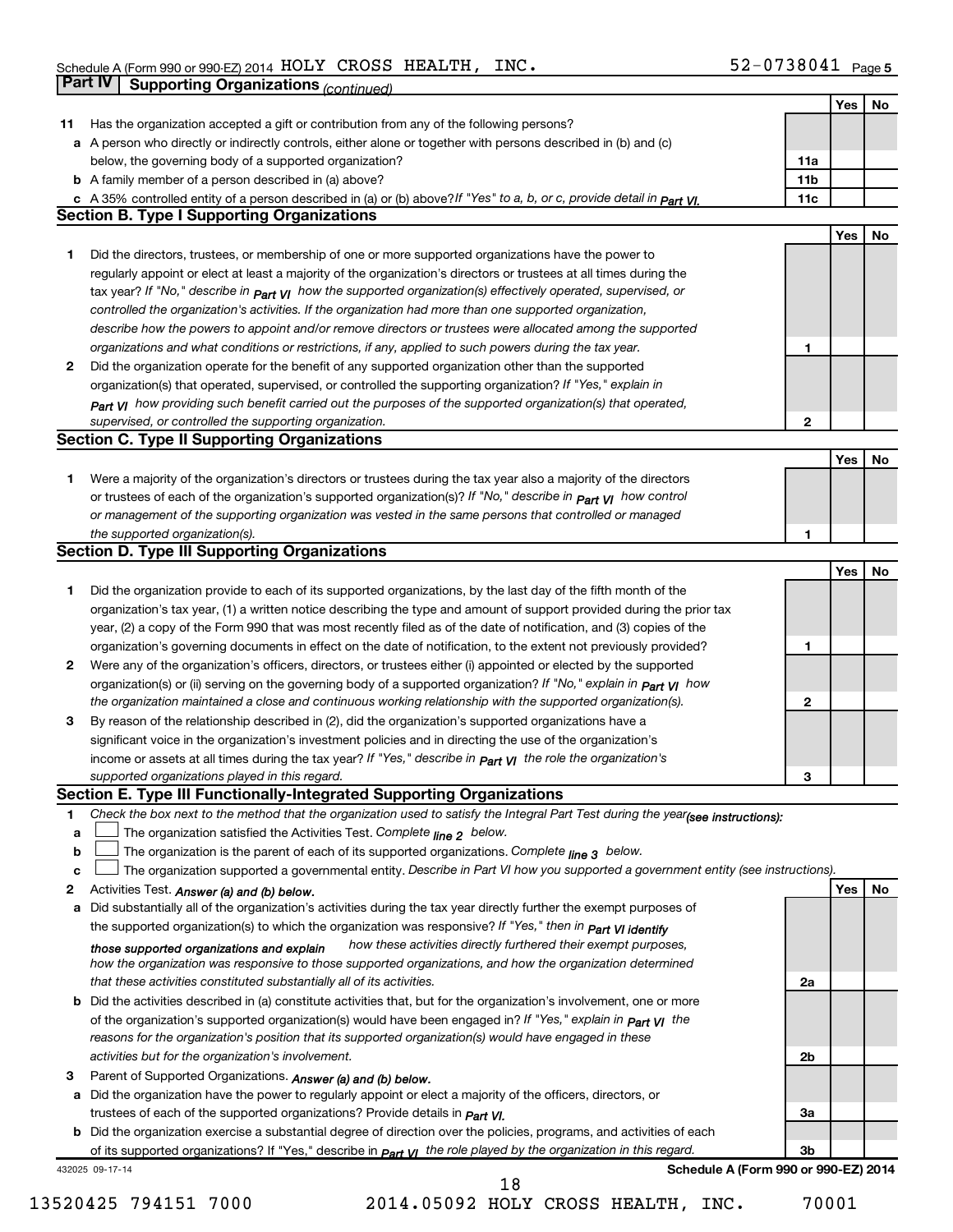|    | <b>Part IV</b>  | <b>Supporting Organizations (continued)</b>                                                                                                              |                 |            |    |
|----|-----------------|----------------------------------------------------------------------------------------------------------------------------------------------------------|-----------------|------------|----|
|    |                 |                                                                                                                                                          |                 | Yes        | No |
| 11 |                 | Has the organization accepted a gift or contribution from any of the following persons?                                                                  |                 |            |    |
|    |                 | a A person who directly or indirectly controls, either alone or together with persons described in (b) and (c)                                           |                 |            |    |
|    |                 | below, the governing body of a supported organization?                                                                                                   | 11a             |            |    |
|    |                 | <b>b</b> A family member of a person described in (a) above?                                                                                             | 11 <sub>b</sub> |            |    |
|    |                 | c A 35% controlled entity of a person described in (a) or (b) above?If "Yes" to a, b, or c, provide detail in Part VI.                                   | 11c             |            |    |
|    |                 | <b>Section B. Type I Supporting Organizations</b>                                                                                                        |                 |            |    |
|    |                 |                                                                                                                                                          |                 | Yes        | No |
| 1  |                 | Did the directors, trustees, or membership of one or more supported organizations have the power to                                                      |                 |            |    |
|    |                 | regularly appoint or elect at least a majority of the organization's directors or trustees at all times during the                                       |                 |            |    |
|    |                 |                                                                                                                                                          |                 |            |    |
|    |                 | tax year? If "No," describe in $_{Part}$ $_{VI}$ how the supported organization(s) effectively operated, supervised, or                                  |                 |            |    |
|    |                 | controlled the organization's activities. If the organization had more than one supported organization,                                                  |                 |            |    |
|    |                 | describe how the powers to appoint and/or remove directors or trustees were allocated among the supported                                                |                 |            |    |
|    |                 | organizations and what conditions or restrictions, if any, applied to such powers during the tax year.                                                   | 1               |            |    |
| 2  |                 | Did the organization operate for the benefit of any supported organization other than the supported                                                      |                 |            |    |
|    |                 | organization(s) that operated, supervised, or controlled the supporting organization? If "Yes," explain in                                               |                 |            |    |
|    |                 | Part VI how providing such benefit carried out the purposes of the supported organization(s) that operated,                                              |                 |            |    |
|    |                 | supervised, or controlled the supporting organization.                                                                                                   | $\mathbf{2}$    |            |    |
|    |                 | <b>Section C. Type II Supporting Organizations</b>                                                                                                       |                 |            |    |
|    |                 |                                                                                                                                                          |                 | Yes        | No |
| 1. |                 | Were a majority of the organization's directors or trustees during the tax year also a majority of the directors                                         |                 |            |    |
|    |                 | or trustees of each of the organization's supported organization(s)? If "No," describe in <b>Part VI</b> how control                                     |                 |            |    |
|    |                 | or management of the supporting organization was vested in the same persons that controlled or managed                                                   |                 |            |    |
|    |                 | the supported organization(s).                                                                                                                           | 1               |            |    |
|    |                 | <b>Section D. Type III Supporting Organizations</b>                                                                                                      |                 |            |    |
|    |                 |                                                                                                                                                          |                 | Yes        | No |
| 1  |                 | Did the organization provide to each of its supported organizations, by the last day of the fifth month of the                                           |                 |            |    |
|    |                 | organization's tax year, (1) a written notice describing the type and amount of support provided during the prior tax                                    |                 |            |    |
|    |                 | year, (2) a copy of the Form 990 that was most recently filed as of the date of notification, and (3) copies of the                                      |                 |            |    |
|    |                 | organization's governing documents in effect on the date of notification, to the extent not previously provided?                                         | 1               |            |    |
| 2  |                 | Were any of the organization's officers, directors, or trustees either (i) appointed or elected by the supported                                         |                 |            |    |
|    |                 | organization(s) or (ii) serving on the governing body of a supported organization? If "No," explain in part VI how                                       |                 |            |    |
|    |                 | the organization maintained a close and continuous working relationship with the supported organization(s).                                              | 2               |            |    |
| 3  |                 | By reason of the relationship described in (2), did the organization's supported organizations have a                                                    |                 |            |    |
|    |                 | significant voice in the organization's investment policies and in directing the use of the organization's                                               |                 |            |    |
|    |                 | income or assets at all times during the tax year? If "Yes," describe in $P_{\text{art } VI}$ the role the organization's                                |                 |            |    |
|    |                 | supported organizations played in this regard.                                                                                                           | з               |            |    |
|    |                 | Section E. Type III Functionally-Integrated Supporting Organizations                                                                                     |                 |            |    |
| 1  |                 | Check the box next to the method that the organization used to satisfy the Integral Part Test during the year(see instructions):                         |                 |            |    |
| a  |                 | The organization satisfied the Activities Test. Complete line 2 below.                                                                                   |                 |            |    |
| b  |                 | The organization is the parent of each of its supported organizations. Complete line 3 below.                                                            |                 |            |    |
| c  |                 | The organization supported a governmental entity. Describe in Part VI how you supported a government entity (see instructions).                          |                 |            |    |
| 2  |                 | Activities Test. Answer (a) and (b) below.                                                                                                               |                 | <b>Yes</b> | No |
| а  |                 | Did substantially all of the organization's activities during the tax year directly further the exempt purposes of                                       |                 |            |    |
|    |                 | the supported organization(s) to which the organization was responsive? If "Yes," then in Part VI identify                                               |                 |            |    |
|    |                 | how these activities directly furthered their exempt purposes,<br>those supported organizations and explain                                              |                 |            |    |
|    |                 | how the organization was responsive to those supported organizations, and how the organization determined                                                |                 |            |    |
|    |                 | that these activities constituted substantially all of its activities.                                                                                   | 2a              |            |    |
|    |                 | <b>b</b> Did the activities described in (a) constitute activities that, but for the organization's involvement, one or more                             |                 |            |    |
|    |                 | of the organization's supported organization(s) would have been engaged in? If "Yes," explain in <b>Part VI</b> the                                      |                 |            |    |
|    |                 | reasons for the organization's position that its supported organization(s) would have engaged in these                                                   |                 |            |    |
|    |                 | activities but for the organization's involvement.                                                                                                       | 2b              |            |    |
| З  |                 | Parent of Supported Organizations. Answer (a) and (b) below.                                                                                             |                 |            |    |
|    |                 | Did the organization have the power to regularly appoint or elect a majority of the officers, directors, or                                              |                 |            |    |
| а  |                 |                                                                                                                                                          |                 |            |    |
|    |                 | trustees of each of the supported organizations? Provide details in <i>Part VI.</i>                                                                      | За              |            |    |
|    |                 | <b>b</b> Did the organization exercise a substantial degree of direction over the policies, programs, and activities of each                             | Зb              |            |    |
|    |                 | of its supported organizations? If "Yes," describe in part y the role played by the organization in this regard.<br>Schedule A (Form 990 or 990-EZ) 2014 |                 |            |    |
|    | 432025 09-17-14 | 18                                                                                                                                                       |                 |            |    |
|    |                 |                                                                                                                                                          |                 |            |    |

13520425 794151 7000 2014.05092 HOLY CROSS HEALTH, INC. 70001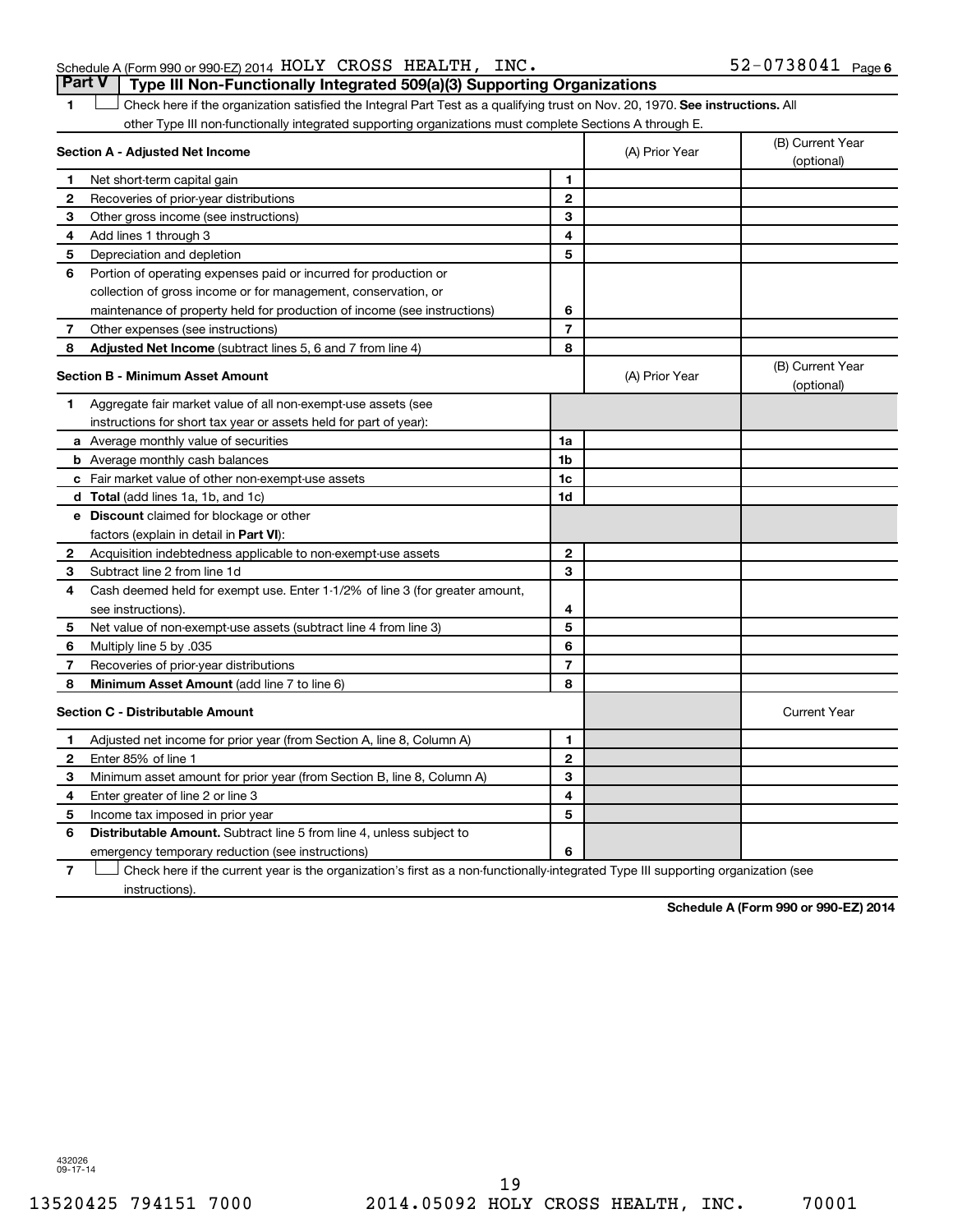### Schedule A (Form 990 or 990-EZ) 2014 Page HOLY CROSS HEALTH, INC. 52-0738041 **Part V Type III Non-Functionally Integrated 509(a)(3) Supporting Organizations**

1 **Letter on Reck here if the organization satisfied the Integral Part Test as a qualifying trust on Nov. 20, 1970. See instructions. All** other Type III non-functionally integrated supporting organizations must complete Sections A through E.

|              | Section A - Adjusted Net Income                                              | (A) Prior Year | (B) Current Year<br>(optional) |                                |
|--------------|------------------------------------------------------------------------------|----------------|--------------------------------|--------------------------------|
| 1            | Net short-term capital gain                                                  | 1              |                                |                                |
| 2            | Recoveries of prior-year distributions                                       | $\mathbf{2}$   |                                |                                |
| З            | Other gross income (see instructions)                                        | 3              |                                |                                |
| 4            | Add lines 1 through 3                                                        | 4              |                                |                                |
| 5            | Depreciation and depletion                                                   | 5              |                                |                                |
| 6            | Portion of operating expenses paid or incurred for production or             |                |                                |                                |
|              | collection of gross income or for management, conservation, or               |                |                                |                                |
|              | maintenance of property held for production of income (see instructions)     | 6              |                                |                                |
| 7            | Other expenses (see instructions)                                            | $\overline{7}$ |                                |                                |
| 8            | Adjusted Net Income (subtract lines 5, 6 and 7 from line 4)                  | 8              |                                |                                |
|              | <b>Section B - Minimum Asset Amount</b>                                      |                | (A) Prior Year                 | (B) Current Year<br>(optional) |
| 1            | Aggregate fair market value of all non-exempt-use assets (see                |                |                                |                                |
|              | instructions for short tax year or assets held for part of year):            |                |                                |                                |
|              | <b>a</b> Average monthly value of securities                                 | 1a             |                                |                                |
|              | <b>b</b> Average monthly cash balances                                       | 1 <sub>b</sub> |                                |                                |
|              | <b>c</b> Fair market value of other non-exempt-use assets                    | 1c             |                                |                                |
|              | d Total (add lines 1a, 1b, and 1c)                                           | 1d             |                                |                                |
|              | e Discount claimed for blockage or other                                     |                |                                |                                |
|              | factors (explain in detail in Part VI):                                      |                |                                |                                |
| 2            | Acquisition indebtedness applicable to non-exempt-use assets                 | $\mathbf{2}$   |                                |                                |
| 3            | Subtract line 2 from line 1d                                                 | 3              |                                |                                |
| 4            | Cash deemed held for exempt use. Enter 1-1/2% of line 3 (for greater amount, |                |                                |                                |
|              | see instructions).                                                           | 4              |                                |                                |
| 5            | Net value of non-exempt-use assets (subtract line 4 from line 3)             | 5              |                                |                                |
| 6            | Multiply line 5 by .035                                                      | 6              |                                |                                |
| 7            | Recoveries of prior-year distributions                                       | $\overline{7}$ |                                |                                |
| 8            | <b>Minimum Asset Amount (add line 7 to line 6)</b>                           | 8              |                                |                                |
|              | <b>Section C - Distributable Amount</b>                                      |                |                                | <b>Current Year</b>            |
| 1            | Adjusted net income for prior year (from Section A, line 8, Column A)        | 1              |                                |                                |
| $\mathbf{2}$ | Enter 85% of line 1                                                          | $\mathbf{2}$   |                                |                                |
| 3            | Minimum asset amount for prior year (from Section B, line 8, Column A)       | 3              |                                |                                |
| 4            | Enter greater of line 2 or line 3                                            | 4              |                                |                                |
| 5            | Income tax imposed in prior year                                             | 5              |                                |                                |
| 6            | <b>Distributable Amount.</b> Subtract line 5 from line 4, unless subject to  |                |                                |                                |
|              | emergency temporary reduction (see instructions)                             | 6              |                                |                                |
|              |                                                                              |                |                                |                                |

**7** Check here if the current year is the organization's first as a non-functionally-integrated Type III supporting organization (see † instructions).

**Schedule A (Form 990 or 990-EZ) 2014**

432026 09-17-14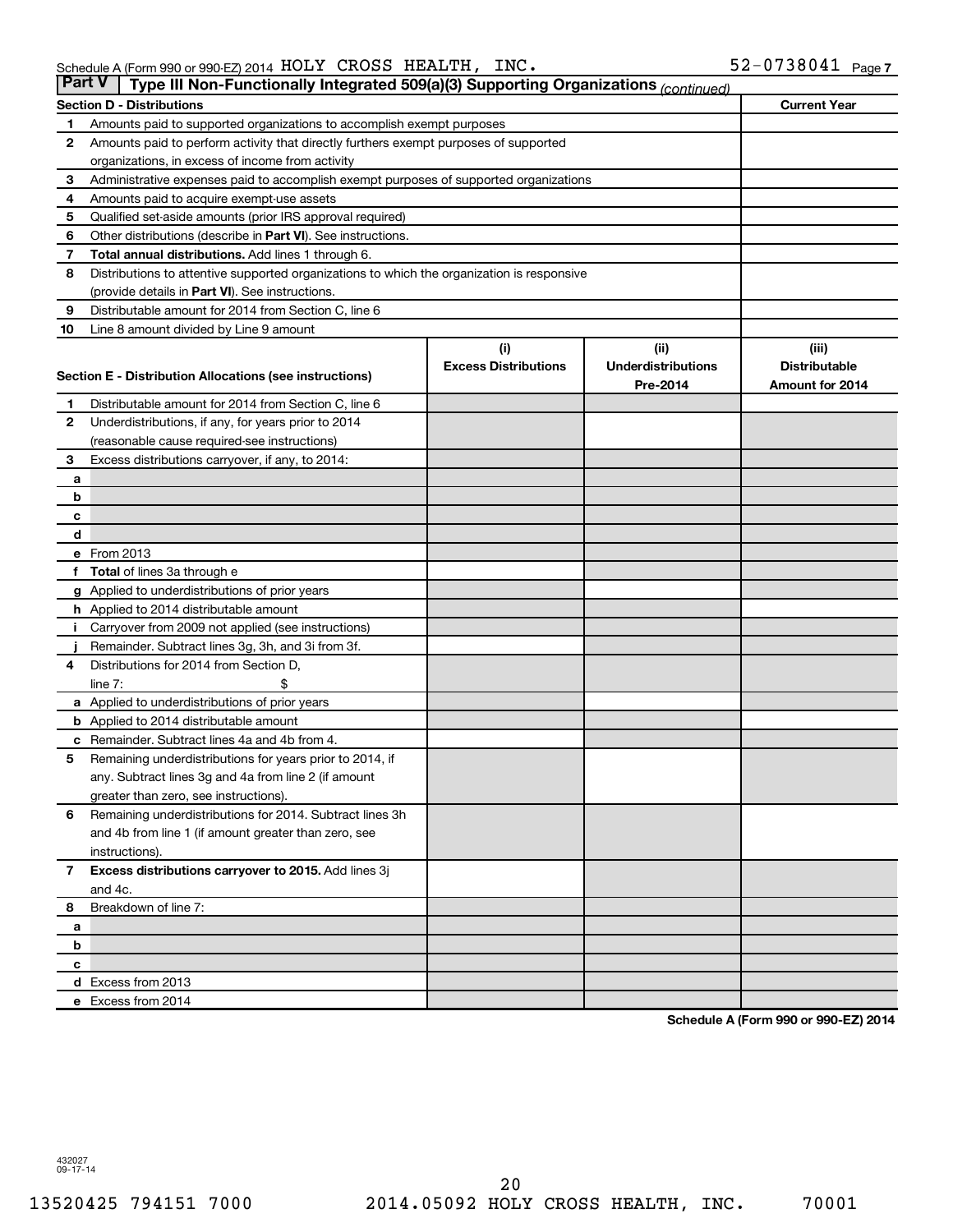| <b>Part V</b>  | Type III Non-Functionally Integrated 509(a)(3) Supporting Organizations (continued)        |                             |                           |                      |  |  |
|----------------|--------------------------------------------------------------------------------------------|-----------------------------|---------------------------|----------------------|--|--|
|                | <b>Section D - Distributions</b>                                                           |                             |                           | <b>Current Year</b>  |  |  |
| 1              | Amounts paid to supported organizations to accomplish exempt purposes                      |                             |                           |                      |  |  |
| $\mathbf{2}$   | Amounts paid to perform activity that directly furthers exempt purposes of supported       |                             |                           |                      |  |  |
|                | organizations, in excess of income from activity                                           |                             |                           |                      |  |  |
| 3              | Administrative expenses paid to accomplish exempt purposes of supported organizations      |                             |                           |                      |  |  |
| 4              | Amounts paid to acquire exempt-use assets                                                  |                             |                           |                      |  |  |
| 5              | Qualified set-aside amounts (prior IRS approval required)                                  |                             |                           |                      |  |  |
| 6              | Other distributions (describe in Part VI). See instructions.                               |                             |                           |                      |  |  |
| 7              | Total annual distributions. Add lines 1 through 6.                                         |                             |                           |                      |  |  |
| 8              | Distributions to attentive supported organizations to which the organization is responsive |                             |                           |                      |  |  |
|                | (provide details in Part VI). See instructions.                                            |                             |                           |                      |  |  |
| 9              | Distributable amount for 2014 from Section C, line 6                                       |                             |                           |                      |  |  |
| 10             | Line 8 amount divided by Line 9 amount                                                     |                             |                           |                      |  |  |
|                |                                                                                            | (i)                         | (ii)                      | (iii)                |  |  |
|                |                                                                                            | <b>Excess Distributions</b> | <b>Underdistributions</b> | <b>Distributable</b> |  |  |
|                | Section E - Distribution Allocations (see instructions)                                    |                             | Pre-2014                  | Amount for 2014      |  |  |
| 1              | Distributable amount for 2014 from Section C, line 6                                       |                             |                           |                      |  |  |
| $\mathbf{2}$   | Underdistributions, if any, for years prior to 2014                                        |                             |                           |                      |  |  |
|                | (reasonable cause required-see instructions)                                               |                             |                           |                      |  |  |
| 3              | Excess distributions carryover, if any, to 2014:                                           |                             |                           |                      |  |  |
| а              |                                                                                            |                             |                           |                      |  |  |
| b              |                                                                                            |                             |                           |                      |  |  |
| с              |                                                                                            |                             |                           |                      |  |  |
| d              |                                                                                            |                             |                           |                      |  |  |
|                | e From 2013                                                                                |                             |                           |                      |  |  |
|                | f Total of lines 3a through e                                                              |                             |                           |                      |  |  |
|                | g Applied to underdistributions of prior years                                             |                             |                           |                      |  |  |
|                | h Applied to 2014 distributable amount                                                     |                             |                           |                      |  |  |
| Ť.             | Carryover from 2009 not applied (see instructions)                                         |                             |                           |                      |  |  |
|                | Remainder. Subtract lines 3g, 3h, and 3i from 3f.                                          |                             |                           |                      |  |  |
| 4              | Distributions for 2014 from Section D,                                                     |                             |                           |                      |  |  |
|                | line $7:$                                                                                  |                             |                           |                      |  |  |
|                | a Applied to underdistributions of prior years                                             |                             |                           |                      |  |  |
|                | <b>b</b> Applied to 2014 distributable amount                                              |                             |                           |                      |  |  |
|                | <b>c</b> Remainder. Subtract lines 4a and 4b from 4.                                       |                             |                           |                      |  |  |
| 5              | Remaining underdistributions for years prior to 2014, if                                   |                             |                           |                      |  |  |
|                | any. Subtract lines 3g and 4a from line 2 (if amount                                       |                             |                           |                      |  |  |
|                | greater than zero, see instructions).                                                      |                             |                           |                      |  |  |
| 6              | Remaining underdistributions for 2014. Subtract lines 3h                                   |                             |                           |                      |  |  |
|                | and 4b from line 1 (if amount greater than zero, see                                       |                             |                           |                      |  |  |
|                | instructions).                                                                             |                             |                           |                      |  |  |
| $\overline{7}$ | Excess distributions carryover to 2015. Add lines 3j                                       |                             |                           |                      |  |  |
|                | and 4c.                                                                                    |                             |                           |                      |  |  |
| 8              | Breakdown of line 7:                                                                       |                             |                           |                      |  |  |
| а              |                                                                                            |                             |                           |                      |  |  |
| b              |                                                                                            |                             |                           |                      |  |  |
| c              |                                                                                            |                             |                           |                      |  |  |
|                | d Excess from 2013                                                                         |                             |                           |                      |  |  |
|                | e Excess from 2014                                                                         |                             |                           |                      |  |  |

**Schedule A (Form 990 or 990-EZ) 2014**

432027 09-17-14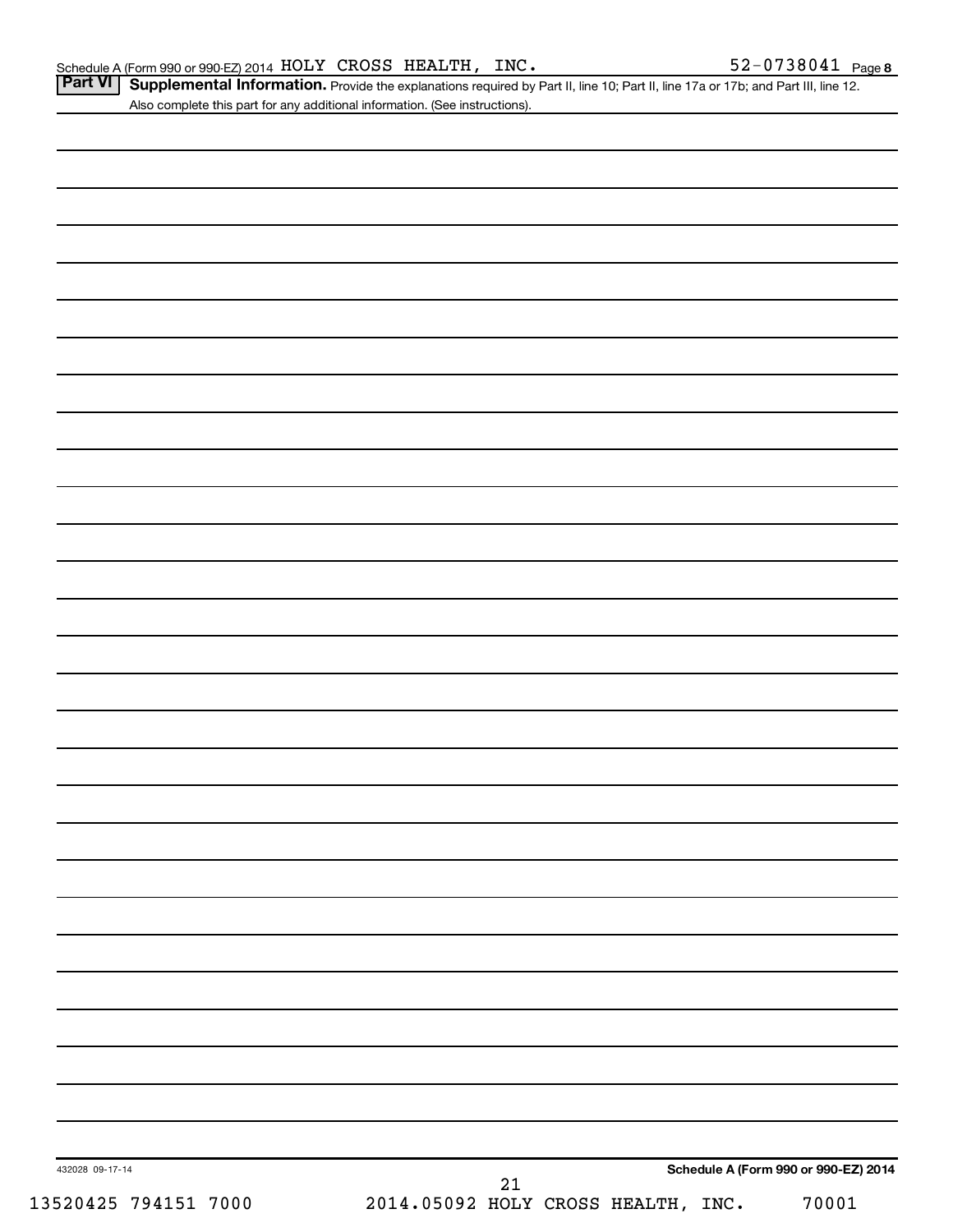Part VI | Supplemental Information. Provide the explanations required by Part II, line 10; Part II, line 17a or 17b; and Part III, line 12. Also complete this part for any additional information. (See instructions).

| 432028 09-17-14      | Schedule A (Form 990 or 990-EZ) 2014     |
|----------------------|------------------------------------------|
|                      | 21<br>2014.05092 HOLY CROSS HEALTH, INC. |
| 13520425 794151 7000 | 70001                                    |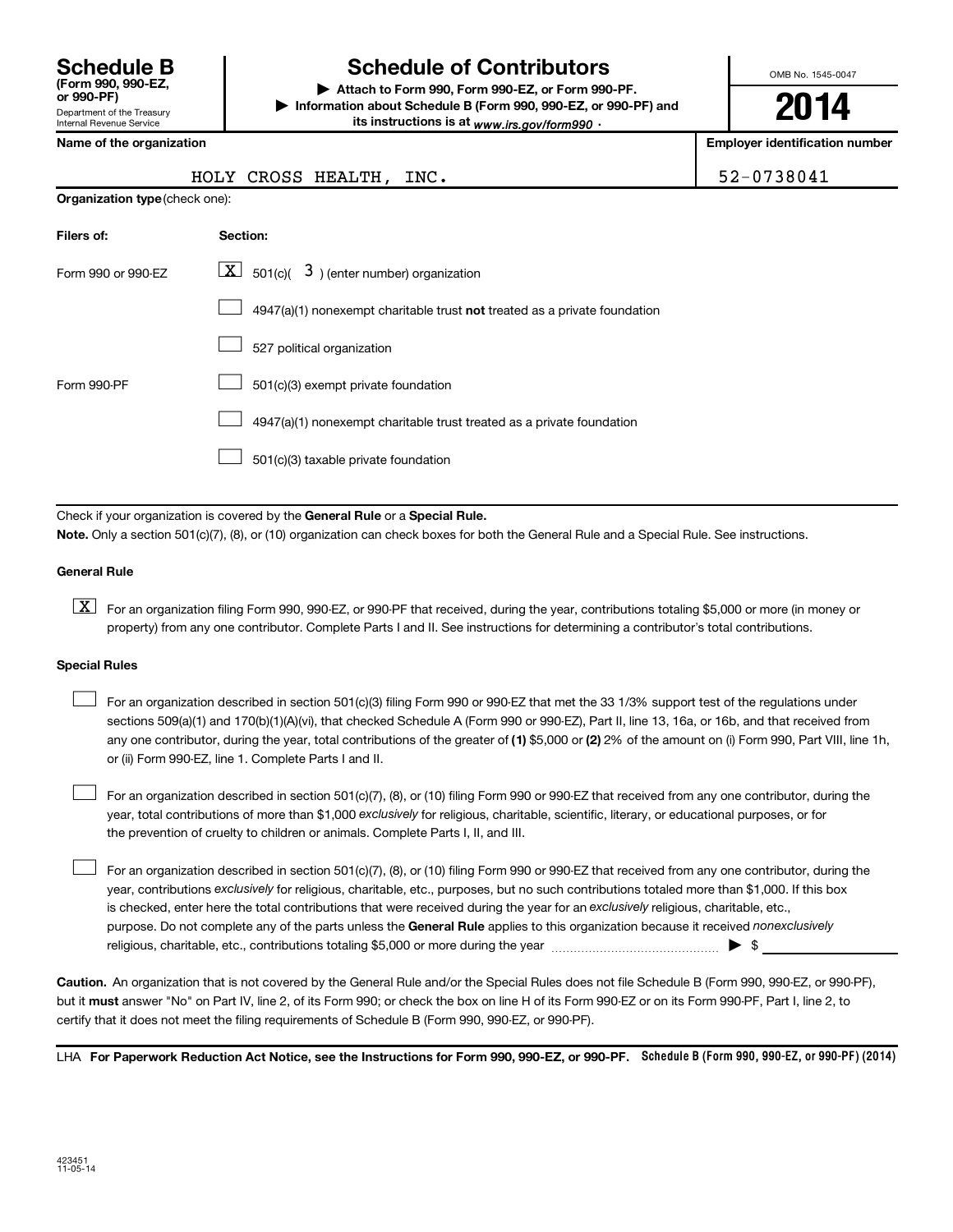| <b>Schedule B</b><br>(Form 990, 990-EZ,<br>or 990-PF)  |
|--------------------------------------------------------|
| Department of the Treasury<br>Internal Revenue Service |

## **Schedule of Contributors**

**or 990-PF) | Attach to Form 990, Form 990-EZ, or Form 990-PF. | Information about Schedule B (Form 990, 990-EZ, or 990-PF) and** its instructions is at <sub>www.irs.gov/form990  $\cdot$ </sub>

OMB No. 1545-0047

**2014**

**Employer identification number** 

|  | Name of the organization |
|--|--------------------------|

**Organization type** (check one):

## HOLY CROSS HEALTH, INC.  $\vert$  52-0738041

| Filers of:         | Section:                                                                  |
|--------------------|---------------------------------------------------------------------------|
| Form 990 or 990-FZ | $\lfloor \mathbf{X} \rfloor$ 501(c)( 3) (enter number) organization       |
|                    | 4947(a)(1) nonexempt charitable trust not treated as a private foundation |
|                    | 527 political organization                                                |
| Form 990-PF        | 501(c)(3) exempt private foundation                                       |
|                    | 4947(a)(1) nonexempt charitable trust treated as a private foundation     |
|                    | 501(c)(3) taxable private foundation                                      |

Check if your organization is covered by the General Rule or a Special Rule.

**Note.**  Only a section 501(c)(7), (8), or (10) organization can check boxes for both the General Rule and a Special Rule. See instructions.

#### **General Rule**

**K** For an organization filing Form 990, 990-EZ, or 990-PF that received, during the year, contributions totaling \$5,000 or more (in money or property) from any one contributor. Complete Parts I and II. See instructions for determining a contributor's total contributions.

#### **Special Rules**

 $\Box$ 

any one contributor, during the year, total contributions of the greater of **(1)** \$5,000 or **(2)** 2% of the amount on (i) Form 990, Part VIII, line 1h, For an organization described in section 501(c)(3) filing Form 990 or 990-EZ that met the 33 1/3% support test of the regulations under sections 509(a)(1) and 170(b)(1)(A)(vi), that checked Schedule A (Form 990 or 990-EZ), Part II, line 13, 16a, or 16b, and that received from or (ii) Form 990-EZ, line 1. Complete Parts I and II.  $\Box$ 

year, total contributions of more than \$1,000 *exclusively* for religious, charitable, scientific, literary, or educational purposes, or for For an organization described in section 501(c)(7), (8), or (10) filing Form 990 or 990-EZ that received from any one contributor, during the the prevention of cruelty to children or animals. Complete Parts I, II, and III.  $\Box$ 

purpose. Do not complete any of the parts unless the General Rule applies to this organization because it received nonexclusively year, contributions exclusively for religious, charitable, etc., purposes, but no such contributions totaled more than \$1,000. If this box is checked, enter here the total contributions that were received during the year for an exclusively religious, charitable, etc., For an organization described in section 501(c)(7), (8), or (10) filing Form 990 or 990-EZ that received from any one contributor, during the religious, charitable, etc., contributions totaling \$5,000 or more during the year  $\ldots$  $\ldots$  $\ldots$  $\ldots$  $\ldots$  $\ldots$ 

**Caution.** An organization that is not covered by the General Rule and/or the Special Rules does not file Schedule B (Form 990, 990-EZ, or 990-PF),  **must** but it answer "No" on Part IV, line 2, of its Form 990; or check the box on line H of its Form 990-EZ or on its Form 990-PF, Part I, line 2, to certify that it does not meet the filing requirements of Schedule B (Form 990, 990-EZ, or 990-PF).

LHA For Paperwork Reduction Act Notice, see the Instructions for Form 990, 990-EZ, or 990-PF. Schedule B (Form 990, 990-EZ, or 990-PF) (2014)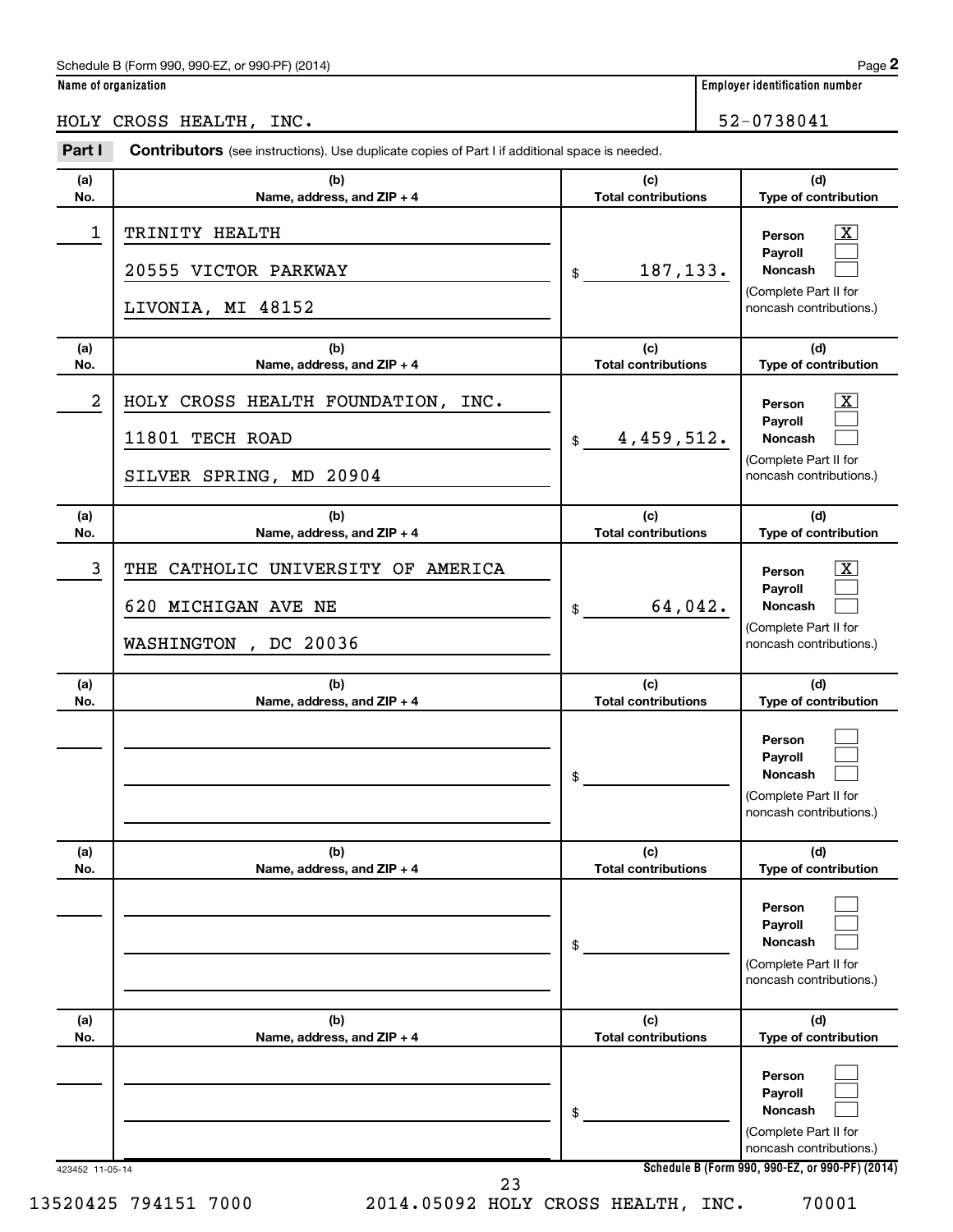## Schedule B (Form 990, 990-EZ, or 990-PF) (2014)

**Name of organization Employer identification number**

HOLY CROSS HEALTH, INC. 52-0738041

| Part I     | Contributors (see instructions). Use duplicate copies of Part I if additional space is needed. |                                   |                                                                                                                 |
|------------|------------------------------------------------------------------------------------------------|-----------------------------------|-----------------------------------------------------------------------------------------------------------------|
| (a)<br>No. | (b)<br>Name, address, and ZIP + 4                                                              | (c)<br><b>Total contributions</b> | (d)<br>Type of contribution                                                                                     |
| 1          | TRINITY HEALTH<br>20555 VICTOR PARKWAY<br>LIVONIA, MI 48152                                    | 187, 133.<br>\$                   | $\boxed{\textbf{X}}$<br>Person<br>Payroll<br><b>Noncash</b><br>(Complete Part II for<br>noncash contributions.) |
| (a)<br>No. | (b)<br>Name, address, and ZIP + 4                                                              | (c)<br><b>Total contributions</b> | (d)<br>Type of contribution                                                                                     |
| 2          | HOLY CROSS HEALTH FOUNDATION, INC.<br>11801 TECH ROAD<br>SILVER SPRING, MD 20904               | 4,459,512.<br>\$                  | $\boxed{\textbf{X}}$<br>Person<br>Payroll<br><b>Noncash</b><br>(Complete Part II for<br>noncash contributions.) |
| (a)<br>No. | (b)<br>Name, address, and ZIP + 4                                                              | (c)<br><b>Total contributions</b> | (d)<br>Type of contribution                                                                                     |
| 3          | THE<br>CATHOLIC UNIVERSITY OF<br>AMERICA<br>620 MICHIGAN AVE NE<br>WASHINGTON<br>DC 20036      | 64,042.<br>\$                     | $\lfloor x \rfloor$<br>Person<br>Payroll<br>Noncash<br>(Complete Part II for<br>noncash contributions.)         |
| (a)<br>No. | (b)<br>Name, address, and ZIP + 4                                                              | (c)<br><b>Total contributions</b> | (d)<br>Type of contribution                                                                                     |
|            |                                                                                                | \$                                | Person<br>Payroll<br>Noncash<br>(Complete Part II for<br>noncash contributions.)                                |
| (a)<br>No. | (b)<br>Name, address, and ZIP + 4                                                              | (c)<br><b>Total contributions</b> | (d)<br>Type of contribution                                                                                     |
|            |                                                                                                | \$                                | Person<br>Payroll<br><b>Noncash</b><br>(Complete Part II for<br>noncash contributions.)                         |
| (a)<br>No. | (b)<br>Name, address, and ZIP + 4                                                              | (c)<br><b>Total contributions</b> | (d)<br>Type of contribution                                                                                     |
|            |                                                                                                | \$                                | Person<br>Payroll<br>Noncash<br>(Complete Part II for<br>noncash contributions.)                                |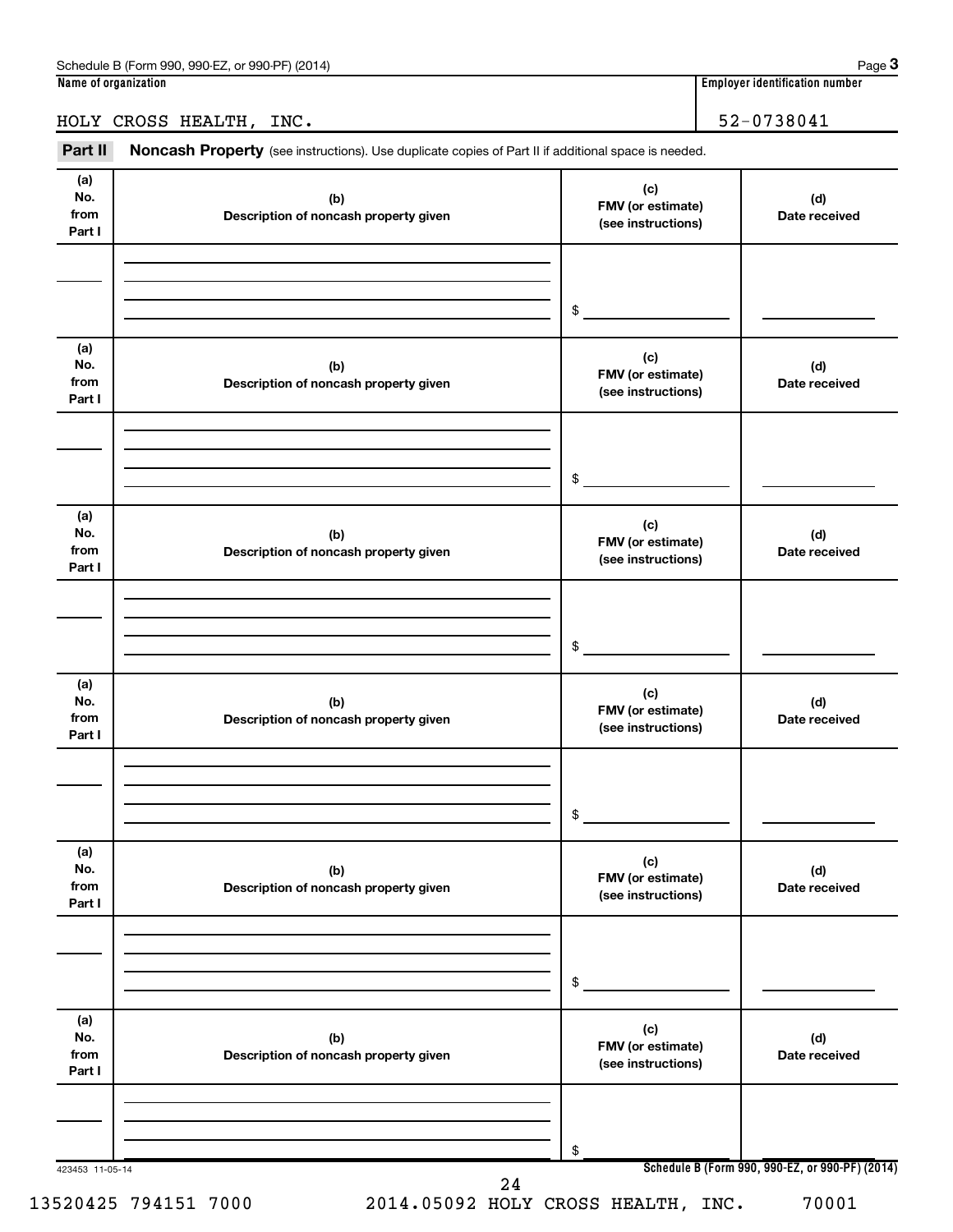## HOLY CROSS HEALTH, INC. 52-0738041

Part II Noncash Property (see instructions). Use duplicate copies of Part II if additional space is needed.

| from<br>Part I               | Description of noncash property given        | FMV (or estimate)<br>(see instructions)        | Date received        |
|------------------------------|----------------------------------------------|------------------------------------------------|----------------------|
|                              |                                              | \$                                             |                      |
| (a)<br>No.<br>from<br>Part I | (b)<br>Description of noncash property given | (c)<br>FMV (or estimate)<br>(see instructions) | (d)<br>Date received |
|                              |                                              | \$                                             |                      |
| (a)<br>No.<br>from<br>Part I | (b)<br>Description of noncash property given | (c)<br>FMV (or estimate)<br>(see instructions) | (d)<br>Date received |
|                              |                                              | $$\circ$$                                      |                      |
| (a)<br>No.<br>from<br>Part I | (b)<br>Description of noncash property given | (c)<br>FMV (or estimate)<br>(see instructions) | (d)<br>Date received |
|                              |                                              | \$                                             |                      |
| (a)<br>No.<br>from<br>Part I | (b)<br>Description of noncash property given | (c)<br>FMV (or estimate)<br>(see instructions) | (d)<br>Date received |
|                              |                                              | \$                                             |                      |
| (a)<br>No.<br>from<br>Part I | (b)<br>Description of noncash property given | (c)<br>FMV (or estimate)<br>(see instructions) | (d)<br>Date received |
|                              |                                              | \$                                             |                      |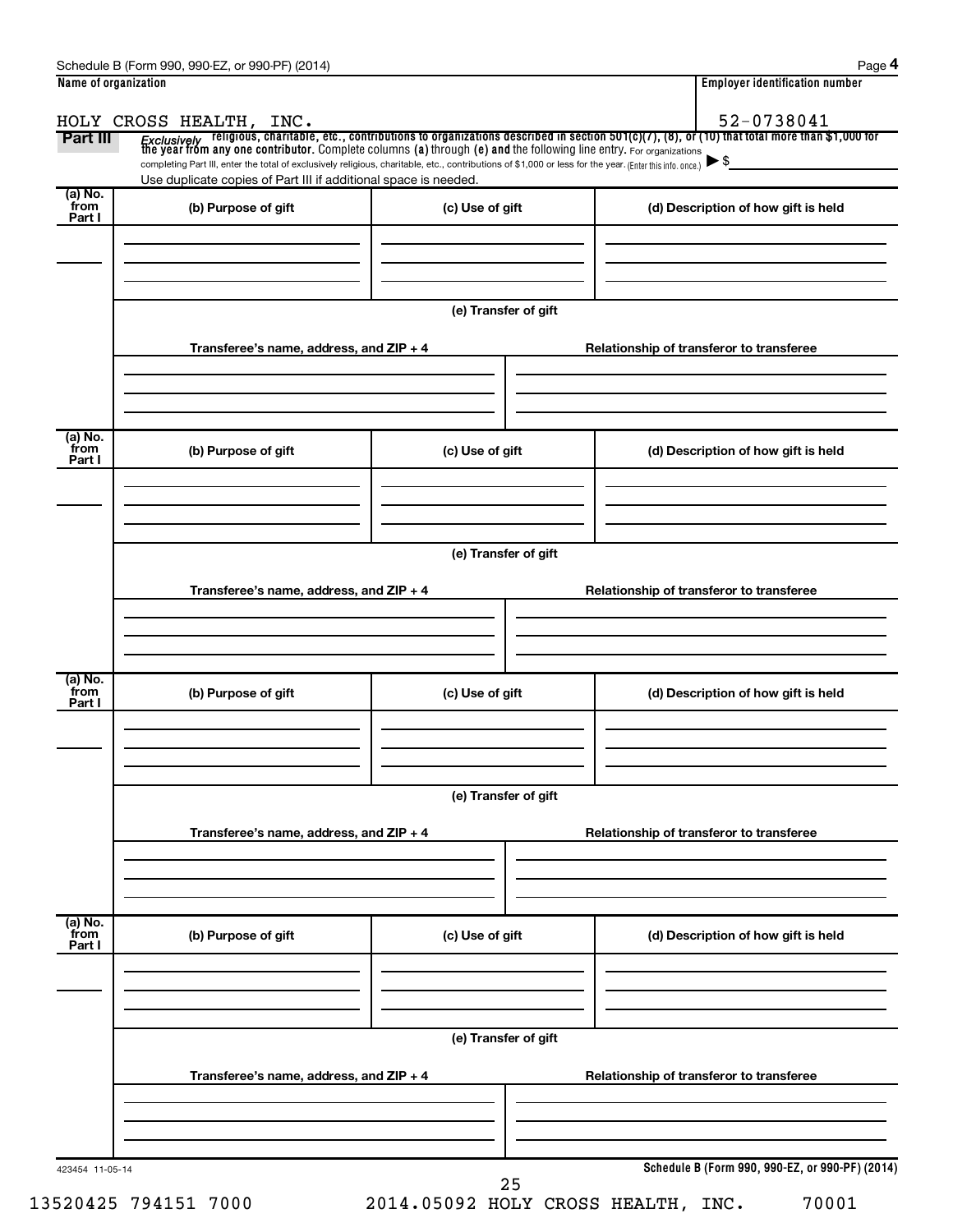| Name of organization      |                                                                                                                                                                                                                             |                      | <b>Employer identification number</b>                                                                                                                                                                                                                 |
|---------------------------|-----------------------------------------------------------------------------------------------------------------------------------------------------------------------------------------------------------------------------|----------------------|-------------------------------------------------------------------------------------------------------------------------------------------------------------------------------------------------------------------------------------------------------|
| Part III                  | HOLY CROSS HEALTH, INC.                                                                                                                                                                                                     |                      | 52-0738041<br><i>Exclusively</i> religious, charitable, etc., contributions to organizations described in section 501(c)(7), (8), or (10) that total more than \$1,000 for<br>the year from any one contributor. Complete columns (a) through (e) and |
|                           | completing Part III, enter the total of exclusively religious, charitable, etc., contributions of \$1,000 or less for the year. (Enter this info. once.)<br>Use duplicate copies of Part III if additional space is needed. |                      |                                                                                                                                                                                                                                                       |
| (a) No.<br>from<br>Part I | (b) Purpose of gift                                                                                                                                                                                                         | (c) Use of gift      | (d) Description of how gift is held                                                                                                                                                                                                                   |
|                           |                                                                                                                                                                                                                             | (e) Transfer of gift |                                                                                                                                                                                                                                                       |
|                           | Transferee's name, address, and ZIP + 4                                                                                                                                                                                     |                      | Relationship of transferor to transferee                                                                                                                                                                                                              |
| (a) No.<br>from<br>Part I | (b) Purpose of gift                                                                                                                                                                                                         | (c) Use of gift      | (d) Description of how gift is held                                                                                                                                                                                                                   |
|                           |                                                                                                                                                                                                                             | (e) Transfer of gift |                                                                                                                                                                                                                                                       |
|                           | Transferee's name, address, and ZIP + 4                                                                                                                                                                                     |                      | Relationship of transferor to transferee                                                                                                                                                                                                              |
| (a) No.<br>from<br>Part I | (b) Purpose of gift                                                                                                                                                                                                         | (c) Use of gift      | (d) Description of how gift is held                                                                                                                                                                                                                   |
|                           |                                                                                                                                                                                                                             | (e) Transfer of gift |                                                                                                                                                                                                                                                       |
|                           | Transferee's name, address, and ZIP + 4                                                                                                                                                                                     |                      | Relationship of transferor to transferee                                                                                                                                                                                                              |
| (a) No.<br>from<br>Part I | (b) Purpose of gift                                                                                                                                                                                                         | (c) Use of gift      | (d) Description of how gift is held                                                                                                                                                                                                                   |
|                           |                                                                                                                                                                                                                             |                      |                                                                                                                                                                                                                                                       |
|                           |                                                                                                                                                                                                                             | (e) Transfer of gift |                                                                                                                                                                                                                                                       |
|                           | Transferee's name, address, and ZIP + 4                                                                                                                                                                                     |                      | Relationship of transferor to transferee                                                                                                                                                                                                              |
|                           |                                                                                                                                                                                                                             |                      |                                                                                                                                                                                                                                                       |

13520425 794151 7000 2014.05092 HOLY CROSS HEALTH, INC. 70001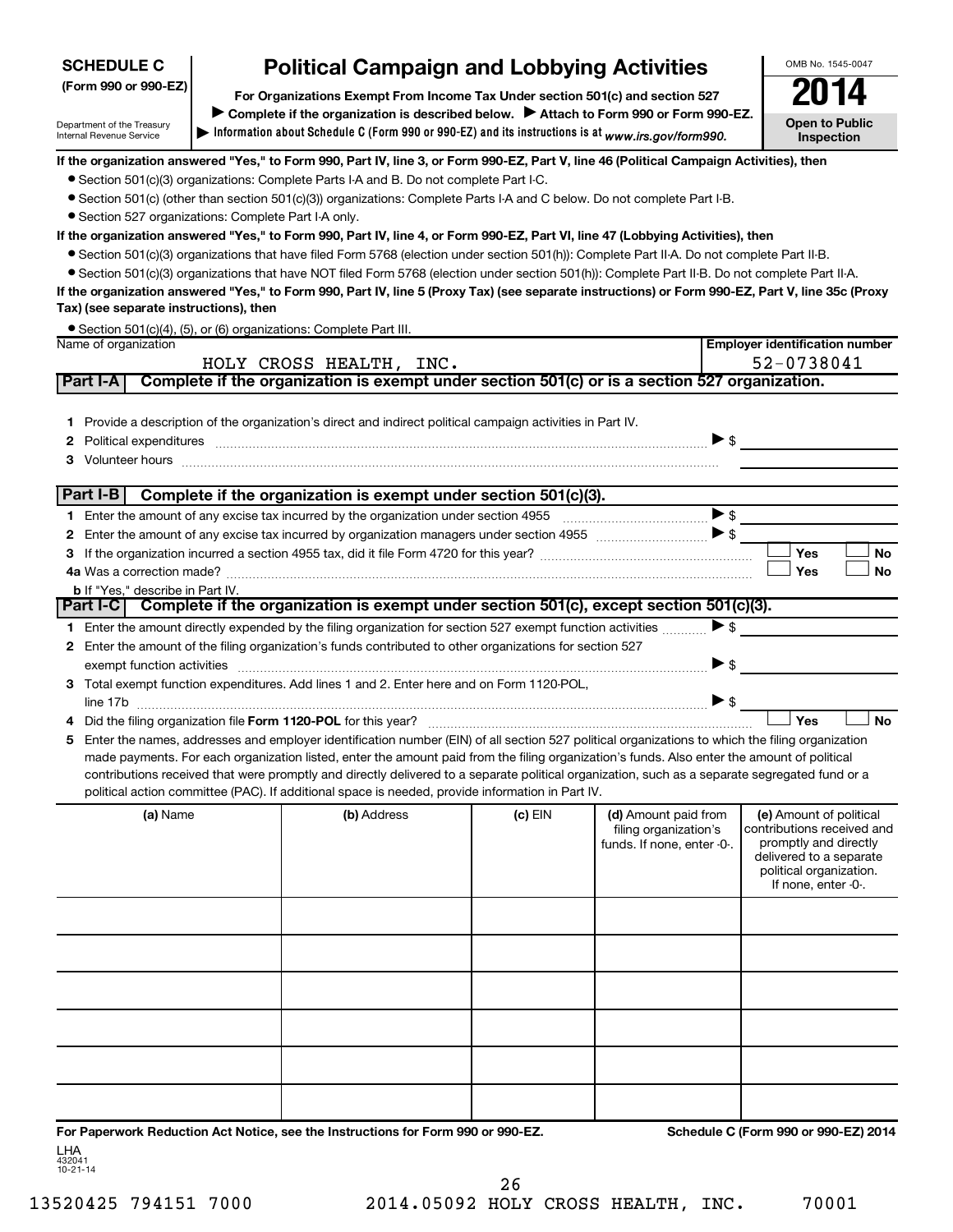# **SCHEDULE C**

Department of the Treasury Internal Revenue Service

# **Political Campaign and Lobbying Activities**<br> **Proanizations Exempt From Income Tax Under section 501(c) and section 527**

**Information about Schedule C (Form 990 or 990-EZ) and its instructions is at |**  *www.irs.gov/form990.* **(Form 990 or 990-EZ) For Organizations Exempt From Income Tax Under section 501(c) and section 527** Complete if the organization is described below. > Attach to Form 990 or Form 990-EZ. **Open to Public Inspection**

**Employer identification number**

OMB No. 1545-0047

#### **If the organization answered "Yes," to Form 990, Part IV, line 3, or Form 990-EZ, Part V, line 46 (Political Campaign Activities), then**

- Section 501(c)(3) organizations: Complete Parts I-A and B. Do not complete Part I-C.
- Section 501(c) (other than section 501(c)(3)) organizations: Complete Parts I-A and C below. Do not complete Part I-B.
- Section 527 organizations: Complete Part I-A only.

#### **If the organization answered "Yes," to Form 990, Part IV, line 4, or Form 990-EZ, Part VI, line 47 (Lobbying Activities), then**

- Section 501(c)(3) organizations that have filed Form 5768 (election under section 501(h)): Complete Part II-A. Do not complete Part II-B.
- Section 501(c)(3) organizations that have NOT filed Form 5768 (election under section 501(h)): Complete Part II-B. Do not complete Part II-A.

#### **If the organization answered "Yes," to Form 990, Part IV, line 5 (Proxy Tax) (see separate instructions) or Form 990-EZ, Part V, line 35c (Proxy Tax) (see separate instructions), then**

|                      | • Section 501(c)(4), (5), or (6) organizations: Complete Part III. |
|----------------------|--------------------------------------------------------------------|
| Name of organization |                                                                    |

|   |                                                                                                                                                                                                                                                                                                                                               | HOLY CROSS HEALTH, INC.                                                                                                                                                                                                        |           |                                                                             | 52-0738041                                                                                                                                                  |
|---|-----------------------------------------------------------------------------------------------------------------------------------------------------------------------------------------------------------------------------------------------------------------------------------------------------------------------------------------------|--------------------------------------------------------------------------------------------------------------------------------------------------------------------------------------------------------------------------------|-----------|-----------------------------------------------------------------------------|-------------------------------------------------------------------------------------------------------------------------------------------------------------|
|   | Part I-A                                                                                                                                                                                                                                                                                                                                      | Complete if the organization is exempt under section 501(c) or is a section 527 organization.                                                                                                                                  |           |                                                                             |                                                                                                                                                             |
| 2 | 1 Provide a description of the organization's direct and indirect political campaign activities in Part IV.<br>Volunteer hours with the contract of the contract of the contract of the contract of the contract of the contract of the contract of the contract of the contract of the contract of the contract of the contract of the contr | Political expenditures information and continuum and contract expenditures in the contract of the contract of the contract of the contract of the contract of the contract of the contract of the contract of the contract of  |           | $\blacktriangleright$ \$                                                    |                                                                                                                                                             |
|   | Part I-B                                                                                                                                                                                                                                                                                                                                      | Complete if the organization is exempt under section 501(c)(3).                                                                                                                                                                |           |                                                                             |                                                                                                                                                             |
|   |                                                                                                                                                                                                                                                                                                                                               |                                                                                                                                                                                                                                |           |                                                                             |                                                                                                                                                             |
|   |                                                                                                                                                                                                                                                                                                                                               |                                                                                                                                                                                                                                |           |                                                                             |                                                                                                                                                             |
|   |                                                                                                                                                                                                                                                                                                                                               |                                                                                                                                                                                                                                |           |                                                                             | Yes<br><b>No</b>                                                                                                                                            |
|   |                                                                                                                                                                                                                                                                                                                                               |                                                                                                                                                                                                                                |           |                                                                             | Yes<br><b>No</b>                                                                                                                                            |
|   | <b>b</b> If "Yes." describe in Part IV.                                                                                                                                                                                                                                                                                                       | Complete if the organization is exempt under section 501(c), except section 501(c)(3).                                                                                                                                         |           |                                                                             |                                                                                                                                                             |
|   | Part I-CI                                                                                                                                                                                                                                                                                                                                     |                                                                                                                                                                                                                                |           |                                                                             |                                                                                                                                                             |
|   | 1 Enter the amount directly expended by the filing organization for section 527 exempt function activities                                                                                                                                                                                                                                    |                                                                                                                                                                                                                                |           |                                                                             | $\blacktriangleright$ \$                                                                                                                                    |
|   | 2 Enter the amount of the filing organization's funds contributed to other organizations for section 527                                                                                                                                                                                                                                      |                                                                                                                                                                                                                                |           | $\triangleright$ \$                                                         |                                                                                                                                                             |
| 3 | Total exempt function expenditures. Add lines 1 and 2. Enter here and on Form 1120-POL,                                                                                                                                                                                                                                                       | exempt function activities with an activities and activities are activities and activities are activities and activities and activities and activities are activities and activities are activities and activities and activit |           |                                                                             |                                                                                                                                                             |
|   |                                                                                                                                                                                                                                                                                                                                               |                                                                                                                                                                                                                                |           | $\blacktriangleright$ \$                                                    |                                                                                                                                                             |
|   |                                                                                                                                                                                                                                                                                                                                               |                                                                                                                                                                                                                                |           |                                                                             | Yes<br><b>No</b>                                                                                                                                            |
| 5 |                                                                                                                                                                                                                                                                                                                                               | Enter the names, addresses and employer identification number (EIN) of all section 527 political organizations to which the filing organization                                                                                |           |                                                                             |                                                                                                                                                             |
|   |                                                                                                                                                                                                                                                                                                                                               | made payments. For each organization listed, enter the amount paid from the filing organization's funds. Also enter the amount of political                                                                                    |           |                                                                             |                                                                                                                                                             |
|   |                                                                                                                                                                                                                                                                                                                                               | contributions received that were promptly and directly delivered to a separate political organization, such as a separate segregated fund or a                                                                                 |           |                                                                             |                                                                                                                                                             |
|   |                                                                                                                                                                                                                                                                                                                                               | political action committee (PAC). If additional space is needed, provide information in Part IV.                                                                                                                               |           |                                                                             |                                                                                                                                                             |
|   | (a) Name                                                                                                                                                                                                                                                                                                                                      | (b) Address                                                                                                                                                                                                                    | $(c)$ EIN | (d) Amount paid from<br>filing organization's<br>funds. If none, enter -0-. | (e) Amount of political<br>contributions received and<br>promptly and directly<br>delivered to a separate<br>political organization.<br>If none, enter -0-. |
|   |                                                                                                                                                                                                                                                                                                                                               |                                                                                                                                                                                                                                |           |                                                                             |                                                                                                                                                             |
|   |                                                                                                                                                                                                                                                                                                                                               |                                                                                                                                                                                                                                |           |                                                                             |                                                                                                                                                             |
|   |                                                                                                                                                                                                                                                                                                                                               |                                                                                                                                                                                                                                |           |                                                                             |                                                                                                                                                             |

**For Paperwork Reduction Act Notice, see the Instructions for Form 990 or 990-EZ. Schedule C (Form 990 or 990-EZ) 2014**

432041 10-21-14

LHA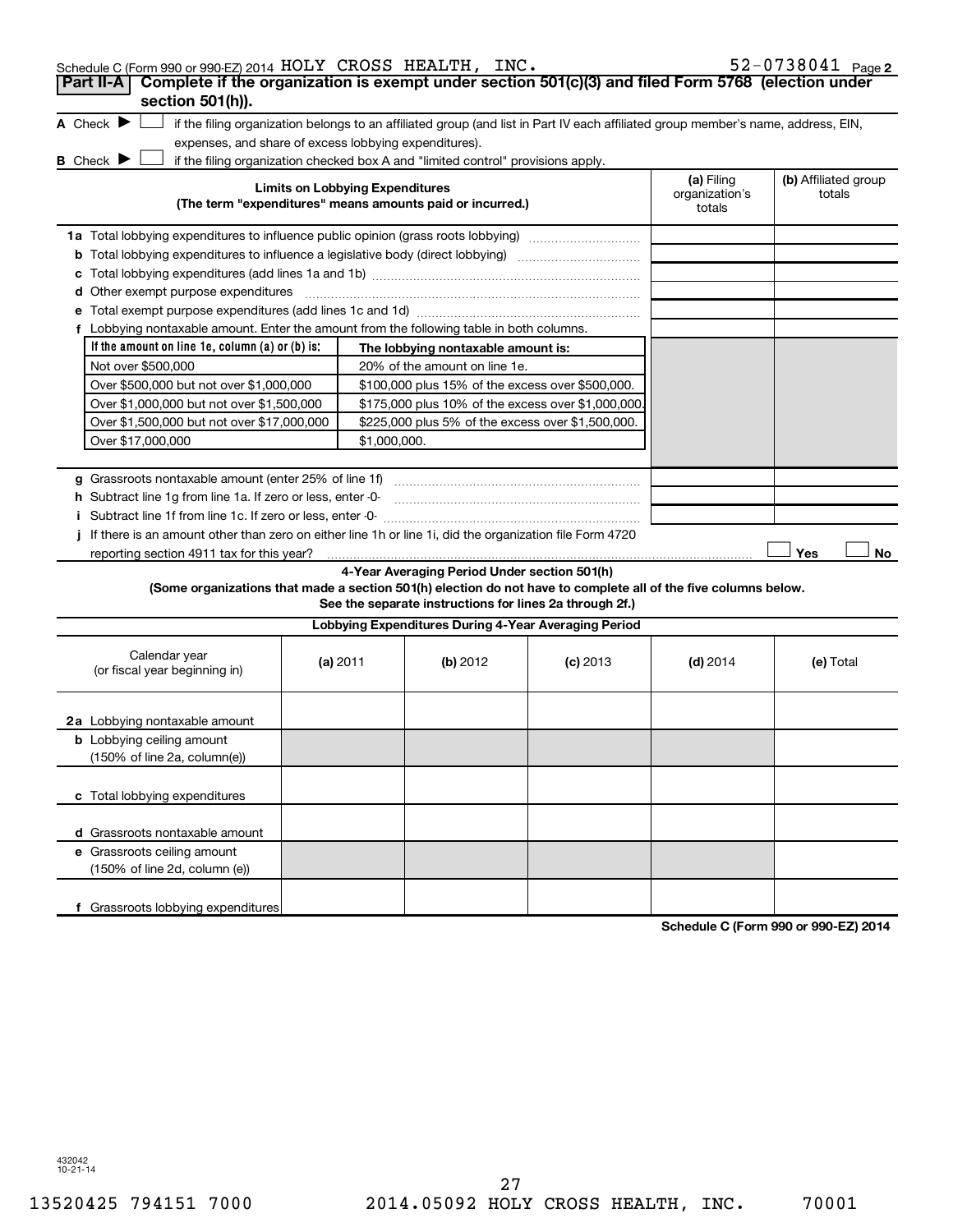| Schedule C (Form 990 or 990-EZ) 2014 HOLY CROSS HEALTH, INC.                                                                                                                                                                                                                                                                                                                |                                        |                                                                                                         |            |                                        | 52-0738041 Page 2              |
|-----------------------------------------------------------------------------------------------------------------------------------------------------------------------------------------------------------------------------------------------------------------------------------------------------------------------------------------------------------------------------|----------------------------------------|---------------------------------------------------------------------------------------------------------|------------|----------------------------------------|--------------------------------|
| Complete if the organization is exempt under section 501(c)(3) and filed Form 5768 (election under<br>Part II-A                                                                                                                                                                                                                                                             |                                        |                                                                                                         |            |                                        |                                |
| section 501(h)).<br>A Check $\blacktriangleright$<br>if the filing organization belongs to an affiliated group (and list in Part IV each affiliated group member's name, address, EIN,<br>expenses, and share of excess lobbying expenditures).<br><b>B</b> Check $\blacktriangleright$<br>if the filing organization checked box A and "limited control" provisions apply. |                                        |                                                                                                         |            |                                        |                                |
| (The term "expenditures" means amounts paid or incurred.)                                                                                                                                                                                                                                                                                                                   | <b>Limits on Lobbying Expenditures</b> |                                                                                                         |            | (a) Filing<br>organization's<br>totals | (b) Affiliated group<br>totals |
| 1a Total lobbying expenditures to influence public opinion (grass roots lobbying)                                                                                                                                                                                                                                                                                           |                                        |                                                                                                         |            |                                        |                                |
|                                                                                                                                                                                                                                                                                                                                                                             |                                        |                                                                                                         |            |                                        |                                |
|                                                                                                                                                                                                                                                                                                                                                                             |                                        |                                                                                                         |            |                                        |                                |
| d Other exempt purpose expenditures                                                                                                                                                                                                                                                                                                                                         |                                        |                                                                                                         |            |                                        |                                |
|                                                                                                                                                                                                                                                                                                                                                                             |                                        |                                                                                                         |            |                                        |                                |
| f Lobbying nontaxable amount. Enter the amount from the following table in both columns.                                                                                                                                                                                                                                                                                    |                                        |                                                                                                         |            |                                        |                                |
| If the amount on line 1e, column $(a)$ or $(b)$ is:                                                                                                                                                                                                                                                                                                                         |                                        | The lobbying nontaxable amount is:                                                                      |            |                                        |                                |
| Not over \$500,000                                                                                                                                                                                                                                                                                                                                                          |                                        | 20% of the amount on line 1e.                                                                           |            |                                        |                                |
| Over \$500,000 but not over \$1,000,000                                                                                                                                                                                                                                                                                                                                     |                                        | \$100,000 plus 15% of the excess over \$500,000.                                                        |            |                                        |                                |
| Over \$1,000,000 but not over \$1,500,000                                                                                                                                                                                                                                                                                                                                   |                                        | \$175,000 plus 10% of the excess over \$1,000,000                                                       |            |                                        |                                |
| Over \$1,500,000 but not over \$17,000,000                                                                                                                                                                                                                                                                                                                                  |                                        | \$225,000 plus 5% of the excess over \$1,500,000.                                                       |            |                                        |                                |
| Over \$17,000,000                                                                                                                                                                                                                                                                                                                                                           | \$1,000,000.                           |                                                                                                         |            |                                        |                                |
| g Grassroots nontaxable amount (enter 25% of line 1f)                                                                                                                                                                                                                                                                                                                       |                                        |                                                                                                         |            |                                        |                                |
| h Subtract line 1g from line 1a. If zero or less, enter -0-                                                                                                                                                                                                                                                                                                                 |                                        |                                                                                                         |            |                                        |                                |
|                                                                                                                                                                                                                                                                                                                                                                             |                                        |                                                                                                         |            |                                        |                                |
| If there is an amount other than zero on either line 1h or line 1i, did the organization file Form 4720                                                                                                                                                                                                                                                                     |                                        |                                                                                                         |            |                                        |                                |
| reporting section 4911 tax for this year?                                                                                                                                                                                                                                                                                                                                   |                                        |                                                                                                         |            |                                        | Yes                            |
| (Some organizations that made a section 501(h) election do not have to complete all of the five columns below.                                                                                                                                                                                                                                                              |                                        | 4-Year Averaging Period Under section 501(h)<br>See the separate instructions for lines 2a through 2f.) |            |                                        |                                |
|                                                                                                                                                                                                                                                                                                                                                                             |                                        | Lobbying Expenditures During 4-Year Averaging Period                                                    |            |                                        |                                |
| Calendar year<br>(or fiscal year beginning in)                                                                                                                                                                                                                                                                                                                              | (a) 2011                               | (b) 2012                                                                                                | $(c)$ 2013 | $(d)$ 2014                             | (e) Total                      |
| 2a Lobbying nontaxable amount                                                                                                                                                                                                                                                                                                                                               |                                        |                                                                                                         |            |                                        |                                |
| <b>b</b> Lobbying ceiling amount<br>(150% of line 2a, column(e))                                                                                                                                                                                                                                                                                                            |                                        |                                                                                                         |            |                                        |                                |
| c Total lobbying expenditures                                                                                                                                                                                                                                                                                                                                               |                                        |                                                                                                         |            |                                        |                                |
| d Grassroots nontaxable amount                                                                                                                                                                                                                                                                                                                                              |                                        |                                                                                                         |            |                                        |                                |
| e Grassroots ceiling amount<br>(150% of line 2d, column (e))                                                                                                                                                                                                                                                                                                                |                                        |                                                                                                         |            |                                        |                                |

**Schedule C (Form 990 or 990-EZ) 2014**

432042 10-21-14

13520425 794151 7000 2014.05092 HOLY CROSS HEALTH, INC. 70001 27

**f** Grassroots lobbying expenditures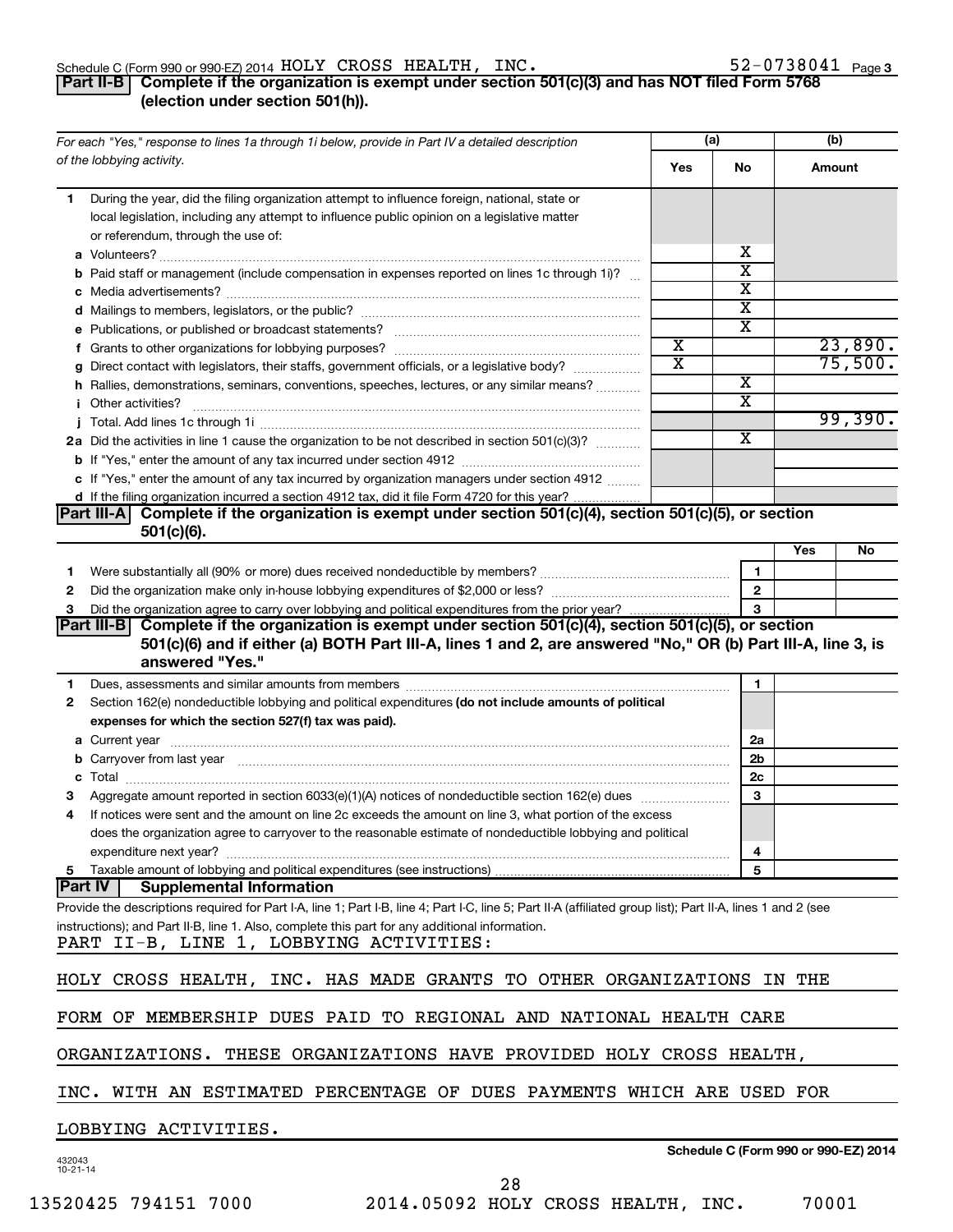#### Schedule C (Form 990 or 990-EZ) 2014 Page HOLY CROSS HEALTH, INC. 52-0738041

## **Part II-B Complete if the organization is exempt under section 501(c)(3) and has NOT filed Form 5768 (election under section 501(h)).**

|              | For each "Yes," response to lines 1a through 1i below, provide in Part IV a detailed description                                                                                                                                                                                                          |                         | (a)                                  | (b)    |         |
|--------------|-----------------------------------------------------------------------------------------------------------------------------------------------------------------------------------------------------------------------------------------------------------------------------------------------------------|-------------------------|--------------------------------------|--------|---------|
|              | of the lobbying activity.                                                                                                                                                                                                                                                                                 | Yes                     | No                                   | Amount |         |
| 1.           | During the year, did the filing organization attempt to influence foreign, national, state or<br>local legislation, including any attempt to influence public opinion on a legislative matter<br>or referendum, through the use of:                                                                       |                         | х                                    |        |         |
|              | <b>b</b> Paid staff or management (include compensation in expenses reported on lines 1c through 1i)?                                                                                                                                                                                                     |                         | $\overline{\texttt{x}}$              |        |         |
|              |                                                                                                                                                                                                                                                                                                           |                         | $\overline{\texttt{x}}$              |        |         |
|              |                                                                                                                                                                                                                                                                                                           |                         | $\overline{\texttt{x}}$              |        |         |
|              |                                                                                                                                                                                                                                                                                                           |                         | х                                    |        |         |
|              |                                                                                                                                                                                                                                                                                                           | $\overline{\textbf{x}}$ |                                      |        | 23,890. |
|              | Direct contact with legislators, their staffs, government officials, or a legislative body?                                                                                                                                                                                                               | $\overline{\textbf{x}}$ |                                      |        | 75,500. |
| g            | h Rallies, demonstrations, seminars, conventions, speeches, lectures, or any similar means?                                                                                                                                                                                                               |                         | $\overline{\textbf{x}}$              |        |         |
|              |                                                                                                                                                                                                                                                                                                           |                         | $\overline{\textbf{x}}$              |        |         |
|              | Other activities?                                                                                                                                                                                                                                                                                         |                         |                                      |        | 99,390. |
|              |                                                                                                                                                                                                                                                                                                           |                         | $\overline{\textbf{x}}$              |        |         |
|              | 2a Did the activities in line 1 cause the organization to be not described in section 501(c)(3)?                                                                                                                                                                                                          |                         |                                      |        |         |
|              |                                                                                                                                                                                                                                                                                                           |                         |                                      |        |         |
|              | c If "Yes," enter the amount of any tax incurred by organization managers under section 4912                                                                                                                                                                                                              |                         |                                      |        |         |
|              | d If the filing organization incurred a section 4912 tax, did it file Form 4720 for this year?                                                                                                                                                                                                            |                         |                                      |        |         |
|              | Complete if the organization is exempt under section 501(c)(4), section 501(c)(5), or section<br>Part III-A<br>$501(c)(6)$ .                                                                                                                                                                              |                         |                                      |        |         |
|              |                                                                                                                                                                                                                                                                                                           |                         |                                      | Yes    | No      |
| 1.           |                                                                                                                                                                                                                                                                                                           |                         | $\mathbf{1}$                         |        |         |
| 2            |                                                                                                                                                                                                                                                                                                           |                         | $\overline{2}$                       |        |         |
| 3            |                                                                                                                                                                                                                                                                                                           |                         | 3                                    |        |         |
|              | Part III-B Complete if the organization is exempt under section 501(c)(4), section 501(c)(5), or section<br>501(c)(6) and if either (a) BOTH Part III-A, lines 1 and 2, are answered "No," OR (b) Part III-A, line 3, is                                                                                  |                         |                                      |        |         |
|              | answered "Yes."                                                                                                                                                                                                                                                                                           |                         |                                      |        |         |
| 1.           | Dues, assessments and similar amounts from members [11] matter contracts and similar amounts from members [11] matter and similar amounts from members [11] matter and starting and starting and starting and starting and sta                                                                            |                         | 1                                    |        |         |
| $\mathbf{2}$ | Section 162(e) nondeductible lobbying and political expenditures (do not include amounts of political                                                                                                                                                                                                     |                         |                                      |        |         |
|              | expenses for which the section 527(f) tax was paid).                                                                                                                                                                                                                                                      |                         |                                      |        |         |
|              | a Current year <b>with the contract of the contract of the contract of the contract of the contract of the contract of the contract of the contract of the contract of the contract of the contract of the contract of the contr</b>                                                                      |                         | 2a                                   |        |         |
|              | b Carryover from last year manufactured and continuum contract to contact the contract of the contract of the contract of the contract of the contract of the contract of the contract of the contract of the contract of the                                                                             |                         | 2 <sub>b</sub>                       |        |         |
| c            |                                                                                                                                                                                                                                                                                                           |                         | 2c                                   |        |         |
| 3            |                                                                                                                                                                                                                                                                                                           |                         | 3                                    |        |         |
| 4            | If notices were sent and the amount on line 2c exceeds the amount on line 3, what portion of the excess                                                                                                                                                                                                   |                         |                                      |        |         |
|              | does the organization agree to carryover to the reasonable estimate of nondeductible lobbying and political                                                                                                                                                                                               |                         |                                      |        |         |
|              | expenditure next year?                                                                                                                                                                                                                                                                                    |                         | 4                                    |        |         |
|              | 5 Taxable amount of lobbying and political expenditures (see instructions)                                                                                                                                                                                                                                |                         | 5                                    |        |         |
|              | <b>Part IV</b><br><b>Supplemental Information</b>                                                                                                                                                                                                                                                         |                         |                                      |        |         |
|              | Provide the descriptions required for Part I-A, line 1; Part I-B, line 4; Part I-C, line 5; Part II-A (affiliated group list); Part II-A, lines 1 and 2 (see<br>instructions); and Part II-B, line 1. Also, complete this part for any additional information.<br>PART II-B, LINE 1, LOBBYING ACTIVITIES: |                         |                                      |        |         |
|              | HOLY CROSS HEALTH, INC. HAS MADE GRANTS TO OTHER ORGANIZATIONS IN THE                                                                                                                                                                                                                                     |                         |                                      |        |         |
|              | FORM OF MEMBERSHIP DUES PAID TO REGIONAL AND NATIONAL HEALTH CARE                                                                                                                                                                                                                                         |                         |                                      |        |         |
|              | ORGANIZATIONS. THESE ORGANIZATIONS HAVE PROVIDED HOLY CROSS HEALTH,                                                                                                                                                                                                                                       |                         |                                      |        |         |
|              | INC. WITH AN ESTIMATED PERCENTAGE OF DUES PAYMENTS WHICH ARE USED FOR                                                                                                                                                                                                                                     |                         |                                      |        |         |
|              | LOBBYING ACTIVITIES.                                                                                                                                                                                                                                                                                      |                         |                                      |        |         |
|              |                                                                                                                                                                                                                                                                                                           |                         | Schedule C (Form 990 or 990-EZ) 2014 |        |         |

432043 10-21-14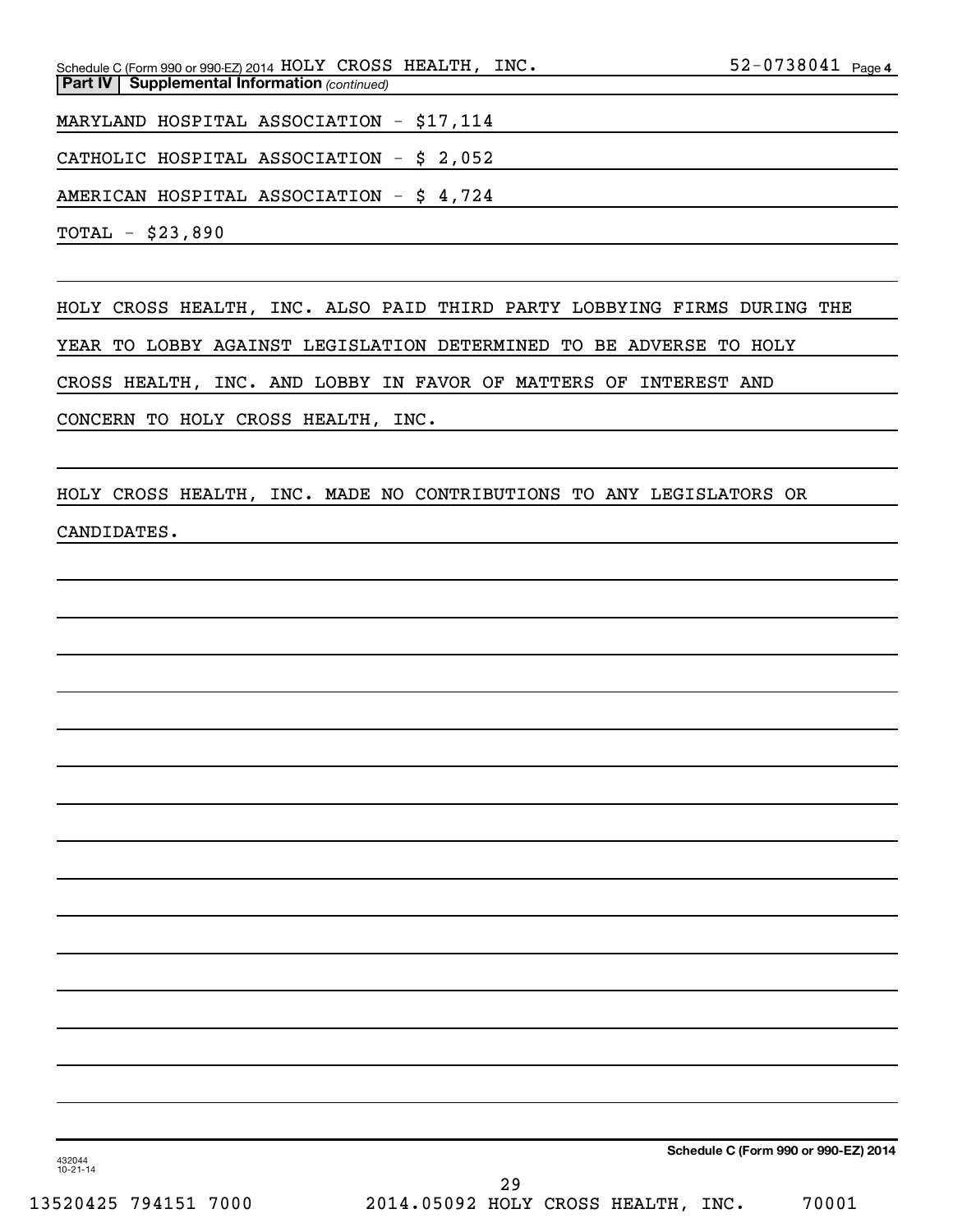MARYLAND HOSPITAL ASSOCIATION - \$17,114

CATHOLIC HOSPITAL ASSOCIATION - \$ 2,052

AMERICAN HOSPITAL ASSOCIATION - \$ 4,724

TOTAL - \$23,890

HOLY CROSS HEALTH, INC. ALSO PAID THIRD PARTY LOBBYING FIRMS DURING THE

YEAR TO LOBBY AGAINST LEGISLATION DETERMINED TO BE ADVERSE TO HOLY

CROSS HEALTH, INC. AND LOBBY IN FAVOR OF MATTERS OF INTEREST AND

CONCERN TO HOLY CROSS HEALTH, INC.

HOLY CROSS HEALTH, INC. MADE NO CONTRIBUTIONS TO ANY LEGISLATORS OR

CANDIDATES.

**Schedule C (Form 990 or 990-EZ) 2014**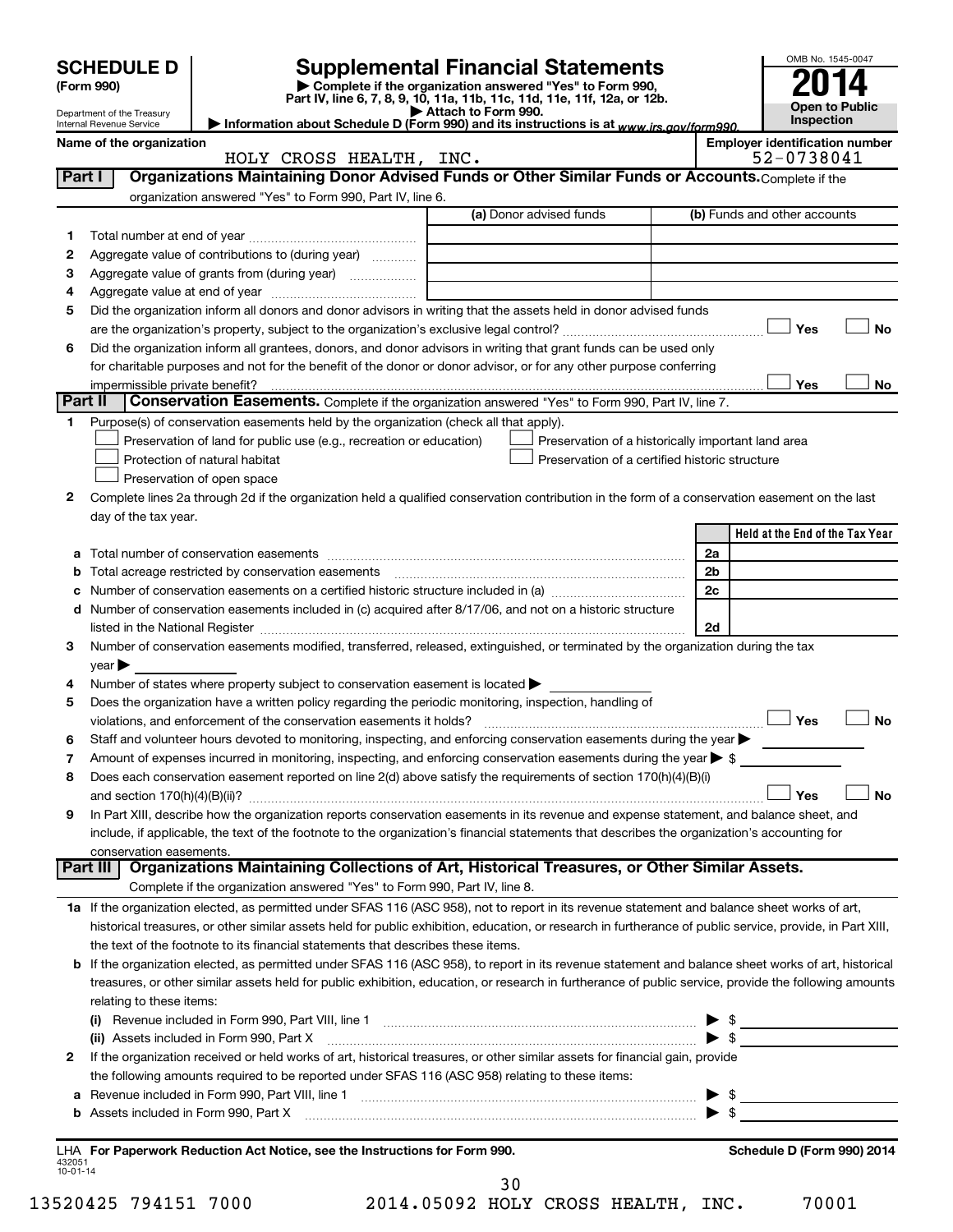|                          | <b>SCHEDULE D</b><br>(Form 990)<br>Department of the Treasury<br>Internal Revenue Service |                                                                                                        | <b>Supplemental Financial Statements</b><br>Complete if the organization answered "Yes" to Form 990,<br>Part IV, line 6, 7, 8, 9, 10, 11a, 11b, 11c, 11d, 11e, 11f, 12a, or 12b.<br>Attach to Form 990.<br>Information about Schedule D (Form 990) and its instructions is at www.irs.gov/form990. |                          | OMB No. 1545-0047<br>Inspection       | <b>Open to Public</b> |
|--------------------------|-------------------------------------------------------------------------------------------|--------------------------------------------------------------------------------------------------------|----------------------------------------------------------------------------------------------------------------------------------------------------------------------------------------------------------------------------------------------------------------------------------------------------|--------------------------|---------------------------------------|-----------------------|
|                          | Name of the organization                                                                  |                                                                                                        |                                                                                                                                                                                                                                                                                                    |                          | <b>Employer identification number</b> |                       |
|                          |                                                                                           | HOLY CROSS HEALTH, INC.                                                                                |                                                                                                                                                                                                                                                                                                    |                          | 52-0738041                            |                       |
| Part I                   |                                                                                           |                                                                                                        | Organizations Maintaining Donor Advised Funds or Other Similar Funds or Accounts. Complete if the                                                                                                                                                                                                  |                          |                                       |                       |
|                          |                                                                                           | organization answered "Yes" to Form 990, Part IV, line 6.                                              |                                                                                                                                                                                                                                                                                                    |                          |                                       |                       |
|                          |                                                                                           |                                                                                                        | (a) Donor advised funds                                                                                                                                                                                                                                                                            |                          | (b) Funds and other accounts          |                       |
| 1                        |                                                                                           |                                                                                                        |                                                                                                                                                                                                                                                                                                    |                          |                                       |                       |
| 2                        |                                                                                           | Aggregate value of contributions to (during year)                                                      |                                                                                                                                                                                                                                                                                                    |                          |                                       |                       |
| 3                        |                                                                                           |                                                                                                        | the control of the control of the control of the control of the control of                                                                                                                                                                                                                         |                          |                                       |                       |
| 4                        |                                                                                           |                                                                                                        |                                                                                                                                                                                                                                                                                                    |                          |                                       |                       |
| 5                        |                                                                                           |                                                                                                        | Did the organization inform all donors and donor advisors in writing that the assets held in donor advised funds                                                                                                                                                                                   |                          | Yes                                   | <b>No</b>             |
| 6                        |                                                                                           |                                                                                                        | Did the organization inform all grantees, donors, and donor advisors in writing that grant funds can be used only                                                                                                                                                                                  |                          |                                       |                       |
|                          |                                                                                           |                                                                                                        | for charitable purposes and not for the benefit of the donor or donor advisor, or for any other purpose conferring                                                                                                                                                                                 |                          |                                       |                       |
|                          |                                                                                           |                                                                                                        |                                                                                                                                                                                                                                                                                                    |                          | <b>Yes</b>                            | No                    |
| Part II                  |                                                                                           |                                                                                                        | <b>Conservation Easements.</b> Complete if the organization answered "Yes" to Form 990, Part IV, line 7.                                                                                                                                                                                           |                          |                                       |                       |
| 1                        |                                                                                           | Purpose(s) of conservation easements held by the organization (check all that apply).                  |                                                                                                                                                                                                                                                                                                    |                          |                                       |                       |
|                          |                                                                                           | Preservation of land for public use (e.g., recreation or education)                                    | Preservation of a historically important land area                                                                                                                                                                                                                                                 |                          |                                       |                       |
|                          |                                                                                           | Protection of natural habitat                                                                          | Preservation of a certified historic structure                                                                                                                                                                                                                                                     |                          |                                       |                       |
|                          |                                                                                           | Preservation of open space                                                                             |                                                                                                                                                                                                                                                                                                    |                          |                                       |                       |
| 2                        |                                                                                           |                                                                                                        | Complete lines 2a through 2d if the organization held a qualified conservation contribution in the form of a conservation easement on the last                                                                                                                                                     |                          |                                       |                       |
|                          | day of the tax year.                                                                      |                                                                                                        |                                                                                                                                                                                                                                                                                                    |                          |                                       |                       |
|                          |                                                                                           |                                                                                                        |                                                                                                                                                                                                                                                                                                    |                          | Held at the End of the Tax Year       |                       |
|                          |                                                                                           |                                                                                                        |                                                                                                                                                                                                                                                                                                    | 2a                       |                                       |                       |
| b                        |                                                                                           |                                                                                                        |                                                                                                                                                                                                                                                                                                    | 2b                       |                                       |                       |
| с                        |                                                                                           |                                                                                                        |                                                                                                                                                                                                                                                                                                    | 2c                       |                                       |                       |
|                          |                                                                                           |                                                                                                        | d Number of conservation easements included in (c) acquired after 8/17/06, and not on a historic structure                                                                                                                                                                                         |                          |                                       |                       |
|                          |                                                                                           |                                                                                                        |                                                                                                                                                                                                                                                                                                    | 2d                       |                                       |                       |
| З                        |                                                                                           |                                                                                                        | Number of conservation easements modified, transferred, released, extinguished, or terminated by the organization during the tax                                                                                                                                                                   |                          |                                       |                       |
|                          | $year \blacktriangleright$                                                                |                                                                                                        |                                                                                                                                                                                                                                                                                                    |                          |                                       |                       |
| 4                        |                                                                                           | Number of states where property subject to conservation easement is located $\blacktriangleright$      |                                                                                                                                                                                                                                                                                                    |                          |                                       |                       |
| 5                        |                                                                                           | Does the organization have a written policy regarding the periodic monitoring, inspection, handling of |                                                                                                                                                                                                                                                                                                    |                          |                                       |                       |
|                          |                                                                                           |                                                                                                        |                                                                                                                                                                                                                                                                                                    |                          | Yes                                   | <b>No</b>             |
| 6                        |                                                                                           |                                                                                                        | Staff and volunteer hours devoted to monitoring, inspecting, and enforcing conservation easements during the year                                                                                                                                                                                  |                          |                                       |                       |
| 7                        |                                                                                           |                                                                                                        | Amount of expenses incurred in monitoring, inspecting, and enforcing conservation easements during the year $\triangleright$ \$                                                                                                                                                                    |                          |                                       |                       |
| 8                        |                                                                                           |                                                                                                        | Does each conservation easement reported on line 2(d) above satisfy the requirements of section 170(h)(4)(B)(i)                                                                                                                                                                                    |                          | Yes                                   | <b>No</b>             |
| 9                        |                                                                                           |                                                                                                        | In Part XIII, describe how the organization reports conservation easements in its revenue and expense statement, and balance sheet, and                                                                                                                                                            |                          |                                       |                       |
|                          |                                                                                           |                                                                                                        | include, if applicable, the text of the footnote to the organization's financial statements that describes the organization's accounting for                                                                                                                                                       |                          |                                       |                       |
|                          | conservation easements.                                                                   |                                                                                                        |                                                                                                                                                                                                                                                                                                    |                          |                                       |                       |
|                          |                                                                                           |                                                                                                        | Part III   Organizations Maintaining Collections of Art, Historical Treasures, or Other Similar Assets.                                                                                                                                                                                            |                          |                                       |                       |
|                          |                                                                                           | Complete if the organization answered "Yes" to Form 990, Part IV, line 8.                              |                                                                                                                                                                                                                                                                                                    |                          |                                       |                       |
|                          |                                                                                           |                                                                                                        | 1a If the organization elected, as permitted under SFAS 116 (ASC 958), not to report in its revenue statement and balance sheet works of art,                                                                                                                                                      |                          |                                       |                       |
|                          |                                                                                           |                                                                                                        | historical treasures, or other similar assets held for public exhibition, education, or research in furtherance of public service, provide, in Part XIII,                                                                                                                                          |                          |                                       |                       |
|                          |                                                                                           | the text of the footnote to its financial statements that describes these items.                       |                                                                                                                                                                                                                                                                                                    |                          |                                       |                       |
|                          |                                                                                           |                                                                                                        | <b>b</b> If the organization elected, as permitted under SFAS 116 (ASC 958), to report in its revenue statement and balance sheet works of art, historical                                                                                                                                         |                          |                                       |                       |
|                          |                                                                                           |                                                                                                        | treasures, or other similar assets held for public exhibition, education, or research in furtherance of public service, provide the following amounts                                                                                                                                              |                          |                                       |                       |
|                          | relating to these items:                                                                  |                                                                                                        |                                                                                                                                                                                                                                                                                                    |                          |                                       |                       |
|                          |                                                                                           |                                                                                                        |                                                                                                                                                                                                                                                                                                    |                          |                                       |                       |
|                          |                                                                                           |                                                                                                        | (ii) Assets included in Form 990, Part X [110] [12] Assets included in Form 990, Part X                                                                                                                                                                                                            | $\blacktriangleright$ \$ |                                       |                       |
| 2                        |                                                                                           |                                                                                                        | If the organization received or held works of art, historical treasures, or other similar assets for financial gain, provide                                                                                                                                                                       |                          |                                       |                       |
|                          |                                                                                           | the following amounts required to be reported under SFAS 116 (ASC 958) relating to these items:        |                                                                                                                                                                                                                                                                                                    |                          |                                       |                       |
| а                        |                                                                                           |                                                                                                        |                                                                                                                                                                                                                                                                                                    |                          | $\triangleright$ \$                   |                       |
|                          |                                                                                           |                                                                                                        |                                                                                                                                                                                                                                                                                                    |                          |                                       |                       |
|                          |                                                                                           |                                                                                                        |                                                                                                                                                                                                                                                                                                    |                          |                                       |                       |
|                          |                                                                                           | LHA For Paperwork Reduction Act Notice, see the Instructions for Form 990.                             |                                                                                                                                                                                                                                                                                                    |                          | Schedule D (Form 990) 2014            |                       |
| 432051<br>$10 - 01 - 14$ |                                                                                           |                                                                                                        |                                                                                                                                                                                                                                                                                                    |                          |                                       |                       |
|                          |                                                                                           |                                                                                                        | 30                                                                                                                                                                                                                                                                                                 |                          |                                       |                       |

13520425 794151 7000 2014.05092 HOLY CROSS HEALTH, INC. 70001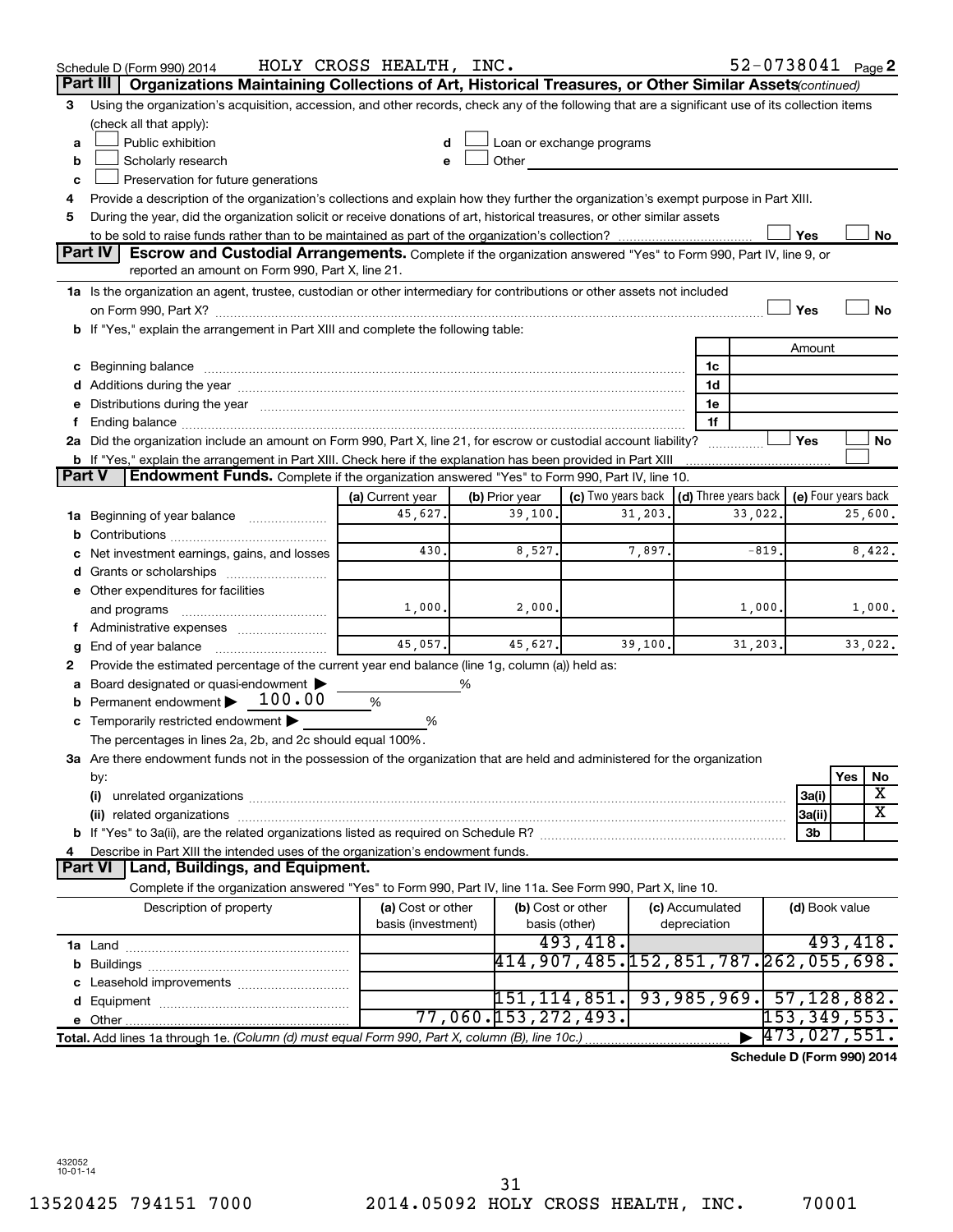|               | Schedule D (Form 990) 2014                                                                                                                                                                                                                 | HOLY CROSS HEALTH, INC. |                     |                                        |          |                 |                      | 52-0738041 Page 2          |     |           |
|---------------|--------------------------------------------------------------------------------------------------------------------------------------------------------------------------------------------------------------------------------------------|-------------------------|---------------------|----------------------------------------|----------|-----------------|----------------------|----------------------------|-----|-----------|
|               | Organizations Maintaining Collections of Art, Historical Treasures, or Other Similar Assets (continued)<br>Part III                                                                                                                        |                         |                     |                                        |          |                 |                      |                            |     |           |
| 3             | Using the organization's acquisition, accession, and other records, check any of the following that are a significant use of its collection items                                                                                          |                         |                     |                                        |          |                 |                      |                            |     |           |
|               | (check all that apply):                                                                                                                                                                                                                    |                         |                     |                                        |          |                 |                      |                            |     |           |
| a             | Public exhibition                                                                                                                                                                                                                          |                         |                     | Loan or exchange programs              |          |                 |                      |                            |     |           |
| b             | Scholarly research                                                                                                                                                                                                                         |                         | Other               |                                        |          |                 |                      |                            |     |           |
| c             | Preservation for future generations                                                                                                                                                                                                        |                         |                     |                                        |          |                 |                      |                            |     |           |
| 4             | Provide a description of the organization's collections and explain how they further the organization's exempt purpose in Part XIII.                                                                                                       |                         |                     |                                        |          |                 |                      |                            |     |           |
| 5             | During the year, did the organization solicit or receive donations of art, historical treasures, or other similar assets                                                                                                                   |                         |                     |                                        |          |                 |                      |                            |     |           |
|               |                                                                                                                                                                                                                                            |                         |                     |                                        |          |                 |                      | Yes                        |     | No        |
|               | Part IV<br><b>Escrow and Custodial Arrangements.</b> Complete if the organization answered "Yes" to Form 990, Part IV, line 9, or                                                                                                          |                         |                     |                                        |          |                 |                      |                            |     |           |
|               | reported an amount on Form 990, Part X, line 21.                                                                                                                                                                                           |                         |                     |                                        |          |                 |                      |                            |     |           |
|               | 1a Is the organization an agent, trustee, custodian or other intermediary for contributions or other assets not included                                                                                                                   |                         |                     |                                        |          |                 |                      |                            |     |           |
|               |                                                                                                                                                                                                                                            |                         |                     |                                        |          |                 |                      | Yes                        |     | <b>No</b> |
|               | b If "Yes," explain the arrangement in Part XIII and complete the following table:                                                                                                                                                         |                         |                     |                                        |          |                 |                      |                            |     |           |
|               |                                                                                                                                                                                                                                            |                         |                     |                                        |          |                 |                      | Amount                     |     |           |
|               | c Beginning balance measurements and the contract of the contract of the contract of the contract of the contract of the contract of the contract of the contract of the contract of the contract of the contract of the contr             |                         |                     |                                        |          | 1c              |                      |                            |     |           |
|               | 1d                                                                                                                                                                                                                                         |                         |                     |                                        |          |                 |                      |                            |     |           |
| f.            | e Distributions during the year manufactured and continuum and contained and the year manufactured and contained and the year manufactured and contained and contained and contained and contained and contained and contained<br>1e<br>1f |                         |                     |                                        |          |                 |                      |                            |     |           |
|               | 2a Did the organization include an amount on Form 990, Part X, line 21, for escrow or custodial account liability?                                                                                                                         |                         |                     |                                        |          |                 |                      | Yes                        |     | No        |
|               | <b>b</b> If "Yes," explain the arrangement in Part XIII. Check here if the explanation has been provided in Part XIII                                                                                                                      |                         |                     |                                        |          |                 |                      |                            |     |           |
| <b>Part V</b> | Endowment Funds. Complete if the organization answered "Yes" to Form 990, Part IV, line 10.                                                                                                                                                |                         |                     |                                        |          |                 |                      |                            |     |           |
|               |                                                                                                                                                                                                                                            | (a) Current year        | (b) Prior year      | (c) Two years back                     |          |                 | (d) Three years back | (e) Four years back        |     |           |
|               | 1a Beginning of year balance                                                                                                                                                                                                               | 45,627.                 | 39,100.             |                                        | 31, 203. |                 | 33,022.              |                            |     | 25,600.   |
| b             |                                                                                                                                                                                                                                            |                         |                     |                                        |          |                 |                      |                            |     |           |
|               | c Net investment earnings, gains, and losses                                                                                                                                                                                               | 430.                    | 8,527.              |                                        | 7,897.   |                 | $-819.$              |                            |     | 8,422.    |
|               |                                                                                                                                                                                                                                            |                         |                     |                                        |          |                 |                      |                            |     |           |
|               | e Other expenditures for facilities                                                                                                                                                                                                        |                         |                     |                                        |          |                 |                      |                            |     |           |
|               | and programs                                                                                                                                                                                                                               | 1,000.                  | 2,000.              |                                        |          |                 | 1,000.               |                            |     | 1,000.    |
|               |                                                                                                                                                                                                                                            |                         |                     |                                        |          |                 |                      |                            |     |           |
| g             |                                                                                                                                                                                                                                            | 45,057.                 | 45,627.             |                                        | 39,100.  |                 | 31, 203.             |                            |     | 33,022.   |
| 2             | Provide the estimated percentage of the current year end balance (line 1g, column (a)) held as:                                                                                                                                            |                         |                     |                                        |          |                 |                      |                            |     |           |
|               | a Board designated or quasi-endowment >                                                                                                                                                                                                    |                         | %                   |                                        |          |                 |                      |                            |     |           |
| b             | Permanent endowment > 100.00                                                                                                                                                                                                               | %                       |                     |                                        |          |                 |                      |                            |     |           |
|               | c Temporarily restricted endowment $\blacktriangleright$                                                                                                                                                                                   | %                       |                     |                                        |          |                 |                      |                            |     |           |
|               | The percentages in lines 2a, 2b, and 2c should equal 100%.                                                                                                                                                                                 |                         |                     |                                        |          |                 |                      |                            |     |           |
|               | 3a Are there endowment funds not in the possession of the organization that are held and administered for the organization                                                                                                                 |                         |                     |                                        |          |                 |                      |                            |     |           |
|               | by:                                                                                                                                                                                                                                        |                         |                     |                                        |          |                 |                      |                            | Yes | No<br>х   |
|               | (i)                                                                                                                                                                                                                                        |                         |                     |                                        |          |                 |                      | 3a(i)                      |     | X         |
|               |                                                                                                                                                                                                                                            |                         |                     |                                        |          |                 |                      | 3a(ii)                     |     |           |
| 4             | Describe in Part XIII the intended uses of the organization's endowment funds.                                                                                                                                                             |                         |                     |                                        |          |                 |                      | 3b                         |     |           |
|               | <b>Part VI</b><br>  Land, Buildings, and Equipment.                                                                                                                                                                                        |                         |                     |                                        |          |                 |                      |                            |     |           |
|               | Complete if the organization answered "Yes" to Form 990, Part IV, line 11a. See Form 990, Part X, line 10.                                                                                                                                 |                         |                     |                                        |          |                 |                      |                            |     |           |
|               | Description of property                                                                                                                                                                                                                    | (a) Cost or other       |                     | (b) Cost or other                      |          | (c) Accumulated |                      | (d) Book value             |     |           |
|               |                                                                                                                                                                                                                                            | basis (investment)      |                     | basis (other)                          |          | depreciation    |                      |                            |     |           |
|               |                                                                                                                                                                                                                                            |                         |                     | 493, 418.                              |          |                 |                      |                            |     | 493,418.  |
|               |                                                                                                                                                                                                                                            |                         |                     | 414,907,485.152,851,787.262,055,698.   |          |                 |                      |                            |     |           |
|               |                                                                                                                                                                                                                                            |                         |                     |                                        |          |                 |                      |                            |     |           |
|               |                                                                                                                                                                                                                                            |                         |                     | 151,114,851.  93,985,969.  57,128,882. |          |                 |                      |                            |     |           |
|               |                                                                                                                                                                                                                                            |                         | 77,060.153,272,493. |                                        |          |                 |                      | $153,349,553$ .            |     |           |
|               | Total. Add lines 1a through 1e. (Column (d) must equal Form 990, Part X, column (B), line 10c.)                                                                                                                                            |                         |                     |                                        |          |                 |                      | 473,027,551.               |     |           |
|               |                                                                                                                                                                                                                                            |                         |                     |                                        |          |                 |                      | Schedule D (Form 990) 2014 |     |           |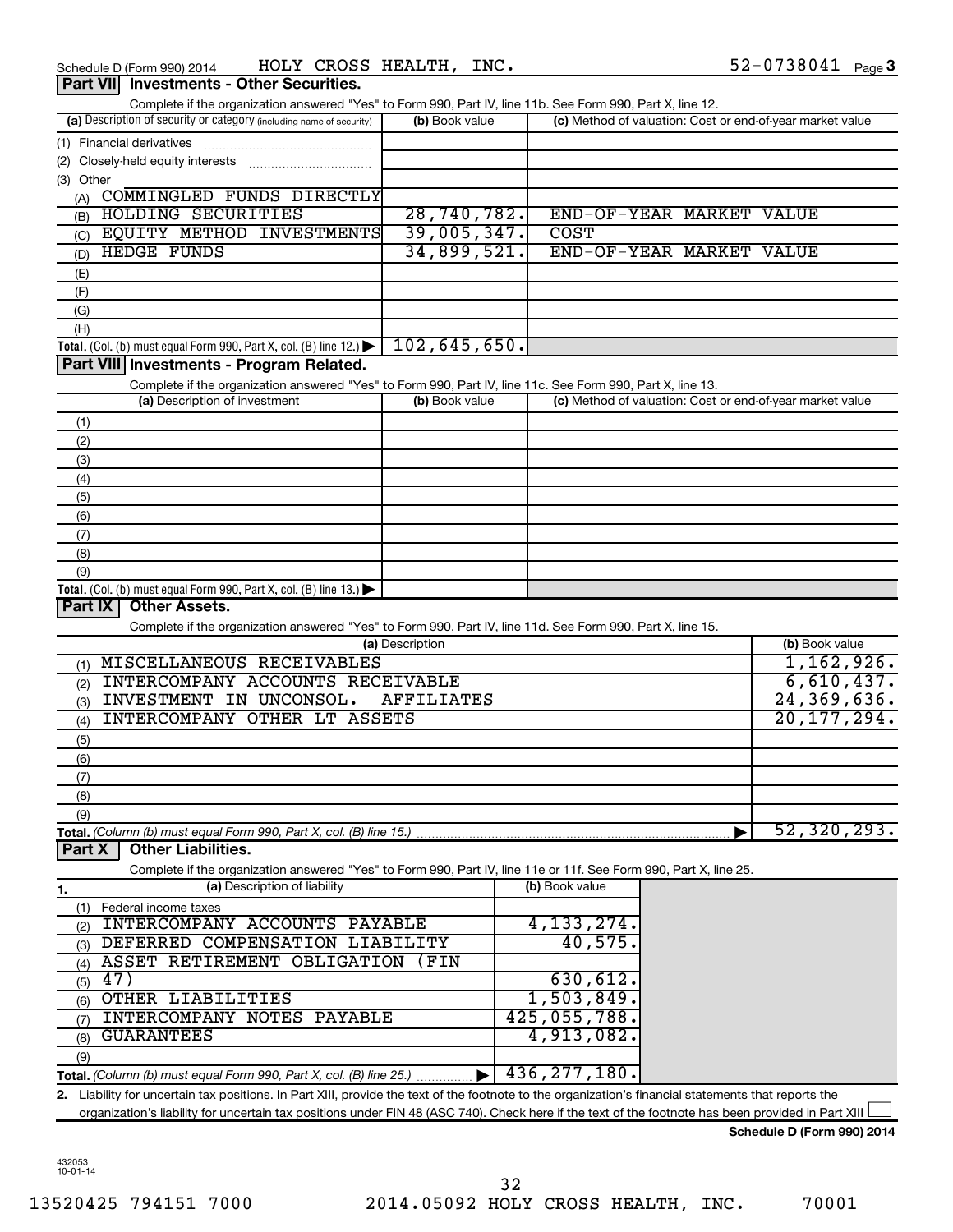| HOLY CROSS HEALTH, INC.<br>Schedule D (Form 990) 2014 |  | $52 - 0738041$ Page 3 |
|-------------------------------------------------------|--|-----------------------|
|-------------------------------------------------------|--|-----------------------|

| Part VII Investments - Other Securities. |  |
|------------------------------------------|--|
|------------------------------------------|--|

Complete if the organization answered "Yes" to Form 990, Part IV, line 11b. See Form 990, Part X, line 12.

| (a) Description of security or category (including name of security)       | (b) Book value | (c) Method of valuation: Cost or end-of-year market value |  |  |  |  |  |  |  |
|----------------------------------------------------------------------------|----------------|-----------------------------------------------------------|--|--|--|--|--|--|--|
| (1) Financial derivatives                                                  |                |                                                           |  |  |  |  |  |  |  |
| (2) Closely-held equity interests                                          |                |                                                           |  |  |  |  |  |  |  |
| (3) Other                                                                  |                |                                                           |  |  |  |  |  |  |  |
| FUNDS DIRECTLY<br>COMMINGLED<br>(A)                                        |                |                                                           |  |  |  |  |  |  |  |
| SECURITIES<br>HOLDING<br>(B)                                               | 28,740,782.    | END-OF-YEAR MARKET<br>VALUE                               |  |  |  |  |  |  |  |
| INVESTMENTS<br>EQUITY METHOD<br>(C)                                        | 39,005,347.    | <b>COST</b>                                               |  |  |  |  |  |  |  |
| HEDGE FUNDS<br>(D)                                                         | 34,899,521.    | END-OF-YEAR MARKET<br>VALUE                               |  |  |  |  |  |  |  |
| (E)                                                                        |                |                                                           |  |  |  |  |  |  |  |
| (F)                                                                        |                |                                                           |  |  |  |  |  |  |  |
| (G)                                                                        |                |                                                           |  |  |  |  |  |  |  |
| (H)                                                                        |                |                                                           |  |  |  |  |  |  |  |
| <b>Total.</b> (Col. (b) must equal Form 990, Part X, col. (B) line $12$ .) | 102, 645, 650. |                                                           |  |  |  |  |  |  |  |
| $\overline{R_{11}}$                                                        |                |                                                           |  |  |  |  |  |  |  |

#### **Part VIII Investments - Program Related.**

Complete if the organization answered "Yes" to Form 990, Part IV, line 11c. See Form 990, Part X, line 13.

| (a) Description of investment                                       | (b) Book value | (c) Method of valuation: Cost or end-of-year market value |
|---------------------------------------------------------------------|----------------|-----------------------------------------------------------|
| (1)                                                                 |                |                                                           |
| (2)                                                                 |                |                                                           |
| (3)                                                                 |                |                                                           |
| (4)                                                                 |                |                                                           |
| (5)                                                                 |                |                                                           |
| (6)                                                                 |                |                                                           |
| (7)                                                                 |                |                                                           |
| (8)                                                                 |                |                                                           |
| (9)                                                                 |                |                                                           |
| Total. (Col. (b) must equal Form 990, Part X, col. (B) line $13.$ ) |                |                                                           |

## **Part IX Other Assets.**

Complete if the organization answered "Yes" to Form 990, Part IV, line 11d. See Form 990, Part X, line 15.

| (a) Description                              | (b) Book value |
|----------------------------------------------|----------------|
| MISCELLANEOUS RECEIVABLES<br>(1)             | 1,162,926.     |
| INTERCOMPANY ACCOUNTS RECEIVABLE<br>(2)      | 6,610,437.     |
| UNCONSOL. AFFILIATES<br>INVESTMENT IN<br>(3) | 24, 369, 636.  |
| <b>INTERCOMPANY OTHER LT ASSETS</b><br>(4)   | 20, 177, 294.  |
| (5)                                          |                |
| (6)                                          |                |
| (7)                                          |                |
| (8)                                          |                |
| (9)                                          |                |
|                                              | 52, 320, 293.  |

#### **Part X Other Liabilities.**

Complete if the organization answered "Yes" to Form 990, Part IV, line 11e or 11f. See Form 990, Part X, line 25.

|     | (a) Description of liability                                       | (b) Book value |
|-----|--------------------------------------------------------------------|----------------|
|     | Federal income taxes                                               |                |
| (2) | INTERCOMPANY ACCOUNTS PAYABLE                                      | 4,133,274.     |
| (3) | DEFERRED COMPENSATION LIABILITY                                    | 40,575.        |
| (4) | ASSET RETIREMENT OBLIGATION<br>(FIN                                |                |
| (5) | 47                                                                 | 630,612.       |
| (6) | OTHER LIABILITIES                                                  | 1,503,849.     |
|     | INTERCOMPANY NOTES PAYABLE                                         | 425,055,788.   |
| (8) | <b>GUARANTEES</b>                                                  | 4,913,082.     |
| (9) |                                                                    |                |
|     | Total. (Column (b) must equal Form 990, Part X, col. (B) line 25.) | 436, 277, 180. |

**2.** Liability for uncertain tax positions. In Part XIII, provide the text of the footnote to the organization's financial statements that reports the organization's liability for uncertain tax positions under FIN 48 (ASC 740). Check here if the text of the footnote has been provided in Part XIII

**Schedule D (Form 990) 2014**

432053 10-01-14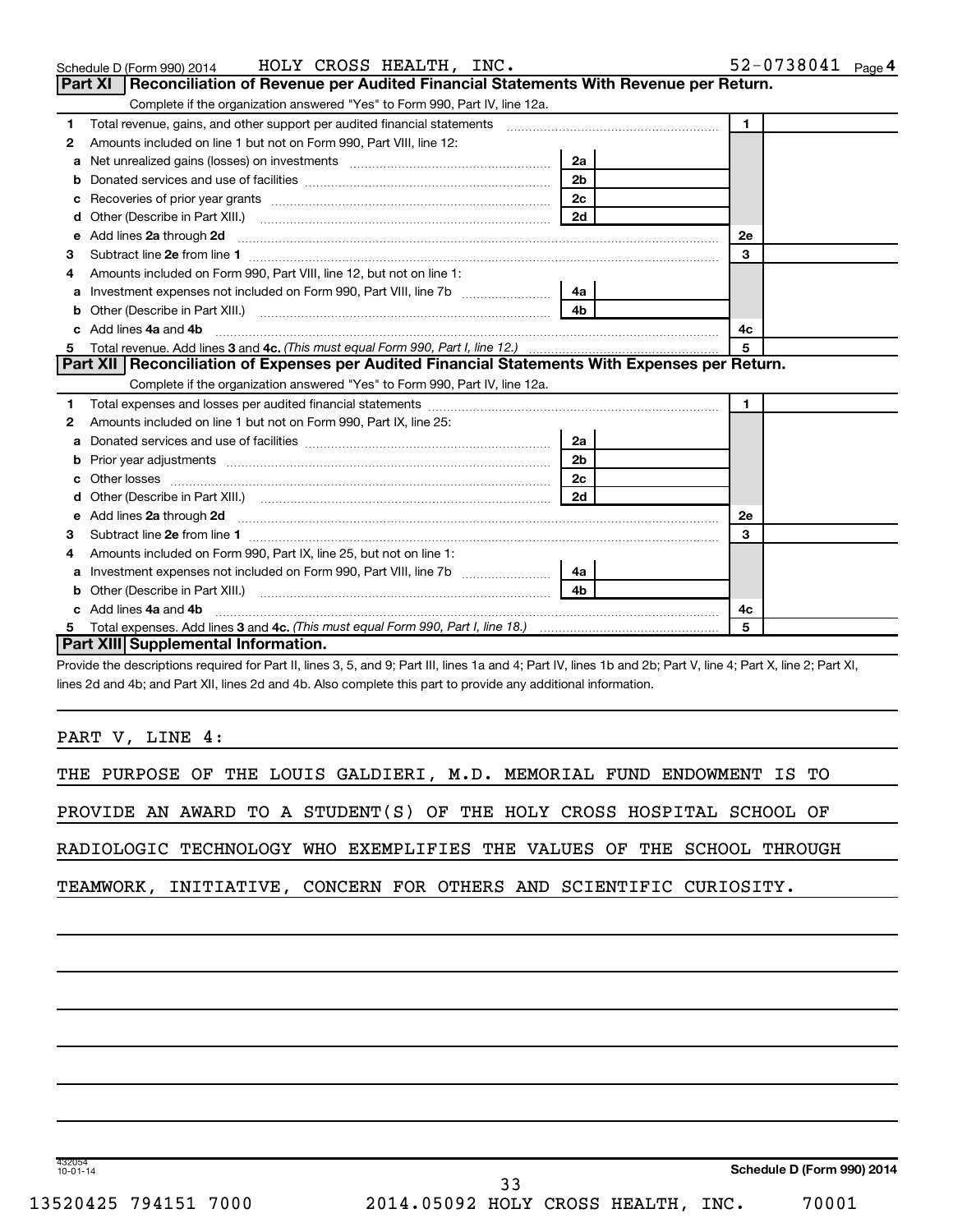|    | Schedule D (Form 990) 2014 HOLY CROSS HEALTH, INC.                                                                                                                                                                             |                | $52 - 0738041$ Page 4 |
|----|--------------------------------------------------------------------------------------------------------------------------------------------------------------------------------------------------------------------------------|----------------|-----------------------|
|    | Part XI   Reconciliation of Revenue per Audited Financial Statements With Revenue per Return.                                                                                                                                  |                |                       |
|    | Complete if the organization answered "Yes" to Form 990, Part IV, line 12a.                                                                                                                                                    |                |                       |
| 1. | Total revenue, gains, and other support per audited financial statements [111] [11] Total revenue, gains, and other support per audited financial statements                                                                   |                | $\mathbf{1}$          |
| 2  | Amounts included on line 1 but not on Form 990, Part VIII, line 12:                                                                                                                                                            |                |                       |
| a  | Net unrealized gains (losses) on investments [111] [12] matter contracts and a local metal of the university of                                                                                                                | 2a             |                       |
|    |                                                                                                                                                                                                                                | 2 <sub>b</sub> |                       |
| c  |                                                                                                                                                                                                                                | 2 <sub>c</sub> |                       |
| d  |                                                                                                                                                                                                                                | 2d             |                       |
| e  |                                                                                                                                                                                                                                |                | 2е                    |
| 3  |                                                                                                                                                                                                                                |                | 3                     |
| 4  | Amounts included on Form 990, Part VIII, line 12, but not on line 1:                                                                                                                                                           |                |                       |
|    |                                                                                                                                                                                                                                | 4a             |                       |
| b  |                                                                                                                                                                                                                                | 4 <sub>b</sub> |                       |
|    | c Add lines 4a and 4b                                                                                                                                                                                                          |                | 4с                    |
| 5  |                                                                                                                                                                                                                                |                | 5                     |
|    | Part XII   Reconciliation of Expenses per Audited Financial Statements With Expenses per Return.                                                                                                                               |                |                       |
|    | Complete if the organization answered "Yes" to Form 990, Part IV, line 12a.                                                                                                                                                    |                |                       |
| 1  |                                                                                                                                                                                                                                |                | $\blacksquare$        |
| 2  | Amounts included on line 1 but not on Form 990, Part IX, line 25:                                                                                                                                                              |                |                       |
| a  |                                                                                                                                                                                                                                | 2a             |                       |
|    |                                                                                                                                                                                                                                | 2 <sub>b</sub> |                       |
| c  |                                                                                                                                                                                                                                | 2 <sub>c</sub> |                       |
|    |                                                                                                                                                                                                                                | 2d             |                       |
|    |                                                                                                                                                                                                                                |                | 2e                    |
| 3  |                                                                                                                                                                                                                                |                | 3                     |
| 4  | Amounts included on Form 990, Part IX, line 25, but not on line 1:                                                                                                                                                             |                |                       |
| а  | Investment expenses not included on Form 990, Part VIII, line 7b [11, 11, 11, 11, 11]                                                                                                                                          | 4a             |                       |
|    | b Other (Describe in Part XIII.) [100] [100] [100] [100] [100] [100] [100] [100] [100] [100] [100] [100] [100] [100] [100] [100] [100] [100] [100] [100] [100] [100] [100] [100] [100] [100] [100] [100] [100] [100] [100] [10 | 4b             |                       |
|    | c Add lines 4a and 4b                                                                                                                                                                                                          |                | 4с                    |
|    |                                                                                                                                                                                                                                |                | 5                     |
|    | Part XIII Supplemental Information.                                                                                                                                                                                            |                |                       |

Provide the descriptions required for Part II, lines 3, 5, and 9; Part III, lines 1a and 4; Part IV, lines 1b and 2b; Part V, line 4; Part X, line 2; Part XI, lines 2d and 4b; and Part XII, lines 2d and 4b. Also complete this part to provide any additional information.

PART V, LINE 4:

| THE PURPOSE OF THE LOUIS GALDIERI, M.D. MEMORIAL FUND ENDOWMENT IS TO  |  |  |  |  |  |
|------------------------------------------------------------------------|--|--|--|--|--|
| PROVIDE AN AWARD TO A STUDENT(S) OF THE HOLY CROSS HOSPITAL SCHOOL OF  |  |  |  |  |  |
|                                                                        |  |  |  |  |  |
| RADIOLOGIC TECHNOLOGY WHO EXEMPLIFIES THE VALUES OF THE SCHOOL THROUGH |  |  |  |  |  |
| TEAMWORK, INITIATIVE, CONCERN FOR OTHERS AND SCIENTIFIC CURIOSITY.     |  |  |  |  |  |

**Schedule D (Form 990) 2014**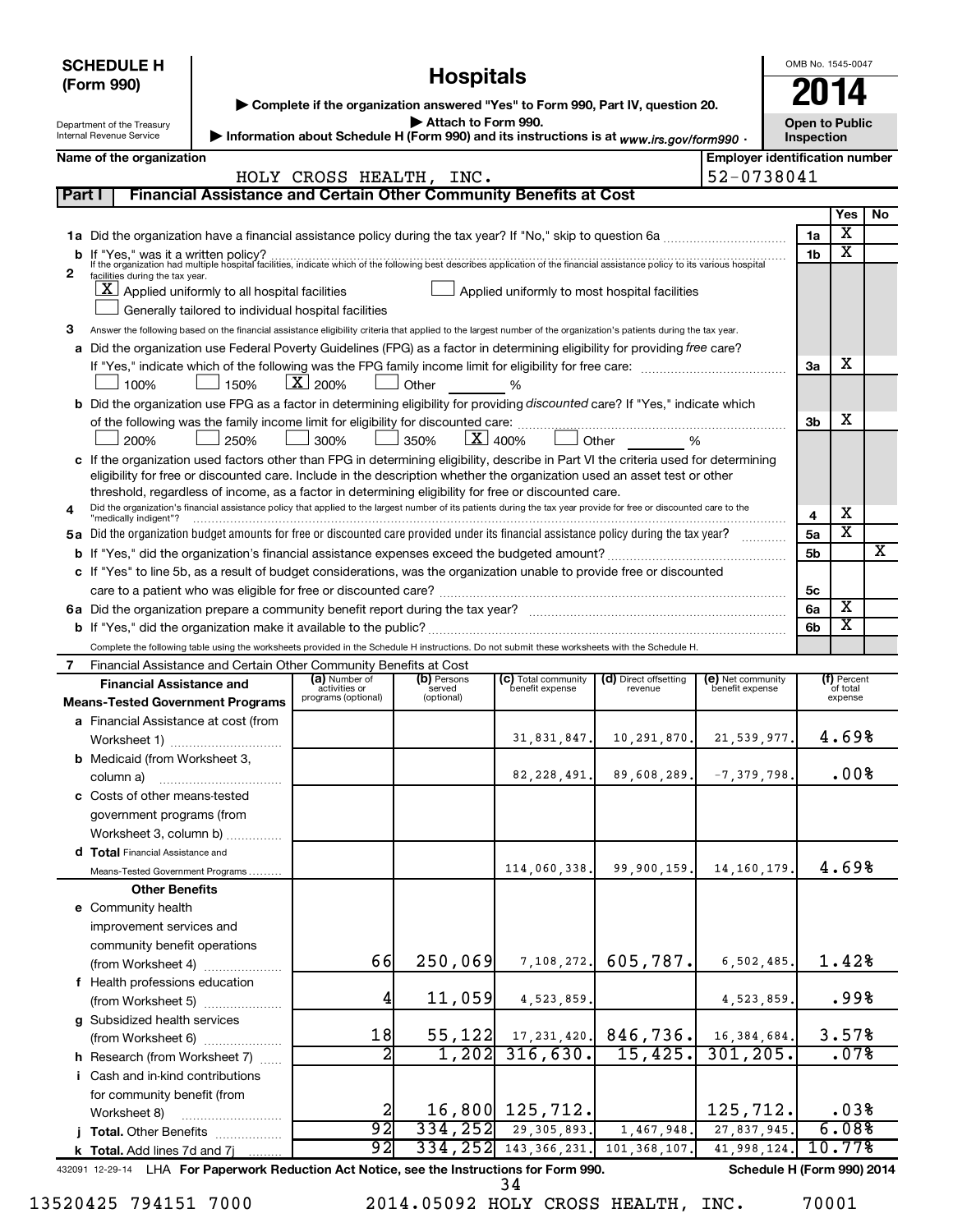|              | <b>SCHEDULE H</b>                                                                                                                                                                                                                                                            |                                                                   |                                                                            | <b>Hospitals</b>     |                                             |                                                                                                                                                |                                       | OMB No. 1545-0047          |                            |                         |  |
|--------------|------------------------------------------------------------------------------------------------------------------------------------------------------------------------------------------------------------------------------------------------------------------------------|-------------------------------------------------------------------|----------------------------------------------------------------------------|----------------------|---------------------------------------------|------------------------------------------------------------------------------------------------------------------------------------------------|---------------------------------------|----------------------------|----------------------------|-------------------------|--|
|              | (Form 990)                                                                                                                                                                                                                                                                   |                                                                   |                                                                            |                      |                                             |                                                                                                                                                |                                       |                            |                            |                         |  |
|              |                                                                                                                                                                                                                                                                              |                                                                   |                                                                            | Attach to Form 990.  |                                             | ▶ Complete if the organization answered "Yes" to Form 990, Part IV, question 20.                                                               |                                       | <b>Open to Public</b>      |                            |                         |  |
|              | Department of the Treasury<br>Internal Revenue Service                                                                                                                                                                                                                       |                                                                   |                                                                            |                      |                                             | > Information about Schedule H (Form 990) and its instructions is at www.irs.gov/form990.                                                      |                                       | Inspection                 |                            |                         |  |
|              | Name of the organization                                                                                                                                                                                                                                                     |                                                                   |                                                                            |                      |                                             |                                                                                                                                                | <b>Employer identification number</b> |                            |                            |                         |  |
|              |                                                                                                                                                                                                                                                                              |                                                                   | HOLY CROSS HEALTH, INC.                                                    |                      |                                             |                                                                                                                                                | 52-0738041                            |                            |                            |                         |  |
| Part I       |                                                                                                                                                                                                                                                                              | Financial Assistance and Certain Other Community Benefits at Cost |                                                                            |                      |                                             |                                                                                                                                                |                                       |                            |                            |                         |  |
|              |                                                                                                                                                                                                                                                                              |                                                                   |                                                                            |                      |                                             |                                                                                                                                                |                                       |                            | Yes<br>х                   | No                      |  |
|              |                                                                                                                                                                                                                                                                              |                                                                   |                                                                            |                      |                                             |                                                                                                                                                |                                       | 1a<br>1b                   | $\overline{\textbf{x}}$    |                         |  |
| $\mathbf{2}$ | facilities during the tax year.                                                                                                                                                                                                                                              |                                                                   |                                                                            |                      |                                             |                                                                                                                                                |                                       |                            |                            |                         |  |
|              |                                                                                                                                                                                                                                                                              | $\mathbf{X}$ Applied uniformly to all hospital facilities         |                                                                            |                      |                                             | Applied uniformly to most hospital facilities                                                                                                  |                                       |                            |                            |                         |  |
|              |                                                                                                                                                                                                                                                                              | Generally tailored to individual hospital facilities              |                                                                            |                      |                                             |                                                                                                                                                |                                       |                            |                            |                         |  |
| з            | Answer the following based on the financial assistance eligibility criteria that applied to the largest number of the organization's patients during the tax year.                                                                                                           |                                                                   |                                                                            |                      |                                             |                                                                                                                                                |                                       |                            |                            |                         |  |
|              | a Did the organization use Federal Poverty Guidelines (FPG) as a factor in determining eligibility for providing free care?                                                                                                                                                  |                                                                   |                                                                            |                      |                                             |                                                                                                                                                |                                       |                            |                            |                         |  |
|              | 100%                                                                                                                                                                                                                                                                         | 150%                                                              | X 200%                                                                     | Other                |                                             |                                                                                                                                                |                                       | За                         | х                          |                         |  |
|              | b Did the organization use FPG as a factor in determining eligibility for providing discounted care? If "Yes," indicate which                                                                                                                                                |                                                                   |                                                                            |                      | %                                           |                                                                                                                                                |                                       |                            |                            |                         |  |
|              |                                                                                                                                                                                                                                                                              |                                                                   |                                                                            |                      |                                             |                                                                                                                                                |                                       | Зb                         | х                          |                         |  |
|              | 200%                                                                                                                                                                                                                                                                         | 250%                                                              | 300%                                                                       | 350%                 | $\mathbf{X}$ 400%                           | Other<br>%                                                                                                                                     |                                       |                            |                            |                         |  |
|              | c If the organization used factors other than FPG in determining eligibility, describe in Part VI the criteria used for determining                                                                                                                                          |                                                                   |                                                                            |                      |                                             |                                                                                                                                                |                                       |                            |                            |                         |  |
|              | eligibility for free or discounted care. Include in the description whether the organization used an asset test or other                                                                                                                                                     |                                                                   |                                                                            |                      |                                             |                                                                                                                                                |                                       |                            |                            |                         |  |
|              | threshold, regardless of income, as a factor in determining eligibility for free or discounted care.<br>Did the organization's financial assistance policy that applied to the largest number of its patients during the tax year provide for free or discounted care to the |                                                                   |                                                                            |                      |                                             |                                                                                                                                                |                                       |                            |                            |                         |  |
|              | "medically indigent"?<br>5a Did the organization budget amounts for free or discounted care provided under its financial assistance policy during the tax year?                                                                                                              |                                                                   |                                                                            |                      |                                             |                                                                                                                                                |                                       | 4                          | x<br>$\overline{\text{x}}$ |                         |  |
|              |                                                                                                                                                                                                                                                                              |                                                                   |                                                                            |                      |                                             |                                                                                                                                                |                                       | 5a<br>5b                   |                            | $\overline{\textbf{x}}$ |  |
|              | c If "Yes" to line 5b, as a result of budget considerations, was the organization unable to provide free or discounted                                                                                                                                                       |                                                                   |                                                                            |                      |                                             |                                                                                                                                                |                                       |                            |                            |                         |  |
|              |                                                                                                                                                                                                                                                                              |                                                                   |                                                                            |                      |                                             |                                                                                                                                                |                                       | 5с                         |                            |                         |  |
|              |                                                                                                                                                                                                                                                                              |                                                                   |                                                                            |                      |                                             |                                                                                                                                                |                                       | 6a                         | $\overline{\textbf{x}}$    |                         |  |
|              |                                                                                                                                                                                                                                                                              |                                                                   |                                                                            |                      |                                             |                                                                                                                                                |                                       | 6b                         | $\overline{\textbf{x}}$    |                         |  |
|              |                                                                                                                                                                                                                                                                              |                                                                   |                                                                            |                      |                                             | Complete the following table using the worksheets provided in the Schedule H instructions. Do not submit these worksheets with the Schedule H. |                                       |                            |                            |                         |  |
| 7            | Financial Assistance and Certain Other Community Benefits at Cost<br><b>Financial Assistance and</b>                                                                                                                                                                         |                                                                   | (a) Number of                                                              | (b) Persons          | (c) Total community                         | (d) Direct offsetting                                                                                                                          | (e) Net community                     |                            | (f) Percent                |                         |  |
|              | <b>Means-Tested Government Programs</b>                                                                                                                                                                                                                                      |                                                                   | activities or<br>programs (optional)                                       | served<br>(optional) | benefit expense                             | revenue                                                                                                                                        | benefit expense                       |                            | of total<br>expense        |                         |  |
|              | a Financial Assistance at cost (from                                                                                                                                                                                                                                         |                                                                   |                                                                            |                      |                                             |                                                                                                                                                |                                       |                            |                            |                         |  |
|              | Worksheet 1)                                                                                                                                                                                                                                                                 | .                                                                 |                                                                            |                      | 31,831,847.                                 | 10,291,870.                                                                                                                                    | 21.539.977.                           |                            | 4.69%                      |                         |  |
|              | <b>b</b> Medicaid (from Worksheet 3,                                                                                                                                                                                                                                         |                                                                   |                                                                            |                      |                                             |                                                                                                                                                |                                       |                            |                            |                         |  |
|              | column a)                                                                                                                                                                                                                                                                    |                                                                   |                                                                            |                      | 82, 228, 491.                               | 89,608,289.                                                                                                                                    | $-7,379,798.$                         |                            | .00%                       |                         |  |
|              | c Costs of other means-tested                                                                                                                                                                                                                                                |                                                                   |                                                                            |                      |                                             |                                                                                                                                                |                                       |                            |                            |                         |  |
|              | government programs (from                                                                                                                                                                                                                                                    |                                                                   |                                                                            |                      |                                             |                                                                                                                                                |                                       |                            |                            |                         |  |
|              | Worksheet 3, column b)<br><b>d</b> Total Financial Assistance and                                                                                                                                                                                                            |                                                                   |                                                                            |                      |                                             |                                                                                                                                                |                                       |                            |                            |                         |  |
|              | Means-Tested Government Programs                                                                                                                                                                                                                                             |                                                                   |                                                                            |                      | 114,060,338.                                | 99,900,159.                                                                                                                                    | 14, 160, 179.                         |                            | 4.69%                      |                         |  |
|              | <b>Other Benefits</b>                                                                                                                                                                                                                                                        |                                                                   |                                                                            |                      |                                             |                                                                                                                                                |                                       |                            |                            |                         |  |
|              | e Community health                                                                                                                                                                                                                                                           |                                                                   |                                                                            |                      |                                             |                                                                                                                                                |                                       |                            |                            |                         |  |
|              | improvement services and                                                                                                                                                                                                                                                     |                                                                   |                                                                            |                      |                                             |                                                                                                                                                |                                       |                            |                            |                         |  |
|              | community benefit operations                                                                                                                                                                                                                                                 |                                                                   | 66                                                                         | 250,069              |                                             | 605,787.                                                                                                                                       |                                       |                            | 1.42%                      |                         |  |
|              | (from Worksheet 4)<br>f Health professions education                                                                                                                                                                                                                         |                                                                   |                                                                            |                      | 7,108,272.                                  |                                                                                                                                                | 6,502,485.                            |                            |                            |                         |  |
|              | (from Worksheet 5)                                                                                                                                                                                                                                                           |                                                                   | 11,059<br>4<br>4,523,859.<br>4,523,859.                                    |                      |                                             |                                                                                                                                                |                                       |                            |                            |                         |  |
|              | g Subsidized health services                                                                                                                                                                                                                                                 |                                                                   |                                                                            |                      |                                             |                                                                                                                                                |                                       |                            | .99%                       |                         |  |
|              |                                                                                                                                                                                                                                                                              |                                                                   | 18                                                                         |                      |                                             | 55, 122 17, 231, 420. 846, 736.                                                                                                                | 16,384,684.                           |                            | 3.57%                      |                         |  |
|              | <b>h</b> Research (from Worksheet 7)                                                                                                                                                                                                                                         |                                                                   | 2                                                                          |                      | $1,202$ 316,630.                            | 15,425.                                                                                                                                        | 301, 205.                             |                            | .07%                       |                         |  |
|              | i Cash and in-kind contributions                                                                                                                                                                                                                                             |                                                                   |                                                                            |                      |                                             |                                                                                                                                                |                                       |                            |                            |                         |  |
|              | for community benefit (from                                                                                                                                                                                                                                                  |                                                                   |                                                                            |                      |                                             |                                                                                                                                                |                                       |                            |                            |                         |  |
|              | Worksheet 8)                                                                                                                                                                                                                                                                 |                                                                   | $\overline{92}$                                                            |                      | 16,800 125,712.<br>$334, 252$ 29, 305, 893. | 1,467,948.                                                                                                                                     | 125,712.<br>27,837,945.               |                            | .03%<br>6.08%              |                         |  |
|              | j Total. Other Benefits<br><b>k</b> Total. Add lines 7d and $7j$                                                                                                                                                                                                             |                                                                   | 92                                                                         |                      |                                             | 334, 252 143, 366, 231, 101, 368, 107.                                                                                                         | 41,998,124.                           |                            | 10.77%                     |                         |  |
|              |                                                                                                                                                                                                                                                                              |                                                                   | LUA For Department Poduction Act Notice, see the Instructions for Form 000 |                      |                                             |                                                                                                                                                |                                       | Schodule H (Form 000) 2014 |                            |                         |  |

432091 12-29-14 **For Paperwork Reduction Act Notice, see the Instructions for Form 990. Schedule H (Form 990) 2014** LHA

34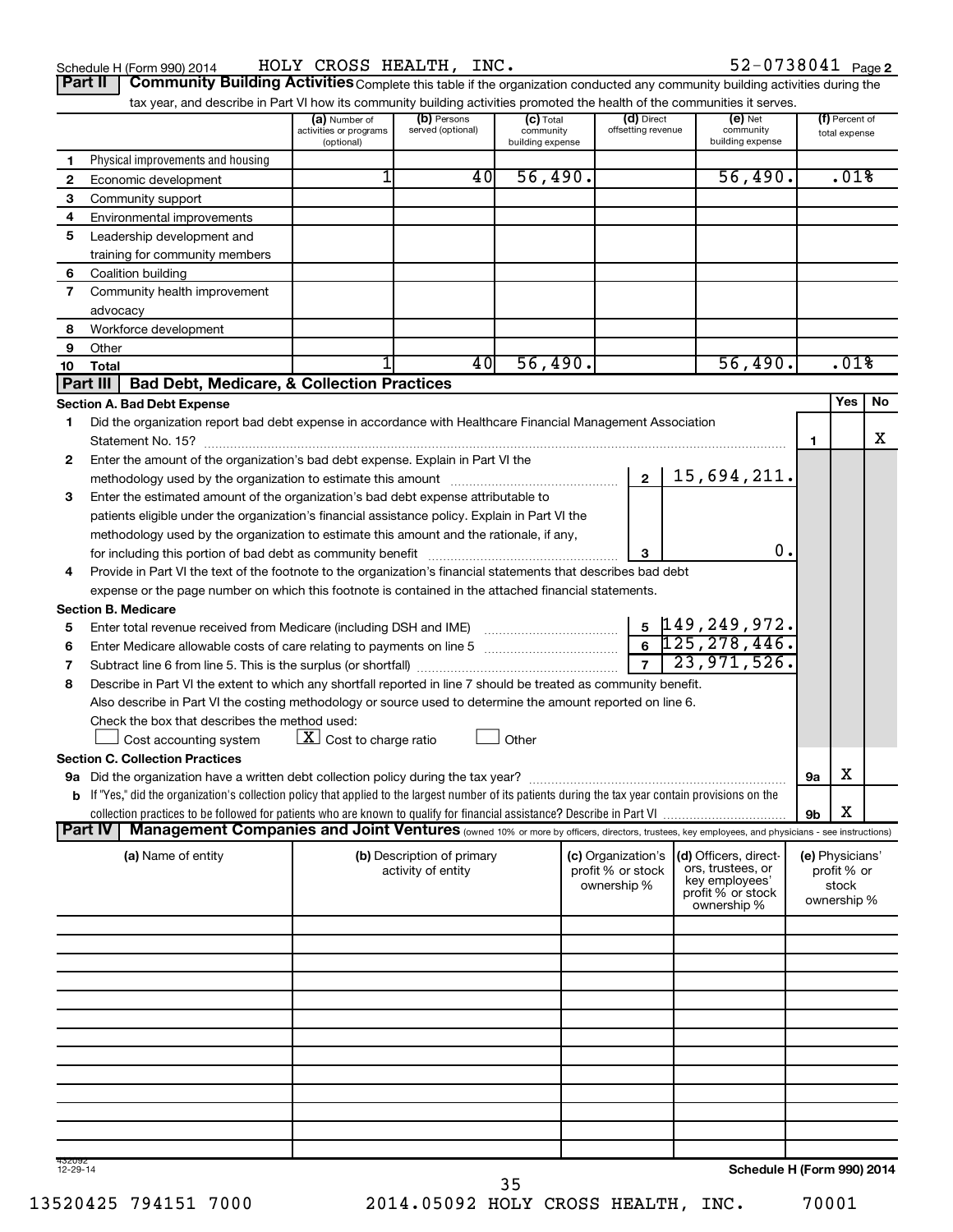Schedule H (Form 990) 2014  $\qquad$  HOLY CROSS HEALTH , INC  $\qquad$   $\qquad$   $\qquad$   $\qquad$   $\qquad$   $\qquad$   $\qquad$   $\qquad$   $\qquad$   $\qquad$   $\qquad$   $\qquad$   $\qquad$   $\qquad$   $\qquad$   $\qquad$   $\qquad$   $\qquad$   $\qquad$   $\qquad$   $\qquad$   $\qquad$   $\qquad$   $\qquad$   $\qquad$   $\qquad$   $\qquad$   $\$ HOLY CROSS HEALTH, INC. 52-0738041

52-0738041 Page 2

**Part II** | Community Building Activities Complete this table if the organization conducted any community building activities during the

|                    | tax year, and describe in Part VI how its community building activities promoted the health of the communities it serves.                                        |                                                       |                                  |                                              |                                  |                                            |           |                                 |    |
|--------------------|------------------------------------------------------------------------------------------------------------------------------------------------------------------|-------------------------------------------------------|----------------------------------|----------------------------------------------|----------------------------------|--------------------------------------------|-----------|---------------------------------|----|
|                    |                                                                                                                                                                  | (a) Number of<br>activities or programs<br>(optional) | (b) Persons<br>served (optional) | $(c)$ Total<br>community<br>building expense | (d) Direct<br>offsetting revenue | $(e)$ Net<br>community<br>building expense |           | (f) Percent of<br>total expense |    |
| 1                  | Physical improvements and housing                                                                                                                                |                                                       |                                  |                                              |                                  |                                            |           |                                 |    |
| 2                  | Economic development                                                                                                                                             |                                                       | 40                               | 56,490.                                      |                                  | 56,490.                                    |           | .01%                            |    |
| З                  | Community support                                                                                                                                                |                                                       |                                  |                                              |                                  |                                            |           |                                 |    |
| 4                  | Environmental improvements                                                                                                                                       |                                                       |                                  |                                              |                                  |                                            |           |                                 |    |
| 5                  | Leadership development and                                                                                                                                       |                                                       |                                  |                                              |                                  |                                            |           |                                 |    |
|                    | training for community members                                                                                                                                   |                                                       |                                  |                                              |                                  |                                            |           |                                 |    |
| 6                  | Coalition building                                                                                                                                               |                                                       |                                  |                                              |                                  |                                            |           |                                 |    |
| 7                  | Community health improvement                                                                                                                                     |                                                       |                                  |                                              |                                  |                                            |           |                                 |    |
|                    | advocacy                                                                                                                                                         |                                                       |                                  |                                              |                                  |                                            |           |                                 |    |
| 8                  | Workforce development                                                                                                                                            |                                                       |                                  |                                              |                                  |                                            |           |                                 |    |
| 9                  | Other                                                                                                                                                            |                                                       |                                  |                                              |                                  |                                            |           |                                 |    |
| 10                 | Total                                                                                                                                                            |                                                       | 40                               | 56,490.                                      |                                  | 56,490.                                    |           | .01%                            |    |
|                    | <b>Bad Debt, Medicare, &amp; Collection Practices</b><br>Part III                                                                                                |                                                       |                                  |                                              |                                  |                                            |           |                                 |    |
|                    | <b>Section A. Bad Debt Expense</b>                                                                                                                               |                                                       |                                  |                                              |                                  |                                            |           | Yes                             | No |
| 1                  | Did the organization report bad debt expense in accordance with Healthcare Financial Management Association                                                      |                                                       |                                  |                                              |                                  |                                            |           |                                 |    |
|                    |                                                                                                                                                                  |                                                       |                                  |                                              |                                  |                                            | 1.        |                                 | x  |
| 2                  | Enter the amount of the organization's bad debt expense. Explain in Part VI the                                                                                  |                                                       |                                  |                                              |                                  |                                            |           |                                 |    |
|                    | methodology used by the organization to estimate this amount                                                                                                     |                                                       |                                  |                                              | $\overline{2}$                   | 15,694,211.                                |           |                                 |    |
| З                  | Enter the estimated amount of the organization's bad debt expense attributable to                                                                                |                                                       |                                  |                                              |                                  |                                            |           |                                 |    |
|                    | patients eligible under the organization's financial assistance policy. Explain in Part VI the                                                                   |                                                       |                                  |                                              |                                  |                                            |           |                                 |    |
|                    | methodology used by the organization to estimate this amount and the rationale, if any,                                                                          |                                                       |                                  |                                              |                                  |                                            |           |                                 |    |
|                    | for including this portion of bad debt as community benefit                                                                                                      |                                                       |                                  |                                              | 3                                | О.                                         |           |                                 |    |
| 4                  | Provide in Part VI the text of the footnote to the organization's financial statements that describes bad debt                                                   |                                                       |                                  |                                              |                                  |                                            |           |                                 |    |
|                    | expense or the page number on which this footnote is contained in the attached financial statements.                                                             |                                                       |                                  |                                              |                                  |                                            |           |                                 |    |
|                    | <b>Section B. Medicare</b>                                                                                                                                       |                                                       |                                  |                                              |                                  |                                            |           |                                 |    |
| 5                  | Enter total revenue received from Medicare (including DSH and IME)                                                                                               |                                                       |                                  |                                              |                                  | $5\; 149,249,972.$                         |           |                                 |    |
| 6                  |                                                                                                                                                                  |                                                       |                                  |                                              |                                  | $6\overline{125,278,446}$ .                |           |                                 |    |
| 7                  |                                                                                                                                                                  |                                                       |                                  |                                              | $\overline{7}$                   | 23,971,526.                                |           |                                 |    |
| 8                  | Describe in Part VI the extent to which any shortfall reported in line 7 should be treated as community benefit.                                                 |                                                       |                                  |                                              |                                  |                                            |           |                                 |    |
|                    | Also describe in Part VI the costing methodology or source used to determine the amount reported on line 6.                                                      |                                                       |                                  |                                              |                                  |                                            |           |                                 |    |
|                    | Check the box that describes the method used:                                                                                                                    |                                                       |                                  |                                              |                                  |                                            |           |                                 |    |
|                    | Cost accounting system                                                                                                                                           | $\boxed{\textbf{X}}$ Cost to charge ratio             |                                  | Other                                        |                                  |                                            |           |                                 |    |
|                    | <b>Section C. Collection Practices</b>                                                                                                                           |                                                       |                                  |                                              |                                  |                                            |           |                                 |    |
|                    |                                                                                                                                                                  |                                                       |                                  |                                              |                                  |                                            | <b>9a</b> | X                               |    |
|                    | <b>b</b> If "Yes," did the organization's collection policy that applied to the largest number of its patients during the tax year contain provisions on the     |                                                       |                                  |                                              |                                  |                                            |           | X                               |    |
|                    | Management Companies and Joint Ventures (owned 10% or more by officers, directors, trustees, key employees, and physicians - see instructions)<br><b>Part IV</b> |                                                       |                                  |                                              |                                  |                                            | 9b        |                                 |    |
|                    |                                                                                                                                                                  |                                                       |                                  |                                              |                                  |                                            |           |                                 |    |
|                    | (a) Name of entity                                                                                                                                               |                                                       | (b) Description of primary       |                                              | (c) Organization's               | (d) Officers, direct-<br>ors, trustees, or |           | (e) Physicians'                 |    |
|                    |                                                                                                                                                                  |                                                       | activity of entity               |                                              | profit % or stock<br>ownership % | key employees'                             |           | profit % or<br>stock            |    |
|                    |                                                                                                                                                                  |                                                       |                                  |                                              |                                  | profit % or stock<br>ownership %           |           | ownership %                     |    |
|                    |                                                                                                                                                                  |                                                       |                                  |                                              |                                  |                                            |           |                                 |    |
|                    |                                                                                                                                                                  |                                                       |                                  |                                              |                                  |                                            |           |                                 |    |
|                    |                                                                                                                                                                  |                                                       |                                  |                                              |                                  |                                            |           |                                 |    |
|                    |                                                                                                                                                                  |                                                       |                                  |                                              |                                  |                                            |           |                                 |    |
|                    |                                                                                                                                                                  |                                                       |                                  |                                              |                                  |                                            |           |                                 |    |
|                    |                                                                                                                                                                  |                                                       |                                  |                                              |                                  |                                            |           |                                 |    |
|                    |                                                                                                                                                                  |                                                       |                                  |                                              |                                  |                                            |           |                                 |    |
|                    |                                                                                                                                                                  |                                                       |                                  |                                              |                                  |                                            |           |                                 |    |
|                    |                                                                                                                                                                  |                                                       |                                  |                                              |                                  |                                            |           |                                 |    |
|                    |                                                                                                                                                                  |                                                       |                                  |                                              |                                  |                                            |           |                                 |    |
|                    |                                                                                                                                                                  |                                                       |                                  |                                              |                                  |                                            |           |                                 |    |
|                    |                                                                                                                                                                  |                                                       |                                  |                                              |                                  |                                            |           |                                 |    |
|                    |                                                                                                                                                                  |                                                       |                                  |                                              |                                  |                                            |           |                                 |    |
| 432092<br>12-29-14 |                                                                                                                                                                  |                                                       |                                  |                                              |                                  |                                            |           |                                 |    |
|                    |                                                                                                                                                                  |                                                       |                                  |                                              |                                  | Schedule H (Form 990) 2014                 |           |                                 |    |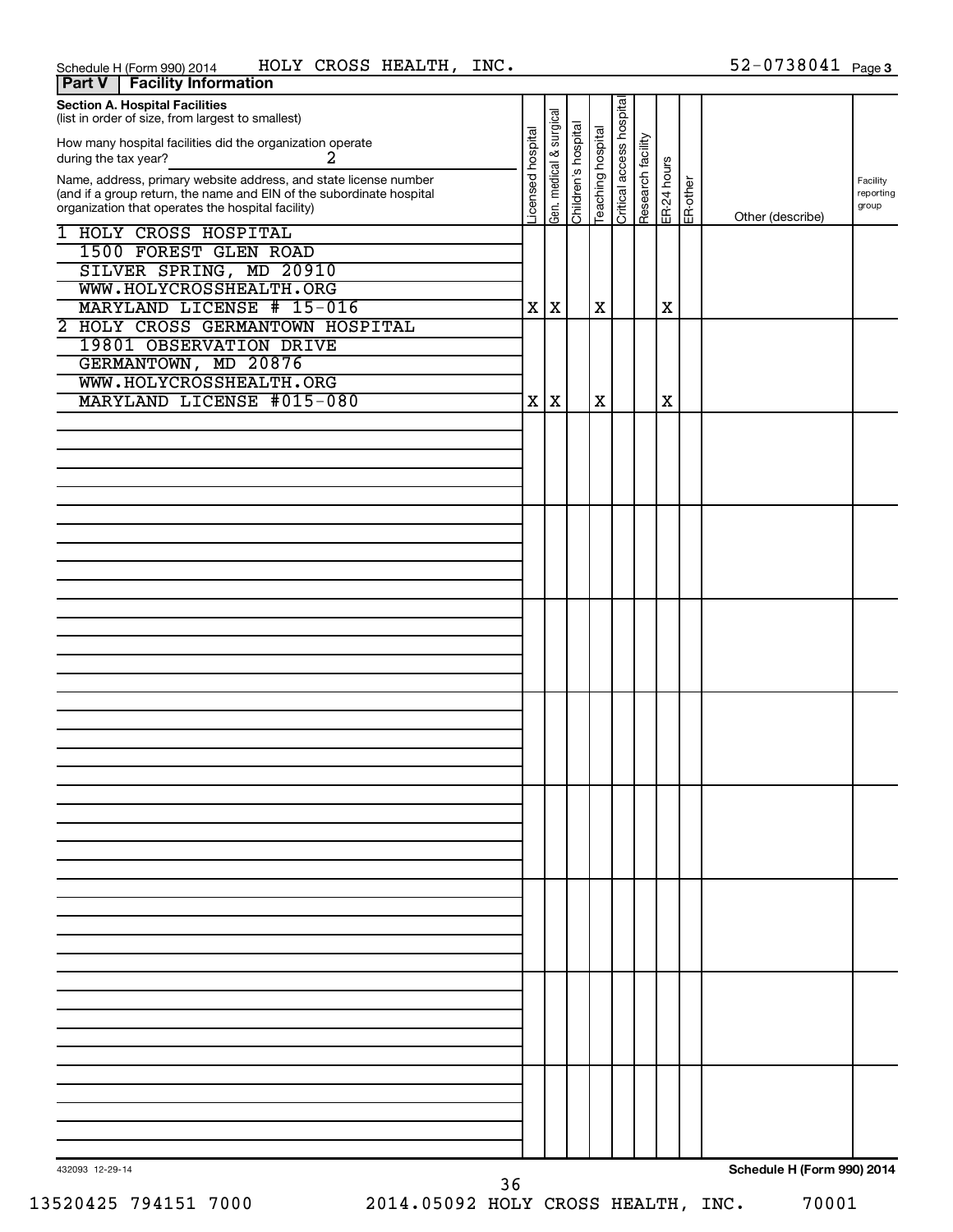| HOLY CROSS HEALTH, INC.<br>Schedule H (Form 990) 2014                                                                     |                  |                         |                     |                   |                                               |             |          | 52-0738041 Page 3          |                    |
|---------------------------------------------------------------------------------------------------------------------------|------------------|-------------------------|---------------------|-------------------|-----------------------------------------------|-------------|----------|----------------------------|--------------------|
| <b>Facility Information</b><br>Part V                                                                                     |                  |                         |                     |                   |                                               |             |          |                            |                    |
| <b>Section A. Hospital Facilities</b><br>(list in order of size, from largest to smallest)                                |                  |                         |                     |                   | Critical access hospital<br>Research facility |             |          |                            |                    |
| How many hospital facilities did the organization operate<br>during the tax year?<br>2                                    | icensed hospital | Gen. medical & surgical | Children's hospital | Teaching hospital |                                               |             |          |                            |                    |
| Name, address, primary website address, and state license number                                                          |                  |                         |                     |                   |                                               |             |          |                            | Facility           |
| (and if a group return, the name and EIN of the subordinate hospital<br>organization that operates the hospital facility) |                  |                         |                     |                   |                                               | ER-24 hours | ER-other | Other (describe)           | reporting<br>group |
| <b>1 HOLY CROSS HOSPITAL</b>                                                                                              |                  |                         |                     |                   |                                               |             |          |                            |                    |
| 1500 FOREST GLEN ROAD                                                                                                     |                  |                         |                     |                   |                                               |             |          |                            |                    |
| SILVER SPRING, MD 20910                                                                                                   |                  |                         |                     |                   |                                               |             |          |                            |                    |
| WWW.HOLYCROSSHEALTH.ORG                                                                                                   |                  |                         |                     |                   |                                               |             |          |                            |                    |
| MARYLAND LICENSE # 15-016                                                                                                 | X                | X                       |                     | X                 |                                               | X           |          |                            |                    |
| 2 HOLY CROSS GERMANTOWN HOSPITAL<br>19801 OBSERVATION DRIVE                                                               |                  |                         |                     |                   |                                               |             |          |                            |                    |
| GERMANTOWN, MD 20876                                                                                                      |                  |                         |                     |                   |                                               |             |          |                            |                    |
| WWW.HOLYCROSSHEALTH.ORG                                                                                                   |                  |                         |                     |                   |                                               |             |          |                            |                    |
| MARYLAND LICENSE #015-080                                                                                                 | X                | X                       |                     | X                 |                                               | X           |          |                            |                    |
|                                                                                                                           |                  |                         |                     |                   |                                               |             |          |                            |                    |
|                                                                                                                           |                  |                         |                     |                   |                                               |             |          |                            |                    |
|                                                                                                                           |                  |                         |                     |                   |                                               |             |          |                            |                    |
|                                                                                                                           |                  |                         |                     |                   |                                               |             |          |                            |                    |
|                                                                                                                           |                  |                         |                     |                   |                                               |             |          |                            |                    |
|                                                                                                                           |                  |                         |                     |                   |                                               |             |          |                            |                    |
|                                                                                                                           |                  |                         |                     |                   |                                               |             |          |                            |                    |
|                                                                                                                           |                  |                         |                     |                   |                                               |             |          |                            |                    |
|                                                                                                                           |                  |                         |                     |                   |                                               |             |          |                            |                    |
|                                                                                                                           |                  |                         |                     |                   |                                               |             |          |                            |                    |
|                                                                                                                           |                  |                         |                     |                   |                                               |             |          |                            |                    |
|                                                                                                                           |                  |                         |                     |                   |                                               |             |          |                            |                    |
|                                                                                                                           |                  |                         |                     |                   |                                               |             |          |                            |                    |
|                                                                                                                           |                  |                         |                     |                   |                                               |             |          |                            |                    |
|                                                                                                                           |                  |                         |                     |                   |                                               |             |          |                            |                    |
|                                                                                                                           |                  |                         |                     |                   |                                               |             |          |                            |                    |
|                                                                                                                           |                  |                         |                     |                   |                                               |             |          |                            |                    |
|                                                                                                                           |                  |                         |                     |                   |                                               |             |          |                            |                    |
|                                                                                                                           |                  |                         |                     |                   |                                               |             |          |                            |                    |
|                                                                                                                           |                  |                         |                     |                   |                                               |             |          |                            |                    |
|                                                                                                                           |                  |                         |                     |                   |                                               |             |          |                            |                    |
|                                                                                                                           |                  |                         |                     |                   |                                               |             |          |                            |                    |
|                                                                                                                           |                  |                         |                     |                   |                                               |             |          |                            |                    |
|                                                                                                                           |                  |                         |                     |                   |                                               |             |          |                            |                    |
|                                                                                                                           |                  |                         |                     |                   |                                               |             |          |                            |                    |
|                                                                                                                           |                  |                         |                     |                   |                                               |             |          |                            |                    |
|                                                                                                                           |                  |                         |                     |                   |                                               |             |          |                            |                    |
|                                                                                                                           |                  |                         |                     |                   |                                               |             |          |                            |                    |
|                                                                                                                           |                  |                         |                     |                   |                                               |             |          |                            |                    |
|                                                                                                                           |                  |                         |                     |                   |                                               |             |          |                            |                    |
|                                                                                                                           |                  |                         |                     |                   |                                               |             |          |                            |                    |
|                                                                                                                           |                  |                         |                     |                   |                                               |             |          |                            |                    |
|                                                                                                                           |                  |                         |                     |                   |                                               |             |          |                            |                    |
|                                                                                                                           |                  |                         |                     |                   |                                               |             |          |                            |                    |
|                                                                                                                           |                  |                         |                     |                   |                                               |             |          |                            |                    |
|                                                                                                                           |                  |                         |                     |                   |                                               |             |          |                            |                    |
| 432093 12-29-14<br>36                                                                                                     |                  |                         |                     |                   |                                               |             |          | Schedule H (Form 990) 2014 |                    |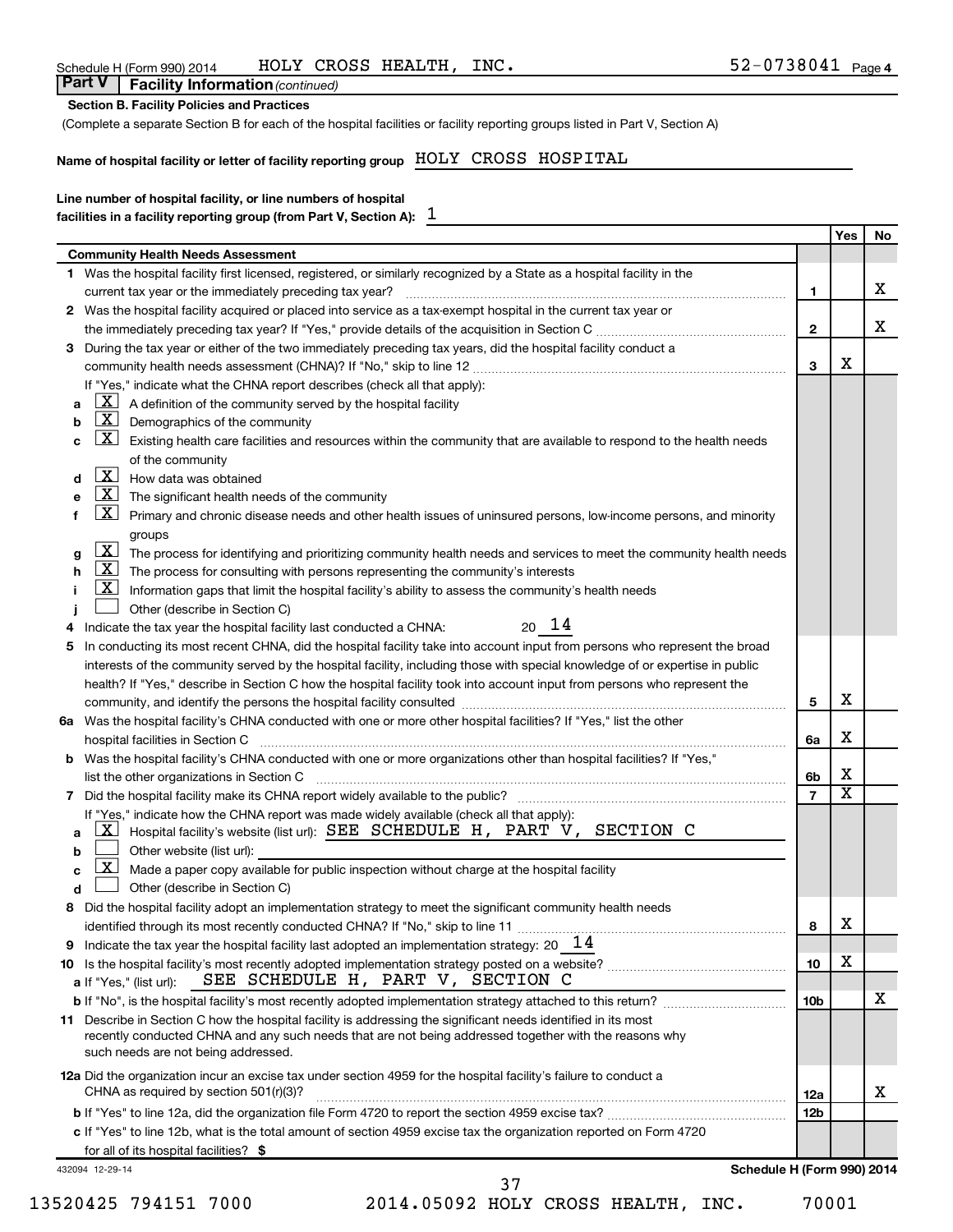| Schedule H (Form 990) 2014 |  |  |  | HOLY CROSS HEALTH, INC. |  | $52 - 0738041$ Page 4 |  |
|----------------------------|--|--|--|-------------------------|--|-----------------------|--|
|----------------------------|--|--|--|-------------------------|--|-----------------------|--|

### **Section B. Facility Policies and Practices Part V** | Facility Information (continued)

(Complete a separate Section B for each of the hospital facilities or facility reporting groups listed in Part V, Section A)

#### **Name of hospital facility or letter of facility reporting group** HOLY CROSS HOSPITAL

### **Line number of hospital facility, or line numbers of hospital**

| facilities in a facility reporting group (from Part V, Section A):    ⊥ |  |  |  |
|-------------------------------------------------------------------------|--|--|--|
|                                                                         |  |  |  |

|                                                                                                                  |                                                                                                                                              |                 | Yes                     | No |  |  |
|------------------------------------------------------------------------------------------------------------------|----------------------------------------------------------------------------------------------------------------------------------------------|-----------------|-------------------------|----|--|--|
|                                                                                                                  | <b>Community Health Needs Assessment</b>                                                                                                     |                 |                         |    |  |  |
|                                                                                                                  | 1 Was the hospital facility first licensed, registered, or similarly recognized by a State as a hospital facility in the                     |                 |                         | х  |  |  |
|                                                                                                                  | current tax year or the immediately preceding tax year?<br>1.                                                                                |                 |                         |    |  |  |
|                                                                                                                  | 2 Was the hospital facility acquired or placed into service as a tax-exempt hospital in the current tax year or                              |                 |                         |    |  |  |
|                                                                                                                  |                                                                                                                                              | $\mathbf{2}$    |                         | х  |  |  |
| З                                                                                                                | During the tax year or either of the two immediately preceding tax years, did the hospital facility conduct a                                |                 |                         |    |  |  |
|                                                                                                                  |                                                                                                                                              | 3               | х                       |    |  |  |
|                                                                                                                  | If "Yes," indicate what the CHNA report describes (check all that apply):                                                                    |                 |                         |    |  |  |
| a                                                                                                                | $\mathbf{X}$<br>A definition of the community served by the hospital facility                                                                |                 |                         |    |  |  |
| b                                                                                                                | $\lfloor x \rfloor$<br>Demographics of the community                                                                                         |                 |                         |    |  |  |
| С                                                                                                                | $\lfloor x \rfloor$<br>Existing health care facilities and resources within the community that are available to respond to the health needs  |                 |                         |    |  |  |
|                                                                                                                  | of the community                                                                                                                             |                 |                         |    |  |  |
| d                                                                                                                | $\mathbf{X}$<br>How data was obtained                                                                                                        |                 |                         |    |  |  |
| е                                                                                                                | $\lfloor x \rfloor$<br>The significant health needs of the community                                                                         |                 |                         |    |  |  |
| f                                                                                                                | $\lfloor x \rfloor$<br>Primary and chronic disease needs and other health issues of uninsured persons, low-income persons, and minority      |                 |                         |    |  |  |
|                                                                                                                  | groups                                                                                                                                       |                 |                         |    |  |  |
| g                                                                                                                | $\boxed{\text{X}}$<br>The process for identifying and prioritizing community health needs and services to meet the community health needs    |                 |                         |    |  |  |
| h                                                                                                                | <u>  X  </u><br>The process for consulting with persons representing the community's interests                                               |                 |                         |    |  |  |
| j.                                                                                                               | $\mathbf{X}$<br>Information gaps that limit the hospital facility's ability to assess the community's health needs                           |                 |                         |    |  |  |
|                                                                                                                  | Other (describe in Section C)                                                                                                                |                 |                         |    |  |  |
|                                                                                                                  | $20 \t14$<br>Indicate the tax year the hospital facility last conducted a CHNA:                                                              |                 |                         |    |  |  |
| 5                                                                                                                | In conducting its most recent CHNA, did the hospital facility take into account input from persons who represent the broad                   |                 |                         |    |  |  |
|                                                                                                                  | interests of the community served by the hospital facility, including those with special knowledge of or expertise in public                 |                 |                         |    |  |  |
|                                                                                                                  | health? If "Yes," describe in Section C how the hospital facility took into account input from persons who represent the                     |                 |                         |    |  |  |
|                                                                                                                  |                                                                                                                                              | 5               | х                       |    |  |  |
| 6a                                                                                                               | Was the hospital facility's CHNA conducted with one or more other hospital facilities? If "Yes," list the other                              |                 |                         |    |  |  |
|                                                                                                                  | hospital facilities in Section C                                                                                                             | 6a              | х                       |    |  |  |
| b                                                                                                                | Was the hospital facility's CHNA conducted with one or more organizations other than hospital facilities? If "Yes,"                          |                 |                         |    |  |  |
|                                                                                                                  | list the other organizations in Section C                                                                                                    | 6b              | х                       |    |  |  |
| 7                                                                                                                |                                                                                                                                              | $\overline{7}$  | $\overline{\texttt{x}}$ |    |  |  |
|                                                                                                                  | If "Yes," indicate how the CHNA report was made widely available (check all that apply):                                                     |                 |                         |    |  |  |
| a                                                                                                                | Hospital facility's website (list url): SEE SCHEDULE H, PART V, SECTION C<br>$\mathbf{X}$                                                    |                 |                         |    |  |  |
| b                                                                                                                | Other website (list url):                                                                                                                    |                 |                         |    |  |  |
| c                                                                                                                | X <br>Made a paper copy available for public inspection without charge at the hospital facility                                              |                 |                         |    |  |  |
| d                                                                                                                | Other (describe in Section C)                                                                                                                |                 |                         |    |  |  |
|                                                                                                                  | 8 Did the hospital facility adopt an implementation strategy to meet the significant community health needs                                  |                 |                         |    |  |  |
|                                                                                                                  | identified through its most recently conducted CHNA? If "No," skip to line 11                                                                | 8               | Χ                       |    |  |  |
|                                                                                                                  | 9 Indicate the tax year the hospital facility last adopted an implementation strategy: 20 $14$                                               |                 |                         |    |  |  |
|                                                                                                                  |                                                                                                                                              | 10              | х                       |    |  |  |
|                                                                                                                  | SEE SCHEDULE H, PART V, SECTION C<br><b>a</b> If "Yes," (list url):                                                                          |                 |                         |    |  |  |
|                                                                                                                  |                                                                                                                                              | 10 <sub>b</sub> |                         | х  |  |  |
|                                                                                                                  | 11 Describe in Section C how the hospital facility is addressing the significant needs identified in its most                                |                 |                         |    |  |  |
|                                                                                                                  | recently conducted CHNA and any such needs that are not being addressed together with the reasons why<br>such needs are not being addressed. |                 |                         |    |  |  |
|                                                                                                                  |                                                                                                                                              |                 |                         |    |  |  |
| 12a Did the organization incur an excise tax under section 4959 for the hospital facility's failure to conduct a |                                                                                                                                              |                 |                         |    |  |  |
| CHNA as required by section $501(r)(3)?$<br>12a                                                                  |                                                                                                                                              |                 |                         |    |  |  |
| 12b                                                                                                              |                                                                                                                                              |                 |                         |    |  |  |
|                                                                                                                  | c If "Yes" to line 12b, what is the total amount of section 4959 excise tax the organization reported on Form 4720                           |                 |                         |    |  |  |
|                                                                                                                  | for all of its hospital facilities? \$                                                                                                       |                 |                         |    |  |  |
|                                                                                                                  | Schedule H (Form 990) 2014<br>432094 12-29-14                                                                                                |                 |                         |    |  |  |

13520425 794151 7000 2014.05092 HOLY CROSS HEALTH, INC. 70001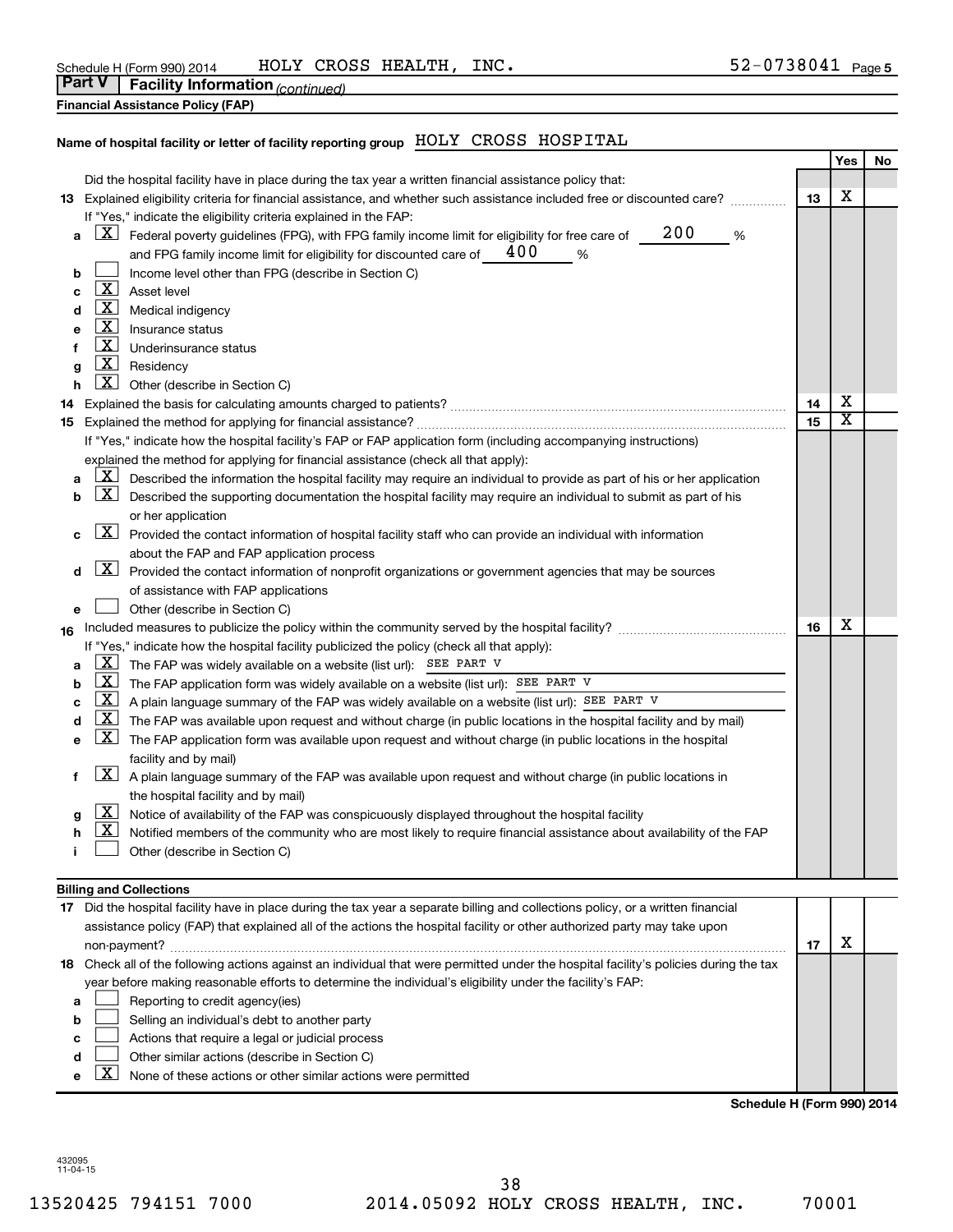|  | Schedule H (Form 990) 2014 |  |  | HOLY CROSS HEALTH, INC. |  | $52 - 0738041$ Page 5 |  |
|--|----------------------------|--|--|-------------------------|--|-----------------------|--|
|--|----------------------------|--|--|-------------------------|--|-----------------------|--|

|  | <b>Part V</b>   Facility Information (continued) |  |
|--|--------------------------------------------------|--|
|  | <b>Financial Assistance Policy (FAP)</b>         |  |

#### **Name of hospital facility or letter of facility reporting group** HOLY CROSS HOSPITAL

|    |                                                                                                                                                 |    | Yes                     | No |
|----|-------------------------------------------------------------------------------------------------------------------------------------------------|----|-------------------------|----|
|    | Did the hospital facility have in place during the tax year a written financial assistance policy that:                                         |    |                         |    |
| 13 | Explained eligibility criteria for financial assistance, and whether such assistance included free or discounted care?                          | 13 | x                       |    |
|    | If "Yes," indicate the eligibility criteria explained in the FAP:                                                                               |    |                         |    |
| a  | 200<br>$\lfloor \underline{X} \rfloor$ Federal poverty guidelines (FPG), with FPG family income limit for eligibility for free care of<br>%     |    |                         |    |
|    | 400<br>and FPG family income limit for eligibility for discounted care of<br>%                                                                  |    |                         |    |
| b  | Income level other than FPG (describe in Section C)                                                                                             |    |                         |    |
| c  | X Asset level                                                                                                                                   |    |                         |    |
| d  | $\lfloor x \rfloor$<br>Medical indigency                                                                                                        |    |                         |    |
| e  | $\lfloor x \rfloor$<br>Insurance status                                                                                                         |    |                         |    |
| f  | <u>X  </u><br>Underinsurance status                                                                                                             |    |                         |    |
|    | $ \mathbf{X} $ Residency                                                                                                                        |    |                         |    |
| g  | $X$ Other (describe in Section C)                                                                                                               |    |                         |    |
| h  |                                                                                                                                                 |    | x                       |    |
| 14 |                                                                                                                                                 | 14 | $\overline{\textbf{x}}$ |    |
| 15 |                                                                                                                                                 | 15 |                         |    |
|    | If "Yes," indicate how the hospital facility's FAP or FAP application form (including accompanying instructions)                                |    |                         |    |
|    | explained the method for applying for financial assistance (check all that apply):                                                              |    |                         |    |
| а  | $X \mid$<br>Described the information the hospital facility may require an individual to provide as part of his or her application              |    |                         |    |
| b  | $\lfloor x \rfloor$<br>Described the supporting documentation the hospital facility may require an individual to submit as part of his          |    |                         |    |
|    | or her application                                                                                                                              |    |                         |    |
| c  | $\lfloor x \rfloor$ Provided the contact information of hospital facility staff who can provide an individual with information                  |    |                         |    |
|    | about the FAP and FAP application process                                                                                                       |    |                         |    |
|    | $\lfloor x \rfloor$ Provided the contact information of nonprofit organizations or government agencies that may be sources<br>d                 |    |                         |    |
|    | of assistance with FAP applications                                                                                                             |    |                         |    |
| е  | Other (describe in Section C)                                                                                                                   |    |                         |    |
| 16 |                                                                                                                                                 | 16 | х                       |    |
|    | If "Yes," indicate how the hospital facility publicized the policy (check all that apply):                                                      |    |                         |    |
| a  | $\lfloor x \rfloor$<br>The FAP was widely available on a website (list url): SEE PART V                                                         |    |                         |    |
| b  | $\lfloor x \rfloor$<br>The FAP application form was widely available on a website (list url): SEE PART V                                        |    |                         |    |
| c  | $\lfloor x \rfloor$<br>A plain language summary of the FAP was widely available on a website (list url): SEE PART V                             |    |                         |    |
| d  | $\lfloor x \rfloor$<br>The FAP was available upon request and without charge (in public locations in the hospital facility and by mail)         |    |                         |    |
| е  | $\lfloor \underline{X} \rfloor$ The FAP application form was available upon request and without charge (in public locations in the hospital     |    |                         |    |
|    | facility and by mail)                                                                                                                           |    |                         |    |
| f  | $\lfloor x \rfloor$ A plain language summary of the FAP was available upon request and without charge (in public locations in                   |    |                         |    |
|    | the hospital facility and by mail)                                                                                                              |    |                         |    |
| g  | X <br>Notice of availability of the FAP was conspicuously displayed throughout the hospital facility                                            |    |                         |    |
|    | $\lfloor x \rfloor$<br>Notified members of the community who are most likely to require financial assistance about availability of the FAP<br>h |    |                         |    |
|    | Other (describe in Section C)                                                                                                                   |    |                         |    |
|    |                                                                                                                                                 |    |                         |    |
|    | <b>Billing and Collections</b>                                                                                                                  |    |                         |    |
|    | 17 Did the hospital facility have in place during the tax year a separate billing and collections policy, or a written financial                |    |                         |    |
|    | assistance policy (FAP) that explained all of the actions the hospital facility or other authorized party may take upon                         |    |                         |    |
|    |                                                                                                                                                 | 17 | х                       |    |
|    | 18 Check all of the following actions against an individual that were permitted under the hospital facility's policies during the tax           |    |                         |    |
|    | year before making reasonable efforts to determine the individual's eligibility under the facility's FAP:                                       |    |                         |    |
| a  | Reporting to credit agency(ies)                                                                                                                 |    |                         |    |
|    |                                                                                                                                                 |    |                         |    |
| b  | Selling an individual's debt to another party<br>Actions that require a legal or judicial process                                               |    |                         |    |
| с  |                                                                                                                                                 |    |                         |    |
|    | Other similar actions (describe in Section C)<br>d                                                                                              |    |                         |    |

**e**  $\boxed{\textbf{X}}$  None of these actions or other similar actions were permitted

**Schedule H (Form 990) 2014**

432095 11-04-15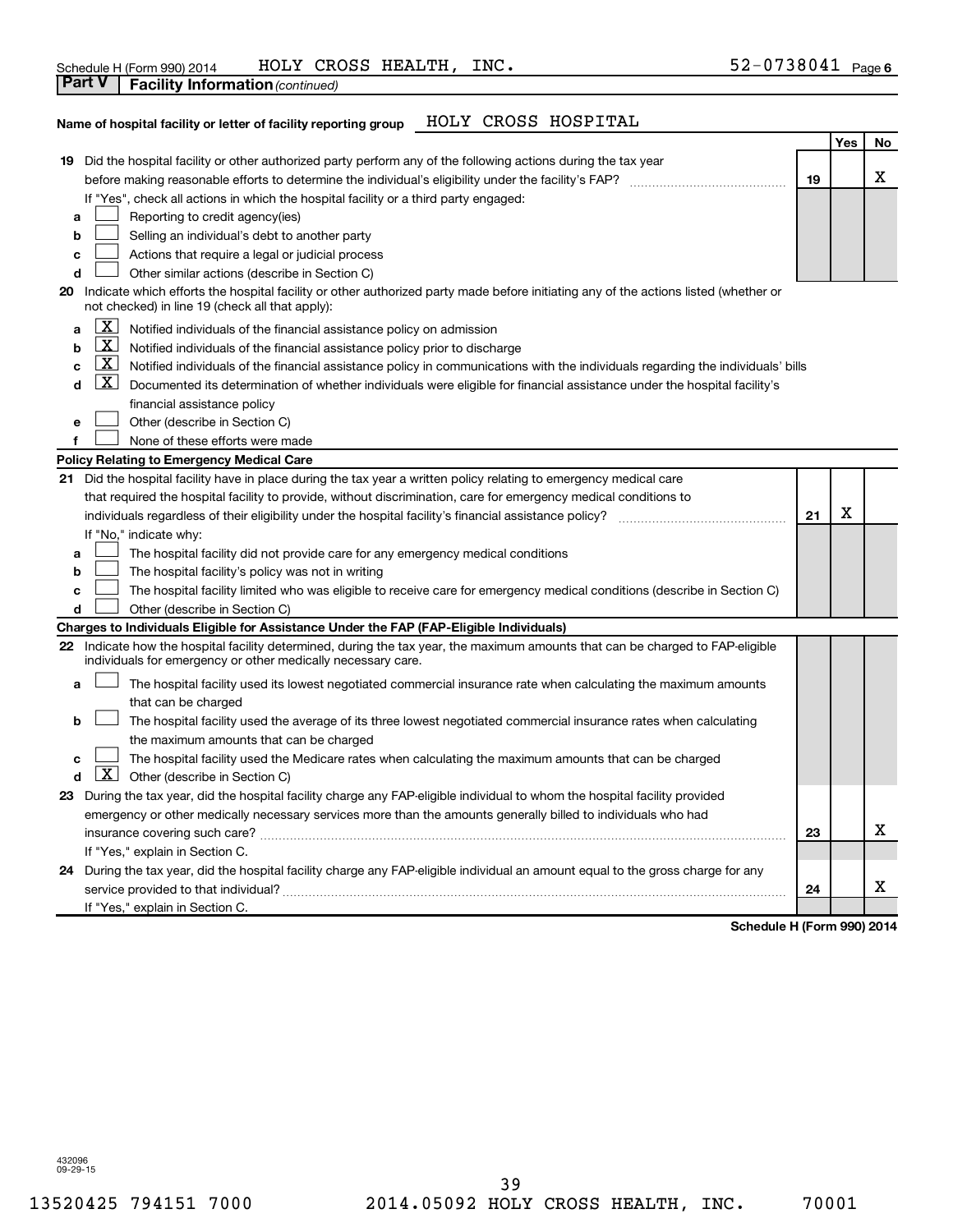Schedule H (Form 990) 2014  $\,$  HOLY CROSS HEALTH, INC.  $\,$  52-0738041  $_{\rm Page}$ 

**Part V** | Facility Information (continued)

#### **Name of hospital facility or letter of facility reporting group** HOLY CROSS HOSPITAL

|                                                                                                                                                             |    | Yes | No |
|-------------------------------------------------------------------------------------------------------------------------------------------------------------|----|-----|----|
| 19 Did the hospital facility or other authorized party perform any of the following actions during the tax year                                             |    |     |    |
| before making reasonable efforts to determine the individual's eligibility under the facility's FAP?                                                        | 19 |     | x. |
| If "Yes", check all actions in which the hospital facility or a third party engaged:                                                                        |    |     |    |
| Reporting to credit agency(ies)<br>a                                                                                                                        |    |     |    |
| Selling an individual's debt to another party<br>b                                                                                                          |    |     |    |
| Actions that require a legal or judicial process<br>с                                                                                                       |    |     |    |
| Other similar actions (describe in Section C)<br>d                                                                                                          |    |     |    |
| Indicate which efforts the hospital facility or other authorized party made before initiating any of the actions listed (whether or<br>20                   |    |     |    |
| not checked) in line 19 (check all that apply):                                                                                                             |    |     |    |
| X  <br>Notified individuals of the financial assistance policy on admission<br>a                                                                            |    |     |    |
| X <br>Notified individuals of the financial assistance policy prior to discharge<br>b                                                                       |    |     |    |
| $\lfloor x \rfloor$<br>Notified individuals of the financial assistance policy in communications with the individuals regarding the individuals' bills<br>c |    |     |    |
| $\lfloor x \rfloor$<br>Documented its determination of whether individuals were eligible for financial assistance under the hospital facility's<br>d        |    |     |    |
| financial assistance policy                                                                                                                                 |    |     |    |
| Other (describe in Section C)<br>e                                                                                                                          |    |     |    |
| f<br>None of these efforts were made                                                                                                                        |    |     |    |
| <b>Policy Relating to Emergency Medical Care</b>                                                                                                            |    |     |    |
| 21 Did the hospital facility have in place during the tax year a written policy relating to emergency medical care                                          |    |     |    |
| that required the hospital facility to provide, without discrimination, care for emergency medical conditions to                                            |    |     |    |
|                                                                                                                                                             | 21 | х   |    |
| If "No," indicate why:                                                                                                                                      |    |     |    |
| The hospital facility did not provide care for any emergency medical conditions<br>a                                                                        |    |     |    |
| The hospital facility's policy was not in writing<br>b                                                                                                      |    |     |    |
| The hospital facility limited who was eligible to receive care for emergency medical conditions (describe in Section C)<br>c                                |    |     |    |
| d<br>Other (describe in Section C)                                                                                                                          |    |     |    |
| Charges to Individuals Eligible for Assistance Under the FAP (FAP-Eligible Individuals)                                                                     |    |     |    |
| 22 Indicate how the hospital facility determined, during the tax year, the maximum amounts that can be charged to FAP-eligible                              |    |     |    |
| individuals for emergency or other medically necessary care.                                                                                                |    |     |    |
| The hospital facility used its lowest negotiated commercial insurance rate when calculating the maximum amounts<br>a                                        |    |     |    |
| that can be charged                                                                                                                                         |    |     |    |
| The hospital facility used the average of its three lowest negotiated commercial insurance rates when calculating<br>b                                      |    |     |    |
| the maximum amounts that can be charged                                                                                                                     |    |     |    |
| The hospital facility used the Medicare rates when calculating the maximum amounts that can be charged<br>c                                                 |    |     |    |
| $\mathbf{X}$<br>Other (describe in Section C)<br>d                                                                                                          |    |     |    |
| 23 During the tax year, did the hospital facility charge any FAP-eligible individual to whom the hospital facility provided                                 |    |     |    |
| emergency or other medically necessary services more than the amounts generally billed to individuals who had                                               |    |     |    |
|                                                                                                                                                             | 23 |     | x  |
| If "Yes," explain in Section C.                                                                                                                             |    |     |    |
| 24 During the tax year, did the hospital facility charge any FAP-eligible individual an amount equal to the gross charge for any                            |    |     |    |
|                                                                                                                                                             | 24 |     | x  |
| If "Yes," explain in Section C.                                                                                                                             |    |     |    |
| Schedule H (Form 990) 2014                                                                                                                                  |    |     |    |

432096 09-29-15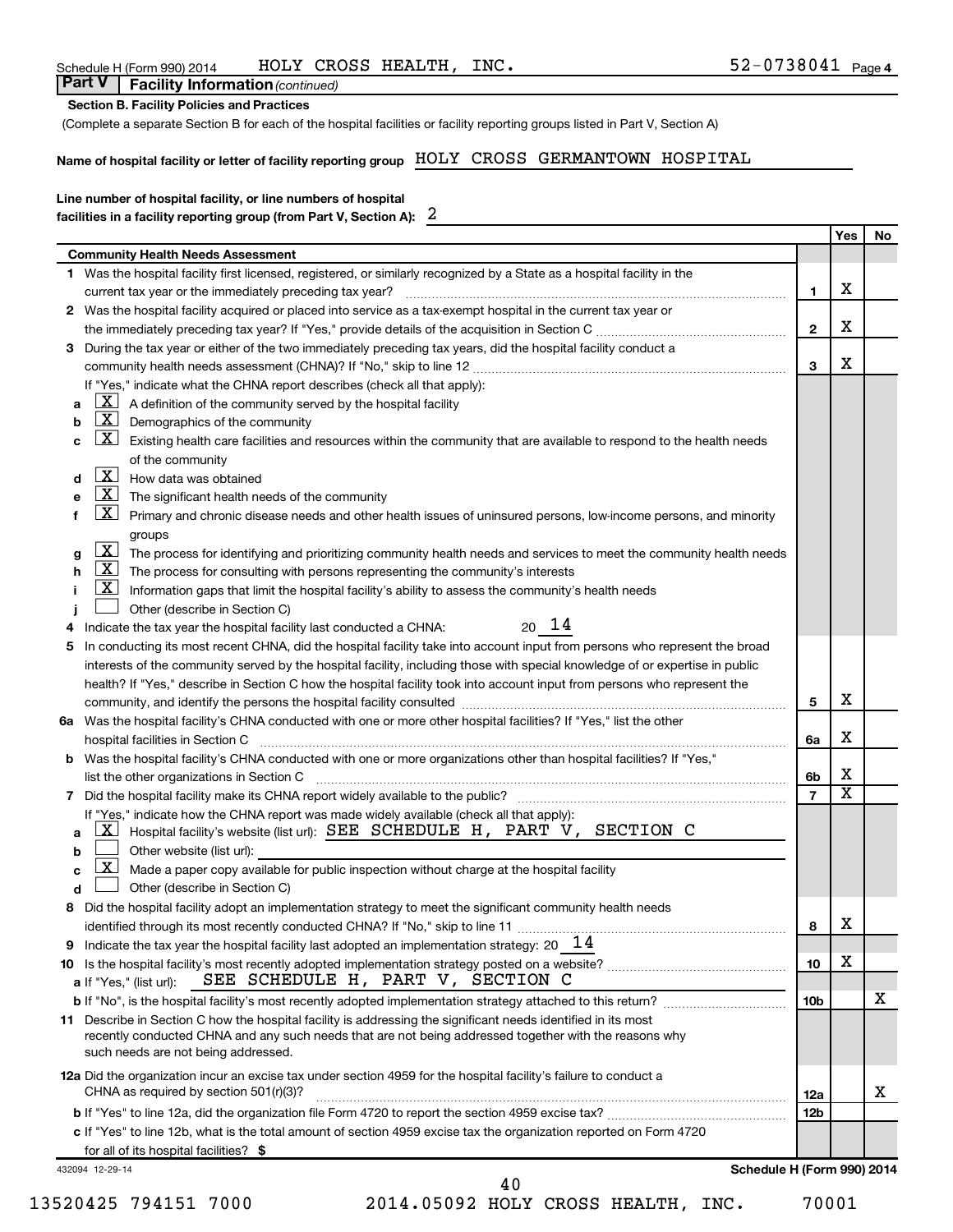| Schedule H (Form 990) 2014 |  |  |  | HOLY CROSS HEALTH, INC. |  | $52 - 0738041$ Page 4 |  |
|----------------------------|--|--|--|-------------------------|--|-----------------------|--|
|----------------------------|--|--|--|-------------------------|--|-----------------------|--|

**Section B. Facility Policies and Practices**

(Complete a separate Section B for each of the hospital facilities or facility reporting groups listed in Part V, Section A)

#### **Name of hospital facility or letter of facility reporting group** HOLY CROSS GERMANTOWN HOSPITAL

### **Line number of hospital facility, or line numbers of hospital**

| facilities in a facility reporting group (from Part V, Section A): $\hspace{0.1 cm} 2 \hspace{0.1 cm}$ |  |
|--------------------------------------------------------------------------------------------------------|--|
|                                                                                                        |  |

|                                                                                                                  |                                                                                                                                                                                                                                |                 | Yes                     | No |  |
|------------------------------------------------------------------------------------------------------------------|--------------------------------------------------------------------------------------------------------------------------------------------------------------------------------------------------------------------------------|-----------------|-------------------------|----|--|
|                                                                                                                  | <b>Community Health Needs Assessment</b>                                                                                                                                                                                       |                 |                         |    |  |
|                                                                                                                  | 1 Was the hospital facility first licensed, registered, or similarly recognized by a State as a hospital facility in the                                                                                                       |                 |                         |    |  |
|                                                                                                                  | current tax year or the immediately preceding tax year?                                                                                                                                                                        | 1               | х                       |    |  |
|                                                                                                                  | 2 Was the hospital facility acquired or placed into service as a tax-exempt hospital in the current tax year or                                                                                                                |                 |                         |    |  |
|                                                                                                                  |                                                                                                                                                                                                                                | $\mathbf{2}$    | х                       |    |  |
| 3                                                                                                                | During the tax year or either of the two immediately preceding tax years, did the hospital facility conduct a                                                                                                                  |                 |                         |    |  |
|                                                                                                                  |                                                                                                                                                                                                                                | 3               | х                       |    |  |
|                                                                                                                  | If "Yes," indicate what the CHNA report describes (check all that apply):                                                                                                                                                      |                 |                         |    |  |
| a                                                                                                                | $\lfloor x \rfloor$<br>A definition of the community served by the hospital facility                                                                                                                                           |                 |                         |    |  |
| b                                                                                                                | $\lfloor x \rfloor$<br>Demographics of the community                                                                                                                                                                           |                 |                         |    |  |
| c                                                                                                                | $\boxed{\text{X}}$<br>Existing health care facilities and resources within the community that are available to respond to the health needs                                                                                     |                 |                         |    |  |
|                                                                                                                  | of the community                                                                                                                                                                                                               |                 |                         |    |  |
| d                                                                                                                | $\lfloor x \rfloor$<br>How data was obtained                                                                                                                                                                                   |                 |                         |    |  |
| e                                                                                                                | $\lfloor x \rfloor$<br>The significant health needs of the community                                                                                                                                                           |                 |                         |    |  |
| f                                                                                                                | $\lfloor x \rfloor$<br>Primary and chronic disease needs and other health issues of uninsured persons, low-income persons, and minority                                                                                        |                 |                         |    |  |
|                                                                                                                  | groups                                                                                                                                                                                                                         |                 |                         |    |  |
| g                                                                                                                | $\lfloor x \rfloor$<br>The process for identifying and prioritizing community health needs and services to meet the community health needs                                                                                     |                 |                         |    |  |
| h                                                                                                                | $\lfloor x \rfloor$<br>The process for consulting with persons representing the community's interests                                                                                                                          |                 |                         |    |  |
|                                                                                                                  | $\lfloor x \rfloor$<br>Information gaps that limit the hospital facility's ability to assess the community's health needs                                                                                                      |                 |                         |    |  |
|                                                                                                                  | Other (describe in Section C)                                                                                                                                                                                                  |                 |                         |    |  |
|                                                                                                                  | $20 \t14$<br>Indicate the tax year the hospital facility last conducted a CHNA:                                                                                                                                                |                 |                         |    |  |
| 5                                                                                                                | In conducting its most recent CHNA, did the hospital facility take into account input from persons who represent the broad                                                                                                     |                 |                         |    |  |
|                                                                                                                  | interests of the community served by the hospital facility, including those with special knowledge of or expertise in public                                                                                                   |                 |                         |    |  |
|                                                                                                                  | health? If "Yes," describe in Section C how the hospital facility took into account input from persons who represent the                                                                                                       |                 |                         |    |  |
|                                                                                                                  |                                                                                                                                                                                                                                | 5               | х                       |    |  |
|                                                                                                                  | 6a Was the hospital facility's CHNA conducted with one or more other hospital facilities? If "Yes," list the other                                                                                                             |                 |                         |    |  |
|                                                                                                                  | hospital facilities in Section C [111] March 2014 [12] March 2014 [12] March 2014 [12] March 2014 [12] March 2014 [12] March 2014 [12] March 2014 [12] March 2014 [12] March 2014 [12] March 2014 [12] March 2014 [12] March 2 | 6a              | х                       |    |  |
| b                                                                                                                | Was the hospital facility's CHNA conducted with one or more organizations other than hospital facilities? If "Yes,"                                                                                                            |                 |                         |    |  |
|                                                                                                                  | list the other organizations in Section C                                                                                                                                                                                      | 6b              | х                       |    |  |
|                                                                                                                  |                                                                                                                                                                                                                                | $\overline{7}$  | $\overline{\texttt{x}}$ |    |  |
|                                                                                                                  | If "Yes," indicate how the CHNA report was made widely available (check all that apply):                                                                                                                                       |                 |                         |    |  |
| a                                                                                                                | $\lfloor x \rfloor$ Hospital facility's website (list url): SEE SCHEDULE H, PART V, SECTION C                                                                                                                                  |                 |                         |    |  |
| b                                                                                                                | Other website (list url):                                                                                                                                                                                                      |                 |                         |    |  |
| c                                                                                                                | $\lfloor x \rfloor$ Made a paper copy available for public inspection without charge at the hospital facility                                                                                                                  |                 |                         |    |  |
|                                                                                                                  | Other (describe in Section C)                                                                                                                                                                                                  |                 |                         |    |  |
| 8                                                                                                                | Did the hospital facility adopt an implementation strategy to meet the significant community health needs                                                                                                                      |                 |                         |    |  |
|                                                                                                                  |                                                                                                                                                                                                                                | 8               | Χ                       |    |  |
| 9                                                                                                                | Indicate the tax year the hospital facility last adopted an implementation strategy: 20 $14$                                                                                                                                   |                 |                         |    |  |
|                                                                                                                  |                                                                                                                                                                                                                                | 10              | х                       |    |  |
|                                                                                                                  | SEE SCHEDULE H, PART V, SECTION C<br><b>a</b> If "Yes," (list url):                                                                                                                                                            |                 |                         |    |  |
|                                                                                                                  | <b>b</b> If "No", is the hospital facility's most recently adopted implementation strategy attached to this return?                                                                                                            | 10 <sub>b</sub> |                         | х  |  |
|                                                                                                                  | 11 Describe in Section C how the hospital facility is addressing the significant needs identified in its most                                                                                                                  |                 |                         |    |  |
|                                                                                                                  | recently conducted CHNA and any such needs that are not being addressed together with the reasons why                                                                                                                          |                 |                         |    |  |
|                                                                                                                  | such needs are not being addressed.                                                                                                                                                                                            |                 |                         |    |  |
| 12a Did the organization incur an excise tax under section 4959 for the hospital facility's failure to conduct a |                                                                                                                                                                                                                                |                 |                         |    |  |
| CHNA as required by section $501(r)(3)?$<br>12a                                                                  |                                                                                                                                                                                                                                |                 |                         |    |  |
| 12b                                                                                                              |                                                                                                                                                                                                                                |                 |                         |    |  |
|                                                                                                                  | c If "Yes" to line 12b, what is the total amount of section 4959 excise tax the organization reported on Form 4720                                                                                                             |                 |                         |    |  |
|                                                                                                                  | for all of its hospital facilities? \$                                                                                                                                                                                         |                 |                         |    |  |
|                                                                                                                  | Schedule H (Form 990) 2014<br>432094 12-29-14                                                                                                                                                                                  |                 |                         |    |  |

13520425 794151 7000 2014.05092 HOLY CROSS HEALTH, INC. 70001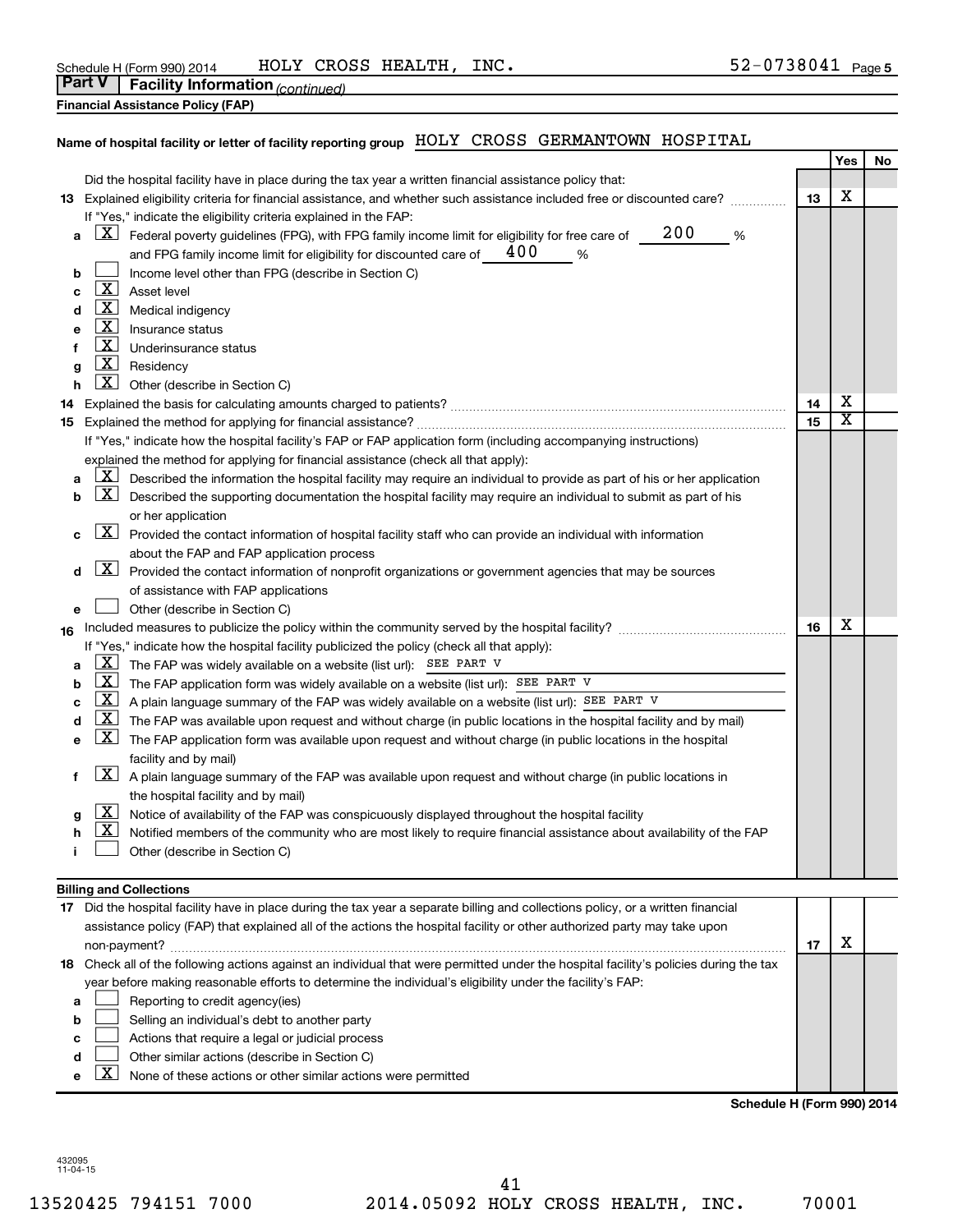|  | Schedule H (Form 990) 2014 |  |  | HOLY CROSS HEALTH, INC. |  | $52 - 0738041$ Page 5 |
|--|----------------------------|--|--|-------------------------|--|-----------------------|
|--|----------------------------|--|--|-------------------------|--|-----------------------|

|                                          | <b>Part V</b>   Facility Information (continued) |  |  |  |  |  |  |  |  |
|------------------------------------------|--------------------------------------------------|--|--|--|--|--|--|--|--|
| <b>Financial Assistance Policy (FAP)</b> |                                                  |  |  |  |  |  |  |  |  |

#### **Name of hospital facility or letter of facility reporting group** HOLY CROSS GERMANTOWN HOSPITAL

|    |                             |                                                                                                                                             |    | Yes                     | No |
|----|-----------------------------|---------------------------------------------------------------------------------------------------------------------------------------------|----|-------------------------|----|
|    |                             | Did the hospital facility have in place during the tax year a written financial assistance policy that:                                     |    |                         |    |
| 13 |                             | Explained eligibility criteria for financial assistance, and whether such assistance included free or discounted care?                      | 13 | х                       |    |
|    |                             | If "Yes," indicate the eligibility criteria explained in the FAP:                                                                           |    |                         |    |
| a  |                             | 200<br>$\lfloor \underline{X} \rfloor$ Federal poverty guidelines (FPG), with FPG family income limit for eligibility for free care of<br>% |    |                         |    |
|    |                             | 400<br>and FPG family income limit for eligibility for discounted care of<br>%                                                              |    |                         |    |
| b  |                             | Income level other than FPG (describe in Section C)                                                                                         |    |                         |    |
| c  |                             | X Asset level                                                                                                                               |    |                         |    |
| d  |                             | $\lfloor x \rfloor$ Medical indigency                                                                                                       |    |                         |    |
| е  |                             | $X$ Insurance status                                                                                                                        |    |                         |    |
| f  | <u>X  </u>                  | Underinsurance status                                                                                                                       |    |                         |    |
| g  |                             | <b>X</b> Residency                                                                                                                          |    |                         |    |
| h  |                             | $X$ Other (describe in Section C)                                                                                                           |    |                         |    |
| 14 |                             |                                                                                                                                             | 14 | x                       |    |
| 15 |                             |                                                                                                                                             | 15 | $\overline{\textbf{x}}$ |    |
|    |                             | If "Yes," indicate how the hospital facility's FAP or FAP application form (including accompanying instructions)                            |    |                         |    |
|    |                             | explained the method for applying for financial assistance (check all that apply):                                                          |    |                         |    |
| а  | $\mathbf{X}$                | Described the information the hospital facility may require an individual to provide as part of his or her application                      |    |                         |    |
| b  | $\lfloor x \rfloor$         | Described the supporting documentation the hospital facility may require an individual to submit as part of his                             |    |                         |    |
|    |                             | or her application                                                                                                                          |    |                         |    |
| с  |                             | $\lfloor x \rfloor$ Provided the contact information of hospital facility staff who can provide an individual with information              |    |                         |    |
|    |                             | about the FAP and FAP application process                                                                                                   |    |                         |    |
| d  |                             | $\lfloor x \rfloor$ Provided the contact information of nonprofit organizations or government agencies that may be sources                  |    |                         |    |
|    |                             | of assistance with FAP applications                                                                                                         |    |                         |    |
|    |                             | Other (describe in Section C)                                                                                                               |    |                         |    |
| е  |                             |                                                                                                                                             | 16 | х                       |    |
| 16 |                             |                                                                                                                                             |    |                         |    |
|    | X                           | If "Yes," indicate how the hospital facility publicized the policy (check all that apply):                                                  |    |                         |    |
| a  | $\lfloor x \rfloor$         | The FAP was widely available on a website (list url): SEE PART V                                                                            |    |                         |    |
| b  | $\boxed{\text{X}}$          | The FAP application form was widely available on a website (list url): SEE PART V                                                           |    |                         |    |
| с  |                             | A plain language summary of the FAP was widely available on a website (list url): SEE PART V                                                |    |                         |    |
| d  |                             | $ \underline{X} $ The FAP was available upon request and without charge (in public locations in the hospital facility and by mail)          |    |                         |    |
| е  |                             | $\lfloor \underline{X} \rfloor$ The FAP application form was available upon request and without charge (in public locations in the hospital |    |                         |    |
|    |                             | facility and by mail)                                                                                                                       |    |                         |    |
| f  |                             | $\lfloor x \rfloor$ A plain language summary of the FAP was available upon request and without charge (in public locations in               |    |                         |    |
|    |                             | the hospital facility and by mail)                                                                                                          |    |                         |    |
| g  | $\lfloor \mathbf{X}\rfloor$ | Notice of availability of the FAP was conspicuously displayed throughout the hospital facility                                              |    |                         |    |
| h  | $\lfloor x \rfloor$         | Notified members of the community who are most likely to require financial assistance about availability of the FAP                         |    |                         |    |
|    |                             | Other (describe in Section C)                                                                                                               |    |                         |    |
|    |                             |                                                                                                                                             |    |                         |    |
|    |                             | <b>Billing and Collections</b>                                                                                                              |    |                         |    |
|    |                             | 17 Did the hospital facility have in place during the tax year a separate billing and collections policy, or a written financial            |    |                         |    |
|    |                             | assistance policy (FAP) that explained all of the actions the hospital facility or other authorized party may take upon                     |    |                         |    |
|    |                             |                                                                                                                                             | 17 | х                       |    |
|    |                             | 18 Check all of the following actions against an individual that were permitted under the hospital facility's policies during the tax       |    |                         |    |
|    |                             | year before making reasonable efforts to determine the individual's eligibility under the facility's FAP:                                   |    |                         |    |
| a  |                             | Reporting to credit agency(ies)                                                                                                             |    |                         |    |
|    |                             |                                                                                                                                             |    |                         |    |
| b  |                             | Selling an individual's debt to another party                                                                                               |    |                         |    |
| с  |                             | Actions that require a legal or judicial process                                                                                            |    |                         |    |

**e**  $\boxed{\textbf{X}}$  None of these actions or other similar actions were permitted

**Schedule H (Form 990) 2014**

432095 11-04-15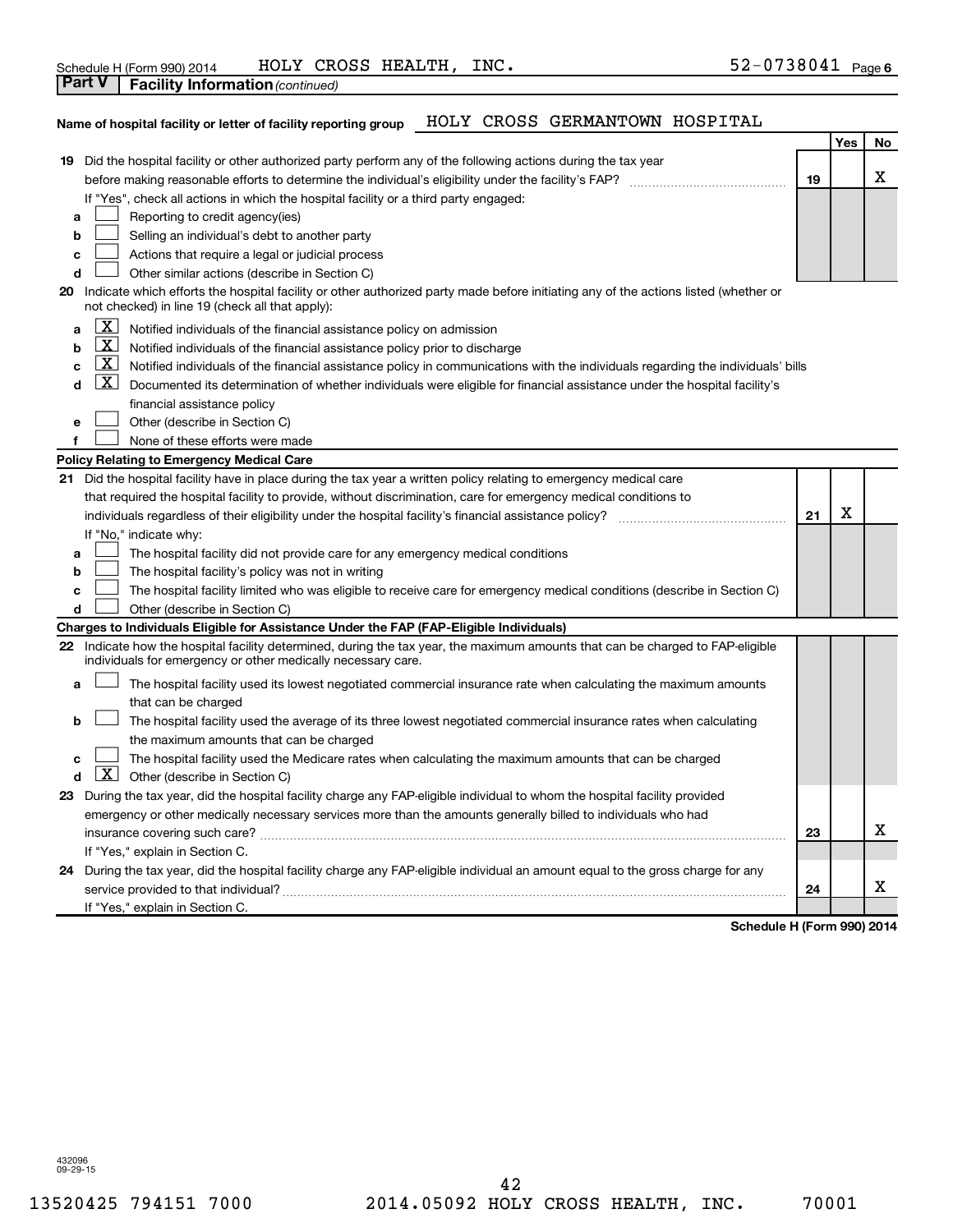Schedule H (Form 990) 2014  $\,$  HOLY CROSS HEALTH, INC.  $\,$  52-0738041  $_{\rm Page}$ 

**Part V** | Facility Information (continued)

| HOLY CROSS GERMANTOWN HOSPITAL<br>Name of hospital facility or letter of facility reporting group |                                                                                                                                                                                                |    |     |    |
|---------------------------------------------------------------------------------------------------|------------------------------------------------------------------------------------------------------------------------------------------------------------------------------------------------|----|-----|----|
|                                                                                                   |                                                                                                                                                                                                |    | Yes | No |
| 19                                                                                                | Did the hospital facility or other authorized party perform any of the following actions during the tax year                                                                                   |    |     |    |
|                                                                                                   |                                                                                                                                                                                                | 19 |     | х  |
|                                                                                                   | If "Yes", check all actions in which the hospital facility or a third party engaged:                                                                                                           |    |     |    |
| а                                                                                                 | Reporting to credit agency(ies)                                                                                                                                                                |    |     |    |
| b                                                                                                 | Selling an individual's debt to another party                                                                                                                                                  |    |     |    |
| с                                                                                                 | Actions that require a legal or judicial process                                                                                                                                               |    |     |    |
| d                                                                                                 | Other similar actions (describe in Section C)                                                                                                                                                  |    |     |    |
| 20                                                                                                | Indicate which efforts the hospital facility or other authorized party made before initiating any of the actions listed (whether or<br>not checked) in line 19 (check all that apply):         |    |     |    |
| а                                                                                                 | $\mathbf{X}$<br>Notified individuals of the financial assistance policy on admission                                                                                                           |    |     |    |
| b                                                                                                 | $\lfloor x \rfloor$<br>Notified individuals of the financial assistance policy prior to discharge                                                                                              |    |     |    |
| c                                                                                                 | $\lfloor x \rfloor$<br>Notified individuals of the financial assistance policy in communications with the individuals regarding the individuals' bills                                         |    |     |    |
| d                                                                                                 | $\lfloor x \rfloor$<br>Documented its determination of whether individuals were eligible for financial assistance under the hospital facility's                                                |    |     |    |
|                                                                                                   | financial assistance policy                                                                                                                                                                    |    |     |    |
| е                                                                                                 | Other (describe in Section C)                                                                                                                                                                  |    |     |    |
| f                                                                                                 | None of these efforts were made                                                                                                                                                                |    |     |    |
|                                                                                                   | <b>Policy Relating to Emergency Medical Care</b>                                                                                                                                               |    |     |    |
| 21                                                                                                | Did the hospital facility have in place during the tax year a written policy relating to emergency medical care                                                                                |    |     |    |
|                                                                                                   | that required the hospital facility to provide, without discrimination, care for emergency medical conditions to                                                                               |    |     |    |
|                                                                                                   | individuals regardless of their eligibility under the hospital facility's financial assistance policy?                                                                                         | 21 | X   |    |
|                                                                                                   | If "No," indicate why:                                                                                                                                                                         |    |     |    |
| а                                                                                                 | The hospital facility did not provide care for any emergency medical conditions                                                                                                                |    |     |    |
| b                                                                                                 | The hospital facility's policy was not in writing                                                                                                                                              |    |     |    |
| с                                                                                                 | The hospital facility limited who was eligible to receive care for emergency medical conditions (describe in Section C)                                                                        |    |     |    |
| d                                                                                                 | Other (describe in Section C)                                                                                                                                                                  |    |     |    |
|                                                                                                   | Charges to Individuals Eligible for Assistance Under the FAP (FAP-Eligible Individuals)                                                                                                        |    |     |    |
|                                                                                                   | 22 Indicate how the hospital facility determined, during the tax year, the maximum amounts that can be charged to FAP-eligible<br>individuals for emergency or other medically necessary care. |    |     |    |
| a                                                                                                 | The hospital facility used its lowest negotiated commercial insurance rate when calculating the maximum amounts                                                                                |    |     |    |
|                                                                                                   | that can be charged                                                                                                                                                                            |    |     |    |
| b                                                                                                 | The hospital facility used the average of its three lowest negotiated commercial insurance rates when calculating                                                                              |    |     |    |
|                                                                                                   | the maximum amounts that can be charged                                                                                                                                                        |    |     |    |
|                                                                                                   | The hospital facility used the Medicare rates when calculating the maximum amounts that can be charged                                                                                         |    |     |    |
|                                                                                                   | Other (describe in Section C)                                                                                                                                                                  |    |     |    |
|                                                                                                   | 23 During the tax year, did the hospital facility charge any FAP-eligible individual to whom the hospital facility provided                                                                    |    |     |    |
|                                                                                                   | emergency or other medically necessary services more than the amounts generally billed to individuals who had                                                                                  |    |     | X  |
|                                                                                                   |                                                                                                                                                                                                | 23 |     |    |
|                                                                                                   | If "Yes," explain in Section C.                                                                                                                                                                |    |     |    |
|                                                                                                   | 24 During the tax year, did the hospital facility charge any FAP-eligible individual an amount equal to the gross charge for any                                                               |    |     | X  |
|                                                                                                   |                                                                                                                                                                                                | 24 |     |    |
|                                                                                                   | If "Yes," explain in Section C.<br>Schodule H (Form 000) 2014                                                                                                                                  |    |     |    |

**Schedule H (Form 990) 2014**

432096 09-29-15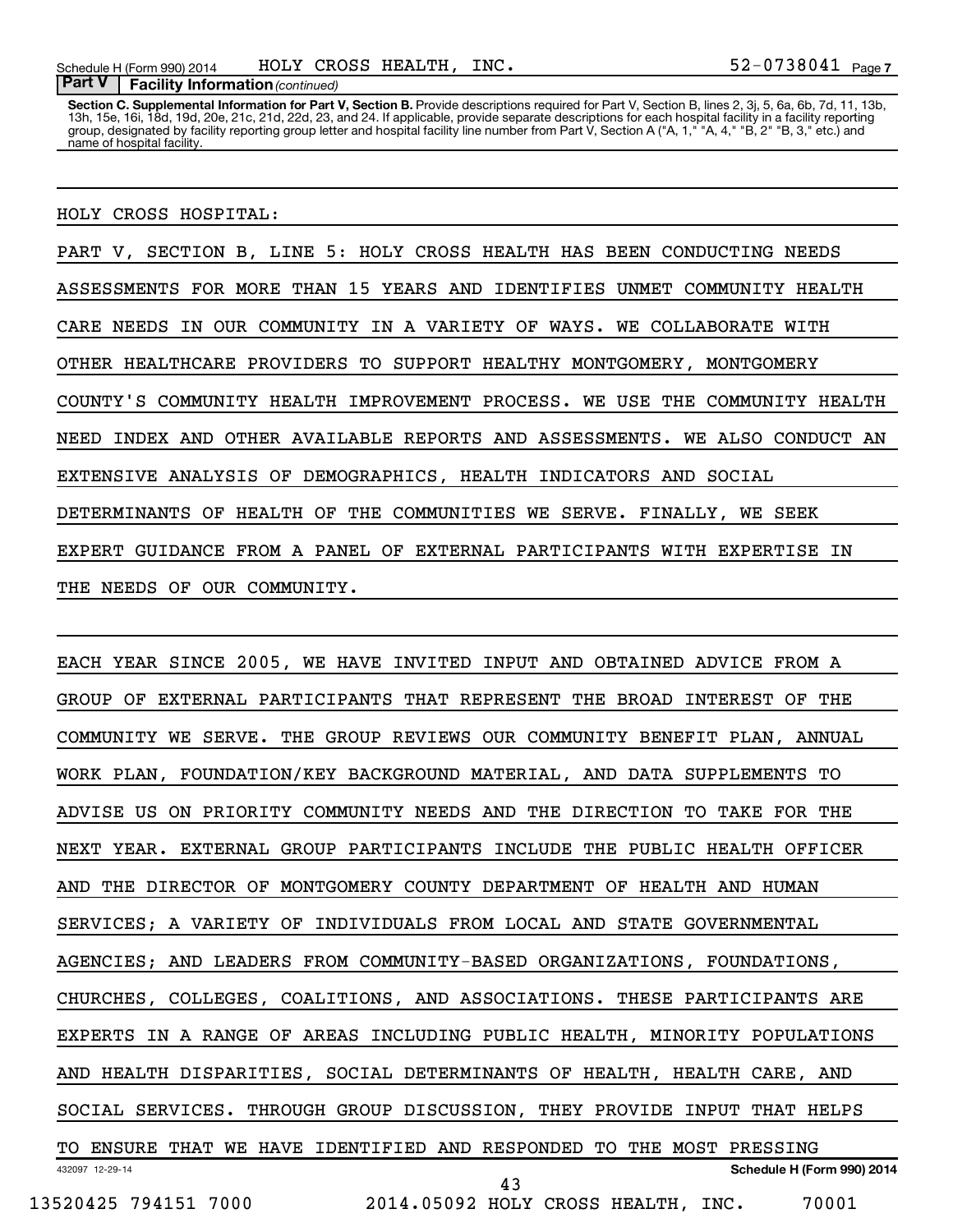Section C. Supplemental Information for Part V, Section B. Provide descriptions required for Part V, Section B, lines 2, 3j, 5, 6a, 6b, 7d, 11, 13b, 13h, 15e, 16i, 18d, 19d, 20e, 21c, 21d, 22d, 23, and 24. If applicable, provide separate descriptions for each hospital facility in a facility reporting group, designated by facility reporting group letter and hospital facility line number from Part V, Section A ("A, 1," "A, 4," "B, 2" "B, 3," etc.) and name of hospital facility.

#### HOLY CROSS HOSPITAL:

PART V, SECTION B, LINE 5: HOLY CROSS HEALTH HAS BEEN CONDUCTING NEEDS ASSESSMENTS FOR MORE THAN 15 YEARS AND IDENTIFIES UNMET COMMUNITY HEALTH CARE NEEDS IN OUR COMMUNITY IN A VARIETY OF WAYS. WE COLLABORATE WITH OTHER HEALTHCARE PROVIDERS TO SUPPORT HEALTHY MONTGOMERY, MONTGOMERY COUNTY'S COMMUNITY HEALTH IMPROVEMENT PROCESS. WE USE THE COMMUNITY HEALTH NEED INDEX AND OTHER AVAILABLE REPORTS AND ASSESSMENTS. WE ALSO CONDUCT AN EXTENSIVE ANALYSIS OF DEMOGRAPHICS, HEALTH INDICATORS AND SOCIAL DETERMINANTS OF HEALTH OF THE COMMUNITIES WE SERVE. FINALLY, WE SEEK EXPERT GUIDANCE FROM A PANEL OF EXTERNAL PARTICIPANTS WITH EXPERTISE IN THE NEEDS OF OUR COMMUNITY.

432097 12-29-14 **Schedule H (Form 990) 2014** EACH YEAR SINCE 2005, WE HAVE INVITED INPUT AND OBTAINED ADVICE FROM A GROUP OF EXTERNAL PARTICIPANTS THAT REPRESENT THE BROAD INTEREST OF THE COMMUNITY WE SERVE. THE GROUP REVIEWS OUR COMMUNITY BENEFIT PLAN, ANNUAL WORK PLAN, FOUNDATION/KEY BACKGROUND MATERIAL, AND DATA SUPPLEMENTS TO ADVISE US ON PRIORITY COMMUNITY NEEDS AND THE DIRECTION TO TAKE FOR THE NEXT YEAR. EXTERNAL GROUP PARTICIPANTS INCLUDE THE PUBLIC HEALTH OFFICER AND THE DIRECTOR OF MONTGOMERY COUNTY DEPARTMENT OF HEALTH AND HUMAN SERVICES; A VARIETY OF INDIVIDUALS FROM LOCAL AND STATE GOVERNMENTAL AGENCIES; AND LEADERS FROM COMMUNITY-BASED ORGANIZATIONS, FOUNDATIONS, CHURCHES, COLLEGES, COALITIONS, AND ASSOCIATIONS. THESE PARTICIPANTS ARE EXPERTS IN A RANGE OF AREAS INCLUDING PUBLIC HEALTH, MINORITY POPULATIONS AND HEALTH DISPARITIES, SOCIAL DETERMINANTS OF HEALTH, HEALTH CARE, AND SOCIAL SERVICES. THROUGH GROUP DISCUSSION, THEY PROVIDE INPUT THAT HELPS ENSURE THAT WE HAVE IDENTIFIED AND RESPONDED TO THE MOST PRESSING 13520425 794151 7000 2014.05092 HOLY CROSS HEALTH, INC. 70001 43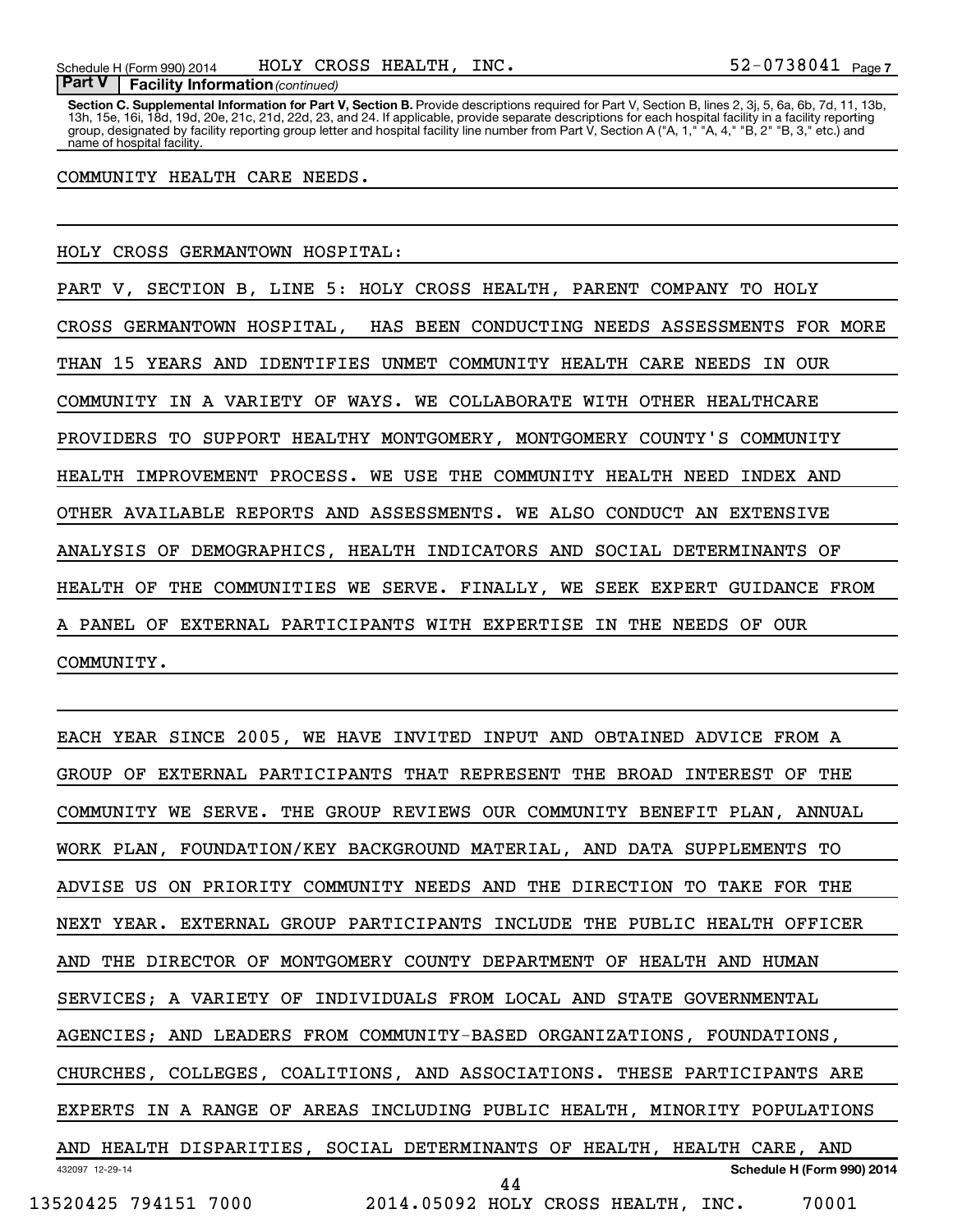Section C. Supplemental Information for Part V, Section B. Provide descriptions required for Part V, Section B, lines 2, 3j, 5, 6a, 6b, 7d, 11, 13b, 13h, 15e, 16i, 18d, 19d, 20e, 21c, 21d, 22d, 23, and 24. If applicable, provide separate descriptions for each hospital facility in a facility reporting group, designated by facility reporting group letter and hospital facility line number from Part V, Section A ("A, 1," "A, 4," "B, 2" "B, 3," etc.) and name of hospital facility.

COMMUNITY HEALTH CARE NEEDS.

HOLY CROSS GERMANTOWN HOSPITAL: PART V, SECTION B, LINE 5: HOLY CROSS HEALTH, PARENT COMPANY TO HOLY CROSS GERMANTOWN HOSPITAL, HAS BEEN CONDUCTING NEEDS ASSESSMENTS FOR MORE THAN 15 YEARS AND IDENTIFIES UNMET COMMUNITY HEALTH CARE NEEDS IN OUR COMMUNITY IN A VARIETY OF WAYS. WE COLLABORATE WITH OTHER HEALTHCARE PROVIDERS TO SUPPORT HEALTHY MONTGOMERY, MONTGOMERY COUNTY'S COMMUNITY HEALTH IMPROVEMENT PROCESS. WE USE THE COMMUNITY HEALTH NEED INDEX AND OTHER AVAILABLE REPORTS AND ASSESSMENTS. WE ALSO CONDUCT AN EXTENSIVE ANALYSIS OF DEMOGRAPHICS, HEALTH INDICATORS AND SOCIAL DETERMINANTS OF HEALTH OF THE COMMUNITIES WE SERVE. FINALLY, WE SEEK EXPERT GUIDANCE FROM A PANEL OF EXTERNAL PARTICIPANTS WITH EXPERTISE IN THE NEEDS OF OUR COMMUNITY.

432097 12-29-14 **Schedule H (Form 990) 2014** EACH YEAR SINCE 2005, WE HAVE INVITED INPUT AND OBTAINED ADVICE FROM A GROUP OF EXTERNAL PARTICIPANTS THAT REPRESENT THE BROAD INTEREST OF THE COMMUNITY WE SERVE. THE GROUP REVIEWS OUR COMMUNITY BENEFIT PLAN, ANNUAL WORK PLAN, FOUNDATION/KEY BACKGROUND MATERIAL, AND DATA SUPPLEMENTS TO ADVISE US ON PRIORITY COMMUNITY NEEDS AND THE DIRECTION TO TAKE FOR THE NEXT YEAR. EXTERNAL GROUP PARTICIPANTS INCLUDE THE PUBLIC HEALTH OFFICER AND THE DIRECTOR OF MONTGOMERY COUNTY DEPARTMENT OF HEALTH AND HUMAN SERVICES; A VARIETY OF INDIVIDUALS FROM LOCAL AND STATE GOVERNMENTAL AGENCIES; AND LEADERS FROM COMMUNITY-BASED ORGANIZATIONS, FOUNDATIONS, CHURCHES, COLLEGES, COALITIONS, AND ASSOCIATIONS. THESE PARTICIPANTS ARE EXPERTS IN A RANGE OF AREAS INCLUDING PUBLIC HEALTH, MINORITY POPULATIONS AND HEALTH DISPARITIES, SOCIAL DETERMINANTS OF HEALTH, HEALTH CARE, AND 13520425 794151 7000 2014.05092 HOLY CROSS HEALTH, INC. 70001 44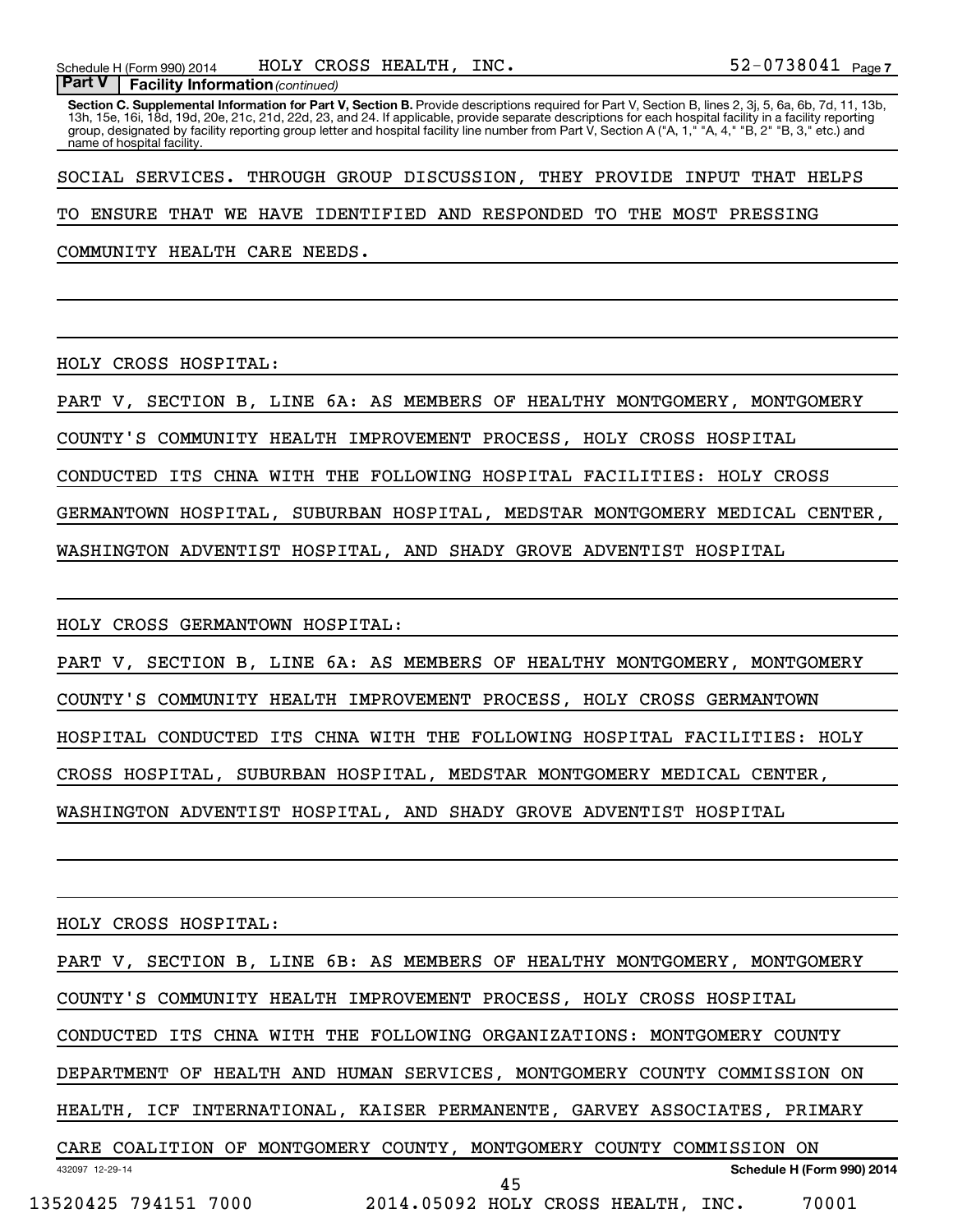SOCIAL SERVICES. THROUGH GROUP DISCUSSION, THEY PROVIDE INPUT THAT HELPS TO ENSURE THAT WE HAVE IDENTIFIED AND RESPONDED TO THE MOST PRESSING

COMMUNITY HEALTH CARE NEEDS.

HOLY CROSS HOSPITAL:

PART V, SECTION B, LINE 6A: AS MEMBERS OF HEALTHY MONTGOMERY, MONTGOMERY COUNTY'S COMMUNITY HEALTH IMPROVEMENT PROCESS, HOLY CROSS HOSPITAL CONDUCTED ITS CHNA WITH THE FOLLOWING HOSPITAL FACILITIES: HOLY CROSS GERMANTOWN HOSPITAL, SUBURBAN HOSPITAL, MEDSTAR MONTGOMERY MEDICAL CENTER, WASHINGTON ADVENTIST HOSPITAL, AND SHADY GROVE ADVENTIST HOSPITAL

HOLY CROSS GERMANTOWN HOSPITAL:

PART V, SECTION B, LINE 6A: AS MEMBERS OF HEALTHY MONTGOMERY, MONTGOMERY COUNTY'S COMMUNITY HEALTH IMPROVEMENT PROCESS, HOLY CROSS GERMANTOWN HOSPITAL CONDUCTED ITS CHNA WITH THE FOLLOWING HOSPITAL FACILITIES: HOLY CROSS HOSPITAL, SUBURBAN HOSPITAL, MEDSTAR MONTGOMERY MEDICAL CENTER, WASHINGTON ADVENTIST HOSPITAL, AND SHADY GROVE ADVENTIST HOSPITAL

432097 12-29-14 **Schedule H (Form 990) 2014** HOLY CROSS HOSPITAL: PART V, SECTION B, LINE 6B: AS MEMBERS OF HEALTHY MONTGOMERY, MONTGOMERY COUNTY'S COMMUNITY HEALTH IMPROVEMENT PROCESS, HOLY CROSS HOSPITAL CONDUCTED ITS CHNA WITH THE FOLLOWING ORGANIZATIONS: MONTGOMERY COUNTY DEPARTMENT OF HEALTH AND HUMAN SERVICES, MONTGOMERY COUNTY COMMISSION ON HEALTH, ICF INTERNATIONAL, KAISER PERMANENTE, GARVEY ASSOCIATES, PRIMARY CARE COALITION OF MONTGOMERY COUNTY, MONTGOMERY COUNTY COMMISSION ON 13520425 794151 7000 2014.05092 HOLY CROSS HEALTH, INC. 70001 45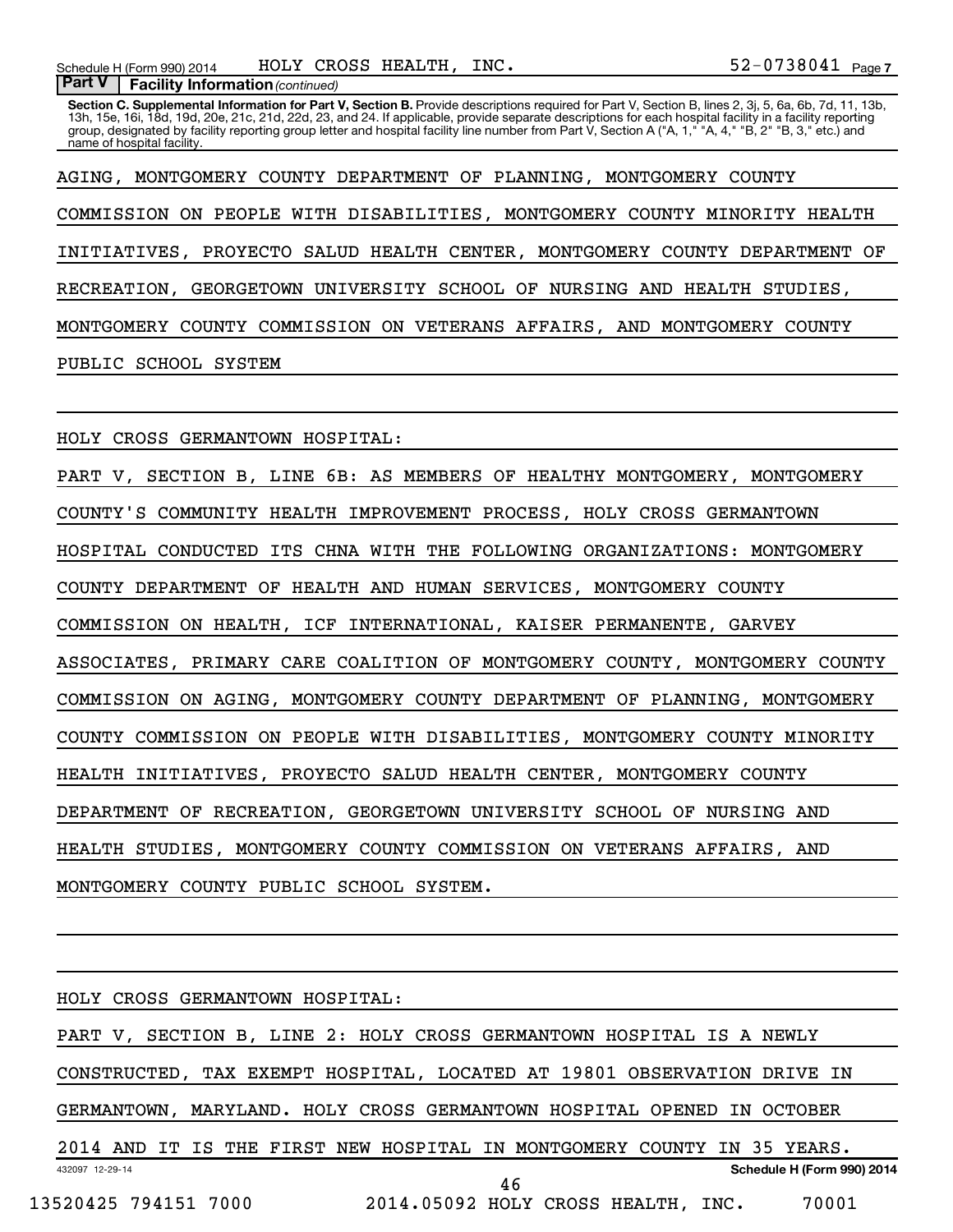AGING, MONTGOMERY COUNTY DEPARTMENT OF PLANNING, MONTGOMERY COUNTY COMMISSION ON PEOPLE WITH DISABILITIES, MONTGOMERY COUNTY MINORITY HEALTH INITIATIVES, PROYECTO SALUD HEALTH CENTER, MONTGOMERY COUNTY DEPARTMENT OF RECREATION, GEORGETOWN UNIVERSITY SCHOOL OF NURSING AND HEALTH STUDIES, MONTGOMERY COUNTY COMMISSION ON VETERANS AFFAIRS, AND MONTGOMERY COUNTY PUBLIC SCHOOL SYSTEM

HOLY CROSS GERMANTOWN HOSPITAL:

PART V, SECTION B, LINE 6B: AS MEMBERS OF HEALTHY MONTGOMERY, MONTGOMERY COUNTY'S COMMUNITY HEALTH IMPROVEMENT PROCESS, HOLY CROSS GERMANTOWN HOSPITAL CONDUCTED ITS CHNA WITH THE FOLLOWING ORGANIZATIONS: MONTGOMERY COUNTY DEPARTMENT OF HEALTH AND HUMAN SERVICES, MONTGOMERY COUNTY COMMISSION ON HEALTH, ICF INTERNATIONAL, KAISER PERMANENTE, GARVEY ASSOCIATES, PRIMARY CARE COALITION OF MONTGOMERY COUNTY, MONTGOMERY COUNTY COMMISSION ON AGING, MONTGOMERY COUNTY DEPARTMENT OF PLANNING, MONTGOMERY COUNTY COMMISSION ON PEOPLE WITH DISABILITIES, MONTGOMERY COUNTY MINORITY HEALTH INITIATIVES, PROYECTO SALUD HEALTH CENTER, MONTGOMERY COUNTY DEPARTMENT OF RECREATION, GEORGETOWN UNIVERSITY SCHOOL OF NURSING AND HEALTH STUDIES, MONTGOMERY COUNTY COMMISSION ON VETERANS AFFAIRS, AND MONTGOMERY COUNTY PUBLIC SCHOOL SYSTEM.

432097 12-29-14 **Schedule H (Form 990) 2014** HOLY CROSS GERMANTOWN HOSPITAL: PART V, SECTION B, LINE 2: HOLY CROSS GERMANTOWN HOSPITAL IS A NEWLY CONSTRUCTED, TAX EXEMPT HOSPITAL, LOCATED AT 19801 OBSERVATION DRIVE IN GERMANTOWN, MARYLAND. HOLY CROSS GERMANTOWN HOSPITAL OPENED IN OCTOBER 2014 AND IT IS THE FIRST NEW HOSPITAL IN MONTGOMERY COUNTY IN 35 YEARS. 13520425 794151 7000 2014.05092 HOLY CROSS HEALTH, INC. 70001 46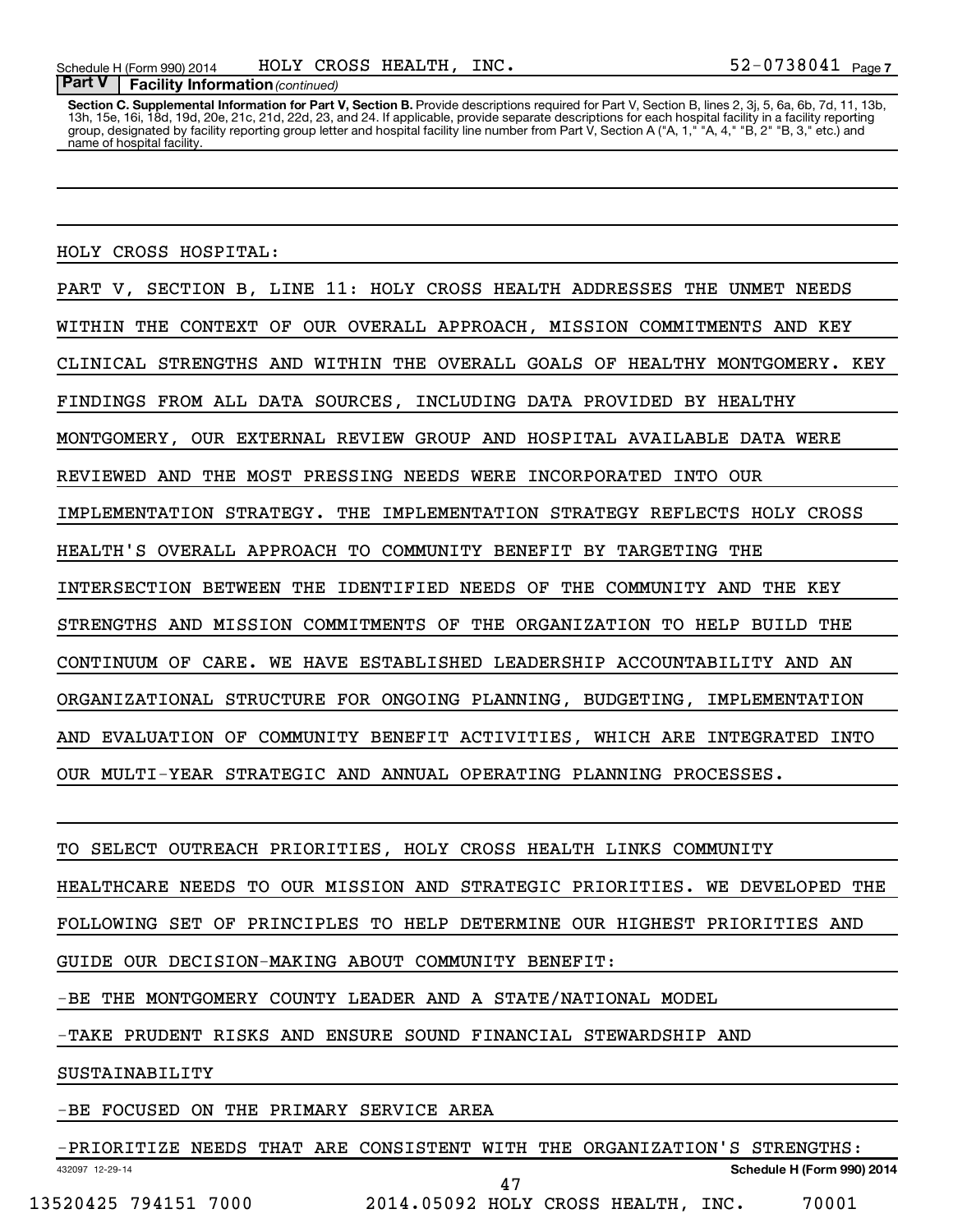Section C. Supplemental Information for Part V, Section B. Provide descriptions required for Part V, Section B, lines 2, 3j, 5, 6a, 6b, 7d, 11, 13b, 13h, 15e, 16i, 18d, 19d, 20e, 21c, 21d, 22d, 23, and 24. If applicable, provide separate descriptions for each hospital facility in a facility reporting group, designated by facility reporting group letter and hospital facility line number from Part V, Section A ("A, 1," "A, 4," "B, 2" "B, 3," etc.) and name of hospital facility.

HOLY CROSS HOSPITAL:

PART V, SECTION B, LINE 11: HOLY CROSS HEALTH ADDRESSES THE UNMET NEEDS WITHIN THE CONTEXT OF OUR OVERALL APPROACH, MISSION COMMITMENTS AND KEY CLINICAL STRENGTHS AND WITHIN THE OVERALL GOALS OF HEALTHY MONTGOMERY. KEY FINDINGS FROM ALL DATA SOURCES, INCLUDING DATA PROVIDED BY HEALTHY MONTGOMERY, OUR EXTERNAL REVIEW GROUP AND HOSPITAL AVAILABLE DATA WERE REVIEWED AND THE MOST PRESSING NEEDS WERE INCORPORATED INTO OUR IMPLEMENTATION STRATEGY. THE IMPLEMENTATION STRATEGY REFLECTS HOLY CROSS HEALTH'S OVERALL APPROACH TO COMMUNITY BENEFIT BY TARGETING THE INTERSECTION BETWEEN THE IDENTIFIED NEEDS OF THE COMMUNITY AND THE KEY STRENGTHS AND MISSION COMMITMENTS OF THE ORGANIZATION TO HELP BUILD THE CONTINUUM OF CARE. WE HAVE ESTABLISHED LEADERSHIP ACCOUNTABILITY AND AN ORGANIZATIONAL STRUCTURE FOR ONGOING PLANNING, BUDGETING, IMPLEMENTATION AND EVALUATION OF COMMUNITY BENEFIT ACTIVITIES, WHICH ARE INTEGRATED INTO OUR MULTI-YEAR STRATEGIC AND ANNUAL OPERATING PLANNING PROCESSES.

| TO SELECT OUTREACH PRIORITIES, HOLY CROSS HEALTH LINKS COMMUNITY           |  |  |  |  |  |
|----------------------------------------------------------------------------|--|--|--|--|--|
| HEALTHCARE NEEDS TO OUR MISSION AND STRATEGIC PRIORITIES. WE DEVELOPED THE |  |  |  |  |  |
| FOLLOWING SET OF PRINCIPLES TO HELP DETERMINE OUR HIGHEST PRIORITIES AND   |  |  |  |  |  |
| GUIDE OUR DECISION-MAKING ABOUT COMMUNITY BENEFIT:                         |  |  |  |  |  |
| -BE THE MONTGOMERY COUNTY LEADER AND A STATE/NATIONAL MODEL                |  |  |  |  |  |
| -TAKE PRUDENT RISKS AND ENSURE SOUND FINANCIAL STEWARDSHIP AND             |  |  |  |  |  |
| SUSTAINABILITY                                                             |  |  |  |  |  |

-BE FOCUSED ON THE PRIMARY SERVICE AREA

432097 12-29-14 **Schedule H (Form 990) 2014** -PRIORITIZE NEEDS THAT ARE CONSISTENT WITH THE ORGANIZATION'S STRENGTHS: 13520425 794151 7000 2014.05092 HOLY CROSS HEALTH, INC. 70001 47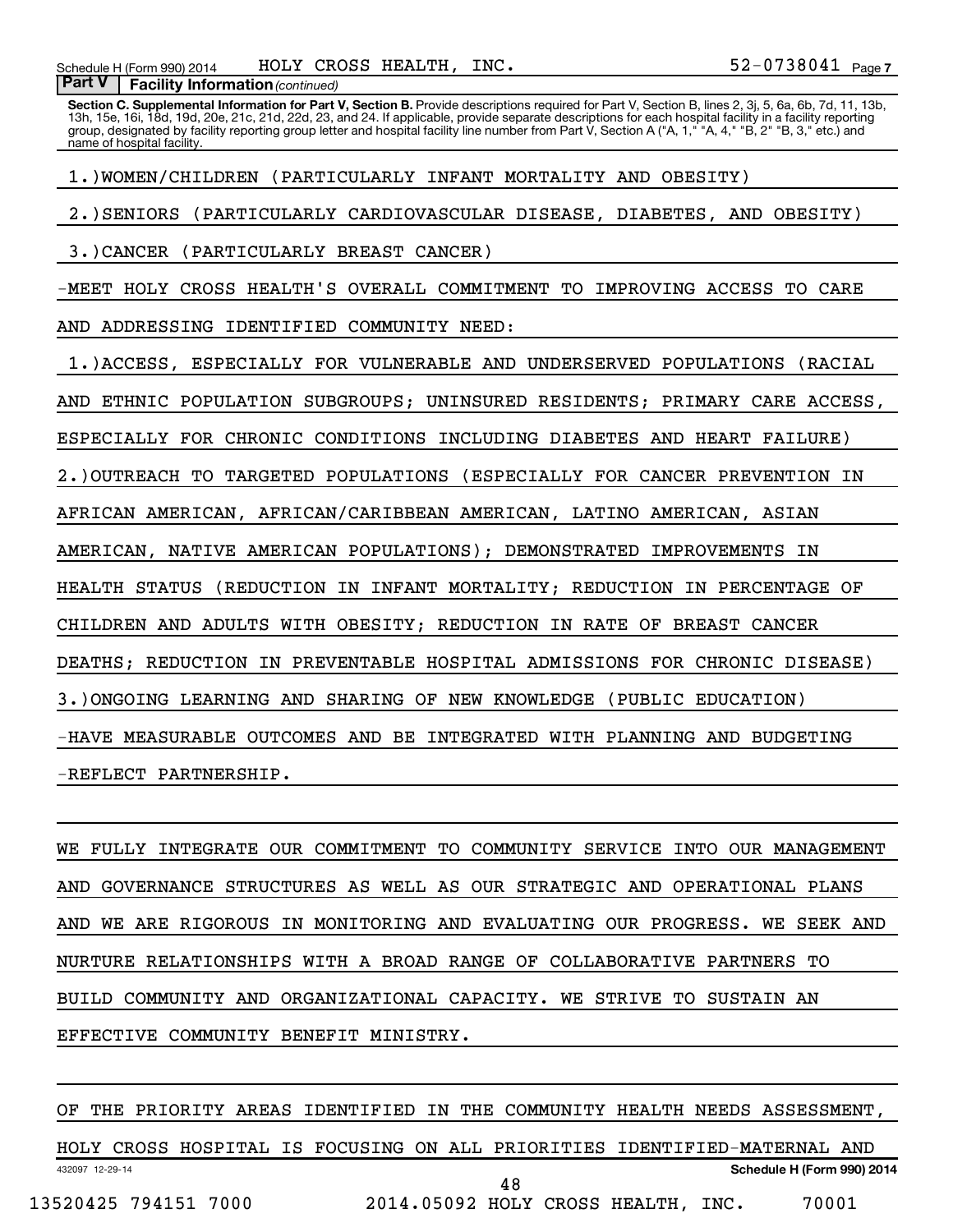Section C. Supplemental Information for Part V, Section B. Provide descriptions required for Part V, Section B, lines 2, 3j, 5, 6a, 6b, 7d, 11, 13b, 13h, 15e, 16i, 18d, 19d, 20e, 21c, 21d, 22d, 23, and 24. If applicable, provide separate descriptions for each hospital facility in a facility reporting group, designated by facility reporting group letter and hospital facility line number from Part V, Section A ("A, 1," "A, 4," "B, 2" "B, 3," etc.) and name of hospital facility.

 1.)WOMEN/CHILDREN (PARTICULARLY INFANT MORTALITY AND OBESITY)

 2.)SENIORS (PARTICULARLY CARDIOVASCULAR DISEASE, DIABETES, AND OBESITY)

 3.)CANCER (PARTICULARLY BREAST CANCER)

-MEET HOLY CROSS HEALTH'S OVERALL COMMITMENT TO IMPROVING ACCESS TO CARE

AND ADDRESSING IDENTIFIED COMMUNITY NEED:

 1.)ACCESS, ESPECIALLY FOR VULNERABLE AND UNDERSERVED POPULATIONS (RACIAL

AND ETHNIC POPULATION SUBGROUPS; UNINSURED RESIDENTS; PRIMARY CARE ACCESS,

ESPECIALLY FOR CHRONIC CONDITIONS INCLUDING DIABETES AND HEART FAILURE)

 2.)OUTREACH TO TARGETED POPULATIONS (ESPECIALLY FOR CANCER PREVENTION IN

AFRICAN AMERICAN, AFRICAN/CARIBBEAN AMERICAN, LATINO AMERICAN, ASIAN

AMERICAN, NATIVE AMERICAN POPULATIONS); DEMONSTRATED IMPROVEMENTS IN

HEALTH STATUS (REDUCTION IN INFANT MORTALITY; REDUCTION IN PERCENTAGE OF

CHILDREN AND ADULTS WITH OBESITY; REDUCTION IN RATE OF BREAST CANCER

DEATHS; REDUCTION IN PREVENTABLE HOSPITAL ADMISSIONS FOR CHRONIC DISEASE)

 3.)ONGOING LEARNING AND SHARING OF NEW KNOWLEDGE (PUBLIC EDUCATION)

-HAVE MEASURABLE OUTCOMES AND BE INTEGRATED WITH PLANNING AND BUDGETING

-REFLECT PARTNERSHIP.

WE FULLY INTEGRATE OUR COMMITMENT TO COMMUNITY SERVICE INTO OUR MANAGEMENT AND GOVERNANCE STRUCTURES AS WELL AS OUR STRATEGIC AND OPERATIONAL PLANS AND WE ARE RIGOROUS IN MONITORING AND EVALUATING OUR PROGRESS. WE SEEK AND NURTURE RELATIONSHIPS WITH A BROAD RANGE OF COLLABORATIVE PARTNERS TO BUILD COMMUNITY AND ORGANIZATIONAL CAPACITY. WE STRIVE TO SUSTAIN AN EFFECTIVE COMMUNITY BENEFIT MINISTRY.

432097 12-29-14 **Schedule H (Form 990) 2014** OF THE PRIORITY AREAS IDENTIFIED IN THE COMMUNITY HEALTH NEEDS ASSESSMENT, HOLY CROSS HOSPITAL IS FOCUSING ON ALL PRIORITIES IDENTIFIED-MATERNAL AND 13520425 794151 7000 2014.05092 HOLY CROSS HEALTH, INC. 70001 48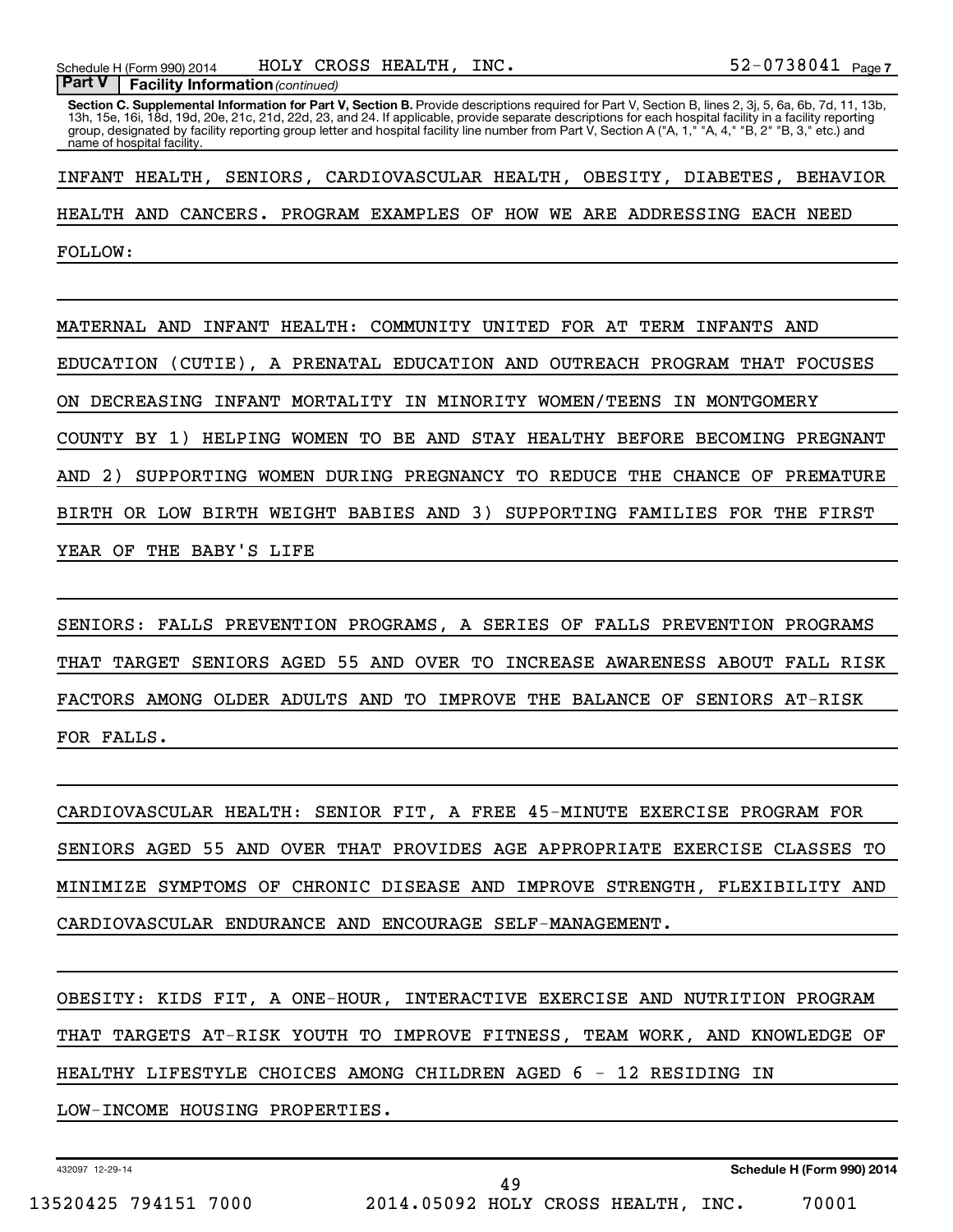INFANT HEALTH, SENIORS, CARDIOVASCULAR HEALTH, OBESITY, DIABETES, BEHAVIOR HEALTH AND CANCERS. PROGRAM EXAMPLES OF HOW WE ARE ADDRESSING EACH NEED

FOLLOW:

MATERNAL AND INFANT HEALTH: COMMUNITY UNITED FOR AT TERM INFANTS AND EDUCATION (CUTIE), A PRENATAL EDUCATION AND OUTREACH PROGRAM THAT FOCUSES ON DECREASING INFANT MORTALITY IN MINORITY WOMEN/TEENS IN MONTGOMERY COUNTY BY 1) HELPING WOMEN TO BE AND STAY HEALTHY BEFORE BECOMING PREGNANT AND 2) SUPPORTING WOMEN DURING PREGNANCY TO REDUCE THE CHANCE OF PREMATURE BIRTH OR LOW BIRTH WEIGHT BABIES AND 3) SUPPORTING FAMILIES FOR THE FIRST YEAR OF THE BABY'S LIFE

SENIORS: FALLS PREVENTION PROGRAMS, A SERIES OF FALLS PREVENTION PROGRAMS THAT TARGET SENIORS AGED 55 AND OVER TO INCREASE AWARENESS ABOUT FALL RISK FACTORS AMONG OLDER ADULTS AND TO IMPROVE THE BALANCE OF SENIORS AT-RISK FOR FALLS.

CARDIOVASCULAR HEALTH: SENIOR FIT, A FREE 45-MINUTE EXERCISE PROGRAM FOR SENIORS AGED 55 AND OVER THAT PROVIDES AGE APPROPRIATE EXERCISE CLASSES TO MINIMIZE SYMPTOMS OF CHRONIC DISEASE AND IMPROVE STRENGTH, FLEXIBILITY AND CARDIOVASCULAR ENDURANCE AND ENCOURAGE SELF-MANAGEMENT.

OBESITY: KIDS FIT, A ONE-HOUR, INTERACTIVE EXERCISE AND NUTRITION PROGRAM THAT TARGETS AT-RISK YOUTH TO IMPROVE FITNESS, TEAM WORK, AND KNOWLEDGE OF HEALTHY LIFESTYLE CHOICES AMONG CHILDREN AGED 6 - 12 RESIDING IN LOW-INCOME HOUSING PROPERTIES.

49

432097 12-29-14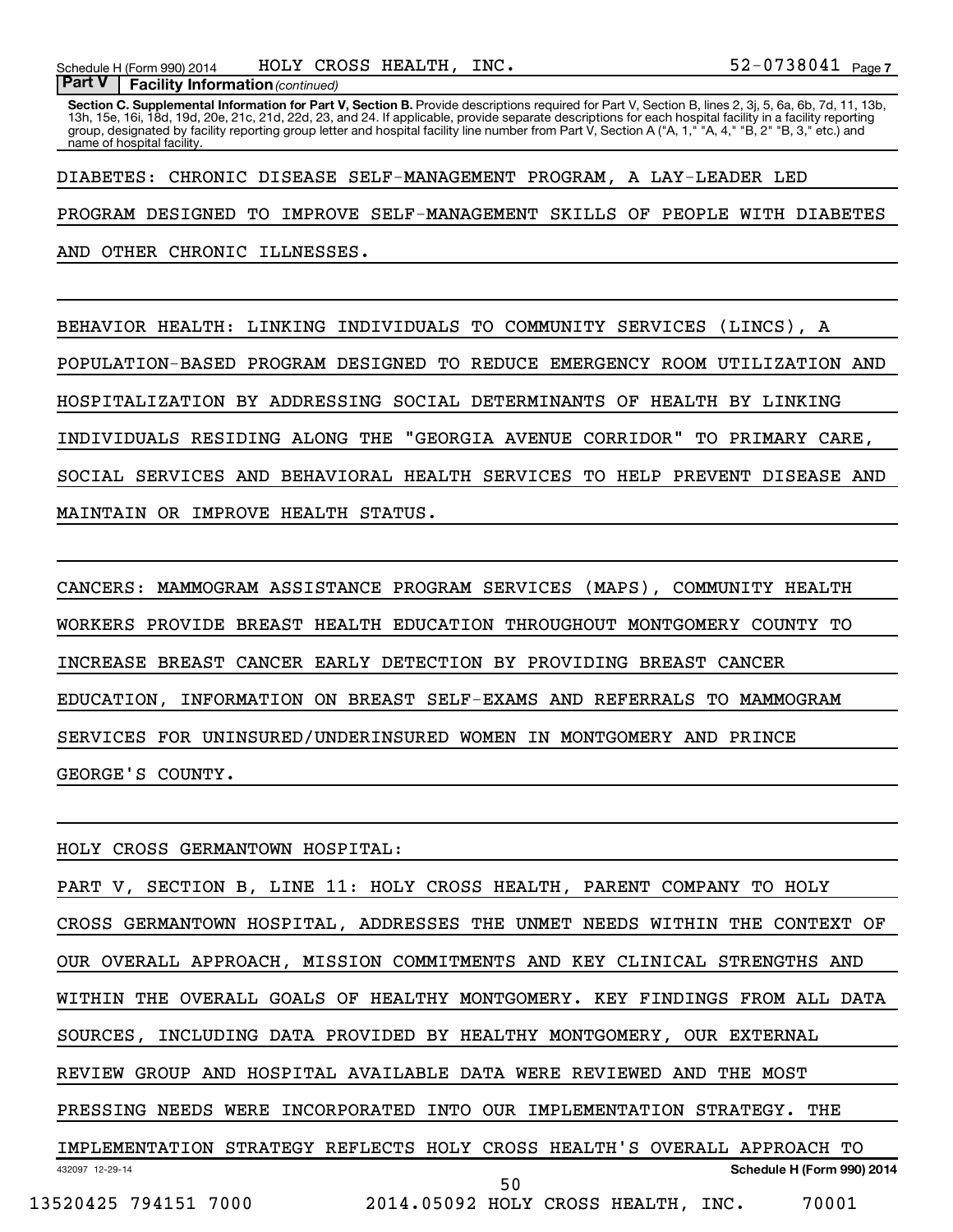DIABETES: CHRONIC DISEASE SELF-MANAGEMENT PROGRAM, A LAY-LEADER LED PROGRAM DESIGNED TO IMPROVE SELF-MANAGEMENT SKILLS OF PEOPLE WITH DIABETES AND OTHER CHRONIC ILLNESSES.

BEHAVIOR HEALTH: LINKING INDIVIDUALS TO COMMUNITY SERVICES (LINCS), A POPULATION-BASED PROGRAM DESIGNED TO REDUCE EMERGENCY ROOM UTILIZATION AND HOSPITALIZATION BY ADDRESSING SOCIAL DETERMINANTS OF HEALTH BY LINKING INDIVIDUALS RESIDING ALONG THE "GEORGIA AVENUE CORRIDOR" TO PRIMARY CARE, SOCIAL SERVICES AND BEHAVIORAL HEALTH SERVICES TO HELP PREVENT DISEASE AND MAINTAIN OR IMPROVE HEALTH STATUS.

CANCERS: MAMMOGRAM ASSISTANCE PROGRAM SERVICES (MAPS), COMMUNITY HEALTH WORKERS PROVIDE BREAST HEALTH EDUCATION THROUGHOUT MONTGOMERY COUNTY TO INCREASE BREAST CANCER EARLY DETECTION BY PROVIDING BREAST CANCER EDUCATION, INFORMATION ON BREAST SELF-EXAMS AND REFERRALS TO MAMMOGRAM SERVICES FOR UNINSURED/UNDERINSURED WOMEN IN MONTGOMERY AND PRINCE GEORGE'S COUNTY.

HOLY CROSS GERMANTOWN HOSPITAL:

432097 12-29-14 **Schedule H (Form 990) 2014** PART V, SECTION B, LINE 11: HOLY CROSS HEALTH, PARENT COMPANY TO HOLY CROSS GERMANTOWN HOSPITAL, ADDRESSES THE UNMET NEEDS WITHIN THE CONTEXT OF OUR OVERALL APPROACH, MISSION COMMITMENTS AND KEY CLINICAL STRENGTHS AND WITHIN THE OVERALL GOALS OF HEALTHY MONTGOMERY. KEY FINDINGS FROM ALL DATA SOURCES, INCLUDING DATA PROVIDED BY HEALTHY MONTGOMERY, OUR EXTERNAL REVIEW GROUP AND HOSPITAL AVAILABLE DATA WERE REVIEWED AND THE MOST PRESSING NEEDS WERE INCORPORATED INTO OUR IMPLEMENTATION STRATEGY. THE IMPLEMENTATION STRATEGY REFLECTS HOLY CROSS HEALTH'S OVERALL APPROACH TO 13520425 794151 7000 2014.05092 HOLY CROSS HEALTH, INC. 70001 50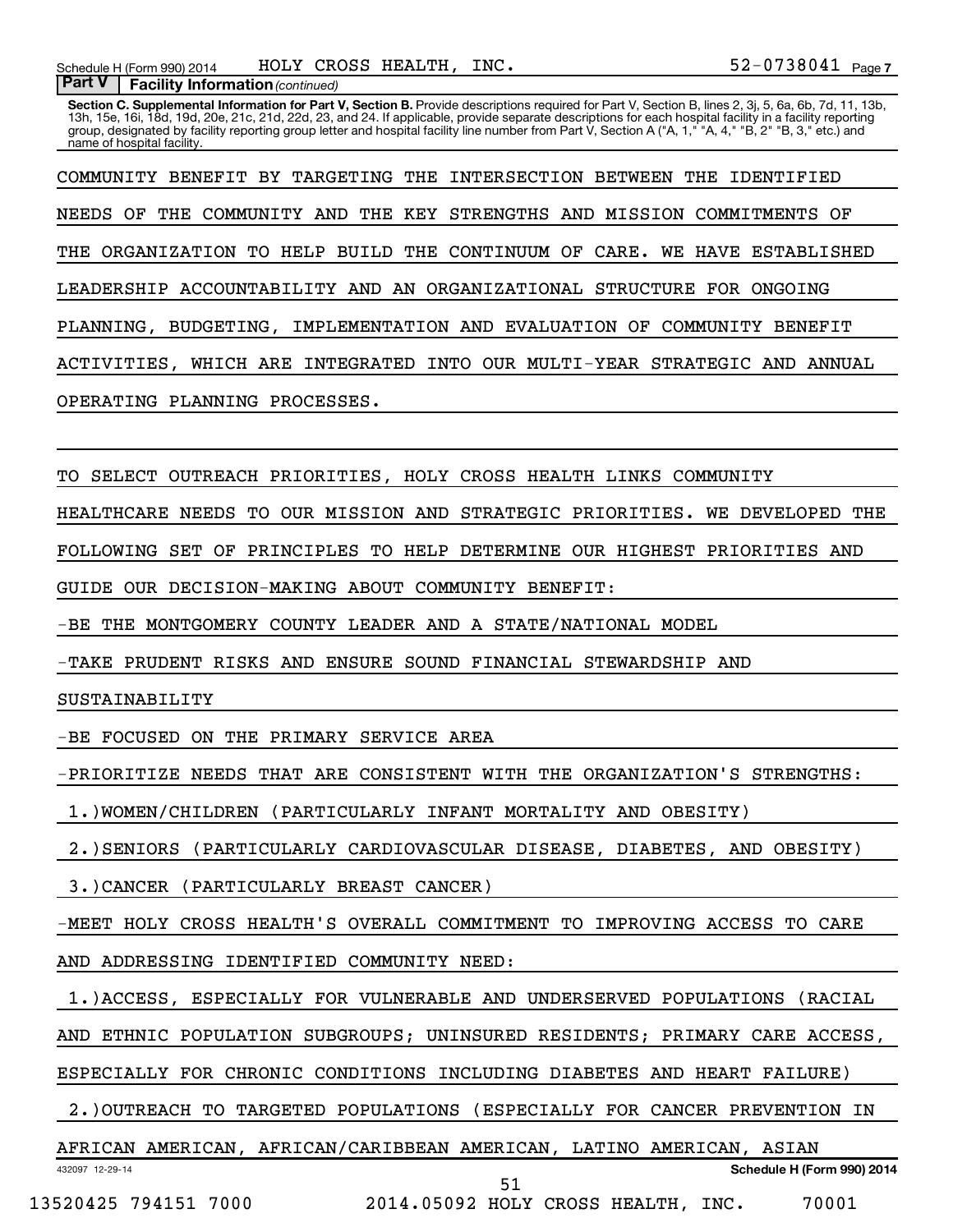COMMUNITY BENEFIT BY TARGETING THE INTERSECTION BETWEEN THE IDENTIFIED NEEDS OF THE COMMUNITY AND THE KEY STRENGTHS AND MISSION COMMITMENTS OF THE ORGANIZATION TO HELP BUILD THE CONTINUUM OF CARE. WE HAVE ESTABLISHED LEADERSHIP ACCOUNTABILITY AND AN ORGANIZATIONAL STRUCTURE FOR ONGOING PLANNING, BUDGETING, IMPLEMENTATION AND EVALUATION OF COMMUNITY BENEFIT ACTIVITIES, WHICH ARE INTEGRATED INTO OUR MULTI-YEAR STRATEGIC AND ANNUAL OPERATING PLANNING PROCESSES.

TO SELECT OUTREACH PRIORITIES, HOLY CROSS HEALTH LINKS COMMUNITY

HEALTHCARE NEEDS TO OUR MISSION AND STRATEGIC PRIORITIES. WE DEVELOPED THE

FOLLOWING SET OF PRINCIPLES TO HELP DETERMINE OUR HIGHEST PRIORITIES AND

GUIDE OUR DECISION-MAKING ABOUT COMMUNITY BENEFIT:

-BE THE MONTGOMERY COUNTY LEADER AND A STATE/NATIONAL MODEL

-TAKE PRUDENT RISKS AND ENSURE SOUND FINANCIAL STEWARDSHIP AND

SUSTAINABILITY

-BE FOCUSED ON THE PRIMARY SERVICE AREA

-PRIORITIZE NEEDS THAT ARE CONSISTENT WITH THE ORGANIZATION'S STRENGTHS:

 1.)WOMEN/CHILDREN (PARTICULARLY INFANT MORTALITY AND OBESITY)

 2.)SENIORS (PARTICULARLY CARDIOVASCULAR DISEASE, DIABETES, AND OBESITY)

 3.)CANCER (PARTICULARLY BREAST CANCER)

-MEET HOLY CROSS HEALTH'S OVERALL COMMITMENT TO IMPROVING ACCESS TO CARE

AND ADDRESSING IDENTIFIED COMMUNITY NEED:

 1.)ACCESS, ESPECIALLY FOR VULNERABLE AND UNDERSERVED POPULATIONS (RACIAL

AND ETHNIC POPULATION SUBGROUPS; UNINSURED RESIDENTS; PRIMARY CARE ACCESS,

ESPECIALLY FOR CHRONIC CONDITIONS INCLUDING DIABETES AND HEART FAILURE)

 2.)OUTREACH TO TARGETED POPULATIONS (ESPECIALLY FOR CANCER PREVENTION IN

432097 12-29-14 **Schedule H (Form 990) 2014** AFRICAN AMERICAN, AFRICAN/CARIBBEAN AMERICAN, LATINO AMERICAN, ASIAN 51

13520425 794151 7000 2014.05092 HOLY CROSS HEALTH, INC. 70001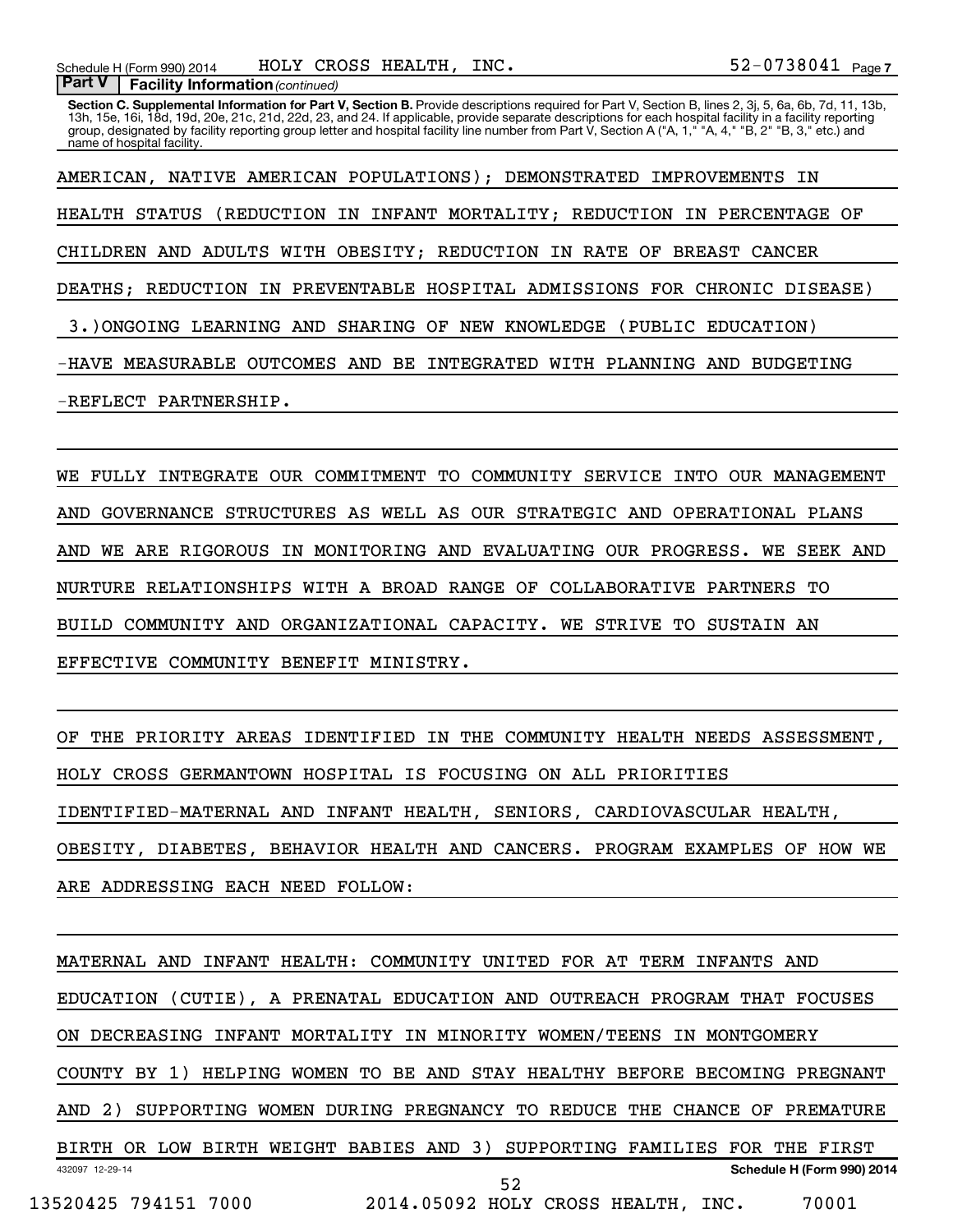AMERICAN, NATIVE AMERICAN POPULATIONS); DEMONSTRATED IMPROVEMENTS IN HEALTH STATUS (REDUCTION IN INFANT MORTALITY; REDUCTION IN PERCENTAGE OF CHILDREN AND ADULTS WITH OBESITY; REDUCTION IN RATE OF BREAST CANCER DEATHS; REDUCTION IN PREVENTABLE HOSPITAL ADMISSIONS FOR CHRONIC DISEASE) 3.)ONGOING LEARNING AND SHARING OF NEW KNOWLEDGE (PUBLIC EDUCATION) -HAVE MEASURABLE OUTCOMES AND BE INTEGRATED WITH PLANNING AND BUDGETING -REFLECT PARTNERSHIP.

WE FULLY INTEGRATE OUR COMMITMENT TO COMMUNITY SERVICE INTO OUR MANAGEMENT AND GOVERNANCE STRUCTURES AS WELL AS OUR STRATEGIC AND OPERATIONAL PLANS AND WE ARE RIGOROUS IN MONITORING AND EVALUATING OUR PROGRESS. WE SEEK AND NURTURE RELATIONSHIPS WITH A BROAD RANGE OF COLLABORATIVE PARTNERS TO BUILD COMMUNITY AND ORGANIZATIONAL CAPACITY. WE STRIVE TO SUSTAIN AN EFFECTIVE COMMUNITY BENEFIT MINISTRY.

OF THE PRIORITY AREAS IDENTIFIED IN THE COMMUNITY HEALTH NEEDS ASSESSMENT, HOLY CROSS GERMANTOWN HOSPITAL IS FOCUSING ON ALL PRIORITIES IDENTIFIED-MATERNAL AND INFANT HEALTH, SENIORS, CARDIOVASCULAR HEALTH, OBESITY, DIABETES, BEHAVIOR HEALTH AND CANCERS. PROGRAM EXAMPLES OF HOW WE ARE ADDRESSING EACH NEED FOLLOW:

432097 12-29-14 **Schedule H (Form 990) 2014** MATERNAL AND INFANT HEALTH: COMMUNITY UNITED FOR AT TERM INFANTS AND EDUCATION (CUTIE), A PRENATAL EDUCATION AND OUTREACH PROGRAM THAT FOCUSES ON DECREASING INFANT MORTALITY IN MINORITY WOMEN/TEENS IN MONTGOMERY COUNTY BY 1) HELPING WOMEN TO BE AND STAY HEALTHY BEFORE BECOMING PREGNANT AND 2) SUPPORTING WOMEN DURING PREGNANCY TO REDUCE THE CHANCE OF PREMATURE BIRTH OR LOW BIRTH WEIGHT BABIES AND 3) SUPPORTING FAMILIES FOR THE FIRST 13520425 794151 7000 2014.05092 HOLY CROSS HEALTH, INC. 70001 52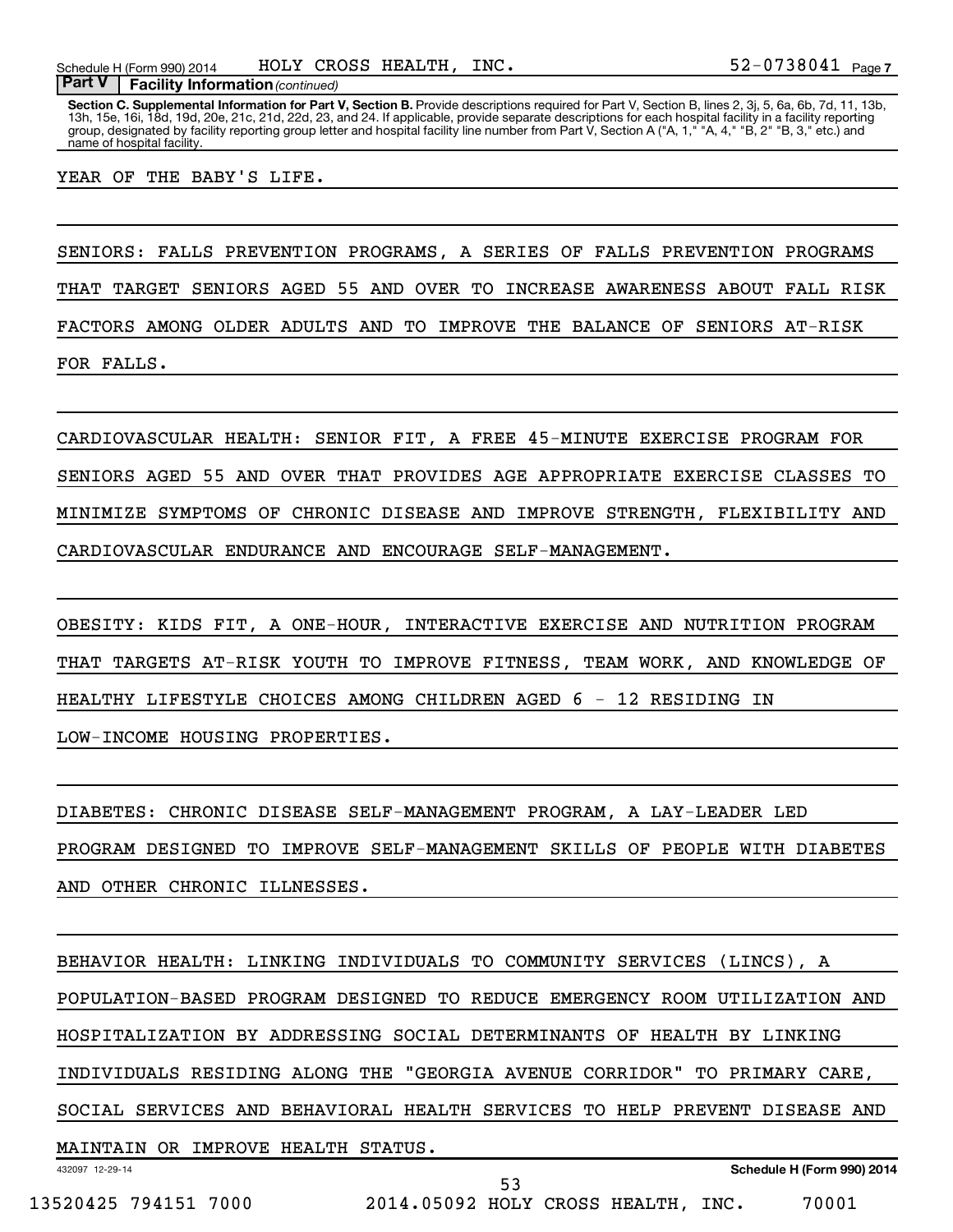Section C. Supplemental Information for Part V, Section B. Provide descriptions required for Part V, Section B, lines 2, 3j, 5, 6a, 6b, 7d, 11, 13b, 13h, 15e, 16i, 18d, 19d, 20e, 21c, 21d, 22d, 23, and 24. If applicable, provide separate descriptions for each hospital facility in a facility reporting group, designated by facility reporting group letter and hospital facility line number from Part V, Section A ("A, 1," "A, 4," "B, 2" "B, 3," etc.) and name of hospital facility.

YEAR OF THE BABY'S LIFE.

SENIORS: FALLS PREVENTION PROGRAMS, A SERIES OF FALLS PREVENTION PROGRAMS THAT TARGET SENIORS AGED 55 AND OVER TO INCREASE AWARENESS ABOUT FALL RISK FACTORS AMONG OLDER ADULTS AND TO IMPROVE THE BALANCE OF SENIORS AT-RISK FOR FALLS.

CARDIOVASCULAR HEALTH: SENIOR FIT, A FREE 45-MINUTE EXERCISE PROGRAM FOR SENIORS AGED 55 AND OVER THAT PROVIDES AGE APPROPRIATE EXERCISE CLASSES TO MINIMIZE SYMPTOMS OF CHRONIC DISEASE AND IMPROVE STRENGTH, FLEXIBILITY AND CARDIOVASCULAR ENDURANCE AND ENCOURAGE SELF-MANAGEMENT.

OBESITY: KIDS FIT, A ONE-HOUR, INTERACTIVE EXERCISE AND NUTRITION PROGRAM THAT TARGETS AT-RISK YOUTH TO IMPROVE FITNESS, TEAM WORK, AND KNOWLEDGE OF HEALTHY LIFESTYLE CHOICES AMONG CHILDREN AGED 6 - 12 RESIDING IN LOW-INCOME HOUSING PROPERTIES.

DIABETES: CHRONIC DISEASE SELF-MANAGEMENT PROGRAM, A LAY-LEADER LED PROGRAM DESIGNED TO IMPROVE SELF-MANAGEMENT SKILLS OF PEOPLE WITH DIABETES AND OTHER CHRONIC ILLNESSES.

432097 12-29-14 **Schedule H (Form 990) 2014** BEHAVIOR HEALTH: LINKING INDIVIDUALS TO COMMUNITY SERVICES (LINCS), A POPULATION-BASED PROGRAM DESIGNED TO REDUCE EMERGENCY ROOM UTILIZATION AND HOSPITALIZATION BY ADDRESSING SOCIAL DETERMINANTS OF HEALTH BY LINKING INDIVIDUALS RESIDING ALONG THE "GEORGIA AVENUE CORRIDOR" TO PRIMARY CARE, SOCIAL SERVICES AND BEHAVIORAL HEALTH SERVICES TO HELP PREVENT DISEASE AND MAINTAIN OR IMPROVE HEALTH STATUS. 53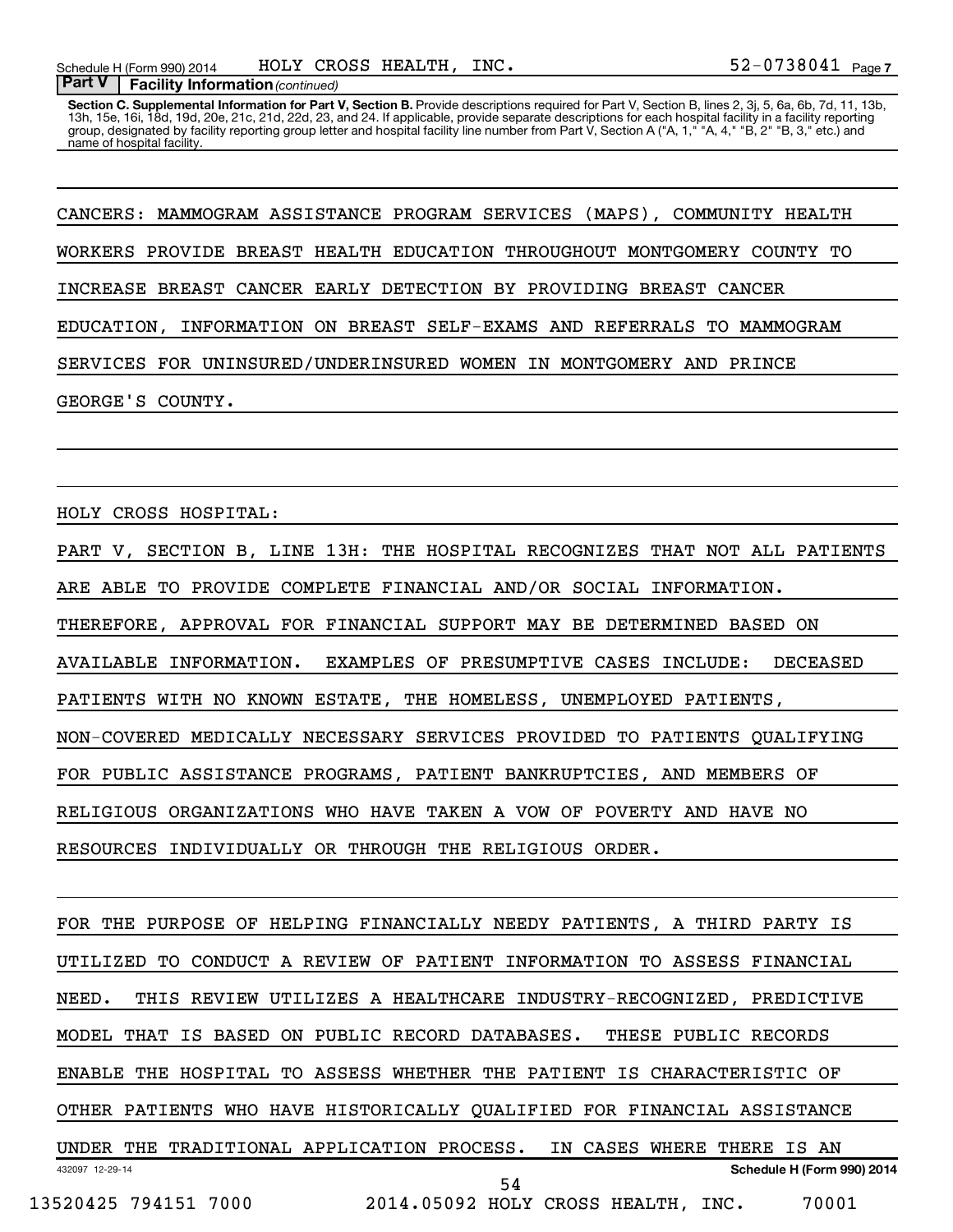Section C. Supplemental Information for Part V, Section B. Provide descriptions required for Part V, Section B, lines 2, 3j, 5, 6a, 6b, 7d, 11, 13b, 13h, 15e, 16i, 18d, 19d, 20e, 21c, 21d, 22d, 23, and 24. If applicable, provide separate descriptions for each hospital facility in a facility reporting group, designated by facility reporting group letter and hospital facility line number from Part V, Section A ("A, 1," "A, 4," "B, 2" "B, 3," etc.) and name of hospital facility.

CANCERS: MAMMOGRAM ASSISTANCE PROGRAM SERVICES (MAPS), COMMUNITY HEALTH WORKERS PROVIDE BREAST HEALTH EDUCATION THROUGHOUT MONTGOMERY COUNTY TO INCREASE BREAST CANCER EARLY DETECTION BY PROVIDING BREAST CANCER EDUCATION, INFORMATION ON BREAST SELF-EXAMS AND REFERRALS TO MAMMOGRAM SERVICES FOR UNINSURED/UNDERINSURED WOMEN IN MONTGOMERY AND PRINCE GEORGE'S COUNTY.

HOLY CROSS HOSPITAL:

PART V, SECTION B, LINE 13H: THE HOSPITAL RECOGNIZES THAT NOT ALL PATIENTS ARE ABLE TO PROVIDE COMPLETE FINANCIAL AND/OR SOCIAL INFORMATION. THEREFORE, APPROVAL FOR FINANCIAL SUPPORT MAY BE DETERMINED BASED ON AVAILABLE INFORMATION. EXAMPLES OF PRESUMPTIVE CASES INCLUDE: DECEASED PATIENTS WITH NO KNOWN ESTATE, THE HOMELESS, UNEMPLOYED PATIENTS, NON-COVERED MEDICALLY NECESSARY SERVICES PROVIDED TO PATIENTS QUALIFYING FOR PUBLIC ASSISTANCE PROGRAMS, PATIENT BANKRUPTCIES, AND MEMBERS OF RELIGIOUS ORGANIZATIONS WHO HAVE TAKEN A VOW OF POVERTY AND HAVE NO RESOURCES INDIVIDUALLY OR THROUGH THE RELIGIOUS ORDER.

432097 12-29-14 **Schedule H (Form 990) 2014** FOR THE PURPOSE OF HELPING FINANCIALLY NEEDY PATIENTS, A THIRD PARTY IS UTILIZED TO CONDUCT A REVIEW OF PATIENT INFORMATION TO ASSESS FINANCIAL NEED. THIS REVIEW UTILIZES A HEALTHCARE INDUSTRY-RECOGNIZED, PREDICTIVE MODEL THAT IS BASED ON PUBLIC RECORD DATABASES. THESE PUBLIC RECORDS ENABLE THE HOSPITAL TO ASSESS WHETHER THE PATIENT IS CHARACTERISTIC OF OTHER PATIENTS WHO HAVE HISTORICALLY QUALIFIED FOR FINANCIAL ASSISTANCE UNDER THE TRADITIONAL APPLICATION PROCESS. IN CASES WHERE THERE IS AN 13520425 794151 7000 2014.05092 HOLY CROSS HEALTH, INC. 70001 54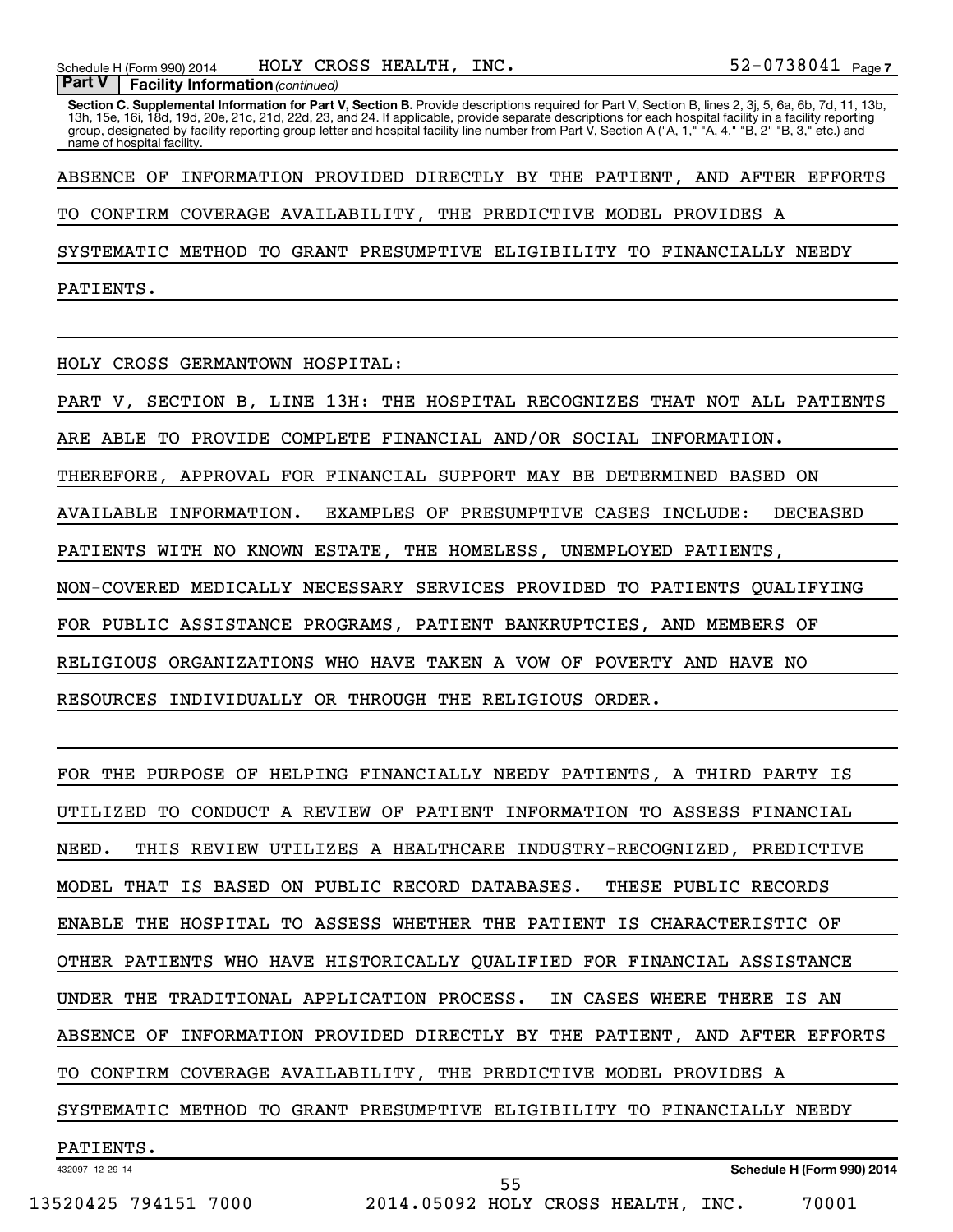ABSENCE OF INFORMATION PROVIDED DIRECTLY BY THE PATIENT, AND AFTER EFFORTS TO CONFIRM COVERAGE AVAILABILITY, THE PREDICTIVE MODEL PROVIDES A

SYSTEMATIC METHOD TO GRANT PRESUMPTIVE ELIGIBILITY TO FINANCIALLY NEEDY

PATIENTS.

HOLY CROSS GERMANTOWN HOSPITAL:

PART V, SECTION B, LINE 13H: THE HOSPITAL RECOGNIZES THAT NOT ALL PATIENTS ARE ABLE TO PROVIDE COMPLETE FINANCIAL AND/OR SOCIAL INFORMATION. THEREFORE, APPROVAL FOR FINANCIAL SUPPORT MAY BE DETERMINED BASED ON AVAILABLE INFORMATION. EXAMPLES OF PRESUMPTIVE CASES INCLUDE: DECEASED PATIENTS WITH NO KNOWN ESTATE, THE HOMELESS, UNEMPLOYED PATIENTS, NON-COVERED MEDICALLY NECESSARY SERVICES PROVIDED TO PATIENTS QUALIFYING FOR PUBLIC ASSISTANCE PROGRAMS, PATIENT BANKRUPTCIES, AND MEMBERS OF RELIGIOUS ORGANIZATIONS WHO HAVE TAKEN A VOW OF POVERTY AND HAVE NO RESOURCES INDIVIDUALLY OR THROUGH THE RELIGIOUS ORDER.

432097 12-29-14 **Schedule H (Form 990) 2014** FOR THE PURPOSE OF HELPING FINANCIALLY NEEDY PATIENTS, A THIRD PARTY IS UTILIZED TO CONDUCT A REVIEW OF PATIENT INFORMATION TO ASSESS FINANCIAL NEED. THIS REVIEW UTILIZES A HEALTHCARE INDUSTRY-RECOGNIZED, PREDICTIVE MODEL THAT IS BASED ON PUBLIC RECORD DATABASES. THESE PUBLIC RECORDS ENABLE THE HOSPITAL TO ASSESS WHETHER THE PATIENT IS CHARACTERISTIC OF OTHER PATIENTS WHO HAVE HISTORICALLY QUALIFIED FOR FINANCIAL ASSISTANCE UNDER THE TRADITIONAL APPLICATION PROCESS. IN CASES WHERE THERE IS AN ABSENCE OF INFORMATION PROVIDED DIRECTLY BY THE PATIENT, AND AFTER EFFORTS TO CONFIRM COVERAGE AVAILABILITY, THE PREDICTIVE MODEL PROVIDES A SYSTEMATIC METHOD TO GRANT PRESUMPTIVE ELIGIBILITY TO FINANCIALLY NEEDY PATIENTS.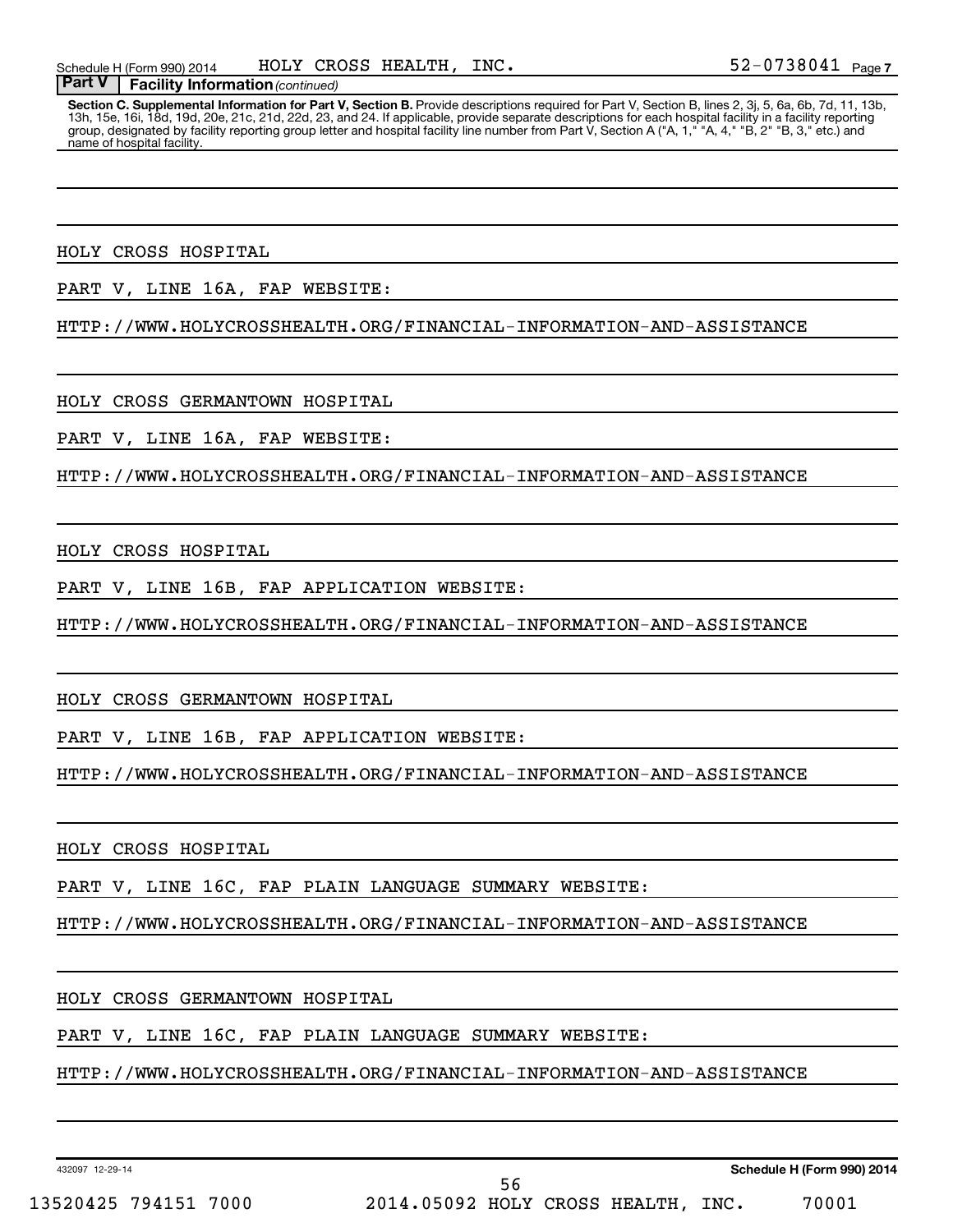Section C. Supplemental Information for Part V, Section B. Provide descriptions required for Part V, Section B, lines 2, 3j, 5, 6a, 6b, 7d, 11, 13b, 13h, 15e, 16i, 18d, 19d, 20e, 21c, 21d, 22d, 23, and 24. If applicable, provide separate descriptions for each hospital facility in a facility reporting group, designated by facility reporting group letter and hospital facility line number from Part V, Section A ("A, 1," "A, 4," "B, 2" "B, 3," etc.) and name of hospital facility.

HOLY CROSS HOSPITAL

PART V, LINE 16A, FAP WEBSITE:

HTTP://WWW.HOLYCROSSHEALTH.ORG/FINANCIAL-INFORMATION-AND-ASSISTANCE

HOLY CROSS GERMANTOWN HOSPITAL

PART V, LINE 16A, FAP WEBSITE:

HTTP://WWW.HOLYCROSSHEALTH.ORG/FINANCIAL-INFORMATION-AND-ASSISTANCE

HOLY CROSS HOSPITAL

PART V, LINE 16B, FAP APPLICATION WEBSITE:

HTTP://WWW.HOLYCROSSHEALTH.ORG/FINANCIAL-INFORMATION-AND-ASSISTANCE

HOLY CROSS GERMANTOWN HOSPITAL

PART V, LINE 16B, FAP APPLICATION WEBSITE:

HTTP://WWW.HOLYCROSSHEALTH.ORG/FINANCIAL-INFORMATION-AND-ASSISTANCE

HOLY CROSS HOSPITAL

PART V, LINE 16C, FAP PLAIN LANGUAGE SUMMARY WEBSITE:

HTTP://WWW.HOLYCROSSHEALTH.ORG/FINANCIAL-INFORMATION-AND-ASSISTANCE

HOLY CROSS GERMANTOWN HOSPITAL

PART V, LINE 16C, FAP PLAIN LANGUAGE SUMMARY WEBSITE:

HTTP://WWW.HOLYCROSSHEALTH.ORG/FINANCIAL-INFORMATION-AND-ASSISTANCE

432097 12-29-14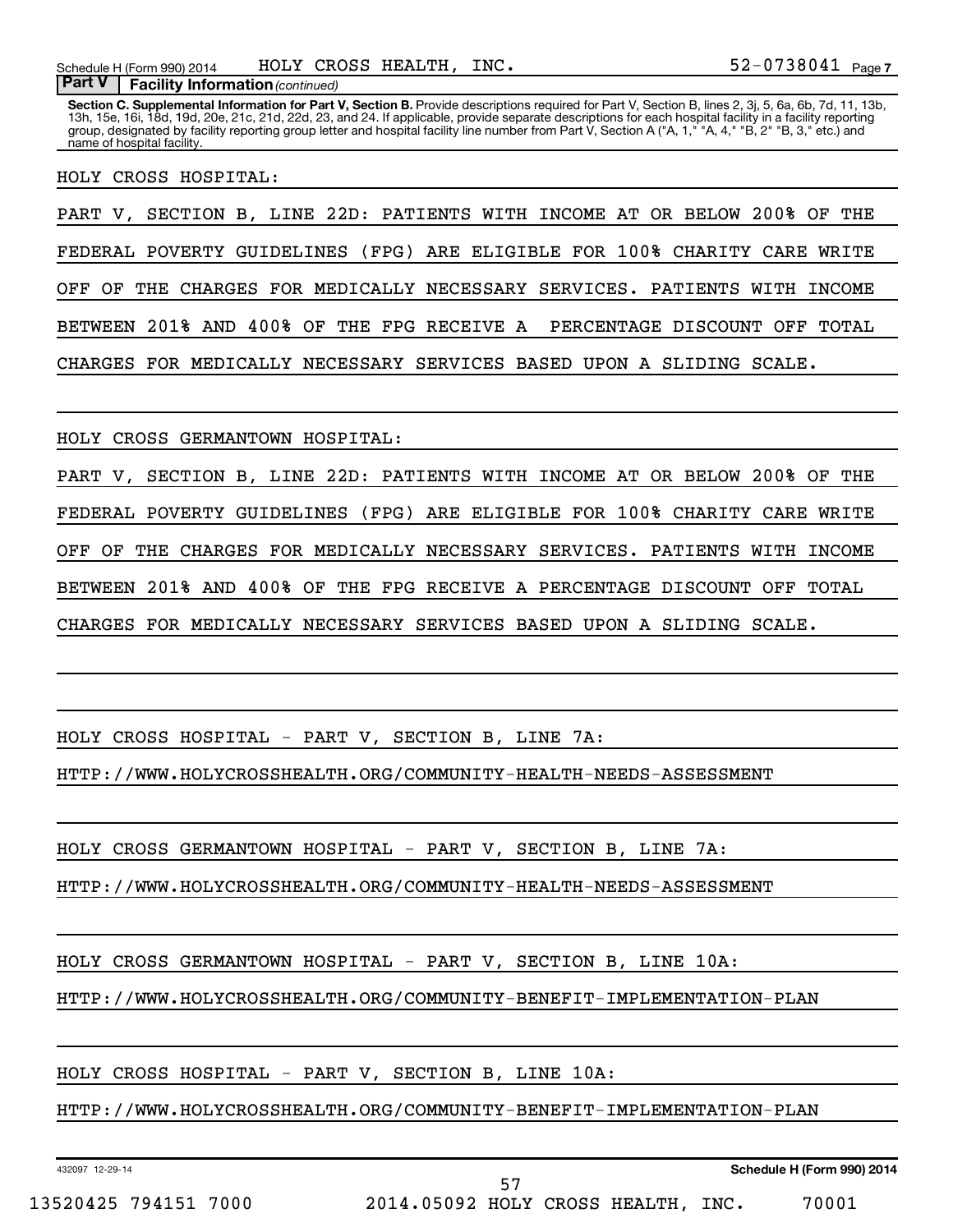HOLY CROSS HOSPITAL:

**Part V** | Facility Information (continued)

PART V, SECTION B, LINE 22D: PATIENTS WITH INCOME AT OR BELOW 200% OF THE FEDERAL POVERTY GUIDELINES (FPG) ARE ELIGIBLE FOR 100% CHARITY CARE WRITE OFF OF THE CHARGES FOR MEDICALLY NECESSARY SERVICES. PATIENTS WITH INCOME BETWEEN 201% AND 400% OF THE FPG RECEIVE A PERCENTAGE DISCOUNT OFF TOTAL CHARGES FOR MEDICALLY NECESSARY SERVICES BASED UPON A SLIDING SCALE.

HOLY CROSS GERMANTOWN HOSPITAL:

PART V, SECTION B, LINE 22D: PATIENTS WITH INCOME AT OR BELOW 200% OF THE FEDERAL POVERTY GUIDELINES (FPG) ARE ELIGIBLE FOR 100% CHARITY CARE WRITE OFF OF THE CHARGES FOR MEDICALLY NECESSARY SERVICES. PATIENTS WITH INCOME BETWEEN 201% AND 400% OF THE FPG RECEIVE A PERCENTAGE DISCOUNT OFF TOTAL CHARGES FOR MEDICALLY NECESSARY SERVICES BASED UPON A SLIDING SCALE.

HOLY CROSS HOSPITAL - PART V, SECTION B, LINE 7A:

HTTP://WWW.HOLYCROSSHEALTH.ORG/COMMUNITY-HEALTH-NEEDS-ASSESSMENT

HOLY CROSS GERMANTOWN HOSPITAL - PART V, SECTION B, LINE 7A:

HTTP://WWW.HOLYCROSSHEALTH.ORG/COMMUNITY-HEALTH-NEEDS-ASSESSMENT

HOLY CROSS GERMANTOWN HOSPITAL - PART V, SECTION B, LINE 10A:

HTTP://WWW.HOLYCROSSHEALTH.ORG/COMMUNITY-BENEFIT-IMPLEMENTATION-PLAN

HOLY CROSS HOSPITAL - PART V, SECTION B, LINE 10A:

HTTP://WWW.HOLYCROSSHEALTH.ORG/COMMUNITY-BENEFIT-IMPLEMENTATION-PLAN

432097 12-29-14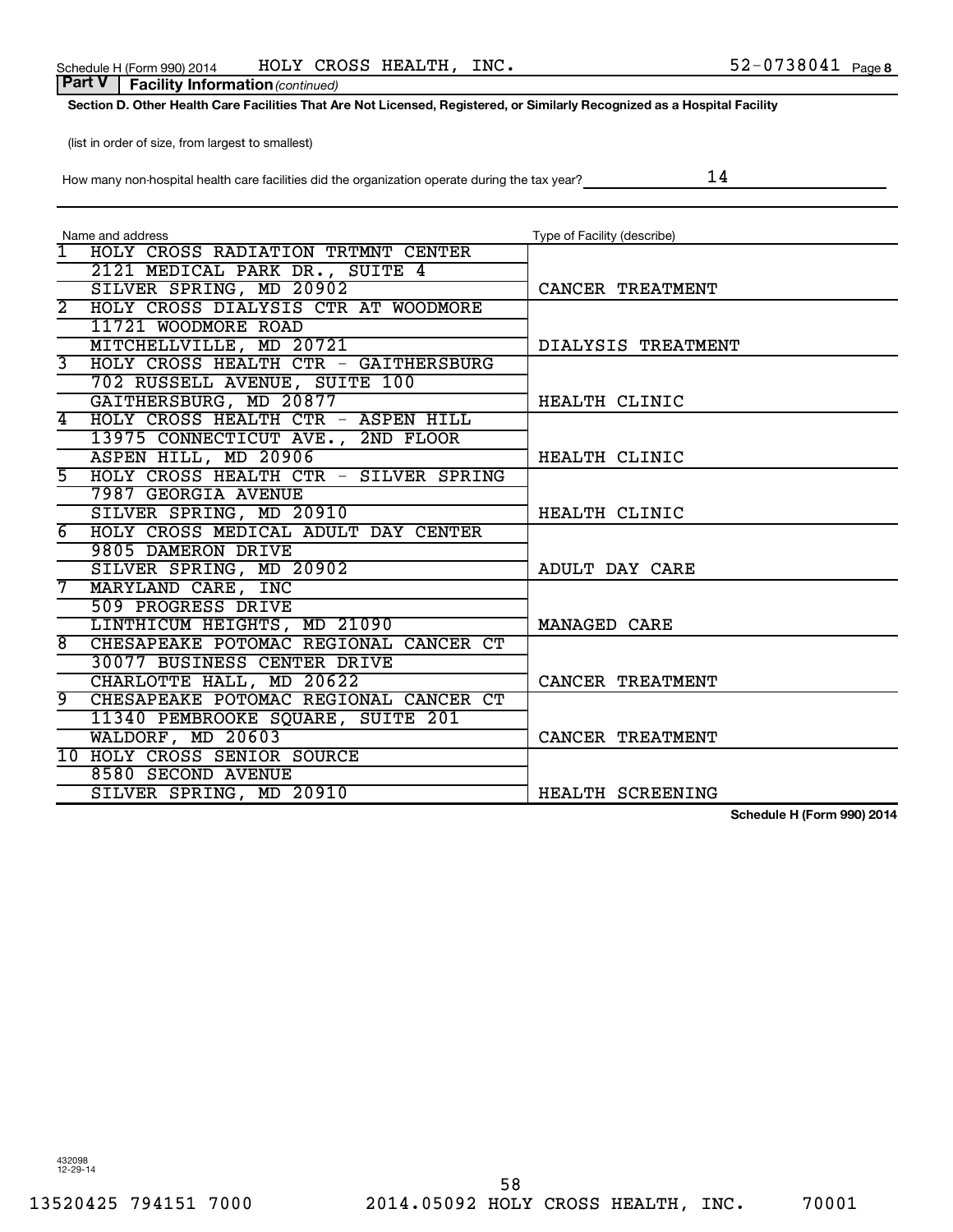**Section D. Other Health Care Facilities That Are Not Licensed, Registered, or Similarly Recognized as a Hospital Facility**

(list in order of size, from largest to smallest)

How many non-hospital health care facilities did the organization operate during the tax year?

| Name and address                                        | Type of Facility (describe) |
|---------------------------------------------------------|-----------------------------|
| T<br>HOLY CROSS RADIATION TRTMNT CENTER                 |                             |
| 2121 MEDICAL PARK DR., SUITE 4                          |                             |
| SILVER SPRING, MD 20902                                 | CANCER TREATMENT            |
| 2 HOLY CROSS DIALYSIS CTR AT WOODMORE                   |                             |
| 11721 WOODMORE ROAD                                     |                             |
| MITCHELLVILLE, MD 20721                                 | DIALYSIS TREATMENT          |
| 3 HOLY CROSS HEALTH CTR - GAITHERSBURG                  |                             |
| 702 RUSSELL AVENUE, SUITE 100                           |                             |
| GAITHERSBURG, MD 20877                                  | HEALTH CLINIC               |
| 4 HOLY CROSS HEALTH CTR - ASPEN HILL                    |                             |
| 13975 CONNECTICUT AVE., 2ND FLOOR                       |                             |
| ASPEN HILL, MD 20906                                    | HEALTH CLINIC               |
| 5 HOLY CROSS HEALTH CTR - SILVER SPRING                 |                             |
| 7987 GEORGIA AVENUE                                     |                             |
| SILVER SPRING, MD 20910                                 | HEALTH CLINIC               |
| 6 HOLY CROSS MEDICAL ADULT DAY CENTER                   |                             |
| 9805 DAMERON DRIVE                                      |                             |
| SILVER SPRING, MD 20902                                 | ADULT DAY CARE              |
| 7 MARYLAND CARE, INC                                    |                             |
| 509 PROGRESS DRIVE                                      |                             |
| LINTHICUM HEIGHTS, MD 21090                             | MANAGED CARE                |
| $\overline{8}$<br>CHESAPEAKE POTOMAC REGIONAL CANCER CT |                             |
| 30077 BUSINESS CENTER DRIVE                             |                             |
| CHARLOTTE HALL, MD 20622                                | CANCER TREATMENT            |
| 9 CHESAPEAKE POTOMAC REGIONAL CANCER CT                 |                             |
| 11340 PEMBROOKE SQUARE, SUITE 201                       |                             |
| WALDORF, MD 20603                                       | CANCER TREATMENT            |
| 10 HOLY CROSS SENIOR SOURCE                             |                             |
| 8580 SECOND AVENUE                                      |                             |
| SILVER SPRING, MD 20910                                 | HEALTH SCREENING            |

**Schedule H (Form 990) 2014**

432098 12-29-14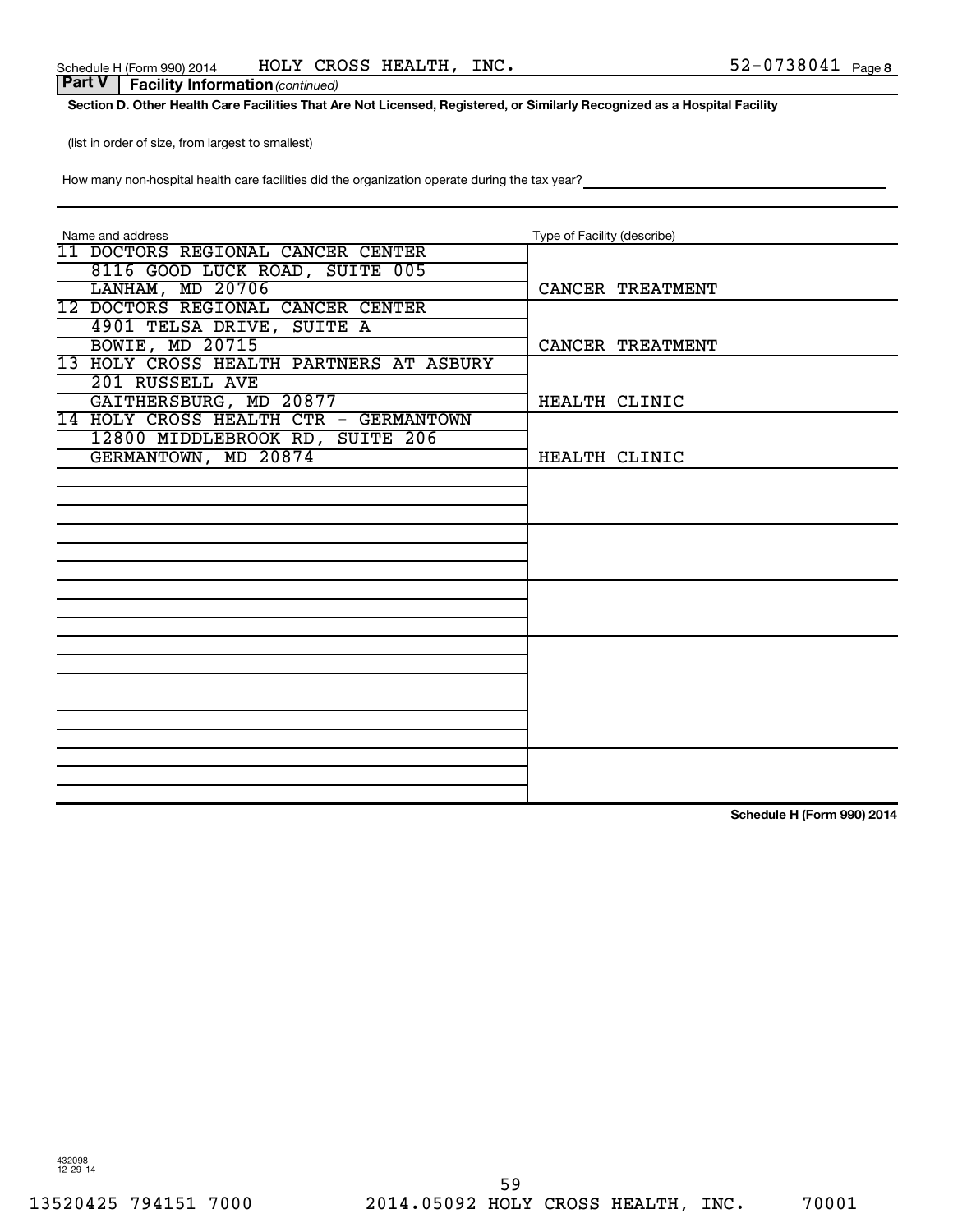**Section D. Other Health Care Facilities That Are Not Licensed, Registered, or Similarly Recognized as a Hospital Facility**

(list in order of size, from largest to smallest)

**Part V** | Facility Information (continued)

How many non-hospital health care facilities did the organization operate during the tax year?

| Name and address                        | Type of Facility (describe) |
|-----------------------------------------|-----------------------------|
| 11 DOCTORS REGIONAL CANCER CENTER       |                             |
| 8116 GOOD LUCK ROAD, SUITE 005          |                             |
| LANHAM, MD 20706                        | CANCER TREATMENT            |
| 12 DOCTORS REGIONAL CANCER CENTER       |                             |
| 4901 TELSA DRIVE, SUITE A               |                             |
| <b>BOWIE, MD 20715</b>                  | CANCER TREATMENT            |
| 13 HOLY CROSS HEALTH PARTNERS AT ASBURY |                             |
| 201 RUSSELL AVE                         |                             |
| GAITHERSBURG, MD 20877                  | HEALTH CLINIC               |
| 14 HOLY CROSS HEALTH CTR - GERMANTOWN   |                             |
| 12800 MIDDLEBROOK RD, SUITE 206         |                             |
| GERMANTOWN, MD 20874                    | HEALTH CLINIC               |
|                                         |                             |
|                                         |                             |
|                                         |                             |
|                                         |                             |
|                                         |                             |
|                                         |                             |
|                                         |                             |
|                                         |                             |
|                                         |                             |
|                                         |                             |
|                                         |                             |
|                                         |                             |
|                                         |                             |
|                                         |                             |
|                                         |                             |
|                                         |                             |
|                                         |                             |
|                                         |                             |

**Schedule H (Form 990) 2014**

432098 12-29-14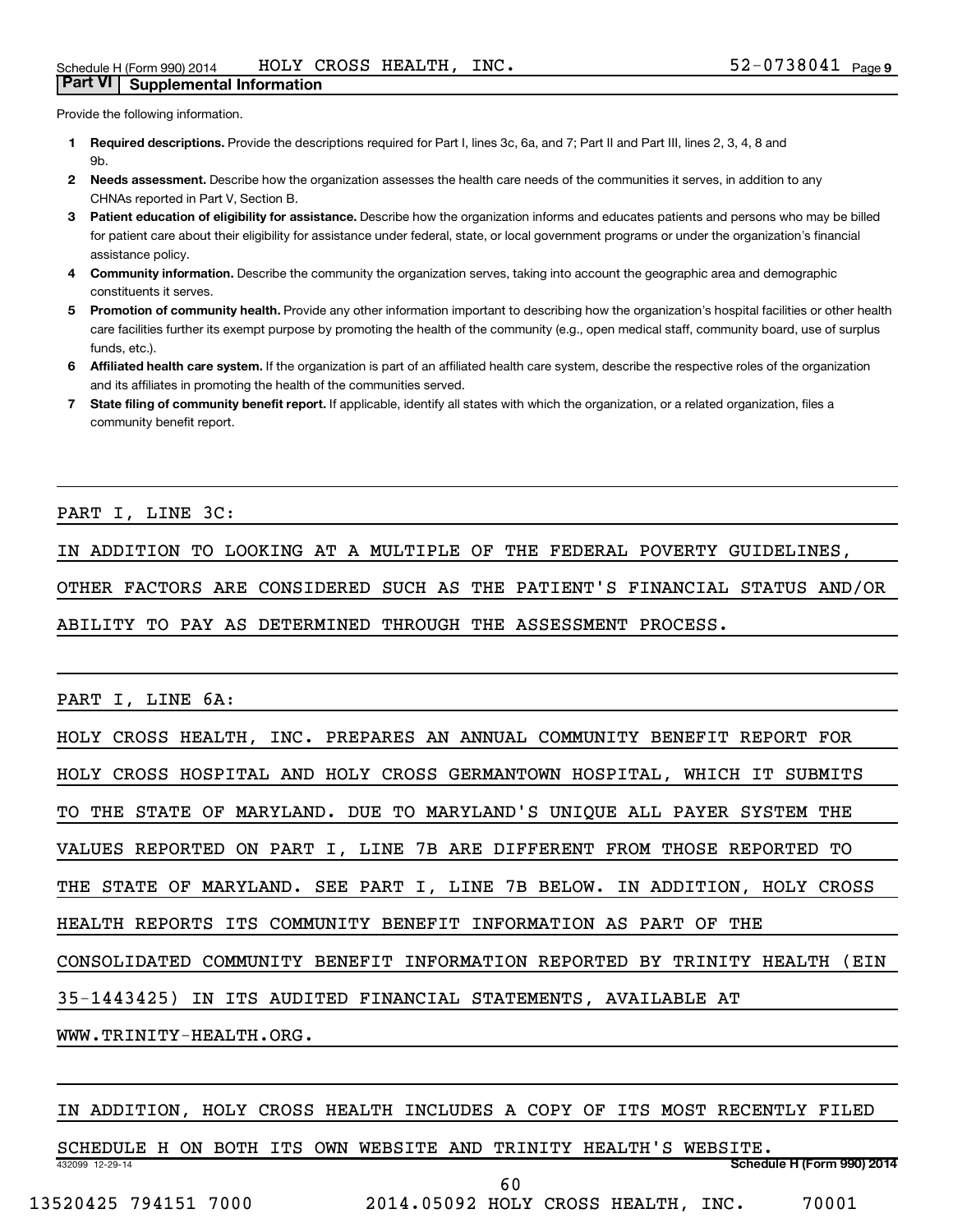Provide the following information.

- **1 Required descriptions.** Provide the descriptions required for Part I, lines 3c, 6a, and 7; Part II and Part III, lines 2, 3, 4, 8 and 9b.
- **2** Needs assessment. Describe how the organization assesses the health care needs of the communities it serves, in addition to any CHNAs reported in Part V, Section B.
- **3 Patient education of eligibility for assistance.** Describe how the organization informs and educates patients and persons who may be billed for patient care about their eligibility for assistance under federal, state, or local government programs or under the organization's financial assistance policy.
- **4 Community information.** Describe the community the organization serves, taking into account the geographic area and demographic constituents it serves.
- 5 Promotion of community health. Provide any other information important to describing how the organization's hospital facilities or other health care facilities further its exempt purpose by promoting the health of the community (e.g., open medical staff, community board, use of surplus funds, etc.).
- **6 Affiliated health care system.** If the organization is part of an affiliated health care system, describe the respective roles of the organization and its affiliates in promoting the health of the communities served.
- **7** State filing of community benefit report. If applicable, identify all states with which the organization, or a related organization, files a community benefit report.

PART I, LINE 3C:

IN ADDITION TO LOOKING AT A MULTIPLE OF THE FEDERAL POVERTY GUIDELINES,

OTHER FACTORS ARE CONSIDERED SUCH AS THE PATIENT'S FINANCIAL STATUS AND/OR

ABILITY TO PAY AS DETERMINED THROUGH THE ASSESSMENT PROCESS.

PART I, LINE 6A:

| HOLY CROSS HEALTH, INC. PREPARES AN ANNUAL COMMUNITY BENEFIT REPORT FOR    |  |  |  |  |
|----------------------------------------------------------------------------|--|--|--|--|
| HOLY CROSS HOSPITAL AND HOLY CROSS GERMANTOWN HOSPITAL, WHICH IT SUBMITS   |  |  |  |  |
| TO THE STATE OF MARYLAND. DUE TO MARYLAND'S UNIOUE ALL PAYER SYSTEM THE    |  |  |  |  |
| VALUES REPORTED ON PART I, LINE 7B ARE DIFFERENT FROM THOSE REPORTED TO    |  |  |  |  |
| THE STATE OF MARYLAND. SEE PART I, LINE 7B BELOW. IN ADDITION, HOLY CROSS  |  |  |  |  |
| HEALTH REPORTS ITS COMMUNITY BENEFIT INFORMATION AS PART OF THE            |  |  |  |  |
| CONSOLIDATED COMMUNITY BENEFIT INFORMATION REPORTED BY TRINITY HEALTH (EIN |  |  |  |  |
| 35-1443425) IN ITS AUDITED FINANCIAL STATEMENTS, AVAILABLE AT              |  |  |  |  |
| WWW.TRINITY-HEALTH.ORG.                                                    |  |  |  |  |

432099 12-29-14 **Schedule H (Form 990) 2014** IN ADDITION, HOLY CROSS HEALTH INCLUDES A COPY OF ITS MOST RECENTLY FILED SCHEDULE H ON BOTH ITS OWN WEBSITE AND TRINITY HEALTH'S WEBSITE. 13520425 794151 7000 2014.05092 HOLY CROSS HEALTH, INC. 70001 60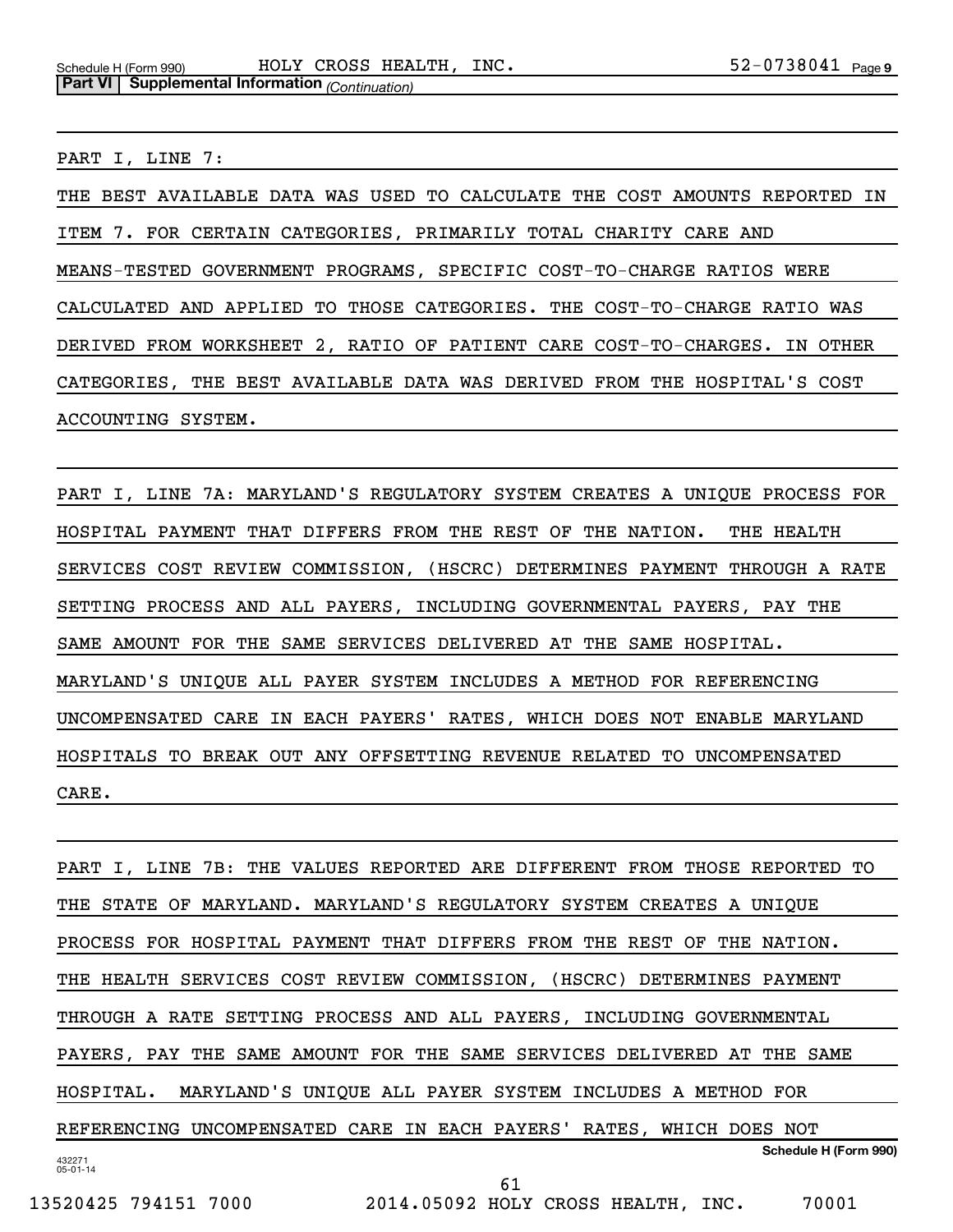PART I, LINE 7:

THE BEST AVAILABLE DATA WAS USED TO CALCULATE THE COST AMOUNTS REPORTED IN ITEM 7. FOR CERTAIN CATEGORIES, PRIMARILY TOTAL CHARITY CARE AND MEANS-TESTED GOVERNMENT PROGRAMS, SPECIFIC COST-TO-CHARGE RATIOS WERE CALCULATED AND APPLIED TO THOSE CATEGORIES. THE COST-TO-CHARGE RATIO WAS DERIVED FROM WORKSHEET 2, RATIO OF PATIENT CARE COST-TO-CHARGES. IN OTHER CATEGORIES, THE BEST AVAILABLE DATA WAS DERIVED FROM THE HOSPITAL'S COST ACCOUNTING SYSTEM.

PART I, LINE 7A: MARYLAND'S REGULATORY SYSTEM CREATES A UNIQUE PROCESS FOR HOSPITAL PAYMENT THAT DIFFERS FROM THE REST OF THE NATION. THE HEALTH SERVICES COST REVIEW COMMISSION, (HSCRC) DETERMINES PAYMENT THROUGH A RATE SETTING PROCESS AND ALL PAYERS, INCLUDING GOVERNMENTAL PAYERS, PAY THE SAME AMOUNT FOR THE SAME SERVICES DELIVERED AT THE SAME HOSPITAL. MARYLAND'S UNIQUE ALL PAYER SYSTEM INCLUDES A METHOD FOR REFERENCING UNCOMPENSATED CARE IN EACH PAYERS' RATES, WHICH DOES NOT ENABLE MARYLAND HOSPITALS TO BREAK OUT ANY OFFSETTING REVENUE RELATED TO UNCOMPENSATED CARE.

432271 05-01-14 **Schedule H (Form 990)** PART I, LINE 7B: THE VALUES REPORTED ARE DIFFERENT FROM THOSE REPORTED TO THE STATE OF MARYLAND. MARYLAND'S REGULATORY SYSTEM CREATES A UNIQUE PROCESS FOR HOSPITAL PAYMENT THAT DIFFERS FROM THE REST OF THE NATION. THE HEALTH SERVICES COST REVIEW COMMISSION, (HSCRC) DETERMINES PAYMENT THROUGH A RATE SETTING PROCESS AND ALL PAYERS, INCLUDING GOVERNMENTAL PAYERS, PAY THE SAME AMOUNT FOR THE SAME SERVICES DELIVERED AT THE SAME HOSPITAL. MARYLAND'S UNIQUE ALL PAYER SYSTEM INCLUDES A METHOD FOR REFERENCING UNCOMPENSATED CARE IN EACH PAYERS' RATES, WHICH DOES NOT 61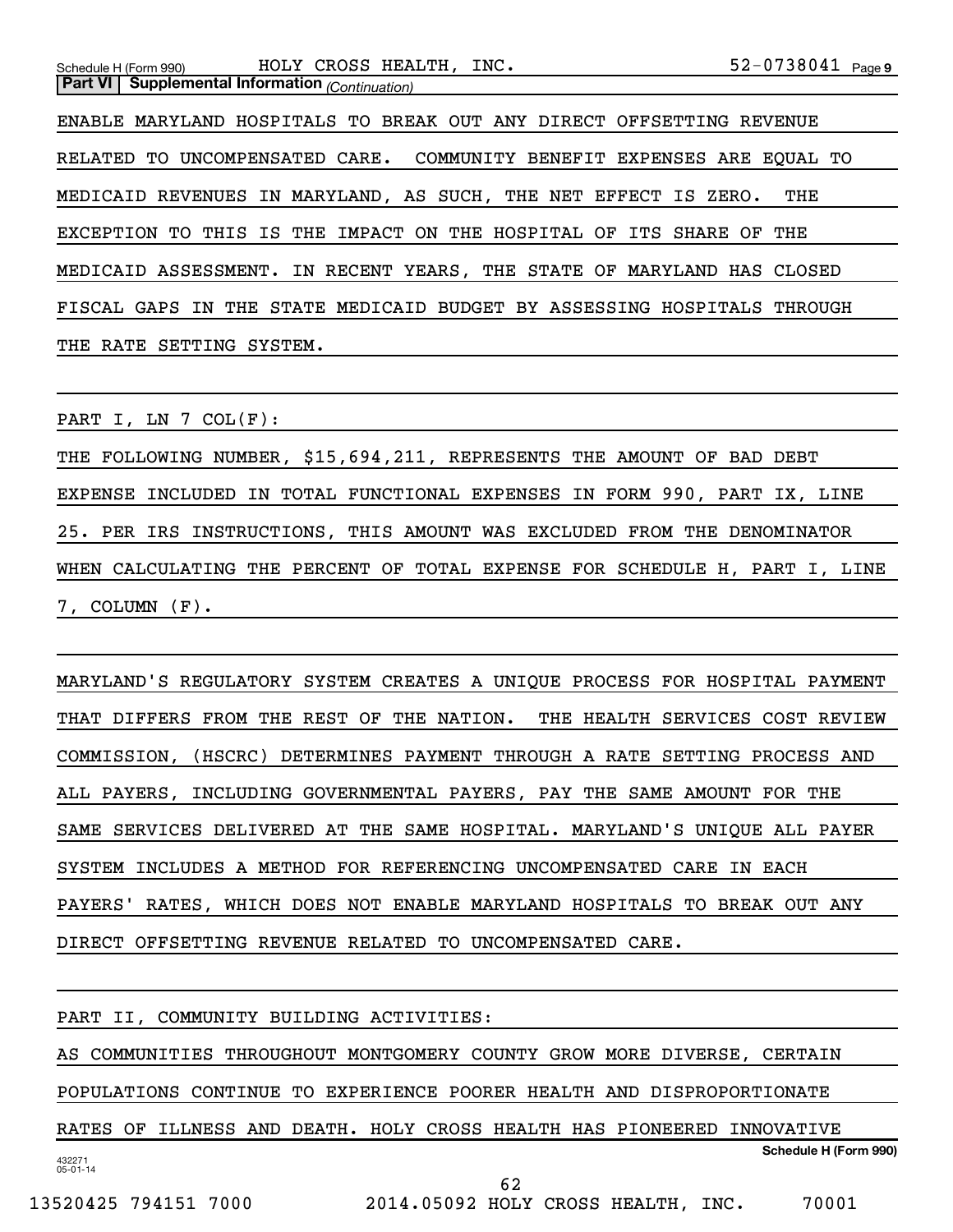52-0738041 Page 9 Schedule H (Form 990)  $\rm HOLY\;\;CROSS\;\; HEALTH$ ,  $\rm INC$ .  $\rm 52-0738041\;\;Page$ **Part VI Supplemental Information** *(Continuation)* ENABLE MARYLAND HOSPITALS TO BREAK OUT ANY DIRECT OFFSETTING REVENUE RELATED TO UNCOMPENSATED CARE. COMMUNITY BENEFIT EXPENSES ARE EQUAL TO MEDICAID REVENUES IN MARYLAND, AS SUCH, THE NET EFFECT IS ZERO. THE EXCEPTION TO THIS IS THE IMPACT ON THE HOSPITAL OF ITS SHARE OF THE MEDICAID ASSESSMENT. IN RECENT YEARS, THE STATE OF MARYLAND HAS CLOSED FISCAL GAPS IN THE STATE MEDICAID BUDGET BY ASSESSING HOSPITALS THROUGH THE RATE SETTING SYSTEM.

PART I, LN 7 COL(F):

THE FOLLOWING NUMBER, \$15,694,211, REPRESENTS THE AMOUNT OF BAD DEBT EXPENSE INCLUDED IN TOTAL FUNCTIONAL EXPENSES IN FORM 990, PART IX, LINE 25. PER IRS INSTRUCTIONS, THIS AMOUNT WAS EXCLUDED FROM THE DENOMINATOR WHEN CALCULATING THE PERCENT OF TOTAL EXPENSE FOR SCHEDULE H, PART I, LINE 7, COLUMN (F).

MARYLAND'S REGULATORY SYSTEM CREATES A UNIQUE PROCESS FOR HOSPITAL PAYMENT THAT DIFFERS FROM THE REST OF THE NATION. THE HEALTH SERVICES COST REVIEW COMMISSION, (HSCRC) DETERMINES PAYMENT THROUGH A RATE SETTING PROCESS AND ALL PAYERS, INCLUDING GOVERNMENTAL PAYERS, PAY THE SAME AMOUNT FOR THE SAME SERVICES DELIVERED AT THE SAME HOSPITAL. MARYLAND'S UNIQUE ALL PAYER SYSTEM INCLUDES A METHOD FOR REFERENCING UNCOMPENSATED CARE IN EACH PAYERS' RATES, WHICH DOES NOT ENABLE MARYLAND HOSPITALS TO BREAK OUT ANY DIRECT OFFSETTING REVENUE RELATED TO UNCOMPENSATED CARE.

432271 05-01-14 **Schedule H (Form 990)** PART II, COMMUNITY BUILDING ACTIVITIES: AS COMMUNITIES THROUGHOUT MONTGOMERY COUNTY GROW MORE DIVERSE, CERTAIN POPULATIONS CONTINUE TO EXPERIENCE POORER HEALTH AND DISPROPORTIONATE RATES OF ILLNESS AND DEATH. HOLY CROSS HEALTH HAS PIONEERED INNOVATIVE 13520425 794151 7000 2014.05092 HOLY CROSS HEALTH, INC. 70001 62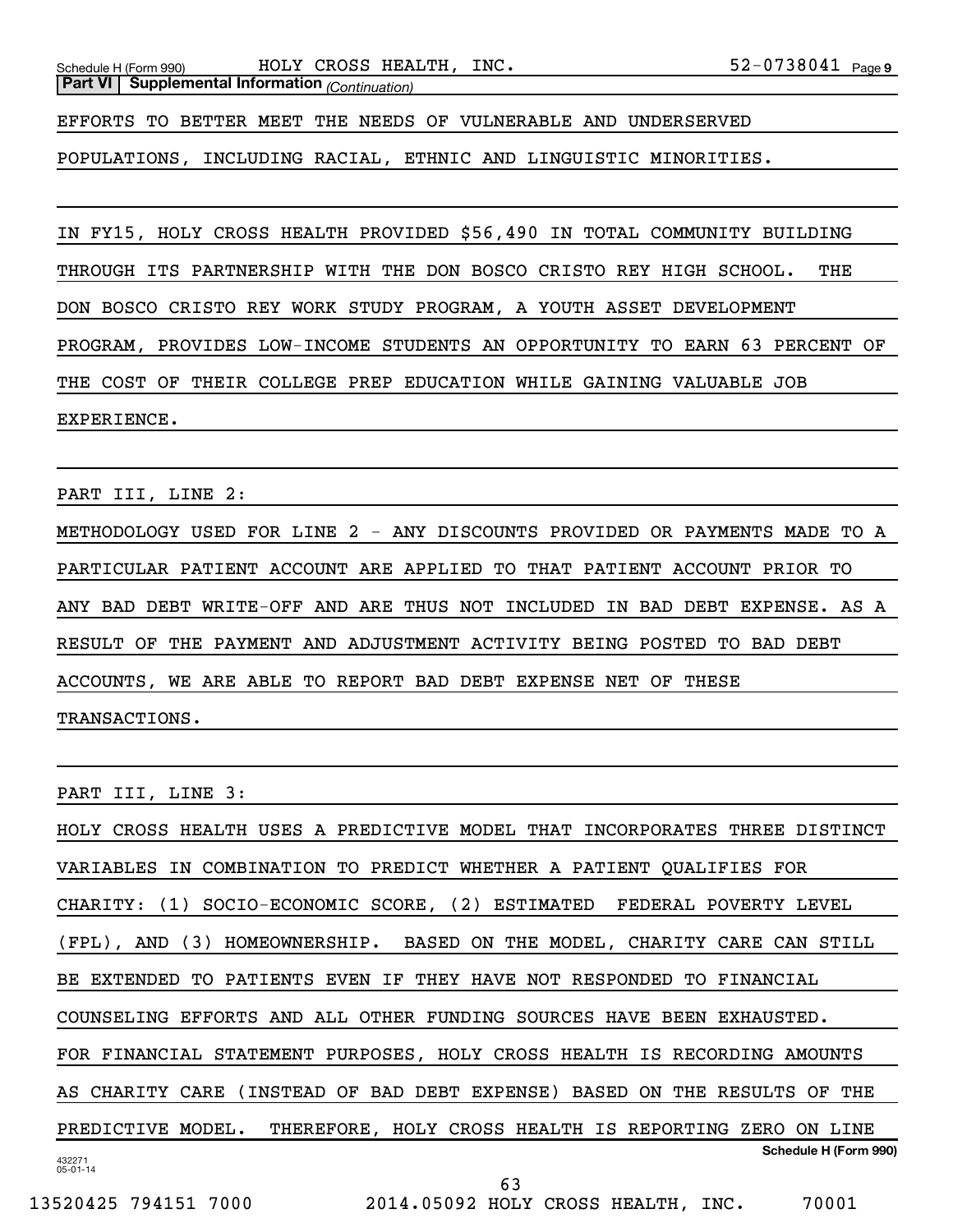EFFORTS TO BETTER MEET THE NEEDS OF VULNERABLE AND UNDERSERVED

POPULATIONS, INCLUDING RACIAL, ETHNIC AND LINGUISTIC MINORITIES.

IN FY15, HOLY CROSS HEALTH PROVIDED \$56,490 IN TOTAL COMMUNITY BUILDING THROUGH ITS PARTNERSHIP WITH THE DON BOSCO CRISTO REY HIGH SCHOOL. THE DON BOSCO CRISTO REY WORK STUDY PROGRAM, A YOUTH ASSET DEVELOPMENT PROGRAM, PROVIDES LOW-INCOME STUDENTS AN OPPORTUNITY TO EARN 63 PERCENT OF THE COST OF THEIR COLLEGE PREP EDUCATION WHILE GAINING VALUABLE JOB EXPERIENCE.

PART III, LINE 2:

METHODOLOGY USED FOR LINE 2 - ANY DISCOUNTS PROVIDED OR PAYMENTS MADE TO A PARTICULAR PATIENT ACCOUNT ARE APPLIED TO THAT PATIENT ACCOUNT PRIOR TO ANY BAD DEBT WRITE-OFF AND ARE THUS NOT INCLUDED IN BAD DEBT EXPENSE. AS A RESULT OF THE PAYMENT AND ADJUSTMENT ACTIVITY BEING POSTED TO BAD DEBT ACCOUNTS, WE ARE ABLE TO REPORT BAD DEBT EXPENSE NET OF THESE TRANSACTIONS.

PART III, LINE 3:

432271 05-01-14 **Schedule H (Form 990)** HOLY CROSS HEALTH USES A PREDICTIVE MODEL THAT INCORPORATES THREE DISTINCT VARIABLES IN COMBINATION TO PREDICT WHETHER A PATIENT QUALIFIES FOR CHARITY: (1) SOCIO-ECONOMIC SCORE, (2) ESTIMATED FEDERAL POVERTY LEVEL (FPL), AND (3) HOMEOWNERSHIP. BASED ON THE MODEL, CHARITY CARE CAN STILL BE EXTENDED TO PATIENTS EVEN IF THEY HAVE NOT RESPONDED TO FINANCIAL COUNSELING EFFORTS AND ALL OTHER FUNDING SOURCES HAVE BEEN EXHAUSTED. FOR FINANCIAL STATEMENT PURPOSES, HOLY CROSS HEALTH IS RECORDING AMOUNTS AS CHARITY CARE (INSTEAD OF BAD DEBT EXPENSE) BASED ON THE RESULTS OF THE PREDICTIVE MODEL. THEREFORE, HOLY CROSS HEALTH IS REPORTING ZERO ON LINE 63

13520425 794151 7000 2014.05092 HOLY CROSS HEALTH, INC. 70001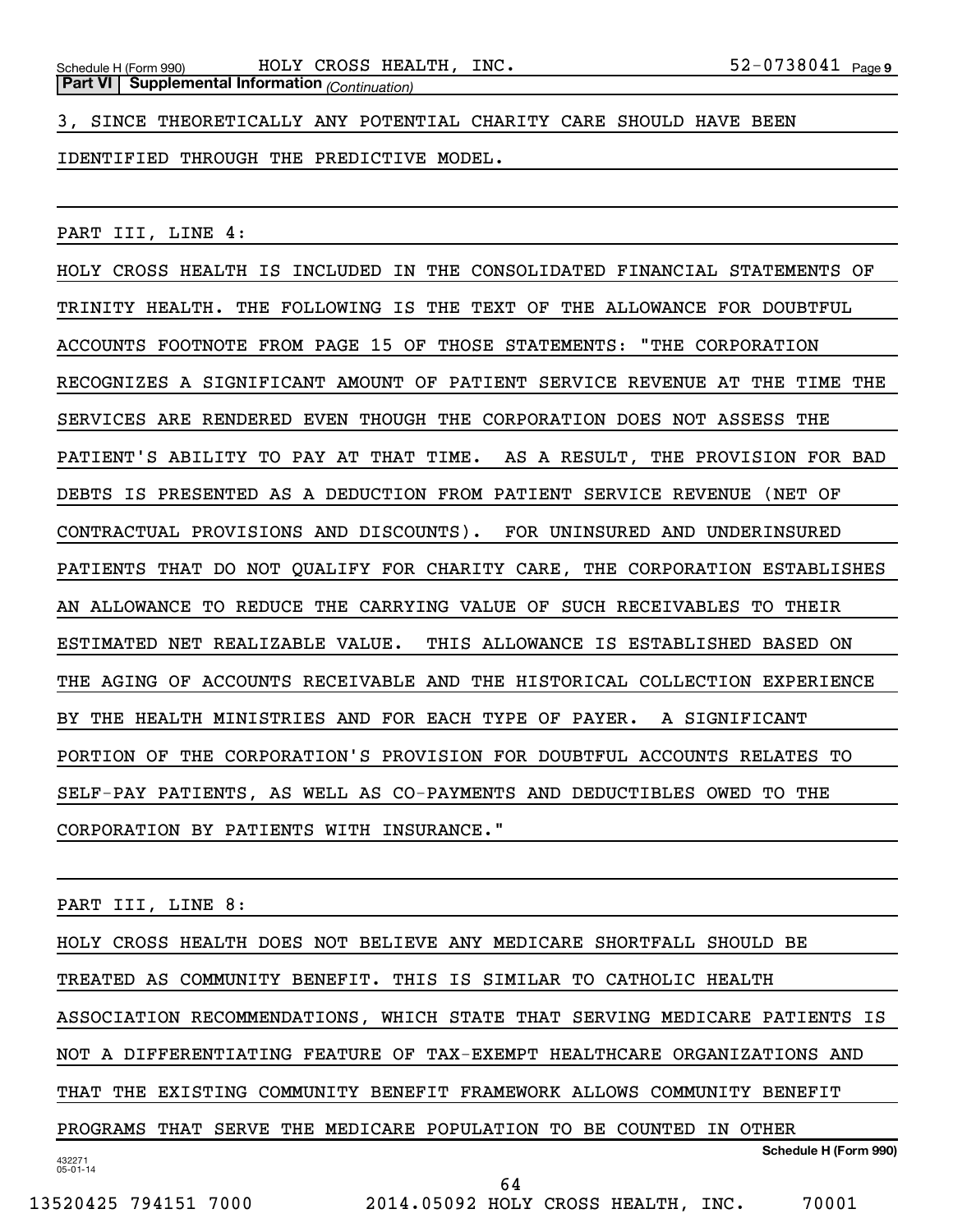**Part VI Supplemental Information** *(Continuation)*

3, SINCE THEORETICALLY ANY POTENTIAL CHARITY CARE SHOULD HAVE BEEN

IDENTIFIED THROUGH THE PREDICTIVE MODEL.

PART III, LINE 4:

HOLY CROSS HEALTH IS INCLUDED IN THE CONSOLIDATED FINANCIAL STATEMENTS OF TRINITY HEALTH. THE FOLLOWING IS THE TEXT OF THE ALLOWANCE FOR DOUBTFUL ACCOUNTS FOOTNOTE FROM PAGE 15 OF THOSE STATEMENTS: "THE CORPORATION RECOGNIZES A SIGNIFICANT AMOUNT OF PATIENT SERVICE REVENUE AT THE TIME THE SERVICES ARE RENDERED EVEN THOUGH THE CORPORATION DOES NOT ASSESS THE PATIENT'S ABILITY TO PAY AT THAT TIME. AS A RESULT, THE PROVISION FOR BAD DEBTS IS PRESENTED AS A DEDUCTION FROM PATIENT SERVICE REVENUE (NET OF CONTRACTUAL PROVISIONS AND DISCOUNTS). FOR UNINSURED AND UNDERINSURED PATIENTS THAT DO NOT QUALIFY FOR CHARITY CARE, THE CORPORATION ESTABLISHES AN ALLOWANCE TO REDUCE THE CARRYING VALUE OF SUCH RECEIVABLES TO THEIR ESTIMATED NET REALIZABLE VALUE. THIS ALLOWANCE IS ESTABLISHED BASED ON THE AGING OF ACCOUNTS RECEIVABLE AND THE HISTORICAL COLLECTION EXPERIENCE BY THE HEALTH MINISTRIES AND FOR EACH TYPE OF PAYER. A SIGNIFICANT PORTION OF THE CORPORATION'S PROVISION FOR DOUBTFUL ACCOUNTS RELATES TO SELF-PAY PATIENTS, AS WELL AS CO-PAYMENTS AND DEDUCTIBLES OWED TO THE CORPORATION BY PATIENTS WITH INSURANCE."

PART III, LINE 8:

432271 05-01-14 **Schedule H (Form 990)** HOLY CROSS HEALTH DOES NOT BELIEVE ANY MEDICARE SHORTFALL SHOULD BE TREATED AS COMMUNITY BENEFIT. THIS IS SIMILAR TO CATHOLIC HEALTH ASSOCIATION RECOMMENDATIONS, WHICH STATE THAT SERVING MEDICARE PATIENTS IS NOT A DIFFERENTIATING FEATURE OF TAX-EXEMPT HEALTHCARE ORGANIZATIONS AND THAT THE EXISTING COMMUNITY BENEFIT FRAMEWORK ALLOWS COMMUNITY BENEFIT PROGRAMS THAT SERVE THE MEDICARE POPULATION TO BE COUNTED IN OTHER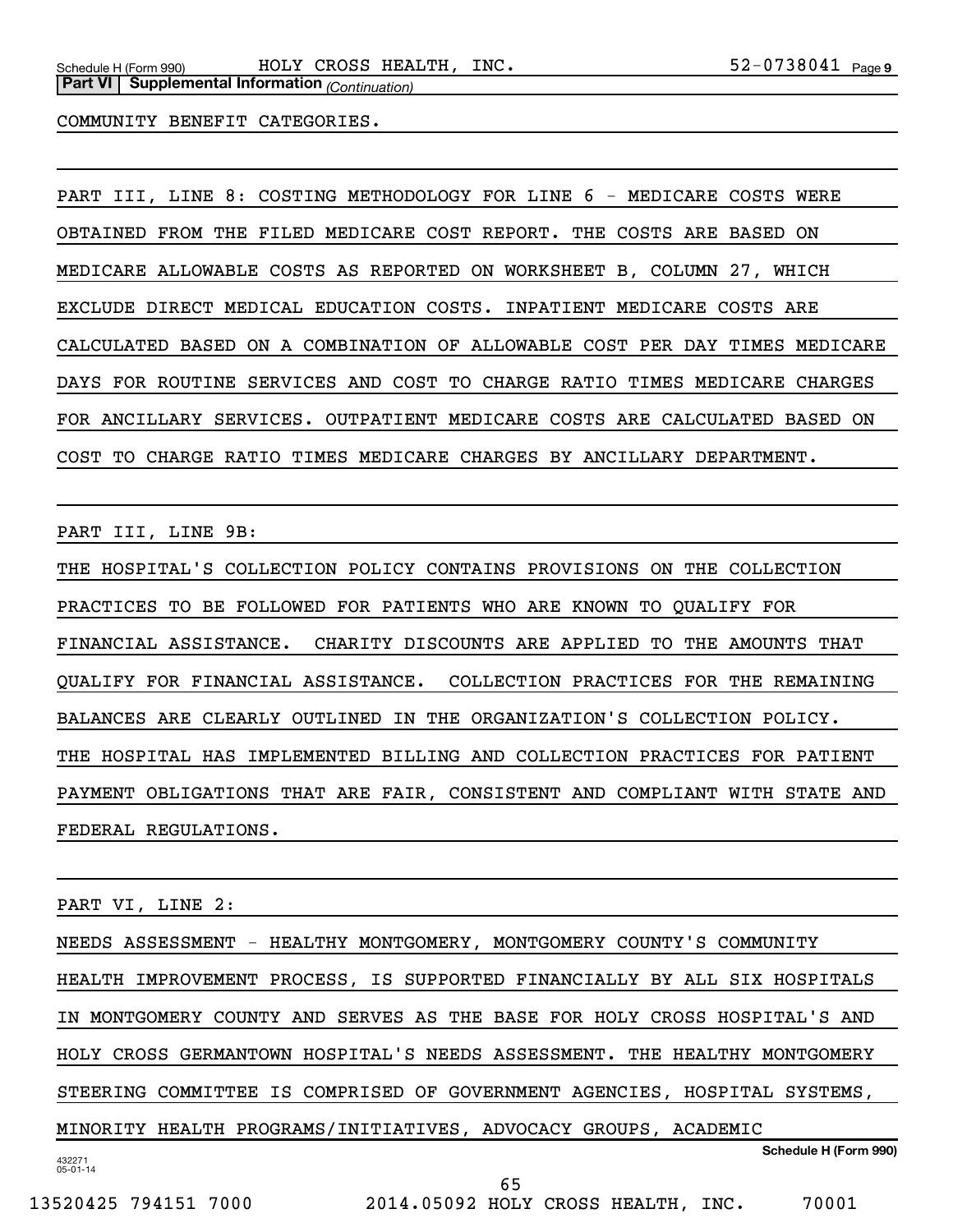**Part VI Supplemental Information** *(Continuation)*

COMMUNITY BENEFIT CATEGORIES.

PART III, LINE 8: COSTING METHODOLOGY FOR LINE 6 - MEDICARE COSTS WERE OBTAINED FROM THE FILED MEDICARE COST REPORT. THE COSTS ARE BASED ON MEDICARE ALLOWABLE COSTS AS REPORTED ON WORKSHEET B, COLUMN 27, WHICH EXCLUDE DIRECT MEDICAL EDUCATION COSTS. INPATIENT MEDICARE COSTS ARE CALCULATED BASED ON A COMBINATION OF ALLOWABLE COST PER DAY TIMES MEDICARE DAYS FOR ROUTINE SERVICES AND COST TO CHARGE RATIO TIMES MEDICARE CHARGES FOR ANCILLARY SERVICES. OUTPATIENT MEDICARE COSTS ARE CALCULATED BASED ON COST TO CHARGE RATIO TIMES MEDICARE CHARGES BY ANCILLARY DEPARTMENT.

PART III, LINE 9B:

THE HOSPITAL'S COLLECTION POLICY CONTAINS PROVISIONS ON THE COLLECTION PRACTICES TO BE FOLLOWED FOR PATIENTS WHO ARE KNOWN TO QUALIFY FOR FINANCIAL ASSISTANCE. CHARITY DISCOUNTS ARE APPLIED TO THE AMOUNTS THAT QUALIFY FOR FINANCIAL ASSISTANCE. COLLECTION PRACTICES FOR THE REMAINING BALANCES ARE CLEARLY OUTLINED IN THE ORGANIZATION'S COLLECTION POLICY. THE HOSPITAL HAS IMPLEMENTED BILLING AND COLLECTION PRACTICES FOR PATIENT PAYMENT OBLIGATIONS THAT ARE FAIR, CONSISTENT AND COMPLIANT WITH STATE AND FEDERAL REGULATIONS.

PART VI, LINE 2:

432271 05-01-14 **Schedule H (Form 990)** NEEDS ASSESSMENT - HEALTHY MONTGOMERY, MONTGOMERY COUNTY'S COMMUNITY HEALTH IMPROVEMENT PROCESS, IS SUPPORTED FINANCIALLY BY ALL SIX HOSPITALS IN MONTGOMERY COUNTY AND SERVES AS THE BASE FOR HOLY CROSS HOSPITAL'S AND HOLY CROSS GERMANTOWN HOSPITAL'S NEEDS ASSESSMENT. THE HEALTHY MONTGOMERY STEERING COMMITTEE IS COMPRISED OF GOVERNMENT AGENCIES, HOSPITAL SYSTEMS, MINORITY HEALTH PROGRAMS/INITIATIVES, ADVOCACY GROUPS, ACADEMIC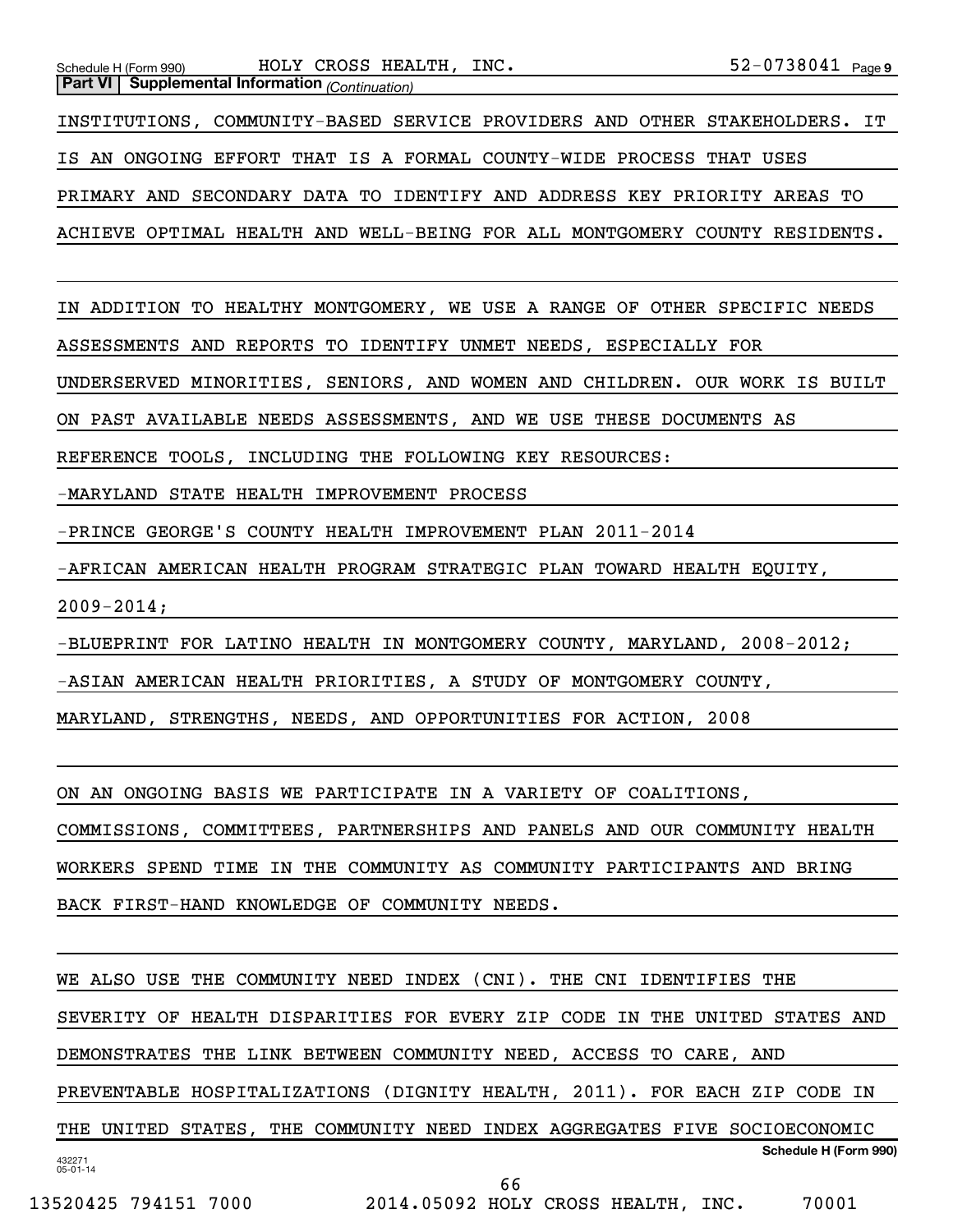IN ADDITION TO HEALTHY MONTGOMERY, WE USE A RANGE OF OTHER SPECIFIC NEEDS

ASSESSMENTS AND REPORTS TO IDENTIFY UNMET NEEDS, ESPECIALLY FOR

UNDERSERVED MINORITIES, SENIORS, AND WOMEN AND CHILDREN. OUR WORK IS BUILT

ON PAST AVAILABLE NEEDS ASSESSMENTS, AND WE USE THESE DOCUMENTS AS

REFERENCE TOOLS, INCLUDING THE FOLLOWING KEY RESOURCES:

-MARYLAND STATE HEALTH IMPROVEMENT PROCESS

-PRINCE GEORGE'S COUNTY HEALTH IMPROVEMENT PLAN 2011-2014

-AFRICAN AMERICAN HEALTH PROGRAM STRATEGIC PLAN TOWARD HEALTH EQUITY,

2009-2014;

-BLUEPRINT FOR LATINO HEALTH IN MONTGOMERY COUNTY, MARYLAND, 2008-2012;

-ASIAN AMERICAN HEALTH PRIORITIES, A STUDY OF MONTGOMERY COUNTY,

MARYLAND, STRENGTHS, NEEDS, AND OPPORTUNITIES FOR ACTION, 2008

ON AN ONGOING BASIS WE PARTICIPATE IN A VARIETY OF COALITIONS,

COMMISSIONS, COMMITTEES, PARTNERSHIPS AND PANELS AND OUR COMMUNITY HEALTH

WORKERS SPEND TIME IN THE COMMUNITY AS COMMUNITY PARTICIPANTS AND BRING

BACK FIRST-HAND KNOWLEDGE OF COMMUNITY NEEDS.

432271 05-01-14 **Schedule H (Form 990)** WE ALSO USE THE COMMUNITY NEED INDEX (CNI). THE CNI IDENTIFIES THE SEVERITY OF HEALTH DISPARITIES FOR EVERY ZIP CODE IN THE UNITED STATES AND DEMONSTRATES THE LINK BETWEEN COMMUNITY NEED, ACCESS TO CARE, AND PREVENTABLE HOSPITALIZATIONS (DIGNITY HEALTH, 2011). FOR EACH ZIP CODE IN THE UNITED STATES, THE COMMUNITY NEED INDEX AGGREGATES FIVE SOCIOECONOMIC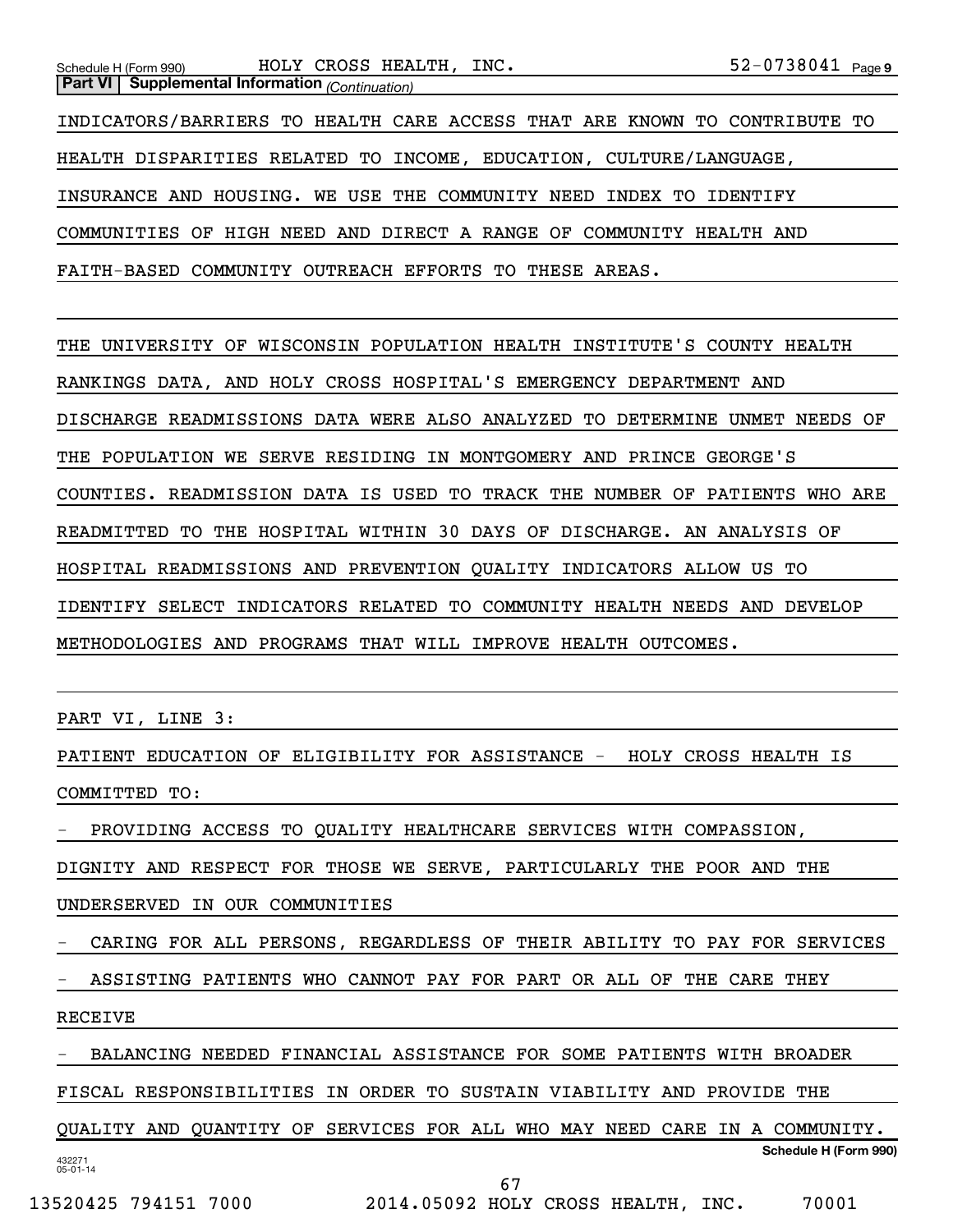| <b>Part VI   Supplemental Information (Continuation)</b>                  |  |
|---------------------------------------------------------------------------|--|
|                                                                           |  |
| INDICATORS/BARRIERS TO HEALTH CARE ACCESS THAT ARE KNOWN TO CONTRIBUTE TO |  |
|                                                                           |  |
| HEALTH DISPARITIES RELATED TO INCOME, EDUCATION, CULTURE/LANGUAGE,        |  |
|                                                                           |  |
| INSURANCE AND HOUSING. WE USE THE COMMUNITY NEED INDEX TO IDENTIFY        |  |
|                                                                           |  |
| COMMUNITIES OF HIGH NEED AND DIRECT A RANGE OF COMMUNITY HEALTH AND       |  |
|                                                                           |  |
| FAITH-BASED COMMUNITY OUTREACH EFFORTS TO THESE AREAS.                    |  |

THE UNIVERSITY OF WISCONSIN POPULATION HEALTH INSTITUTE'S COUNTY HEALTH RANKINGS DATA, AND HOLY CROSS HOSPITAL'S EMERGENCY DEPARTMENT AND DISCHARGE READMISSIONS DATA WERE ALSO ANALYZED TO DETERMINE UNMET NEEDS OF THE POPULATION WE SERVE RESIDING IN MONTGOMERY AND PRINCE GEORGE'S COUNTIES. READMISSION DATA IS USED TO TRACK THE NUMBER OF PATIENTS WHO ARE READMITTED TO THE HOSPITAL WITHIN 30 DAYS OF DISCHARGE. AN ANALYSIS OF HOSPITAL READMISSIONS AND PREVENTION QUALITY INDICATORS ALLOW US TO IDENTIFY SELECT INDICATORS RELATED TO COMMUNITY HEALTH NEEDS AND DEVELOP METHODOLOGIES AND PROGRAMS THAT WILL IMPROVE HEALTH OUTCOMES.

PART VI, LINE 3:

PATIENT EDUCATION OF ELIGIBILITY FOR ASSISTANCE - HOLY CROSS HEALTH IS COMMITTED TO:

PROVIDING ACCESS TO QUALITY HEALTHCARE SERVICES WITH COMPASSION, DIGNITY AND RESPECT FOR THOSE WE SERVE, PARTICULARLY THE POOR AND THE UNDERSERVED IN OUR COMMUNITIES

CARING FOR ALL PERSONS, REGARDLESS OF THEIR ABILITY TO PAY FOR SERVICES

ASSISTING PATIENTS WHO CANNOT PAY FOR PART OR ALL OF THE CARE THEY

RECEIVE

- BALANCING NEEDED FINANCIAL ASSISTANCE FOR SOME PATIENTS WITH BROADER

FISCAL RESPONSIBILITIES IN ORDER TO SUSTAIN VIABILITY AND PROVIDE THE

432271 05-01-14 **Schedule H (Form 990)** QUALITY AND QUANTITY OF SERVICES FOR ALL WHO MAY NEED CARE IN A COMMUNITY.

13520425 794151 7000 2014.05092 HOLY CROSS HEALTH, INC. 70001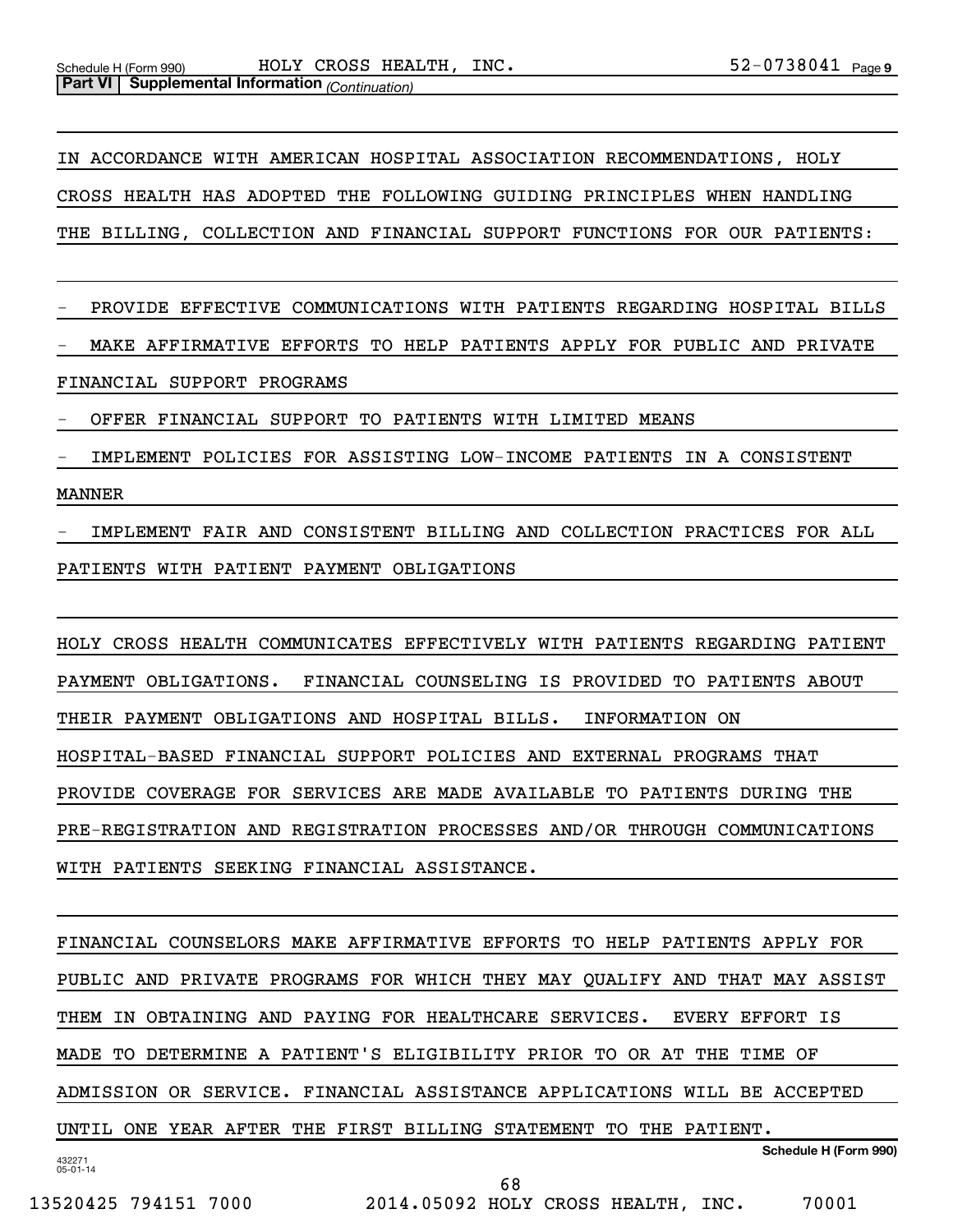IN ACCORDANCE WITH AMERICAN HOSPITAL ASSOCIATION RECOMMENDATIONS, HOLY CROSS HEALTH HAS ADOPTED THE FOLLOWING GUIDING PRINCIPLES WHEN HANDLING THE BILLING, COLLECTION AND FINANCIAL SUPPORT FUNCTIONS FOR OUR PATIENTS:

PROVIDE EFFECTIVE COMMUNICATIONS WITH PATIENTS REGARDING HOSPITAL BILLS - MAKE AFFIRMATIVE EFFORTS TO HELP PATIENTS APPLY FOR PUBLIC AND PRIVATE FINANCIAL SUPPORT PROGRAMS

- OFFER FINANCIAL SUPPORT TO PATIENTS WITH LIMITED MEANS

- IMPLEMENT POLICIES FOR ASSISTING LOW-INCOME PATIENTS IN A CONSISTENT MANNER

# - IMPLEMENT FAIR AND CONSISTENT BILLING AND COLLECTION PRACTICES FOR ALL PATIENTS WITH PATIENT PAYMENT OBLIGATIONS

HOLY CROSS HEALTH COMMUNICATES EFFECTIVELY WITH PATIENTS REGARDING PATIENT PAYMENT OBLIGATIONS. FINANCIAL COUNSELING IS PROVIDED TO PATIENTS ABOUT THEIR PAYMENT OBLIGATIONS AND HOSPITAL BILLS. INFORMATION ON HOSPITAL-BASED FINANCIAL SUPPORT POLICIES AND EXTERNAL PROGRAMS THAT PROVIDE COVERAGE FOR SERVICES ARE MADE AVAILABLE TO PATIENTS DURING THE PRE-REGISTRATION AND REGISTRATION PROCESSES AND/OR THROUGH COMMUNICATIONS WITH PATIENTS SEEKING FINANCIAL ASSISTANCE.

432271 05-01-14 **Schedule H (Form 990)** FINANCIAL COUNSELORS MAKE AFFIRMATIVE EFFORTS TO HELP PATIENTS APPLY FOR PUBLIC AND PRIVATE PROGRAMS FOR WHICH THEY MAY QUALIFY AND THAT MAY ASSIST THEM IN OBTAINING AND PAYING FOR HEALTHCARE SERVICES. EVERY EFFORT IS MADE TO DETERMINE A PATIENT'S ELIGIBILITY PRIOR TO OR AT THE TIME OF ADMISSION OR SERVICE. FINANCIAL ASSISTANCE APPLICATIONS WILL BE ACCEPTED UNTIL ONE YEAR AFTER THE FIRST BILLING STATEMENT TO THE PATIENT.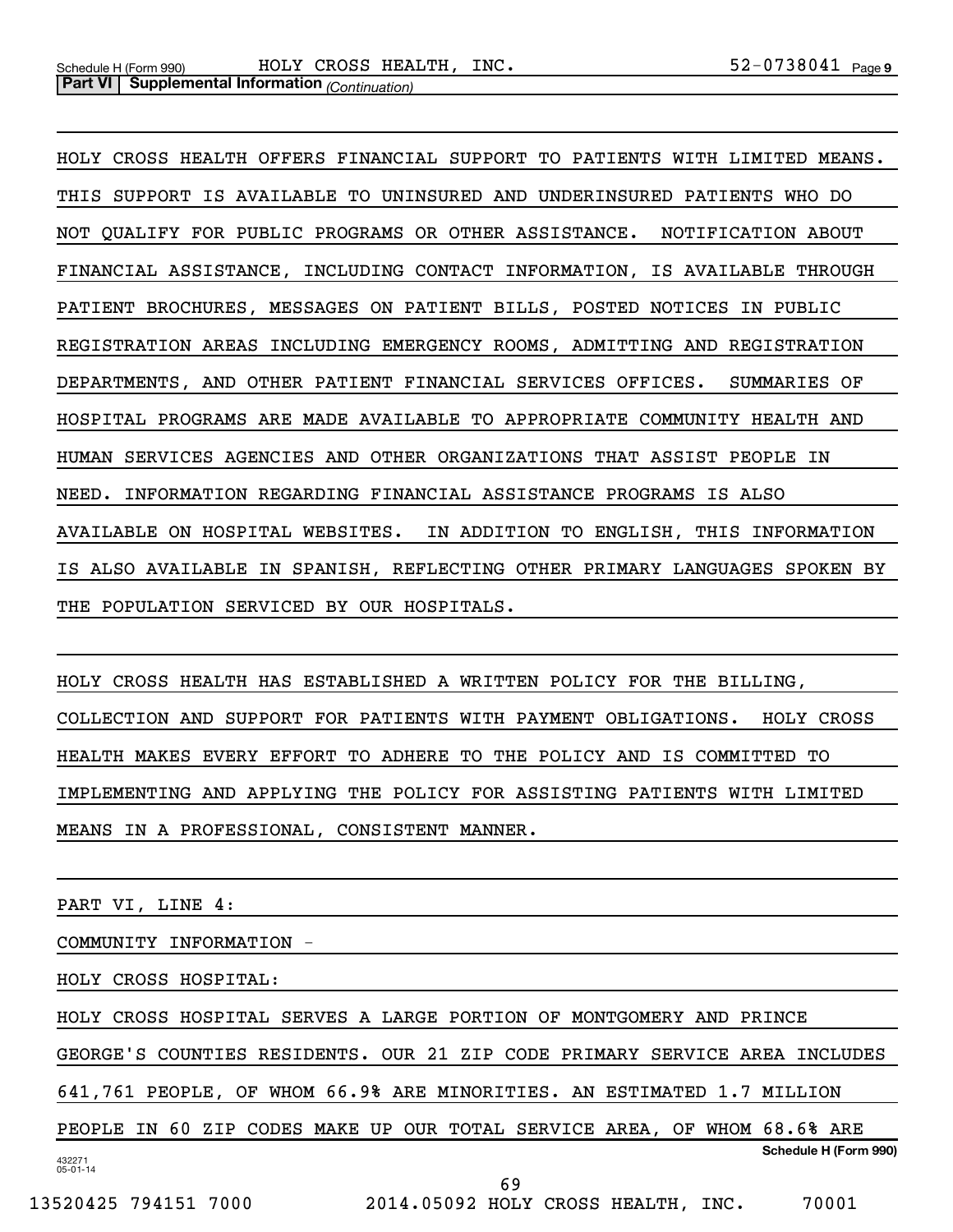HOLY CROSS HEALTH OFFERS FINANCIAL SUPPORT TO PATIENTS WITH LIMITED MEANS. THIS SUPPORT IS AVAILABLE TO UNINSURED AND UNDERINSURED PATIENTS WHO DO NOT QUALIFY FOR PUBLIC PROGRAMS OR OTHER ASSISTANCE. NOTIFICATION ABOUT FINANCIAL ASSISTANCE, INCLUDING CONTACT INFORMATION, IS AVAILABLE THROUGH PATIENT BROCHURES, MESSAGES ON PATIENT BILLS, POSTED NOTICES IN PUBLIC REGISTRATION AREAS INCLUDING EMERGENCY ROOMS, ADMITTING AND REGISTRATION DEPARTMENTS, AND OTHER PATIENT FINANCIAL SERVICES OFFICES. SUMMARIES OF HOSPITAL PROGRAMS ARE MADE AVAILABLE TO APPROPRIATE COMMUNITY HEALTH AND HUMAN SERVICES AGENCIES AND OTHER ORGANIZATIONS THAT ASSIST PEOPLE IN NEED. INFORMATION REGARDING FINANCIAL ASSISTANCE PROGRAMS IS ALSO AVAILABLE ON HOSPITAL WEBSITES. IN ADDITION TO ENGLISH, THIS INFORMATION IS ALSO AVAILABLE IN SPANISH, REFLECTING OTHER PRIMARY LANGUAGES SPOKEN BY THE POPULATION SERVICED BY OUR HOSPITALS.

HOLY CROSS HEALTH HAS ESTABLISHED A WRITTEN POLICY FOR THE BILLING, COLLECTION AND SUPPORT FOR PATIENTS WITH PAYMENT OBLIGATIONS. HOLY CROSS HEALTH MAKES EVERY EFFORT TO ADHERE TO THE POLICY AND IS COMMITTED TO IMPLEMENTING AND APPLYING THE POLICY FOR ASSISTING PATIENTS WITH LIMITED MEANS IN A PROFESSIONAL, CONSISTENT MANNER.

PART VI, LINE 4:

COMMUNITY INFORMATION -

HOLY CROSS HOSPITAL:

HOLY CROSS HOSPITAL SERVES A LARGE PORTION OF MONTGOMERY AND PRINCE

GEORGE'S COUNTIES RESIDENTS. OUR 21 ZIP CODE PRIMARY SERVICE AREA INCLUDES

641,761 PEOPLE, OF WHOM 66.9% ARE MINORITIES. AN ESTIMATED 1.7 MILLION

432271 05-01-14 **Schedule H (Form 990)** PEOPLE IN 60 ZIP CODES MAKE UP OUR TOTAL SERVICE AREA, OF WHOM 68.6% ARE

13520425 794151 7000 2014.05092 HOLY CROSS HEALTH, INC. 70001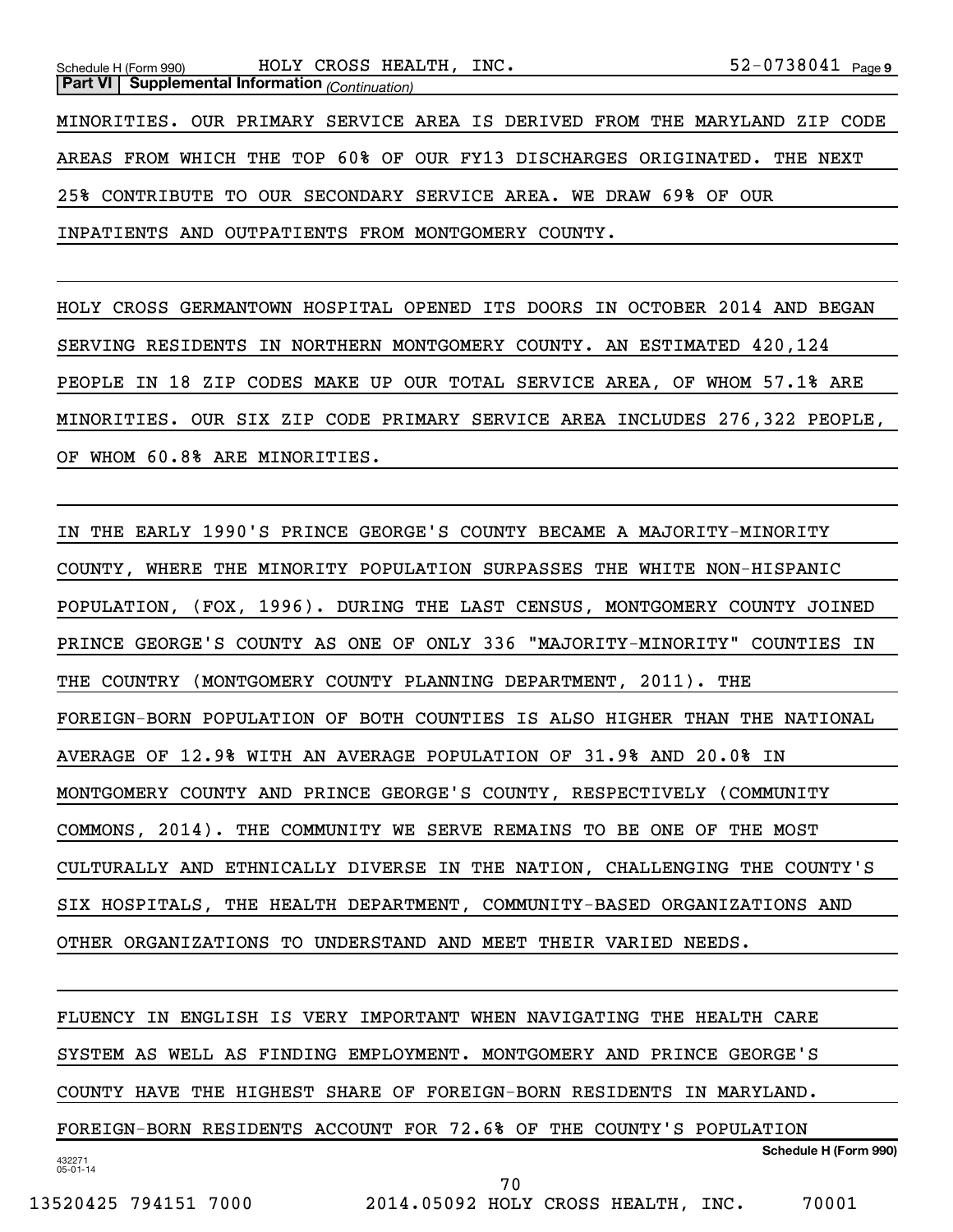HOLY CROSS GERMANTOWN HOSPITAL OPENED ITS DOORS IN OCTOBER 2014 AND BEGAN SERVING RESIDENTS IN NORTHERN MONTGOMERY COUNTY. AN ESTIMATED 420,124 PEOPLE IN 18 ZIP CODES MAKE UP OUR TOTAL SERVICE AREA, OF WHOM 57.1% ARE MINORITIES. OUR SIX ZIP CODE PRIMARY SERVICE AREA INCLUDES 276,322 PEOPLE, OF WHOM 60.8% ARE MINORITIES.

IN THE EARLY 1990'S PRINCE GEORGE'S COUNTY BECAME A MAJORITY-MINORITY COUNTY, WHERE THE MINORITY POPULATION SURPASSES THE WHITE NON-HISPANIC POPULATION, (FOX, 1996). DURING THE LAST CENSUS, MONTGOMERY COUNTY JOINED PRINCE GEORGE'S COUNTY AS ONE OF ONLY 336 "MAJORITY-MINORITY" COUNTIES IN THE COUNTRY (MONTGOMERY COUNTY PLANNING DEPARTMENT, 2011). THE FOREIGN-BORN POPULATION OF BOTH COUNTIES IS ALSO HIGHER THAN THE NATIONAL AVERAGE OF 12.9% WITH AN AVERAGE POPULATION OF 31.9% AND 20.0% IN MONTGOMERY COUNTY AND PRINCE GEORGE'S COUNTY, RESPECTIVELY (COMMUNITY COMMONS, 2014). THE COMMUNITY WE SERVE REMAINS TO BE ONE OF THE MOST CULTURALLY AND ETHNICALLY DIVERSE IN THE NATION, CHALLENGING THE COUNTY'S SIX HOSPITALS, THE HEALTH DEPARTMENT, COMMUNITY-BASED ORGANIZATIONS AND OTHER ORGANIZATIONS TO UNDERSTAND AND MEET THEIR VARIED NEEDS.

432271 05-01-14 **Schedule H (Form 990)** FLUENCY IN ENGLISH IS VERY IMPORTANT WHEN NAVIGATING THE HEALTH CARE SYSTEM AS WELL AS FINDING EMPLOYMENT. MONTGOMERY AND PRINCE GEORGE'S COUNTY HAVE THE HIGHEST SHARE OF FOREIGN-BORN RESIDENTS IN MARYLAND. FOREIGN-BORN RESIDENTS ACCOUNT FOR 72.6% OF THE COUNTY'S POPULATION 70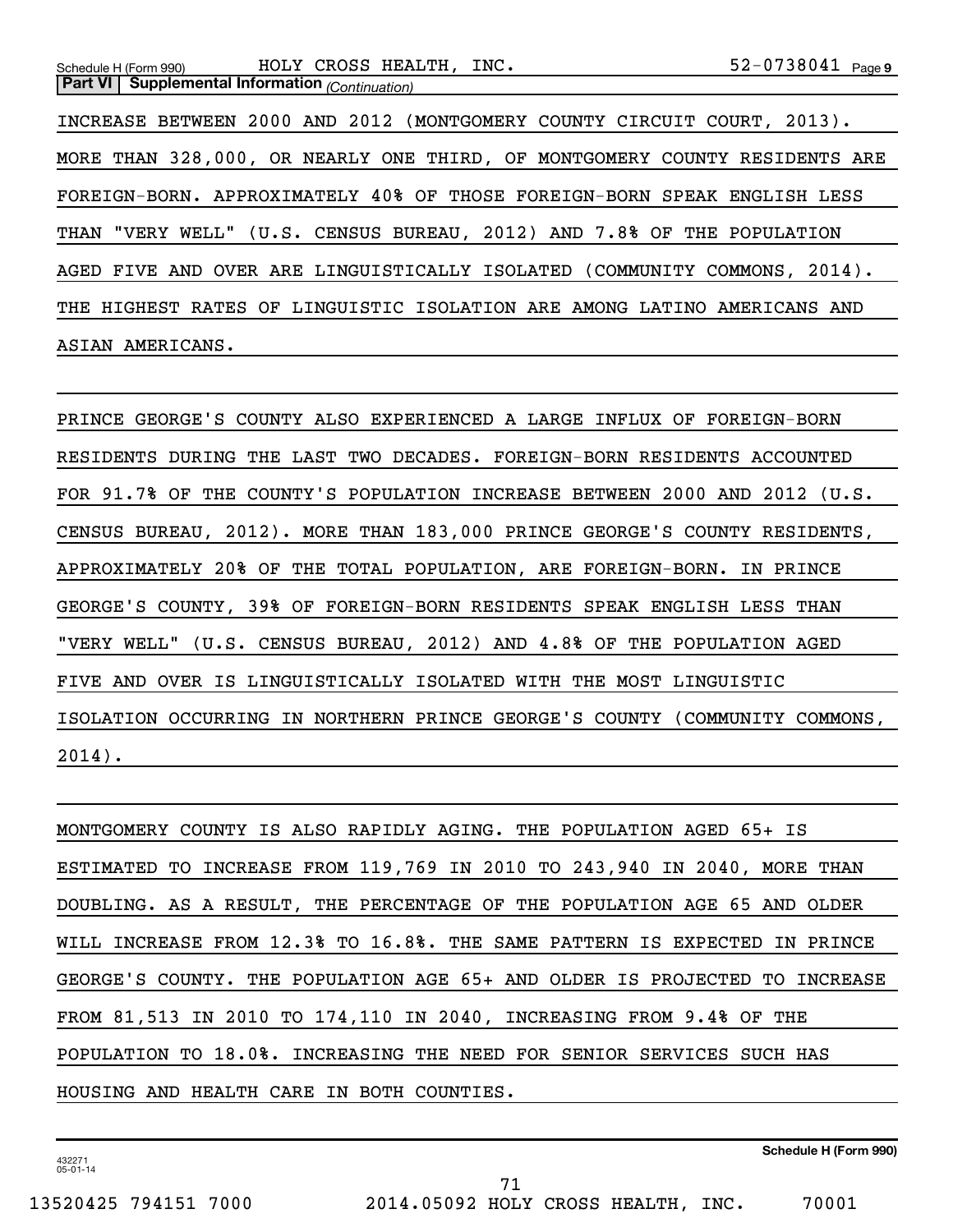INCREASE BETWEEN 2000 AND 2012 (MONTGOMERY COUNTY CIRCUIT COURT, 2013). MORE THAN 328,000, OR NEARLY ONE THIRD, OF MONTGOMERY COUNTY RESIDENTS ARE FOREIGN-BORN. APPROXIMATELY 40% OF THOSE FOREIGN-BORN SPEAK ENGLISH LESS THAN "VERY WELL" (U.S. CENSUS BUREAU, 2012) AND 7.8% OF THE POPULATION AGED FIVE AND OVER ARE LINGUISTICALLY ISOLATED (COMMUNITY COMMONS, 2014). THE HIGHEST RATES OF LINGUISTIC ISOLATION ARE AMONG LATINO AMERICANS AND ASIAN AMERICANS.

PRINCE GEORGE'S COUNTY ALSO EXPERIENCED A LARGE INFLUX OF FOREIGN-BORN RESIDENTS DURING THE LAST TWO DECADES. FOREIGN-BORN RESIDENTS ACCOUNTED FOR 91.7% OF THE COUNTY'S POPULATION INCREASE BETWEEN 2000 AND 2012 (U.S. CENSUS BUREAU, 2012). MORE THAN 183,000 PRINCE GEORGE'S COUNTY RESIDENTS, APPROXIMATELY 20% OF THE TOTAL POPULATION, ARE FOREIGN-BORN. IN PRINCE GEORGE'S COUNTY, 39% OF FOREIGN-BORN RESIDENTS SPEAK ENGLISH LESS THAN "VERY WELL" (U.S. CENSUS BUREAU, 2012) AND 4.8% OF THE POPULATION AGED FIVE AND OVER IS LINGUISTICALLY ISOLATED WITH THE MOST LINGUISTIC ISOLATION OCCURRING IN NORTHERN PRINCE GEORGE'S COUNTY (COMMUNITY COMMONS, 2014).

MONTGOMERY COUNTY IS ALSO RAPIDLY AGING. THE POPULATION AGED 65+ IS ESTIMATED TO INCREASE FROM 119,769 IN 2010 TO 243,940 IN 2040, MORE THAN DOUBLING. AS A RESULT, THE PERCENTAGE OF THE POPULATION AGE 65 AND OLDER WILL INCREASE FROM 12.3% TO 16.8%. THE SAME PATTERN IS EXPECTED IN PRINCE GEORGE'S COUNTY. THE POPULATION AGE 65+ AND OLDER IS PROJECTED TO INCREASE FROM 81,513 IN 2010 TO 174,110 IN 2040, INCREASING FROM 9.4% OF THE POPULATION TO 18.0%. INCREASING THE NEED FOR SENIOR SERVICES SUCH HAS HOUSING AND HEALTH CARE IN BOTH COUNTIES.

**Schedule H (Form 990)**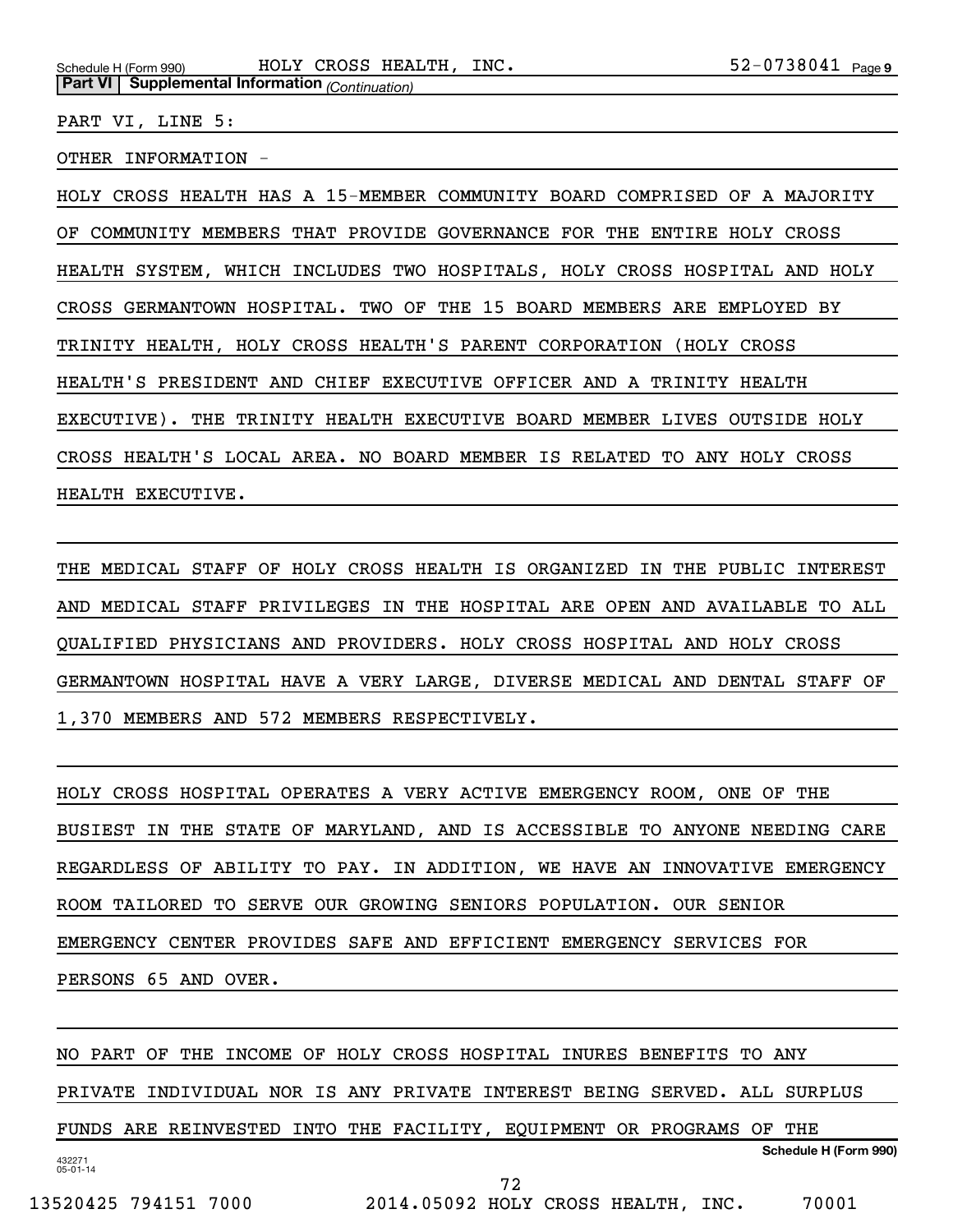PART VI, LINE 5:

OTHER INFORMATION -

HOLY CROSS HEALTH HAS A 15-MEMBER COMMUNITY BOARD COMPRISED OF A MAJORITY OF COMMUNITY MEMBERS THAT PROVIDE GOVERNANCE FOR THE ENTIRE HOLY CROSS HEALTH SYSTEM, WHICH INCLUDES TWO HOSPITALS, HOLY CROSS HOSPITAL AND HOLY CROSS GERMANTOWN HOSPITAL. TWO OF THE 15 BOARD MEMBERS ARE EMPLOYED BY TRINITY HEALTH, HOLY CROSS HEALTH'S PARENT CORPORATION (HOLY CROSS HEALTH'S PRESIDENT AND CHIEF EXECUTIVE OFFICER AND A TRINITY HEALTH EXECUTIVE). THE TRINITY HEALTH EXECUTIVE BOARD MEMBER LIVES OUTSIDE HOLY CROSS HEALTH'S LOCAL AREA. NO BOARD MEMBER IS RELATED TO ANY HOLY CROSS HEALTH EXECUTIVE.

THE MEDICAL STAFF OF HOLY CROSS HEALTH IS ORGANIZED IN THE PUBLIC INTEREST AND MEDICAL STAFF PRIVILEGES IN THE HOSPITAL ARE OPEN AND AVAILABLE TO ALL QUALIFIED PHYSICIANS AND PROVIDERS. HOLY CROSS HOSPITAL AND HOLY CROSS GERMANTOWN HOSPITAL HAVE A VERY LARGE, DIVERSE MEDICAL AND DENTAL STAFF OF 1,370 MEMBERS AND 572 MEMBERS RESPECTIVELY.

HOLY CROSS HOSPITAL OPERATES A VERY ACTIVE EMERGENCY ROOM, ONE OF THE BUSIEST IN THE STATE OF MARYLAND, AND IS ACCESSIBLE TO ANYONE NEEDING CARE REGARDLESS OF ABILITY TO PAY. IN ADDITION, WE HAVE AN INNOVATIVE EMERGENCY ROOM TAILORED TO SERVE OUR GROWING SENIORS POPULATION. OUR SENIOR EMERGENCY CENTER PROVIDES SAFE AND EFFICIENT EMERGENCY SERVICES FOR PERSONS 65 AND OVER.

432271 05-01-14 **Schedule H (Form 990)** NO PART OF THE INCOME OF HOLY CROSS HOSPITAL INURES BENEFITS TO ANY PRIVATE INDIVIDUAL NOR IS ANY PRIVATE INTEREST BEING SERVED. ALL SURPLUS FUNDS ARE REINVESTED INTO THE FACILITY, EQUIPMENT OR PROGRAMS OF THE 72

13520425 794151 7000 2014.05092 HOLY CROSS HEALTH, INC. 70001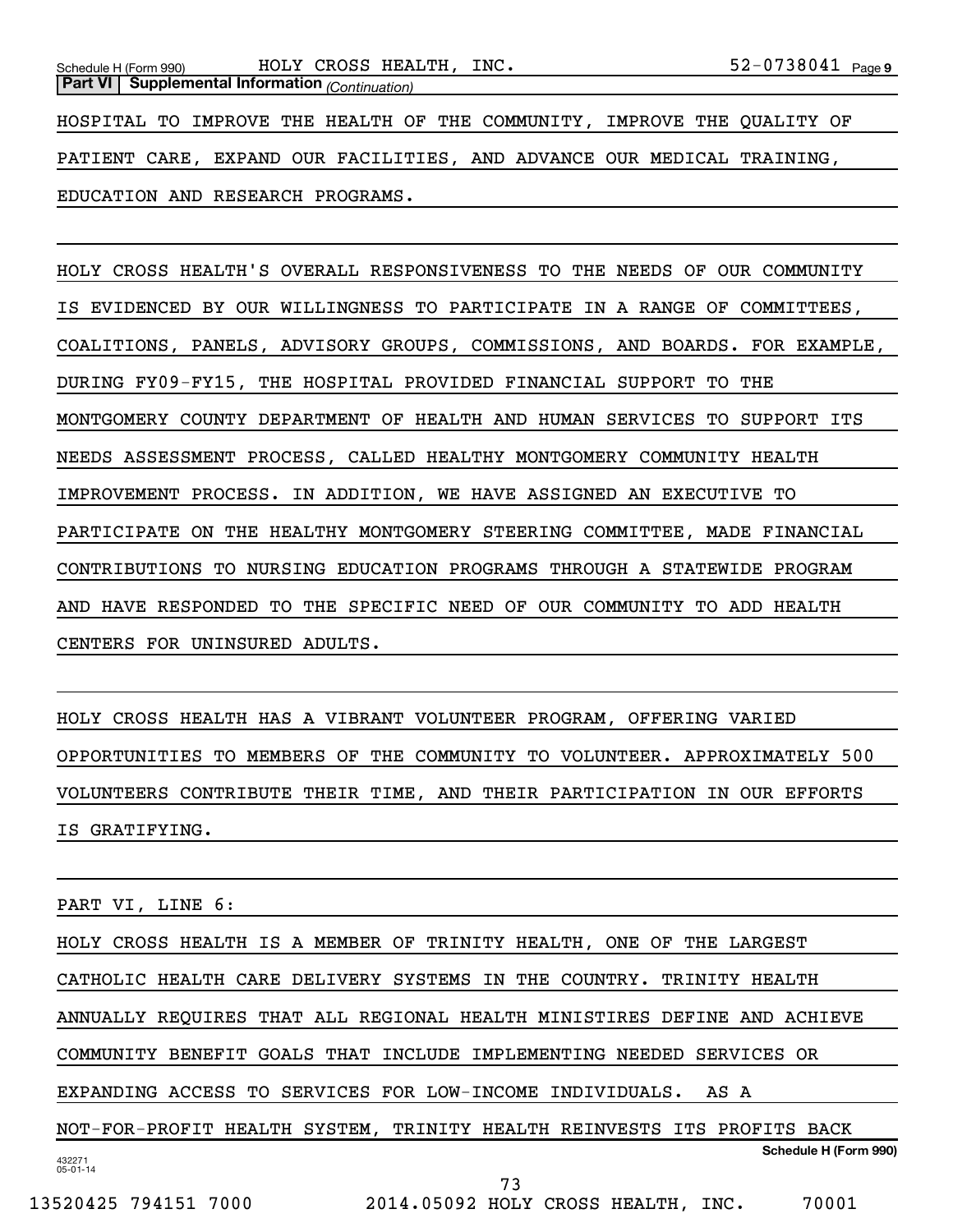HOLY CROSS HEALTH'S OVERALL RESPONSIVENESS TO THE NEEDS OF OUR COMMUNITY IS EVIDENCED BY OUR WILLINGNESS TO PARTICIPATE IN A RANGE OF COMMITTEES, COALITIONS, PANELS, ADVISORY GROUPS, COMMISSIONS, AND BOARDS. FOR EXAMPLE, DURING FY09-FY15, THE HOSPITAL PROVIDED FINANCIAL SUPPORT TO THE MONTGOMERY COUNTY DEPARTMENT OF HEALTH AND HUMAN SERVICES TO SUPPORT ITS NEEDS ASSESSMENT PROCESS, CALLED HEALTHY MONTGOMERY COMMUNITY HEALTH IMPROVEMENT PROCESS. IN ADDITION, WE HAVE ASSIGNED AN EXECUTIVE TO PARTICIPATE ON THE HEALTHY MONTGOMERY STEERING COMMITTEE, MADE FINANCIAL CONTRIBUTIONS TO NURSING EDUCATION PROGRAMS THROUGH A STATEWIDE PROGRAM AND HAVE RESPONDED TO THE SPECIFIC NEED OF OUR COMMUNITY TO ADD HEALTH CENTERS FOR UNINSURED ADULTS.

HOLY CROSS HEALTH HAS A VIBRANT VOLUNTEER PROGRAM, OFFERING VARIED OPPORTUNITIES TO MEMBERS OF THE COMMUNITY TO VOLUNTEER. APPROXIMATELY 500 VOLUNTEERS CONTRIBUTE THEIR TIME, AND THEIR PARTICIPATION IN OUR EFFORTS IS GRATIFYING.

PART VI, LINE 6:

432271 05-01-14 **Schedule H (Form 990)** HOLY CROSS HEALTH IS A MEMBER OF TRINITY HEALTH, ONE OF THE LARGEST CATHOLIC HEALTH CARE DELIVERY SYSTEMS IN THE COUNTRY. TRINITY HEALTH ANNUALLY REQUIRES THAT ALL REGIONAL HEALTH MINISTIRES DEFINE AND ACHIEVE COMMUNITY BENEFIT GOALS THAT INCLUDE IMPLEMENTING NEEDED SERVICES OR EXPANDING ACCESS TO SERVICES FOR LOW-INCOME INDIVIDUALS. AS A NOT-FOR-PROFIT HEALTH SYSTEM, TRINITY HEALTH REINVESTS ITS PROFITS BACK

73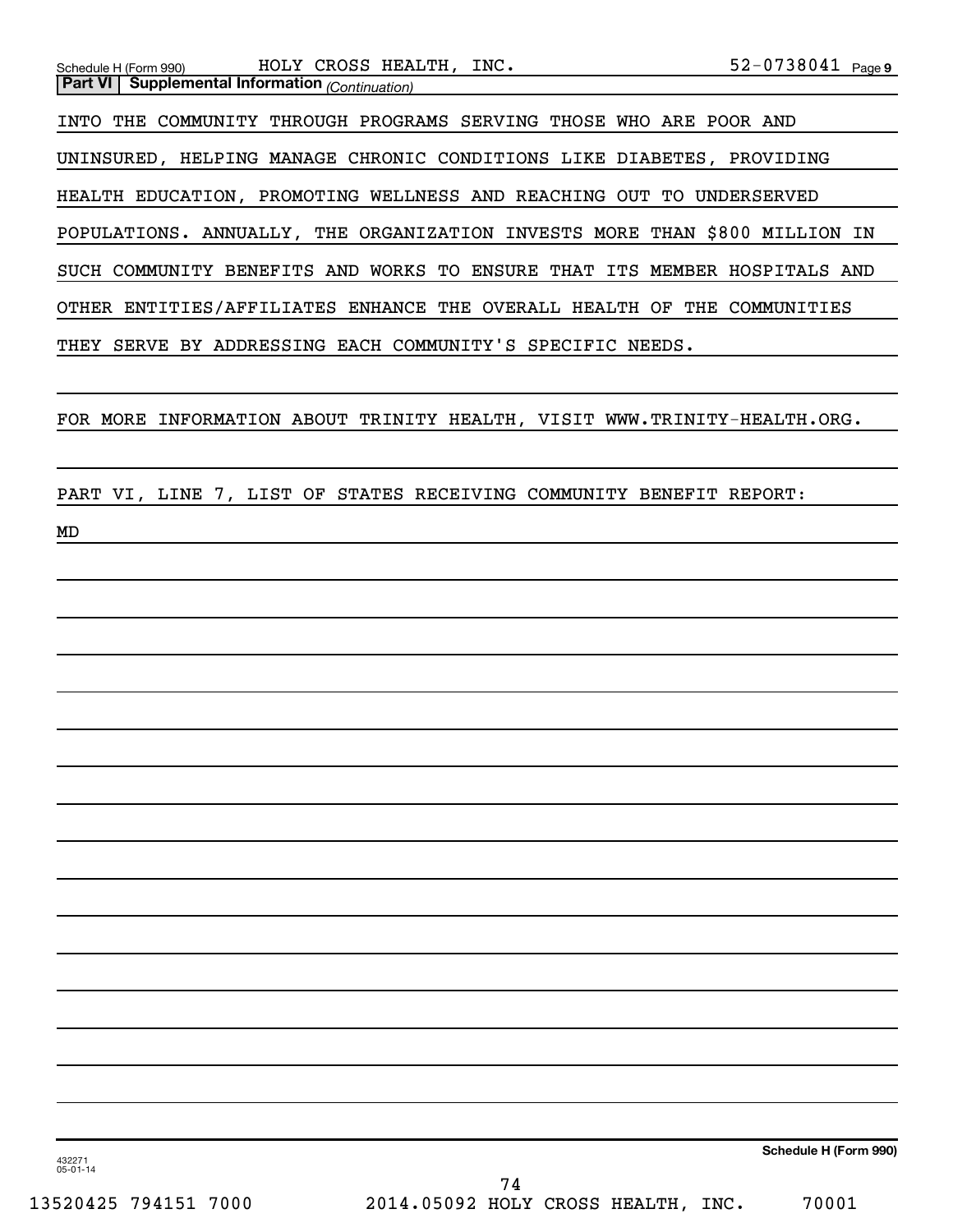| 52-0738041 Page 9<br>Schedule H (Form 990) HOLY CROSS HEALTH, INC.         |  |
|----------------------------------------------------------------------------|--|
| <b>Part VI</b>   Supplemental Information (Continuation)                   |  |
| INTO THE COMMUNITY THROUGH PROGRAMS SERVING THOSE WHO ARE POOR AND         |  |
| UNINSURED, HELPING MANAGE CHRONIC CONDITIONS LIKE DIABETES, PROVIDING      |  |
| HEALTH EDUCATION, PROMOTING WELLNESS AND REACHING OUT TO<br>UNDERSERVED    |  |
| POPULATIONS. ANNUALLY, THE ORGANIZATION INVESTS MORE THAN \$800 MILLION IN |  |
| SUCH COMMUNITY BENEFITS AND WORKS TO ENSURE THAT ITS MEMBER HOSPITALS AND  |  |
| OTHER ENTITIES/AFFILIATES ENHANCE THE OVERALL HEALTH OF THE COMMUNITIES    |  |
| THEY SERVE BY ADDRESSING EACH COMMUNITY'S SPECIFIC NEEDS.                  |  |

FOR MORE INFORMATION ABOUT TRINITY HEALTH, VISIT WWW.TRINITY-HEALTH.ORG.

PART VI, LINE 7, LIST OF STATES RECEIVING COMMUNITY BENEFIT REPORT:

MD

**Schedule H (Form 990)**

432271 05-01-14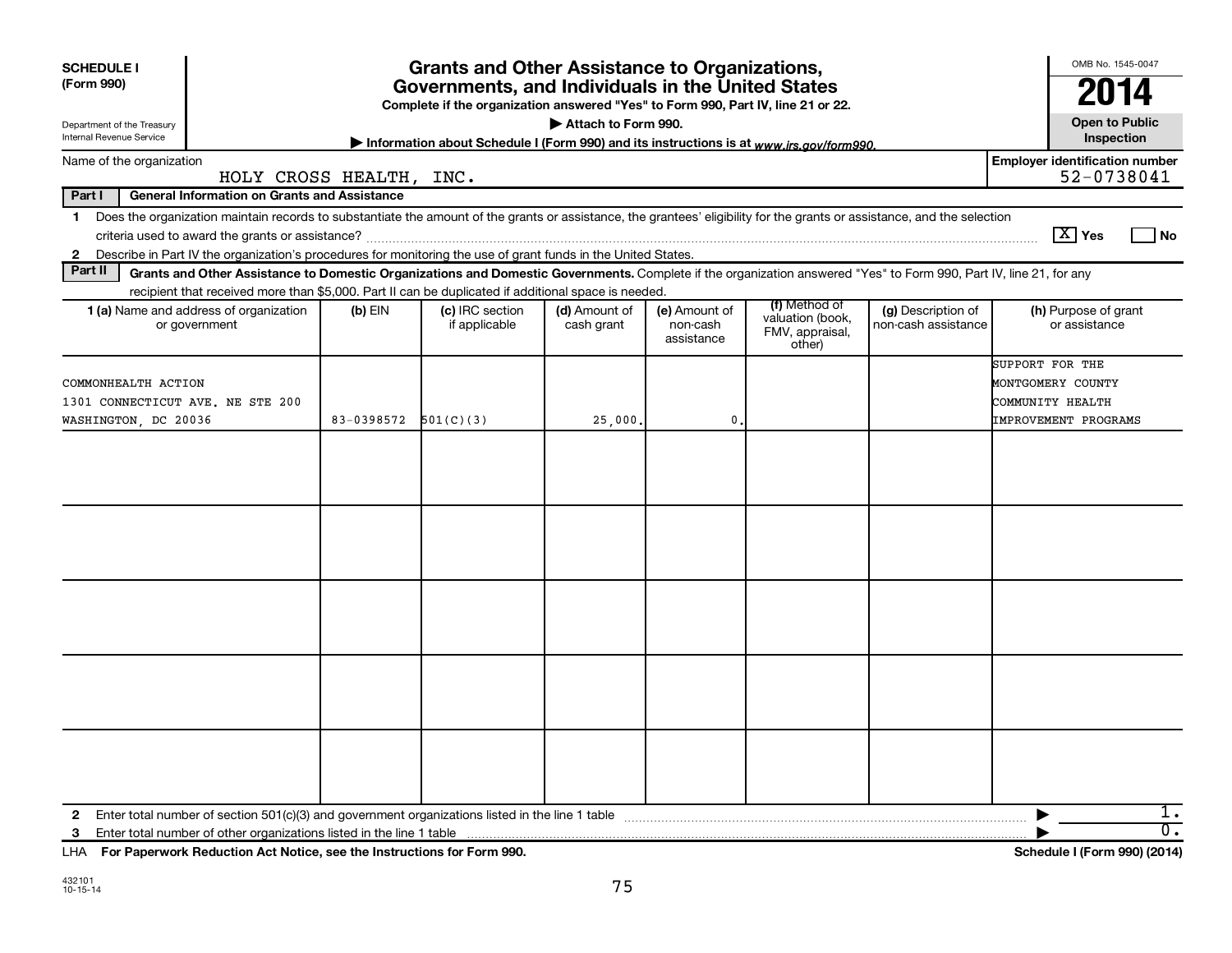| <b>SCHEDULE I</b><br>(Form 990)<br>Department of the Treasury<br>Internal Revenue Service | <b>Grants and Other Assistance to Organizations,</b><br>Governments, and Individuals in the United States<br>Complete if the organization answered "Yes" to Form 990, Part IV, line 21 or 22.<br>Attach to Form 990.<br>Information about Schedule I (Form 990) and its instructions is at www.irs.gov/form990. |            |                                  |                             |                                         |                                                                |                                           |                                                                                  |  |  |  |  |
|-------------------------------------------------------------------------------------------|-----------------------------------------------------------------------------------------------------------------------------------------------------------------------------------------------------------------------------------------------------------------------------------------------------------------|------------|----------------------------------|-----------------------------|-----------------------------------------|----------------------------------------------------------------|-------------------------------------------|----------------------------------------------------------------------------------|--|--|--|--|
| Name of the organization                                                                  |                                                                                                                                                                                                                                                                                                                 |            |                                  |                             |                                         |                                                                |                                           | Inspection<br><b>Employer identification number</b>                              |  |  |  |  |
|                                                                                           | HOLY CROSS HEALTH, INC.                                                                                                                                                                                                                                                                                         |            |                                  |                             |                                         |                                                                |                                           | 52-0738041                                                                       |  |  |  |  |
| Part I                                                                                    | <b>General Information on Grants and Assistance</b>                                                                                                                                                                                                                                                             |            |                                  |                             |                                         |                                                                |                                           |                                                                                  |  |  |  |  |
| $\mathbf 1$                                                                               | Does the organization maintain records to substantiate the amount of the grants or assistance, the grantees' eligibility for the grants or assistance, and the selection                                                                                                                                        |            |                                  |                             |                                         |                                                                |                                           |                                                                                  |  |  |  |  |
|                                                                                           |                                                                                                                                                                                                                                                                                                                 |            |                                  |                             |                                         |                                                                |                                           | $\boxed{\text{X}}$ Yes<br>l No                                                   |  |  |  |  |
| $\mathbf{2}$<br>Part II                                                                   | Describe in Part IV the organization's procedures for monitoring the use of grant funds in the United States.<br>Grants and Other Assistance to Domestic Organizations and Domestic Governments. Complete if the organization answered "Yes" to Form 990, Part IV, line 21, for any                             |            |                                  |                             |                                         |                                                                |                                           |                                                                                  |  |  |  |  |
|                                                                                           | recipient that received more than \$5,000. Part II can be duplicated if additional space is needed.                                                                                                                                                                                                             |            |                                  |                             |                                         |                                                                |                                           |                                                                                  |  |  |  |  |
|                                                                                           | <b>1 (a)</b> Name and address of organization<br>or government                                                                                                                                                                                                                                                  | $(b)$ EIN  | (c) IRC section<br>if applicable | (d) Amount of<br>cash grant | (e) Amount of<br>non-cash<br>assistance | (f) Method of<br>valuation (book,<br>FMV, appraisal,<br>other) | (g) Description of<br>non-cash assistance | (h) Purpose of grant<br>or assistance                                            |  |  |  |  |
| COMMONHEALTH ACTION<br>1301 CONNECTICUT AVE. NE STE 200<br>WASHINGTON, DC 20036           |                                                                                                                                                                                                                                                                                                                 | 83-0398572 | 501(C)(3)                        | 25,000                      | $\mathbf{0}$                            |                                                                |                                           | SUPPORT FOR THE<br>MONTGOMERY COUNTY<br>COMMUNITY HEALTH<br>IMPROVEMENT PROGRAMS |  |  |  |  |
|                                                                                           |                                                                                                                                                                                                                                                                                                                 |            |                                  |                             |                                         |                                                                |                                           |                                                                                  |  |  |  |  |
|                                                                                           |                                                                                                                                                                                                                                                                                                                 |            |                                  |                             |                                         |                                                                |                                           |                                                                                  |  |  |  |  |
|                                                                                           |                                                                                                                                                                                                                                                                                                                 |            |                                  |                             |                                         |                                                                |                                           |                                                                                  |  |  |  |  |
|                                                                                           |                                                                                                                                                                                                                                                                                                                 |            |                                  |                             |                                         |                                                                |                                           |                                                                                  |  |  |  |  |
|                                                                                           |                                                                                                                                                                                                                                                                                                                 |            |                                  |                             |                                         |                                                                |                                           |                                                                                  |  |  |  |  |
| $\mathbf{2}$                                                                              | Enter total number of section $501(c)(3)$ and government organizations listed in the line 1 table                                                                                                                                                                                                               |            |                                  |                             |                                         |                                                                |                                           | 1.                                                                               |  |  |  |  |
| 3                                                                                         |                                                                                                                                                                                                                                                                                                                 |            |                                  |                             |                                         |                                                                |                                           | 0.                                                                               |  |  |  |  |
|                                                                                           | LHA For Paperwork Reduction Act Notice, see the Instructions for Form 990.                                                                                                                                                                                                                                      |            |                                  |                             |                                         |                                                                |                                           | Schedule I (Form 990) (2014)                                                     |  |  |  |  |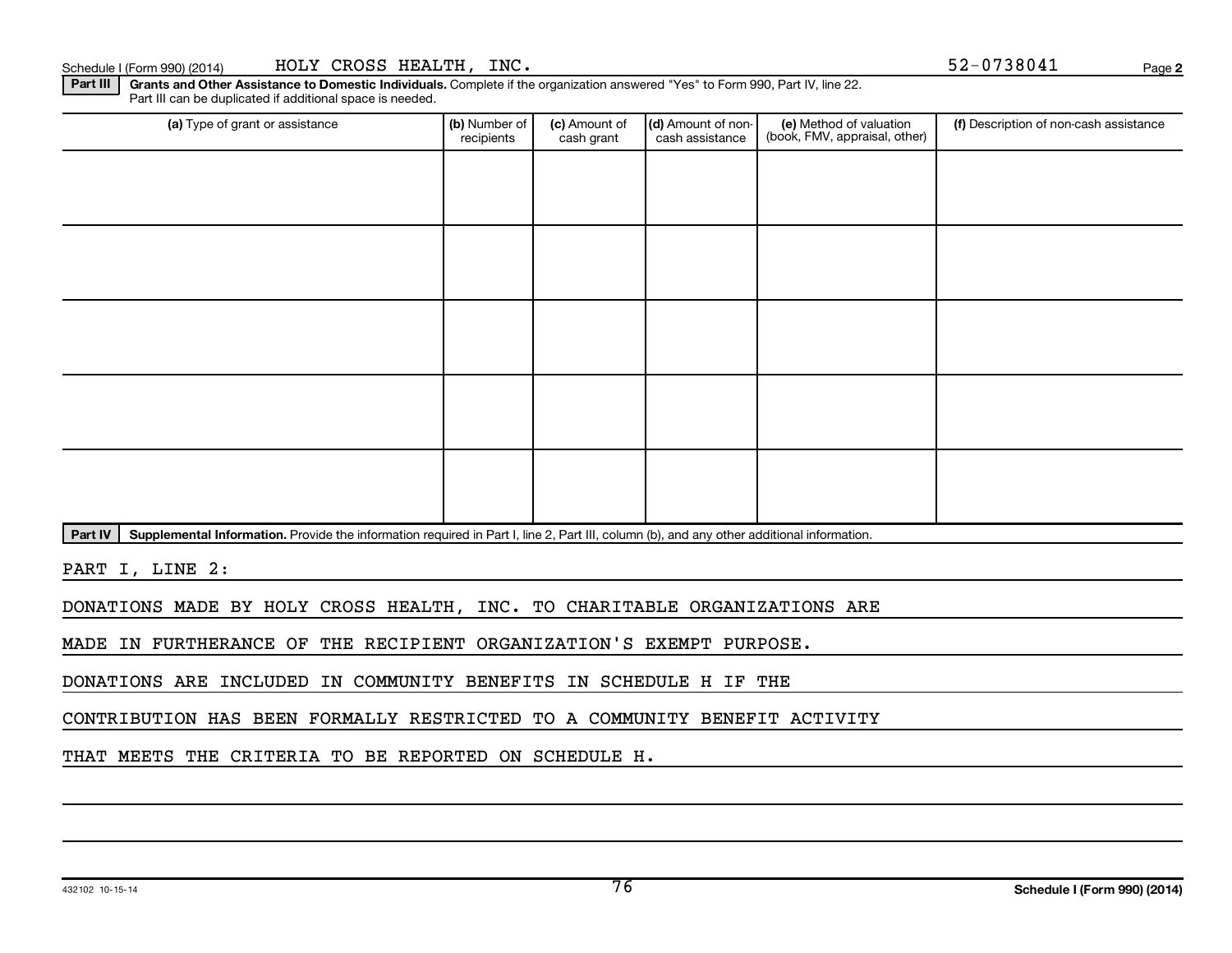432102 10-15-14

Schedule I (Form 990) (2014)  $\qquad \qquad$  HOLY CROSS HEALTH, INC.

Part III | Grants and Other Assistance to Domestic Individuals. Complete if the organization answered "Yes" to Form 990, Part IV, line 22. Part III can be duplicated if additional space is needed.

| (a) Type of grant or assistance | (b) Number of<br>recipients | (c) Amount of<br>cash grant | (d) Amount of non-<br>cash assistance | (e) Method of valuation<br>(book, FMV, appraisal, other) | (f) Description of non-cash assistance |
|---------------------------------|-----------------------------|-----------------------------|---------------------------------------|----------------------------------------------------------|----------------------------------------|
|                                 |                             |                             |                                       |                                                          |                                        |
|                                 |                             |                             |                                       |                                                          |                                        |
|                                 |                             |                             |                                       |                                                          |                                        |
|                                 |                             |                             |                                       |                                                          |                                        |
|                                 |                             |                             |                                       |                                                          |                                        |
|                                 |                             |                             |                                       |                                                          |                                        |
|                                 |                             |                             |                                       |                                                          |                                        |
|                                 |                             |                             |                                       |                                                          |                                        |
|                                 |                             |                             |                                       |                                                          |                                        |
|                                 |                             |                             |                                       |                                                          |                                        |

Part IV | Supplemental Information. Provide the information required in Part I, line 2, Part III, column (b), and any other additional information.

PART I, LINE 2:

DONATIONS MADE BY HOLY CROSS HEALTH, INC. TO CHARITABLE ORGANIZATIONS ARE

MADE IN FURTHERANCE OF THE RECIPIENT ORGANIZATION'S EXEMPT PURPOSE.

DONATIONS ARE INCLUDED IN COMMUNITY BENEFITS IN SCHEDULE H IF THE

CONTRIBUTION HAS BEEN FORMALLY RESTRICTED TO A COMMUNITY BENEFIT ACTIVITY

THAT MEETS THE CRITERIA TO BE REPORTED ON SCHEDULE H.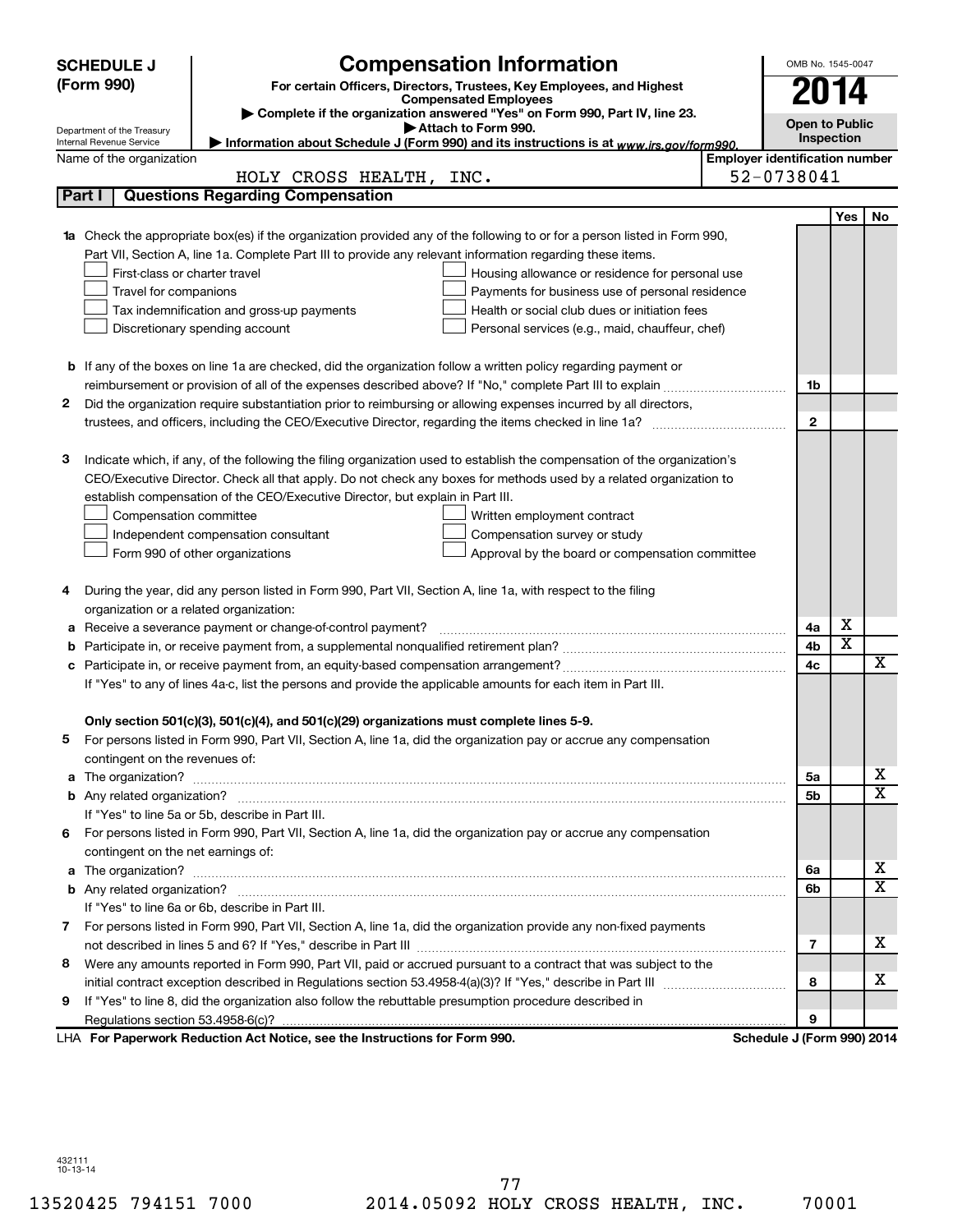|    | <b>SCHEDULE J</b>                                                                                                   | <b>Compensation Information</b>                                                                                           |                            | OMB No. 1545-0047 |                                       |                         |  |  |  |  |
|----|---------------------------------------------------------------------------------------------------------------------|---------------------------------------------------------------------------------------------------------------------------|----------------------------|-------------------|---------------------------------------|-------------------------|--|--|--|--|
|    | (Form 990)                                                                                                          | For certain Officers, Directors, Trustees, Key Employees, and Highest                                                     |                            | 2014              |                                       |                         |  |  |  |  |
|    |                                                                                                                     | <b>Compensated Employees</b><br>Complete if the organization answered "Yes" on Form 990, Part IV, line 23.                |                            |                   |                                       |                         |  |  |  |  |
|    | Attach to Form 990.<br>Department of the Treasury                                                                   |                                                                                                                           |                            |                   |                                       |                         |  |  |  |  |
|    | Information about Schedule J (Form 990) and its instructions is at www.irs.gov/form990.<br>Internal Revenue Service |                                                                                                                           |                            |                   |                                       |                         |  |  |  |  |
|    | Name of the organization                                                                                            |                                                                                                                           |                            |                   | <b>Employer identification number</b> |                         |  |  |  |  |
|    |                                                                                                                     | HOLY CROSS HEALTH, INC.                                                                                                   | 52-0738041                 |                   |                                       |                         |  |  |  |  |
|    | Part I                                                                                                              | <b>Questions Regarding Compensation</b>                                                                                   |                            |                   |                                       |                         |  |  |  |  |
|    |                                                                                                                     |                                                                                                                           |                            |                   | Yes                                   | No                      |  |  |  |  |
|    |                                                                                                                     | 1a Check the appropriate box(es) if the organization provided any of the following to or for a person listed in Form 990, |                            |                   |                                       |                         |  |  |  |  |
|    |                                                                                                                     | Part VII, Section A, line 1a. Complete Part III to provide any relevant information regarding these items.                |                            |                   |                                       |                         |  |  |  |  |
|    | First-class or charter travel                                                                                       | Housing allowance or residence for personal use                                                                           |                            |                   |                                       |                         |  |  |  |  |
|    | Travel for companions                                                                                               | Payments for business use of personal residence                                                                           |                            |                   |                                       |                         |  |  |  |  |
|    |                                                                                                                     | Tax indemnification and gross-up payments<br>Health or social club dues or initiation fees                                |                            |                   |                                       |                         |  |  |  |  |
|    |                                                                                                                     | Discretionary spending account<br>Personal services (e.g., maid, chauffeur, chef)                                         |                            |                   |                                       |                         |  |  |  |  |
|    |                                                                                                                     | <b>b</b> If any of the boxes on line 1a are checked, did the organization follow a written policy regarding payment or    |                            |                   |                                       |                         |  |  |  |  |
|    |                                                                                                                     |                                                                                                                           |                            | 1b                |                                       |                         |  |  |  |  |
| 2  |                                                                                                                     |                                                                                                                           |                            |                   |                                       |                         |  |  |  |  |
|    |                                                                                                                     | Did the organization require substantiation prior to reimbursing or allowing expenses incurred by all directors,          |                            | $\mathbf{2}$      |                                       |                         |  |  |  |  |
|    |                                                                                                                     |                                                                                                                           |                            |                   |                                       |                         |  |  |  |  |
| З  |                                                                                                                     | Indicate which, if any, of the following the filing organization used to establish the compensation of the organization's |                            |                   |                                       |                         |  |  |  |  |
|    |                                                                                                                     | CEO/Executive Director. Check all that apply. Do not check any boxes for methods used by a related organization to        |                            |                   |                                       |                         |  |  |  |  |
|    |                                                                                                                     | establish compensation of the CEO/Executive Director, but explain in Part III.                                            |                            |                   |                                       |                         |  |  |  |  |
|    | Compensation committee                                                                                              | Written employment contract                                                                                               |                            |                   |                                       |                         |  |  |  |  |
|    |                                                                                                                     | Independent compensation consultant<br>Compensation survey or study                                                       |                            |                   |                                       |                         |  |  |  |  |
|    |                                                                                                                     | Form 990 of other organizations<br>Approval by the board or compensation committee                                        |                            |                   |                                       |                         |  |  |  |  |
|    |                                                                                                                     |                                                                                                                           |                            |                   |                                       |                         |  |  |  |  |
| 4  |                                                                                                                     | During the year, did any person listed in Form 990, Part VII, Section A, line 1a, with respect to the filing              |                            |                   |                                       |                         |  |  |  |  |
|    | organization or a related organization:                                                                             |                                                                                                                           |                            |                   |                                       |                         |  |  |  |  |
| а  |                                                                                                                     | Receive a severance payment or change-of-control payment?                                                                 |                            | 4a                | х                                     |                         |  |  |  |  |
| b  |                                                                                                                     |                                                                                                                           |                            | 4b                | $\overline{\textbf{x}}$               |                         |  |  |  |  |
| c  |                                                                                                                     |                                                                                                                           |                            | 4c                |                                       | $\overline{\mathbf{X}}$ |  |  |  |  |
|    |                                                                                                                     | If "Yes" to any of lines 4a-c, list the persons and provide the applicable amounts for each item in Part III.             |                            |                   |                                       |                         |  |  |  |  |
|    |                                                                                                                     |                                                                                                                           |                            |                   |                                       |                         |  |  |  |  |
|    |                                                                                                                     | Only section 501(c)(3), 501(c)(4), and 501(c)(29) organizations must complete lines 5-9.                                  |                            |                   |                                       |                         |  |  |  |  |
|    |                                                                                                                     | For persons listed in Form 990, Part VII, Section A, line 1a, did the organization pay or accrue any compensation         |                            |                   |                                       |                         |  |  |  |  |
|    | contingent on the revenues of:                                                                                      |                                                                                                                           |                            |                   |                                       |                         |  |  |  |  |
|    |                                                                                                                     |                                                                                                                           |                            | 5а                |                                       | X.                      |  |  |  |  |
|    |                                                                                                                     |                                                                                                                           |                            | 5b                |                                       | X                       |  |  |  |  |
|    |                                                                                                                     | If "Yes" to line 5a or 5b, describe in Part III.                                                                          |                            |                   |                                       |                         |  |  |  |  |
| 6. |                                                                                                                     | For persons listed in Form 990, Part VII, Section A, line 1a, did the organization pay or accrue any compensation         |                            |                   |                                       |                         |  |  |  |  |
|    | contingent on the net earnings of:                                                                                  |                                                                                                                           |                            |                   |                                       |                         |  |  |  |  |
|    |                                                                                                                     |                                                                                                                           |                            | 6a                |                                       | х                       |  |  |  |  |
|    |                                                                                                                     |                                                                                                                           |                            | 6b                |                                       | $\overline{\mathbf{X}}$ |  |  |  |  |
|    |                                                                                                                     | If "Yes" to line 6a or 6b, describe in Part III.                                                                          |                            |                   |                                       |                         |  |  |  |  |
|    |                                                                                                                     | 7 For persons listed in Form 990, Part VII, Section A, line 1a, did the organization provide any non-fixed payments       |                            |                   |                                       |                         |  |  |  |  |
|    |                                                                                                                     |                                                                                                                           |                            | 7                 |                                       | х                       |  |  |  |  |
| 8  |                                                                                                                     | Were any amounts reported in Form 990, Part VII, paid or accrued pursuant to a contract that was subject to the           |                            |                   |                                       |                         |  |  |  |  |
|    |                                                                                                                     |                                                                                                                           |                            | 8                 |                                       | х                       |  |  |  |  |
| 9  |                                                                                                                     | If "Yes" to line 8, did the organization also follow the rebuttable presumption procedure described in                    |                            |                   |                                       |                         |  |  |  |  |
|    |                                                                                                                     |                                                                                                                           |                            | 9                 |                                       |                         |  |  |  |  |
|    |                                                                                                                     | LHA For Paperwork Reduction Act Notice, see the Instructions for Form 990.                                                | Schedule J (Form 990) 2014 |                   |                                       |                         |  |  |  |  |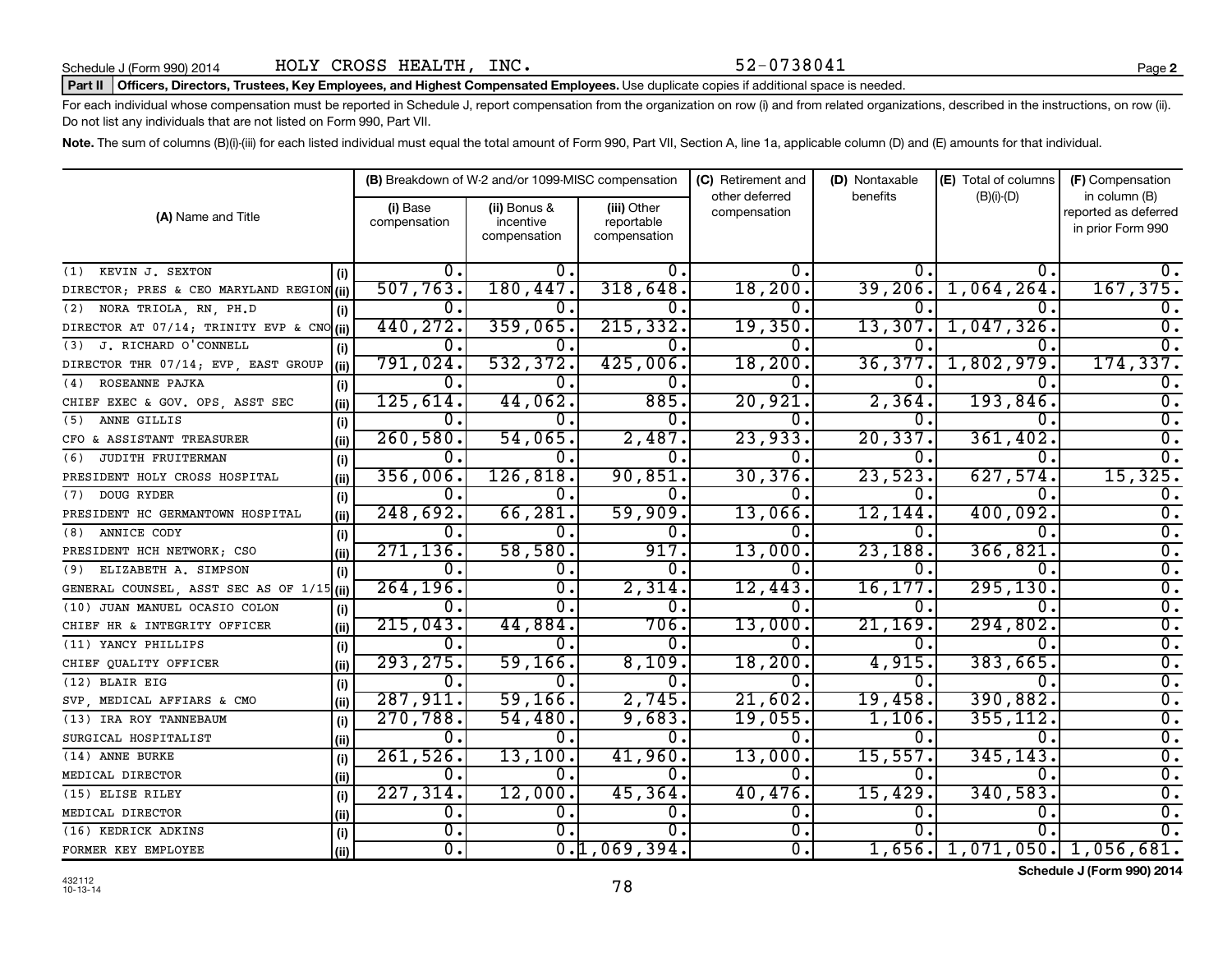#### Part II | Officers, Directors, Trustees, Key Employees, and Highest Compensated Employees. Use duplicate copies if additional space is needed.

For each individual whose compensation must be reported in Schedule J, report compensation from the organization on row (i) and from related organizations, described in the instructions, on row (ii). Do not list any individuals that are not listed on Form 990, Part VII.

Note. The sum of columns (B)(i)-(iii) for each listed individual must equal the total amount of Form 990, Part VII, Section A, line 1a, applicable column (D) and (E) amounts for that individual.

|                                           |                          | (B) Breakdown of W-2 and/or 1099-MISC compensation |                                           | (C) Retirement and             | (D) Nontaxable | (E) Total of columns | (F) Compensation<br>in column (B)         |                         |  |
|-------------------------------------------|--------------------------|----------------------------------------------------|-------------------------------------------|--------------------------------|----------------|----------------------|-------------------------------------------|-------------------------|--|
| (A) Name and Title                        | (i) Base<br>compensation | (ii) Bonus &<br>incentive<br>compensation          | (iii) Other<br>reportable<br>compensation | other deferred<br>compensation | benefits       | $(B)(i)-(D)$         | reported as deferred<br>in prior Form 990 |                         |  |
| KEVIN J. SEXTON<br>(1)                    | (i)                      | υ.                                                 | 0.                                        | υ.                             | 0.             | Ο.                   | $\Omega$                                  |                         |  |
| DIRECTOR; PRES & CEO MARYLAND REGION(ii)  |                          | $507,763$ .                                        | 180, 447.                                 | 318,648.                       | 18,200.        | 39,206.              | 1,064,264.                                | 167,375.                |  |
| NORA TRIOLA, RN, PH.D<br>(2)              |                          | Ο.                                                 | 0,                                        |                                |                | 0.                   |                                           |                         |  |
| DIRECTOR AT 07/14; TRINITY EVP & CNO (ii) |                          | 440,272.                                           | 359,065.                                  | 215, 332.                      | 19,350.        | 13,307.              | 1,047,326.                                |                         |  |
| (3) J. RICHARD O'CONNELL                  |                          | 0.                                                 | 0.                                        | 0.                             |                |                      |                                           |                         |  |
| DIRECTOR THR 07/14; EVP, EAST GROUP       | (ii)                     | 791,024.                                           | 532,372.                                  | 425,006.                       | 18,200         | 36,377               | 1,802,979.                                | 174, 337.               |  |
| ROSEANNE PAJKA<br>(4)                     | (i)                      | 0.                                                 | 0.                                        | 0.                             |                | 0                    |                                           |                         |  |
| CHIEF EXEC & GOV. OPS. ASST SEC           | (ii)                     | 125,614.                                           | 44,062.                                   | 885.                           | 20,921         | 2,364                | 193,846.                                  |                         |  |
| ANNE GILLIS<br>(5)                        | (i)                      | Ω.                                                 | Ω.                                        | 0.                             |                |                      | O.                                        |                         |  |
| CFO & ASSISTANT TREASURER                 | (ii)                     | 260,580.                                           | 54,065.                                   | 2,487.                         | 23,933.        | 20,337               | 361,402.                                  |                         |  |
| JUDITH FRUITERMAN<br>(6)                  | (i)                      |                                                    | 0.                                        | Ω.                             |                |                      | 0                                         |                         |  |
| PRESIDENT HOLY CROSS HOSPITAL             | (ii)                     | 356,006.                                           | 126,818.                                  | 90,851.                        | 30, 376        | 23,523               | 627,574.                                  | 15,325                  |  |
| DOUG RYDER<br>(7)                         | (i)                      | Ω.                                                 | 0.                                        | 0.                             |                |                      | 0                                         |                         |  |
| PRESIDENT HC GERMANTOWN HOSPITAL          | (ii)                     | 248,692.                                           | 66, 281                                   | 59,909.                        | 13,066         | 12,144               | 400,092.                                  | 0.                      |  |
| ANNICE CODY<br>(8)                        | (i)                      | Ω.                                                 | 0.                                        | Ω.                             | O.             | 0                    | 0                                         |                         |  |
| PRESIDENT HCH NETWORK; CSO                | (ii)                     | 271, 136.                                          | 58,580.                                   | 917.                           | 13,000         | 23,188               | 366, 821                                  |                         |  |
| ELIZABETH A. SIMPSON<br>(9)               | (i)                      | Ω.                                                 | 0.                                        | Ω.                             | 0              | 0                    | 0                                         |                         |  |
| GENERAL COUNSEL, ASST SEC AS OF 1/15 (ii) |                          | 264, 196.                                          | 0.                                        | 2,314.                         | 12,443         | 16,177               | 295, 130.                                 |                         |  |
| (10) JUAN MANUEL OCASIO COLON             | (i)                      | 0.                                                 | 0.                                        | 0.                             | 0              | 0                    | 0                                         | 0.                      |  |
| CHIEF HR & INTEGRITY OFFICER              | (ii)                     | 215,043.                                           | 44,884.                                   | 706.                           | 13,000         | 21,169               | 294,802                                   | 0.                      |  |
| (11) YANCY PHILLIPS                       | (i)                      | 0.                                                 | Ω.                                        | 0.                             | O.             | 0                    | 0                                         | Ω.                      |  |
| CHIEF QUALITY OFFICER                     | (ii)                     | 293, 275.                                          | 59,166.                                   | 8,109.                         | 18,200         | 4,915                | 383,665                                   | 0.                      |  |
| (12) BLAIR EIG                            | (i)                      | 0.                                                 | 0.                                        | 0.                             | 0.             | 0                    | 0                                         | 0.                      |  |
| SVP, MEDICAL AFFIARS & CMO                | (ii)                     | 287,911.                                           | 59, 166.                                  | 2,745.                         | 21,602.        | 19,458.              | 390,882.                                  | 0.                      |  |
| (13) IRA ROY TANNEBAUM                    | (i)                      | 270,788.                                           | 54,480.                                   | 9,683.                         | 19,055.        | $1,106$ .            | 355, 112.                                 | 0.                      |  |
| SURGICAL HOSPITALIST                      | (ii)                     | Ο.                                                 | 0.                                        | 0.                             |                | 0.                   | 0.                                        | 0.                      |  |
| (14) ANNE BURKE                           | (i)                      | 261,526.                                           | 13,100.                                   | 41,960.                        | 13,000.        | 15,557               | 345,143.                                  | 0.                      |  |
| MEDICAL DIRECTOR                          | (ii)                     | Ο.                                                 | $\overline{0}$ .                          | 0.                             | 0.             | 0.                   | $\Omega$ .                                | 0.                      |  |
| (15) ELISE RILEY                          | (i)                      | 227, 314.                                          | 12,000.                                   | 45,364.                        | 40,476.        | 15,429.              | 340,583.                                  | Ο.                      |  |
| MEDICAL DIRECTOR                          | (ii)                     | о.                                                 | 0.                                        | 0.                             | О.             | 0.                   | 0.                                        | 0.                      |  |
| (16) KEDRICK ADKINS                       | (i)                      | $\overline{0}$ .                                   | σ.                                        |                                | О.             |                      | n                                         |                         |  |
| FORMER KEY EMPLOYEE                       | (iii)                    | $\overline{0}$ .                                   |                                           | 0.1,069,394.                   |                | 1,656.               |                                           | $1,071,050.$ 1,056,681. |  |

78

**2**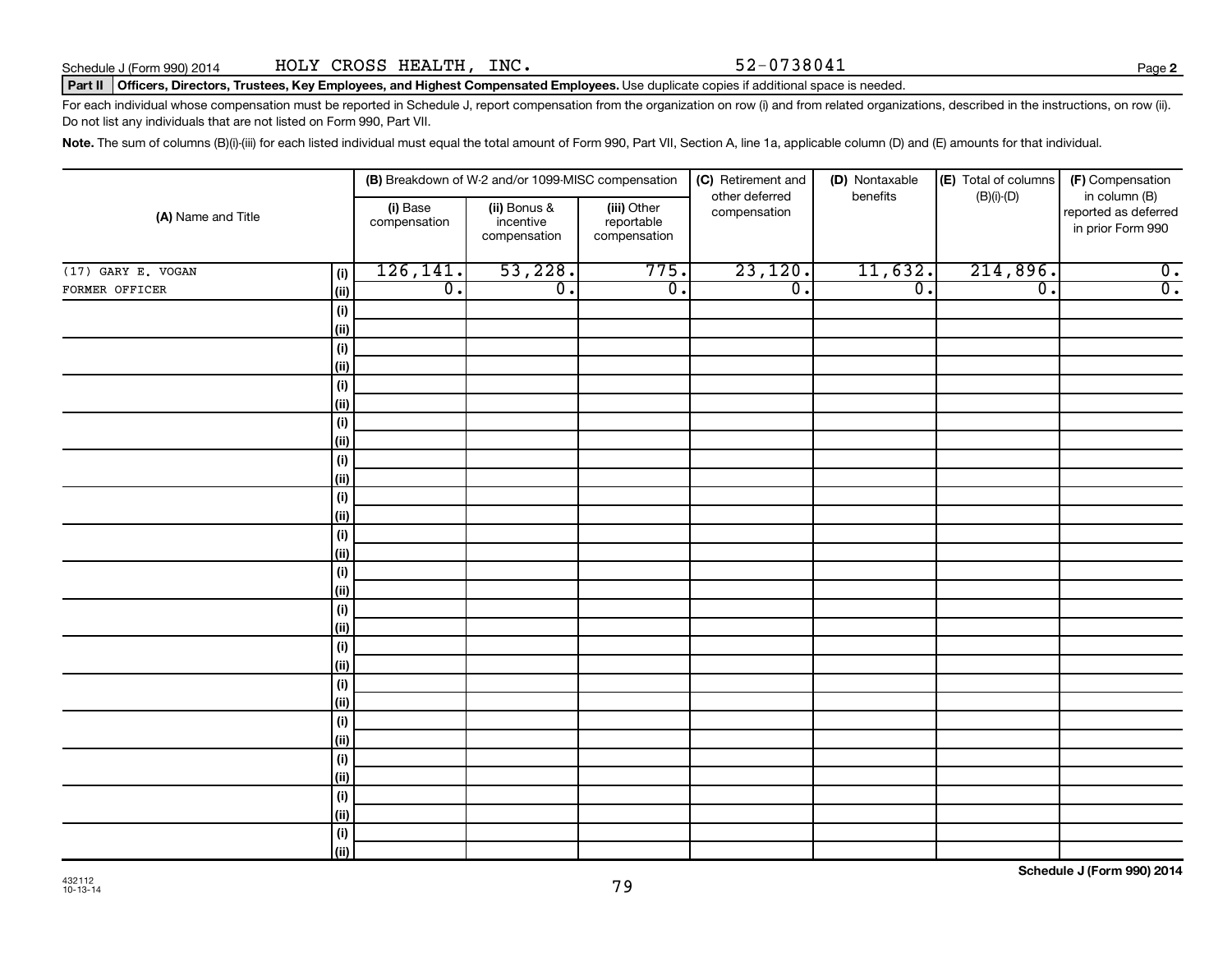# Part II | Officers, Directors, Trustees, Key Employees, and Highest Compensated Employees. Use duplicate copies if additional space is needed.

For each individual whose compensation must be reported in Schedule J, report compensation from the organization on row (i) and from related organizations, described in the instructions, on row (ii). Do not list any individuals that are not listed on Form 990, Part VII.

Note. The sum of columns (B)(i)-(iii) for each listed individual must equal the total amount of Form 990, Part VII, Section A, line 1a, applicable column (D) and (E) amounts for that individual.

| (A) Name and Title   |                              |                          | (B) Breakdown of W-2 and/or 1099-MISC compensation |                                           | (C) Retirement and<br>other deferred | (D) Nontaxable<br>benefits  | (E) Total of columns<br>$(B)(i)$ - $(D)$ | (F) Compensation<br>in column (B)         |
|----------------------|------------------------------|--------------------------|----------------------------------------------------|-------------------------------------------|--------------------------------------|-----------------------------|------------------------------------------|-------------------------------------------|
|                      |                              | (i) Base<br>compensation | (ii) Bonus &<br>incentive<br>compensation          | (iii) Other<br>reportable<br>compensation | compensation                         |                             |                                          | reported as deferred<br>in prior Form 990 |
| $(17)$ GARY E. VOGAN | (i)                          | 126, 141.                | 53,228.                                            | 775.                                      | 23,120.                              | 11,632.                     | 214,896.                                 | $\overline{0}$ .                          |
| FORMER OFFICER       | (ii)                         | $\overline{0}$ .         | $\overline{0}$ .                                   | $\overline{0}$ .                          | $\overline{\mathfrak{o}}$ .          | $\overline{\mathfrak{o}}$ . | $\overline{\mathfrak{o}}$ .              | $\overline{0}$ .                          |
|                      | (i)                          |                          |                                                    |                                           |                                      |                             |                                          |                                           |
|                      | (ii)                         |                          |                                                    |                                           |                                      |                             |                                          |                                           |
|                      | $(\sf{i})$                   |                          |                                                    |                                           |                                      |                             |                                          |                                           |
|                      | (ii)                         |                          |                                                    |                                           |                                      |                             |                                          |                                           |
|                      | $(\sf{i})$                   |                          |                                                    |                                           |                                      |                             |                                          |                                           |
|                      | $\vert$ (ii)                 |                          |                                                    |                                           |                                      |                             |                                          |                                           |
|                      | $(\sf{i})$                   |                          |                                                    |                                           |                                      |                             |                                          |                                           |
|                      | (ii)                         |                          |                                                    |                                           |                                      |                             |                                          |                                           |
|                      | $(\sf{i})$                   |                          |                                                    |                                           |                                      |                             |                                          |                                           |
|                      | (ii)                         |                          |                                                    |                                           |                                      |                             |                                          |                                           |
|                      | $\qquad \qquad \textbf{(i)}$ |                          |                                                    |                                           |                                      |                             |                                          |                                           |
|                      | (ii)                         |                          |                                                    |                                           |                                      |                             |                                          |                                           |
|                      | $(\sf{i})$<br>(ii)           |                          |                                                    |                                           |                                      |                             |                                          |                                           |
|                      |                              |                          |                                                    |                                           |                                      |                             |                                          |                                           |
|                      | $(\sf{i})$<br>(ii)           |                          |                                                    |                                           |                                      |                             |                                          |                                           |
|                      | $(\sf{i})$                   |                          |                                                    |                                           |                                      |                             |                                          |                                           |
|                      | (ii)                         |                          |                                                    |                                           |                                      |                             |                                          |                                           |
|                      | $(\sf{i})$                   |                          |                                                    |                                           |                                      |                             |                                          |                                           |
|                      | (ii)                         |                          |                                                    |                                           |                                      |                             |                                          |                                           |
|                      | $(\sf{i})$                   |                          |                                                    |                                           |                                      |                             |                                          |                                           |
|                      | (ii)                         |                          |                                                    |                                           |                                      |                             |                                          |                                           |
|                      | $\qquad \qquad \textbf{(i)}$ |                          |                                                    |                                           |                                      |                             |                                          |                                           |
|                      | (ii)                         |                          |                                                    |                                           |                                      |                             |                                          |                                           |
|                      | $(\sf{i})$                   |                          |                                                    |                                           |                                      |                             |                                          |                                           |
|                      | (ii)                         |                          |                                                    |                                           |                                      |                             |                                          |                                           |
|                      | $(\sf{i})$                   |                          |                                                    |                                           |                                      |                             |                                          |                                           |
|                      | (ii)                         |                          |                                                    |                                           |                                      |                             |                                          |                                           |
|                      | $(\sf{i})$                   |                          |                                                    |                                           |                                      |                             |                                          |                                           |
|                      | (ii)                         |                          |                                                    |                                           |                                      |                             |                                          |                                           |

79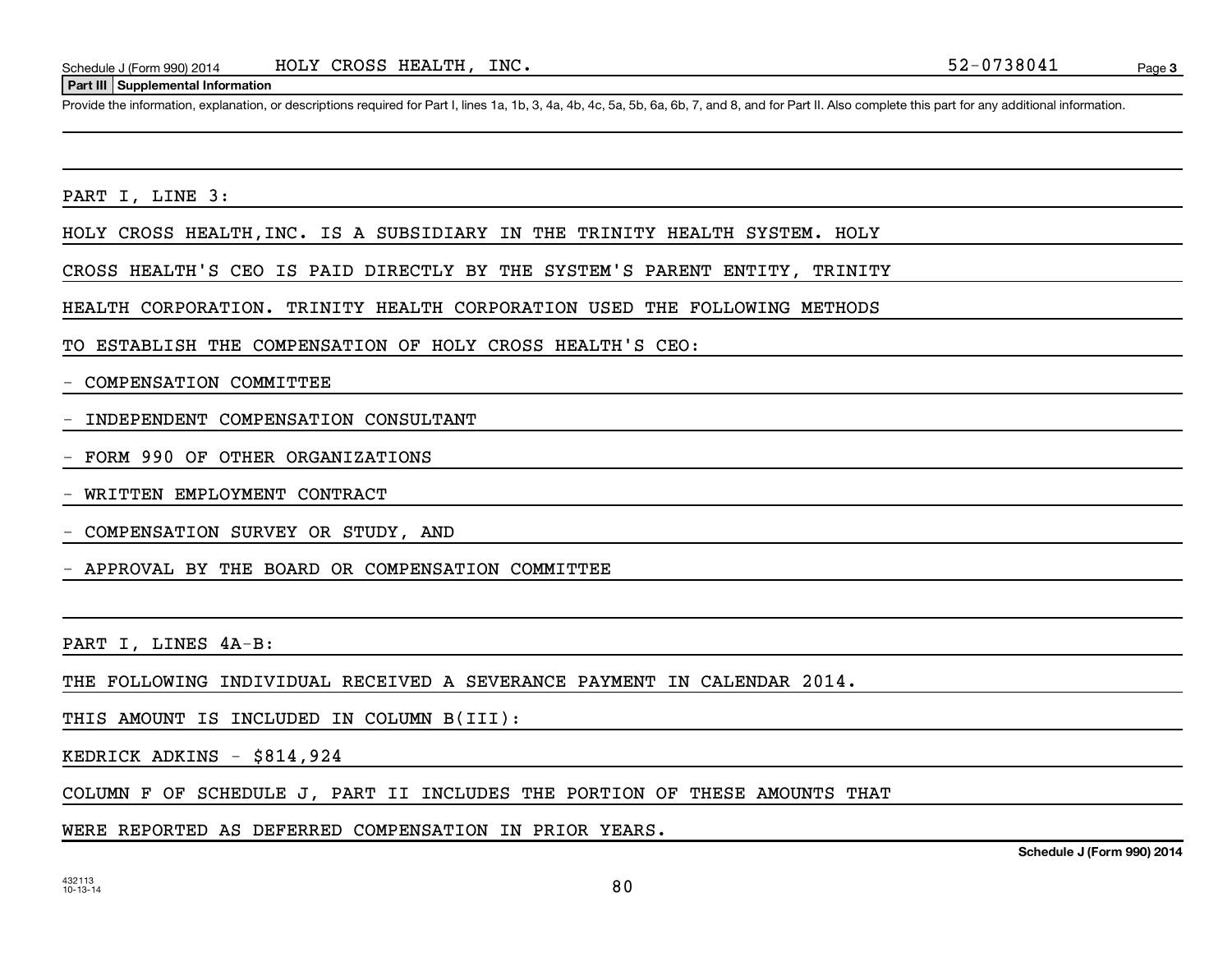#### **Part III Supplemental Information**

Provide the information, explanation, or descriptions required for Part I, lines 1a, 1b, 3, 4a, 4b, 4c, 5a, 5b, 6a, 6b, 7, and 8, and for Part II. Also complete this part for any additional information.

PART I, LINE 3:

HOLY CROSS HEALTH,INC. IS A SUBSIDIARY IN THE TRINITY HEALTH SYSTEM. HOLY

CROSS HEALTH'S CEO IS PAID DIRECTLY BY THE SYSTEM'S PARENT ENTITY, TRINITY

HEALTH CORPORATION. TRINITY HEALTH CORPORATION USED THE FOLLOWING METHODS

TO ESTABLISH THE COMPENSATION OF HOLY CROSS HEALTH'S CEO:

- COMPENSATION COMMITTEE

- INDEPENDENT COMPENSATION CONSULTANT

FORM 990 OF OTHER ORGANIZATIONS

WRITTEN EMPLOYMENT CONTRACT

- COMPENSATION SURVEY OR STUDY, AND

- APPROVAL BY THE BOARD OR COMPENSATION COMMITTEE

PART I, LINES 4A-B:

THE FOLLOWING INDIVIDUAL RECEIVED A SEVERANCE PAYMENT IN CALENDAR 2014.

THIS AMOUNT IS INCLUDED IN COLUMN B(III):

KEDRICK ADKINS - \$814,924

COLUMN F OF SCHEDULE J, PART II INCLUDES THE PORTION OF THESE AMOUNTS THAT

WERE REPORTED AS DEFERRED COMPENSATION IN PRIOR YEARS.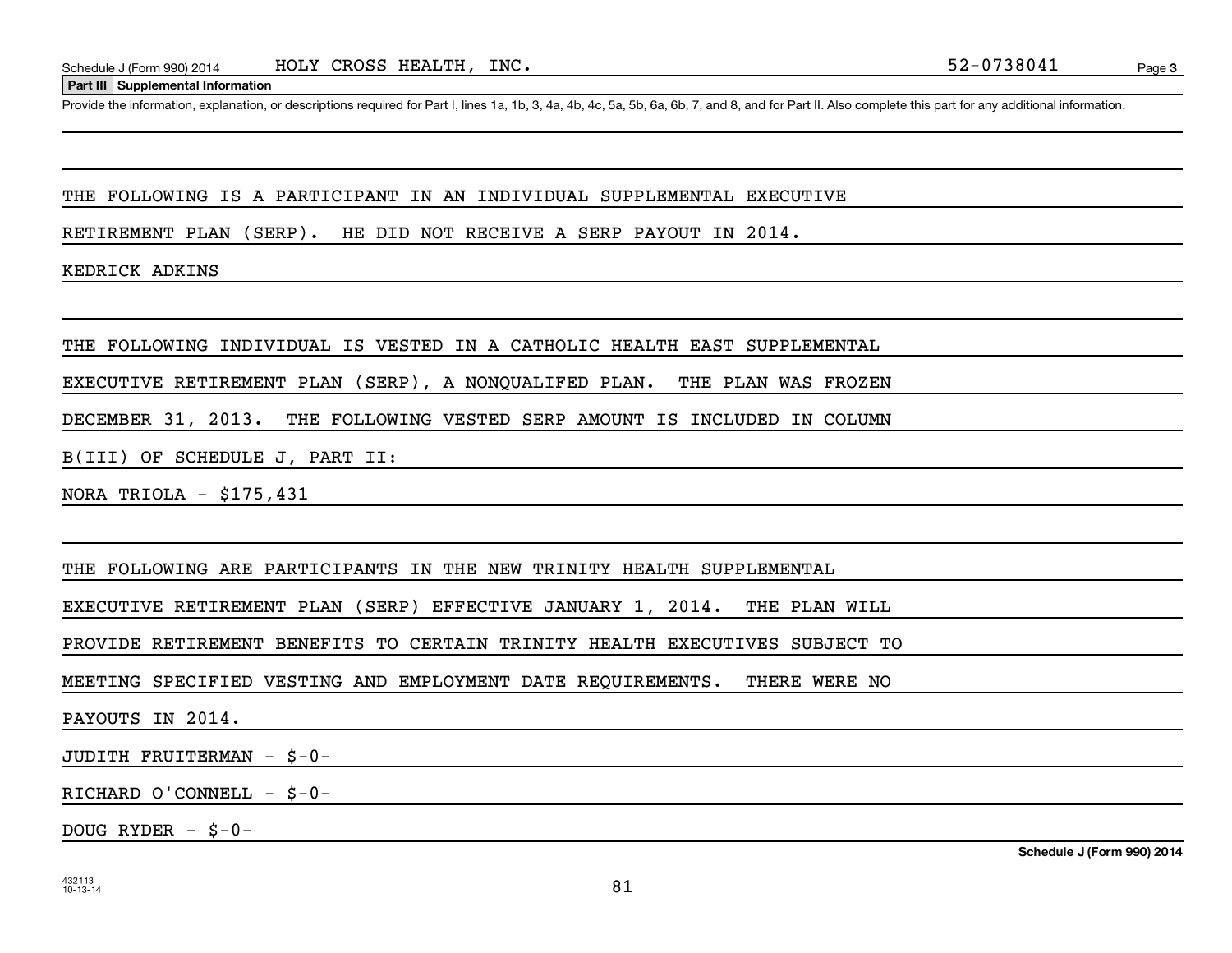#### **Part III Supplemental Information**

Provide the information, explanation, or descriptions required for Part I, lines 1a, 1b, 3, 4a, 4b, 4c, 5a, 5b, 6a, 6b, 7, and 8, and for Part II. Also complete this part for any additional information.

#### THE FOLLOWING IS A PARTICIPANT IN AN INDIVIDUAL SUPPLEMENTAL EXECUTIVE

RETIREMENT PLAN (SERP). HE DID NOT RECEIVE A SERP PAYOUT IN 2014.

### KEDRICK ADKINS

THE FOLLOWING INDIVIDUAL IS VESTED IN A CATHOLIC HEALTH EAST SUPPLEMENTAL

EXECUTIVE RETIREMENT PLAN (SERP), A NONQUALIFED PLAN. THE PLAN WAS FROZEN

DECEMBER 31, 2013. THE FOLLOWING VESTED SERP AMOUNT IS INCLUDED IN COLUMN

B(III) OF SCHEDULE J, PART II:

NORA TRIOLA - \$175,431

THE FOLLOWING ARE PARTICIPANTS IN THE NEW TRINITY HEALTH SUPPLEMENTAL

EXECUTIVE RETIREMENT PLAN (SERP) EFFECTIVE JANUARY 1, 2014. THE PLAN WILL

PROVIDE RETIREMENT BENEFITS TO CERTAIN TRINITY HEALTH EXECUTIVES SUBJECT TO

MEETING SPECIFIED VESTING AND EMPLOYMENT DATE REQUIREMENTS. THERE WERE NO

PAYOUTS IN 2014.

JUDITH FRUITERMAN - \$-0-

RICHARD O'CONNELL - \$-0-

 $DOUG$  RYDER -  $$-0-$ 

**Schedule J (Form 990) 2014**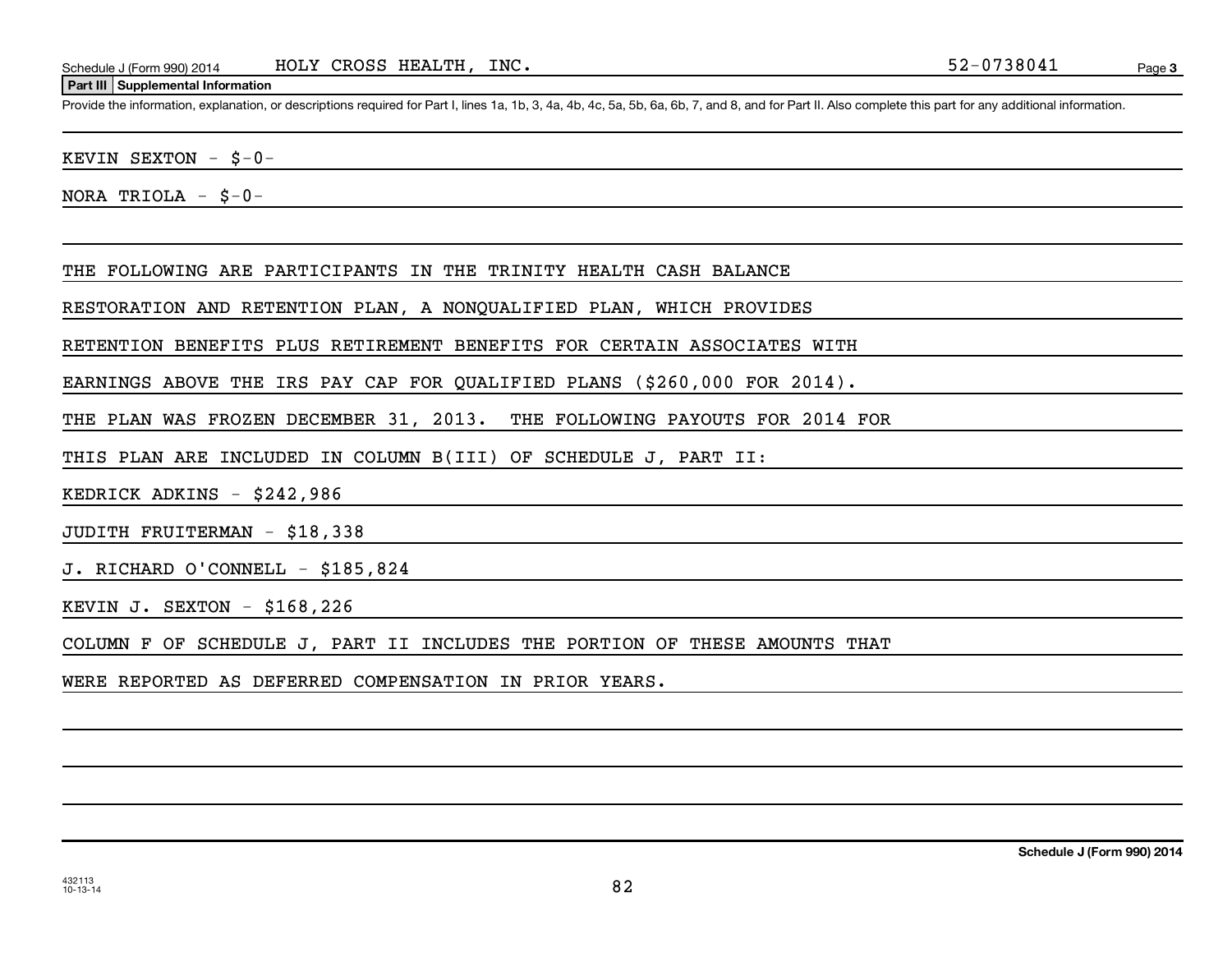#### **Part III Supplemental Information**

Provide the information, explanation, or descriptions required for Part I, lines 1a, 1b, 3, 4a, 4b, 4c, 5a, 5b, 6a, 6b, 7, and 8, and for Part II. Also complete this part for any additional information.

KEVIN SEXTON  $-$  \$-0-

NORA TRIOLA - \$-0-

THE FOLLOWING ARE PARTICIPANTS IN THE TRINITY HEALTH CASH BALANCE

RESTORATION AND RETENTION PLAN, A NONQUALIFIED PLAN, WHICH PROVIDES

RETENTION BENEFITS PLUS RETIREMENT BENEFITS FOR CERTAIN ASSOCIATES WITH

EARNINGS ABOVE THE IRS PAY CAP FOR QUALIFIED PLANS (\$260,000 FOR 2014).

THE PLAN WAS FROZEN DECEMBER 31, 2013. THE FOLLOWING PAYOUTS FOR 2014 FOR

THIS PLAN ARE INCLUDED IN COLUMN B(III) OF SCHEDULE J, PART II:

KEDRICK ADKINS - \$242,986

JUDITH FRUITERMAN - \$18,338

J. RICHARD O'CONNELL - \$185,824

KEVIN J. SEXTON - \$168,226

COLUMN F OF SCHEDULE J, PART II INCLUDES THE PORTION OF THESE AMOUNTS THAT

WERE REPORTED AS DEFERRED COMPENSATION IN PRIOR YEARS.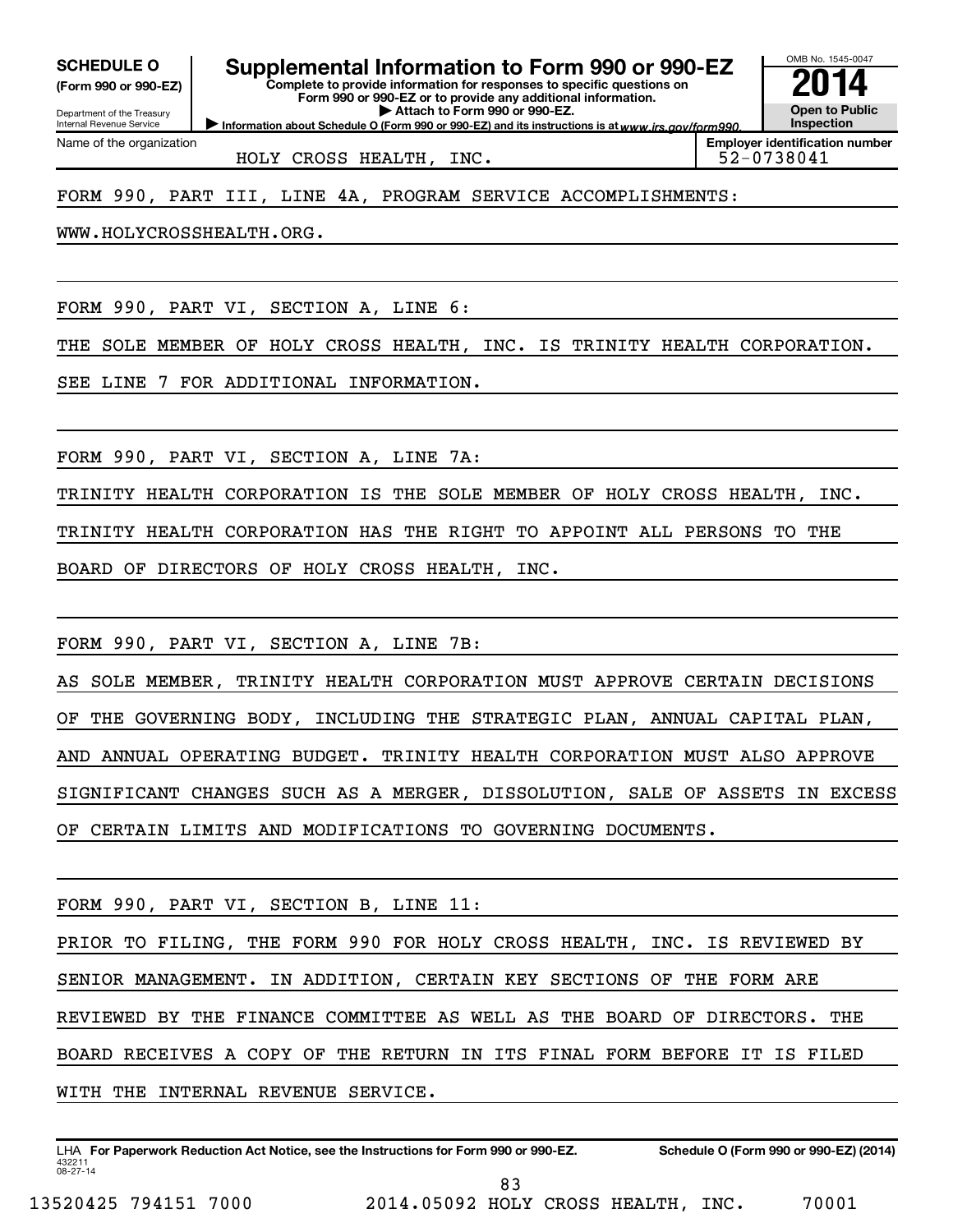**(Form 990 or 990-EZ)**

Name of the organization

Internal Revenue Service

Department of the Treasury **Complete to provide information for responses to specific questions on**

**Form 990 or 990-EZ or to provide any additional information. | Attach to Form 990 or 990-EZ.**

Information about Schedule O (Form 990 or 990-EZ) and its instructions is at www.irs.gov/form990.

OMB No. 1545-0047 **Open to Public Inspection SCHEDULE O Supplemental Information to Form 990 or 990-EZ 2014**<br>(Form 990 or 990-EZ) Complete to provide information for responses to specific questions on

**Employer identification number**

HOLY CROSS HEALTH, INC.  $\vert$  52-0738041

## FORM 990, PART III, LINE 4A, PROGRAM SERVICE ACCOMPLISHMENTS:

WWW.HOLYCROSSHEALTH.ORG.

FORM 990, PART VI, SECTION A, LINE 6:

THE SOLE MEMBER OF HOLY CROSS HEALTH, INC. IS TRINITY HEALTH CORPORATION.

SEE LINE 7 FOR ADDITIONAL INFORMATION.

FORM 990, PART VI, SECTION A, LINE 7A:

TRINITY HEALTH CORPORATION IS THE SOLE MEMBER OF HOLY CROSS HEALTH, INC.

TRINITY HEALTH CORPORATION HAS THE RIGHT TO APPOINT ALL PERSONS TO THE

BOARD OF DIRECTORS OF HOLY CROSS HEALTH, INC.

FORM 990, PART VI, SECTION A, LINE 7B:

AS SOLE MEMBER, TRINITY HEALTH CORPORATION MUST APPROVE CERTAIN DECISIONS OF THE GOVERNING BODY, INCLUDING THE STRATEGIC PLAN, ANNUAL CAPITAL PLAN, AND ANNUAL OPERATING BUDGET. TRINITY HEALTH CORPORATION MUST ALSO APPROVE SIGNIFICANT CHANGES SUCH AS A MERGER, DISSOLUTION, SALE OF ASSETS IN EXCESS OF CERTAIN LIMITS AND MODIFICATIONS TO GOVERNING DOCUMENTS.

FORM 990, PART VI, SECTION B, LINE 11:

PRIOR TO FILING, THE FORM 990 FOR HOLY CROSS HEALTH, INC. IS REVIEWED BY SENIOR MANAGEMENT. IN ADDITION, CERTAIN KEY SECTIONS OF THE FORM ARE REVIEWED BY THE FINANCE COMMITTEE AS WELL AS THE BOARD OF DIRECTORS. THE BOARD RECEIVES A COPY OF THE RETURN IN ITS FINAL FORM BEFORE IT IS FILED WITH THE INTERNAL REVENUE SERVICE.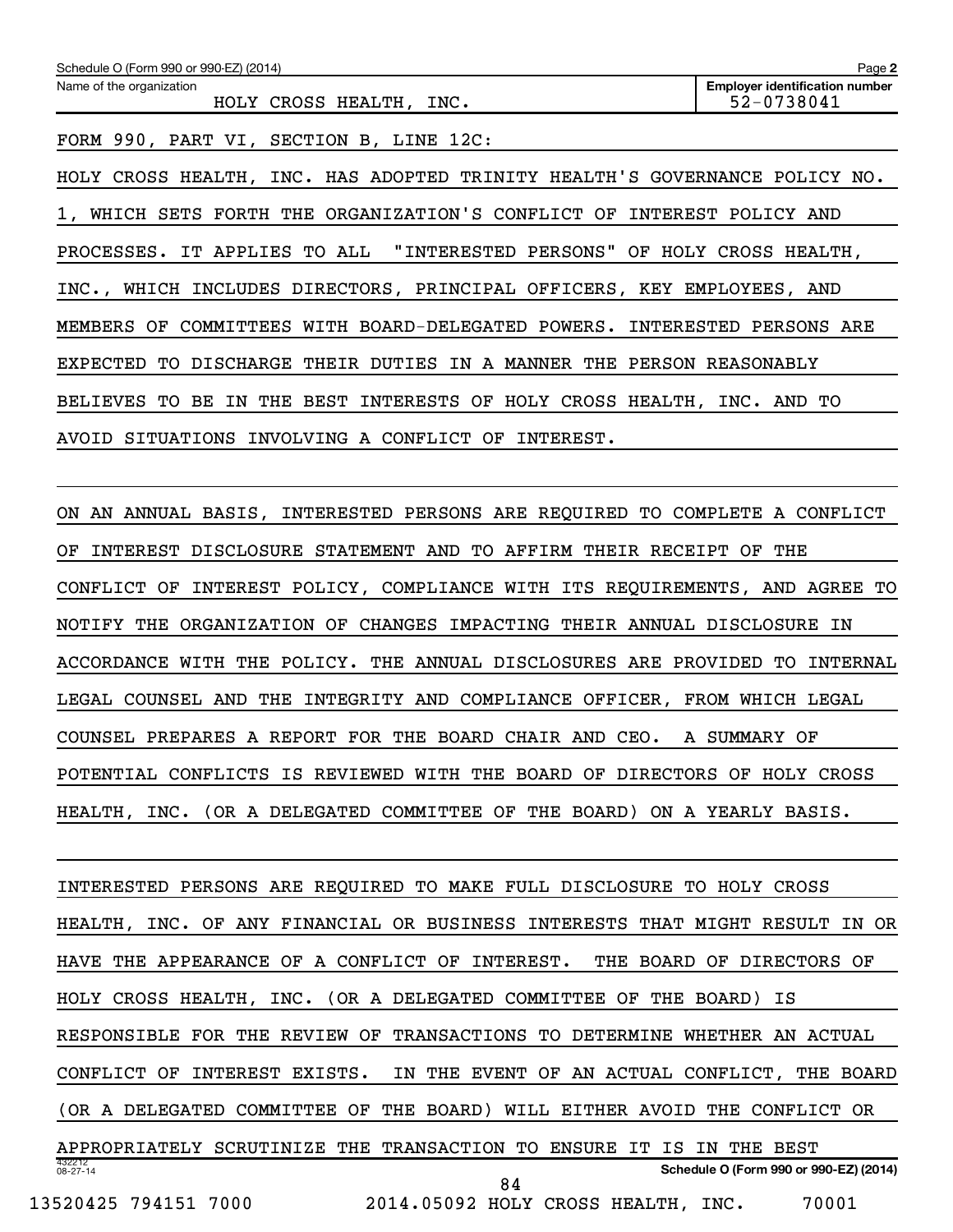| Schedule O (Form 990 or 990-EZ) (2014)                                     | Page 2                                              |
|----------------------------------------------------------------------------|-----------------------------------------------------|
| Name of the organization<br>HOLY CROSS HEALTH, INC.                        | <b>Employer identification number</b><br>52-0738041 |
| FORM 990, PART VI, SECTION B, LINE 12C:                                    |                                                     |
| HOLY CROSS HEALTH, INC. HAS ADOPTED TRINITY HEALTH'S GOVERNANCE POLICY NO. |                                                     |
| 1, WHICH SETS FORTH THE ORGANIZATION'S CONFLICT OF INTEREST POLICY AND     |                                                     |
| PROCESSES. IT APPLIES TO ALL "INTERESTED PERSONS" OF HOLY CROSS HEALTH,    |                                                     |
| INC., WHICH INCLUDES DIRECTORS, PRINCIPAL OFFICERS, KEY EMPLOYEES, AND     |                                                     |
| MEMBERS OF COMMITTEES WITH BOARD-DELEGATED POWERS. INTERESTED PERSONS ARE  |                                                     |
| EXPECTED TO DISCHARGE THEIR DUTIES IN A MANNER THE PERSON REASONABLY       |                                                     |
| BELIEVES TO BE IN THE BEST INTERESTS OF HOLY CROSS HEALTH, INC. AND TO     |                                                     |
| AVOID SITUATIONS INVOLVING A CONFLICT OF INTEREST.                         |                                                     |

ON AN ANNUAL BASIS, INTERESTED PERSONS ARE REQUIRED TO COMPLETE A CONFLICT OF INTEREST DISCLOSURE STATEMENT AND TO AFFIRM THEIR RECEIPT OF THE CONFLICT OF INTEREST POLICY, COMPLIANCE WITH ITS REQUIREMENTS, AND AGREE TO NOTIFY THE ORGANIZATION OF CHANGES IMPACTING THEIR ANNUAL DISCLOSURE IN ACCORDANCE WITH THE POLICY. THE ANNUAL DISCLOSURES ARE PROVIDED TO INTERNAL LEGAL COUNSEL AND THE INTEGRITY AND COMPLIANCE OFFICER, FROM WHICH LEGAL COUNSEL PREPARES A REPORT FOR THE BOARD CHAIR AND CEO. A SUMMARY OF POTENTIAL CONFLICTS IS REVIEWED WITH THE BOARD OF DIRECTORS OF HOLY CROSS HEALTH, INC. (OR A DELEGATED COMMITTEE OF THE BOARD) ON A YEARLY BASIS.

432212 08-27-14 **Schedule O (Form 990 or 990-EZ) (2014)** INTERESTED PERSONS ARE REQUIRED TO MAKE FULL DISCLOSURE TO HOLY CROSS HEALTH, INC. OF ANY FINANCIAL OR BUSINESS INTERESTS THAT MIGHT RESULT IN OR HAVE THE APPEARANCE OF A CONFLICT OF INTEREST. THE BOARD OF DIRECTORS OF HOLY CROSS HEALTH, INC. (OR A DELEGATED COMMITTEE OF THE BOARD) IS RESPONSIBLE FOR THE REVIEW OF TRANSACTIONS TO DETERMINE WHETHER AN ACTUAL CONFLICT OF INTEREST EXISTS. IN THE EVENT OF AN ACTUAL CONFLICT, THE BOARD (OR A DELEGATED COMMITTEE OF THE BOARD) WILL EITHER AVOID THE CONFLICT OR APPROPRIATELY SCRUTINIZE THE TRANSACTION TO ENSURE IT IS IN THE BEST 13520425 794151 7000 2014.05092 HOLY CROSS HEALTH, INC. 70001 84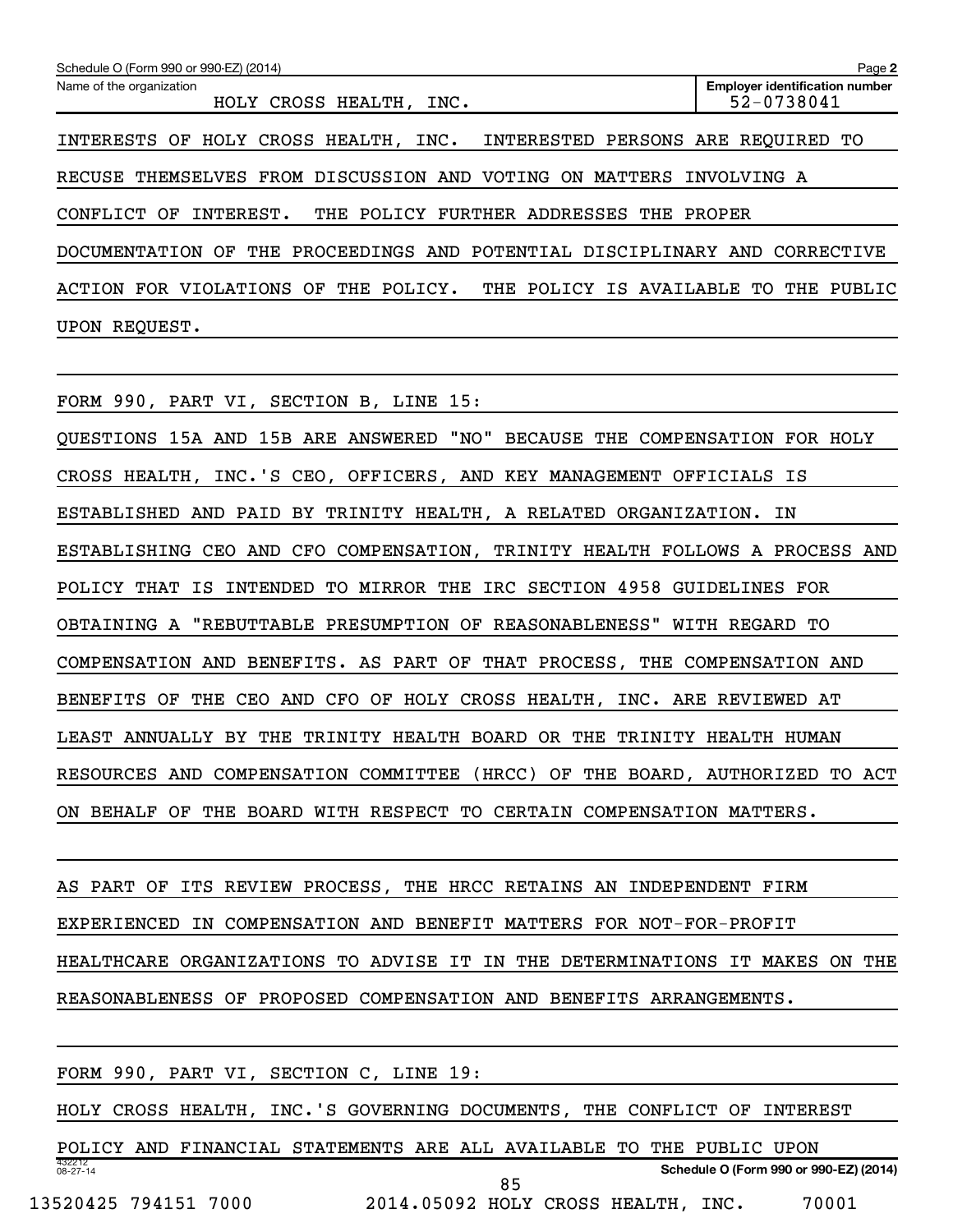| Schedule O (Form 990 or 990-EZ) (2014)                                     | Page 2                                              |
|----------------------------------------------------------------------------|-----------------------------------------------------|
| Name of the organization<br>HOLY CROSS HEALTH, INC.                        | <b>Employer identification number</b><br>52-0738041 |
| INTERESTS OF HOLY CROSS HEALTH, INC.<br>INTERESTED PERSONS ARE REQUIRED TO |                                                     |
| THEMSELVES FROM DISCUSSION AND VOTING ON<br>RECUSE                         | MATTERS INVOLVING A                                 |
| POLICY<br>FURTHER ADDRESSES<br>CONFLICT<br>INTEREST.<br>THE<br>THE<br>OF   | PROPER                                              |
| DOCUMENTATION OF THE PROCEEDINGS AND POTENTIAL DISCIPLINARY AND CORRECTIVE |                                                     |
| ACTION FOR VIOLATIONS OF THE POLICY.<br>THE POLICY IS AVAILABLE TO         | THE PUBLIC                                          |
| REOUEST.<br><b>UPON</b>                                                    |                                                     |

FORM 990, PART VI, SECTION B, LINE 15:

QUESTIONS 15A AND 15B ARE ANSWERED "NO" BECAUSE THE COMPENSATION FOR HOLY CROSS HEALTH, INC.'S CEO, OFFICERS, AND KEY MANAGEMENT OFFICIALS IS ESTABLISHED AND PAID BY TRINITY HEALTH, A RELATED ORGANIZATION. IN ESTABLISHING CEO AND CFO COMPENSATION, TRINITY HEALTH FOLLOWS A PROCESS AND POLICY THAT IS INTENDED TO MIRROR THE IRC SECTION 4958 GUIDELINES FOR OBTAINING A "REBUTTABLE PRESUMPTION OF REASONABLENESS" WITH REGARD TO COMPENSATION AND BENEFITS. AS PART OF THAT PROCESS, THE COMPENSATION AND BENEFITS OF THE CEO AND CFO OF HOLY CROSS HEALTH, INC. ARE REVIEWED AT LEAST ANNUALLY BY THE TRINITY HEALTH BOARD OR THE TRINITY HEALTH HUMAN RESOURCES AND COMPENSATION COMMITTEE (HRCC) OF THE BOARD, AUTHORIZED TO ACT ON BEHALF OF THE BOARD WITH RESPECT TO CERTAIN COMPENSATION MATTERS.

AS PART OF ITS REVIEW PROCESS, THE HRCC RETAINS AN INDEPENDENT FIRM EXPERIENCED IN COMPENSATION AND BENEFIT MATTERS FOR NOT-FOR-PROFIT HEALTHCARE ORGANIZATIONS TO ADVISE IT IN THE DETERMINATIONS IT MAKES ON THE REASONABLENESS OF PROPOSED COMPENSATION AND BENEFITS ARRANGEMENTS.

|                                                                         |  | FORM 990, PART VI, SECTION C, LINE 19:                               |  |  |  |    |                                    |  |  |                                        |       |  |
|-------------------------------------------------------------------------|--|----------------------------------------------------------------------|--|--|--|----|------------------------------------|--|--|----------------------------------------|-------|--|
| HOLY CROSS HEALTH, INC.'S GOVERNING DOCUMENTS, THE CONFLICT OF INTEREST |  |                                                                      |  |  |  |    |                                    |  |  |                                        |       |  |
|                                                                         |  | POLICY AND FINANCIAL STATEMENTS ARE ALL AVAILABLE TO THE PUBLIC UPON |  |  |  |    |                                    |  |  |                                        |       |  |
| 432212<br>$08 - 27 - 14$                                                |  |                                                                      |  |  |  |    |                                    |  |  | Schedule O (Form 990 or 990-EZ) (2014) |       |  |
|                                                                         |  |                                                                      |  |  |  | 85 |                                    |  |  |                                        |       |  |
| 13520425 794151 7000                                                    |  |                                                                      |  |  |  |    | 2014.05092 HOLY CROSS HEALTH, INC. |  |  |                                        | 70001 |  |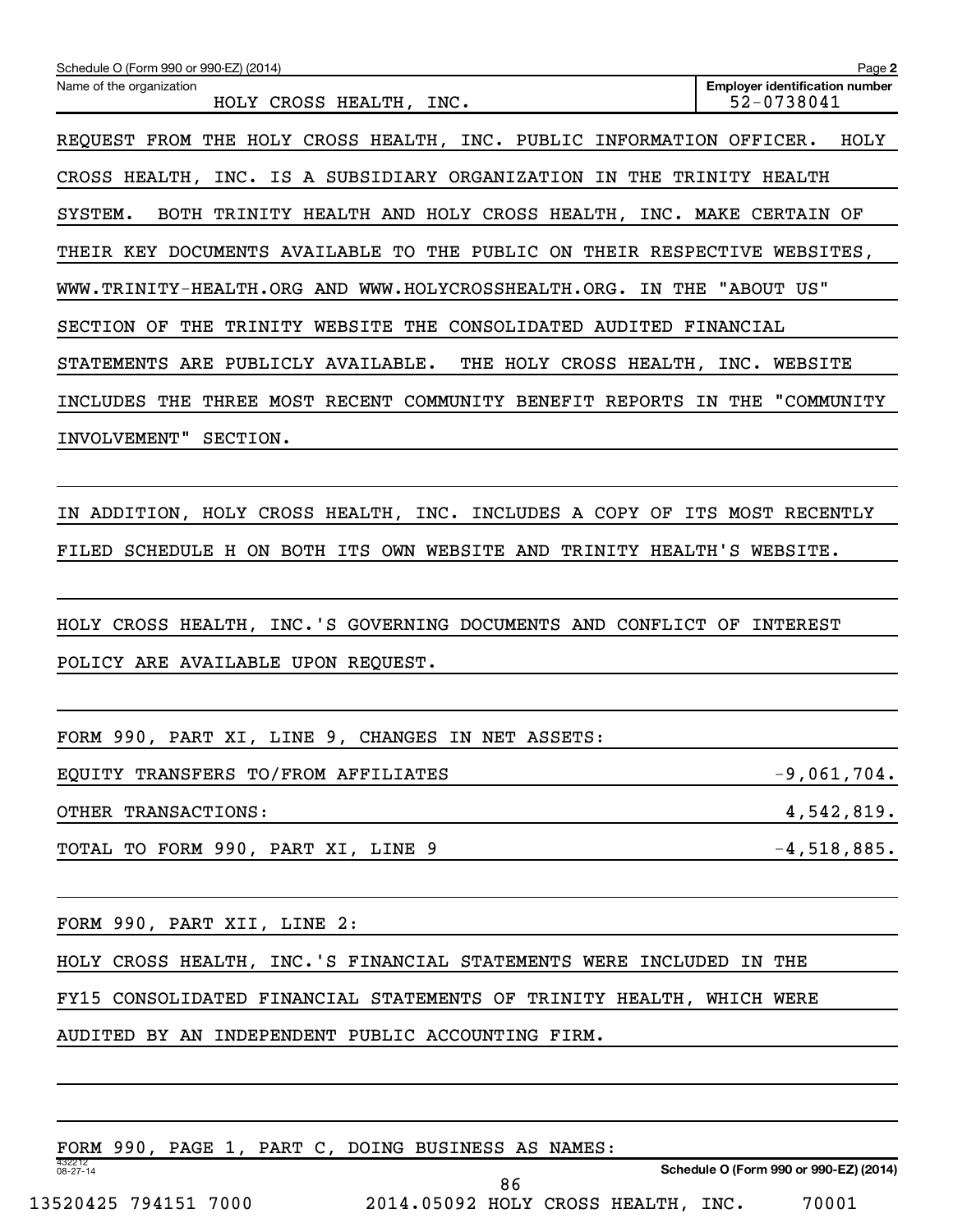| Schedule O (Form 990 or 990-EZ) (2014)                                     | Page 2                                              |
|----------------------------------------------------------------------------|-----------------------------------------------------|
| Name of the organization<br>HOLY CROSS HEALTH, INC.                        | <b>Employer identification number</b><br>52-0738041 |
| REQUEST FROM THE HOLY CROSS HEALTH, INC. PUBLIC INFORMATION OFFICER.       | HOLY                                                |
| CROSS HEALTH, INC. IS A SUBSIDIARY ORGANIZATION IN THE                     | TRINITY HEALTH                                      |
| SYSTEM.<br>BOTH TRINITY HEALTH AND HOLY CROSS HEALTH, INC. MAKE CERTAIN OF |                                                     |
| THEIR KEY DOCUMENTS AVAILABLE TO THE PUBLIC ON THEIR RESPECTIVE WEBSITES,  |                                                     |
| WWW.TRINITY-HEALTH.ORG AND WWW.HOLYCROSSHEALTH.ORG. IN THE "ABOUT US"      |                                                     |
| SECTION OF THE TRINITY WEBSITE THE CONSOLIDATED AUDITED FINANCIAL          |                                                     |
| STATEMENTS ARE PUBLICLY AVAILABLE.<br>THE HOLY CROSS HEALTH, INC. WEBSITE  |                                                     |
| INCLUDES THE THREE MOST RECENT COMMUNITY BENEFIT REPORTS IN THE            | "COMMUNITY                                          |
| INVOLVEMENT" SECTION.                                                      |                                                     |
|                                                                            |                                                     |
| IN ADDITION, HOLY CROSS HEALTH, INC. INCLUDES A COPY OF ITS MOST RECENTLY  |                                                     |
| FILED SCHEDULE H ON BOTH ITS OWN WEBSITE AND TRINITY HEALTH'S WEBSITE.     |                                                     |
|                                                                            |                                                     |
| HOLY CROSS HEALTH, INC.'S GOVERNING DOCUMENTS AND CONFLICT OF INTEREST     |                                                     |
| POLICY ARE AVAILABLE UPON REQUEST.                                         |                                                     |
|                                                                            |                                                     |
| FORM 990, PART XI, LINE 9, CHANGES IN NET ASSETS:                          |                                                     |
| EQUITY TRANSFERS TO/FROM AFFILIATES                                        | $-9,061,704.$                                       |
| OTHER TRANSACTIONS:                                                        | 4,542,819.                                          |
| TOTAL TO FORM 990, PART XI, LINE 9                                         | $-4,518,885.$                                       |
| FORM 990, PART XII, LINE 2:                                                |                                                     |
| HOLY CROSS HEALTH, INC.'S FINANCIAL STATEMENTS WERE INCLUDED IN THE        |                                                     |
| FY15 CONSOLIDATED FINANCIAL STATEMENTS OF TRINITY HEALTH, WHICH WERE       |                                                     |
| AUDITED BY AN INDEPENDENT PUBLIC ACCOUNTING FIRM.                          |                                                     |
|                                                                            |                                                     |
|                                                                            |                                                     |
| FORM 990, PAGE 1, PART C, DOING BUSINESS AS NAMES:                         |                                                     |

13520425 794151 7000 2014.05092 HOLY CROSS HEALTH, INC. 70001

432212 08-27-14

86

**Schedule O (Form 990 or 990-EZ) (2014)**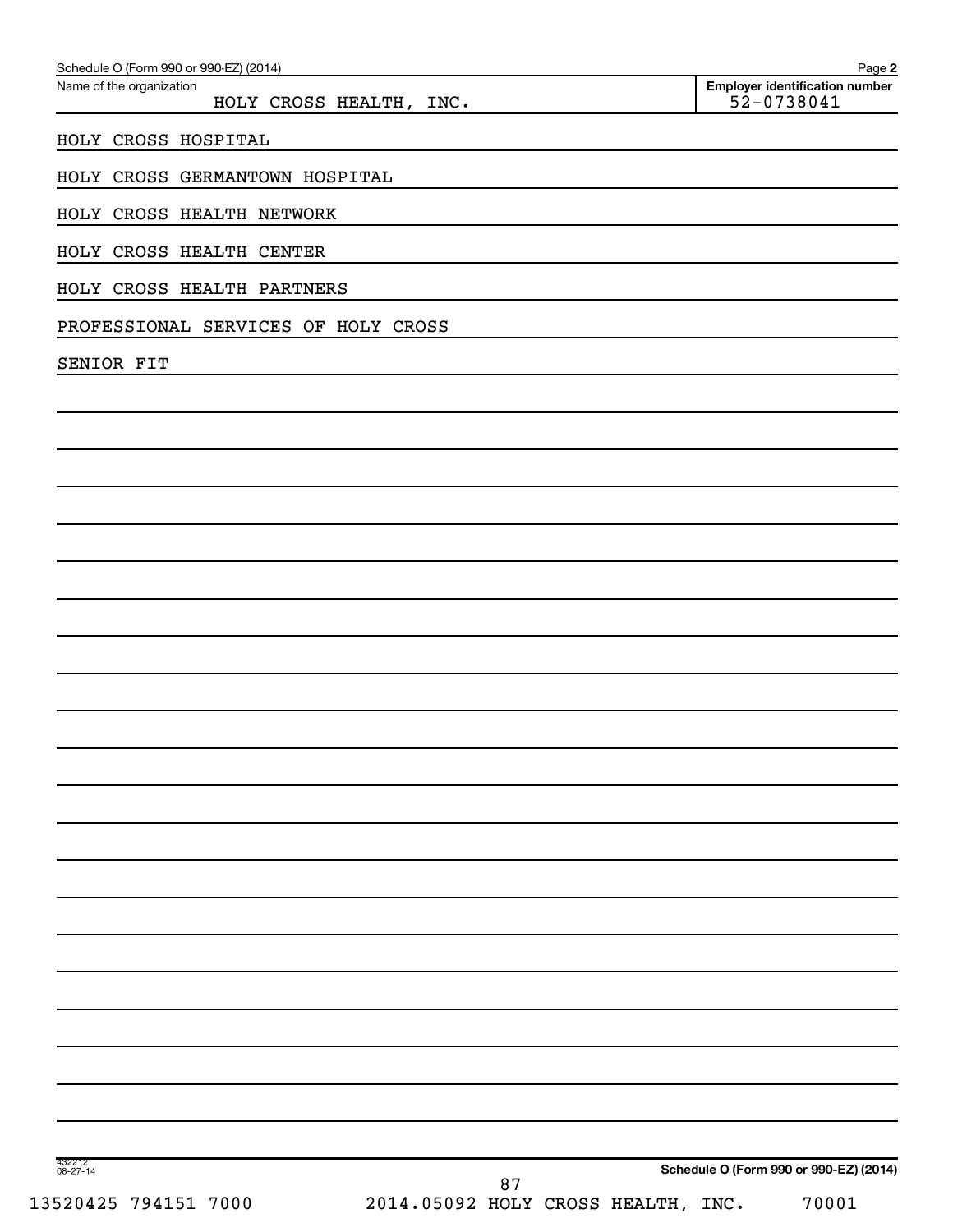| Schedule O (Form 990 or 990-EZ) (2014)<br>Name of the organization<br>HOLY CROSS HEALTH, INC. | Page 2<br>Employer identification number<br>$52 - 0738041$ |
|-----------------------------------------------------------------------------------------------|------------------------------------------------------------|
| HOLY CROSS HOSPITAL                                                                           |                                                            |
| HOLY CROSS GERMANTOWN HOSPITAL                                                                |                                                            |
| HOLY CROSS HEALTH NETWORK                                                                     |                                                            |
| HOLY CROSS HEALTH CENTER                                                                      |                                                            |
| HOLY CROSS HEALTH PARTNERS                                                                    |                                                            |
| PROFESSIONAL SERVICES OF HOLY CROSS                                                           |                                                            |
| SENIOR FIT                                                                                    |                                                            |
|                                                                                               |                                                            |
|                                                                                               |                                                            |
|                                                                                               |                                                            |
|                                                                                               |                                                            |
|                                                                                               |                                                            |
|                                                                                               |                                                            |
|                                                                                               |                                                            |
|                                                                                               |                                                            |
|                                                                                               |                                                            |
|                                                                                               |                                                            |
|                                                                                               |                                                            |
|                                                                                               |                                                            |
|                                                                                               |                                                            |
|                                                                                               |                                                            |
|                                                                                               |                                                            |
|                                                                                               |                                                            |
|                                                                                               |                                                            |
|                                                                                               |                                                            |
|                                                                                               |                                                            |
|                                                                                               |                                                            |
|                                                                                               |                                                            |
| 432212<br>08-27-14<br>87                                                                      | Schedule O (Form 990 or 990-EZ) (2014)                     |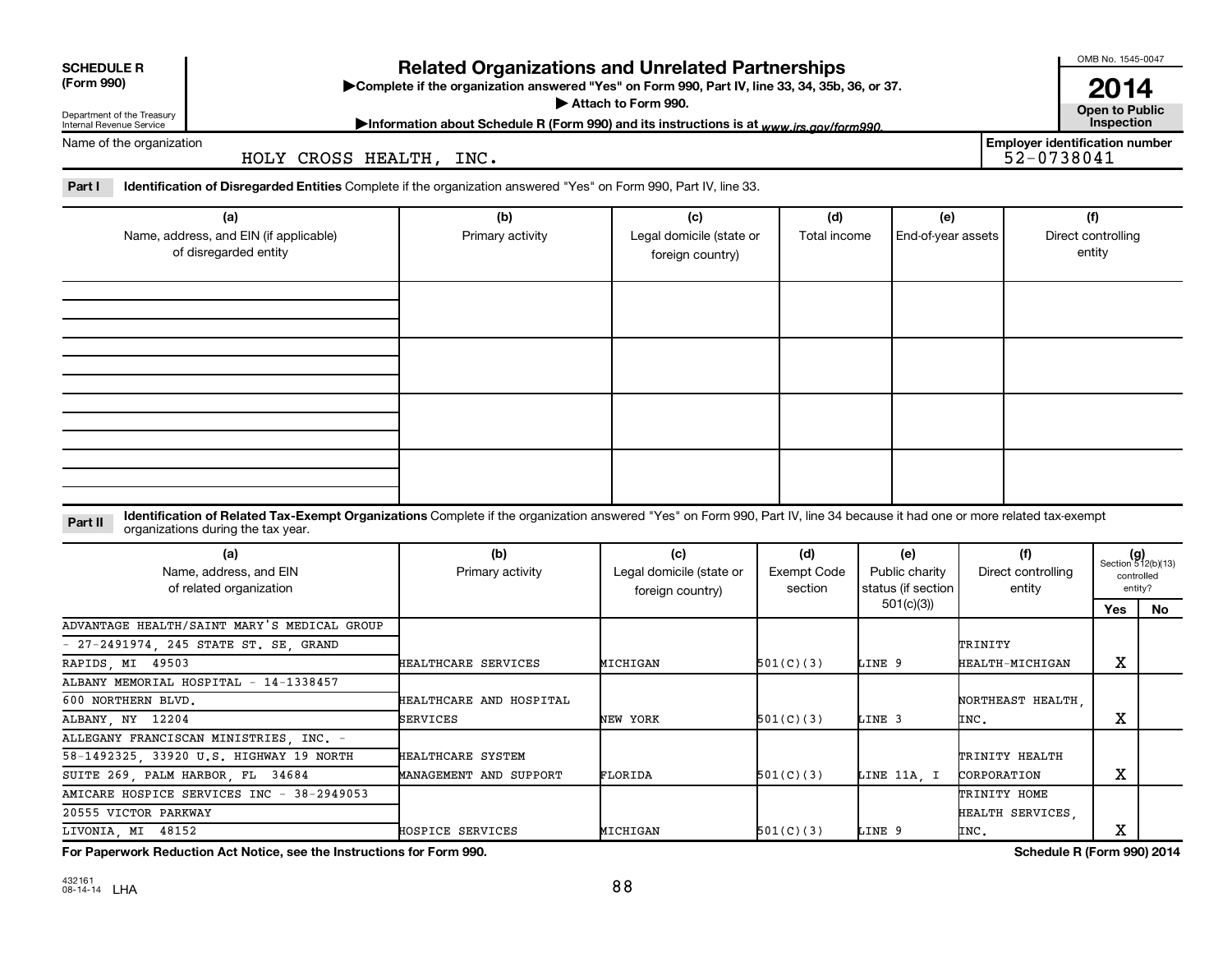| For Paperwork Reduction Act Notice, see the Instructions for Form 990. | Schedule R (Form 990) 2014 |
|------------------------------------------------------------------------|----------------------------|
|                                                                        |                            |

432161 08-14-14 LHA

Department of the Treasury Internal Revenue Service

Name of the organization

**SCHEDULE R**

## 88

| Identification of Related Tax-Exempt Organizations Complete if the organization answered "Yes" on Form 990, Part IV, line 34 because it had one or more related tax-exempt<br>Part II<br>organizations during the tax year. |                         |                                                     |                                      |                                             |                                     |                                                      |           |
|-----------------------------------------------------------------------------------------------------------------------------------------------------------------------------------------------------------------------------|-------------------------|-----------------------------------------------------|--------------------------------------|---------------------------------------------|-------------------------------------|------------------------------------------------------|-----------|
| (a)<br>Name, address, and EIN<br>of related organization                                                                                                                                                                    | (b)<br>Primary activity | (c)<br>Legal domicile (state or<br>foreign country) | (d)<br><b>Exempt Code</b><br>section | (e)<br>Public charity<br>status (if section | (f)<br>Direct controlling<br>entity | $(g)$<br>Section 512(b)(13)<br>controlled<br>entity? |           |
|                                                                                                                                                                                                                             |                         |                                                     |                                      | 501(c)(3))                                  |                                     | Yes                                                  | <b>No</b> |
| ADVANTAGE HEALTH/SAINT MARY'S MEDICAL GROUP                                                                                                                                                                                 |                         |                                                     |                                      |                                             |                                     |                                                      |           |
| - 27-2491974, 245 STATE ST. SE, GRAND                                                                                                                                                                                       |                         |                                                     |                                      |                                             | TRINITY                             |                                                      |           |
| RAPIDS, MI 49503                                                                                                                                                                                                            | HEALTHCARE SERVICES     | MICHIGAN                                            | 501(C)(3)                            | LINE 9                                      | HEALTH-MICHIGAN                     | х                                                    |           |
| ALBANY MEMORIAL HOSPITAL - 14-1338457                                                                                                                                                                                       |                         |                                                     |                                      |                                             |                                     |                                                      |           |
| 600 NORTHERN BLVD.                                                                                                                                                                                                          | HEALTHCARE AND HOSPITAL |                                                     |                                      |                                             | NORTHEAST HEALTH                    |                                                      |           |
| ALBANY, NY 12204                                                                                                                                                                                                            | SERVICES                | NEW YORK                                            | 501(C)(3)                            | LINE 3                                      | INC.                                | х                                                    |           |
| ALLEGANY FRANCISCAN MINISTRIES, INC. -                                                                                                                                                                                      |                         |                                                     |                                      |                                             |                                     |                                                      |           |
| 58-1492325, 33920 U.S. HIGHWAY 19 NORTH                                                                                                                                                                                     | HEALTHCARE SYSTEM       |                                                     |                                      |                                             | TRINITY HEALTH                      |                                                      |           |
| SUITE 269, PALM HARBOR, FL 34684                                                                                                                                                                                            | MANAGEMENT AND SUPPORT  | FLORIDA                                             | 501(C)(3)                            | LINE 11A. I                                 | CORPORATION                         | х                                                    |           |
| AMICARE HOSPICE SERVICES INC - 38-2949053                                                                                                                                                                                   |                         |                                                     |                                      |                                             | TRINITY HOME                        |                                                      |           |
| 20555 VICTOR PARKWAY                                                                                                                                                                                                        |                         |                                                     |                                      |                                             | HEALTH SERVICES                     |                                                      |           |
| LIVONIA, MI 48152                                                                                                                                                                                                           | HOSPICE SERVICES        | MICHIGAN                                            | 501(C)(3)                            | LINE 9                                      | INC.                                | X                                                    |           |

| Name, address, and EIN (if applicable)<br>of disregarded entity | Primary activity | Legal domicile (state or<br>foreign country) | Total income | End-of-year assets | Direct controlling<br>entity |
|-----------------------------------------------------------------|------------------|----------------------------------------------|--------------|--------------------|------------------------------|
|                                                                 |                  |                                              |              |                    |                              |
|                                                                 |                  |                                              |              |                    |                              |
|                                                                 |                  |                                              |              |                    |                              |
|                                                                 |                  |                                              |              |                    |                              |
|                                                                 |                  |                                              |              |                    |                              |
|                                                                 |                  |                                              |              |                    |                              |
|                                                                 |                  |                                              |              |                    |                              |
|                                                                 |                  |                                              |              |                    |                              |
|                                                                 |                  |                                              |              |                    |                              |
|                                                                 |                  |                                              |              |                    |                              |

## Part I ldentification of Disregarded Entities Complete if the organization answered "Yes" on Form 990, Part IV, line 33.

**Related Organizations and Unrelated Partnerships**

**(Form 990) Complete if the organization answered "Yes" on Form 990, Part IV, line 33, 34, 35b, 36, or 37.** |

Attach to Form 990.

**(a) (b) (c) (d) (e) (f)**

HOLY CROSS HEALTH, INC.

OMB No. 1545-0047

**Ather to Public<br>Inspection 2014**

Information about Schedule R (Form 990) and its instructions is at www.irs.gov/form990.

**Employer identification number**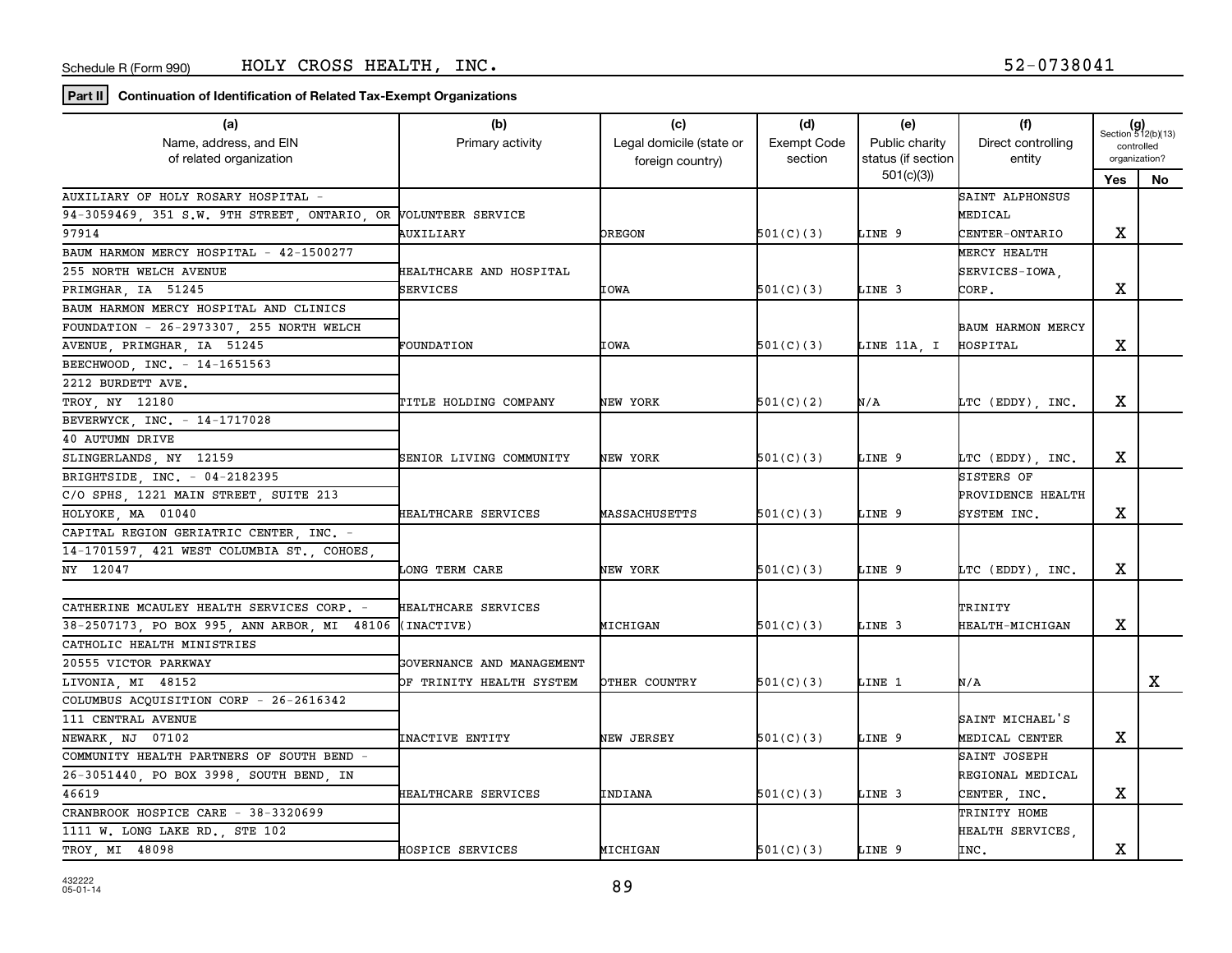| (a)                                          | (b)                             | (c)                      | (d)                | (e)                | (f)                      | $(g)$<br>Section 512(b)(13) |    |
|----------------------------------------------|---------------------------------|--------------------------|--------------------|--------------------|--------------------------|-----------------------------|----|
| Name, address, and EIN                       | Primary activity                | Legal domicile (state or | <b>Exempt Code</b> | Public charity     | Direct controlling       | controlled                  |    |
| of related organization                      |                                 | foreign country)         | section            | status (if section | entity                   | organization?               |    |
|                                              |                                 |                          |                    | 501(c)(3)          |                          | Yes                         | No |
| AUXILIARY OF HOLY ROSARY HOSPITAL -          |                                 |                          |                    |                    | SAINT ALPHONSUS          |                             |    |
| 94-3059469, 351 S.W. 9TH STREET, ONTARIO, OR | <b><i>NOLUNTEER SERVICE</i></b> |                          |                    |                    | MEDICAL                  |                             |    |
| 97914                                        | AUXILIARY                       | OREGON                   | 501(C)(3)          | LINE 9             | <b>CENTER-ONTARIO</b>    | х                           |    |
| BAUM HARMON MERCY HOSPITAL - 42-1500277      |                                 |                          |                    |                    | MERCY HEALTH             |                             |    |
| 255 NORTH WELCH AVENUE                       | HEALTHCARE AND HOSPITAL         |                          |                    |                    | SERVICES-IOWA,           |                             |    |
| PRIMGHAR, IA 51245                           | SERVICES                        | IOWA                     | 501(C)(3)          | LINE 3             | CORP.                    | X                           |    |
| BAUM HARMON MERCY HOSPITAL AND CLINICS       |                                 |                          |                    |                    |                          |                             |    |
| FOUNDATION - $26-2973307$ , 255 NORTH WELCH  |                                 |                          |                    |                    | <b>BAUM HARMON MERCY</b> |                             |    |
| AVENUE, PRIMGHAR, IA 51245                   | FOUNDATION                      | IOWA                     | 501(C)(3)          | LINE 11A, I        | HOSPITAL                 | х                           |    |
| BEECHWOOD, INC. - 14-1651563                 |                                 |                          |                    |                    |                          |                             |    |
| 2212 BURDETT AVE.                            |                                 |                          |                    |                    |                          |                             |    |
| TROY, NY 12180                               | TITLE HOLDING COMPANY           | NEW YORK                 | 501(C)(2)          | N/A                | LTC (EDDY), INC.         | х                           |    |
| BEVERWYCK, INC. - 14-1717028                 |                                 |                          |                    |                    |                          |                             |    |
| 40 AUTUMN DRIVE                              |                                 |                          |                    |                    |                          |                             |    |
| SLINGERLANDS, NY 12159                       | SENIOR LIVING COMMUNITY         | NEW YORK                 | 501(C)(3)          | LINE 9             | LTC (EDDY), INC.         | х                           |    |
| BRIGHTSIDE INC. - 04-2182395                 |                                 |                          |                    |                    | SISTERS OF               |                             |    |
| C/O SPHS, 1221 MAIN STREET, SUITE 213        |                                 |                          |                    |                    | PROVIDENCE HEALTH        |                             |    |
| HOLYOKE, MA 01040                            | HEALTHCARE SERVICES             | MASSACHUSETTS            | 501(C)(3)          | LINE 9             | SYSTEM INC.              | х                           |    |
| CAPITAL REGION GERIATRIC CENTER, INC. -      |                                 |                          |                    |                    |                          |                             |    |
| 14-1701597, 421 WEST COLUMBIA ST., COHOES,   |                                 |                          |                    |                    |                          |                             |    |
| NY 12047                                     | <b>LONG TERM CARE</b>           | NEW YORK                 | 501(C)(3)          | LINE 9             | LTC (EDDY), INC.         | х                           |    |
|                                              |                                 |                          |                    |                    |                          |                             |    |
| CATHERINE MCAULEY HEALTH SERVICES CORP. -    | HEALTHCARE SERVICES             |                          |                    |                    | TRINITY                  |                             |    |
| 38-2507173, PO BOX 995, ANN ARBOR, MI 48106  | (INACTIVE)                      | MICHIGAN                 | 501(C)(3)          | LINE 3             | HEALTH-MICHIGAN          | х                           |    |
| CATHOLIC HEALTH MINISTRIES                   |                                 |                          |                    |                    |                          |                             |    |
| 20555 VICTOR PARKWAY                         | GOVERNANCE AND MANAGEMENT       |                          |                    |                    |                          |                             |    |
| LIVONIA, MI 48152                            | OF TRINITY HEALTH SYSTEM        | OTHER COUNTRY            | 501(C)(3)          | LINE 1             | N/A                      |                             | X  |
| COLUMBUS ACQUISITION CORP - 26-2616342       |                                 |                          |                    |                    |                          |                             |    |
| 111 CENTRAL AVENUE                           |                                 |                          |                    |                    | SAINT MICHAEL'S          |                             |    |
| NEWARK NJ 07102                              | <b>INACTIVE ENTITY</b>          | NEW JERSEY               | 501(C)(3)          | LINE 9             | MEDICAL CENTER           | x                           |    |
| COMMUNITY HEALTH PARTNERS OF SOUTH BEND      |                                 |                          |                    |                    | SAINT JOSEPH             |                             |    |
| 26-3051440, PO BOX 3998, SOUTH BEND, IN      |                                 |                          |                    |                    | REGIONAL MEDICAL         |                             |    |
| 46619                                        | HEALTHCARE SERVICES             | INDIANA                  | 501(C)(3)          | LINE 3             | CENTER, INC.             | х                           |    |
| CRANBROOK HOSPICE CARE - 38-3320699          |                                 |                          |                    |                    | TRINITY HOME             |                             |    |
| 1111 W. LONG LAKE RD., STE 102               |                                 |                          |                    |                    | HEALTH SERVICES,         |                             |    |
| TROY, MI 48098                               | HOSPICE SERVICES                | MICHIGAN                 | 501(C)(3)          | LINE 9             | INC.                     | X                           |    |
|                                              |                                 |                          |                    |                    |                          |                             |    |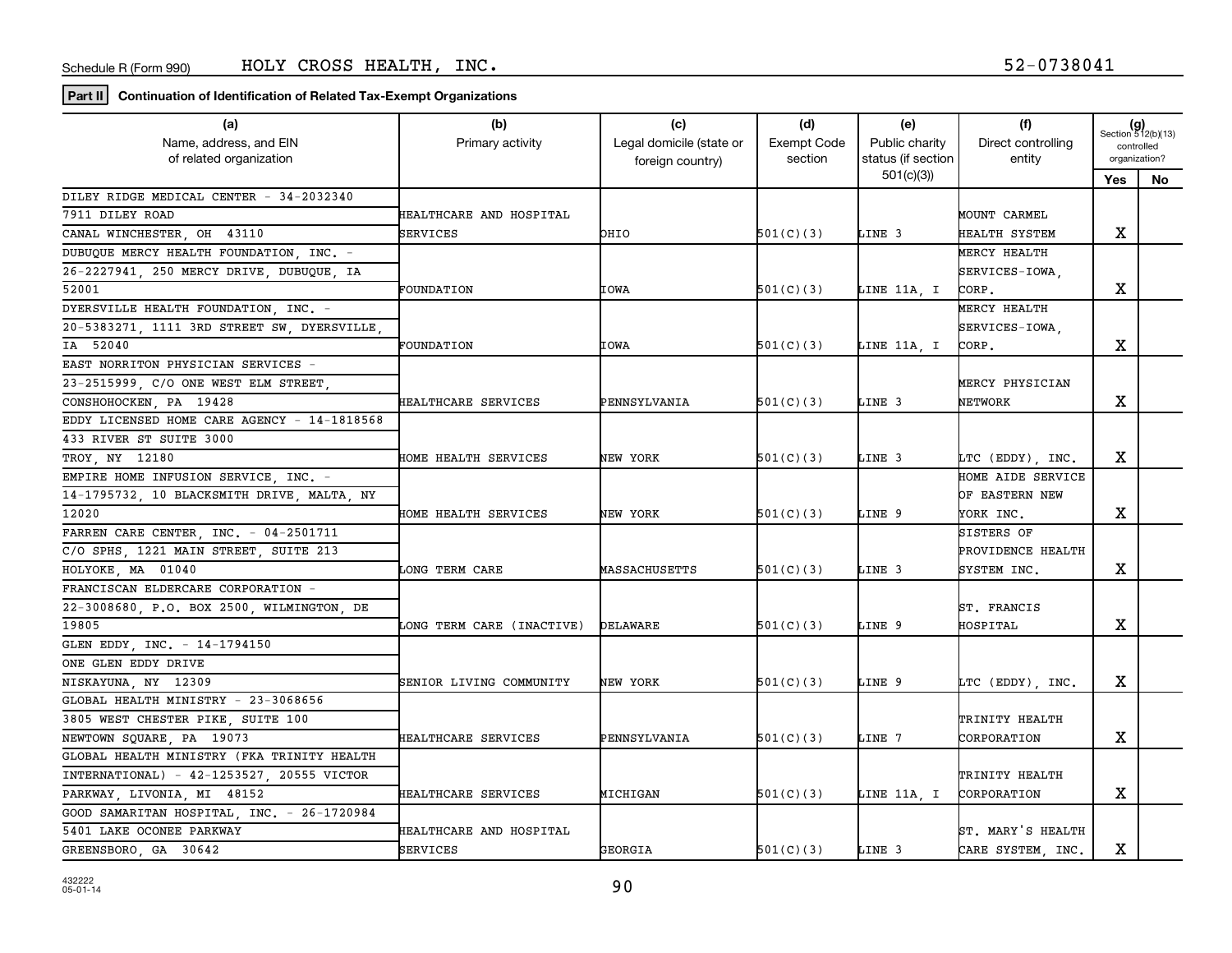| (a)                                         | (b)                       | (c)                      | (d)                | (e)                | (f)                 | $(g)$<br>Section 512(b)(13) |     |
|---------------------------------------------|---------------------------|--------------------------|--------------------|--------------------|---------------------|-----------------------------|-----|
| Name, address, and EIN                      | Primary activity          | Legal domicile (state or | <b>Exempt Code</b> | Public charity     | Direct controlling  | controlled                  |     |
| of related organization                     |                           | foreign country)         | section            | status (if section | entity              | organization?               |     |
|                                             |                           |                          |                    | 501(c)(3)          |                     | Yes                         | No. |
| DILEY RIDGE MEDICAL CENTER - 34-2032340     |                           |                          |                    |                    |                     |                             |     |
| 7911 DILEY ROAD                             | HEALTHCARE AND HOSPITAL   |                          |                    |                    | MOUNT CARMEL        |                             |     |
| CANAL WINCHESTER, OH 43110                  | SERVICES                  | OHIO                     | 501(C)(3)          | LINE 3             | HEALTH SYSTEM       | х                           |     |
| DUBUQUE MERCY HEALTH FOUNDATION, INC. -     |                           |                          |                    |                    | <b>MERCY HEALTH</b> |                             |     |
| 26-2227941, 250 MERCY DRIVE, DUBUQUE, IA    |                           |                          |                    |                    | SERVICES-IOWA.      |                             |     |
| 52001                                       | FOUNDATION                | IOWA                     | 501(C)(3)          | LINE 11A, I        | CORP.               | х                           |     |
| DYERSVILLE HEALTH FOUNDATION, INC. -        |                           |                          |                    |                    | MERCY HEALTH        |                             |     |
| 20-5383271, 1111 3RD STREET SW, DYERSVILLE, |                           |                          |                    |                    | SERVICES-IOWA.      |                             |     |
| IA 52040                                    | FOUNDATION                | IOWA                     | 501(C)(3)          | LINE 11A. I        | CORP.               | х                           |     |
| EAST NORRITON PHYSICIAN SERVICES -          |                           |                          |                    |                    |                     |                             |     |
| 23-2515999, C/O ONE WEST ELM STREET,        |                           |                          |                    |                    | MERCY PHYSICIAN     |                             |     |
| CONSHOHOCKEN, PA 19428                      | HEALTHCARE SERVICES       | PENNSYLVANIA             | 501(C)(3)          | LINE 3             | <b>NETWORK</b>      | х                           |     |
| EDDY LICENSED HOME CARE AGENCY - 14-1818568 |                           |                          |                    |                    |                     |                             |     |
| 433 RIVER ST SUITE 3000                     |                           |                          |                    |                    |                     |                             |     |
| TROY, NY 12180                              | HOME HEALTH SERVICES      | NEW YORK                 | 501(C)(3)          | LINE 3             | LTC (EDDY), INC.    | х                           |     |
| EMPIRE HOME INFUSION SERVICE, INC. -        |                           |                          |                    |                    | HOME AIDE SERVICE   |                             |     |
| 14-1795732, 10 BLACKSMITH DRIVE, MALTA, NY  |                           |                          |                    |                    | OF EASTERN NEW      |                             |     |
| 12020                                       | HOME HEALTH SERVICES      | NEW YORK                 | 501(C)(3)          | LINE 9             | YORK INC.           | X                           |     |
| FARREN CARE CENTER, INC. - 04-2501711       |                           |                          |                    |                    | SISTERS OF          |                             |     |
| C/O SPHS, 1221 MAIN STREET, SUITE 213       |                           |                          |                    |                    | PROVIDENCE HEALTH   |                             |     |
| HOLYOKE, MA 01040                           | LONG TERM CARE            | MASSACHUSETTS            | 501(C)(3)          | LINE 3             | SYSTEM INC.         | X                           |     |
| FRANCISCAN ELDERCARE CORPORATION -          |                           |                          |                    |                    |                     |                             |     |
| 22-3008680, P.O. BOX 2500, WILMINGTON, DE   |                           |                          |                    |                    | ST. FRANCIS         |                             |     |
| 19805                                       | LONG TERM CARE (INACTIVE) | DELAWARE                 | 501(C)(3)          | LINE 9             | HOSPITAL            | х                           |     |
| GLEN EDDY, INC. - 14-1794150                |                           |                          |                    |                    |                     |                             |     |
| ONE GLEN EDDY DRIVE                         |                           |                          |                    |                    |                     |                             |     |
| NISKAYUNA, NY 12309                         | SENIOR LIVING COMMUNITY   | NEW YORK                 | 501(C)(3)          | LINE 9             | LTC (EDDY), INC.    | х                           |     |
| GLOBAL HEALTH MINISTRY - 23-3068656         |                           |                          |                    |                    |                     |                             |     |
| 3805 WEST CHESTER PIKE, SUITE 100           |                           |                          |                    |                    | TRINITY HEALTH      |                             |     |
| NEWTOWN SQUARE, PA 19073                    | HEALTHCARE SERVICES       | PENNSYLVANIA             | 501(C)(3)          | LINE 7             | CORPORATION         | х                           |     |
| GLOBAL HEALTH MINISTRY (FKA TRINITY HEALTH  |                           |                          |                    |                    |                     |                             |     |
| INTERNATIONAL) - 42-1253527 20555 VICTOR    |                           |                          |                    |                    | TRINITY HEALTH      |                             |     |
| PARKWAY, LIVONIA, MI 48152                  | HEALTHCARE SERVICES       | MICHIGAN                 | 501(C)(3)          | LINE 11A. I        | CORPORATION         | х                           |     |
| GOOD SAMARITAN HOSPITAL, INC. - 26-1720984  |                           |                          |                    |                    |                     |                             |     |
| 5401 LAKE OCONEE PARKWAY                    | HEALTHCARE AND HOSPITAL   |                          |                    |                    | ST. MARY'S HEALTH   |                             |     |
| GREENSBORO, GA 30642                        | <b>SERVICES</b>           | GEORGIA                  | 501(C)(3)          | LINE 3             | CARE SYSTEM, INC.   | х                           |     |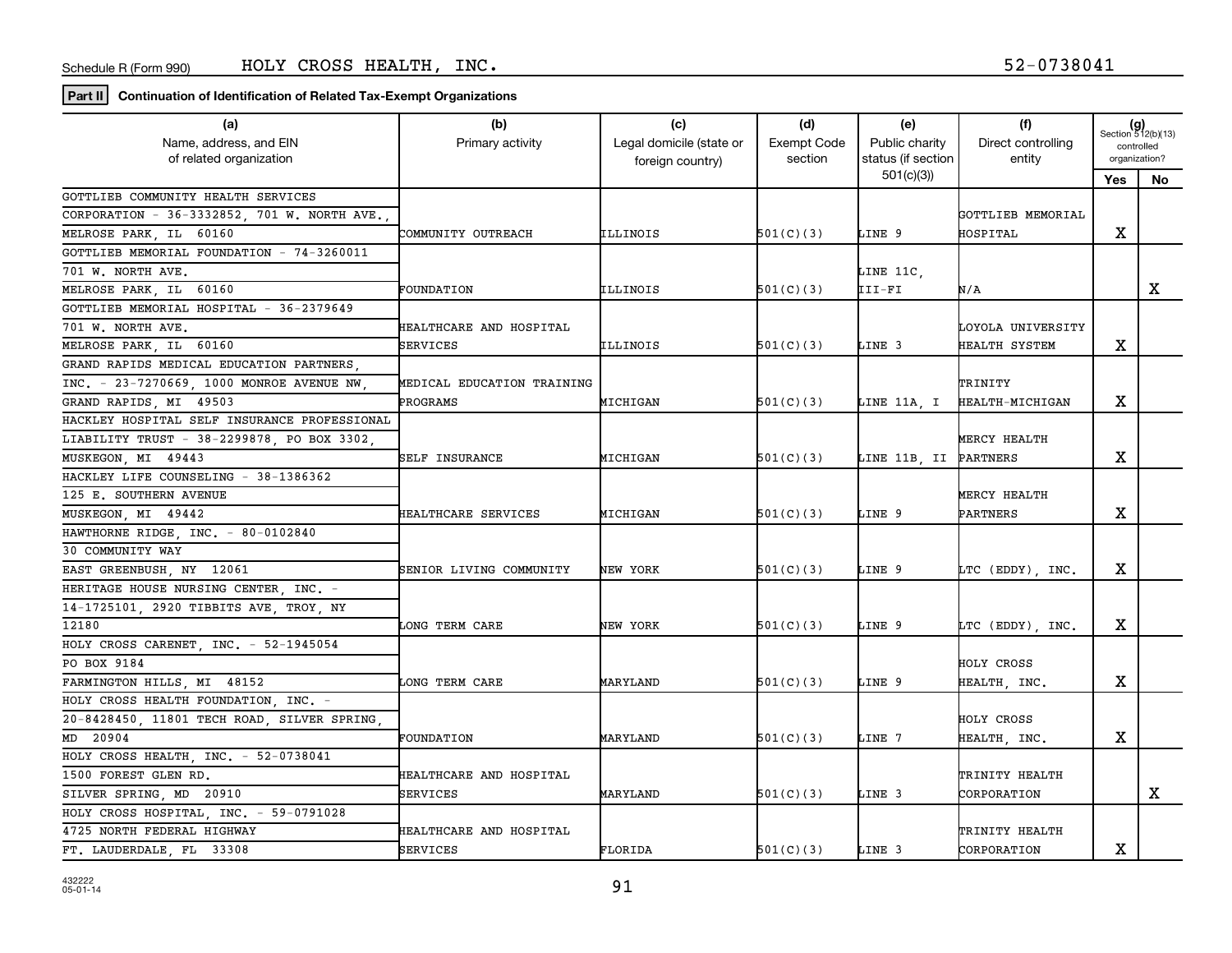| (a)                                            | (b)                        | (c)                      | (d)                | (e)                   | (f)                | $(g)$<br>Section 512(b)(13) |             |
|------------------------------------------------|----------------------------|--------------------------|--------------------|-----------------------|--------------------|-----------------------------|-------------|
| Name, address, and EIN                         | Primary activity           | Legal domicile (state or | <b>Exempt Code</b> | Public charity        | Direct controlling | controlled                  |             |
| of related organization                        |                            | foreign country)         | section            | status (if section    | entity             | organization?               |             |
|                                                |                            |                          |                    | 501(c)(3)             |                    | Yes                         | No          |
| GOTTLIEB COMMUNITY HEALTH SERVICES             |                            |                          |                    |                       |                    |                             |             |
| CORPORATION - $36-3332852$ , 701 W. NORTH AVE. |                            |                          |                    |                       | GOTTLIEB MEMORIAL  |                             |             |
| MELROSE PARK, IL 60160                         | COMMUNITY OUTREACH         | ILLINOIS                 | 501(C)(3)          | LINE 9                | HOSPITAL           | X                           |             |
| GOTTLIEB MEMORIAL FOUNDATION - 74-3260011      |                            |                          |                    |                       |                    |                             |             |
| 701 W. NORTH AVE.                              |                            |                          |                    | LINE 11C,             |                    |                             |             |
| MELROSE PARK, IL 60160                         | FOUNDATION                 | ILLINOIS                 | 501(C)(3)          | III-FI                | N/A                |                             | х           |
| GOTTLIEB MEMORIAL HOSPITAL - 36-2379649        |                            |                          |                    |                       |                    |                             |             |
| 701 W. NORTH AVE.                              | HEALTHCARE AND HOSPITAL    |                          |                    |                       | LOYOLA UNIVERSITY  |                             |             |
| MELROSE PARK, IL 60160                         | SERVICES                   | ILLINOIS                 | 501(C)(3)          | LINE 3                | HEALTH SYSTEM      | х                           |             |
| GRAND RAPIDS MEDICAL EDUCATION PARTNERS        |                            |                          |                    |                       |                    |                             |             |
| INC. - 23-7270669, 1000 MONROE AVENUE NW       | MEDICAL EDUCATION TRAINING |                          |                    |                       | TRINITY            |                             |             |
| GRAND RAPIDS, MI 49503                         | PROGRAMS                   | MICHIGAN                 | 501(C)(3)          | LINE 11A, I           | HEALTH-MICHIGAN    | х                           |             |
| HACKLEY HOSPITAL SELF INSURANCE PROFESSIONAL   |                            |                          |                    |                       |                    |                             |             |
| LIABILITY TRUST - 38-2299878, PO BOX 3302,     |                            |                          |                    |                       | MERCY HEALTH       |                             |             |
| MUSKEGON, MI 49443                             | SELF INSURANCE             | MICHIGAN                 | 501(C)(3)          | LINE 11B, II PARTNERS |                    | х                           |             |
| HACKLEY LIFE COUNSELING - 38-1386362           |                            |                          |                    |                       |                    |                             |             |
| 125 E. SOUTHERN AVENUE                         |                            |                          |                    |                       | MERCY HEALTH       |                             |             |
| MUSKEGON, MI 49442                             | HEALTHCARE SERVICES        | MICHIGAN                 | 501(C)(3)          | LINE 9                | <b>PARTNERS</b>    | X                           |             |
| HAWTHORNE RIDGE, INC. - 80-0102840             |                            |                          |                    |                       |                    |                             |             |
| 30 COMMUNITY WAY                               |                            |                          |                    |                       |                    |                             |             |
| EAST GREENBUSH, NY 12061                       | SENIOR LIVING COMMUNITY    | NEW YORK                 | 501(C)(3)          | LINE 9                | LTC (EDDY), INC.   | х                           |             |
| HERITAGE HOUSE NURSING CENTER INC. -           |                            |                          |                    |                       |                    |                             |             |
| 14-1725101, 2920 TIBBITS AVE, TROY, NY         |                            |                          |                    |                       |                    |                             |             |
| 12180                                          | LONG TERM CARE             | NEW YORK                 | 501(C)(3)          | LINE 9                | LTC (EDDY), INC.   | х                           |             |
| HOLY CROSS CARENET, INC. - 52-1945054          |                            |                          |                    |                       |                    |                             |             |
| PO BOX 9184                                    |                            |                          |                    |                       | HOLY CROSS         |                             |             |
| FARMINGTON HILLS, MI 48152                     | <b>LONG TERM CARE</b>      | MARYLAND                 | 501(C)(3)          | LINE 9                | HEALTH, INC.       | х                           |             |
| HOLY CROSS HEALTH FOUNDATION, INC. -           |                            |                          |                    |                       |                    |                             |             |
| 20-8428450, 11801 TECH ROAD, SILVER SPRING     |                            |                          |                    |                       | HOLY CROSS         |                             |             |
| MD 20904                                       | FOUNDATION                 | MARYLAND                 | 501(C)(3)          | LINE 7                | HEALTH, INC.       | Х                           |             |
| HOLY CROSS HEALTH, INC. - 52-0738041           |                            |                          |                    |                       |                    |                             |             |
| 1500 FOREST GLEN RD.                           | HEALTHCARE AND HOSPITAL    |                          |                    |                       | TRINITY HEALTH     |                             |             |
| SILVER SPRING, MD 20910                        | SERVICES                   | MARYLAND                 | 501(C)(3)          | LINE 3                | CORPORATION        |                             | $\mathbf X$ |
| HOLY CROSS HOSPITAL, INC. - 59-0791028         |                            |                          |                    |                       |                    |                             |             |
| 4725 NORTH FEDERAL HIGHWAY                     | HEALTHCARE AND HOSPITAL    |                          |                    |                       | TRINITY HEALTH     |                             |             |
| FT. LAUDERDALE, FL 33308                       | SERVICES                   | FLORIDA                  | 501(C)(3)          | LINE 3                | CORPORATION        | х                           |             |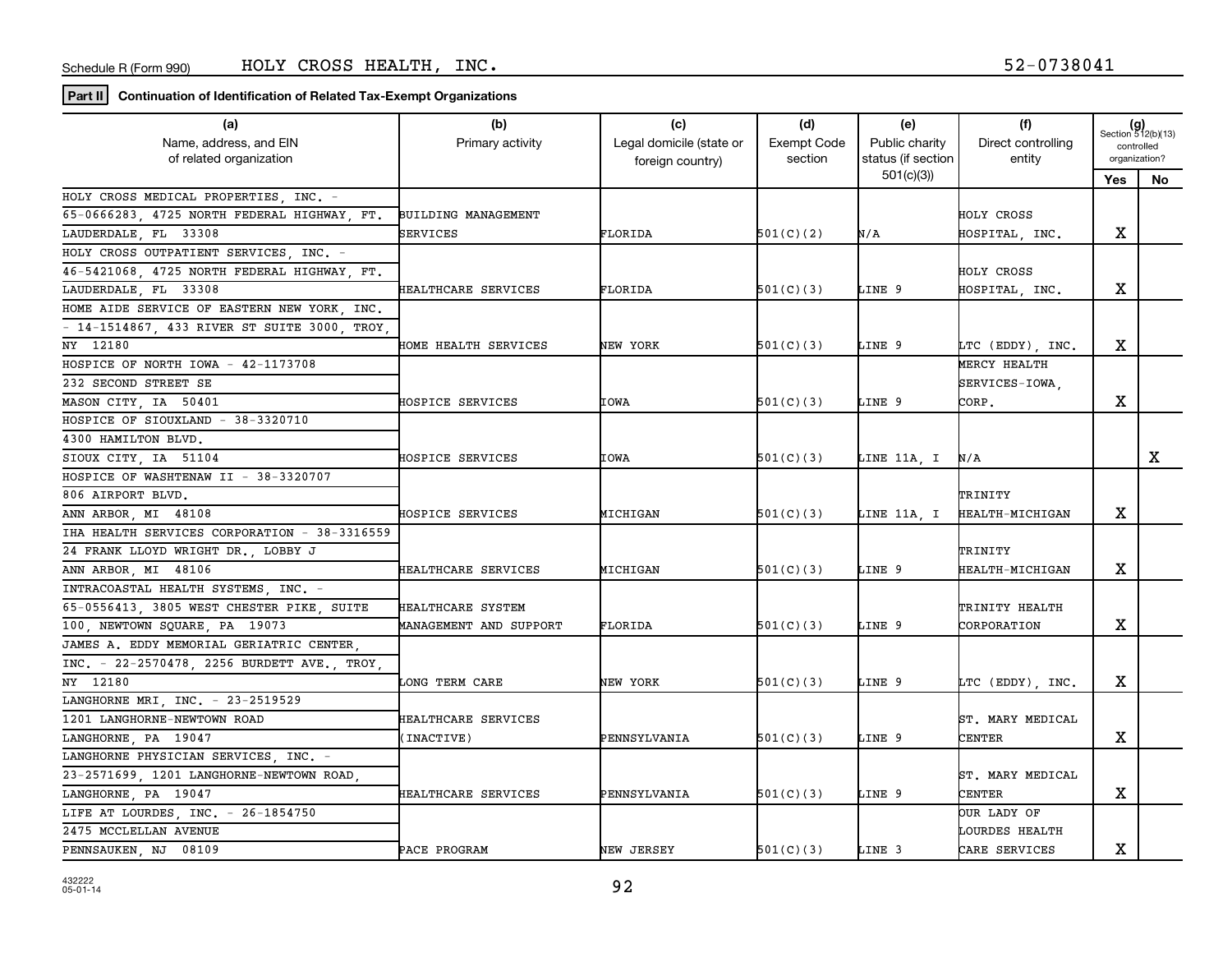| (a)<br>Name, address, and EIN<br>of related organization | (b)<br>Primary activity    | (c)<br>Legal domicile (state or<br>foreign country) | (d)<br><b>Exempt Code</b><br>section | (e)<br>Public charity<br>status (if section | (f)<br>Direct controlling<br>entity | $(g)$<br>Section 512(b)(13)<br>controlled<br>organization? |           |
|----------------------------------------------------------|----------------------------|-----------------------------------------------------|--------------------------------------|---------------------------------------------|-------------------------------------|------------------------------------------------------------|-----------|
|                                                          |                            |                                                     |                                      | 501(c)(3)                                   |                                     | Yes                                                        | <b>No</b> |
| HOLY CROSS MEDICAL PROPERTIES, INC. -                    |                            |                                                     |                                      |                                             |                                     |                                                            |           |
| 65-0666283 4725 NORTH FEDERAL HIGHWAY FT.                | <b>BUILDING MANAGEMENT</b> |                                                     |                                      |                                             | HOLY CROSS                          |                                                            |           |
| LAUDERDALE FL 33308                                      | SERVICES                   | FLORIDA                                             | 501(C)(2)                            | N/A                                         | HOSPITAL, INC.                      | х                                                          |           |
| HOLY CROSS OUTPATIENT SERVICES, INC. -                   |                            |                                                     |                                      |                                             |                                     |                                                            |           |
| 46-5421068, 4725 NORTH FEDERAL HIGHWAY, FT.              |                            |                                                     |                                      |                                             | HOLY CROSS                          |                                                            |           |
| LAUDERDALE, FL 33308                                     | HEALTHCARE SERVICES        | FLORIDA                                             | 501(C)(3)                            | LINE 9                                      | HOSPITAL, INC.                      | х                                                          |           |
| HOME AIDE SERVICE OF EASTERN NEW YORK, INC.              |                            |                                                     |                                      |                                             |                                     |                                                            |           |
| - 14-1514867, 433 RIVER ST SUITE 3000, TROY,             |                            |                                                     |                                      |                                             |                                     |                                                            |           |
| NY 12180                                                 | HOME HEALTH SERVICES       | NEW YORK                                            | 501(C)(3)                            | LINE 9                                      | LTC (EDDY), INC.                    | х                                                          |           |
| HOSPICE OF NORTH IOWA - 42-1173708                       |                            |                                                     |                                      |                                             | MERCY HEALTH                        |                                                            |           |
| 232 SECOND STREET SE                                     |                            |                                                     |                                      |                                             | SERVICES-IOWA.                      |                                                            |           |
| MASON CITY, IA 50401                                     | HOSPICE SERVICES           | IOWA                                                | 501(C)(3)                            | LINE 9                                      | CORP.                               | х                                                          |           |
| HOSPICE OF SIOUXLAND - 38-3320710                        |                            |                                                     |                                      |                                             |                                     |                                                            |           |
| 4300 HAMILTON BLVD.                                      |                            |                                                     |                                      |                                             |                                     |                                                            |           |
| SIOUX CITY IA 51104                                      | HOSPICE SERVICES           | IOWA                                                | 501(C)(3)                            | LINE 11A, I                                 | N/A                                 |                                                            | x         |
| HOSPICE OF WASHTENAW II - 38-3320707                     |                            |                                                     |                                      |                                             |                                     |                                                            |           |
| 806 AIRPORT BLVD.                                        |                            |                                                     |                                      |                                             | TRINITY                             |                                                            |           |
| ANN ARBOR, MI 48108                                      | HOSPICE SERVICES           | MICHIGAN                                            | 501(C)(3)                            | LINE 11A, I                                 | HEALTH-MICHIGAN                     | X                                                          |           |
| IHA HEALTH SERVICES CORPORATION - 38-3316559             |                            |                                                     |                                      |                                             |                                     |                                                            |           |
| 24 FRANK LLOYD WRIGHT DR., LOBBY J                       |                            |                                                     |                                      |                                             | TRINITY                             |                                                            |           |
| ANN ARBOR, MI 48106                                      | HEALTHCARE SERVICES        | MICHIGAN                                            | 501(C)(3)                            | LINE 9                                      | HEALTH-MICHIGAN                     | х                                                          |           |
| INTRACOASTAL HEALTH SYSTEMS, INC. -                      |                            |                                                     |                                      |                                             |                                     |                                                            |           |
| 65-0556413, 3805 WEST CHESTER PIKE, SUITE                | HEALTHCARE SYSTEM          |                                                     |                                      |                                             | TRINITY HEALTH                      |                                                            |           |
| 100, NEWTOWN SQUARE, PA 19073                            | MANAGEMENT AND SUPPORT     | FLORIDA                                             | 501(C)(3)                            | LINE 9                                      | CORPORATION                         | X                                                          |           |
| JAMES A. EDDY MEMORIAL GERIATRIC CENTER.                 |                            |                                                     |                                      |                                             |                                     |                                                            |           |
| INC. - 22-2570478, 2256 BURDETT AVE., TROY,              |                            |                                                     |                                      |                                             |                                     |                                                            |           |
| NY 12180                                                 | <b>LONG TERM CARE</b>      | NEW YORK                                            | 501(C)(3)                            | LINE 9                                      | LTC (EDDY), INC.                    | х                                                          |           |
| LANGHORNE MRI, INC. - 23-2519529                         |                            |                                                     |                                      |                                             |                                     |                                                            |           |
| 1201 LANGHORNE-NEWTOWN ROAD                              | HEALTHCARE SERVICES        |                                                     |                                      |                                             | ST. MARY MEDICAL                    |                                                            |           |
| LANGHORNE, PA 19047                                      | (INACTIVE)                 | PENNSYLVANIA                                        | 501(C)(3)                            | LINE 9                                      | <b>CENTER</b>                       | Х                                                          |           |
| LANGHORNE PHYSICIAN SERVICES, INC. -                     |                            |                                                     |                                      |                                             |                                     |                                                            |           |
| 23-2571699, 1201 LANGHORNE-NEWTOWN ROAD,                 |                            |                                                     |                                      |                                             | ST. MARY MEDICAL                    |                                                            |           |
| LANGHORNE PA 19047                                       | HEALTHCARE SERVICES        | PENNSYLVANIA                                        | 501(C)(3)                            | LINE 9                                      | <b>CENTER</b>                       | х                                                          |           |
| LIFE AT LOURDES, INC. - 26-1854750                       |                            |                                                     |                                      |                                             | OUR LADY OF                         |                                                            |           |
| 2475 MCCLELLAN AVENUE                                    |                            |                                                     |                                      |                                             | LOURDES HEALTH                      |                                                            |           |
| PENNSAUKEN, NJ 08109                                     | PACE PROGRAM               | NEW JERSEY                                          | 501(C)(3)                            | LINE 3                                      | CARE SERVICES                       | X                                                          |           |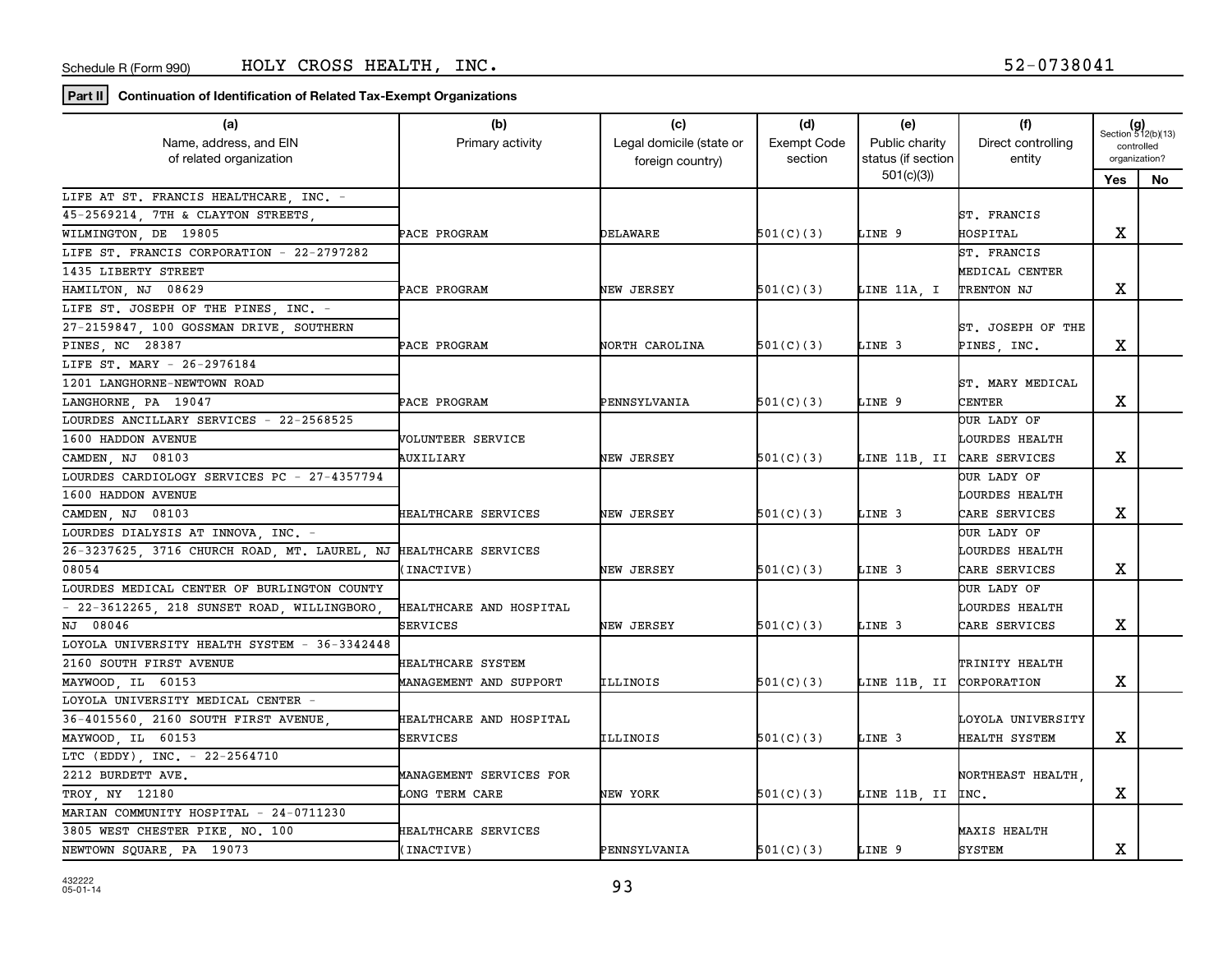| (a)                                          | (b)                     | (c)                      | (d)                | (e)                      | (f)                        | $(g)$<br>Section 512(b)(13) |           |
|----------------------------------------------|-------------------------|--------------------------|--------------------|--------------------------|----------------------------|-----------------------------|-----------|
| Name, address, and EIN                       | Primary activity        | Legal domicile (state or | <b>Exempt Code</b> | Public charity           | Direct controlling         | controlled                  |           |
| of related organization                      |                         | foreign country)         | section            | status (if section       | entity                     | organization?               |           |
|                                              |                         |                          |                    | 501(c)(3)                |                            | Yes                         | <b>No</b> |
| LIFE AT ST. FRANCIS HEALTHCARE, INC. -       |                         |                          |                    |                          |                            |                             |           |
| 45-2569214, 7TH & CLAYTON STREETS,           |                         |                          |                    |                          | ST. FRANCIS                |                             |           |
| WILMINGTON, DE 19805                         | PACE PROGRAM            | DELAWARE                 | 501(C)(3)          | LINE 9                   | HOSPITAL                   | х                           |           |
| LIFE ST. FRANCIS CORPORATION - 22-2797282    |                         |                          |                    |                          | ST. FRANCIS                |                             |           |
| 1435 LIBERTY STREET                          |                         |                          |                    |                          | MEDICAL CENTER             |                             |           |
| HAMILTON, NJ 08629                           | PACE PROGRAM            | NEW JERSEY               | 501(C)(3)          | LINE 11A, I              | TRENTON NJ                 | х                           |           |
| LIFE ST. JOSEPH OF THE PINES, INC. -         |                         |                          |                    |                          |                            |                             |           |
| 27-2159847, 100 GOSSMAN DRIVE, SOUTHERN      |                         |                          |                    |                          | ST. JOSEPH OF THE          |                             |           |
| PINES, NC 28387                              | PACE PROGRAM            | NORTH CAROLINA           | 501(C)(3)          | LINE 3                   | PINES, INC.                | х                           |           |
| LIFE ST. MARY - 26-2976184                   |                         |                          |                    |                          |                            |                             |           |
| 1201 LANGHORNE-NEWTOWN ROAD                  |                         |                          |                    |                          | ST. MARY MEDICAL           |                             |           |
| LANGHORNE PA 19047                           | PACE PROGRAM            | PENNSYLVANIA             | 501(C)(3)          | LINE 9                   | CENTER                     | х                           |           |
| LOURDES ANCILLARY SERVICES - 22-2568525      |                         |                          |                    |                          | OUR LADY OF                |                             |           |
| 1600 HADDON AVENUE                           | VOLUNTEER SERVICE       |                          |                    |                          | LOURDES HEALTH             |                             |           |
| CAMDEN, NJ 08103                             | AUXILIARY               | NEW JERSEY               | 501(C)(3)          |                          | LINE 11B, II CARE SERVICES | х                           |           |
| LOURDES CARDIOLOGY SERVICES PC - 27-4357794  |                         |                          |                    |                          | OUR LADY OF                |                             |           |
| 1600 HADDON AVENUE                           |                         |                          |                    |                          | LOURDES HEALTH             |                             |           |
| CAMDEN, NJ 08103                             | HEALTHCARE SERVICES     | NEW JERSEY               | 501(C)(3)          | LINE 3                   | CARE SERVICES              | х                           |           |
| LOURDES DIALYSIS AT INNOVA, INC. -           |                         |                          |                    |                          | <b>DUR LADY OF</b>         |                             |           |
| 26-3237625, 3716 CHURCH ROAD, MT. LAUREL, NJ | HEALTHCARE SERVICES     |                          |                    |                          | LOURDES HEALTH             |                             |           |
| 08054                                        | <b>INACTIVE)</b>        | NEW JERSEY               | 501(C)(3)          | LINE 3                   | CARE SERVICES              | X                           |           |
| LOURDES MEDICAL CENTER OF BURLINGTON COUNTY  |                         |                          |                    |                          | OUR LADY OF                |                             |           |
| - 22-3612265, 218 SUNSET ROAD, WILLINGBORO,  | HEALTHCARE AND HOSPITAL |                          |                    |                          | LOURDES HEALTH             |                             |           |
| NJ 08046                                     | SERVICES                | NEW JERSEY               | 501(C)(3)          | LINE 3                   | CARE SERVICES              | х                           |           |
| LOYOLA UNIVERSITY HEALTH SYSTEM - 36-3342448 |                         |                          |                    |                          |                            |                             |           |
| 2160 SOUTH FIRST AVENUE                      | HEALTHCARE SYSTEM       |                          |                    |                          | TRINITY HEALTH             |                             |           |
| MAYWOOD, IL 60153                            | MANAGEMENT AND SUPPORT  | ILLINOIS                 | 501(C)(3)          | LINE 11B, II CORPORATION |                            | X                           |           |
| LOYOLA UNIVERSITY MEDICAL CENTER -           |                         |                          |                    |                          |                            |                             |           |
| 36-4015560, 2160 SOUTH FIRST AVENUE          | HEALTHCARE AND HOSPITAL |                          |                    |                          | LOYOLA UNIVERSITY          |                             |           |
| MAYWOOD, IL 60153                            | SERVICES                | ILLINOIS                 | 501(C)(3)          | LINE 3                   | HEALTH SYSTEM              | х                           |           |
| LTC (EDDY), INC. - 22-2564710                |                         |                          |                    |                          |                            |                             |           |
| 2212 BURDETT AVE.                            | MANAGEMENT SERVICES FOR |                          |                    |                          | NORTHEAST HEALTH           |                             |           |
| TROY NY 12180                                | <b>JONG TERM CARE</b>   | NEW YORK                 | 501(C)(3)          | LINE 11B, II             | INC.                       | х                           |           |
| MARIAN COMMUNITY HOSPITAL - 24-0711230       |                         |                          |                    |                          |                            |                             |           |
| 3805 WEST CHESTER PIKE, NO. 100              | HEALTHCARE SERVICES     |                          |                    |                          | <b>MAXIS HEALTH</b>        |                             |           |
| NEWTOWN SQUARE, PA 19073                     | (INACTIVE)              | PENNSYLVANIA             | 501(C)(3)          | LINE 9                   | SYSTEM                     | X                           |           |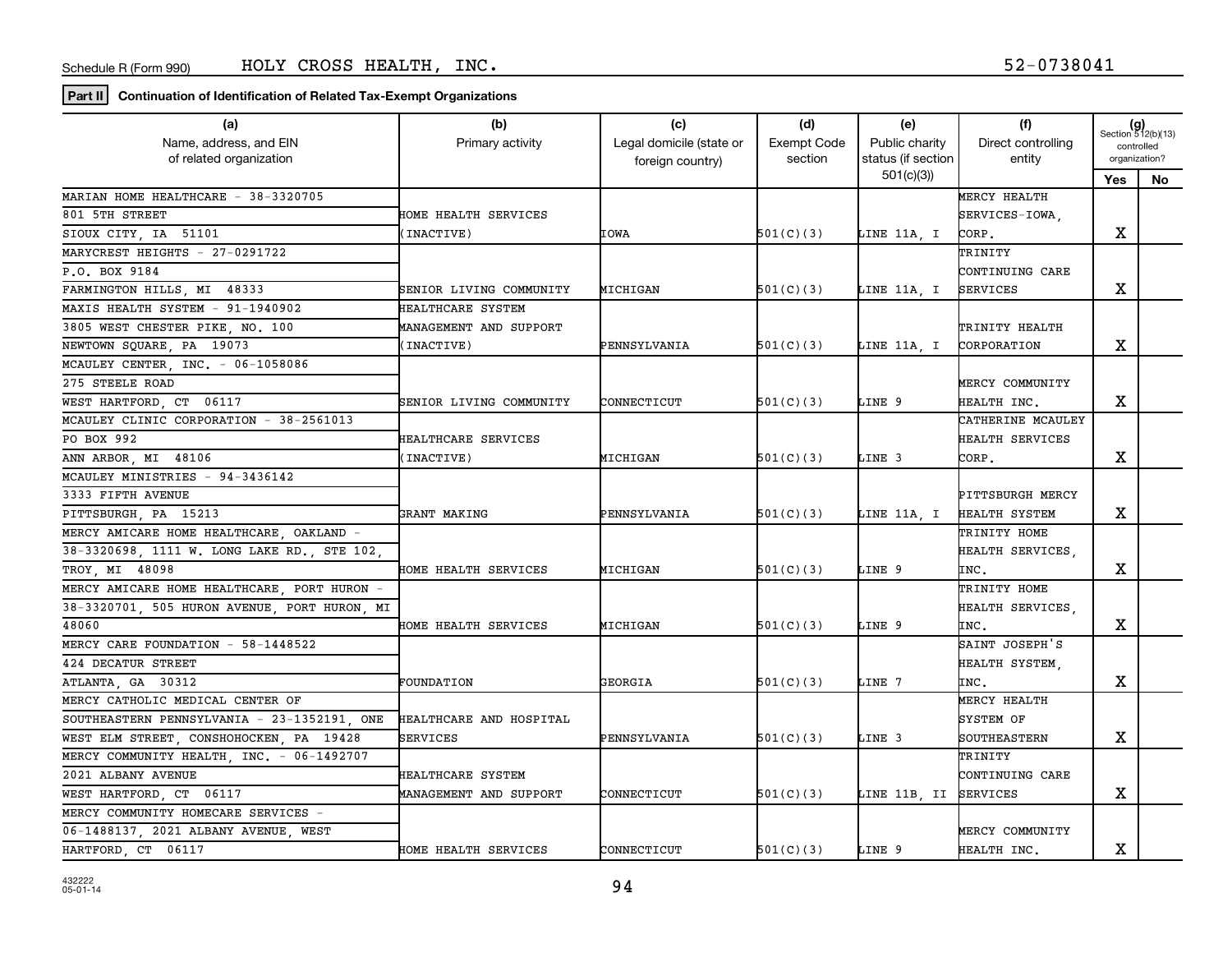| (a)                                          | (b)                     | (c)                      | (d)                | (e)                   | (f)                | $(g)$<br>Section 512(b)(13) |           |
|----------------------------------------------|-------------------------|--------------------------|--------------------|-----------------------|--------------------|-----------------------------|-----------|
| Name, address, and EIN                       | Primary activity        | Legal domicile (state or | <b>Exempt Code</b> | Public charity        | Direct controlling | controlled                  |           |
| of related organization                      |                         | foreign country)         | section            | status (if section    | entity             | organization?               |           |
|                                              |                         |                          |                    | 501(c)(3)             |                    | Yes                         | <b>No</b> |
| MARIAN HOME HEALTHCARE - 38-3320705          |                         |                          |                    |                       | MERCY HEALTH       |                             |           |
| 801 5TH STREET                               | HOME HEALTH SERVICES    |                          |                    |                       | SERVICES-IOWA.     |                             |           |
| SIOUX CITY, IA 51101                         | (INACTIVE)              | <b>IOWA</b>              | 501(C)(3)          | LINE 11A, I           | CORP.              | х                           |           |
| MARYCREST HEIGHTS - 27-0291722               |                         |                          |                    |                       | TRINITY            |                             |           |
| P.O. BOX 9184                                |                         |                          |                    |                       | CONTINUING CARE    |                             |           |
| FARMINGTON HILLS, MI 48333                   | SENIOR LIVING COMMUNITY | MICHIGAN                 | 501(C)(3)          | LINE 11A, I           | <b>SERVICES</b>    | х                           |           |
| MAXIS HEALTH SYSTEM - 91-1940902             | HEALTHCARE SYSTEM       |                          |                    |                       |                    |                             |           |
| 3805 WEST CHESTER PIKE, NO. 100              | MANAGEMENT AND SUPPORT  |                          |                    |                       | TRINITY HEALTH     |                             |           |
| NEWTOWN SQUARE, PA 19073                     | INACTIVE)               | PENNSYLVANIA             | 501(C)(3)          | LINE 11A, I           | CORPORATION        | X                           |           |
| MCAULEY CENTER, INC. - 06-1058086            |                         |                          |                    |                       |                    |                             |           |
| 275 STEELE ROAD                              |                         |                          |                    |                       | MERCY COMMUNITY    |                             |           |
| WEST HARTFORD, CT 06117                      | SENIOR LIVING COMMUNITY | CONNECTICUT              | 501(C)(3)          | LINE 9                | HEALTH INC.        | х                           |           |
| MCAULEY CLINIC CORPORATION - 38-2561013      |                         |                          |                    |                       | CATHERINE MCAULEY  |                             |           |
| PO BOX 992                                   | HEALTHCARE SERVICES     |                          |                    |                       | HEALTH SERVICES    |                             |           |
| ANN ARBOR, MI 48106                          | <b>INACTIVE)</b>        | MICHIGAN                 | 501(C)(3)          | LINE 3                | CORP.              | X                           |           |
| MCAULEY MINISTRIES - 94-3436142              |                         |                          |                    |                       |                    |                             |           |
| 3333 FIFTH AVENUE                            |                         |                          |                    |                       | PITTSBURGH MERCY   |                             |           |
| PITTSBURGH, PA 15213                         | GRANT MAKING            | PENNSYLVANIA             | 501(C)(3)          | LINE 11A, I           | HEALTH SYSTEM      | х                           |           |
| MERCY AMICARE HOME HEALTHCARE, OAKLAND -     |                         |                          |                    |                       | TRINITY HOME       |                             |           |
| 38-3320698, 1111 W. LONG LAKE RD., STE 102,  |                         |                          |                    |                       | HEALTH SERVICES,   |                             |           |
| TROY, MI 48098                               | HOME HEALTH SERVICES    | MICHIGAN                 | 501(C)(3)          | LINE 9                | INC.               | X                           |           |
| MERCY AMICARE HOME HEALTHCARE, PORT HURON -  |                         |                          |                    |                       | TRINITY HOME       |                             |           |
| 38-3320701, 505 HURON AVENUE, PORT HURON, MI |                         |                          |                    |                       | HEALTH SERVICES,   |                             |           |
| 48060                                        | HOME HEALTH SERVICES    | MICHIGAN                 | 501(C)(3)          | LINE 9                | INC.               | X                           |           |
| MERCY CARE FOUNDATION - 58-1448522           |                         |                          |                    |                       | SAINT JOSEPH'S     |                             |           |
| 424 DECATUR STREET                           |                         |                          |                    |                       | HEALTH SYSTEM,     |                             |           |
| ATLANTA, GA 30312                            | FOUNDATION              | GEORGIA                  | 501(C)(3)          | LINE 7                | INC.               | X                           |           |
| MERCY CATHOLIC MEDICAL CENTER OF             |                         |                          |                    |                       | MERCY HEALTH       |                             |           |
| SOUTHEASTERN PENNSYLVANIA - 23-1352191 ONE   | HEALTHCARE AND HOSPITAL |                          |                    |                       | SYSTEM OF          |                             |           |
| WEST ELM STREET, CONSHOHOCKEN, PA 19428      | SERVICES                | PENNSYLVANIA             | 501(C)(3)          | LINE 3                | SOUTHEASTERN       | х                           |           |
| MERCY COMMUNITY HEALTH, INC. - 06-1492707    |                         |                          |                    |                       | TRINITY            |                             |           |
| 2021 ALBANY AVENUE                           | HEALTHCARE SYSTEM       |                          |                    |                       | CONTINUING CARE    |                             |           |
| WEST HARTFORD, CT 06117                      | MANAGEMENT AND SUPPORT  | CONNECTICUT              | 501(C)(3)          | LINE 11B, II SERVICES |                    | х                           |           |
| MERCY COMMUNITY HOMECARE SERVICES -          |                         |                          |                    |                       |                    |                             |           |
| 06-1488137, 2021 ALBANY AVENUE, WEST         |                         |                          |                    |                       | MERCY COMMUNITY    |                             |           |
| HARTFORD, CT 06117                           | HOME HEALTH SERVICES    | CONNECTICUT              | 501(C)(3)          | LINE 9                | HEALTH INC.        | X                           |           |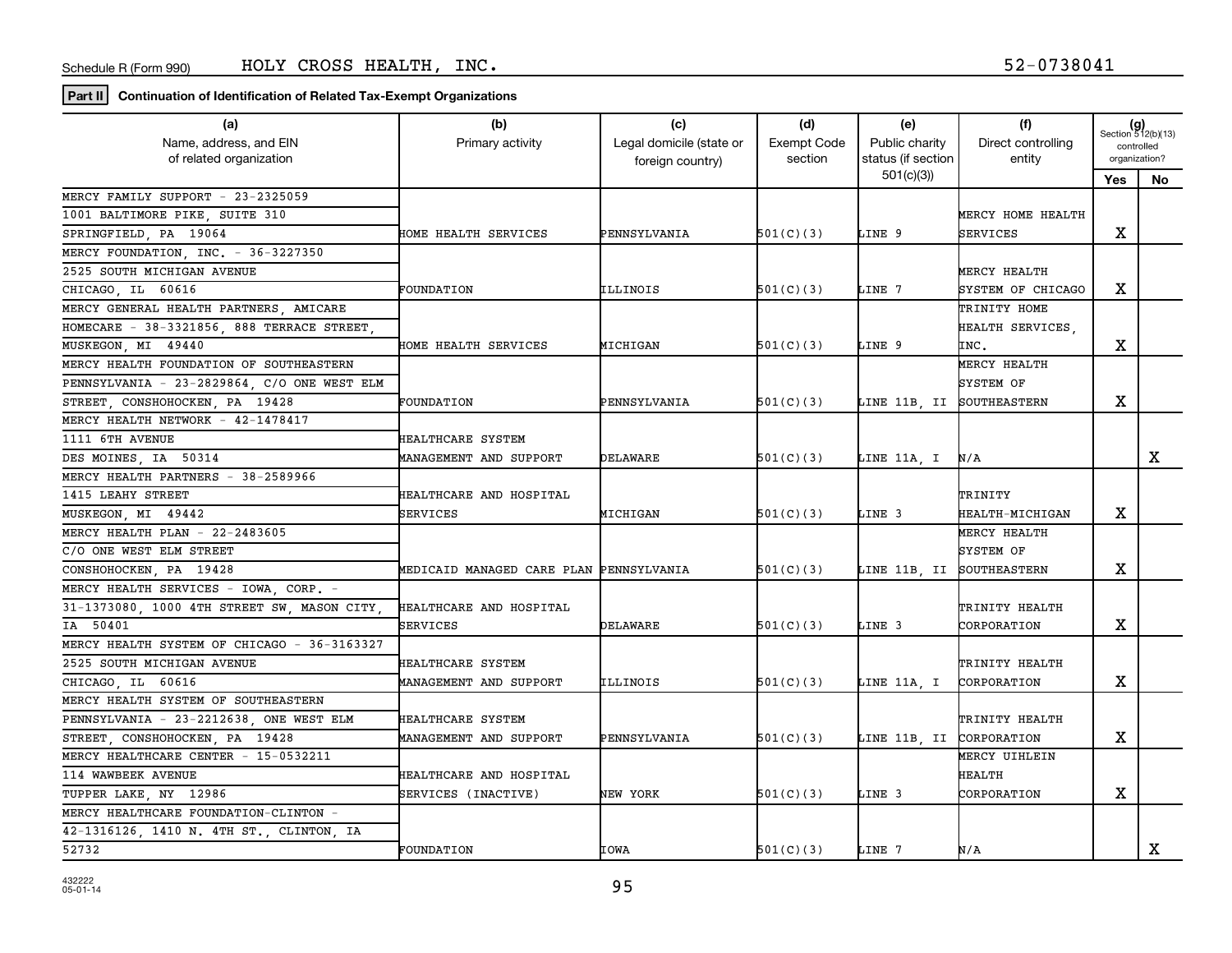| (a)                                               | (b)                                     | (c)                      | (d)                           | (e)                                  | (f)                          | $(g)$<br>Section 512(b)(13) |    |
|---------------------------------------------------|-----------------------------------------|--------------------------|-------------------------------|--------------------------------------|------------------------------|-----------------------------|----|
| Name, address, and EIN<br>of related organization | Primary activity                        | Legal domicile (state or | <b>Exempt Code</b><br>section | Public charity<br>status (if section | Direct controlling<br>entity | controlled<br>organization? |    |
|                                                   |                                         | foreign country)         |                               | 501(c)(3)                            |                              | Yes                         | No |
| MERCY FAMILY SUPPORT - 23-2325059                 |                                         |                          |                               |                                      |                              |                             |    |
| 1001 BALTIMORE PIKE, SUITE 310                    |                                         |                          |                               |                                      | MERCY HOME HEALTH            |                             |    |
| SPRINGFIELD, PA 19064                             | HOME HEALTH SERVICES                    | PENNSYLVANIA             | 501(C)(3)                     | LINE 9                               | SERVICES                     | х                           |    |
| MERCY FOUNDATION, INC. - 36-3227350               |                                         |                          |                               |                                      |                              |                             |    |
| 2525 SOUTH MICHIGAN AVENUE                        |                                         |                          |                               |                                      | MERCY HEALTH                 |                             |    |
| CHICAGO, IL 60616                                 | FOUNDATION                              | ILLINOIS                 | 501(C)(3)                     | LINE 7                               | SYSTEM OF CHICAGO            | X                           |    |
| MERCY GENERAL HEALTH PARTNERS, AMICARE            |                                         |                          |                               |                                      | TRINITY HOME                 |                             |    |
| HOMECARE - 38-3321856, 888 TERRACE STREET         |                                         |                          |                               |                                      | HEALTH SERVICES,             |                             |    |
| MUSKEGON, MI 49440                                | HOME HEALTH SERVICES                    | MICHIGAN                 | 501(C)(3)                     | LINE 9                               | INC.                         | X                           |    |
| MERCY HEALTH FOUNDATION OF SOUTHEASTERN           |                                         |                          |                               |                                      | MERCY HEALTH                 |                             |    |
| PENNSYLVANIA - 23-2829864, C/O ONE WEST ELM       |                                         |                          |                               |                                      | SYSTEM OF                    |                             |    |
| STREET, CONSHOHOCKEN, PA 19428                    | FOUNDATION                              | PENNSYLVANIA             | 501(C)(3)                     | LINE 11B. II SOUTHEASTERN            |                              | х                           |    |
| MERCY HEALTH NETWORK - 42-1478417                 |                                         |                          |                               |                                      |                              |                             |    |
| 1111 6TH AVENUE                                   | HEALTHCARE SYSTEM                       |                          |                               |                                      |                              |                             |    |
| DES MOINES, IA 50314                              | MANAGEMENT AND SUPPORT                  | DELAWARE                 | 501(C)(3)                     | LINE 11A, I                          | N/A                          |                             | x  |
| MERCY HEALTH PARTNERS - 38-2589966                |                                         |                          |                               |                                      |                              |                             |    |
| 1415 LEAHY STREET                                 | HEALTHCARE AND HOSPITAL                 |                          |                               |                                      | TRINITY                      |                             |    |
| MUSKEGON, MI 49442                                | SERVICES                                | MICHIGAN                 | 501(C)(3)                     | LINE 3                               | HEALTH-MICHIGAN              | х                           |    |
| MERCY HEALTH PLAN - 22-2483605                    |                                         |                          |                               |                                      | MERCY HEALTH                 |                             |    |
| C/O ONE WEST ELM STREET                           |                                         |                          |                               |                                      | SYSTEM OF                    |                             |    |
| CONSHOHOCKEN, PA 19428                            | MEDICAID MANAGED CARE PLAN PENNSYLVANIA |                          | 501(C)(3)                     | LINE 11B, II SOUTHEASTERN            |                              | X                           |    |
| MERCY HEALTH SERVICES - IOWA, CORP. -             |                                         |                          |                               |                                      |                              |                             |    |
| 31-1373080, 1000 4TH STREET SW, MASON CITY,       | HEALTHCARE AND HOSPITAL                 |                          |                               |                                      | TRINITY HEALTH               |                             |    |
| IA 50401                                          | SERVICES                                | DELAWARE                 | 501(C)(3)                     | LINE 3                               | CORPORATION                  | х                           |    |
| MERCY HEALTH SYSTEM OF CHICAGO - 36-3163327       |                                         |                          |                               |                                      |                              |                             |    |
| 2525 SOUTH MICHIGAN AVENUE                        | HEALTHCARE SYSTEM                       |                          |                               |                                      | TRINITY HEALTH               |                             |    |
| CHICAGO IL 60616                                  | MANAGEMENT AND SUPPORT                  | ILLINOIS                 | 501(C)(3)                     | LINE 11A, I                          | CORPORATION                  | X                           |    |
| MERCY HEALTH SYSTEM OF SOUTHEASTERN               |                                         |                          |                               |                                      |                              |                             |    |
| PENNSYLVANIA - 23-2212638, ONE WEST ELM           | HEALTHCARE SYSTEM                       |                          |                               |                                      | TRINITY HEALTH               |                             |    |
| STREET, CONSHOHOCKEN, PA 19428                    | MANAGEMENT AND SUPPORT                  | PENNSYLVANIA             | 501(C)(3)                     | LINE 11B, II CORPORATION             |                              | Х                           |    |
| MERCY HEALTHCARE CENTER - 15-0532211              |                                         |                          |                               |                                      | MERCY UIHLEIN                |                             |    |
| 114 WAWBEEK AVENUE                                | HEALTHCARE AND HOSPITAL                 |                          |                               |                                      | HEALTH                       |                             |    |
| TUPPER LAKE, NY 12986                             | SERVICES (INACTIVE)                     | NEW YORK                 | 501(C)(3)                     | LINE 3                               | CORPORATION                  | х                           |    |
| MERCY HEALTHCARE FOUNDATION-CLINTON -             |                                         |                          |                               |                                      |                              |                             |    |
| 42-1316126, 1410 N. 4TH ST., CLINTON, IA          |                                         |                          |                               |                                      |                              |                             |    |
| 52732                                             | FOUNDATION                              | IOWA                     | 501(C)(3)                     | LINE 7                               | N/A                          |                             | X  |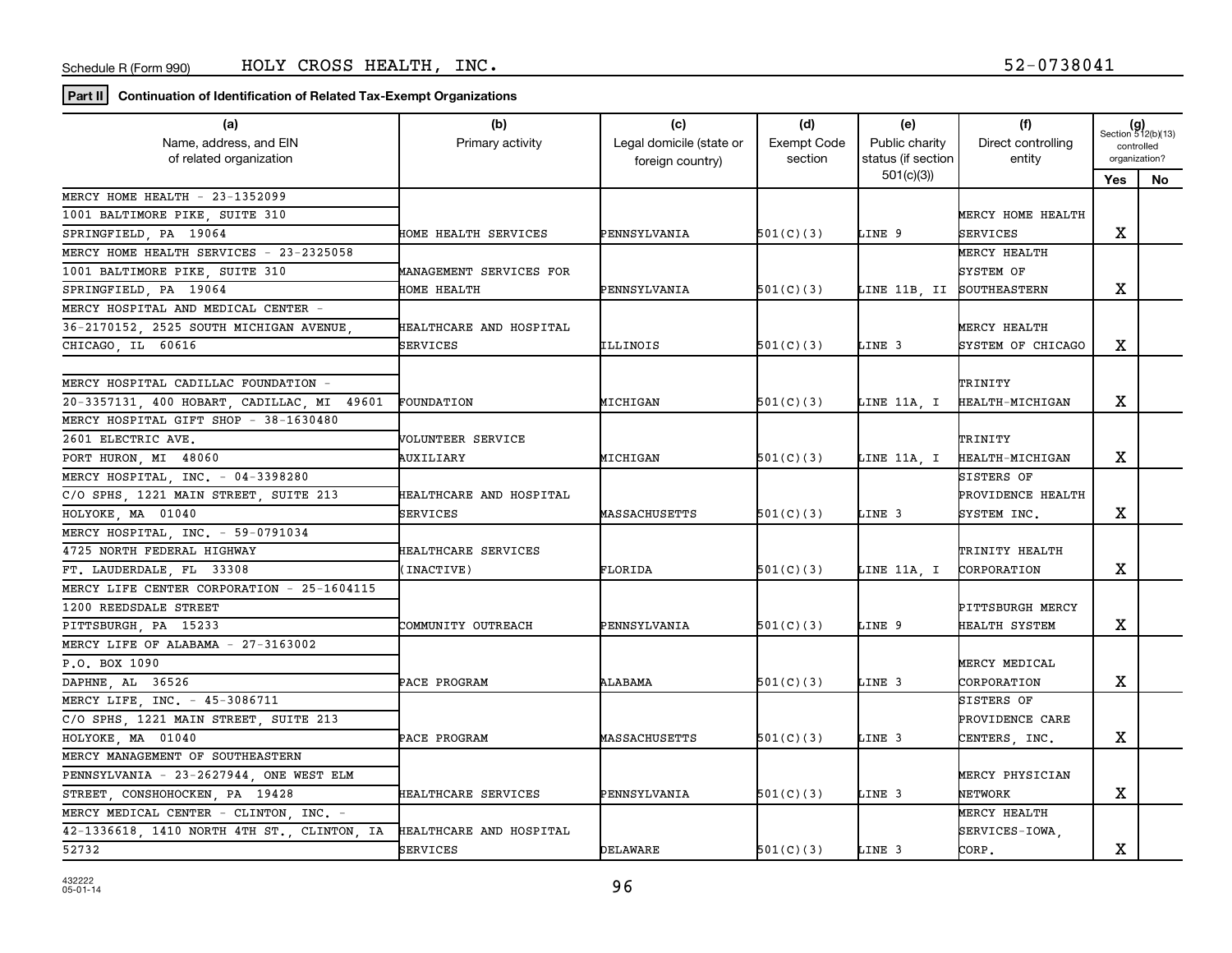| (a)<br>Name, address, and EIN               | (b)<br>Primary activity | (c)<br>Legal domicile (state or | (d)<br><b>Exempt Code</b> | (e)<br>Public charity           | (f)<br>Direct controlling | $(g)$<br>Section 512(b)(13)<br>controlled |           |
|---------------------------------------------|-------------------------|---------------------------------|---------------------------|---------------------------------|---------------------------|-------------------------------------------|-----------|
| of related organization                     |                         | foreign country)                | section                   | status (if section<br>501(c)(3) | entity                    | organization?<br>Yes                      | <b>No</b> |
| MERCY HOME HEALTH - 23-1352099              |                         |                                 |                           |                                 |                           |                                           |           |
| 1001 BALTIMORE PIKE, SUITE 310              |                         |                                 |                           |                                 | MERCY HOME HEALTH         |                                           |           |
| SPRINGFIELD, PA 19064                       | HOME HEALTH SERVICES    | PENNSYLVANIA                    | 501(C)(3)                 | LINE 9                          | SERVICES                  | X                                         |           |
| MERCY HOME HEALTH SERVICES - 23-2325058     |                         |                                 |                           |                                 | <b>MERCY HEALTH</b>       |                                           |           |
| 1001 BALTIMORE PIKE, SUITE 310              | MANAGEMENT SERVICES FOR |                                 |                           |                                 | SYSTEM OF                 |                                           |           |
| SPRINGFIELD, PA 19064                       | HOME HEALTH             | PENNSYLVANIA                    | 501(C)(3)                 | LINE 11B, II SOUTHEASTERN       |                           | х                                         |           |
| MERCY HOSPITAL AND MEDICAL CENTER -         |                         |                                 |                           |                                 |                           |                                           |           |
| 36-2170152, 2525 SOUTH MICHIGAN AVENUE      | HEALTHCARE AND HOSPITAL |                                 |                           |                                 | MERCY HEALTH              |                                           |           |
| CHICAGO, IL 60616                           | SERVICES                | ILLINOIS                        | 501(C)(3)                 | LINE 3                          | SYSTEM OF CHICAGO         | х                                         |           |
| MERCY HOSPITAL CADILLAC FOUNDATION -        |                         |                                 |                           |                                 | TRINITY                   |                                           |           |
| 20-3357131, 400 HOBART, CADILLAC, MI 49601  | FOUNDATION              | MICHIGAN                        | 501(C)(3)                 | LINE 11A, I                     | HEALTH-MICHIGAN           | х                                         |           |
| MERCY HOSPITAL GIFT SHOP - 38-1630480       |                         |                                 |                           |                                 |                           |                                           |           |
| 2601 ELECTRIC AVE.                          | VOLUNTEER SERVICE       |                                 |                           |                                 | TRINITY                   |                                           |           |
| PORT HURON, MI 48060                        | AUXILIARY               | MICHIGAN                        | 501(C)(3)                 | LINE 11A, I                     | HEALTH-MICHIGAN           | х                                         |           |
| MERCY HOSPITAL, INC. - 04-3398280           |                         |                                 |                           |                                 | SISTERS OF                |                                           |           |
| C/O SPHS, 1221 MAIN STREET, SUITE 213       | HEALTHCARE AND HOSPITAL |                                 |                           |                                 | PROVIDENCE HEALTH         |                                           |           |
| HOLYOKE, MA 01040                           | SERVICES                | MASSACHUSETTS                   | 501(C)(3)                 | LINE 3                          | SYSTEM INC.               | X                                         |           |
| MERCY HOSPITAL, INC. - 59-0791034           |                         |                                 |                           |                                 |                           |                                           |           |
| 4725 NORTH FEDERAL HIGHWAY                  | HEALTHCARE SERVICES     |                                 |                           |                                 | TRINITY HEALTH            |                                           |           |
| FT. LAUDERDALE, FL 33308                    | INACTIVE)               | FLORIDA                         | 501(C)(3)                 | LINE 11A, I                     | CORPORATION               | х                                         |           |
| MERCY LIFE CENTER CORPORATION - 25-1604115  |                         |                                 |                           |                                 |                           |                                           |           |
| 1200 REEDSDALE STREET                       |                         |                                 |                           |                                 | PITTSBURGH MERCY          |                                           |           |
| PITTSBURGH, PA 15233                        | COMMUNITY OUTREACH      | PENNSYLVANIA                    | 501(C)(3)                 | LINE 9                          | HEALTH SYSTEM             | х                                         |           |
| MERCY LIFE OF ALABAMA - 27-3163002          |                         |                                 |                           |                                 |                           |                                           |           |
| P.O. BOX 1090                               |                         |                                 |                           |                                 | MERCY MEDICAL             |                                           |           |
| DAPHNE, AL 36526                            | PACE PROGRAM            | ALABAMA                         | 501(C)(3)                 | LINE 3                          | CORPORATION               | X                                         |           |
| MERCY LIFE, INC. - 45-3086711               |                         |                                 |                           |                                 | SISTERS OF                |                                           |           |
| C/O SPHS, 1221 MAIN STREET, SUITE 213       |                         |                                 |                           |                                 | PROVIDENCE CARE           |                                           |           |
| HOLYOKE MA 01040                            | PACE PROGRAM            | MASSACHUSETTS                   | 501(C)(3)                 | LINE 3                          | CENTERS, INC.             | х                                         |           |
| MERCY MANAGEMENT OF SOUTHEASTERN            |                         |                                 |                           |                                 |                           |                                           |           |
| PENNSYLVANIA - 23-2627944, ONE WEST ELM     |                         |                                 |                           |                                 | MERCY PHYSICIAN           |                                           |           |
| STREET, CONSHOHOCKEN, PA 19428              | HEALTHCARE SERVICES     | PENNSYLVANIA                    | 501(C)(3)                 | LINE 3                          | NETWORK                   | х                                         |           |
| MERCY MEDICAL CENTER - CLINTON, INC. -      |                         |                                 |                           |                                 | MERCY HEALTH              |                                           |           |
| 42-1336618, 1410 NORTH 4TH ST., CLINTON, IA | HEALTHCARE AND HOSPITAL |                                 |                           |                                 | SERVICES-IOWA.            |                                           |           |
| 52732                                       | SERVICES                | DELAWARE                        | 501(C)(3)                 | LINE 3                          | CORP.                     | х                                         |           |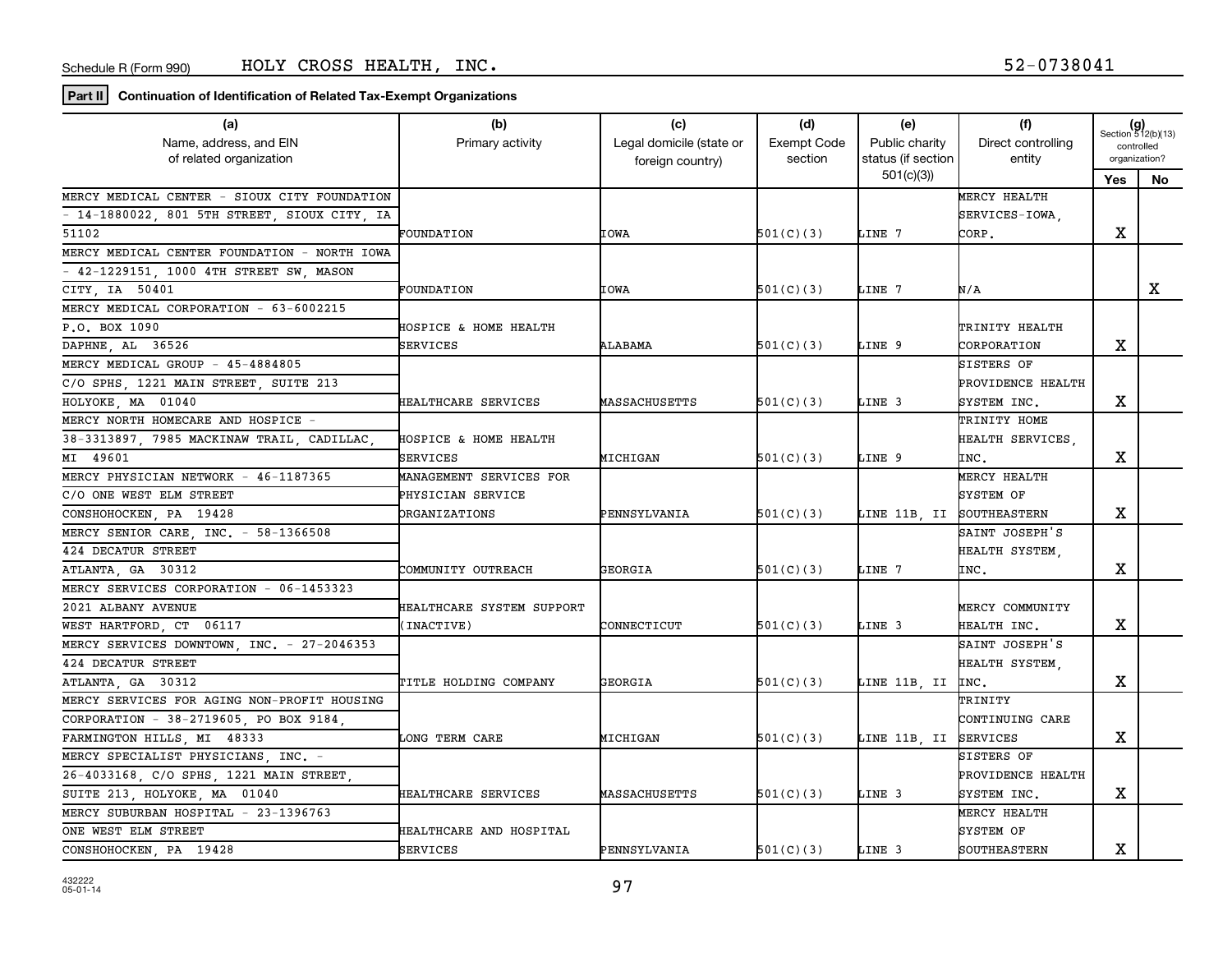| $(g)$<br>Section 512(b)(13)<br>Direct controlling<br>Name, address, and EIN<br>Legal domicile (state or<br><b>Exempt Code</b><br>Public charity<br>Primary activity<br>controlled<br>of related organization<br>section<br>status (if section<br>entity<br>organization?<br>foreign country)<br>501(c)(3)<br>Yes<br><b>No</b><br>MERCY MEDICAL CENTER - SIOUX CITY FOUNDATION<br>MERCY HEALTH<br>- 14-1880022, 801 5TH STREET, SIOUX CITY, IA<br>SERVICES-IOWA,<br>X<br>51102<br>501(C)(3)<br>LINE 7<br>FOUNDATION<br>IOWA<br>CORP.<br>MERCY MEDICAL CENTER FOUNDATION - NORTH IOWA<br>$-$ 42-1229151, 1000 4TH STREET SW, MASON<br>X<br>IOWA<br>501(C)(3)<br>LINE 7<br>N/A<br>CITY, IA 50401<br>FOUNDATION<br>MERCY MEDICAL CORPORATION - 63-6002215<br>P.O. BOX 1090<br>HOSPICE & HOME HEALTH<br>TRINITY HEALTH<br>х<br>DAPHNE, AL 36526<br>LINE 9<br>SERVICES<br>ALABAMA<br>501(C)(3)<br>CORPORATION<br>MERCY MEDICAL GROUP - 45-4884805<br>SISTERS OF<br>C/O SPHS, 1221 MAIN STREET, SUITE 213<br>PROVIDENCE HEALTH<br>х<br>HOLYOKE, MA 01040<br>MASSACHUSETTS<br>501(C)(3)<br>LINE 3<br>HEALTHCARE SERVICES<br>SYSTEM INC.<br>MERCY NORTH HOMECARE AND HOSPICE -<br>TRINITY HOME<br>38-3313897, 7985 MACKINAW TRAIL, CADILLAC,<br>HOSPICE & HOME HEALTH<br>HEALTH SERVICES,<br>X<br>MICHIGAN<br>LINE 9<br>MI 49601<br>501(C)(3)<br>SERVICES<br>INC.<br>MERCY PHYSICIAN NETWORK - 46-1187365<br>MANAGEMENT SERVICES FOR<br>MERCY HEALTH<br>C/O ONE WEST ELM STREET<br>SYSTEM OF<br>PHYSICIAN SERVICE<br>X<br>CONSHOHOCKEN, PA 19428<br>501(C)(3)<br>LINE 11B. II SOUTHEASTERN<br>ORGANIZATIONS<br>PENNSYLVANIA<br>MERCY SENIOR CARE, INC. - 58-1366508<br>SAINT JOSEPH'S<br>HEALTH SYSTEM,<br>424 DECATUR STREET<br>X<br>GEORGIA<br>501(C)(3)<br>LINE 7<br>INC.<br>ATLANTA, GA 30312<br>COMMUNITY OUTREACH<br>MERCY SERVICES CORPORATION - 06-1453323<br>MERCY COMMUNITY<br>2021 ALBANY AVENUE<br>HEALTHCARE SYSTEM SUPPORT<br>х<br>WEST HARTFORD, CT 06117<br>501(C)(3)<br>LINE 3<br>HEALTH INC.<br>INACTIVE)<br>CONNECTICUT |
|-----------------------------------------------------------------------------------------------------------------------------------------------------------------------------------------------------------------------------------------------------------------------------------------------------------------------------------------------------------------------------------------------------------------------------------------------------------------------------------------------------------------------------------------------------------------------------------------------------------------------------------------------------------------------------------------------------------------------------------------------------------------------------------------------------------------------------------------------------------------------------------------------------------------------------------------------------------------------------------------------------------------------------------------------------------------------------------------------------------------------------------------------------------------------------------------------------------------------------------------------------------------------------------------------------------------------------------------------------------------------------------------------------------------------------------------------------------------------------------------------------------------------------------------------------------------------------------------------------------------------------------------------------------------------------------------------------------------------------------------------------------------------------------------------------------------------------------------------------------------------------------------------------------------------------------------------------------------------------------------------------------------------------------|
|                                                                                                                                                                                                                                                                                                                                                                                                                                                                                                                                                                                                                                                                                                                                                                                                                                                                                                                                                                                                                                                                                                                                                                                                                                                                                                                                                                                                                                                                                                                                                                                                                                                                                                                                                                                                                                                                                                                                                                                                                                   |
|                                                                                                                                                                                                                                                                                                                                                                                                                                                                                                                                                                                                                                                                                                                                                                                                                                                                                                                                                                                                                                                                                                                                                                                                                                                                                                                                                                                                                                                                                                                                                                                                                                                                                                                                                                                                                                                                                                                                                                                                                                   |
|                                                                                                                                                                                                                                                                                                                                                                                                                                                                                                                                                                                                                                                                                                                                                                                                                                                                                                                                                                                                                                                                                                                                                                                                                                                                                                                                                                                                                                                                                                                                                                                                                                                                                                                                                                                                                                                                                                                                                                                                                                   |
|                                                                                                                                                                                                                                                                                                                                                                                                                                                                                                                                                                                                                                                                                                                                                                                                                                                                                                                                                                                                                                                                                                                                                                                                                                                                                                                                                                                                                                                                                                                                                                                                                                                                                                                                                                                                                                                                                                                                                                                                                                   |
|                                                                                                                                                                                                                                                                                                                                                                                                                                                                                                                                                                                                                                                                                                                                                                                                                                                                                                                                                                                                                                                                                                                                                                                                                                                                                                                                                                                                                                                                                                                                                                                                                                                                                                                                                                                                                                                                                                                                                                                                                                   |
|                                                                                                                                                                                                                                                                                                                                                                                                                                                                                                                                                                                                                                                                                                                                                                                                                                                                                                                                                                                                                                                                                                                                                                                                                                                                                                                                                                                                                                                                                                                                                                                                                                                                                                                                                                                                                                                                                                                                                                                                                                   |
|                                                                                                                                                                                                                                                                                                                                                                                                                                                                                                                                                                                                                                                                                                                                                                                                                                                                                                                                                                                                                                                                                                                                                                                                                                                                                                                                                                                                                                                                                                                                                                                                                                                                                                                                                                                                                                                                                                                                                                                                                                   |
|                                                                                                                                                                                                                                                                                                                                                                                                                                                                                                                                                                                                                                                                                                                                                                                                                                                                                                                                                                                                                                                                                                                                                                                                                                                                                                                                                                                                                                                                                                                                                                                                                                                                                                                                                                                                                                                                                                                                                                                                                                   |
|                                                                                                                                                                                                                                                                                                                                                                                                                                                                                                                                                                                                                                                                                                                                                                                                                                                                                                                                                                                                                                                                                                                                                                                                                                                                                                                                                                                                                                                                                                                                                                                                                                                                                                                                                                                                                                                                                                                                                                                                                                   |
|                                                                                                                                                                                                                                                                                                                                                                                                                                                                                                                                                                                                                                                                                                                                                                                                                                                                                                                                                                                                                                                                                                                                                                                                                                                                                                                                                                                                                                                                                                                                                                                                                                                                                                                                                                                                                                                                                                                                                                                                                                   |
|                                                                                                                                                                                                                                                                                                                                                                                                                                                                                                                                                                                                                                                                                                                                                                                                                                                                                                                                                                                                                                                                                                                                                                                                                                                                                                                                                                                                                                                                                                                                                                                                                                                                                                                                                                                                                                                                                                                                                                                                                                   |
|                                                                                                                                                                                                                                                                                                                                                                                                                                                                                                                                                                                                                                                                                                                                                                                                                                                                                                                                                                                                                                                                                                                                                                                                                                                                                                                                                                                                                                                                                                                                                                                                                                                                                                                                                                                                                                                                                                                                                                                                                                   |
|                                                                                                                                                                                                                                                                                                                                                                                                                                                                                                                                                                                                                                                                                                                                                                                                                                                                                                                                                                                                                                                                                                                                                                                                                                                                                                                                                                                                                                                                                                                                                                                                                                                                                                                                                                                                                                                                                                                                                                                                                                   |
|                                                                                                                                                                                                                                                                                                                                                                                                                                                                                                                                                                                                                                                                                                                                                                                                                                                                                                                                                                                                                                                                                                                                                                                                                                                                                                                                                                                                                                                                                                                                                                                                                                                                                                                                                                                                                                                                                                                                                                                                                                   |
|                                                                                                                                                                                                                                                                                                                                                                                                                                                                                                                                                                                                                                                                                                                                                                                                                                                                                                                                                                                                                                                                                                                                                                                                                                                                                                                                                                                                                                                                                                                                                                                                                                                                                                                                                                                                                                                                                                                                                                                                                                   |
|                                                                                                                                                                                                                                                                                                                                                                                                                                                                                                                                                                                                                                                                                                                                                                                                                                                                                                                                                                                                                                                                                                                                                                                                                                                                                                                                                                                                                                                                                                                                                                                                                                                                                                                                                                                                                                                                                                                                                                                                                                   |
|                                                                                                                                                                                                                                                                                                                                                                                                                                                                                                                                                                                                                                                                                                                                                                                                                                                                                                                                                                                                                                                                                                                                                                                                                                                                                                                                                                                                                                                                                                                                                                                                                                                                                                                                                                                                                                                                                                                                                                                                                                   |
|                                                                                                                                                                                                                                                                                                                                                                                                                                                                                                                                                                                                                                                                                                                                                                                                                                                                                                                                                                                                                                                                                                                                                                                                                                                                                                                                                                                                                                                                                                                                                                                                                                                                                                                                                                                                                                                                                                                                                                                                                                   |
|                                                                                                                                                                                                                                                                                                                                                                                                                                                                                                                                                                                                                                                                                                                                                                                                                                                                                                                                                                                                                                                                                                                                                                                                                                                                                                                                                                                                                                                                                                                                                                                                                                                                                                                                                                                                                                                                                                                                                                                                                                   |
|                                                                                                                                                                                                                                                                                                                                                                                                                                                                                                                                                                                                                                                                                                                                                                                                                                                                                                                                                                                                                                                                                                                                                                                                                                                                                                                                                                                                                                                                                                                                                                                                                                                                                                                                                                                                                                                                                                                                                                                                                                   |
|                                                                                                                                                                                                                                                                                                                                                                                                                                                                                                                                                                                                                                                                                                                                                                                                                                                                                                                                                                                                                                                                                                                                                                                                                                                                                                                                                                                                                                                                                                                                                                                                                                                                                                                                                                                                                                                                                                                                                                                                                                   |
|                                                                                                                                                                                                                                                                                                                                                                                                                                                                                                                                                                                                                                                                                                                                                                                                                                                                                                                                                                                                                                                                                                                                                                                                                                                                                                                                                                                                                                                                                                                                                                                                                                                                                                                                                                                                                                                                                                                                                                                                                                   |
|                                                                                                                                                                                                                                                                                                                                                                                                                                                                                                                                                                                                                                                                                                                                                                                                                                                                                                                                                                                                                                                                                                                                                                                                                                                                                                                                                                                                                                                                                                                                                                                                                                                                                                                                                                                                                                                                                                                                                                                                                                   |
|                                                                                                                                                                                                                                                                                                                                                                                                                                                                                                                                                                                                                                                                                                                                                                                                                                                                                                                                                                                                                                                                                                                                                                                                                                                                                                                                                                                                                                                                                                                                                                                                                                                                                                                                                                                                                                                                                                                                                                                                                                   |
|                                                                                                                                                                                                                                                                                                                                                                                                                                                                                                                                                                                                                                                                                                                                                                                                                                                                                                                                                                                                                                                                                                                                                                                                                                                                                                                                                                                                                                                                                                                                                                                                                                                                                                                                                                                                                                                                                                                                                                                                                                   |
|                                                                                                                                                                                                                                                                                                                                                                                                                                                                                                                                                                                                                                                                                                                                                                                                                                                                                                                                                                                                                                                                                                                                                                                                                                                                                                                                                                                                                                                                                                                                                                                                                                                                                                                                                                                                                                                                                                                                                                                                                                   |
|                                                                                                                                                                                                                                                                                                                                                                                                                                                                                                                                                                                                                                                                                                                                                                                                                                                                                                                                                                                                                                                                                                                                                                                                                                                                                                                                                                                                                                                                                                                                                                                                                                                                                                                                                                                                                                                                                                                                                                                                                                   |
| SAINT JOSEPH'S<br>MERCY SERVICES DOWNTOWN, INC. - 27-2046353                                                                                                                                                                                                                                                                                                                                                                                                                                                                                                                                                                                                                                                                                                                                                                                                                                                                                                                                                                                                                                                                                                                                                                                                                                                                                                                                                                                                                                                                                                                                                                                                                                                                                                                                                                                                                                                                                                                                                                      |
| HEALTH SYSTEM,<br>424 DECATUR STREET                                                                                                                                                                                                                                                                                                                                                                                                                                                                                                                                                                                                                                                                                                                                                                                                                                                                                                                                                                                                                                                                                                                                                                                                                                                                                                                                                                                                                                                                                                                                                                                                                                                                                                                                                                                                                                                                                                                                                                                              |
| X<br>GEORGIA<br>501(C)(3)<br>LINE 11B, II HNC.<br>ATLANTA, GA 30312<br>TITLE HOLDING COMPANY                                                                                                                                                                                                                                                                                                                                                                                                                                                                                                                                                                                                                                                                                                                                                                                                                                                                                                                                                                                                                                                                                                                                                                                                                                                                                                                                                                                                                                                                                                                                                                                                                                                                                                                                                                                                                                                                                                                                      |
| TRINITY<br>MERCY SERVICES FOR AGING NON-PROFIT HOUSING                                                                                                                                                                                                                                                                                                                                                                                                                                                                                                                                                                                                                                                                                                                                                                                                                                                                                                                                                                                                                                                                                                                                                                                                                                                                                                                                                                                                                                                                                                                                                                                                                                                                                                                                                                                                                                                                                                                                                                            |
| CORPORATION - 38-2719605, PO BOX 9184,<br>CONTINUING CARE                                                                                                                                                                                                                                                                                                                                                                                                                                                                                                                                                                                                                                                                                                                                                                                                                                                                                                                                                                                                                                                                                                                                                                                                                                                                                                                                                                                                                                                                                                                                                                                                                                                                                                                                                                                                                                                                                                                                                                         |
| Х<br>MICHIGAN<br>FARMINGTON HILLS, MI 48333<br>501(C)(3)<br>LINE 11B, II SERVICES<br>LONG TERM CARE                                                                                                                                                                                                                                                                                                                                                                                                                                                                                                                                                                                                                                                                                                                                                                                                                                                                                                                                                                                                                                                                                                                                                                                                                                                                                                                                                                                                                                                                                                                                                                                                                                                                                                                                                                                                                                                                                                                               |
| MERCY SPECIALIST PHYSICIANS, INC. -<br>SISTERS OF                                                                                                                                                                                                                                                                                                                                                                                                                                                                                                                                                                                                                                                                                                                                                                                                                                                                                                                                                                                                                                                                                                                                                                                                                                                                                                                                                                                                                                                                                                                                                                                                                                                                                                                                                                                                                                                                                                                                                                                 |
| 26-4033168, C/O SPHS, 1221 MAIN STREET<br>PROVIDENCE HEALTH                                                                                                                                                                                                                                                                                                                                                                                                                                                                                                                                                                                                                                                                                                                                                                                                                                                                                                                                                                                                                                                                                                                                                                                                                                                                                                                                                                                                                                                                                                                                                                                                                                                                                                                                                                                                                                                                                                                                                                       |
| х<br>SUITE 213, HOLYOKE, MA 01040<br>MASSACHUSETTS<br>501(C)(3)<br>LINE 3<br>SYSTEM INC.<br>HEALTHCARE SERVICES                                                                                                                                                                                                                                                                                                                                                                                                                                                                                                                                                                                                                                                                                                                                                                                                                                                                                                                                                                                                                                                                                                                                                                                                                                                                                                                                                                                                                                                                                                                                                                                                                                                                                                                                                                                                                                                                                                                   |
| MERCY SUBURBAN HOSPITAL - 23-1396763<br>MERCY HEALTH                                                                                                                                                                                                                                                                                                                                                                                                                                                                                                                                                                                                                                                                                                                                                                                                                                                                                                                                                                                                                                                                                                                                                                                                                                                                                                                                                                                                                                                                                                                                                                                                                                                                                                                                                                                                                                                                                                                                                                              |
| SYSTEM OF<br>ONE WEST ELM STREET<br>HEALTHCARE AND HOSPITAL                                                                                                                                                                                                                                                                                                                                                                                                                                                                                                                                                                                                                                                                                                                                                                                                                                                                                                                                                                                                                                                                                                                                                                                                                                                                                                                                                                                                                                                                                                                                                                                                                                                                                                                                                                                                                                                                                                                                                                       |
| X<br>SERVICES<br>501(C)(3)<br>LINE 3<br>SOUTHEASTERN<br>CONSHOHOCKEN, PA 19428<br>PENNSYLVANIA                                                                                                                                                                                                                                                                                                                                                                                                                                                                                                                                                                                                                                                                                                                                                                                                                                                                                                                                                                                                                                                                                                                                                                                                                                                                                                                                                                                                                                                                                                                                                                                                                                                                                                                                                                                                                                                                                                                                    |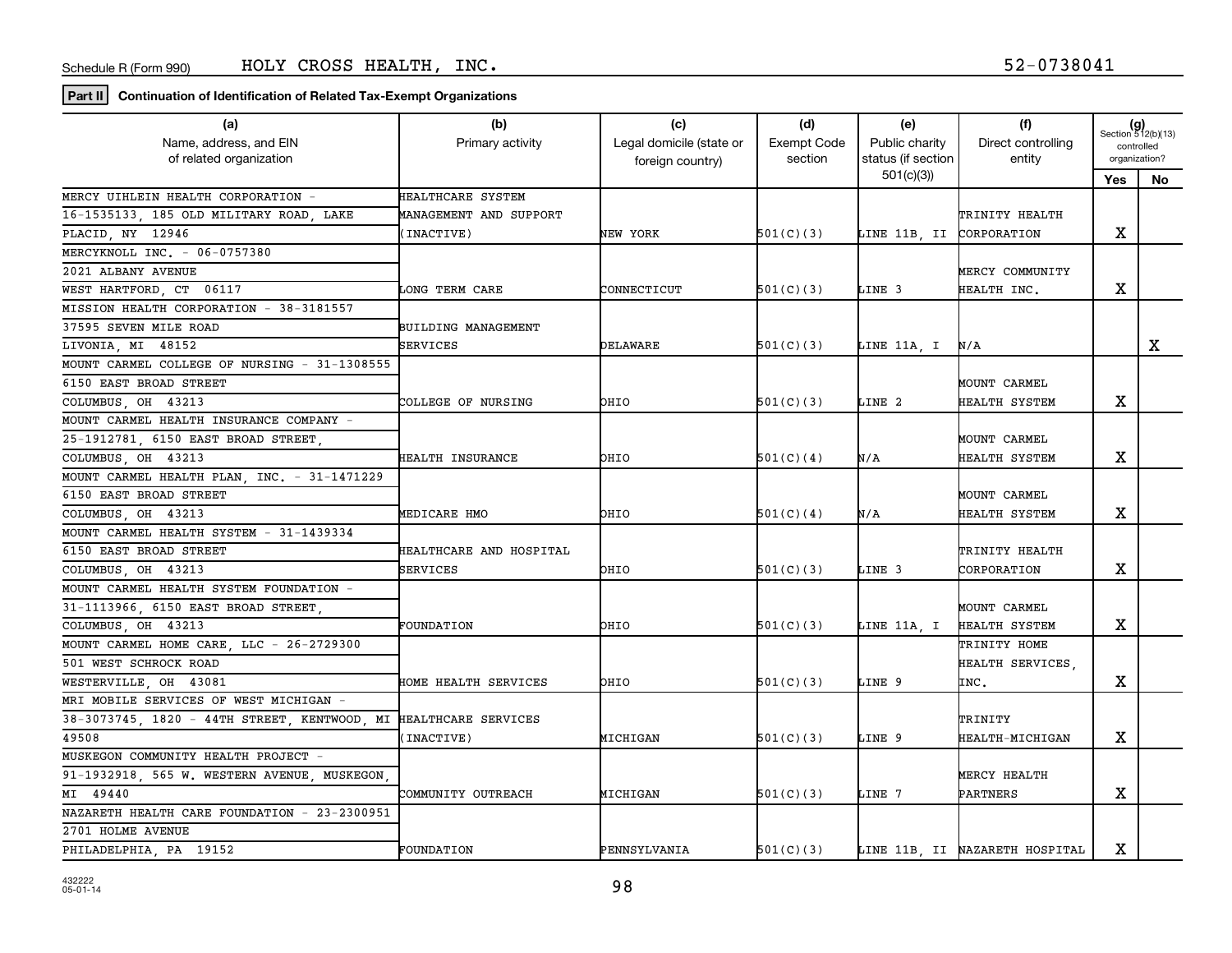| (a)                                               | (b)                        | (c)                                          | (d)                           | (e)                                  | (f)                            | $(g)$<br>Section 512(b)(13) |           |
|---------------------------------------------------|----------------------------|----------------------------------------------|-------------------------------|--------------------------------------|--------------------------------|-----------------------------|-----------|
| Name, address, and EIN<br>of related organization | Primary activity           | Legal domicile (state or<br>foreign country) | <b>Exempt Code</b><br>section | Public charity<br>status (if section | Direct controlling<br>entity   | controlled<br>organization? |           |
|                                                   |                            |                                              |                               | 501(c)(3)                            |                                | Yes                         | <b>No</b> |
| MERCY UIHLEIN HEALTH CORPORATION -                | HEALTHCARE SYSTEM          |                                              |                               |                                      |                                |                             |           |
| 16-1535133, 185 OLD MILITARY ROAD, LAKE           | MANAGEMENT AND SUPPORT     |                                              |                               |                                      | TRINITY HEALTH                 |                             |           |
| PLACID NY 12946                                   | INACTIVE)                  | NEW YORK                                     | 501(C)(3)                     | LINE 11B. II CORPORATION             |                                | х                           |           |
| MERCYKNOLL INC. - 06-0757380                      |                            |                                              |                               |                                      |                                |                             |           |
| 2021 ALBANY AVENUE                                |                            |                                              |                               |                                      | MERCY COMMUNITY                |                             |           |
| WEST HARTFORD, CT 06117                           | <b>LONG TERM CARE</b>      | CONNECTICUT                                  | 501(C)(3)                     | LINE 3                               | HEALTH INC.                    | х                           |           |
| MISSION HEALTH CORPORATION - 38-3181557           |                            |                                              |                               |                                      |                                |                             |           |
| 37595 SEVEN MILE ROAD                             | <b>BUILDING MANAGEMENT</b> |                                              |                               |                                      |                                |                             |           |
| LIVONIA, MI 48152                                 | SERVICES                   | DELAWARE                                     | 501(C)(3)                     | LINE 11A, I                          | N/A                            |                             | X         |
| MOUNT CARMEL COLLEGE OF NURSING - 31-1308555      |                            |                                              |                               |                                      |                                |                             |           |
| 6150 EAST BROAD STREET                            |                            |                                              |                               |                                      | MOUNT CARMEL                   |                             |           |
| COLUMBUS, OH 43213                                | COLLEGE OF NURSING         | OHIO                                         | 501(C)(3)                     | LINE 2                               | HEALTH SYSTEM                  | X                           |           |
| MOUNT CARMEL HEALTH INSURANCE COMPANY -           |                            |                                              |                               |                                      |                                |                             |           |
| 25-1912781, 6150 EAST BROAD STREET                |                            |                                              |                               |                                      | MOUNT CARMEL                   |                             |           |
| COLUMBUS, OH 43213                                | HEALTH INSURANCE           | OHIO                                         | 501(C)(4)                     | N/A                                  | HEALTH SYSTEM                  | х                           |           |
| MOUNT CARMEL HEALTH PLAN, INC. - 31-1471229       |                            |                                              |                               |                                      |                                |                             |           |
| 6150 EAST BROAD STREET                            |                            |                                              |                               |                                      | MOUNT CARMEL                   |                             |           |
| COLUMBUS, OH 43213                                | MEDICARE HMO               | OHIO                                         | 501(C)(4)                     | N/A                                  | HEALTH SYSTEM                  | X                           |           |
| MOUNT CARMEL HEALTH SYSTEM - 31-1439334           |                            |                                              |                               |                                      |                                |                             |           |
| 6150 EAST BROAD STREET                            | HEALTHCARE AND HOSPITAL    |                                              |                               |                                      | TRINITY HEALTH                 |                             |           |
| COLUMBUS, OH 43213                                | SERVICES                   | OHIO                                         | 501(C)(3)                     | LINE 3                               | CORPORATION                    | X                           |           |
| MOUNT CARMEL HEALTH SYSTEM FOUNDATION -           |                            |                                              |                               |                                      |                                |                             |           |
| 31-1113966, 6150 EAST BROAD STREET,               |                            |                                              |                               |                                      | MOUNT CARMEL                   |                             |           |
| COLUMBUS, OH 43213                                | FOUNDATION                 | OHIO                                         | 501(C)(3)                     | LINE 11A, I                          | <b>HEALTH SYSTEM</b>           | X                           |           |
| MOUNT CARMEL HOME CARE, LLC - 26-2729300          |                            |                                              |                               |                                      | TRINITY HOME                   |                             |           |
| 501 WEST SCHROCK ROAD                             |                            |                                              |                               |                                      | HEALTH SERVICES,               |                             |           |
| WESTERVILLE, OH 43081                             | HOME HEALTH SERVICES       | OHIO                                         | 501(C)(3)                     | LINE 9                               | INC.                           | х                           |           |
| MRI MOBILE SERVICES OF WEST MICHIGAN -            |                            |                                              |                               |                                      |                                |                             |           |
| 38-3073745, 1820 - 44TH STREET, KENTWOOD, MI      | HEALTHCARE SERVICES        |                                              |                               |                                      | TRINITY                        |                             |           |
| 49508                                             | (INACTIVE)                 | MICHIGAN                                     | 501(C)(3)                     | LINE 9                               | HEALTH-MICHIGAN                | x                           |           |
| MUSKEGON COMMUNITY HEALTH PROJECT -               |                            |                                              |                               |                                      |                                |                             |           |
| 91-1932918, 565 W. WESTERN AVENUE, MUSKEGON,      |                            |                                              |                               |                                      | MERCY HEALTH                   |                             |           |
| MI 49440                                          | COMMUNITY OUTREACH         | MICHIGAN                                     | 501(C)(3)                     | LINE 7                               | <b>PARTNERS</b>                | х                           |           |
| NAZARETH HEALTH CARE FOUNDATION - 23-2300951      |                            |                                              |                               |                                      |                                |                             |           |
| 2701 HOLME AVENUE                                 |                            |                                              |                               |                                      |                                |                             |           |
| PHILADELPHIA, PA 19152                            | FOUNDATION                 | PENNSYLVANIA                                 | 501(C)(3)                     |                                      | LINE 11B, II NAZARETH HOSPITAL | х                           |           |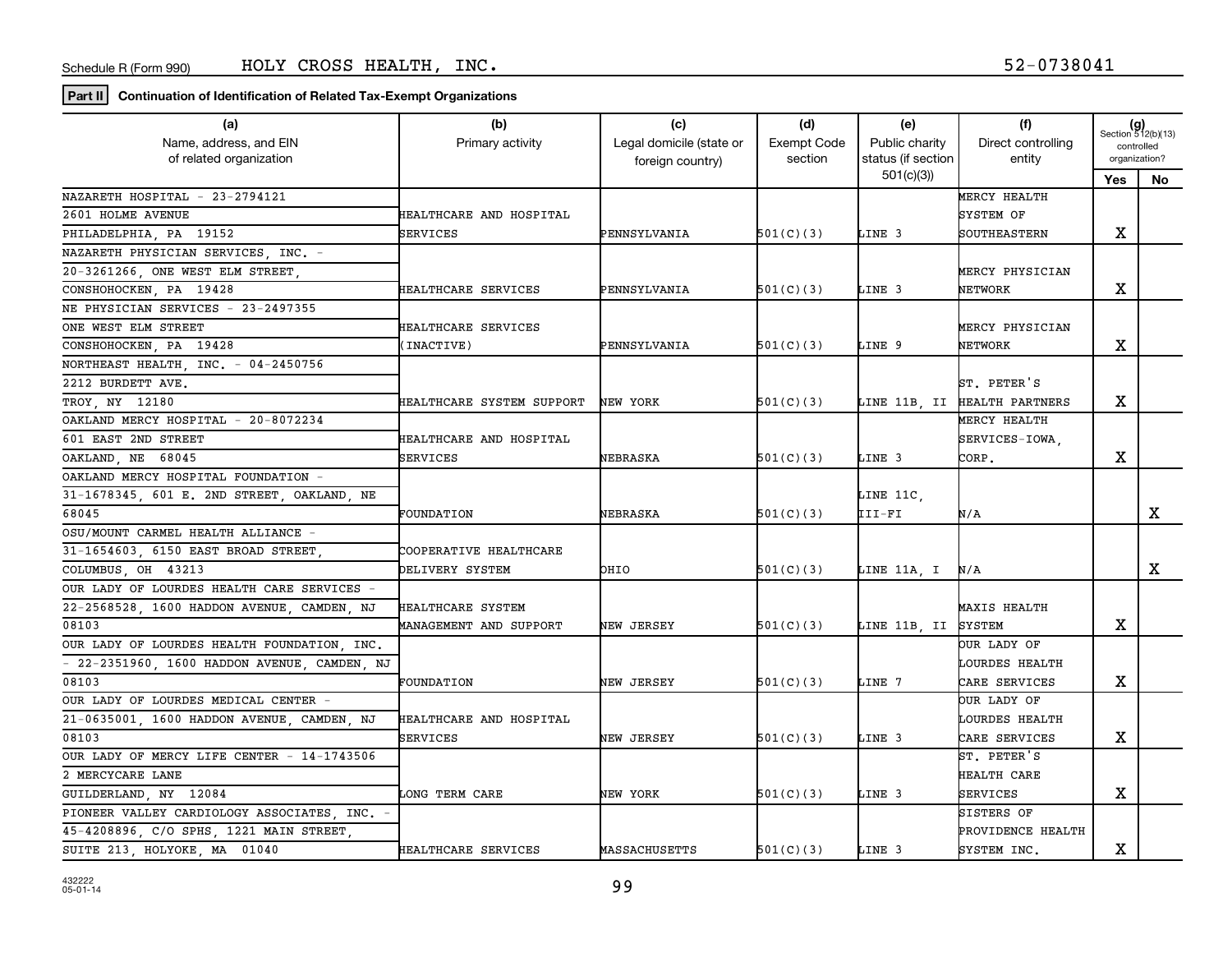| (a)                                          | (b)                       | (c)                      | (d)                | (e)                 | (f)                          | $(g)$<br>Section 512(b)(13) |    |
|----------------------------------------------|---------------------------|--------------------------|--------------------|---------------------|------------------------------|-----------------------------|----|
| Name, address, and EIN                       | Primary activity          | Legal domicile (state or | <b>Exempt Code</b> | Public charity      | Direct controlling           | controlled                  |    |
| of related organization                      |                           | foreign country)         | section            | status (if section  | entity                       | organization?               |    |
|                                              |                           |                          |                    | 501(c)(3)           |                              | Yes                         | No |
| NAZARETH HOSPITAL - 23-2794121               |                           |                          |                    |                     | MERCY HEALTH                 |                             |    |
| 2601 HOLME AVENUE                            | HEALTHCARE AND HOSPITAL   |                          |                    |                     | SYSTEM OF                    |                             |    |
| PHILADELPHIA, PA 19152                       | SERVICES                  | PENNSYLVANIA             | 501(C)(3)          | LINE 3              | SOUTHEASTERN                 | х                           |    |
| NAZARETH PHYSICIAN SERVICES, INC. -          |                           |                          |                    |                     |                              |                             |    |
| 20-3261266, ONE WEST ELM STREET,             |                           |                          |                    |                     | MERCY PHYSICIAN              |                             |    |
| CONSHOHOCKEN, PA 19428                       | HEALTHCARE SERVICES       | PENNSYLVANIA             | 501(C)(3)          | LINE 3              | NETWORK                      | х                           |    |
| NE PHYSICIAN SERVICES - 23-2497355           |                           |                          |                    |                     |                              |                             |    |
| ONE WEST ELM STREET                          | HEALTHCARE SERVICES       |                          |                    |                     | MERCY PHYSICIAN              |                             |    |
| CONSHOHOCKEN, PA 19428                       | (INACTIVE)                | PENNSYLVANIA             | 501(C)(3)          | LINE 9              | NETWORK                      | X                           |    |
| NORTHEAST HEALTH, INC. - 04-2450756          |                           |                          |                    |                     |                              |                             |    |
| 2212 BURDETT AVE.                            |                           |                          |                    |                     | ST. PETER'S                  |                             |    |
| TROY, NY 12180                               | HEALTHCARE SYSTEM SUPPORT | NEW YORK                 | 501(C)(3)          |                     | LINE 11B, II HEALTH PARTNERS | х                           |    |
| OAKLAND MERCY HOSPITAL - 20-8072234          |                           |                          |                    |                     | MERCY HEALTH                 |                             |    |
| 601 EAST 2ND STREET                          | HEALTHCARE AND HOSPITAL   |                          |                    |                     | SERVICES-IOWA.               |                             |    |
| OAKLAND, NE 68045                            | SERVICES                  | NEBRASKA                 | 501(C)(3)          | LINE 3              | CORP.                        | x                           |    |
| OAKLAND MERCY HOSPITAL FOUNDATION -          |                           |                          |                    |                     |                              |                             |    |
| 31-1678345, 601 E. 2ND STREET, OAKLAND, NE   |                           |                          |                    | LINE 11C,           |                              |                             |    |
| 68045                                        | FOUNDATION                | NEBRASKA                 | 501(C)(3)          | III-FI              | N/A                          |                             | x  |
| OSU/MOUNT CARMEL HEALTH ALLIANCE -           |                           |                          |                    |                     |                              |                             |    |
| 31-1654603, 6150 EAST BROAD STREET           | COOPERATIVE HEALTHCARE    |                          |                    |                     |                              |                             |    |
| COLUMBUS, OH 43213                           | DELIVERY SYSTEM           | OHIO                     | 501(C)(3)          | LINE 11A, I         | N/A                          |                             | X  |
| OUR LADY OF LOURDES HEALTH CARE SERVICES -   |                           |                          |                    |                     |                              |                             |    |
| 22-2568528, 1600 HADDON AVENUE, CAMDEN, NJ   | HEALTHCARE SYSTEM         |                          |                    |                     | MAXIS HEALTH                 |                             |    |
| 08103                                        | MANAGEMENT AND SUPPORT    | NEW JERSEY               | 501(C)(3)          | LINE 11B, II SYSTEM |                              | х                           |    |
| OUR LADY OF LOURDES HEALTH FOUNDATION, INC.  |                           |                          |                    |                     | OUR LADY OF                  |                             |    |
| - 22-2351960, 1600 HADDON AVENUE, CAMDEN, NJ |                           |                          |                    |                     | LOURDES HEALTH               |                             |    |
| 08103                                        | FOUNDATION                | NEW JERSEY               | 501(C)(3)          | LINE 7              | CARE SERVICES                | x                           |    |
| OUR LADY OF LOURDES MEDICAL CENTER -         |                           |                          |                    |                     | OUR LADY OF                  |                             |    |
| 21-0635001, 1600 HADDON AVENUE, CAMDEN, NJ   | HEALTHCARE AND HOSPITAL   |                          |                    |                     | LOURDES HEALTH               |                             |    |
| 08103                                        | SERVICES                  | NEW JERSEY               | 501(C)(3)          | LINE 3              | CARE SERVICES                | х                           |    |
| OUR LADY OF MERCY LIFE CENTER - 14-1743506   |                           |                          |                    |                     | ST. PETER'S                  |                             |    |
| 2 MERCYCARE LANE                             |                           |                          |                    |                     | HEALTH CARE                  |                             |    |
| GUILDERLAND, NY 12084                        | <b>LONG TERM CARE</b>     | NEW YORK                 | 501(C)(3)          | LINE 3              | SERVICES                     | х                           |    |
| PIONEER VALLEY CARDIOLOGY ASSOCIATES, INC. - |                           |                          |                    |                     | SISTERS OF                   |                             |    |
| 45-4208896, C/O SPHS, 1221 MAIN STREET,      |                           |                          |                    |                     | PROVIDENCE HEALTH            |                             |    |
| SUITE 213 HOLYOKE MA 01040                   | HEALTHCARE SERVICES       | MASSACHUSETTS            | 501(C)(3)          | LINE 3              | SYSTEM INC.                  | x                           |    |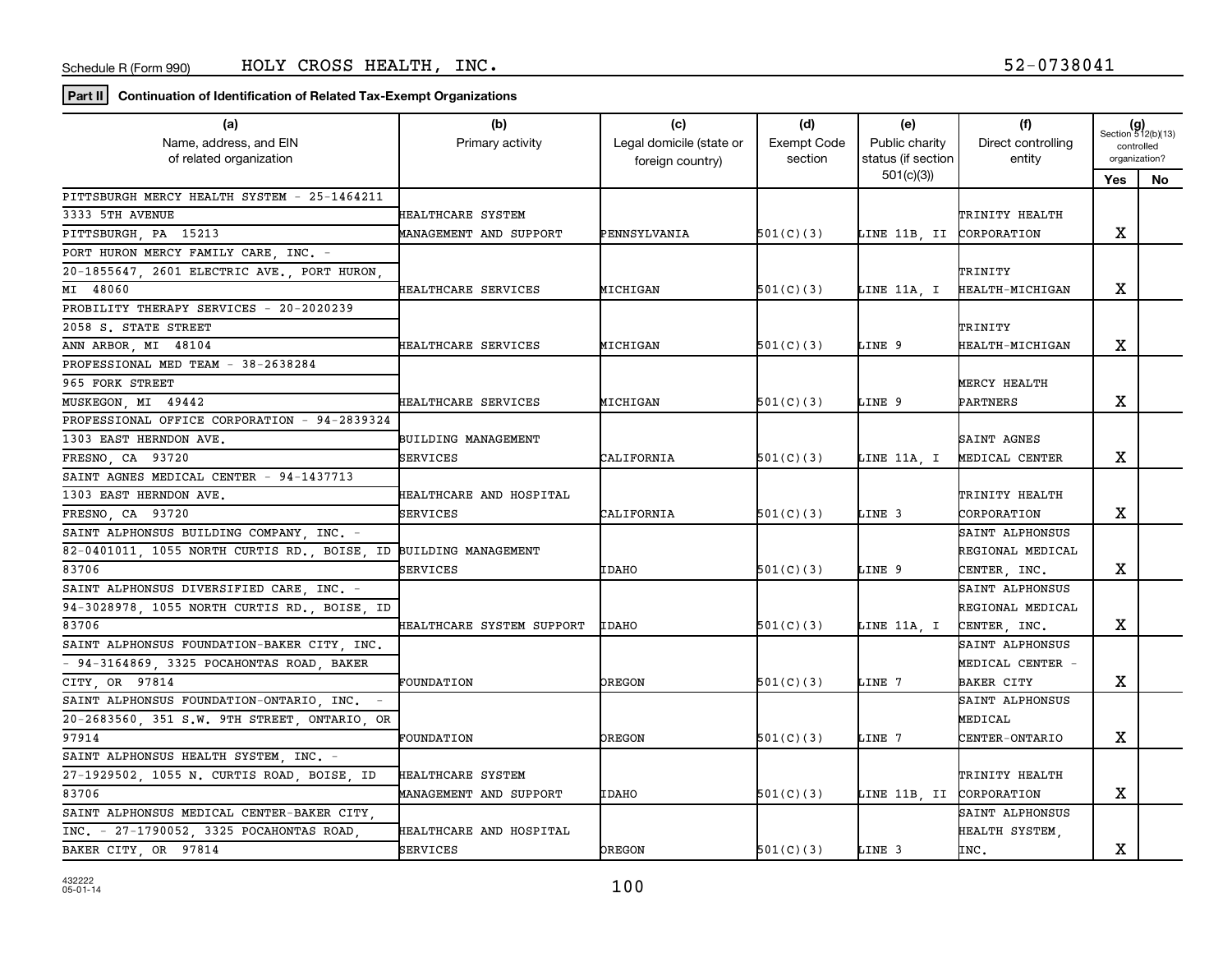| (a)                                          | (b)                        | (c)                      | (d)                | (e)                      | (f)                | $(g)$<br>Section 512(b)(13) |           |
|----------------------------------------------|----------------------------|--------------------------|--------------------|--------------------------|--------------------|-----------------------------|-----------|
| Name, address, and EIN                       | Primary activity           | Legal domicile (state or | <b>Exempt Code</b> | Public charity           | Direct controlling | controlled                  |           |
| of related organization                      |                            | foreign country)         | section            | status (if section       | entity             | organization?               |           |
|                                              |                            |                          |                    | 501(c)(3)                |                    | Yes                         | <b>No</b> |
| PITTSBURGH MERCY HEALTH SYSTEM - 25-1464211  |                            |                          |                    |                          |                    |                             |           |
| 3333 5TH AVENUE                              | HEALTHCARE SYSTEM          |                          |                    |                          | TRINITY HEALTH     |                             |           |
| PITTSBURGH PA 15213                          | MANAGEMENT AND SUPPORT     | PENNSYLVANIA             | 501(C)(3)          | LINE 11B, II CORPORATION |                    | х                           |           |
| PORT HURON MERCY FAMILY CARE, INC. -         |                            |                          |                    |                          |                    |                             |           |
| 20-1855647, 2601 ELECTRIC AVE., PORT HURON,  |                            |                          |                    |                          | TRINITY            |                             |           |
| MI 48060                                     | HEALTHCARE SERVICES        | MICHIGAN                 | 501(C)(3)          | LINE 11A, I              | HEALTH-MICHIGAN    | х                           |           |
| PROBILITY THERAPY SERVICES - 20-2020239      |                            |                          |                    |                          |                    |                             |           |
| 2058 S. STATE STREET                         |                            |                          |                    |                          | TRINITY            |                             |           |
| ANN ARBOR, MI 48104                          | HEALTHCARE SERVICES        | MICHIGAN                 | 501(C)(3)          | LINE 9                   | HEALTH-MICHIGAN    | х                           |           |
| PROFESSIONAL MED TEAM - 38-2638284           |                            |                          |                    |                          |                    |                             |           |
| 965 FORK STREET                              |                            |                          |                    |                          | MERCY HEALTH       |                             |           |
| MUSKEGON, MI 49442                           | HEALTHCARE SERVICES        | MICHIGAN                 | 501(C)(3)          | LINE 9                   | PARTNERS           | X                           |           |
| PROFESSIONAL OFFICE CORPORATION - 94-2839324 |                            |                          |                    |                          |                    |                             |           |
| 1303 EAST HERNDON AVE.                       | <b>BUILDING MANAGEMENT</b> |                          |                    |                          | SAINT AGNES        |                             |           |
| FRESNO CA 93720                              | <b>SERVICES</b>            | CALIFORNIA               | 501(C)(3)          | LINE 11A, I              | MEDICAL CENTER     | х                           |           |
| SAINT AGNES MEDICAL CENTER - 94-1437713      |                            |                          |                    |                          |                    |                             |           |
| 1303 EAST HERNDON AVE.                       | HEALTHCARE AND HOSPITAL    |                          |                    |                          | TRINITY HEALTH     |                             |           |
| FRESNO, CA 93720                             | SERVICES                   | CALIFORNIA               | 501(C)(3)          | LINE 3                   | CORPORATION        | X                           |           |
| SAINT ALPHONSUS BUILDING COMPANY, INC. -     |                            |                          |                    |                          | SAINT ALPHONSUS    |                             |           |
| 82-0401011, 1055 NORTH CURTIS RD., BOISE, ID | <b>BUILDING MANAGEMENT</b> |                          |                    |                          | REGIONAL MEDICAL   |                             |           |
| 83706                                        | SERVICES                   | <b>IDAHO</b>             | 501(C)(3)          | LINE 9                   | CENTER, INC.       | х                           |           |
| SAINT ALPHONSUS DIVERSIFIED CARE, INC. -     |                            |                          |                    |                          | SAINT ALPHONSUS    |                             |           |
| 94-3028978, 1055 NORTH CURTIS RD., BOISE, ID |                            |                          |                    |                          | REGIONAL MEDICAL   |                             |           |
| 83706                                        | HEALTHCARE SYSTEM SUPPORT  | <b>IDAHO</b>             | 501(C)(3)          | LINE 11A, I              | CENTER, INC.       | X                           |           |
| SAINT ALPHONSUS FOUNDATION-BAKER CITY, INC.  |                            |                          |                    |                          | SAINT ALPHONSUS    |                             |           |
| $-94-3164869$ , 3325 POCAHONTAS ROAD, BAKER  |                            |                          |                    |                          | MEDICAL CENTER -   |                             |           |
| CITY OR 97814                                | FOUNDATION                 | OREGON                   | 501(C)(3)          | LINE 7                   | <b>BAKER CITY</b>  | х                           |           |
| SAINT ALPHONSUS FOUNDATION-ONTARIO, INC.     |                            |                          |                    |                          | SAINT ALPHONSUS    |                             |           |
| 20-2683560, 351 S.W. 9TH STREET, ONTARIO, OR |                            |                          |                    |                          | MEDICAL            |                             |           |
| 97914                                        | FOUNDATION                 | OREGON                   | 501(C)(3)          | LINE 7                   | CENTER-ONTARIO     | Х                           |           |
| SAINT ALPHONSUS HEALTH SYSTEM, INC. -        |                            |                          |                    |                          |                    |                             |           |
| 27-1929502, 1055 N. CURTIS ROAD, BOISE, ID   | HEALTHCARE SYSTEM          |                          |                    |                          | TRINITY HEALTH     |                             |           |
| 83706                                        | MANAGEMENT AND SUPPORT     | <b>IDAHO</b>             | 501(C)(3)          | LINE 11B, II CORPORATION |                    | х                           |           |
| SAINT ALPHONSUS MEDICAL CENTER-BAKER CITY.   |                            |                          |                    |                          | SAINT ALPHONSUS    |                             |           |
| INC. - 27-1790052, 3325 POCAHONTAS ROAD,     | HEALTHCARE AND HOSPITAL    |                          |                    |                          | HEALTH SYSTEM,     |                             |           |
| BAKER CITY, OR 97814                         | SERVICES                   | <b>OREGON</b>            | 501(C)(3)          | LINE 3                   | INC.               | X                           |           |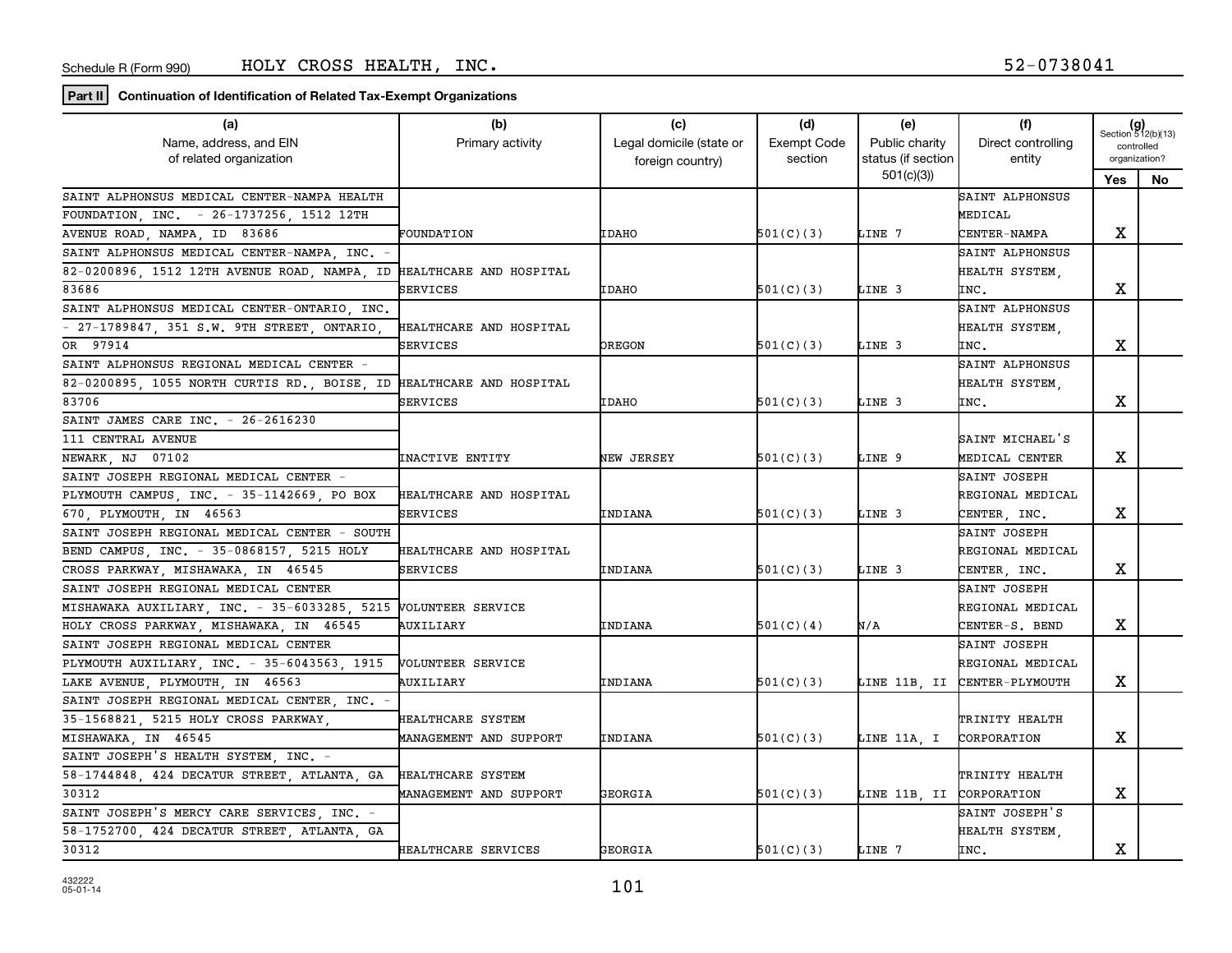| (a)<br>Name, address, and EIN<br>of related organization             | (b)<br>Primary activity         | (c)<br>Legal domicile (state or<br>foreign country) | (d)<br><b>Exempt Code</b><br>section | (e)<br>Public charity<br>status (if section | (f)<br>Direct controlling<br>entity | $(g)$<br>Section 512(b)(13)<br>controlled<br>organization? |     |
|----------------------------------------------------------------------|---------------------------------|-----------------------------------------------------|--------------------------------------|---------------------------------------------|-------------------------------------|------------------------------------------------------------|-----|
|                                                                      |                                 |                                                     |                                      | 501(c)(3)                                   |                                     | Yes                                                        | No. |
| SAINT ALPHONSUS MEDICAL CENTER-NAMPA HEALTH                          |                                 |                                                     |                                      |                                             | SAINT ALPHONSUS                     |                                                            |     |
| FOUNDATION, INC. - 26-1737256, 1512 12TH                             |                                 |                                                     |                                      |                                             | MEDICAL                             |                                                            |     |
| AVENUE ROAD, NAMPA, ID 83686                                         | FOUNDATION                      | IDAHO                                               | 501(C)(3)                            | LINE 7                                      | <b>CENTER-NAMPA</b>                 | х                                                          |     |
| SAINT ALPHONSUS MEDICAL CENTER-NAMPA, INC. -                         |                                 |                                                     |                                      |                                             | SAINT ALPHONSUS                     |                                                            |     |
| 82-0200896, 1512 12TH AVENUE ROAD, NAMPA, ID HEALTHCARE AND HOSPITAL |                                 |                                                     |                                      |                                             | HEALTH SYSTEM.                      |                                                            |     |
| 83686                                                                | <b>SERVICES</b>                 | <b>IDAHO</b>                                        | 501(C)(3)                            | LINE 3                                      | INC.                                | х                                                          |     |
| SAINT ALPHONSUS MEDICAL CENTER-ONTARIO, INC.                         |                                 |                                                     |                                      |                                             | SAINT ALPHONSUS                     |                                                            |     |
| - 27-1789847, 351 S.W. 9TH STREET, ONTARIO,                          | HEALTHCARE AND HOSPITAL         |                                                     |                                      |                                             | HEALTH SYSTEM,                      |                                                            |     |
| OR 97914                                                             | SERVICES                        | OREGON                                              | 501(C)(3)                            | LINE 3                                      | INC.                                | х                                                          |     |
| SAINT ALPHONSUS REGIONAL MEDICAL CENTER -                            |                                 |                                                     |                                      |                                             | SAINT ALPHONSUS                     |                                                            |     |
| 82-0200895, 1055 NORTH CURTIS RD., BOISE, ID HEALTHCARE AND HOSPITAL |                                 |                                                     |                                      |                                             | HEALTH SYSTEM,                      |                                                            |     |
| 83706                                                                | <b>SERVICES</b>                 | IDAHO                                               | 501(C)(3)                            | LINE 3                                      | INC.                                | х                                                          |     |
| SAINT JAMES CARE INC. - 26-2616230                                   |                                 |                                                     |                                      |                                             |                                     |                                                            |     |
| 111 CENTRAL AVENUE                                                   |                                 |                                                     |                                      |                                             | SAINT MICHAEL'S                     |                                                            |     |
| NEWARK NJ 07102                                                      | <b>INACTIVE ENTITY</b>          | NEW JERSEY                                          | 501(C)(3)                            | LINE 9                                      | MEDICAL CENTER                      | х                                                          |     |
| SAINT JOSEPH REGIONAL MEDICAL CENTER -                               |                                 |                                                     |                                      |                                             | SAINT JOSEPH                        |                                                            |     |
| PLYMOUTH CAMPUS, INC. - 35-1142669, PO BOX                           | HEALTHCARE AND HOSPITAL         |                                                     |                                      |                                             | REGIONAL MEDICAL                    |                                                            |     |
| 670, PLYMOUTH, IN 46563                                              | SERVICES                        | INDIANA                                             | 501(C)(3)                            | LINE 3                                      | CENTER, INC.                        | х                                                          |     |
| SAINT JOSEPH REGIONAL MEDICAL CENTER - SOUTH                         |                                 |                                                     |                                      |                                             | SAINT JOSEPH                        |                                                            |     |
| BEND CAMPUS, INC. - 35-0868157, 5215 HOLY                            | HEALTHCARE AND HOSPITAL         |                                                     |                                      |                                             | REGIONAL MEDICAL                    |                                                            |     |
| CROSS PARKWAY, MISHAWAKA, IN 46545                                   | <b>SERVICES</b>                 | INDIANA                                             | 501(C)(3)                            | LINE 3                                      | CENTER, INC.                        | х                                                          |     |
| SAINT JOSEPH REGIONAL MEDICAL CENTER                                 |                                 |                                                     |                                      |                                             | SAINT JOSEPH                        |                                                            |     |
| MISHAWAKA AUXILIARY, INC. - 35-6033285, 5215                         | <b><i>NOLUNTEER SERVICE</i></b> |                                                     |                                      |                                             | REGIONAL MEDICAL                    |                                                            |     |
| HOLY CROSS PARKWAY, MISHAWAKA, IN 46545                              | AUXILIARY                       | INDIANA                                             | 501(C)(4)                            | N/A                                         | CENTER-S. BEND                      | х                                                          |     |
| SAINT JOSEPH REGIONAL MEDICAL CENTER                                 |                                 |                                                     |                                      |                                             | SAINT JOSEPH                        |                                                            |     |
| PLYMOUTH AUXILIARY, INC. - 35-6043563, 1915                          | <b><i>NOLUNTEER SERVICE</i></b> |                                                     |                                      |                                             | REGIONAL MEDICAL                    |                                                            |     |
| LAKE AVENUE, PLYMOUTH, IN 46563                                      | AUXILIARY                       | INDIANA                                             | 501(C)(3)                            |                                             | LINE 11B, II CENTER-PLYMOUTH        | х                                                          |     |
| SAINT JOSEPH REGIONAL MEDICAL CENTER INC.                            |                                 |                                                     |                                      |                                             |                                     |                                                            |     |
| 35-1568821, 5215 HOLY CROSS PARKWAY,                                 | HEALTHCARE SYSTEM               |                                                     |                                      |                                             | TRINITY HEALTH                      |                                                            |     |
| MISHAWAKA, IN 46545                                                  | MANAGEMENT AND SUPPORT          | INDIANA                                             | 501(C)(3)                            | LINE 11A. I                                 | CORPORATION                         | х                                                          |     |
| SAINT JOSEPH'S HEALTH SYSTEM, INC. -                                 |                                 |                                                     |                                      |                                             |                                     |                                                            |     |
| 58-1744848, 424 DECATUR STREET, ATLANTA, GA                          | HEALTHCARE SYSTEM               |                                                     |                                      |                                             | TRINITY HEALTH                      |                                                            |     |
| 30312                                                                | MANAGEMENT AND SUPPORT          | GEORGIA                                             | 501(C)(3)                            | LINE 11B, II CORPORATION                    |                                     | х                                                          |     |
| SAINT JOSEPH'S MERCY CARE SERVICES, INC. -                           |                                 |                                                     |                                      |                                             | SAINT JOSEPH'S                      |                                                            |     |
| 58-1752700, 424 DECATUR STREET, ATLANTA, GA                          |                                 |                                                     |                                      |                                             | HEALTH SYSTEM.                      |                                                            |     |
| 30312                                                                | HEALTHCARE SERVICES             | GEORGIA                                             | 501(C)(3)                            | LINE 7                                      | INC.                                | х                                                          |     |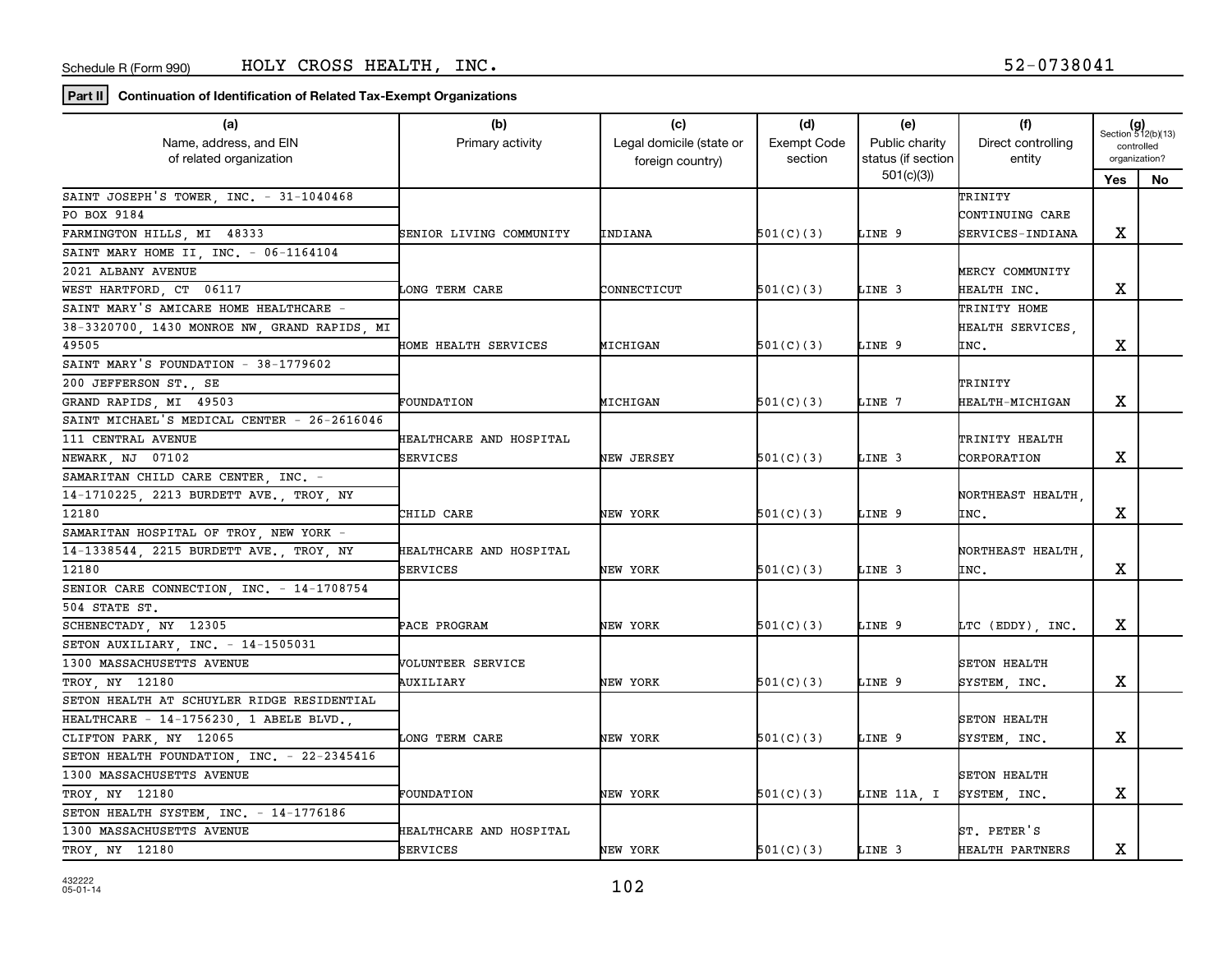| (a)                                               | (b)                     | (c)                                          | (d)                           | (e)                                  | (f)                          | $(g)$<br>Section 512(b)(13) |           |
|---------------------------------------------------|-------------------------|----------------------------------------------|-------------------------------|--------------------------------------|------------------------------|-----------------------------|-----------|
| Name, address, and EIN<br>of related organization | Primary activity        | Legal domicile (state or<br>foreign country) | <b>Exempt Code</b><br>section | Public charity<br>status (if section | Direct controlling<br>entity | controlled<br>organization? |           |
|                                                   |                         |                                              |                               | 501(c)(3)                            |                              | Yes                         | <b>No</b> |
| SAINT JOSEPH'S TOWER, INC. $-31-1040468$          |                         |                                              |                               |                                      | TRINITY                      |                             |           |
| PO BOX 9184                                       |                         |                                              |                               |                                      | CONTINUING CARE              |                             |           |
| FARMINGTON HILLS, MI 48333                        | SENIOR LIVING COMMUNITY | INDIANA                                      | 501(C)(3)                     | LINE 9                               | SERVICES-INDIANA             | х                           |           |
| SAINT MARY HOME II, INC. - 06-1164104             |                         |                                              |                               |                                      |                              |                             |           |
| 2021 ALBANY AVENUE                                |                         |                                              |                               |                                      | MERCY COMMUNITY              |                             |           |
| WEST HARTFORD, CT 06117                           | <b>LONG TERM CARE</b>   | CONNECTICUT                                  | 501(C)(3)                     | LINE 3                               | HEALTH INC.                  | х                           |           |
| SAINT MARY'S AMICARE HOME HEALTHCARE -            |                         |                                              |                               |                                      | TRINITY HOME                 |                             |           |
| 38-3320700, 1430 MONROE NW, GRAND RAPIDS, MI      |                         |                                              |                               |                                      | HEALTH SERVICES.             |                             |           |
| 49505                                             | HOME HEALTH SERVICES    | MICHIGAN                                     | 501(C)(3)                     | LINE 9                               | INC.                         | X                           |           |
| SAINT MARY'S FOUNDATION - 38-1779602              |                         |                                              |                               |                                      |                              |                             |           |
| 200 JEFFERSON ST., SE                             |                         |                                              |                               |                                      | TRINITY                      |                             |           |
| GRAND RAPIDS, MI 49503                            | FOUNDATION              | MICHIGAN                                     | 501(C)(3)                     | LINE 7                               | HEALTH-MICHIGAN              | X                           |           |
| SAINT MICHAEL'S MEDICAL CENTER - 26-2616046       |                         |                                              |                               |                                      |                              |                             |           |
| 111 CENTRAL AVENUE                                | HEALTHCARE AND HOSPITAL |                                              |                               |                                      | TRINITY HEALTH               |                             |           |
| NEWARK, NJ 07102                                  | <b>SERVICES</b>         | NEW JERSEY                                   | 501(C)(3)                     | LINE 3                               | CORPORATION                  | х                           |           |
| SAMARITAN CHILD CARE CENTER, INC. -               |                         |                                              |                               |                                      |                              |                             |           |
| 14-1710225, 2213 BURDETT AVE., TROY, NY           |                         |                                              |                               |                                      | NORTHEAST HEALTH             |                             |           |
| 12180                                             | CHILD CARE              | NEW YORK                                     | 501(C)(3)                     | LINE 9                               | INC.                         | х                           |           |
| SAMARITAN HOSPITAL OF TROY, NEW YORK -            |                         |                                              |                               |                                      |                              |                             |           |
| 14-1338544, 2215 BURDETT AVE., TROY, NY           | HEALTHCARE AND HOSPITAL |                                              |                               |                                      | NORTHEAST HEALTH             |                             |           |
| 12180                                             | SERVICES                | NEW YORK                                     | 501(C)(3)                     | LINE 3                               | INC.                         | х                           |           |
| SENIOR CARE CONNECTION, INC. - 14-1708754         |                         |                                              |                               |                                      |                              |                             |           |
| 504 STATE ST.                                     |                         |                                              |                               |                                      |                              |                             |           |
| SCHENECTADY, NY 12305                             | PACE PROGRAM            | NEW YORK                                     | 501(C)(3)                     | LINE 9                               | LTC (EDDY), INC.             | X                           |           |
| SETON AUXILIARY, INC. - 14-1505031                |                         |                                              |                               |                                      |                              |                             |           |
| 1300 MASSACHUSETTS AVENUE                         | VOLUNTEER SERVICE       |                                              |                               |                                      | <b>SETON HEALTH</b>          |                             |           |
| TROY, NY 12180                                    | AUXILIARY               | NEW YORK                                     | 501(C)(3)                     | LINE 9                               | SYSTEM, INC.                 | х                           |           |
| SETON HEALTH AT SCHUYLER RIDGE RESIDENTIAL        |                         |                                              |                               |                                      |                              |                             |           |
| HEALTHCARE - $14-1756230$ , 1 ABELE BLVD.,        |                         |                                              |                               |                                      | <b>SETON HEALTH</b>          |                             |           |
| CLIFTON PARK, NY 12065                            | <b>JONG TERM CARE</b>   | NEW YORK                                     | 501(C)(3)                     | LINE 9                               | SYSTEM, INC.                 | Х                           |           |
| SETON HEALTH FOUNDATION, INC. - 22-2345416        |                         |                                              |                               |                                      |                              |                             |           |
| 1300 MASSACHUSETTS AVENUE                         |                         |                                              |                               |                                      | <b>SETON HEALTH</b>          |                             |           |
| TROY NY 12180                                     | FOUNDATION              | NEW YORK                                     | 501(C)(3)                     | LINE 11A. I                          | SYSTEM, INC.                 | х                           |           |
| SETON HEALTH SYSTEM, INC. - 14-1776186            |                         |                                              |                               |                                      |                              |                             |           |
| 1300 MASSACHUSETTS AVENUE                         | HEALTHCARE AND HOSPITAL |                                              |                               |                                      | ST. PETER'S                  |                             |           |
| TROY, NY 12180                                    | SERVICES                | NEW YORK                                     | 501(C)(3)                     | LINE 3                               | HEALTH PARTNERS              | X                           |           |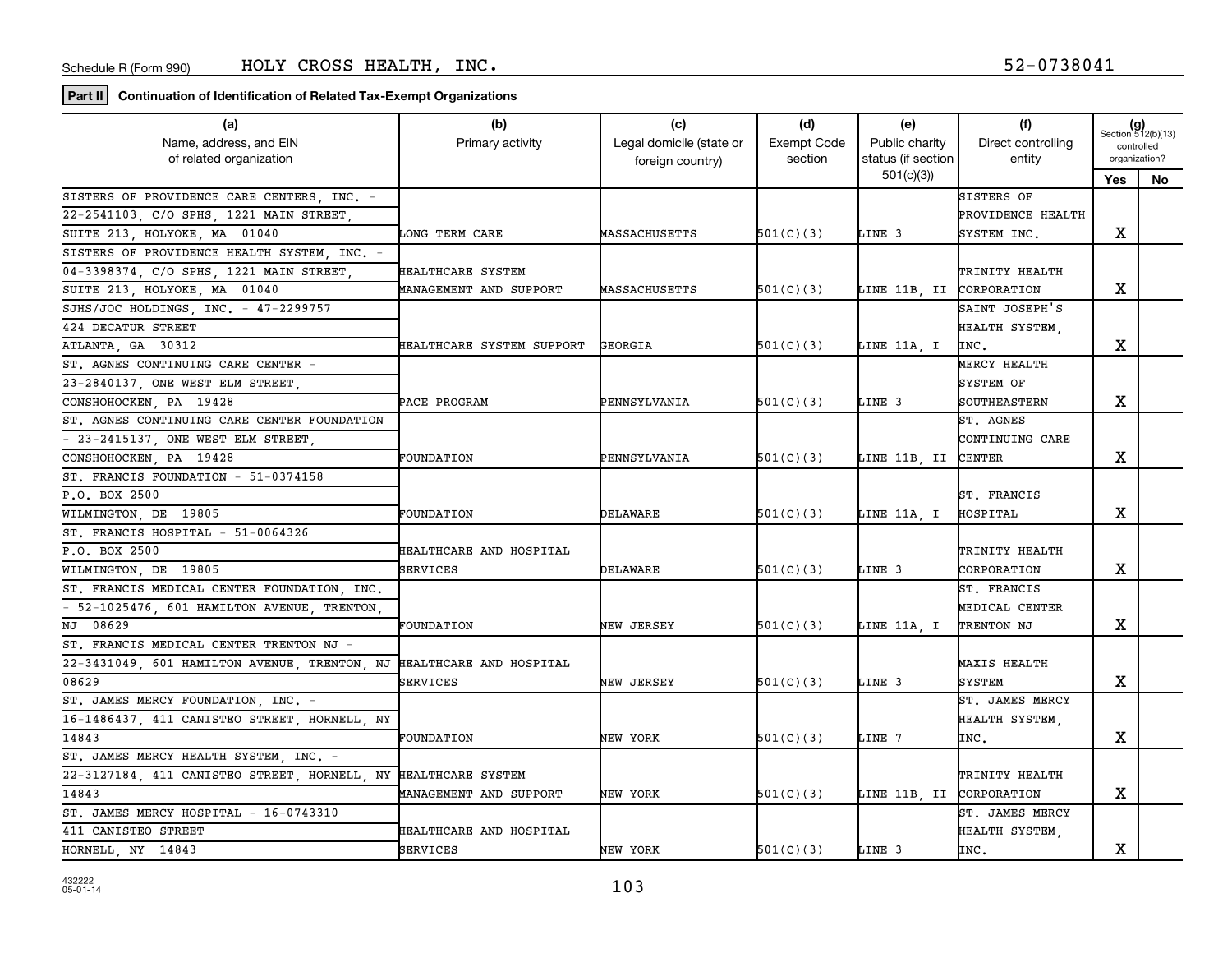| (a)                                                            | (b)                       | (c)                      | (d)         | (e)                      | (f)                | $(g)$<br>Section 512(b)(13) |     |
|----------------------------------------------------------------|---------------------------|--------------------------|-------------|--------------------------|--------------------|-----------------------------|-----|
| Name, address, and EIN                                         | Primary activity          | Legal domicile (state or | Exempt Code | Public charity           | Direct controlling | controlled                  |     |
| of related organization                                        |                           | foreign country)         | section     | status (if section       | entity             | organization?               |     |
|                                                                |                           |                          |             | 501(c)(3)                |                    | Yes                         | No. |
| SISTERS OF PROVIDENCE CARE CENTERS, INC. -                     |                           |                          |             |                          | SISTERS OF         |                             |     |
| 22-2541103, C/O SPHS, 1221 MAIN STREET                         |                           |                          |             |                          | PROVIDENCE HEALTH  |                             |     |
| SUITE 213, HOLYOKE, MA 01040                                   | LONG TERM CARE            | MASSACHUSETTS            | 501(C)(3)   | LINE 3                   | SYSTEM INC.        | х                           |     |
| SISTERS OF PROVIDENCE HEALTH SYSTEM, INC. -                    |                           |                          |             |                          |                    |                             |     |
| 04-3398374, C/O SPHS, 1221 MAIN STREET                         | HEALTHCARE SYSTEM         |                          |             |                          | TRINITY HEALTH     |                             |     |
| SUITE 213, HOLYOKE, MA 01040                                   | MANAGEMENT AND SUPPORT    | MASSACHUSETTS            | 501(C)(3)   | LINE 11B, II CORPORATION |                    | х                           |     |
| SJHS/JOC HOLDINGS, INC. - 47-2299757                           |                           |                          |             |                          | SAINT JOSEPH'S     |                             |     |
| 424 DECATUR STREET                                             |                           |                          |             |                          | HEALTH SYSTEM,     |                             |     |
| ATLANTA, GA 30312                                              | HEALTHCARE SYSTEM SUPPORT | GEORGIA                  | 501(C)(3)   | LINE 11A, I              | INC.               | X                           |     |
| ST. AGNES CONTINUING CARE CENTER -                             |                           |                          |             |                          | MERCY HEALTH       |                             |     |
| 23-2840137, ONE WEST ELM STREET,                               |                           |                          |             |                          | SYSTEM OF          |                             |     |
| CONSHOHOCKEN, PA 19428                                         | PACE PROGRAM              | PENNSYLVANIA             | 501(C)(3)   | LINE 3                   | SOUTHEASTERN       | х                           |     |
| ST. AGNES CONTINUING CARE CENTER FOUNDATION                    |                           |                          |             |                          | ST. AGNES          |                             |     |
| - 23-2415137, ONE WEST ELM STREET,                             |                           |                          |             |                          | CONTINUING CARE    |                             |     |
| CONSHOHOCKEN, PA 19428                                         | FOUNDATION                | PENNSYLVANIA             | 501(C)(3)   | LINE 11B, II CENTER      |                    | х                           |     |
| ST. FRANCIS FOUNDATION - 51-0374158                            |                           |                          |             |                          |                    |                             |     |
| P.O. BOX 2500                                                  |                           |                          |             |                          | ST. FRANCIS        |                             |     |
| WILMINGTON DE 19805                                            | FOUNDATION                | DELAWARE                 | 501(C)(3)   | LINE 11A. I              | HOSPITAL           | х                           |     |
| ST. FRANCIS HOSPITAL - 51-0064326                              |                           |                          |             |                          |                    |                             |     |
| P.O. BOX 2500                                                  | HEALTHCARE AND HOSPITAL   |                          |             |                          | TRINITY HEALTH     |                             |     |
| WILMINGTON, DE 19805                                           | SERVICES                  | DELAWARE                 | 501(C)(3)   | LINE 3                   | CORPORATION        | х                           |     |
| ST. FRANCIS MEDICAL CENTER FOUNDATION, INC.                    |                           |                          |             |                          | ST. FRANCIS        |                             |     |
| $-52-1025476$ , 601 HAMILTON AVENUE, TRENTON,                  |                           |                          |             |                          | MEDICAL CENTER     |                             |     |
| NJ 08629                                                       | FOUNDATION                | NEW JERSEY               | 501(C)(3)   | LINE 11A, I              | TRENTON NJ         | X                           |     |
| ST. FRANCIS MEDICAL CENTER TRENTON NJ -                        |                           |                          |             |                          |                    |                             |     |
| 22-3431049, 601 HAMILTON AVENUE, TRENTON, NJ                   | HEALTHCARE AND HOSPITAL   |                          |             |                          | MAXIS HEALTH       |                             |     |
| 08629                                                          | SERVICES                  | NEW JERSEY               | 501(C)(3)   | LINE 3                   | SYSTEM             | х                           |     |
| ST. JAMES MERCY FOUNDATION, INC. -                             |                           |                          |             |                          | ST. JAMES MERCY    |                             |     |
| 16-1486437, 411 CANISTEO STREET, HORNELL, NY                   |                           |                          |             |                          | HEALTH SYSTEM,     |                             |     |
| 14843                                                          | FOUNDATION                | NEW YORK                 | 501(C)(3)   | LINE 7                   | INC.               | х                           |     |
| ST. JAMES MERCY HEALTH SYSTEM, INC. -                          |                           |                          |             |                          |                    |                             |     |
| 22-3127184, 411 CANISTEO STREET, HORNELL, NY HEALTHCARE SYSTEM |                           |                          |             |                          | TRINITY HEALTH     |                             |     |
| 14843                                                          | MANAGEMENT AND SUPPORT    | NEW YORK                 | 501(C)(3)   | LINE 11B, II CORPORATION |                    | х                           |     |
| ST. JAMES MERCY HOSPITAL - 16-0743310                          |                           |                          |             |                          | ST. JAMES MERCY    |                             |     |
| 411 CANISTEO STREET                                            | HEALTHCARE AND HOSPITAL   |                          |             |                          | HEALTH SYSTEM,     |                             |     |
| HORNELL, NY 14843                                              | SERVICES                  | NEW YORK                 | 501(C)(3)   | LINE 3                   | INC.               | X                           |     |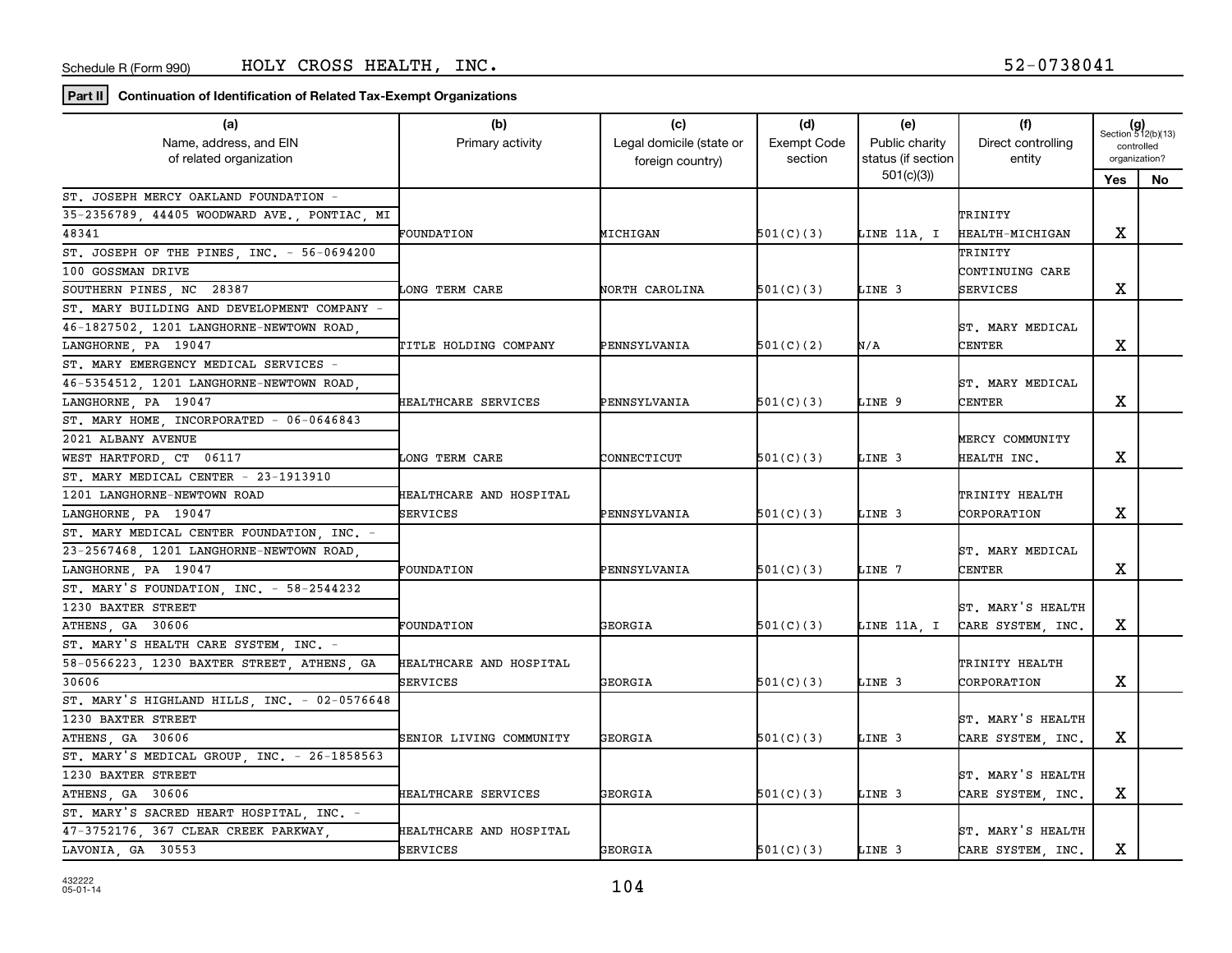| (a)                                          | (b)                     | (c)                      | (d)                | (e)                | (f)                | $(g)$<br>Section 512(b)(13) |           |
|----------------------------------------------|-------------------------|--------------------------|--------------------|--------------------|--------------------|-----------------------------|-----------|
| Name, address, and EIN                       | Primary activity        | Legal domicile (state or | <b>Exempt Code</b> | Public charity     | Direct controlling | controlled                  |           |
| of related organization                      |                         | foreign country)         | section            | status (if section | entity             | organization?               |           |
|                                              |                         |                          |                    | 501(c)(3)          |                    | Yes                         | <b>No</b> |
| ST. JOSEPH MERCY OAKLAND FOUNDATION -        |                         |                          |                    |                    |                    |                             |           |
| 35-2356789 44405 WOODWARD AVE. PONTIAC MI    |                         |                          |                    |                    | TRINITY            |                             |           |
| 48341                                        | FOUNDATION              | MICHIGAN                 | 501(C)(3)          | LINE 11A, I        | HEALTH-MICHIGAN    | х                           |           |
| ST. JOSEPH OF THE PINES, INC. - 56-0694200   |                         |                          |                    |                    | TRINITY            |                             |           |
| 100 GOSSMAN DRIVE                            |                         |                          |                    |                    | CONTINUING CARE    |                             |           |
| SOUTHERN PINES, NC 28387                     | <b>LONG TERM CARE</b>   | NORTH CAROLINA           | 501(C)(3)          | LINE 3             | SERVICES           | х                           |           |
| ST. MARY BUILDING AND DEVELOPMENT COMPANY -  |                         |                          |                    |                    |                    |                             |           |
| 46-1827502, 1201 LANGHORNE-NEWTOWN ROAD      |                         |                          |                    |                    | ST. MARY MEDICAL   |                             |           |
| LANGHORNE, PA 19047                          | TITLE HOLDING COMPANY   | PENNSYLVANIA             | 501(C)(2)          | N/A                | CENTER             | X                           |           |
| ST. MARY EMERGENCY MEDICAL SERVICES -        |                         |                          |                    |                    |                    |                             |           |
| 46-5354512, 1201 LANGHORNE-NEWTOWN ROAD      |                         |                          |                    |                    | ST. MARY MEDICAL   |                             |           |
| LANGHORNE PA 19047                           | HEALTHCARE SERVICES     | PENNSYLVANIA             | 501(C)(3)          | LINE 9             | CENTER             | х                           |           |
| ST. MARY HOME, INCORPORATED - 06-0646843     |                         |                          |                    |                    |                    |                             |           |
| 2021 ALBANY AVENUE                           |                         |                          |                    |                    | MERCY COMMUNITY    |                             |           |
| WEST HARTFORD, CT 06117                      | <b>LONG TERM CARE</b>   | CONNECTICUT              | 501(C)(3)          | LINE 3             | HEALTH INC.        | х                           |           |
| ST. MARY MEDICAL CENTER - 23-1913910         |                         |                          |                    |                    |                    |                             |           |
| 1201 LANGHORNE-NEWTOWN ROAD                  | HEALTHCARE AND HOSPITAL |                          |                    |                    | TRINITY HEALTH     |                             |           |
| LANGHORNE PA 19047                           | SERVICES                | PENNSYLVANIA             | 501(C)(3)          | LINE 3             | CORPORATION        | х                           |           |
| ST. MARY MEDICAL CENTER FOUNDATION, INC. -   |                         |                          |                    |                    |                    |                             |           |
| 23-2567468, 1201 LANGHORNE-NEWTOWN ROAD,     |                         |                          |                    |                    | ST. MARY MEDICAL   |                             |           |
| LANGHORNE, PA 19047                          | FOUNDATION              | PENNSYLVANIA             | 501(C)(3)          | LINE 7             | CENTER             | х                           |           |
| ST. MARY'S FOUNDATION, INC. - 58-2544232     |                         |                          |                    |                    |                    |                             |           |
| 1230 BAXTER STREET                           |                         |                          |                    |                    | ST. MARY'S HEALTH  |                             |           |
| ATHENS, GA 30606                             | FOUNDATION              | GEORGIA                  | 501(C)(3)          | LINE 11A, I        | CARE SYSTEM, INC.  | х                           |           |
| ST. MARY'S HEALTH CARE SYSTEM, INC. -        |                         |                          |                    |                    |                    |                             |           |
| 58-0566223, 1230 BAXTER STREET, ATHENS, GA   | HEALTHCARE AND HOSPITAL |                          |                    |                    | TRINITY HEALTH     |                             |           |
| 30606                                        | SERVICES                | GEORGIA                  | 501(C)(3)          | LINE 3             | CORPORATION        | х                           |           |
| ST. MARY'S HIGHLAND HILLS, INC. - 02-0576648 |                         |                          |                    |                    |                    |                             |           |
| 1230 BAXTER STREET                           |                         |                          |                    |                    | ST. MARY'S HEALTH  |                             |           |
| ATHENS, GA 30606                             | SENIOR LIVING COMMUNITY | GEORGIA                  | 501(C)(3)          | LINE 3             | CARE SYSTEM, INC.  | х                           |           |
| ST. MARY'S MEDICAL GROUP, INC. - 26-1858563  |                         |                          |                    |                    |                    |                             |           |
| 1230 BAXTER STREET                           |                         |                          |                    |                    | ST. MARY'S HEALTH  |                             |           |
| ATHENS GA 30606                              | HEALTHCARE SERVICES     | GEORGIA                  | 501(C)(3)          | LINE 3             | CARE SYSTEM, INC.  | х                           |           |
| ST. MARY'S SACRED HEART HOSPITAL, INC. -     |                         |                          |                    |                    |                    |                             |           |
| 47-3752176, 367 CLEAR CREEK PARKWAY,         | HEALTHCARE AND HOSPITAL |                          |                    |                    | ST. MARY'S HEALTH  |                             |           |
| LAVONIA, GA 30553                            | SERVICES                | GEORGIA                  | 501(C)(3)          | LINE 3             | CARE SYSTEM, INC.  | х                           |           |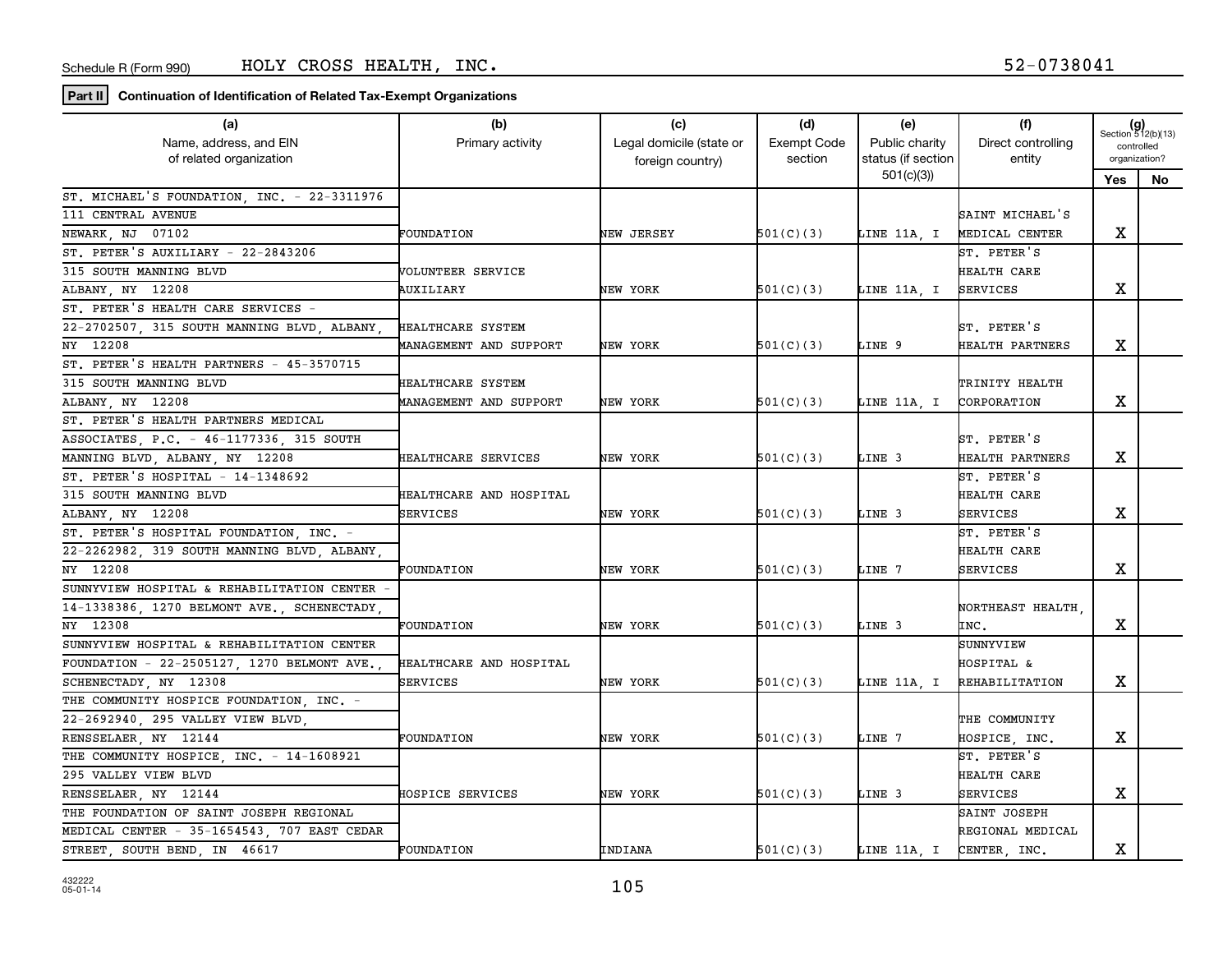| Direct controlling<br>Name, address, and EIN<br>Primary activity<br>Legal domicile (state or<br><b>Exempt Code</b><br>Public charity<br>section<br>status (if section<br>entity<br>of related organization<br>foreign country) | $(g)$<br>Section 512(b)(13)<br>controlled<br>organization? |
|--------------------------------------------------------------------------------------------------------------------------------------------------------------------------------------------------------------------------------|------------------------------------------------------------|
|                                                                                                                                                                                                                                |                                                            |
|                                                                                                                                                                                                                                |                                                            |
| 501(c)(3)<br>Yes                                                                                                                                                                                                               | No                                                         |
| ST. MICHAEL'S FOUNDATION, INC. - 22-3311976                                                                                                                                                                                    |                                                            |
| 111 CENTRAL AVENUE<br>SAINT MICHAEL'S                                                                                                                                                                                          |                                                            |
| х<br>NEWARK, NJ 07102<br>FOUNDATION<br>NEW JERSEY<br>501(C)(3)<br>LINE 11A, I<br>MEDICAL CENTER                                                                                                                                |                                                            |
| ST. PETER'S AUXILIARY - 22-2843206<br>ST. PETER'S                                                                                                                                                                              |                                                            |
| 315 SOUTH MANNING BLVD<br>HEALTH CARE<br>VOLUNTEER SERVICE                                                                                                                                                                     |                                                            |
| х<br>ALBANY, NY 12208<br>NEW YORK<br>501(C)(3)<br>LINE 11A, I SERVICES<br>AUXILIARY                                                                                                                                            |                                                            |
| ST. PETER'S HEALTH CARE SERVICES -                                                                                                                                                                                             |                                                            |
| 22-2702507, 315 SOUTH MANNING BLVD, ALBANY,<br>ST. PETER'S<br>HEALTHCARE SYSTEM                                                                                                                                                |                                                            |
| х<br>NY 12208<br>LINE 9<br>HEALTH PARTNERS<br>MANAGEMENT AND SUPPORT<br>NEW YORK<br>501(C)(3)                                                                                                                                  |                                                            |
| ST. PETER'S HEALTH PARTNERS - 45-3570715                                                                                                                                                                                       |                                                            |
| 315 SOUTH MANNING BLVD<br>HEALTHCARE SYSTEM<br>TRINITY HEALTH                                                                                                                                                                  |                                                            |
| х<br>ALBANY, NY 12208<br>NEW YORK<br>501(C)(3)<br>LINE 11A, I<br>MANAGEMENT AND SUPPORT<br>CORPORATION                                                                                                                         |                                                            |
| ST. PETER'S HEALTH PARTNERS MEDICAL                                                                                                                                                                                            |                                                            |
| ASSOCIATES, P.C. - 46-1177336, 315 SOUTH<br>ST. PETER'S                                                                                                                                                                        |                                                            |
| x<br>MANNING BLVD, ALBANY, NY 12208<br>NEW YORK<br>LINE 3<br>HEALTHCARE SERVICES<br>501(C)(3)<br>HEALTH PARTNERS                                                                                                               |                                                            |
| ST. PETER'S HOSPITAL - 14-1348692<br>ST. PETER'S                                                                                                                                                                               |                                                            |
| 315 SOUTH MANNING BLVD<br>HEALTH CARE<br>HEALTHCARE AND HOSPITAL                                                                                                                                                               |                                                            |
| х<br>ALBANY, NY 12208<br>SERVICES<br>NEW YORK<br>501(C)(3)<br>LINE 3<br>SERVICES                                                                                                                                               |                                                            |
| ST. PETER'S HOSPITAL FOUNDATION, INC. -<br>ST. PETER'S                                                                                                                                                                         |                                                            |
| 22-2262982, 319 SOUTH MANNING BLVD, ALBANY<br>HEALTH CARE                                                                                                                                                                      |                                                            |
| х<br>NY 12208<br>NEW YORK<br>501(C)(3)<br>LINE 7<br>SERVICES<br>FOUNDATION                                                                                                                                                     |                                                            |
| SUNNYVIEW HOSPITAL & REHABILITATION CENTER                                                                                                                                                                                     |                                                            |
| 14-1338386, 1270 BELMONT AVE., SCHENECTADY,<br>NORTHEAST HEALTH                                                                                                                                                                |                                                            |
| х<br>NY 12308<br>LINE 3<br>NEW YORK<br>501(C)(3)<br>INC.<br>FOUNDATION                                                                                                                                                         |                                                            |
| SUNNYVIEW HOSPITAL & REHABILITATION CENTER<br>SUNNYVIEW                                                                                                                                                                        |                                                            |
| FOUNDATION - 22-2505127, 1270 BELMONT AVE.,<br>HEALTHCARE AND HOSPITAL<br>HOSPITAL &                                                                                                                                           |                                                            |
| х<br>LINE 11A, I<br>SCHENECTADY, NY 12308<br>SERVICES<br>NEW YORK<br>501(C)(3)<br>REHABILITATION                                                                                                                               |                                                            |
| THE COMMUNITY HOSPICE FOUNDATION, INC. -                                                                                                                                                                                       |                                                            |
| 22-2692940, 295 VALLEY VIEW BLVD<br>THE COMMUNITY                                                                                                                                                                              |                                                            |
| x<br>RENSSELAER, NY 12144<br>NEW YORK<br>FOUNDATION<br>501(C)(3)<br>LINE 7<br>HOSPICE, INC.                                                                                                                                    |                                                            |
| THE COMMUNITY HOSPICE, INC. - 14-1608921<br>ST. PETER'S                                                                                                                                                                        |                                                            |
| 295 VALLEY VIEW BLVD<br>HEALTH CARE                                                                                                                                                                                            |                                                            |
| х<br>RENSSELAER, NY 12144<br>HOSPICE SERVICES<br>NEW YORK<br>501(C)(3)<br>LINE 3<br>SERVICES                                                                                                                                   |                                                            |
| THE FOUNDATION OF SAINT JOSEPH REGIONAL<br>SAINT JOSEPH                                                                                                                                                                        |                                                            |
| MEDICAL CENTER - 35-1654543, 707 EAST CEDAR<br>REGIONAL MEDICAL                                                                                                                                                                |                                                            |
| X<br>STREET, SOUTH BEND, IN 46617<br>INDIANA<br>501(C)(3)<br>LINE 11A, I<br>FOUNDATION<br>CENTER, INC.                                                                                                                         |                                                            |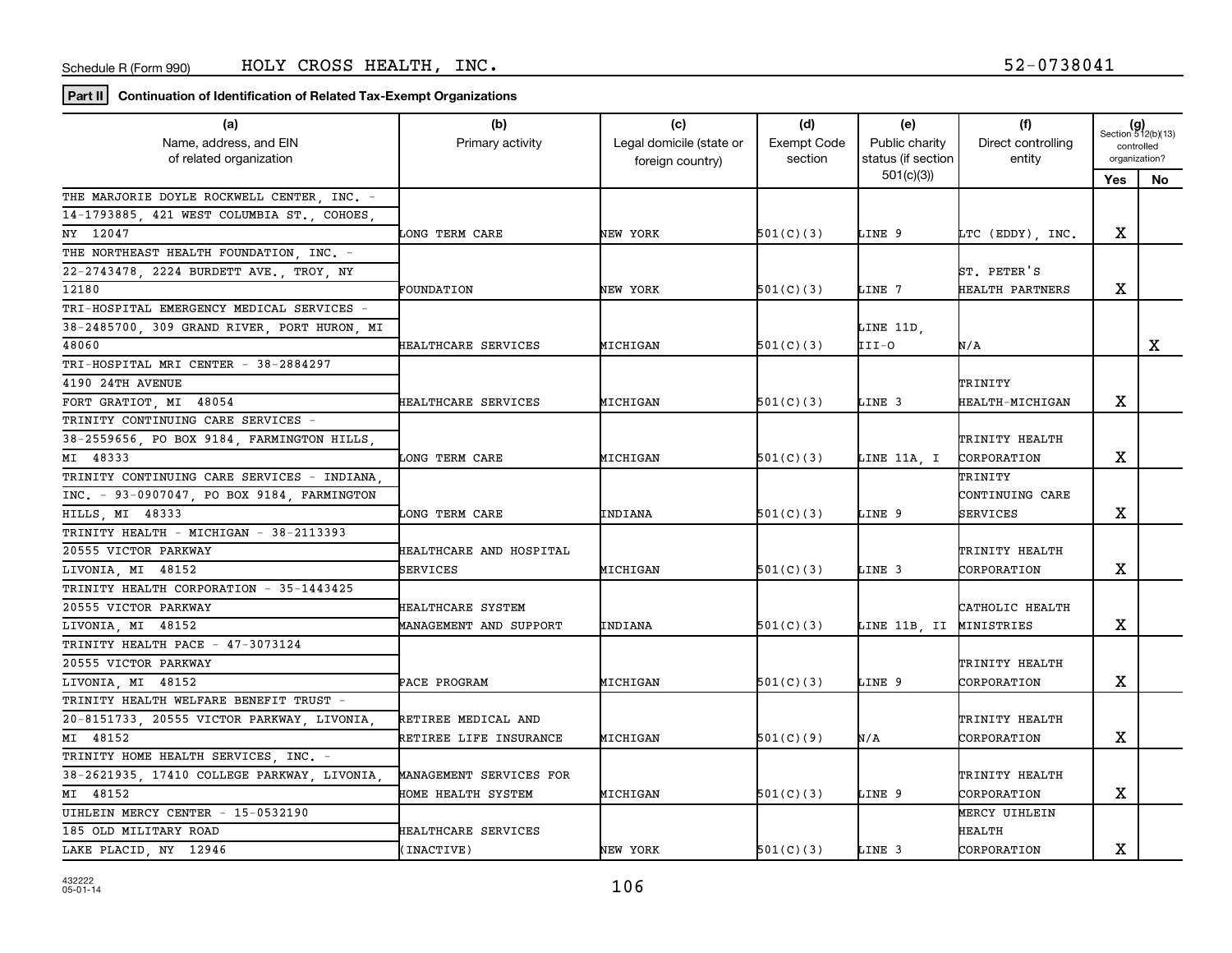| (a)                                         | (b)                     | (c)                      | (d)                | (e)                     | (f)                |               | $(g)$<br>Section 512(b)(13) |
|---------------------------------------------|-------------------------|--------------------------|--------------------|-------------------------|--------------------|---------------|-----------------------------|
| Name, address, and EIN                      | Primary activity        | Legal domicile (state or | <b>Exempt Code</b> | Public charity          | Direct controlling | controlled    |                             |
| of related organization                     |                         | foreign country)         | section            | status (if section      | entity             | organization? |                             |
|                                             |                         |                          |                    | 501(c)(3)               |                    | Yes           | No                          |
| THE MARJORIE DOYLE ROCKWELL CENTER INC. -   |                         |                          |                    |                         |                    |               |                             |
| 14-1793885, 421 WEST COLUMBIA ST., COHOES,  |                         |                          |                    |                         |                    |               |                             |
| NY 12047                                    | LONG TERM CARE          | NEW YORK                 | 501(C)(3)          | LINE 9                  | LTC (EDDY), INC.   | х             |                             |
| THE NORTHEAST HEALTH FOUNDATION, INC. -     |                         |                          |                    |                         |                    |               |                             |
| 22-2743478, 2224 BURDETT AVE., TROY, NY     |                         |                          |                    |                         | ST. PETER'S        |               |                             |
| 12180                                       | FOUNDATION              | NEW YORK                 | 501(C)(3)          | LINE 7                  | HEALTH PARTNERS    | х             |                             |
| TRI-HOSPITAL EMERGENCY MEDICAL SERVICES -   |                         |                          |                    |                         |                    |               |                             |
| 38-2485700, 309 GRAND RIVER, PORT HURON, MI |                         |                          |                    | LINE 11D.               |                    |               |                             |
| 48060                                       | HEALTHCARE SERVICES     | MICHIGAN                 | 501(C)(3)          | III-O                   | N/A                |               | X                           |
| TRI-HOSPITAL MRI CENTER - 38-2884297        |                         |                          |                    |                         |                    |               |                             |
| 4190 24TH AVENUE                            |                         |                          |                    |                         | TRINITY            |               |                             |
| FORT GRATIOT, MI 48054                      | HEALTHCARE SERVICES     | MICHIGAN                 | 501(C)(3)          | LINE 3                  | HEALTH-MICHIGAN    | х             |                             |
| TRINITY CONTINUING CARE SERVICES -          |                         |                          |                    |                         |                    |               |                             |
| 38-2559656, PO BOX 9184, FARMINGTON HILLS   |                         |                          |                    |                         | TRINITY HEALTH     |               |                             |
| MI 48333                                    | <b>LONG TERM CARE</b>   | MICHIGAN                 | 501(C)(3)          | LINE 11A, I             | CORPORATION        | X             |                             |
| TRINITY CONTINUING CARE SERVICES - INDIANA  |                         |                          |                    |                         | TRINITY            |               |                             |
| INC. - 93-0907047, PO BOX 9184, FARMINGTON  |                         |                          |                    |                         | CONTINUING CARE    |               |                             |
| HILLS MI 48333                              | <b>JONG TERM CARE</b>   | INDIANA                  | 501(C)(3)          | LINE 9                  | SERVICES           | х             |                             |
| TRINITY HEALTH - MICHIGAN - 38-2113393      |                         |                          |                    |                         |                    |               |                             |
| 20555 VICTOR PARKWAY                        | HEALTHCARE AND HOSPITAL |                          |                    |                         | TRINITY HEALTH     |               |                             |
| LIVONIA, MI 48152                           | SERVICES                | MICHIGAN                 | 501(C)(3)          | LINE 3                  | CORPORATION        | X             |                             |
| TRINITY HEALTH CORPORATION - 35-1443425     |                         |                          |                    |                         |                    |               |                             |
| 20555 VICTOR PARKWAY                        | HEALTHCARE SYSTEM       |                          |                    |                         | CATHOLIC HEALTH    |               |                             |
| LIVONIA, MI 48152                           | MANAGEMENT AND SUPPORT  | INDIANA                  | 501(C)(3)          | LINE 11B. II MINISTRIES |                    | х             |                             |
| TRINITY HEALTH PACE - 47-3073124            |                         |                          |                    |                         |                    |               |                             |
| 20555 VICTOR PARKWAY                        |                         |                          |                    |                         | TRINITY HEALTH     |               |                             |
| LIVONIA, MI 48152                           | PACE PROGRAM            | MICHIGAN                 | 501(C)(3)          | LINE 9                  | CORPORATION        | X             |                             |
| TRINITY HEALTH WELFARE BENEFIT TRUST -      |                         |                          |                    |                         |                    |               |                             |
| 20-8151733, 20555 VICTOR PARKWAY, LIVONIA   | RETIREE MEDICAL AND     |                          |                    |                         | TRINITY HEALTH     |               |                             |
| MI 48152                                    | RETIREE LIFE INSURANCE  | MICHIGAN                 | 501(C)(9)          | N/A                     | CORPORATION        | х             |                             |
| TRINITY HOME HEALTH SERVICES, INC. -        |                         |                          |                    |                         |                    |               |                             |
| 38-2621935, 17410 COLLEGE PARKWAY, LIVONIA  | MANAGEMENT SERVICES FOR |                          |                    |                         | TRINITY HEALTH     |               |                             |
| MI 48152                                    | HOME HEALTH SYSTEM      | MICHIGAN                 | 501(C)(3)          | LINE 9                  | CORPORATION        | х             |                             |
| UIHLEIN MERCY CENTER - 15-0532190           |                         |                          |                    |                         | MERCY UIHLEIN      |               |                             |
| 185 OLD MILITARY ROAD                       | HEALTHCARE SERVICES     |                          |                    |                         | HEALTH             |               |                             |
| LAKE PLACID, NY 12946                       | (INACTIVE)              | NEW YORK                 | 501(C)(3)          | LINE 3                  | CORPORATION        | Х             |                             |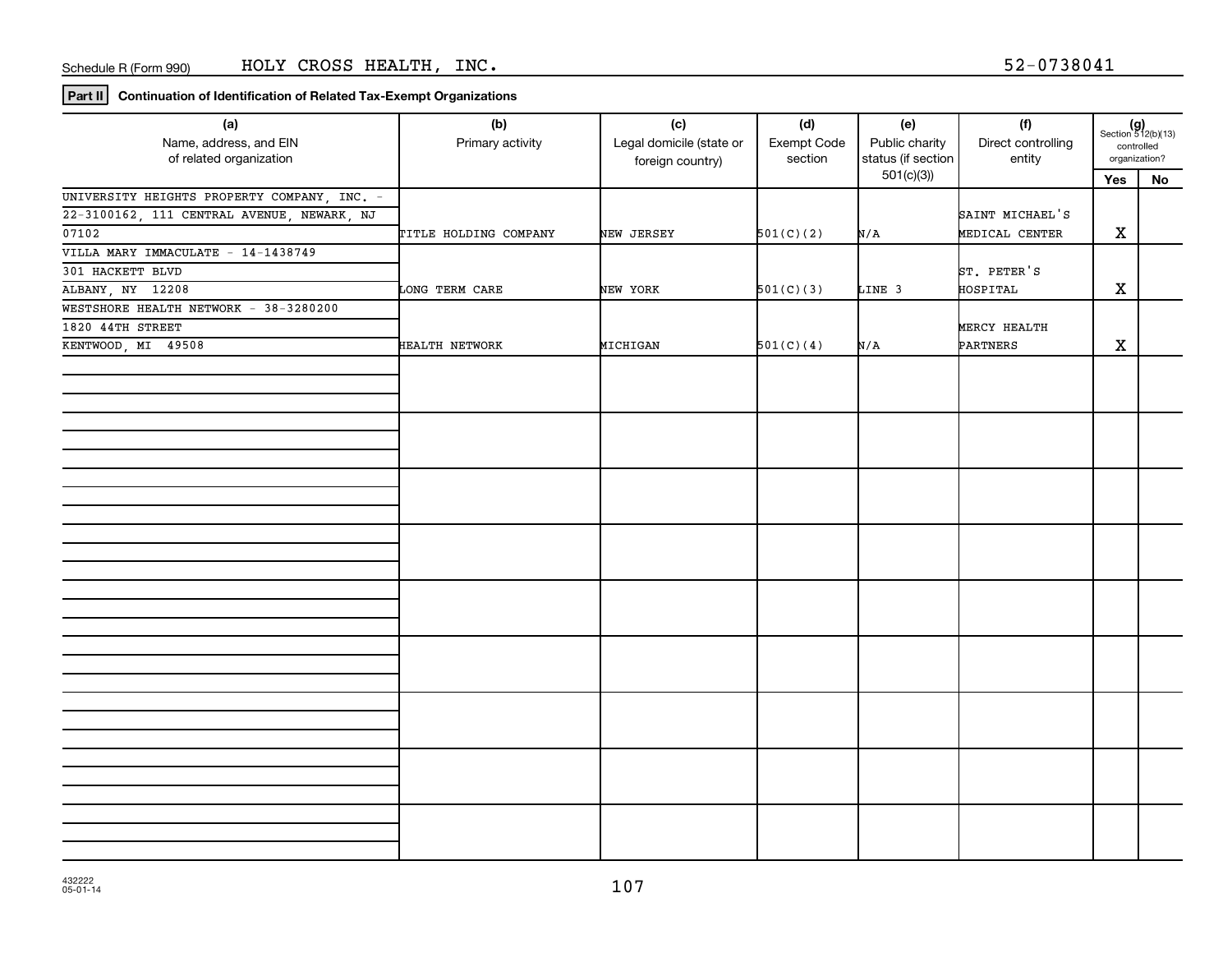| (a)<br>Name, address, and EIN<br>of related organization | (b)<br>Primary activity | (c)<br>Legal domicile (state or<br>foreign country) | (d)<br>Exempt Code<br>section | (e)<br>Public charity<br>status (if section | (f)<br>Direct controlling<br>entity | $(g)$<br>Section 512(b)(13)<br>controlled<br>organization? |    |
|----------------------------------------------------------|-------------------------|-----------------------------------------------------|-------------------------------|---------------------------------------------|-------------------------------------|------------------------------------------------------------|----|
|                                                          |                         |                                                     |                               | 501(c)(3)                                   |                                     | Yes                                                        | No |
| UNIVERSITY HEIGHTS PROPERTY COMPANY, INC. -              |                         |                                                     |                               |                                             |                                     |                                                            |    |
| 22-3100162, 111 CENTRAL AVENUE, NEWARK, NJ               |                         |                                                     |                               |                                             | SAINT MICHAEL'S                     |                                                            |    |
| 07102                                                    | TITLE HOLDING COMPANY   | NEW JERSEY                                          | 501(C)(2)                     | N/A                                         | MEDICAL CENTER                      | X                                                          |    |
| VILLA MARY IMMACULATE - 14-1438749                       |                         |                                                     |                               |                                             |                                     |                                                            |    |
| 301 HACKETT BLVD                                         |                         |                                                     |                               |                                             | ST. PETER'S                         |                                                            |    |
| ALBANY, NY 12208                                         | <b>LONG TERM CARE</b>   | NEW YORK                                            | 501(C)(3)                     | LINE 3                                      | HOSPITAL                            | X                                                          |    |
| WESTSHORE HEALTH NETWORK - 38-3280200                    |                         |                                                     |                               |                                             |                                     |                                                            |    |
| 1820 44TH STREET                                         |                         |                                                     |                               |                                             | MERCY HEALTH                        |                                                            |    |
| KENTWOOD, MI 49508                                       | <b>HEALTH NETWORK</b>   | MICHIGAN                                            | 501(C)(4)                     | N/A                                         | <b>PARTNERS</b>                     | X                                                          |    |
|                                                          |                         |                                                     |                               |                                             |                                     |                                                            |    |
|                                                          |                         |                                                     |                               |                                             |                                     |                                                            |    |
|                                                          |                         |                                                     |                               |                                             |                                     |                                                            |    |
|                                                          |                         |                                                     |                               |                                             |                                     |                                                            |    |
|                                                          |                         |                                                     |                               |                                             |                                     |                                                            |    |
|                                                          |                         |                                                     |                               |                                             |                                     |                                                            |    |
|                                                          |                         |                                                     |                               |                                             |                                     |                                                            |    |
|                                                          |                         |                                                     |                               |                                             |                                     |                                                            |    |
|                                                          |                         |                                                     |                               |                                             |                                     |                                                            |    |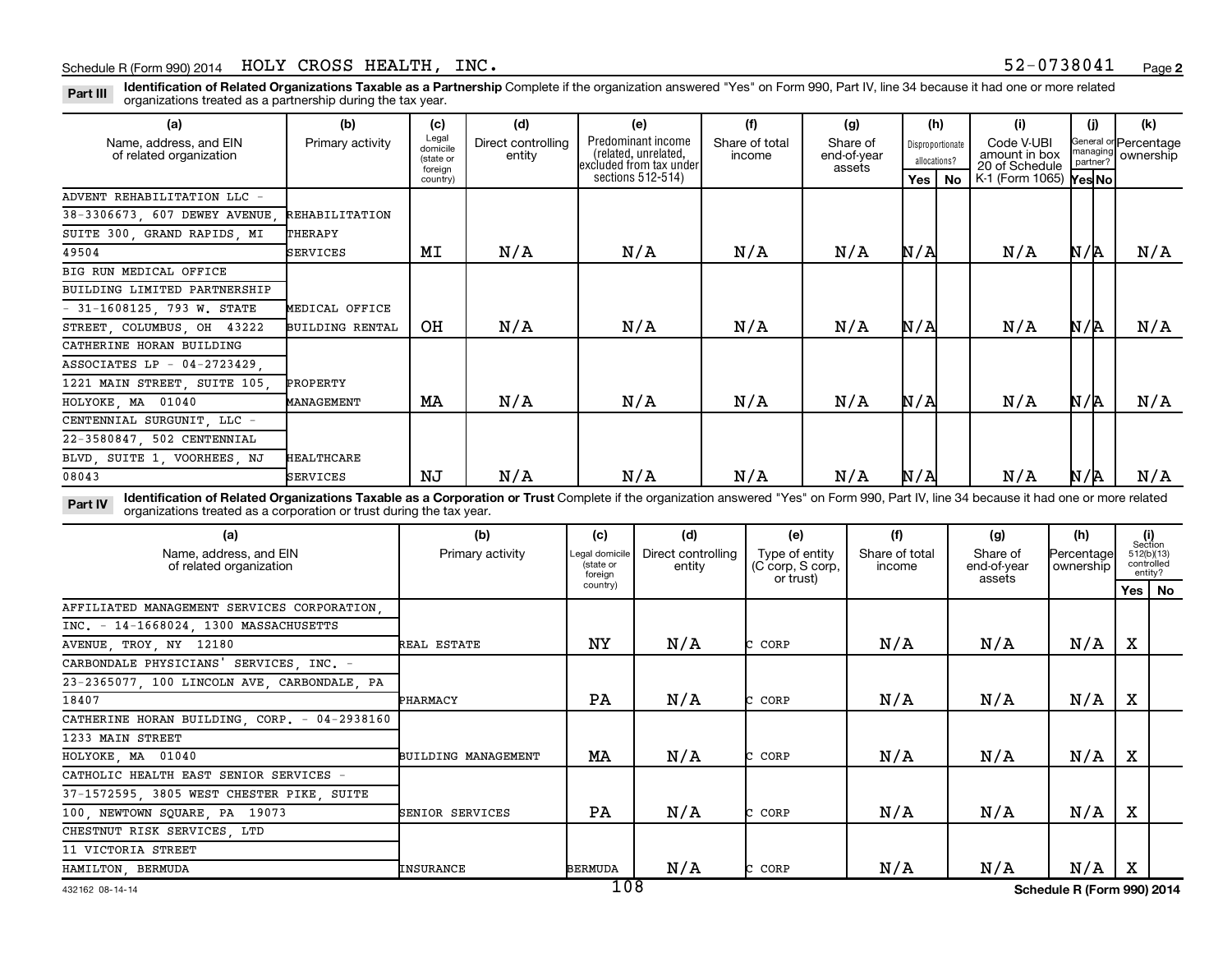Part III Identification of Related Organizations Taxable as a Partnership Complete if the organization answered "Yes" on Form 990, Part IV, line 34 because it had one or more related<br>Read to the organizations tracted as a organizations treated as a partnership during the tax year.

| (a)                                               | (b)                    | (c)                                                   | (d)                          | (e)                                                                                        | (f)                      | (g)                               |     | (h)                                    | (i)                                                                            | (i)                  | (k)                                |
|---------------------------------------------------|------------------------|-------------------------------------------------------|------------------------------|--------------------------------------------------------------------------------------------|--------------------------|-----------------------------------|-----|----------------------------------------|--------------------------------------------------------------------------------|----------------------|------------------------------------|
| Name, address, and EIN<br>of related organization | Primary activity       | Legal<br>domicile<br>(state or<br>foreian<br>country) | Direct controlling<br>entity | Predominant income<br>(related, unrelated,<br>excluded from tax under<br>sections 512-514) | Share of total<br>income | Share of<br>end-of-year<br>assets | Yes | Disproportionate<br>allocations?<br>No | Code V-UBI<br>amount in box<br>20 of Schedule<br>K-1 (Form 1065) <b>Yes No</b> | managing<br>partner? | General or Percentage<br>ownership |
| ADVENT REHABILITATION LLC -                       |                        |                                                       |                              |                                                                                            |                          |                                   |     |                                        |                                                                                |                      |                                    |
| 38-3306673, 607 DEWEY AVENUE,                     | REHABILITATION         |                                                       |                              |                                                                                            |                          |                                   |     |                                        |                                                                                |                      |                                    |
| SUITE 300, GRAND RAPIDS, MI                       | THERAPY                |                                                       |                              |                                                                                            |                          |                                   |     |                                        |                                                                                |                      |                                    |
| 49504                                             | <b>SERVICES</b>        | МI                                                    | N/A                          | N/A                                                                                        | N/A                      | N/A                               | N/A |                                        | N/A                                                                            | N/A                  | N/A                                |
| BIG RUN MEDICAL OFFICE                            |                        |                                                       |                              |                                                                                            |                          |                                   |     |                                        |                                                                                |                      |                                    |
| BUILDING LIMITED PARTNERSHIP                      |                        |                                                       |                              |                                                                                            |                          |                                   |     |                                        |                                                                                |                      |                                    |
| $-31-1608125$ , 793 W. STATE                      | MEDICAL OFFICE         |                                                       |                              |                                                                                            |                          |                                   |     |                                        |                                                                                |                      |                                    |
| STREET, COLUMBUS, OH 43222                        | <b>BUILDING RENTAL</b> | OН                                                    | N/A                          | N/A                                                                                        | N/A                      | N/A                               | N/A |                                        | N/A                                                                            | N/R                  | N/A                                |
| CATHERINE HORAN BUILDING                          |                        |                                                       |                              |                                                                                            |                          |                                   |     |                                        |                                                                                |                      |                                    |
| ASSOCIATES LP - 04-2723429                        |                        |                                                       |                              |                                                                                            |                          |                                   |     |                                        |                                                                                |                      |                                    |
| 1221 MAIN STREET, SUITE 105,                      | <b>PROPERTY</b>        |                                                       |                              |                                                                                            |                          |                                   |     |                                        |                                                                                |                      |                                    |
| HOLYOKE, MA 01040                                 | MANAGEMENT             | МA                                                    | N/A                          | N/A                                                                                        | N/A                      | N/A                               | N/A |                                        | N/A                                                                            | N/R                  | N/A                                |
| CENTENNIAL SURGUNIT, LLC -                        |                        |                                                       |                              |                                                                                            |                          |                                   |     |                                        |                                                                                |                      |                                    |
| 22-3580847 502 CENTENNIAL                         |                        |                                                       |                              |                                                                                            |                          |                                   |     |                                        |                                                                                |                      |                                    |
| BLVD, SUITE 1, VOORHEES, NJ                       | HEALTHCARE             |                                                       |                              |                                                                                            |                          |                                   |     |                                        |                                                                                |                      |                                    |
| 08043                                             | <b>SERVICES</b>        | NJ                                                    | N/A                          | N/A                                                                                        | N/A                      | N/A                               | N/A |                                        | N/A                                                                            | N/A                  | N/A                                |

Part IV Identification of Related Organizations Taxable as a Corporation or Trust Complete if the organization answered "Yes" on Form 990, Part IV, line 34 because it had one or more related<br>Comparison tracted as a comprat organizations treated as a corporation or trust during the tax year.

| (a)<br>Name, address, and EIN<br>of related organization | (b)<br>Primary activity    | (c)<br>Legal domicile<br>(state or<br>foreign | (d)<br>Direct controlling<br>entity | (e)<br>Type of entity<br>(C corp, S corp,<br>or trust) | (f)<br>Share of total<br>income | (g)<br>Share of<br>end-of-year<br>assets | (h)<br>Percentage<br>ownership |                                                                                    |    |
|----------------------------------------------------------|----------------------------|-----------------------------------------------|-------------------------------------|--------------------------------------------------------|---------------------------------|------------------------------------------|--------------------------------|------------------------------------------------------------------------------------|----|
|                                                          |                            | country)                                      |                                     |                                                        |                                 |                                          |                                | (i)<br>Section<br>512(b)(13)<br>controlled<br>entity?<br>Yes  <br>x<br>X<br>х<br>x | No |
| AFFILIATED MANAGEMENT SERVICES CORPORATION.              |                            |                                               |                                     |                                                        |                                 |                                          |                                |                                                                                    |    |
| INC. - 14-1668024, 1300 MASSACHUSETTS                    |                            |                                               |                                     |                                                        |                                 |                                          |                                |                                                                                    |    |
| AVENUE, TROY, NY 12180                                   | REAL ESTATE                | ΝY                                            | N/A                                 | CORP                                                   | N/A                             | N/A                                      | $\mathrm{N}/\mathrm{A}$        |                                                                                    |    |
| CARBONDALE PHYSICIANS' SERVICES, INC. -                  |                            |                                               |                                     |                                                        |                                 |                                          |                                |                                                                                    |    |
| 23-2365077, 100 LINCOLN AVE, CARBONDALE, PA              |                            |                                               |                                     |                                                        |                                 |                                          |                                |                                                                                    |    |
| 18407                                                    | PHARMACY                   | PA                                            | N/A                                 | CORP                                                   | N/A                             | N/A                                      | N/A                            |                                                                                    |    |
| CATHERINE HORAN BUILDING, CORP. - 04-2938160             |                            |                                               |                                     |                                                        |                                 |                                          |                                |                                                                                    |    |
| 1233 MAIN STREET                                         |                            |                                               |                                     |                                                        |                                 |                                          |                                |                                                                                    |    |
| HOLYOKE, MA 01040                                        | <b>BUILDING MANAGEMENT</b> | MA                                            | N/A                                 | CORP                                                   | N/A                             | N/A                                      | N/A                            |                                                                                    |    |
| CATHOLIC HEALTH EAST SENIOR SERVICES -                   |                            |                                               |                                     |                                                        |                                 |                                          |                                |                                                                                    |    |
| 37-1572595, 3805 WEST CHESTER PIKE, SUITE                |                            |                                               |                                     |                                                        |                                 |                                          |                                |                                                                                    |    |
| 100, NEWTOWN SQUARE, PA 19073                            | SENIOR SERVICES            | PA                                            | N/A                                 | CORP                                                   | N/A                             | N/A                                      | N/A                            |                                                                                    |    |
| CHESTNUT RISK SERVICES, LTD                              |                            |                                               |                                     |                                                        |                                 |                                          |                                |                                                                                    |    |
| 11 VICTORIA STREET                                       |                            |                                               |                                     |                                                        |                                 |                                          |                                |                                                                                    |    |
| HAMILTON, BERMUDA                                        | INSURANCE                  | <b>BERMUDA</b><br>$\overline{100}$            | N/A                                 | CORP                                                   | N/A                             | N/A                                      | N/A                            | х                                                                                  |    |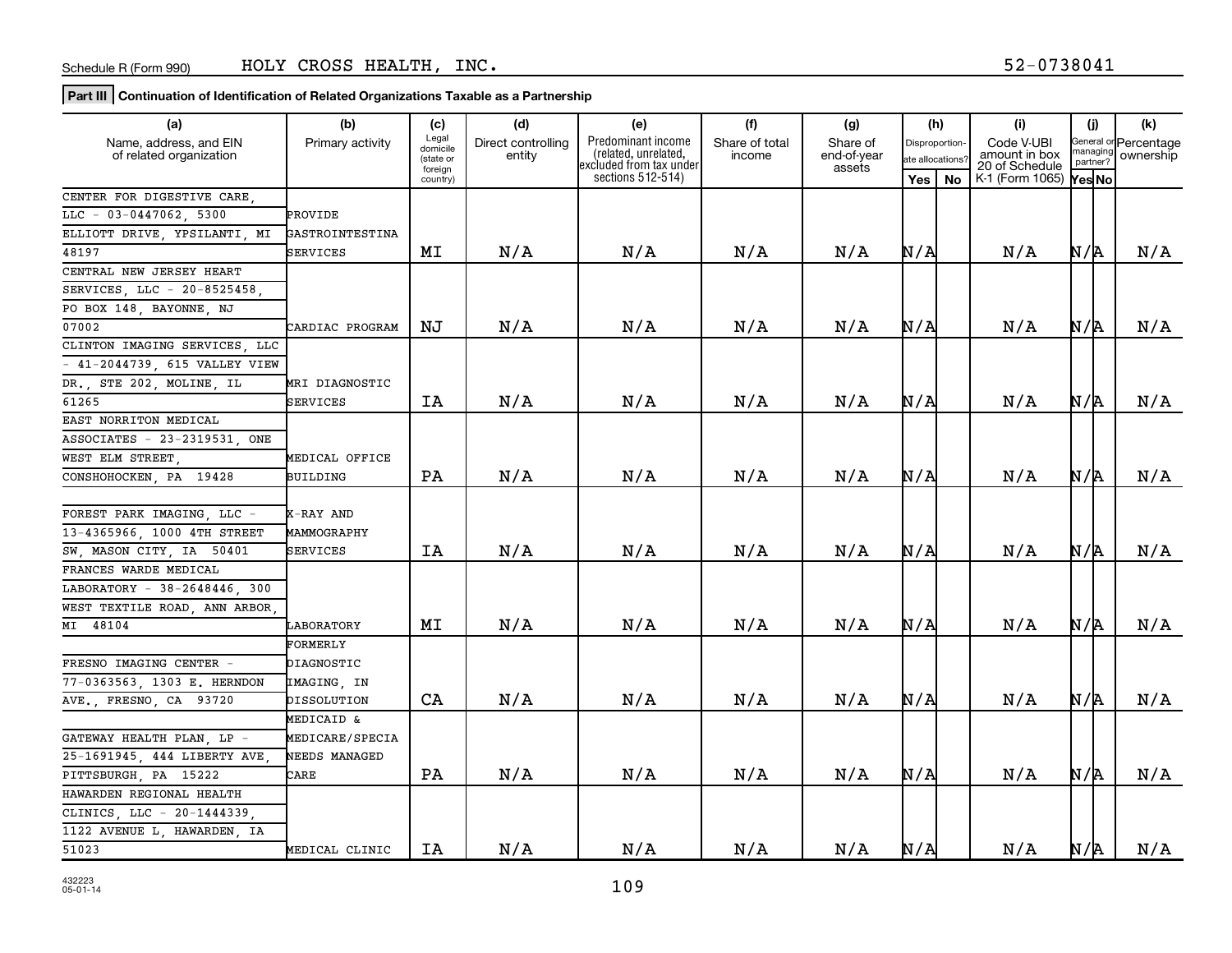| (a)                           | (b)                    | (c)                  | (d)                | (e)                                             | (f)            | (g)                   | (h)             | (i)                             | (j)           | (k)                   |
|-------------------------------|------------------------|----------------------|--------------------|-------------------------------------------------|----------------|-----------------------|-----------------|---------------------------------|---------------|-----------------------|
| Name, address, and EIN        | Primary activity       | Legal<br>domicile    | Direct controlling | Predominant income                              | Share of total | Share of              | Disproportion-  | Code V-UBI                      | nanaging      | General or Percentage |
| of related organization       |                        | (state or<br>foreign | entity             | (related, unrelated,<br>excluded from tax under | income         | end-of-year<br>assets | ate allocations | amount in box<br>20 of Schedule | partner?      | ownership             |
|                               |                        | country)             |                    | sections 512-514)                               |                |                       | Yes   No        | K-1 (Form 1065)                 | <b>Yes No</b> |                       |
| CENTER FOR DIGESTIVE CARE     |                        |                      |                    |                                                 |                |                       |                 |                                 |               |                       |
| $LLC - 03 - 0447062$ , 5300   | PROVIDE                |                      |                    |                                                 |                |                       |                 |                                 |               |                       |
| ELLIOTT DRIVE, YPSILANTI, MI  | GASTROINTESTINA        |                      |                    |                                                 |                |                       |                 |                                 |               |                       |
| 48197                         | SERVICES               | МI                   | N/A                | N/A                                             | N/A            | N/A                   | N/A             | N/A                             | N/A           | N/A                   |
| CENTRAL NEW JERSEY HEART      |                        |                      |                    |                                                 |                |                       |                 |                                 |               |                       |
| SERVICES, LLC - 20-8525458,   |                        |                      |                    |                                                 |                |                       |                 |                                 |               |                       |
| PO BOX 148, BAYONNE, NJ       |                        |                      |                    |                                                 |                |                       |                 |                                 |               |                       |
| 07002                         | CARDIAC PROGRAM        | ΝJ                   | N/A                | N/A                                             | N/A            | N/A                   | N/A             | N/A                             | N/A           | N/A                   |
| CLINTON IMAGING SERVICES LLC  |                        |                      |                    |                                                 |                |                       |                 |                                 |               |                       |
| - 41-2044739, 615 VALLEY VIEW |                        |                      |                    |                                                 |                |                       |                 |                                 |               |                       |
| DR., STE 202, MOLINE, IL      | MRI DIAGNOSTIC         |                      |                    |                                                 |                |                       |                 |                                 |               |                       |
| 61265                         | SERVICES               | IA                   | N/A                | N/A                                             | N/A            | N/A                   | N/A             | N/A                             | N/A           | N/A                   |
| EAST NORRITON MEDICAL         |                        |                      |                    |                                                 |                |                       |                 |                                 |               |                       |
| ASSOCIATES - 23-2319531, ONE  |                        |                      |                    |                                                 |                |                       |                 |                                 |               |                       |
| WEST ELM STREET               | MEDICAL OFFICE         |                      |                    |                                                 |                |                       |                 |                                 |               |                       |
| CONSHOHOCKEN, PA 19428        | BUILDING               | PA                   | N/A                | N/A                                             | N/A            | N/A                   | N/A             | N/A                             | N/A           | N/A                   |
|                               |                        |                      |                    |                                                 |                |                       |                 |                                 |               |                       |
| FOREST PARK IMAGING, LLC -    | X-RAY AND              |                      |                    |                                                 |                |                       |                 |                                 |               |                       |
| 13-4365966, 1000 4TH STREET   | MAMMOGRAPHY            |                      |                    |                                                 |                |                       |                 |                                 |               |                       |
| SW. MASON CITY, IA 50401      | SERVICES               | IA                   | N/A                | N/A                                             | N/A            | N/A                   | N/A             | N/A                             | N/A           | N/A                   |
| FRANCES WARDE MEDICAL         |                        |                      |                    |                                                 |                |                       |                 |                                 |               |                       |
| LABORATORY - 38-2648446, 300  |                        |                      |                    |                                                 |                |                       |                 |                                 |               |                       |
| WEST TEXTILE ROAD, ANN ARBOR  |                        |                      |                    |                                                 |                |                       |                 |                                 |               |                       |
| MI 48104                      | LABORATORY             | MΙ                   | N/A                | N/A                                             | N/A            | N/A                   | N/A             | N/A                             | N/A           | N/A                   |
|                               | FORMERLY               |                      |                    |                                                 |                |                       |                 |                                 |               |                       |
| FRESNO IMAGING CENTER -       | DIAGNOSTIC             |                      |                    |                                                 |                |                       |                 |                                 |               |                       |
| 77-0363563, 1303 E. HERNDON   | IMAGING, IN            |                      |                    |                                                 |                |                       |                 |                                 |               |                       |
| AVE., FRESNO, CA 93720        | DISSOLUTION            | CA                   | N/A                | N/A                                             | N/A            | N/A                   | N/A             | N/A                             | N/A           | N/A                   |
|                               | MEDICAID &             |                      |                    |                                                 |                |                       |                 |                                 |               |                       |
| GATEWAY HEALTH PLAN, LP -     | <b>MEDICARE/SPECIA</b> |                      |                    |                                                 |                |                       |                 |                                 |               |                       |
| 25-1691945, 444 LIBERTY AVE   | NEEDS MANAGED          |                      |                    |                                                 |                |                       |                 |                                 |               |                       |
| PITTSBURGH, PA 15222          | CARE                   | PA                   | N/A                | N/A                                             | N/A            | N/A                   | N/A             | N/A                             | N/A           | N/A                   |
| HAWARDEN REGIONAL HEALTH      |                        |                      |                    |                                                 |                |                       |                 |                                 |               |                       |
| CLINICS, LLC - 20-1444339,    |                        |                      |                    |                                                 |                |                       |                 |                                 |               |                       |
| 1122 AVENUE L, HAWARDEN, IA   |                        |                      |                    |                                                 |                |                       |                 |                                 |               |                       |
| 51023                         | MEDICAL CLINIC         | IA                   | N/A                | N/A                                             | N/A            | N/A                   | N/A             | N/A                             | N/A           | N/A                   |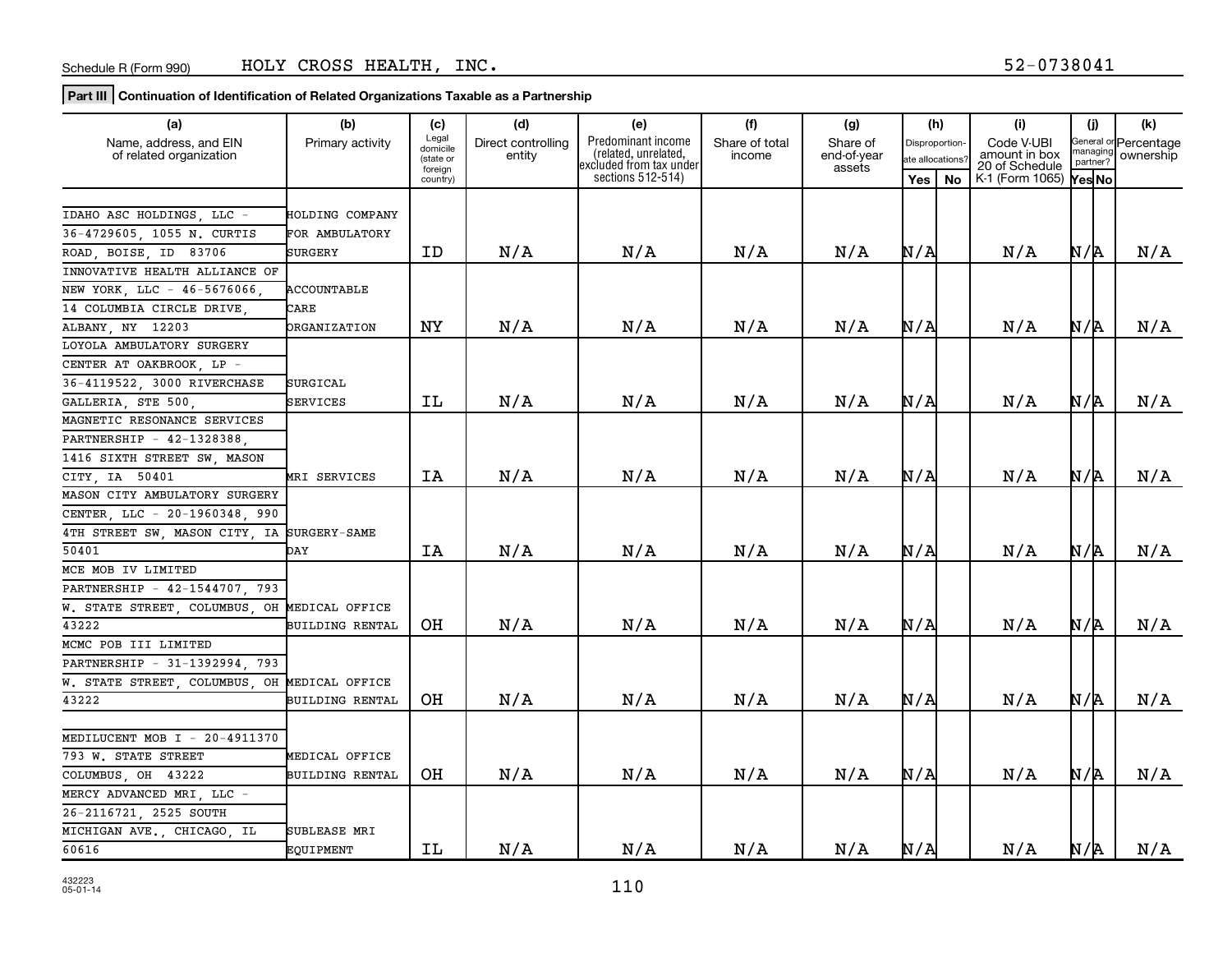| (a)                                          | (b)                    | (c)                 | (d)                | (e)                                             | (f)            | (g)                   | (h)             | (i)                               | (j)                  | (k)                   |
|----------------------------------------------|------------------------|---------------------|--------------------|-------------------------------------------------|----------------|-----------------------|-----------------|-----------------------------------|----------------------|-----------------------|
| Name, address, and EIN                       | Primary activity       | Legal<br>domicile   | Direct controlling | Predominant income                              | Share of total | Share of              | Disproportion-  | Code V-UBI                        |                      | General or Percentage |
| of related organization                      |                        | (state or           | entity             | (related, unrelated,<br>excluded from tax under | income         | end-of-year<br>assets | ate allocations | amount in box<br>20 of Schedule   | nanaging<br>partner? | ownership             |
|                                              |                        | foreign<br>country) |                    | sections 512-514)                               |                |                       | Yes   No        | K-1 (Form 1065) $\textsf{Yes}$ No |                      |                       |
|                                              |                        |                     |                    |                                                 |                |                       |                 |                                   |                      |                       |
| IDAHO ASC HOLDINGS, LLC -                    | <b>HOLDING COMPANY</b> |                     |                    |                                                 |                |                       |                 |                                   |                      |                       |
| 36-4729605, 1055 N. CURTIS                   | FOR AMBULATORY         |                     |                    |                                                 |                |                       |                 |                                   |                      |                       |
| ROAD, BOISE, ID 83706                        | SURGERY                | ID                  | N/A                | N/A                                             | N/A            | N/A                   | N/A             | N/A                               | N/A                  | N/A                   |
| INNOVATIVE HEALTH ALLIANCE OF                |                        |                     |                    |                                                 |                |                       |                 |                                   |                      |                       |
| NEW YORK, LLC - 46-5676066                   | <b>ACCOUNTABLE</b>     |                     |                    |                                                 |                |                       |                 |                                   |                      |                       |
| 14 COLUMBIA CIRCLE DRIVE                     | CARE                   |                     |                    |                                                 |                |                       |                 |                                   |                      |                       |
| ALBANY NY 12203                              | <b>ORGANIZATION</b>    | ΝY                  | N/A                | N/A                                             | N/A            | N/A                   | N/A             | N/A                               | N/A                  | N/A                   |
| LOYOLA AMBULATORY SURGERY                    |                        |                     |                    |                                                 |                |                       |                 |                                   |                      |                       |
| CENTER AT OAKBROOK, LP -                     |                        |                     |                    |                                                 |                |                       |                 |                                   |                      |                       |
| 36-4119522, 3000 RIVERCHASE                  | SURGICAL               |                     |                    |                                                 |                |                       |                 |                                   |                      |                       |
| GALLERIA, STE 500,                           | SERVICES               | IL                  | N/A                | N/A                                             | N/A            | N/A                   | N/A             | N/A                               | N/A                  | N/A                   |
| MAGNETIC RESONANCE SERVICES                  |                        |                     |                    |                                                 |                |                       |                 |                                   |                      |                       |
| PARTNERSHIP - 42-1328388,                    |                        |                     |                    |                                                 |                |                       |                 |                                   |                      |                       |
| 1416 SIXTH STREET SW, MASON                  |                        |                     |                    |                                                 |                |                       |                 |                                   |                      |                       |
| CITY IA 50401                                | MRI SERVICES           | IA                  | N/A                | N/A                                             | N/A            | N/A                   | N/A             | N/A                               | N/A                  | N/A                   |
| MASON CITY AMBULATORY SURGERY                |                        |                     |                    |                                                 |                |                       |                 |                                   |                      |                       |
| CENTER, LLC - 20-1960348, 990                |                        |                     |                    |                                                 |                |                       |                 |                                   |                      |                       |
| 4TH STREET SW. MASON CITY. IA                | SURGERY-SAME           |                     |                    |                                                 |                |                       |                 |                                   |                      |                       |
| 50401                                        | DAY                    | ΙA                  | N/A                | N/A                                             | N/A            | N/A                   | N/A             | N/A                               | N/A                  | N/A                   |
| MCE MOB IV LIMITED                           |                        |                     |                    |                                                 |                |                       |                 |                                   |                      |                       |
| PARTNERSHIP - 42-1544707, 793                |                        |                     |                    |                                                 |                |                       |                 |                                   |                      |                       |
| W. STATE STREET, COLUMBUS, OH MEDICAL OFFICE |                        |                     |                    |                                                 |                |                       |                 |                                   |                      |                       |
| 43222                                        | <b>BUILDING RENTAL</b> | OH                  | N/A                | N/A                                             | N/A            | N/A                   | N/A             | N/A                               | N/A                  | N/A                   |
| MCMC POB III LIMITED                         |                        |                     |                    |                                                 |                |                       |                 |                                   |                      |                       |
| PARTNERSHIP - 31-1392994, 793                |                        |                     |                    |                                                 |                |                       |                 |                                   |                      |                       |
| W. STATE STREET, COLUMBUS, OH MEDICAL OFFICE |                        |                     |                    |                                                 |                |                       |                 |                                   |                      |                       |
| 43222                                        | <b>BUILDING RENTAL</b> | OН                  | N/A                | N/A                                             | N/A            | N/A                   | N/A             | N/A                               | N/A                  | N/A                   |
|                                              |                        |                     |                    |                                                 |                |                       |                 |                                   |                      |                       |
| MEDILUCENT MOB I - 20-4911370                |                        |                     |                    |                                                 |                |                       |                 |                                   |                      |                       |
| 793 W. STATE STREET                          | MEDICAL OFFICE         |                     |                    |                                                 |                |                       |                 |                                   |                      |                       |
| COLUMBUS OH 43222                            | <b>BUILDING RENTAL</b> | OH                  | N/A                | N/A                                             | N/A            | N/A                   | N/A             | N/A                               | N/A                  | N/A                   |
| MERCY ADVANCED MRI LLC -                     |                        |                     |                    |                                                 |                |                       |                 |                                   |                      |                       |
| 26-2116721, 2525 SOUTH                       |                        |                     |                    |                                                 |                |                       |                 |                                   |                      |                       |
| MICHIGAN AVE., CHICAGO, IL                   | SUBLEASE MRI           |                     |                    |                                                 |                |                       |                 |                                   |                      |                       |
| 60616                                        | EQUIPMENT              | ΙL                  | N/A                | N/A                                             | N/A            | N/A                   | N/A             | N/A                               | N/A                  | N/A                   |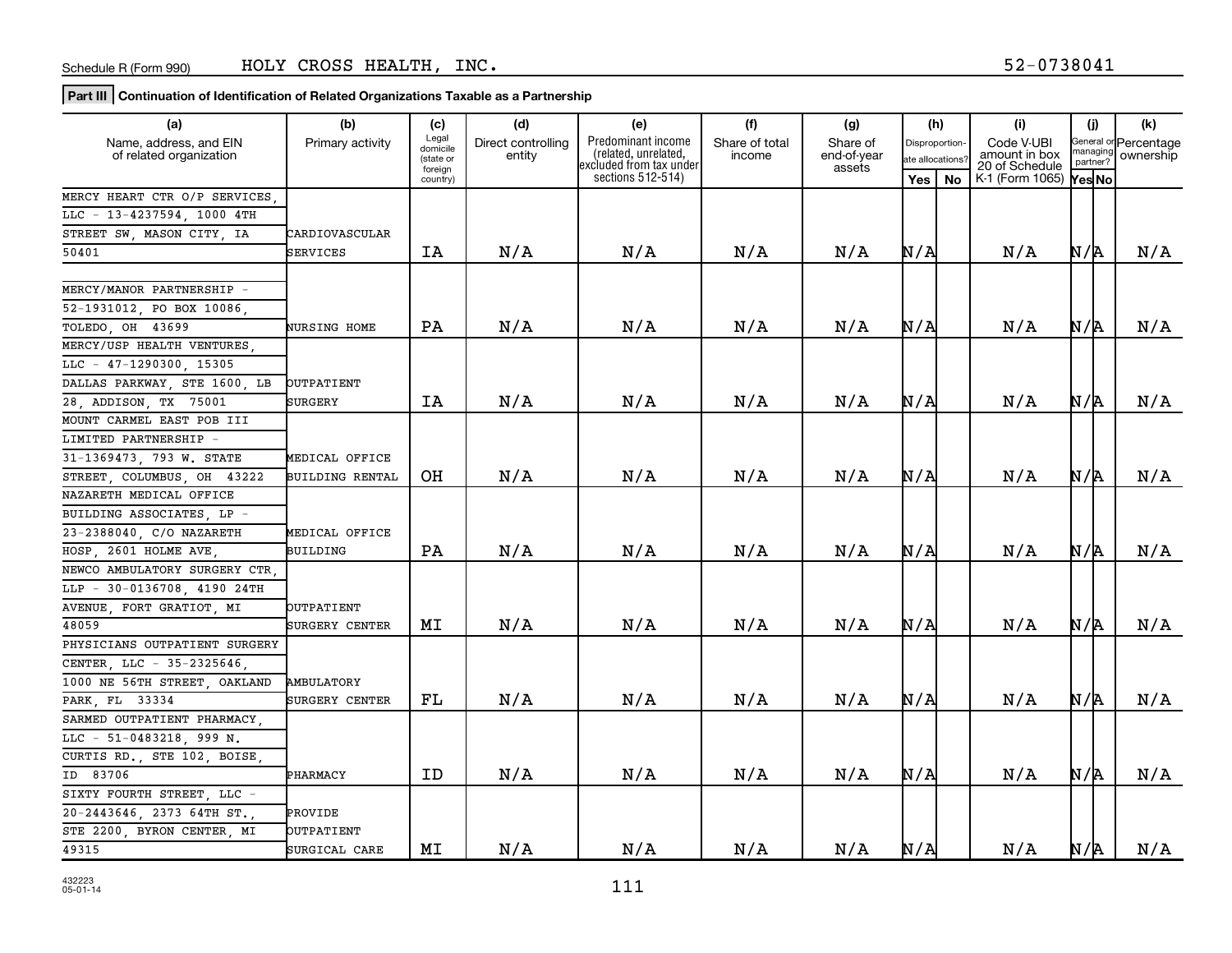| (a)                           | (b)                    | (c)                  | (d)                | (e)                                             | (f)            | (g)                   | (h)             | (i)                             | (j)           | (k)                   |
|-------------------------------|------------------------|----------------------|--------------------|-------------------------------------------------|----------------|-----------------------|-----------------|---------------------------------|---------------|-----------------------|
| Name, address, and EIN        | Primary activity       | Legal<br>domicile    | Direct controlling | Predominant income                              | Share of total | Share of              | Disproportion-  | Code V-UBI                      | nanaging      | General or Percentage |
| of related organization       |                        | (state or<br>foreign | entity             | (related, unrelated,<br>excluded from tax under | income         | end-of-year<br>assets | ate allocations | amount in box<br>20 of Schedule | partner?      | ownership             |
|                               |                        | country)             |                    | sections 512-514)                               |                |                       | Yes   No        | K-1 (Form 1065)                 | <b>Yes</b> No |                       |
| MERCY HEART CTR O/P SERVICES  |                        |                      |                    |                                                 |                |                       |                 |                                 |               |                       |
| LLC - 13-4237594, 1000 4TH    |                        |                      |                    |                                                 |                |                       |                 |                                 |               |                       |
| STREET SW, MASON CITY, IA     | CARDIOVASCULAR         |                      |                    |                                                 |                |                       |                 |                                 |               |                       |
| 50401                         | SERVICES               | IA                   | N/A                | N/A                                             | N/A            | N/A                   | N/A             | N/A                             | N/A           | N/A                   |
|                               |                        |                      |                    |                                                 |                |                       |                 |                                 |               |                       |
| MERCY/MANOR PARTNERSHIP -     |                        |                      |                    |                                                 |                |                       |                 |                                 |               |                       |
| 52-1931012, PO BOX 10086      |                        |                      |                    |                                                 |                |                       |                 |                                 |               |                       |
| TOLEDO, OH 43699              | NURSING HOME           | PA                   | N/A                | N/A                                             | N/A            | N/A                   | N/A             | N/A                             | N/A           | N/A                   |
| MERCY/USP HEALTH VENTURES     |                        |                      |                    |                                                 |                |                       |                 |                                 |               |                       |
| LLC - 47-1290300, 15305       |                        |                      |                    |                                                 |                |                       |                 |                                 |               |                       |
| DALLAS PARKWAY, STE 1600, LB  | OUTPATIENT             |                      |                    |                                                 |                |                       |                 |                                 |               |                       |
| 28, ADDISON, TX 75001         | SURGERY                | ΙA                   | N/A                | N/A                                             | N/A            | N/A                   | N/A             | N/A                             | N/A           | N/A                   |
| MOUNT CARMEL EAST POB III     |                        |                      |                    |                                                 |                |                       |                 |                                 |               |                       |
| LIMITED PARTNERSHIP -         |                        |                      |                    |                                                 |                |                       |                 |                                 |               |                       |
| 31-1369473, 793 W. STATE      | MEDICAL OFFICE         |                      |                    |                                                 |                |                       |                 |                                 |               |                       |
| STREET, COLUMBUS, OH 43222    | <b>BUILDING RENTAL</b> | OH                   | N/A                | N/A                                             | N/A            | N/A                   | N/A             | N/A                             | N/A           | N/A                   |
| NAZARETH MEDICAL OFFICE       |                        |                      |                    |                                                 |                |                       |                 |                                 |               |                       |
| BUILDING ASSOCIATES, LP -     |                        |                      |                    |                                                 |                |                       |                 |                                 |               |                       |
| 23-2388040, C/O NAZARETH      | MEDICAL OFFICE         |                      |                    |                                                 |                |                       |                 |                                 |               |                       |
| HOSP, 2601 HOLME AVE,         | BUILDING               | PA                   | N/A                | N/A                                             | N/A            | N/A                   | N/A             | N/A                             | N/A           | N/A                   |
| NEWCO AMBULATORY SURGERY CTR, |                        |                      |                    |                                                 |                |                       |                 |                                 |               |                       |
| LLP - 30-0136708, 4190 24TH   |                        |                      |                    |                                                 |                |                       |                 |                                 |               |                       |
| AVENUE FORT GRATIOT MI        | OUTPATIENT             |                      |                    |                                                 |                |                       |                 |                                 |               |                       |
| 48059                         | SURGERY CENTER         | MΙ                   | N/A                | N/A                                             | N/A            | N/A                   | N/A             | N/A                             | N/A           | N/A                   |
| PHYSICIANS OUTPATIENT SURGERY |                        |                      |                    |                                                 |                |                       |                 |                                 |               |                       |
| CENTER, LLC - 35-2325646      |                        |                      |                    |                                                 |                |                       |                 |                                 |               |                       |
| 1000 NE 56TH STREET, OAKLAND  | AMBULATORY             |                      |                    |                                                 |                |                       |                 |                                 |               |                       |
| PARK, FL 33334                | SURGERY CENTER         | FL                   | N/A                | N/A                                             | N/A            | N/A                   | N/A             | N/A                             | N/A           | N/A                   |
| SARMED OUTPATIENT PHARMACY    |                        |                      |                    |                                                 |                |                       |                 |                                 |               |                       |
| LLC - 51-0483218, 999 N.      |                        |                      |                    |                                                 |                |                       |                 |                                 |               |                       |
| CURTIS RD. STE 102 BOISE      |                        |                      |                    |                                                 |                |                       |                 |                                 |               |                       |
| ID 83706                      | PHARMACY               | ID                   | N/A                | N/A                                             | N/A            | N/A                   | N/A             | N/A                             | N/A           | N/A                   |
| SIXTY FOURTH STREET, LLC -    |                        |                      |                    |                                                 |                |                       |                 |                                 |               |                       |
| $20-2443646$ , 2373 64TH ST., | PROVIDE                |                      |                    |                                                 |                |                       |                 |                                 |               |                       |
| STE 2200, BYRON CENTER, MI    | OUTPATIENT             |                      |                    |                                                 |                |                       |                 |                                 |               |                       |
| 49315                         | SURGICAL CARE          | МI                   | N/A                | N/A                                             | N/A            | N/A                   | N/A             | N/A                             | N/A           | N/A                   |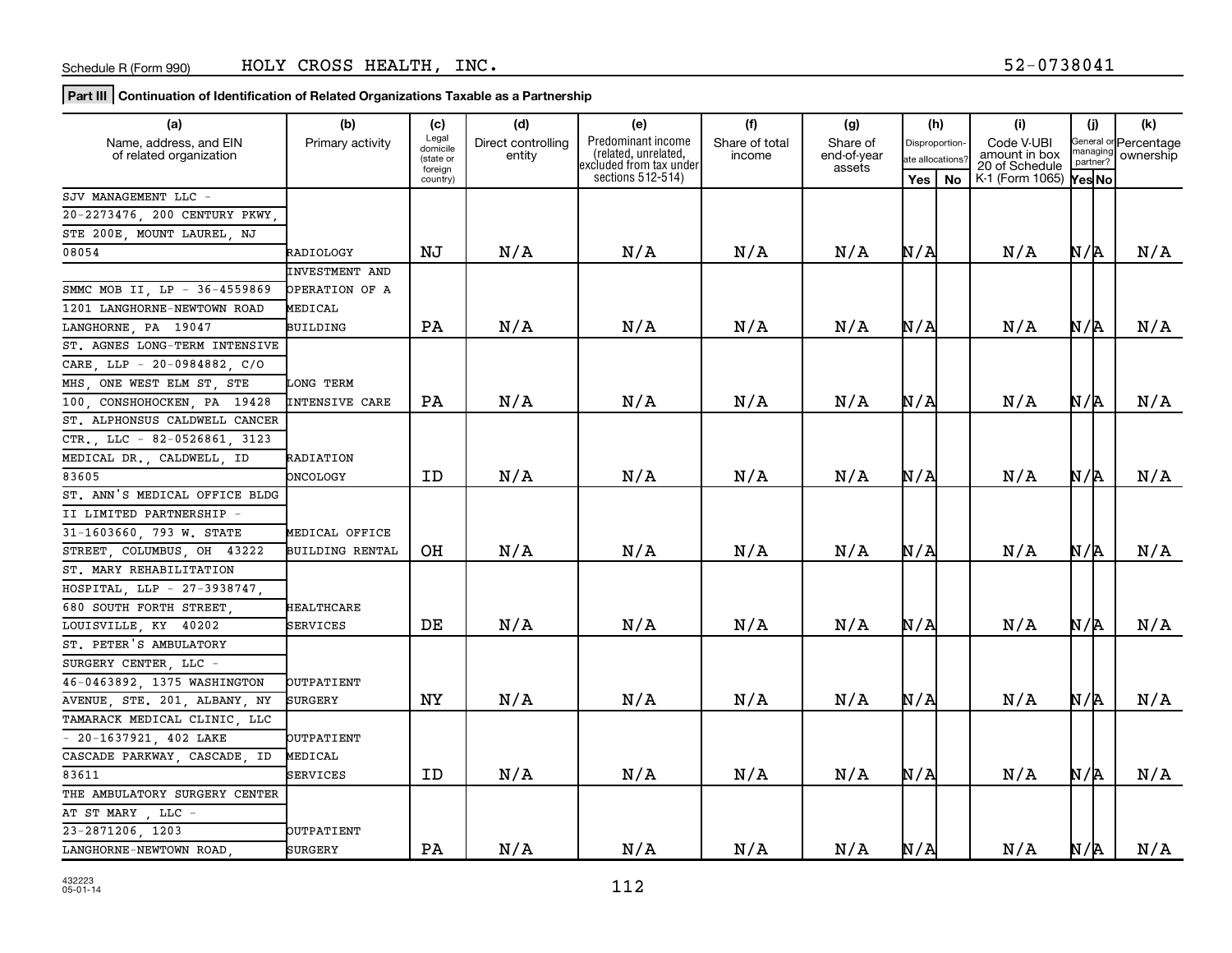| (a)                           | (b)                    | (c)                  | (d)                | (e)                                             | (f)            | (g)                   | (h)             | (i)                             | (j)           | (k)                   |
|-------------------------------|------------------------|----------------------|--------------------|-------------------------------------------------|----------------|-----------------------|-----------------|---------------------------------|---------------|-----------------------|
| Name, address, and EIN        | Primary activity       | Legal<br>domicile    | Direct controlling | Predominant income                              | Share of total | Share of              | Disproportion-  | Code V-UBI                      | nanaging      | General or Percentage |
| of related organization       |                        | (state or<br>foreign | entity             | (related, unrelated,<br>excluded from tax under | income         | end-of-year<br>assets | ate allocations | amount in box<br>20 of Schedule | partner?      | ownership             |
|                               |                        | country)             |                    | sections 512-514)                               |                |                       | Yes   No        | K-1 (Form 1065)                 | <b>Yes</b> No |                       |
| SJV MANAGEMENT LLC -          |                        |                      |                    |                                                 |                |                       |                 |                                 |               |                       |
| 20-2273476 200 CENTURY PKWY   |                        |                      |                    |                                                 |                |                       |                 |                                 |               |                       |
| STE 200E, MOUNT LAUREL, NJ    |                        |                      |                    |                                                 |                |                       |                 |                                 |               |                       |
| 08054                         | RADIOLOGY              | NJ                   | N/A                | N/A                                             | N/A            | N/A                   | N/A             | N/A                             | N/A           | N/A                   |
|                               | INVESTMENT AND         |                      |                    |                                                 |                |                       |                 |                                 |               |                       |
| SMMC MOB II, LP - 36-4559869  | OPERATION OF A         |                      |                    |                                                 |                |                       |                 |                                 |               |                       |
| 1201 LANGHORNE-NEWTOWN ROAD   | MEDICAL                |                      |                    |                                                 |                |                       |                 |                                 |               |                       |
| LANGHORNE, PA 19047           | BUILDING               | PA                   | N/A                | N/A                                             | N/A            | N/A                   | N/A             | N/A                             | N/A           | N/A                   |
| ST. AGNES LONG-TERM INTENSIVE |                        |                      |                    |                                                 |                |                       |                 |                                 |               |                       |
| CARE, LLP - 20-0984882, C/O   |                        |                      |                    |                                                 |                |                       |                 |                                 |               |                       |
| ONE WEST ELM ST. STE<br>MHS.  | LONG TERM              |                      |                    |                                                 |                |                       |                 |                                 |               |                       |
| 100, CONSHOHOCKEN, PA 19428   | <b>INTENSIVE CARE</b>  | PA                   | N/A                | N/A                                             | N/A            | N/A                   | N/A             | N/A                             | N/A           | N/A                   |
| ST. ALPHONSUS CALDWELL CANCER |                        |                      |                    |                                                 |                |                       |                 |                                 |               |                       |
| CTR., LLC - 82-0526861, 3123  |                        |                      |                    |                                                 |                |                       |                 |                                 |               |                       |
| MEDICAL DR. CALDWELL ID       | RADIATION              |                      |                    |                                                 |                |                       |                 |                                 |               |                       |
| 83605                         | <b>ONCOLOGY</b>        | ID                   | N/A                | N/A                                             | N/A            | N/A                   | N/A             | N/A                             | N/A           | N/A                   |
| ST. ANN'S MEDICAL OFFICE BLDG |                        |                      |                    |                                                 |                |                       |                 |                                 |               |                       |
| II LIMITED PARTNERSHIP -      |                        |                      |                    |                                                 |                |                       |                 |                                 |               |                       |
| 31-1603660, 793 W. STATE      | MEDICAL OFFICE         |                      |                    |                                                 |                |                       |                 |                                 |               |                       |
| STREET, COLUMBUS, OH 43222    | <b>BUILDING RENTAL</b> | OH                   | N/A                | N/A                                             | N/A            | N/A                   | N/A             | N/A                             | N/A           | N/A                   |
| ST. MARY REHABILITATION       |                        |                      |                    |                                                 |                |                       |                 |                                 |               |                       |
| HOSPITAL LLP - 27-3938747     |                        |                      |                    |                                                 |                |                       |                 |                                 |               |                       |
| 680 SOUTH FORTH STREET        | <b>HEALTHCARE</b>      |                      |                    |                                                 |                |                       |                 |                                 |               |                       |
| LOUISVILLE KY 40202           | <b>SERVICES</b>        | DE                   | N/A                | N/A                                             | N/A            | N/A                   | N/A             | N/A                             | N/A           | N/A                   |
| ST. PETER'S AMBULATORY        |                        |                      |                    |                                                 |                |                       |                 |                                 |               |                       |
| SURGERY CENTER, LLC -         |                        |                      |                    |                                                 |                |                       |                 |                                 |               |                       |
| 46-0463892, 1375 WASHINGTON   | <b>DUTPATIENT</b>      |                      |                    |                                                 |                |                       |                 |                                 |               |                       |
| AVENUE, STE. 201, ALBANY, NY  | SURGERY                | <b>NY</b>            | N/A                | N/A                                             | N/A            | N/A                   | N/A             | N/A                             | N/A           | N/A                   |
| TAMARACK MEDICAL CLINIC, LLC  |                        |                      |                    |                                                 |                |                       |                 |                                 |               |                       |
| $-20-1637921$ , 402 LAKE      | OUTPATIENT             |                      |                    |                                                 |                |                       |                 |                                 |               |                       |
| CASCADE PARKWAY, CASCADE, ID  | MEDICAL                |                      |                    |                                                 |                |                       |                 |                                 |               |                       |
| 83611                         | <b>SERVICES</b>        | ID                   | N/A                | N/A                                             | N/A            | N/A                   | N/A             | N/A                             | N/A           | N/A                   |
| THE AMBULATORY SURGERY CENTER |                        |                      |                    |                                                 |                |                       |                 |                                 |               |                       |
| AT ST MARY, LLC -             |                        |                      |                    |                                                 |                |                       |                 |                                 |               |                       |
| 23-2871206, 1203              | OUTPATIENT             |                      |                    |                                                 |                |                       |                 |                                 |               |                       |
| LANGHORNE-NEWTOWN ROAD        | SURGERY                | PA                   | N/A                | N/A                                             | N/A            | N/A                   | N/A             | N/A                             | N/A           | N/A                   |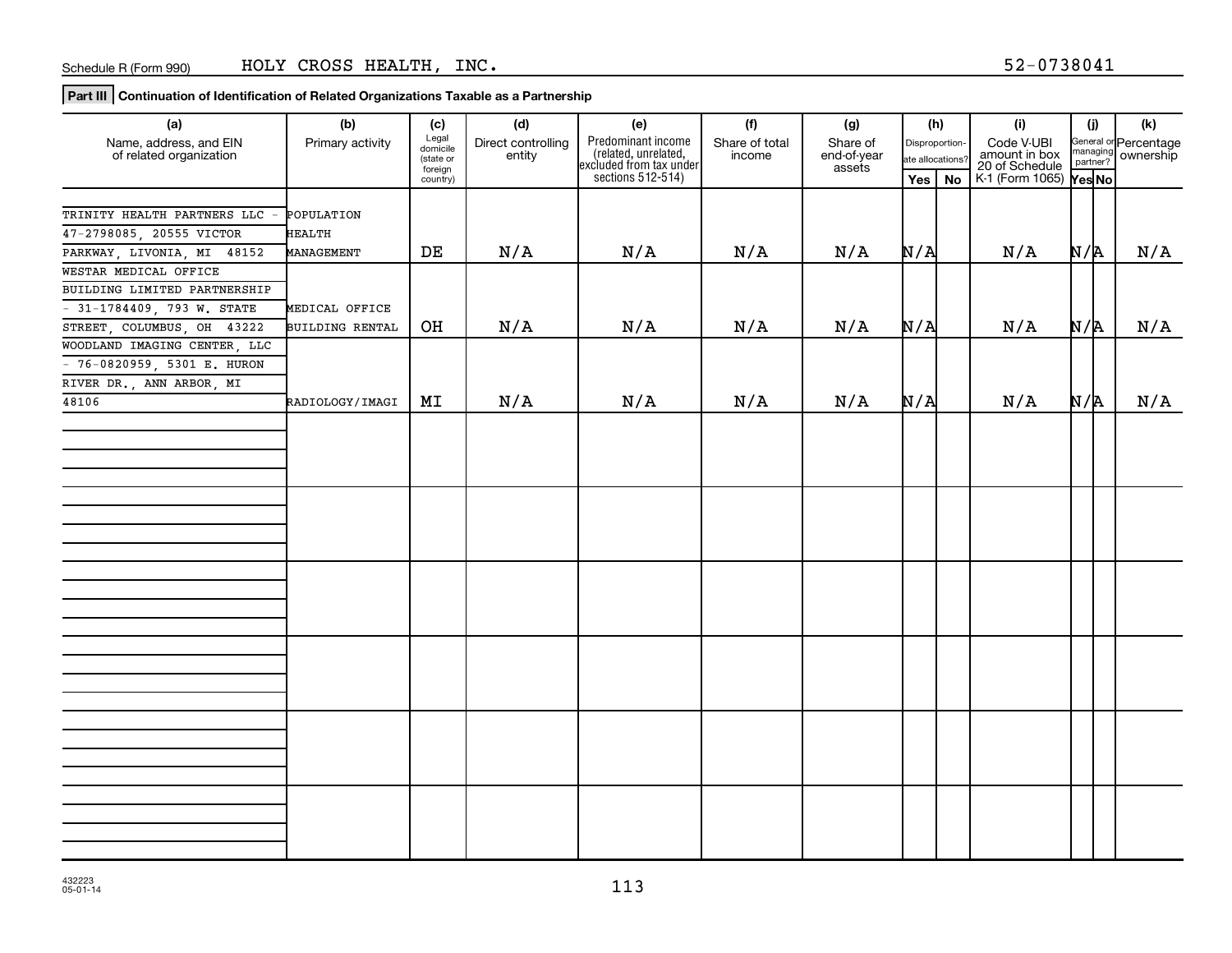| (a)                           | (b)                    | (c)                  | (d)                | (e)                                            | (f)            | (g)                   | (h)              | (i)                             | (i)                  | (k)                   |
|-------------------------------|------------------------|----------------------|--------------------|------------------------------------------------|----------------|-----------------------|------------------|---------------------------------|----------------------|-----------------------|
| Name, address, and EIN        | Primary activity       | Legal<br>domicile    | Direct controlling | Predominant income                             | Share of total | Share of              | Disproportion-   | Code V-UBI                      |                      | General or Percentage |
| of related organization       |                        | (state or<br>foreign | entity             | related, unrelated,<br>excluded from tax under | income         | end-of-year<br>assets | ate allocations' | amount in box<br>20 of Schedule | managing<br>partner? | ownership             |
|                               |                        | country)             |                    | sections $512-514$ )                           |                |                       | Yes   No         | K-1 (Form 1065) <b>Yes No</b>   |                      |                       |
|                               |                        |                      |                    |                                                |                |                       |                  |                                 |                      |                       |
| TRINITY HEALTH PARTNERS LLC   | POPULATION             |                      |                    |                                                |                |                       |                  |                                 |                      |                       |
| 47-2798085, 20555 VICTOR      | <b>HEALTH</b>          |                      |                    |                                                |                |                       |                  |                                 |                      |                       |
| PARKWAY, LIVONIA, MI 48152    | MANAGEMENT             | DE                   | N/A                | N/A                                            | N/A            | N/A                   | N/A              | N/A                             | N/A                  | N/A                   |
| WESTAR MEDICAL OFFICE         |                        |                      |                    |                                                |                |                       |                  |                                 |                      |                       |
| BUILDING LIMITED PARTNERSHIP  |                        |                      |                    |                                                |                |                       |                  |                                 |                      |                       |
| $-31-1784409, 793 W. STATE$   | MEDICAL OFFICE         |                      |                    |                                                |                |                       |                  |                                 |                      |                       |
| STREET, COLUMBUS, OH 43222    | <b>BUILDING RENTAL</b> | OH                   | N/A                | N/A                                            | N/A            | N/A                   | N/A              | N/A                             | N/A                  | N/A                   |
| WOODLAND IMAGING CENTER, LLC  |                        |                      |                    |                                                |                |                       |                  |                                 |                      |                       |
| $-76-0820959$ , 5301 E. HURON |                        |                      |                    |                                                |                |                       |                  |                                 |                      |                       |
| RIVER DR., ANN ARBOR, MI      |                        |                      |                    |                                                |                |                       |                  |                                 |                      |                       |
| 48106                         | RADIOLOGY/IMAGI        | МI                   | N/A                | N/A                                            | N/A            | N/A                   | N/A              | N/A                             | N/A                  | N/A                   |
|                               |                        |                      |                    |                                                |                |                       |                  |                                 |                      |                       |
|                               |                        |                      |                    |                                                |                |                       |                  |                                 |                      |                       |
|                               |                        |                      |                    |                                                |                |                       |                  |                                 |                      |                       |
|                               |                        |                      |                    |                                                |                |                       |                  |                                 |                      |                       |
|                               |                        |                      |                    |                                                |                |                       |                  |                                 |                      |                       |
|                               |                        |                      |                    |                                                |                |                       |                  |                                 |                      |                       |
|                               |                        |                      |                    |                                                |                |                       |                  |                                 |                      |                       |
|                               |                        |                      |                    |                                                |                |                       |                  |                                 |                      |                       |
|                               |                        |                      |                    |                                                |                |                       |                  |                                 |                      |                       |
|                               |                        |                      |                    |                                                |                |                       |                  |                                 |                      |                       |
|                               |                        |                      |                    |                                                |                |                       |                  |                                 |                      |                       |
|                               |                        |                      |                    |                                                |                |                       |                  |                                 |                      |                       |
|                               |                        |                      |                    |                                                |                |                       |                  |                                 |                      |                       |
|                               |                        |                      |                    |                                                |                |                       |                  |                                 |                      |                       |
|                               |                        |                      |                    |                                                |                |                       |                  |                                 |                      |                       |
|                               |                        |                      |                    |                                                |                |                       |                  |                                 |                      |                       |
|                               |                        |                      |                    |                                                |                |                       |                  |                                 |                      |                       |
|                               |                        |                      |                    |                                                |                |                       |                  |                                 |                      |                       |
|                               |                        |                      |                    |                                                |                |                       |                  |                                 |                      |                       |
|                               |                        |                      |                    |                                                |                |                       |                  |                                 |                      |                       |
|                               |                        |                      |                    |                                                |                |                       |                  |                                 |                      |                       |
|                               |                        |                      |                    |                                                |                |                       |                  |                                 |                      |                       |
|                               |                        |                      |                    |                                                |                |                       |                  |                                 |                      |                       |
|                               |                        |                      |                    |                                                |                |                       |                  |                                 |                      |                       |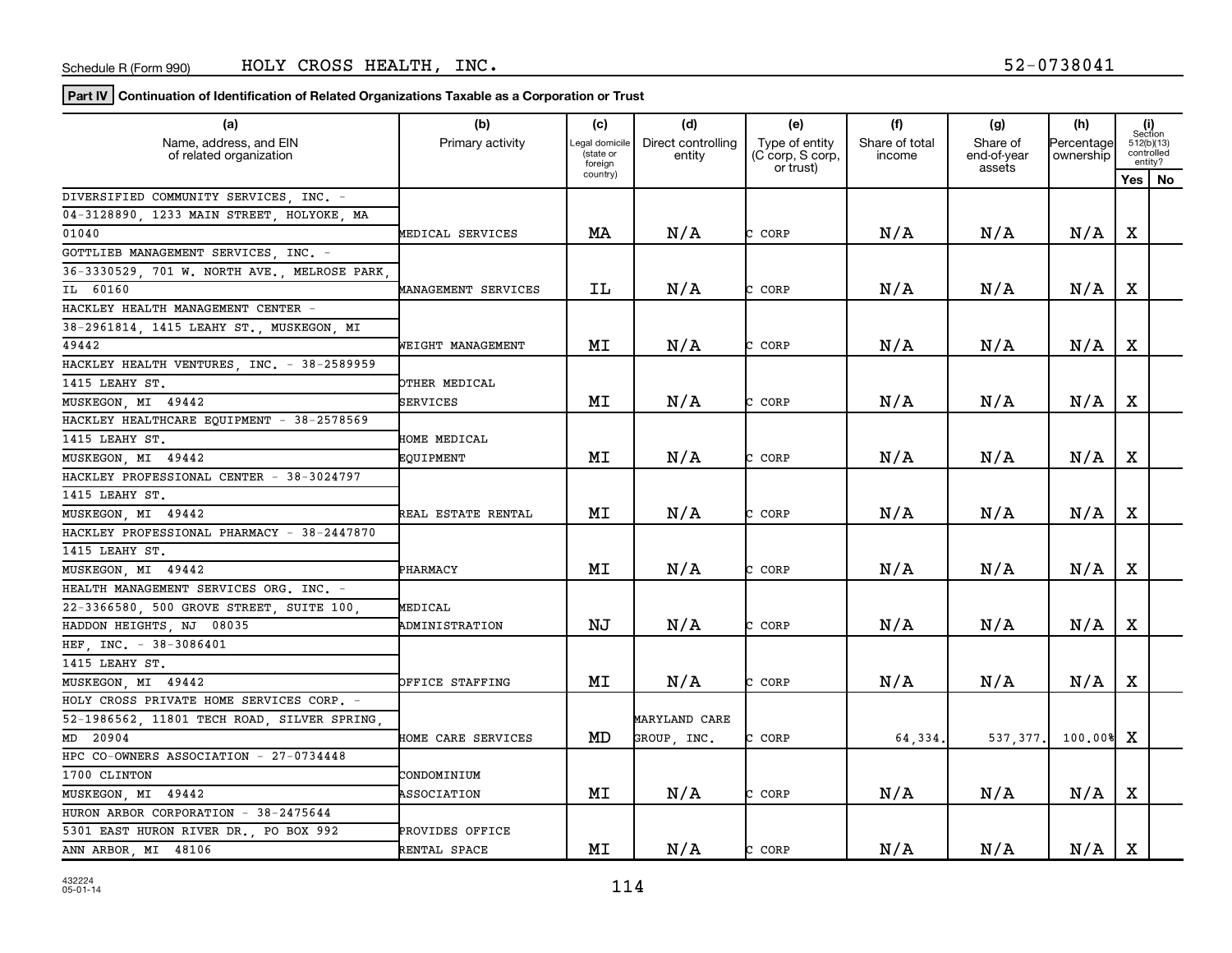| (a)                                               | (b)                   | (c)                                    | (d)                          | (e)                                             | (f)                      | (g)                               | (h)                     |   | (i)<br>Section                      |
|---------------------------------------------------|-----------------------|----------------------------------------|------------------------------|-------------------------------------------------|--------------------------|-----------------------------------|-------------------------|---|-------------------------------------|
| Name, address, and EIN<br>of related organization | Primary activity      | Legal domicile<br>(state or<br>foreign | Direct controlling<br>entity | Type of entity<br>(C corp, S corp,<br>or trust) | Share of total<br>income | Share of<br>end-of-year<br>assets | Percentage<br>ownership |   | 512(b)(13)<br>controlled<br>entity? |
|                                                   |                       | country)                               |                              |                                                 |                          |                                   |                         |   | Yes   No                            |
| DIVERSIFIED COMMUNITY SERVICES, INC. -            |                       |                                        |                              |                                                 |                          |                                   |                         |   |                                     |
| 04-3128890, 1233 MAIN STREET, HOLYOKE, MA         |                       |                                        |                              |                                                 |                          |                                   |                         |   |                                     |
| 01040                                             | MEDICAL SERVICES      | МA                                     | N/A                          | CORP                                            | N/A                      | N/A                               | N/A                     | X |                                     |
| GOTTLIEB MANAGEMENT SERVICES, INC. -              |                       |                                        |                              |                                                 |                          |                                   |                         |   |                                     |
| 36-3330529, 701 W. NORTH AVE., MELROSE PARK       |                       |                                        |                              |                                                 |                          |                                   |                         |   |                                     |
| IL 60160                                          | MANAGEMENT SERVICES   | IL.                                    | N/A                          | CORP                                            | N/A                      | N/A                               | N/A                     | X |                                     |
| HACKLEY HEALTH MANAGEMENT CENTER -                |                       |                                        |                              |                                                 |                          |                                   |                         |   |                                     |
| 38-2961814, 1415 LEAHY ST., MUSKEGON, MI          |                       |                                        |                              |                                                 |                          |                                   |                         |   |                                     |
| 49442                                             | WEIGHT MANAGEMENT     | MΙ                                     | N/A                          | CORP                                            | N/A                      | N/A                               | N/A                     | X |                                     |
| HACKLEY HEALTH VENTURES, INC. - 38-2589959        |                       |                                        |                              |                                                 |                          |                                   |                         |   |                                     |
| 1415 LEAHY ST.                                    | OTHER MEDICAL         |                                        |                              |                                                 |                          |                                   |                         |   |                                     |
| MUSKEGON, MI 49442                                | SERVICES              | MI                                     | N/A                          | C CORP                                          | N/A                      | N/A                               | N/A                     | X |                                     |
| HACKLEY HEALTHCARE EQUIPMENT - 38-2578569         |                       |                                        |                              |                                                 |                          |                                   |                         |   |                                     |
| 1415 LEAHY ST.                                    | HOME MEDICAL          |                                        |                              |                                                 |                          |                                   |                         |   |                                     |
| MUSKEGON, MI 49442                                | EQUIPMENT             | МI                                     | N/A                          | C CORP                                          | N/A                      | N/A                               | N/A                     | X |                                     |
| HACKLEY PROFESSIONAL CENTER - 38-3024797          |                       |                                        |                              |                                                 |                          |                                   |                         |   |                                     |
| 1415 LEAHY ST.                                    |                       |                                        |                              |                                                 |                          |                                   |                         |   |                                     |
| MUSKEGON MI 49442                                 | REAL ESTATE RENTAL    | MI                                     | N/A                          | CORP                                            | N/A                      | N/A                               | N/A                     | X |                                     |
| HACKLEY PROFESSIONAL PHARMACY - 38-2447870        |                       |                                        |                              |                                                 |                          |                                   |                         |   |                                     |
| 1415 LEAHY ST.                                    |                       |                                        |                              |                                                 |                          |                                   |                         |   |                                     |
| MUSKEGON MI 49442                                 | PHARMACY              | MΙ                                     | N/A                          | C CORP                                          | N/A                      | N/A                               | N/A                     | X |                                     |
| HEALTH MANAGEMENT SERVICES ORG. INC. -            |                       |                                        |                              |                                                 |                          |                                   |                         |   |                                     |
| 22-3366580, 500 GROVE STREET, SUITE 100,          | MEDICAL               |                                        |                              |                                                 |                          |                                   |                         |   |                                     |
| HADDON HEIGHTS, NJ 08035                          | <b>ADMINISTRATION</b> | NJ                                     | N/A                          | C CORP                                          | N/A                      | N/A                               | N/A                     | X |                                     |
| HEF, INC. - 38-3086401                            |                       |                                        |                              |                                                 |                          |                                   |                         |   |                                     |
| 1415 LEAHY ST.                                    |                       |                                        |                              |                                                 |                          |                                   |                         |   |                                     |
| MUSKEGON MI 49442                                 | OFFICE STAFFING       | MΙ                                     | N/A                          | C CORP                                          | N/A                      | N/A                               | N/A                     | X |                                     |
| HOLY CROSS PRIVATE HOME SERVICES CORP. -          |                       |                                        |                              |                                                 |                          |                                   |                         |   |                                     |
| 52-1986562, 11801 TECH ROAD, SILVER SPRING,       |                       |                                        | MARYLAND CARE                |                                                 |                          |                                   |                         |   |                                     |
| MD 20904                                          | HOME CARE SERVICES    | MD                                     | GROUP, INC.                  | CORP                                            | 64,334.                  | 537,377.                          | 100.00% X               |   |                                     |
| HPC CO-OWNERS ASSOCIATION - 27-0734448            |                       |                                        |                              |                                                 |                          |                                   |                         |   |                                     |
| 1700 CLINTON                                      | CONDOMINIUM           |                                        |                              |                                                 |                          |                                   |                         |   |                                     |
| MUSKEGON, MI 49442                                | ASSOCIATION           | MI                                     | N/A                          | CORP                                            | N/A                      | N/A                               | N/A                     | X |                                     |
| HURON ARBOR CORPORATION - 38-2475644              |                       |                                        |                              |                                                 |                          |                                   |                         |   |                                     |
| 5301 EAST HURON RIVER DR., PO BOX 992             | PROVIDES OFFICE       |                                        |                              |                                                 |                          |                                   |                         |   |                                     |
| ANN ARBOR, MI 48106                               | RENTAL SPACE          | МI                                     | N/A                          | CORP<br>IC.                                     | N/A                      | N/A                               | N/A                     | X |                                     |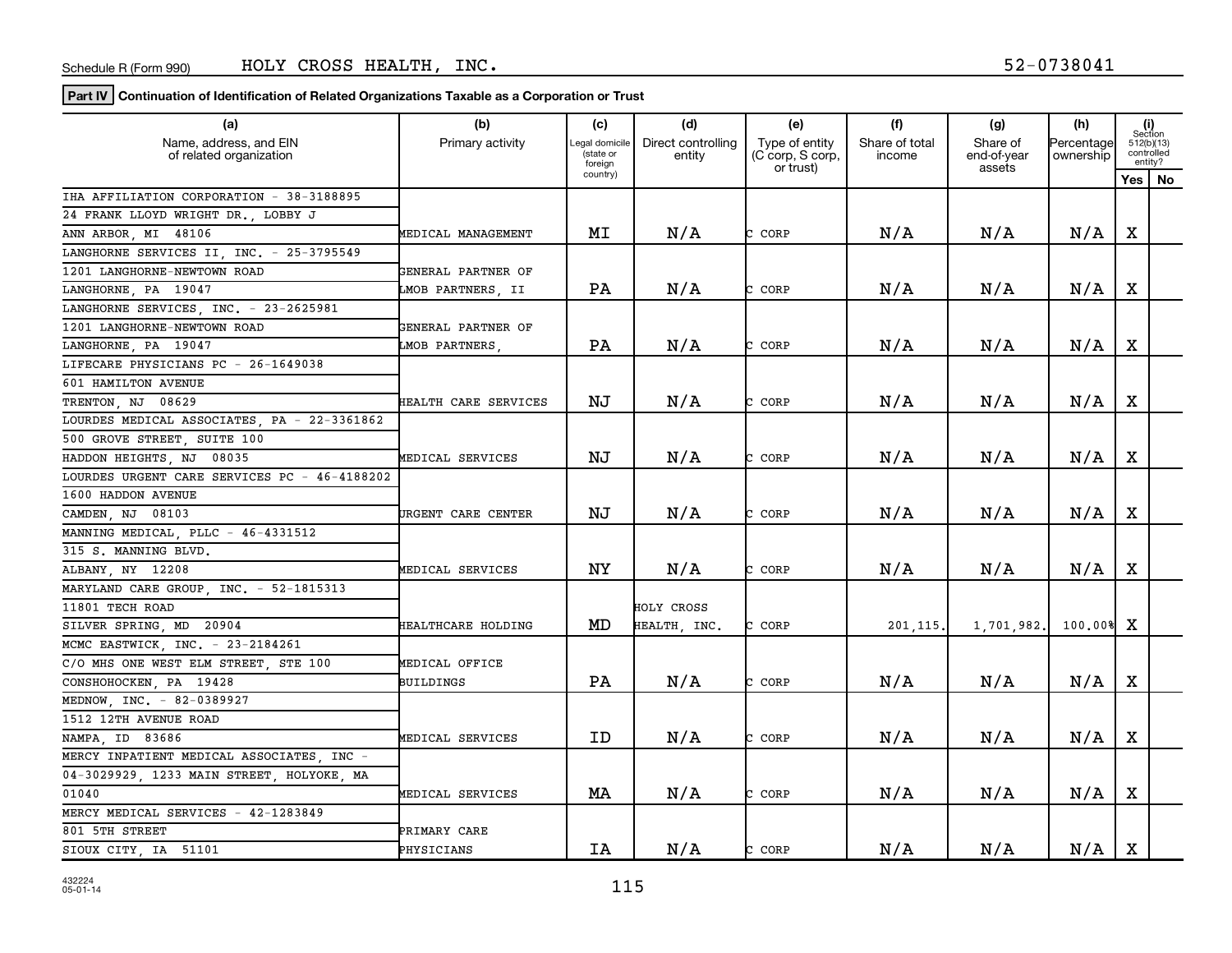| (a)                                               | (b)                  | (c)                                    | (d)                          | (e)                                             | (f)                      | (g)                               | (h)                     |             | (i)<br>Section                      |
|---------------------------------------------------|----------------------|----------------------------------------|------------------------------|-------------------------------------------------|--------------------------|-----------------------------------|-------------------------|-------------|-------------------------------------|
| Name, address, and EIN<br>of related organization | Primary activity     | Legal domicile<br>(state or<br>foreign | Direct controlling<br>entity | Type of entity<br>(C corp, S corp,<br>or trust) | Share of total<br>income | Share of<br>end-of-year<br>assets | Percentage<br>ownership |             | 512(b)(13)<br>controlled<br>entity? |
|                                                   |                      | country)                               |                              |                                                 |                          |                                   |                         |             | Yes   No                            |
| IHA AFFILIATION CORPORATION - 38-3188895          |                      |                                        |                              |                                                 |                          |                                   |                         |             |                                     |
| 24 FRANK LLOYD WRIGHT DR., LOBBY J                |                      |                                        |                              |                                                 |                          |                                   |                         |             |                                     |
| ANN ARBOR, MI 48106                               | MEDICAL MANAGEMENT   | МI                                     | N/A                          | CORP                                            | N/A                      | N/A                               | N/A                     | $\mathbf X$ |                                     |
| LANGHORNE SERVICES II, INC. - 25-3795549          |                      |                                        |                              |                                                 |                          |                                   |                         |             |                                     |
| 1201 LANGHORNE-NEWTOWN ROAD                       | GENERAL PARTNER OF   |                                        |                              |                                                 |                          |                                   |                         |             |                                     |
| LANGHORNE, PA 19047                               | LMOB PARTNERS, II    | PA                                     | N/A                          | CORP                                            | N/A                      | N/A                               | N/A                     | $\mathbf X$ |                                     |
| LANGHORNE SERVICES, INC. - 23-2625981             |                      |                                        |                              |                                                 |                          |                                   |                         |             |                                     |
| 1201 LANGHORNE-NEWTOWN ROAD                       | GENERAL PARTNER OF   |                                        |                              |                                                 |                          |                                   |                         |             |                                     |
| LANGHORNE PA 19047                                | LMOB PARTNERS.       | PA                                     | N/A                          | CORP                                            | N/A                      | N/A                               | N/A                     | X           |                                     |
| LIFECARE PHYSICIANS PC - 26-1649038               |                      |                                        |                              |                                                 |                          |                                   |                         |             |                                     |
| 601 HAMILTON AVENUE                               |                      |                                        |                              |                                                 |                          |                                   |                         |             |                                     |
| TRENTON, NJ 08629                                 | HEALTH CARE SERVICES | NJ                                     | N/A                          | CORP                                            | N/A                      | N/A                               | N/A                     | X           |                                     |
| LOURDES MEDICAL ASSOCIATES, PA - 22-3361862       |                      |                                        |                              |                                                 |                          |                                   |                         |             |                                     |
| 500 GROVE STREET, SUITE 100                       |                      |                                        |                              |                                                 |                          |                                   |                         |             |                                     |
| HADDON HEIGHTS, NJ 08035                          | MEDICAL SERVICES     | NJ                                     | N/A                          | CORP                                            | N/A                      | N/A                               | N/A                     | X           |                                     |
| LOURDES URGENT CARE SERVICES PC - 46-4188202      |                      |                                        |                              |                                                 |                          |                                   |                         |             |                                     |
| 1600 HADDON AVENUE                                |                      |                                        |                              |                                                 |                          |                                   |                         |             |                                     |
| CAMDEN, NJ 08103                                  | URGENT CARE CENTER   | NJ                                     | N/A                          | CORP                                            | N/A                      | N/A                               | N/A                     | X           |                                     |
| MANNING MEDICAL, PLLC - 46-4331512                |                      |                                        |                              |                                                 |                          |                                   |                         |             |                                     |
| 315 S. MANNING BLVD.                              |                      |                                        |                              |                                                 |                          |                                   |                         |             |                                     |
| ALBANY, NY 12208                                  | MEDICAL SERVICES     | NY                                     | N/A                          | CORP                                            | N/A                      | N/A                               | N/A                     | X           |                                     |
| MARYLAND CARE GROUP, INC. - 52-1815313            |                      |                                        |                              |                                                 |                          |                                   |                         |             |                                     |
| 11801 TECH ROAD                                   |                      |                                        | HOLY CROSS                   |                                                 |                          |                                   |                         |             |                                     |
| SILVER SPRING, MD 20904                           | HEALTHCARE HOLDING   | MD                                     | HEALTH, INC.                 | CORP                                            | 201.115.                 | 1,701,982.                        | $100,00$ <sup>8</sup>   | X           |                                     |
| MCMC EASTWICK, INC. - 23-2184261                  |                      |                                        |                              |                                                 |                          |                                   |                         |             |                                     |
| C/O MHS ONE WEST ELM STREET, STE 100              | MEDICAL OFFICE       |                                        |                              |                                                 |                          |                                   |                         |             |                                     |
| CONSHOHOCKEN, PA 19428                            | <b>BUILDINGS</b>     | <b>PA</b>                              | N/A                          | CORP                                            | N/A                      | N/A                               | N/A                     | X           |                                     |
| MEDNOW, INC. - 82-0389927                         |                      |                                        |                              |                                                 |                          |                                   |                         |             |                                     |
| 1512 12TH AVENUE ROAD                             |                      |                                        |                              |                                                 |                          |                                   |                         |             |                                     |
| NAMPA, ID 83686                                   | MEDICAL SERVICES     | ID                                     | N/A                          | CORP                                            | N/A                      | N/A                               | N/A                     | $\mathbf X$ |                                     |
| MERCY INPATIENT MEDICAL ASSOCIATES, INC -         |                      |                                        |                              |                                                 |                          |                                   |                         |             |                                     |
| 04-3029929, 1233 MAIN STREET, HOLYOKE, MA         |                      |                                        |                              |                                                 |                          |                                   |                         |             |                                     |
| 01040                                             | MEDICAL SERVICES     | MA                                     | N/A                          | CORP                                            | N/A                      | N/A                               | N/A                     | $\mathbf X$ |                                     |
| MERCY MEDICAL SERVICES - 42-1283849               |                      |                                        |                              |                                                 |                          |                                   |                         |             |                                     |
| 801 5TH STREET                                    | PRIMARY CARE         |                                        |                              |                                                 |                          |                                   |                         |             |                                     |
| SIOUX CITY IA 51101                               | PHYSICIANS           | ΙA                                     | N/A                          | CORP                                            | N/A                      | N/A                               | N/A                     | $\mathbf X$ |                                     |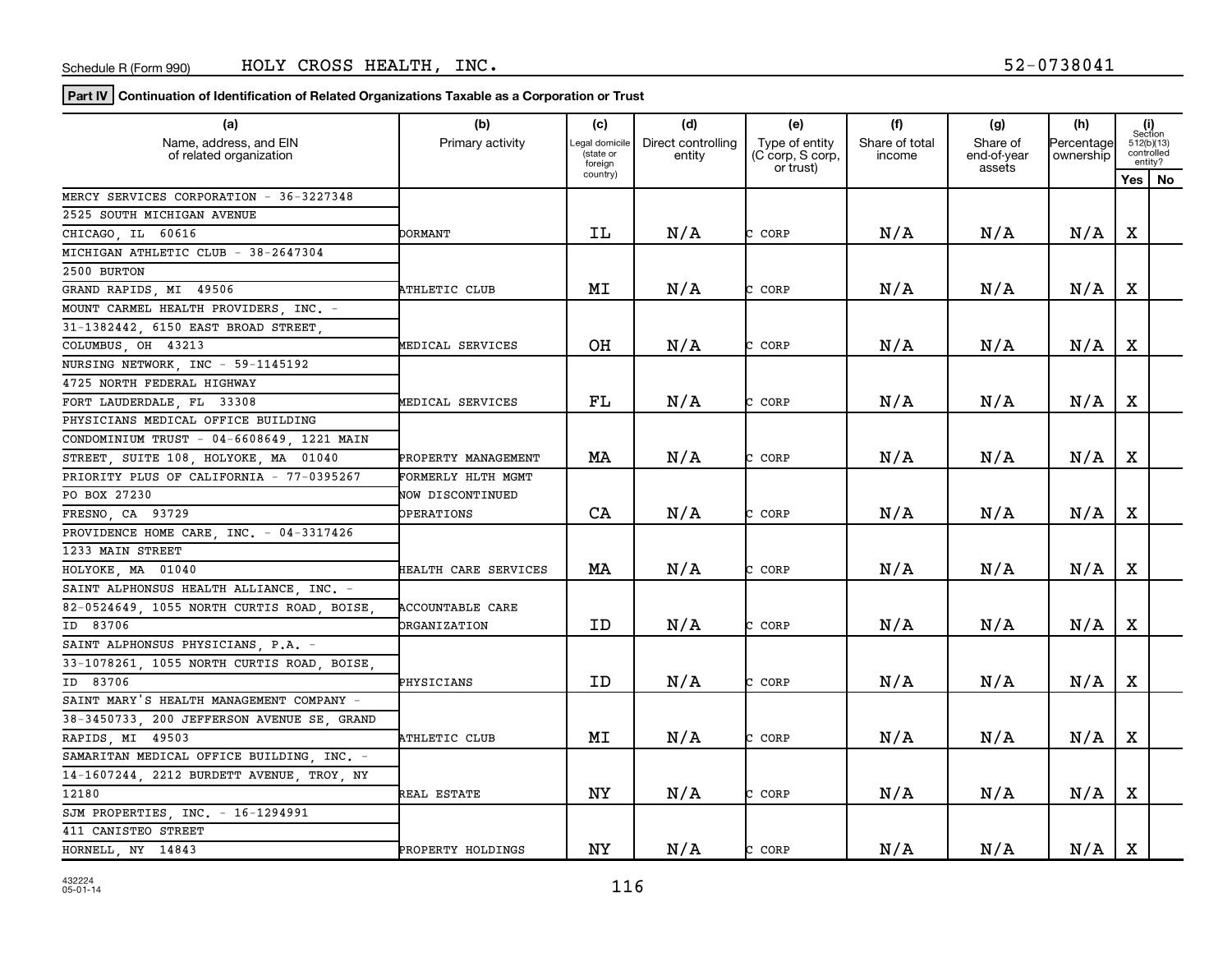| (a)                                               | (b)                     | (c)                                    | (d)                          | (e)                                             | (f)                      | (g)                     | (h)                     |             | (i)<br>Section                      |
|---------------------------------------------------|-------------------------|----------------------------------------|------------------------------|-------------------------------------------------|--------------------------|-------------------------|-------------------------|-------------|-------------------------------------|
| Name, address, and EIN<br>of related organization | Primary activity        | Legal domicile<br>(state or<br>foreign | Direct controlling<br>entity | Type of entity<br>(C corp, S corp,<br>or trust) | Share of total<br>income | Share of<br>end-of-year | Percentage<br>ownership |             | 512(b)(13)<br>controlled<br>entity? |
|                                                   |                         | country)                               |                              |                                                 |                          | assets                  |                         | Yes l       | No                                  |
| MERCY SERVICES CORPORATION - 36-3227348           |                         |                                        |                              |                                                 |                          |                         |                         |             |                                     |
| 2525 SOUTH MICHIGAN AVENUE                        |                         |                                        |                              |                                                 |                          |                         |                         |             |                                     |
| CHICAGO, IL 60616                                 | <b>DORMANT</b>          | ΙL                                     | N/A                          | C CORP                                          | N/A                      | N/A                     | N/A                     | х           |                                     |
| MICHIGAN ATHLETIC CLUB - 38-2647304               |                         |                                        |                              |                                                 |                          |                         |                         |             |                                     |
| 2500 BURTON                                       |                         |                                        |                              |                                                 |                          |                         |                         |             |                                     |
| GRAND RAPIDS, MI 49506                            | ATHLETIC CLUB           | MI                                     | N/A                          | C CORP                                          | N/A                      | N/A                     | N/A                     | х           |                                     |
| MOUNT CARMEL HEALTH PROVIDERS, INC. -             |                         |                                        |                              |                                                 |                          |                         |                         |             |                                     |
| 31-1382442, 6150 EAST BROAD STREET                |                         |                                        |                              |                                                 |                          |                         |                         |             |                                     |
| COLUMBUS, OH 43213                                | MEDICAL SERVICES        | OH                                     | N/A                          | C CORP                                          | N/A                      | N/A                     | N/A                     | X           |                                     |
| NURSING NETWORK, INC - 59-1145192                 |                         |                                        |                              |                                                 |                          |                         |                         |             |                                     |
| 4725 NORTH FEDERAL HIGHWAY                        |                         |                                        |                              |                                                 |                          |                         |                         |             |                                     |
| FORT LAUDERDALE, FL 33308                         | MEDICAL SERVICES        | FL                                     | N/A                          | C CORP                                          | N/A                      | N/A                     | N/A                     | X           |                                     |
| PHYSICIANS MEDICAL OFFICE BUILDING                |                         |                                        |                              |                                                 |                          |                         |                         |             |                                     |
| CONDOMINIUM TRUST - 04-6608649, 1221 MAIN         |                         |                                        |                              |                                                 |                          |                         |                         |             |                                     |
| STREET, SUITE 108, HOLYOKE, MA 01040              | PROPERTY MANAGEMENT     | МA                                     | N/A                          | C CORP                                          | N/A                      | N/A                     | N/A                     | х           |                                     |
| PRIORITY PLUS OF CALIFORNIA - 77-0395267          | FORMERLY HLTH MGMT      |                                        |                              |                                                 |                          |                         |                         |             |                                     |
| PO BOX 27230                                      | NOW DISCONTINUED        |                                        |                              |                                                 |                          |                         |                         |             |                                     |
| FRESNO CA 93729                                   | <b>OPERATIONS</b>       | CA                                     | N/A                          | CORP                                            | N/A                      | N/A                     | N/A                     | X           |                                     |
| PROVIDENCE HOME CARE INC. - 04-3317426            |                         |                                        |                              |                                                 |                          |                         |                         |             |                                     |
| 1233 MAIN STREET                                  |                         |                                        |                              |                                                 |                          |                         |                         |             |                                     |
| HOLYOKE, MA 01040                                 | HEALTH CARE SERVICES    | MA                                     | N/A                          | C CORP                                          | N/A                      | N/A                     | N/A                     | х           |                                     |
| SAINT ALPHONSUS HEALTH ALLIANCE, INC. -           |                         |                                        |                              |                                                 |                          |                         |                         |             |                                     |
| 82-0524649 1055 NORTH CURTIS ROAD BOISE           | <b>ACCOUNTABLE CARE</b> |                                        |                              |                                                 |                          |                         |                         |             |                                     |
| ID 83706                                          | ORGANIZATION            | ID                                     | N/A                          | C CORP                                          | N/A                      | N/A                     | N/A                     | X           |                                     |
| SAINT ALPHONSUS PHYSICIANS, P.A. -                |                         |                                        |                              |                                                 |                          |                         |                         |             |                                     |
| 33-1078261, 1055 NORTH CURTIS ROAD, BOISE         |                         |                                        |                              |                                                 |                          |                         |                         |             |                                     |
| ID 83706                                          | PHYSICIANS              | ID                                     | N/A                          | C CORP                                          | N/A                      | N/A                     | N/A                     | X           |                                     |
| SAINT MARY'S HEALTH MANAGEMENT COMPANY -          |                         |                                        |                              |                                                 |                          |                         |                         |             |                                     |
| 38-3450733, 200 JEFFERSON AVENUE SE, GRAND        |                         |                                        |                              |                                                 |                          |                         |                         |             |                                     |
| RAPIDS, MI 49503                                  | ATHLETIC CLUB           | MΙ                                     | N/A                          | C CORP                                          | N/A                      | N/A                     | N/A                     | х           |                                     |
| SAMARITAN MEDICAL OFFICE BUILDING .INC. -         |                         |                                        |                              |                                                 |                          |                         |                         |             |                                     |
| 14-1607244, 2212 BURDETT AVENUE, TROY, NY         |                         |                                        |                              |                                                 |                          |                         |                         |             |                                     |
| 12180                                             | REAL ESTATE             | NY                                     | N/A                          | CORP                                            | N/A                      | N/A                     | N/A                     | X           |                                     |
| SJM PROPERTIES, INC. - 16-1294991                 |                         |                                        |                              |                                                 |                          |                         |                         |             |                                     |
| 411 CANISTEO STREET                               |                         |                                        |                              |                                                 |                          |                         |                         |             |                                     |
| HORNELL, NY 14843                                 | PROPERTY HOLDINGS       | <b>NY</b>                              | N/A                          | CORP<br>h.                                      | N/A                      | N/A                     | N/A                     | $\mathbf X$ |                                     |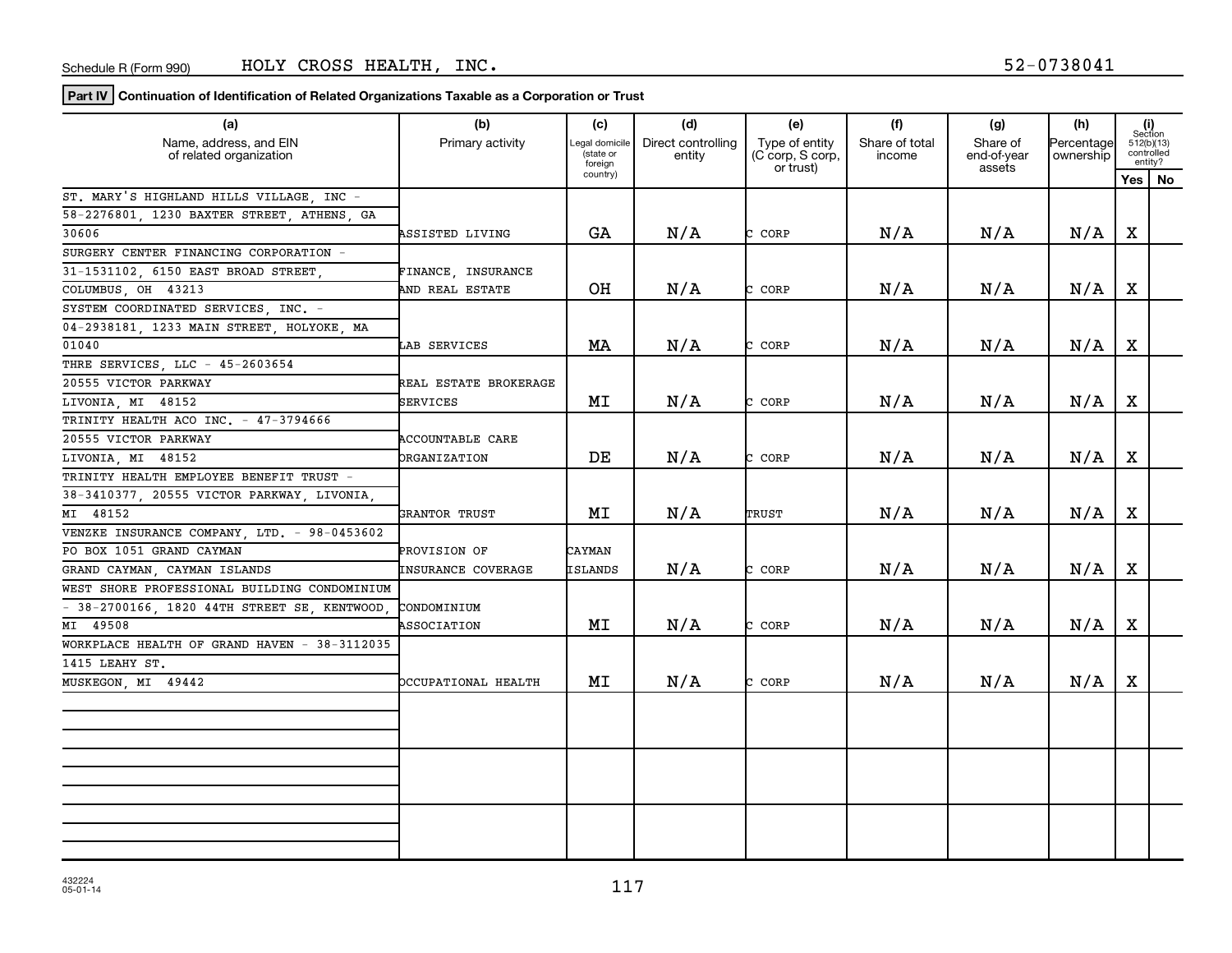| (a)<br>Name, address, and EIN<br>of related organization | (b)<br>Primary activity   | (c)<br>Legal domicile<br>(state or | (d)<br>Direct controlling<br>entity | (e)<br>Type of entity<br>(C corp, S corp, | (f)<br>Share of total<br>income | (g)<br>Share of<br>end-of-year | (h)<br>Percentage<br>ownership |             | (i)<br>Section<br>512(b)(13)<br>controlled |
|----------------------------------------------------------|---------------------------|------------------------------------|-------------------------------------|-------------------------------------------|---------------------------------|--------------------------------|--------------------------------|-------------|--------------------------------------------|
|                                                          |                           | foreign<br>country)                |                                     | or trust)                                 |                                 | assets                         |                                |             | entity?                                    |
| ST. MARY'S HIGHLAND HILLS VILLAGE INC -                  |                           |                                    |                                     |                                           |                                 |                                |                                | Yes   No    |                                            |
| 58-2276801, 1230 BAXTER STREET, ATHENS, GA               |                           |                                    |                                     |                                           |                                 |                                |                                |             |                                            |
| 30606                                                    | ASSISTED LIVING           | <b>GA</b>                          | N/A                                 | CORP                                      | N/A                             | N/A                            | N/A                            | $\mathbf X$ |                                            |
| SURGERY CENTER FINANCING CORPORATION -                   |                           |                                    |                                     |                                           |                                 |                                |                                |             |                                            |
| 31-1531102, 6150 EAST BROAD STREET,                      | FINANCE, INSURANCE        |                                    |                                     |                                           |                                 |                                |                                |             |                                            |
| COLUMBUS OH 43213                                        | AND REAL ESTATE           | OH                                 | N/A                                 | CORP<br>C.                                | N/A                             | N/A                            | N/A                            | X           |                                            |
| SYSTEM COORDINATED SERVICES, INC. -                      |                           |                                    |                                     |                                           |                                 |                                |                                |             |                                            |
| 04-2938181, 1233 MAIN STREET, HOLYOKE, MA                |                           |                                    |                                     |                                           |                                 |                                |                                |             |                                            |
| 01040                                                    | LAB SERVICES              | МA                                 | N/A                                 | CORP                                      | N/A                             | N/A                            | N/A                            | X           |                                            |
| THRE SERVICES, LLC - 45-2603654                          |                           |                                    |                                     |                                           |                                 |                                |                                |             |                                            |
| 20555 VICTOR PARKWAY                                     | REAL ESTATE BROKERAGE     |                                    |                                     |                                           |                                 |                                |                                |             |                                            |
| LIVONIA, MI 48152                                        | <b>SERVICES</b>           | MΙ                                 | N/A                                 | CORP                                      | N/A                             | N/A                            | N/A                            | $\mathbf X$ |                                            |
| TRINITY HEALTH ACO INC. - 47-3794666                     |                           |                                    |                                     |                                           |                                 |                                |                                |             |                                            |
| 20555 VICTOR PARKWAY                                     | <b>ACCOUNTABLE CARE</b>   |                                    |                                     |                                           |                                 |                                |                                |             |                                            |
| LIVONIA, MI 48152                                        | <b>DRGANIZATION</b>       | DE                                 | N/A                                 | CORP                                      | N/A                             | N/A                            | N/A                            | $\mathbf X$ |                                            |
| TRINITY HEALTH EMPLOYEE BENEFIT TRUST -                  |                           |                                    |                                     |                                           |                                 |                                |                                |             |                                            |
| 38-3410377, 20555 VICTOR PARKWAY, LIVONIA,               |                           |                                    |                                     |                                           |                                 |                                |                                |             |                                            |
| MI 48152                                                 | GRANTOR TRUST             | MΙ                                 | N/A                                 | TRUST                                     | N/A                             | N/A                            | N/A                            | X           |                                            |
| VENZKE INSURANCE COMPANY, LTD. - 98-0453602              |                           |                                    |                                     |                                           |                                 |                                |                                |             |                                            |
| PO BOX 1051 GRAND CAYMAN                                 | PROVISION OF              | CAYMAN                             |                                     |                                           |                                 |                                |                                |             |                                            |
| GRAND CAYMAN CAYMAN ISLANDS                              | <b>INSURANCE COVERAGE</b> | ISLANDS                            | N/A                                 | CORP                                      | N/A                             | N/A                            | N/A                            | $\mathbf X$ |                                            |
| WEST SHORE PROFESSIONAL BUILDING CONDOMINIUM             |                           |                                    |                                     |                                           |                                 |                                |                                |             |                                            |
| - 38-2700166, 1820 44TH STREET SE, KENTWOOD,             | CONDOMINIUM               |                                    |                                     |                                           |                                 |                                |                                |             |                                            |
| MI 49508                                                 | ASSOCIATION               | ΜI                                 | N/A                                 | CORP                                      | N/A                             | N/A                            | N/A                            | X           |                                            |
| WORKPLACE HEALTH OF GRAND HAVEN - 38-3112035             |                           |                                    |                                     |                                           |                                 |                                |                                |             |                                            |
| 1415 LEAHY ST.                                           |                           |                                    |                                     |                                           |                                 |                                |                                |             |                                            |
| MUSKEGON, MI 49442                                       | OCCUPATIONAL HEALTH       | МI                                 | N/A                                 | CORP                                      | N/A                             | N/A                            | N/A                            | $\mathbf X$ |                                            |
|                                                          |                           |                                    |                                     |                                           |                                 |                                |                                |             |                                            |
|                                                          |                           |                                    |                                     |                                           |                                 |                                |                                |             |                                            |
|                                                          |                           |                                    |                                     |                                           |                                 |                                |                                |             |                                            |
|                                                          |                           |                                    |                                     |                                           |                                 |                                |                                |             |                                            |
|                                                          |                           |                                    |                                     |                                           |                                 |                                |                                |             |                                            |
|                                                          |                           |                                    |                                     |                                           |                                 |                                |                                |             |                                            |
|                                                          |                           |                                    |                                     |                                           |                                 |                                |                                |             |                                            |
|                                                          |                           |                                    |                                     |                                           |                                 |                                |                                |             |                                            |
|                                                          |                           |                                    |                                     |                                           |                                 |                                |                                |             |                                            |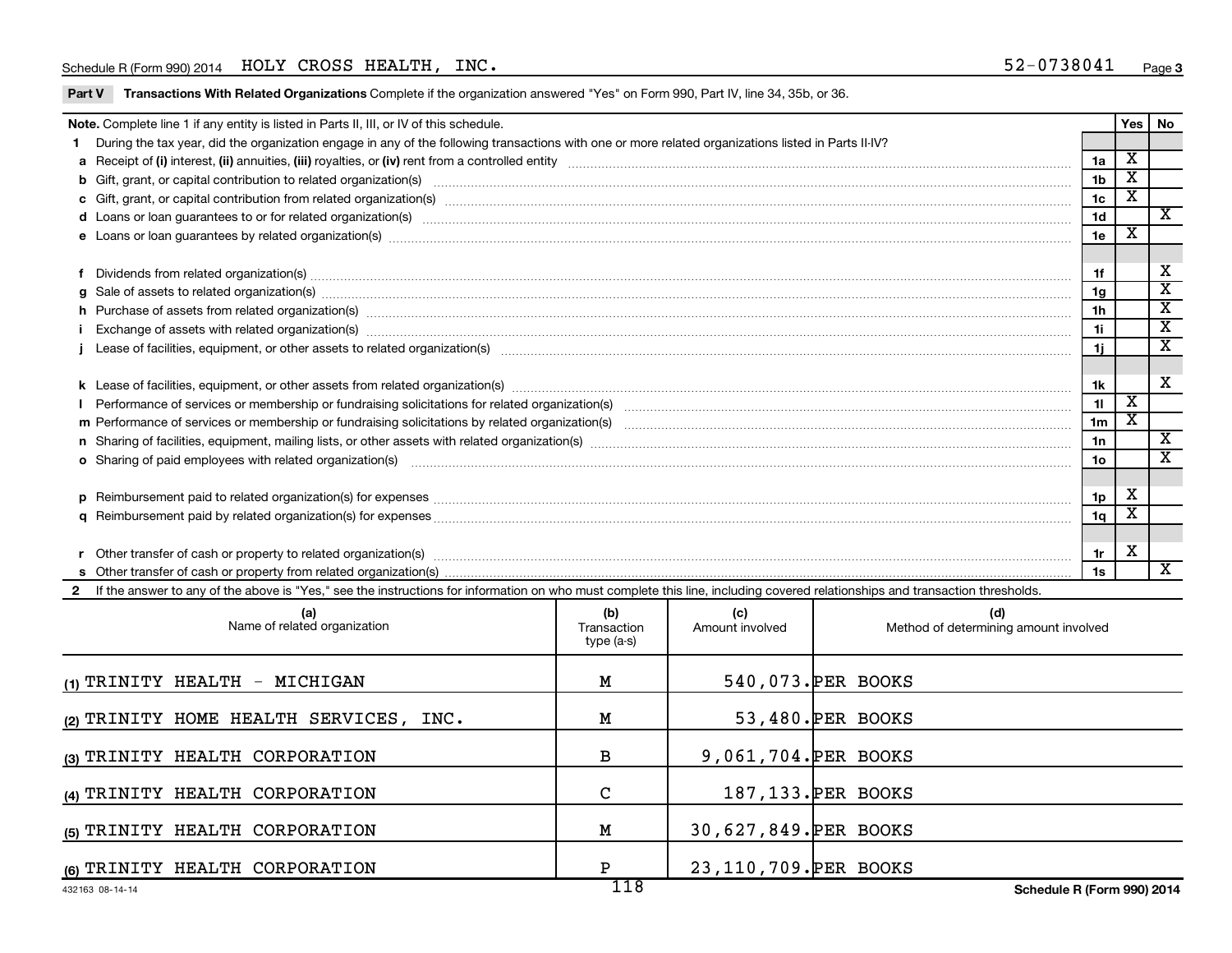Part V Transactions With Related Organizations Complete if the organization answered "Yes" on Form 990, Part IV, line 34, 35b, or 36.

|  | Note. Complete line 1 if any entity is listed in Parts II, III, or IV of this schedule.                                                                                                                                                                                                 |                 | <b>Yes</b>              | <b>No</b>                   |  |  |  |
|--|-----------------------------------------------------------------------------------------------------------------------------------------------------------------------------------------------------------------------------------------------------------------------------------------|-----------------|-------------------------|-----------------------------|--|--|--|
|  | During the tax year, did the organization engage in any of the following transactions with one or more related organizations listed in Parts II-IV?                                                                                                                                     |                 |                         |                             |  |  |  |
|  |                                                                                                                                                                                                                                                                                         | 1a              | $\overline{\mathbf{X}}$ |                             |  |  |  |
|  |                                                                                                                                                                                                                                                                                         | 1 <sub>b</sub>  | х                       |                             |  |  |  |
|  |                                                                                                                                                                                                                                                                                         | 1c              | х                       |                             |  |  |  |
|  | d Loans or loan guarantees to or for related organization(s) www.communically.com/www.communically.com/www.communically.com/www.communically.com/www.communically.com/www.communically.com/www.communically.com/www.communical                                                          | 1 <sub>d</sub>  |                         | $\mathbf{x}$                |  |  |  |
|  | e Loans or loan guarantees by related organization(s) manufaction(s) and contain an account of the content of the content of the content of the content of the content of the content of the content of the content of the con                                                          | 1e              | X                       |                             |  |  |  |
|  |                                                                                                                                                                                                                                                                                         |                 |                         |                             |  |  |  |
|  |                                                                                                                                                                                                                                                                                         | 1f              |                         | х                           |  |  |  |
|  | $g$ Sale of assets to related organization(s) $\ldots$ $\ldots$ $\ldots$ $\ldots$ $\ldots$ $\ldots$ $\ldots$ $\ldots$ $\ldots$ $\ldots$ $\ldots$ $\ldots$ $\ldots$ $\ldots$ $\ldots$ $\ldots$ $\ldots$ $\ldots$ $\ldots$ $\ldots$ $\ldots$ $\ldots$ $\ldots$ $\ldots$ $\ldots$ $\ldots$ | 1 <sub>q</sub>  |                         | $\overline{\text{x}}$       |  |  |  |
|  | h Purchase of assets from related organization(s) manufactured and content to content the content of assets from related organization(s)                                                                                                                                                | 1 <sub>h</sub>  |                         | $\overline{\textbf{x}}$     |  |  |  |
|  | Exchange of assets with related organization(s) www.assettion.com/www.assettion.com/www.assettion.com/www.assettion.com/www.assettion.com/www.assettion.com/www.assettion.com/www.assettion.com/www.assettion.com/www.assettio                                                          | 1i.             |                         | $\overline{\text{x}}$       |  |  |  |
|  |                                                                                                                                                                                                                                                                                         | 1j.             |                         | $\overline{\textnormal{x}}$ |  |  |  |
|  |                                                                                                                                                                                                                                                                                         |                 |                         |                             |  |  |  |
|  |                                                                                                                                                                                                                                                                                         | 1k              |                         | X                           |  |  |  |
|  | Performance of services or membership or fundraising solicitations for related organization(s) manufaction(s and accommunity content of services or membership or fundraising solicitations for related organization(s) manufa                                                          | 11              | X                       |                             |  |  |  |
|  |                                                                                                                                                                                                                                                                                         | 1 <sub>m</sub>  | х                       |                             |  |  |  |
|  |                                                                                                                                                                                                                                                                                         | 1n              |                         | $\overline{\mathbf{x}}$     |  |  |  |
|  | o Sharing of paid employees with related organization(s) manufactured and content to the content of the content of the content of the content of the content of the content of the content of the content of the content of th                                                          | 10 <sub>o</sub> |                         | $\mathbf x$                 |  |  |  |
|  |                                                                                                                                                                                                                                                                                         |                 |                         |                             |  |  |  |
|  |                                                                                                                                                                                                                                                                                         | 1 <sub>p</sub>  | X                       |                             |  |  |  |
|  |                                                                                                                                                                                                                                                                                         | 1q              | х                       |                             |  |  |  |
|  |                                                                                                                                                                                                                                                                                         |                 |                         |                             |  |  |  |
|  |                                                                                                                                                                                                                                                                                         | 1r              | х                       |                             |  |  |  |
|  |                                                                                                                                                                                                                                                                                         | 1s              |                         | X                           |  |  |  |
|  | If the answer to any of the above is "Yes," see the instructions for information on who must complete this line, including covered relationships and transaction thresholds.                                                                                                            |                 |                         |                             |  |  |  |
|  |                                                                                                                                                                                                                                                                                         |                 |                         |                             |  |  |  |

| (a)<br>Name of related organization    | (b)<br>Transaction<br>type (a-s) | (c)<br>Amount involved  | (d)<br>Method of determining amount involved |
|----------------------------------------|----------------------------------|-------------------------|----------------------------------------------|
| $(1)$ TRINITY HEALTH - MICHIGAN        | М                                |                         | 540,073. PER BOOKS                           |
| (2) TRINITY HOME HEALTH SERVICES, INC. | М                                |                         | 53,480. PER BOOKS                            |
| (3) TRINITY HEALTH CORPORATION         | в                                | 9,061,704. PER BOOKS    |                                              |
| (4) TRINITY HEALTH CORPORATION         | C                                |                         | 187, 133. PER BOOKS                          |
| (5) TRINITY HEALTH CORPORATION         | Μ                                | 30,627,849. PER BOOKS   |                                              |
| (6) TRINITY HEALTH CORPORATION         | P<br>110                         | 23, 110, 709. PER BOOKS | $\sim$ $\sim$ $\sim$ $\sim$                  |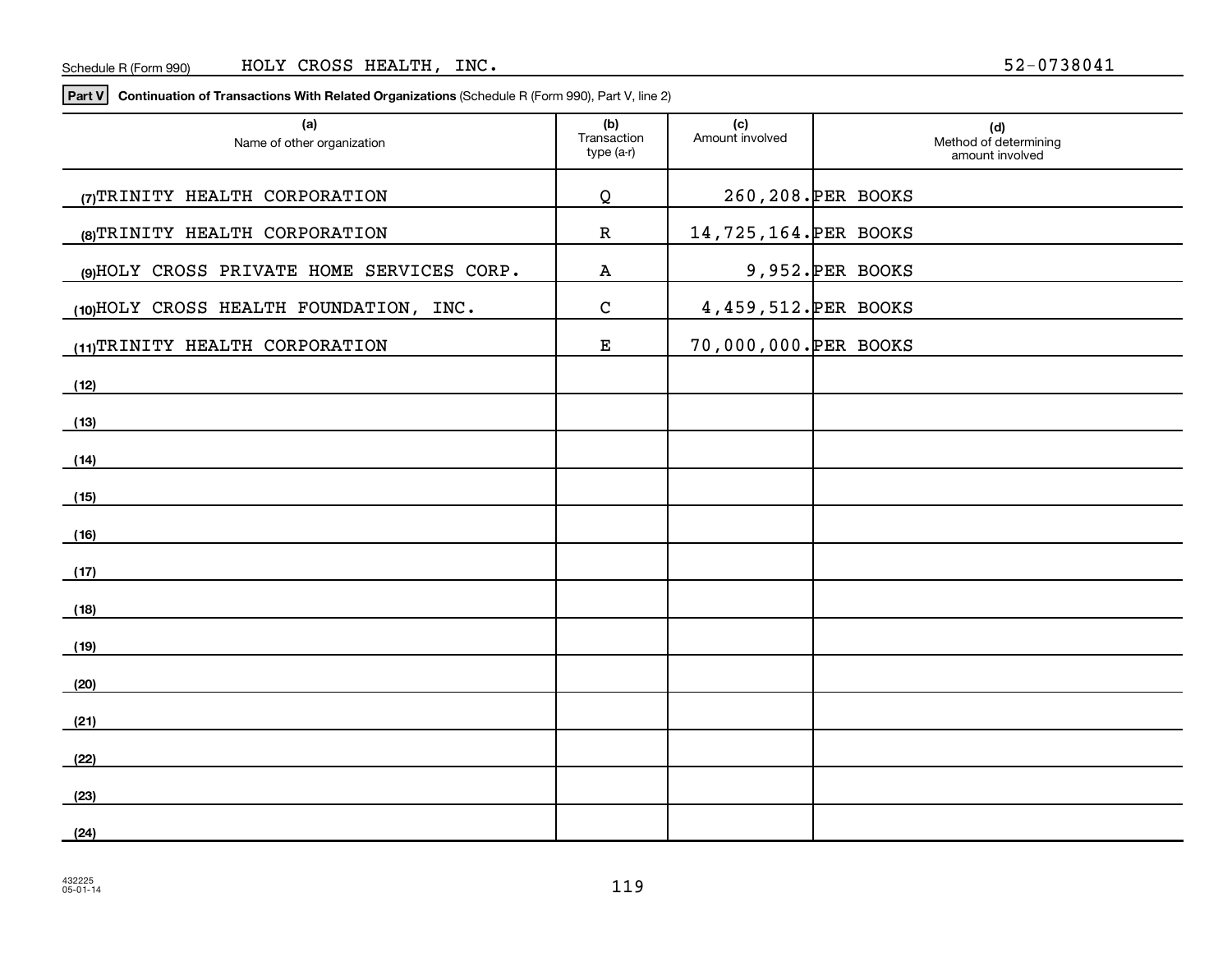**Part V Continuation of Transactions With Related Organizations**  (Schedule R (Form 990), Part V, line 2)

| (a)<br>Name of other organization          | (b)<br>Transaction | (c)<br>Amount involved | (d)<br>Method of determining |
|--------------------------------------------|--------------------|------------------------|------------------------------|
|                                            | type (a-r)         |                        | amount involved              |
| (7) TRINITY HEALTH CORPORATION             | Q                  |                        | 260, 208. PER BOOKS          |
| (8) TRINITY HEALTH CORPORATION             | ${\bf R}$          | 14,725,164. PER BOOKS  |                              |
| (9) HOLY CROSS PRIVATE HOME SERVICES CORP. | Α                  |                        | $9,952.$ PER BOOKS           |
| (10) HOLY CROSS HEALTH FOUNDATION, INC.    | $\mathbf C$        | 4,459,512. PER BOOKS   |                              |
| (11)TRINITY HEALTH CORPORATION             | $\mathbf E$        | 70,000,000. PER BOOKS  |                              |
| (12)                                       |                    |                        |                              |
| (13)                                       |                    |                        |                              |
| (14)                                       |                    |                        |                              |
| (15)                                       |                    |                        |                              |
| (16)                                       |                    |                        |                              |
| (17)                                       |                    |                        |                              |
| (18)                                       |                    |                        |                              |
| (19)                                       |                    |                        |                              |
| (20)                                       |                    |                        |                              |
| (21)                                       |                    |                        |                              |
| (22)                                       |                    |                        |                              |
| (23)                                       |                    |                        |                              |
| (24)                                       |                    |                        |                              |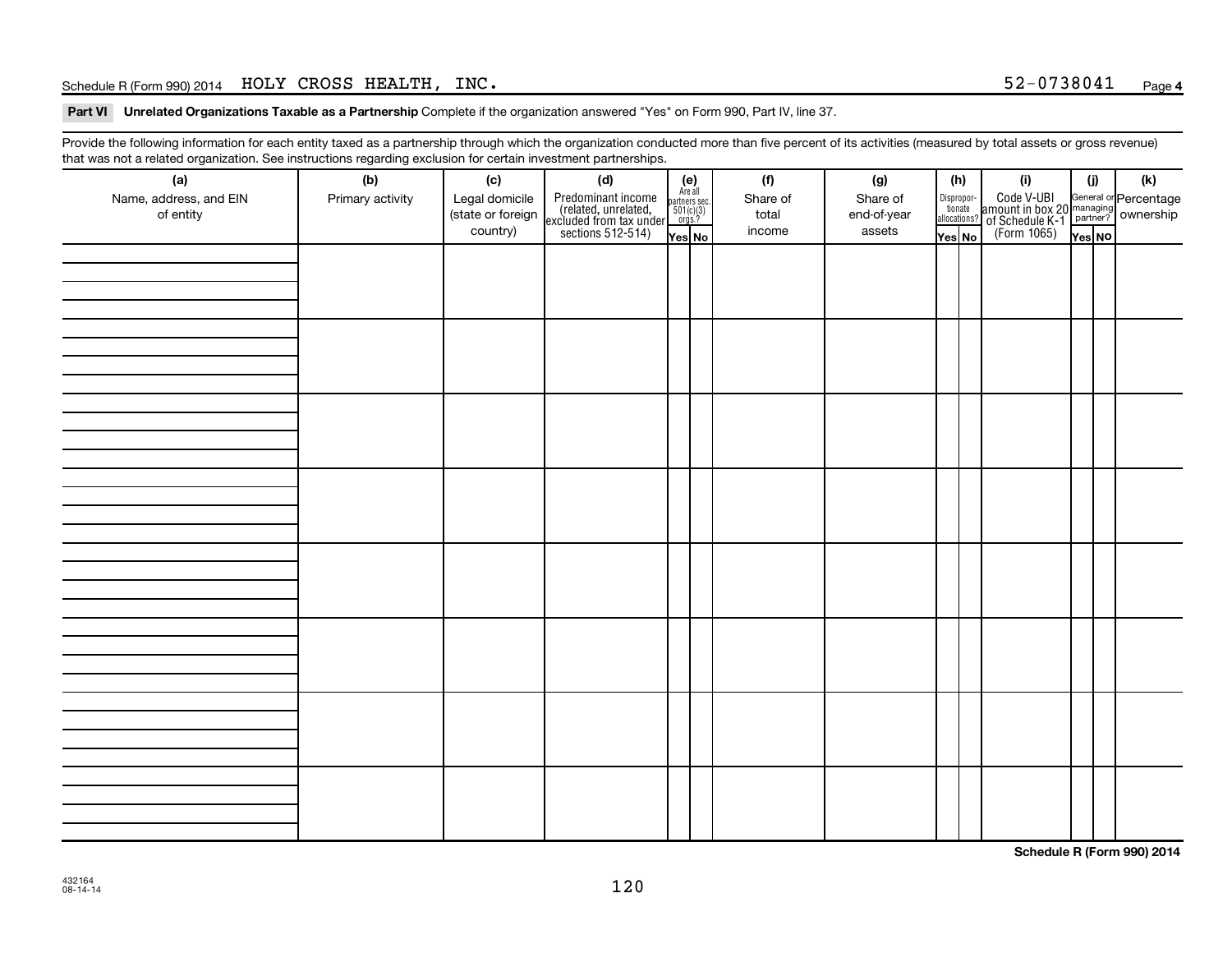## Schedule R (Form 990) 2014 Page HOLY CROSS HEALTH, INC. 52-0738041

Part VI Unrelated Organizations Taxable as a Partnership Complete if the organization answered "Yes" on Form 990, Part IV, line 37.

Provide the following information for each entity taxed as a partnership through which the organization conducted more than five percent of its activities (measured by total assets or gross revenue) that was not a related organization. See instructions regarding exclusion for certain investment partnerships.

| (a)<br>Name, address, and EIN<br>of entity | . ت<br>(b)<br>Primary activity | (c)<br>Legal domicile<br>(state or foreign<br>country) | . <b>.</b><br>(d)<br>Predominant income<br>(related, unrelated,<br>excluded from tax under<br>sections 512-514) | $(e)$<br>Are all<br>partners sec.<br>$501(c)(3)$<br>orgs.?<br>Yes No | (f)<br>Share of<br>total<br>income | (g)<br>Share of<br>end-of-year<br>assets | (h)<br>Dispropor-<br>tionate<br>allocations?<br>Yes No | (i)<br>Code V-UBI<br>amount in box 20 managing<br>of Schedule K-1 partner?<br>(Form 1065)<br>ves No | (i)<br>Yes NO | (k) |
|--------------------------------------------|--------------------------------|--------------------------------------------------------|-----------------------------------------------------------------------------------------------------------------|----------------------------------------------------------------------|------------------------------------|------------------------------------------|--------------------------------------------------------|-----------------------------------------------------------------------------------------------------|---------------|-----|
|                                            |                                |                                                        |                                                                                                                 |                                                                      |                                    |                                          |                                                        |                                                                                                     |               |     |
|                                            |                                |                                                        |                                                                                                                 |                                                                      |                                    |                                          |                                                        |                                                                                                     |               |     |
|                                            |                                |                                                        |                                                                                                                 |                                                                      |                                    |                                          |                                                        |                                                                                                     |               |     |
|                                            |                                |                                                        |                                                                                                                 |                                                                      |                                    |                                          |                                                        |                                                                                                     |               |     |
|                                            |                                |                                                        |                                                                                                                 |                                                                      |                                    |                                          |                                                        |                                                                                                     |               |     |
|                                            |                                |                                                        |                                                                                                                 |                                                                      |                                    |                                          |                                                        |                                                                                                     |               |     |
|                                            |                                |                                                        |                                                                                                                 |                                                                      |                                    |                                          |                                                        |                                                                                                     |               |     |
|                                            |                                |                                                        |                                                                                                                 |                                                                      |                                    |                                          |                                                        |                                                                                                     |               |     |

**Schedule R (Form 990) 2014**